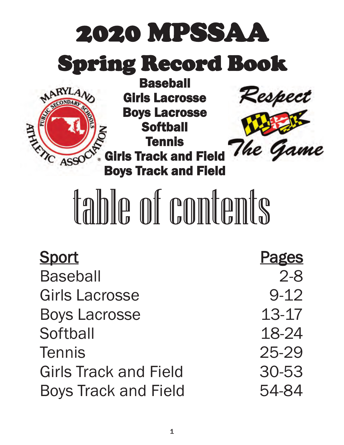

| <b>Pages</b> |
|--------------|
| $2 - 8$      |
| $9 - 12$     |
| 13-17        |
| 18-24        |
| 25-29        |
| 30-53        |
| 54-84        |
|              |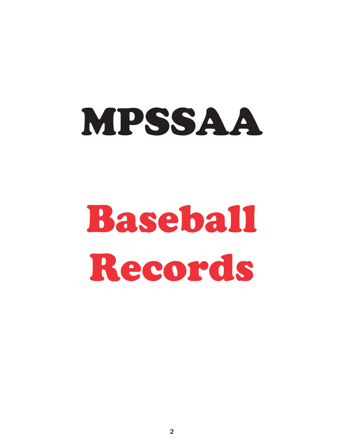# MPSSAA

# Baseball Records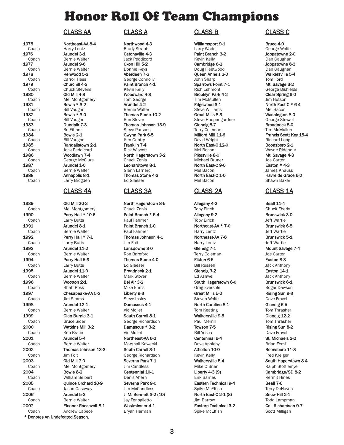# Honor Roll Of Team Champions

# CLASS AA CLASS A CLASS B CLASS C

1989 Old Mill 20-3 North Hagerstown 8-5 Allegany 4-2 Beall 11-4 Coach Mel Montgomery Chuck Zonis Toby Eirich Chuck Eberly 1990 **Perry Hall \* 10-6 Paint Branch \* 5-4 Allegany 9-2 Brunswick 3-0**<br>Coach Larry Butts **Paul Fahrner Paul Fahrner** Toby Eirich Jeff Warfle Coach Larry Butts Paul Fahrner Toby Eirich Jeff Warfle 1991 Arundel 8-1 Paint Branch 1-0 Northeast-AA \* 7-0 Brunswick 6-5 Coach Bernie Walter **Burner Bernie Bernie Warfle** Paul Fahrner Harry Lentz Harry Lentz American Beff Warfle 1992 **Perry Hall \* 7-1** Thomas Johnson 4-1 Northeast-AA 7-6 Brunswick 5-1 Coach Larry Butts **Larry Butts** Jim Foit **Harry Lentz** Harry Lentz Jeff Warfle 1993 Arundel 11-2 Lansdowne 3-0 Glenelg 7-1 Mount Savage 7-4 Coach Bernie Walter Ron Bareford Terry Coleman Joe Carter 1994 Perry Hall 5-3 Thomas Stone 4-0 Elkton 6-5 Easton 8-3 Coach Larry Butts Ed Glaeser Bill Russell Jack Anthony 1995 Arundel 11-0 Broadneck 2-1 Glenelg 3-2 Easton 14-1 Coach Bernie Walter **Mark Stover** Mark Stover Ed Ashwell **Goach Bark Anthony** 1996 Wootton 2-1 Bel Air 3-2 South Hagerstown 6-0 Brunswick 6-1 Coach Rhett Ross Mike Ennis Greg Eversole Roger Dawson 1997 Chesapeake-AA 5-2 Liberty 9-3 Great Mills 5-2 Rising Sun 9-3 Coach Jim Simms Steve Insley Steven Steven Wolfe Steven Wolfe Dave Fravel 1998 Arundel 12-1 Damascus 4-1 North Caroline 8-1 Glenelg 6-5 Coach Bernie Walter **Goach Coach Tom Thrasher** Vic Mollet Tom Thrasher Tom Thrasher 1999 Glen Burnie 3-1 South Carroll 8-1 Walkersville 9-5 Glenelg 12-2 Coach Bruce Sider George Richardson Paul Merrill Tom Thrasher 2000 Watkins Mill 3-2 Damascus \* 3-2 Towson 7-5 Rising Sun 8-2 Coach Men Brace Mental Communication Coach Bill Yosca Dave Fravel Dave Fravel 2001 Arundel 5-4 Northeast-AA 6-2 Centennial 6-4 St. Michaels 3-2 Coach Bernie Walter **Brian Femi** Marshall Kawecki **Dave Appleby** Brian Femi 2002 Thomas Johnson 13-3 South Carroll 3-1 Atholton 10-0 Boonsboro 11-3 Coach Jim Foit George Richardson Kevin Kelly Fred Kreiger 2003 Old Mill 7-0 Severna Park 7-1 Walkersville 5-4 South Hagerstown 8-4 Coach Mel Montgomery Jim Candless Mike O'Brien Mike O'Brien Ralph Stottlemyer 2004 Bowie 8-2 Centennial 10-1 Liberty 4-3 (9) Cambridge/SD 8-2 Coach William Seibert Denis Ahern Erik Barnes Kermit Hines 2005 **Quince Orchard 10-9** Severna Park 9-0 **Eastern Technical 9-4** Beall 7-6 **Beall 7-6**<br>Coach Jason Gasaway Jim McCandless Spike McElfish Sener Terry DeHaven Coach Jason Gasaway Jim McCandless 2006 Arundel 5-3 J. M. Bennett 3-2 (10) North East-C 2-1 (8) Snow Hill 2-1 Coach Bernie Walter Jay Fenoglietto Jim Barrow Todd Lampman 2007 Eleanor Roosevelt 8-1 Westminster 4-1 Eastern Technical 3-2 Col. Richardson 9-7

\* Denotes An Undefeated Season.

Coach Harry Lentz Brady Straub Larry Wadel George Wolfe 1976 Arundel 3-1 Catonsville 4-3 Paint Branch 3-2 Joppatowne 2-0 Coach Bernie Walter Jack Peddicord Kevin Kelly Dan Gaughan 1977 Arundel 9-6 Oxon Hill 5-2 Cambridge 6-2 Joppatowne 6-3 Coach Bernie Walter Donnie Keys Doug Fleetwood Dan Gaughan Coach Carroll Hess George Connolly John Sharp Tom Ford Tom Ford 1979 **Churchill 4-3 Churchill 4-3** Paint Branch 4-1 **Sparrows Point 7-1** Mt. Savage 3-2<br>Coach Chuck Stevens Kevin Kelly Rich Behmont Rich External George Bishield Coach Chuck Stevens Chuck Chuck Chuck Coach Coach Coach Chuck Stevens Kevin Kelly Rich Eshmont Chuck George Bishields 1980 Old Mill 4-3 Woodward 4-3 Brooklyn Park 4-2 Clear Spring 6-0 Coach 1981 Mel Montgomery Tom George Tim McMullen Tom Coach Jim Hutson<br>1981 **Bowie \* 3-2** Arundel 4-2 **The Edgewood 3-1** North East-Coach Bill Vaughn Bernie Walter Steve Williams Steve Williams Mel Bacon 1982 Bowie \* 3-0 Thomas Stone 10-2 Great Mills 8-3 Washington 8-0 Coach Bill Vaughn Bill Vaughn Ron Stover Stewart Steve Hoopengardner George Stewart<br>1983 **Dundalk 7-3** Thomas Johnson 13-9 Glenelg 8-7 George Stroadneck 5-0 1983 Dundalk 7-3 Thomas Johnson 13-9 Glenelg 8-7 Broadneck 5-0 Coach Bo Eibner Steve Parsons Terry Coleman Terry Coleman Tim McMullen Coach Bill Vaughn Ken Gentry David Wright Richard Long 1985 Randallstown 2-1 Franklin 7-4 North East-C 12-0 Boonsboro 2-1 Coach Jack Peddicord Rick Wiscott Mel Bacon Wayne Ridenour 1986 Woodlawn 7-4 **North Hagerstown 3-2** Pikesville 8-0 Mt. Savage 4-3<br>Coach George McClure Chuck Zonis Michael Bruner Michael Bruner Joe Carter Coach George McClure Chuck Zonis Chuck 2019 Michael Bruner Joe Carter<br>1987 **Carter Arundel 1-0 Conardtown 8-1 Conary Arundel 1-0 Caston \* 4-3** Leonardtown 8-1 Coach Bernie Walter Glenn Larnerd Mel Bacon James Knauss 1988 Annapolis 8-1 Thomas Stone 4-3 North East-C 1-0 Havre de Grace 6-2 Coach Larry Brogden Ed Glaeser Mel Bacon Shawn Baker

1975 Northeast-AA 8-4 Northwood 4-3 Williamsport 9-1 Bruce 4-0 Queen Anne's 2-0

Coach Andrew Capece **Bryan Harman** Spike McElfish Scott Milligan Scott Milligan

North East-C \* 6-4 1984 **Bowie 2-1 Gwynn Park 6-5** Milford Mill 11-6 Francis Scott Key 15-4 Coach Bill Vaughn **Francis Scott Key 15-4**<br>Coach Bill Vaughn **Francis Scott Key 15-4** Ken Gentry **Francis Scott August** David Wright

# CLASS 4A CLASS 3A CLASS 2A CLASS 1A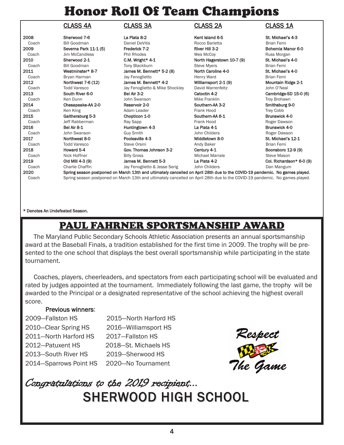# Honor Roll Of Team Champions

|       | <b>CLASS 4A</b>       | <b>CLASS 3A</b>                                                                                                             | <b>CLASS 2A</b>           | <b>CLASS 1A</b>          |
|-------|-----------------------|-----------------------------------------------------------------------------------------------------------------------------|---------------------------|--------------------------|
| 2008  | Sherwood 7-6          | La Plata 8-2                                                                                                                | Kent Island 6-5           | St. Michael's 4-3        |
| Coach | <b>Bill Goodman</b>   | <b>Daniel DeVitis</b>                                                                                                       | Rocco Barletta            | <b>Brian Femi</b>        |
| 2009  | Severna Park 11-1 (5) | Frederick 7-2                                                                                                               | River Hill 3-2            | Bohemia Manor 6-0        |
| Coach | Jim McCandless        | <b>Phil Rhodes</b>                                                                                                          | Wes McCoy                 | Russ Morgan              |
| 2010  | Sherwood 2-1          | C.M. Wright* 4-1                                                                                                            | North Hagerstown 10-7 (9) | St. Michael's 4-0        |
| Coach | <b>Bill Goodman</b>   | Tony Blackburn                                                                                                              | <b>Steve Myers</b>        | <b>Brian Femi</b>        |
| 2011  | Westminster* 8-7      | James M. Bennett* 5-2 (8)                                                                                                   | North Caroline 4-0        | St. Michael's 4-0        |
| Coach | Bryan Harman          | Jay Fenoglietto                                                                                                             | <b>Henry Ward</b>         | <b>Brian Femi</b>        |
| 2012  | Northwest 7-6 (12)    | James M. Bennett* 4-2                                                                                                       | Williamsport 2-1 (9)      | Mountain Ridge 2-1       |
| Coach | <b>Todd Varesco</b>   | Jay Fenoglietto & Mike Shockley                                                                                             | David Warrenfeltz         | John O'Neal              |
| 2013  | South River 6-0       | Bel Air 3-2                                                                                                                 | Catoctin 4-2              | Cambridge-SD 15-0 (6)    |
| Coach | Ken Dunn              | John Swanson                                                                                                                | Mike Franklin             | Troy Brohawn             |
| 2014  | Chesapeake-AA 2-0     | Reservoir 2-0                                                                                                               | Southern-AA 3-2           | Smithsburg 9-0           |
| Coach | Ken King              | Adam Leader                                                                                                                 | Frank Hood                | <b>Trey Cobb</b>         |
| 2015  | Gaithersburg 5-3      | Chopticon 1-0                                                                                                               | Southern-AA 6-1           | Brunswick 4-0            |
| Coach | Jeff Rabberman        | Ray Sapp                                                                                                                    | Frank Hood                | Roger Dawson             |
| 2016  | Bel Air 8-1           | Huntingtown 4-3                                                                                                             | La Plata 4-1              | Brunswick 4-0            |
| Coach | John Swanson          | <b>Guy Smith</b>                                                                                                            | John Childers             | Roger Dawson             |
| 2017  | Northwest 8-0         | Poolesville 4-3                                                                                                             | Middletown 8-0            | St. Michael's 12-1       |
| Coach | <b>Todd Varesco</b>   | Steve Orsini                                                                                                                | Andy Baker                | <b>Brian Femi</b>        |
| 2018  | Howard 5-4            | Gov. Thomas Johnson 3-2                                                                                                     | Century 4-1               | Boonsboro 12-9 (9)       |
| Coach | Nick Hoffner          | <b>Billy Gross</b>                                                                                                          | <b>Michael Marrale</b>    | Steve Mason              |
| 2019  | Old Mill 4-3 (9)      | James M. Bennett 5-3                                                                                                        | La Plata 4-2              | Col. Richardson* 6-0 (9) |
| Coach | Charlie Chaffin       | Jay Fenoglietto & Jesse Serig                                                                                               | John Childers             | Dan Mangum               |
| 2020  |                       | Spring season postponed on March 13th and ultimately cancelled on April 28th due to the COVID-19 pandemic. No games played. |                           |                          |
| Coach |                       | Spring season postponed on March 13th and ultimately cancelled on April 28th due to the COVID-19 pandemic. No games played. |                           |                          |

## \* Denotes An Undefeated Season.

# PAUL FAHRNER SPORTSMANSHIP AWARD

The Maryland Public Secondary Schools Athletic Association presents an annual sportsmanship award at the Baseball Finals, a tradition established for the first time in 2009. The trophy will be presented to the one school that displays the best overall sportsmanship while participating in the state tournament.

Coaches, players, cheerleaders, and spectators from each participating school will be evaluated and rated by judges appointed at the tournament. Immediately following the last game, the trophy will be awarded to the Principal or a designated representative of the school achieving the highest overall score.

# Previous winners:

2009—Fallston HS 2015—North Harford HS 2010—Clear Spring HS 2016—Williamsport HS 2011—North Harford HS 2017—Fallston HS 2012—Patuxent HS 2018—St. Michaels HS 2013—South River HS 2019—Sherwood HS 2014—Sparrows Point HS 2020—No Tournament



# SHERWOOD HIGH SCHOOL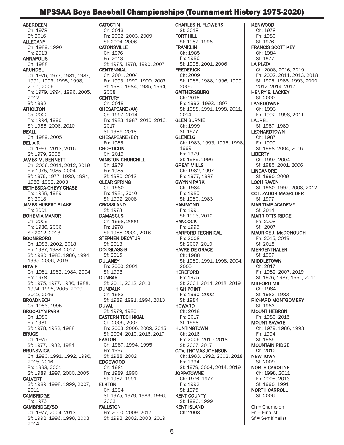# MPSSAA Boys Baseball Championships (Tournament History 1975-2020)

ABERDEEN Ch: 1978 Sf: 2016 ALLEGANY Ch: 1989, 1990 Fn: 2013 ANNAPOLIS Ch: 1988 ARUNDEL Ch: 1976, 1977, 1981, 1987, 1991, 1993, 1995, 1998, 2001, 2006 Fn: 1979, 1994, 1996, 2005, 2012 Sf: 1992 **ATHOLTON** Ch: 2002 Fn: 1994, 1996 Sf: 1986, 2006, 2010 BEALL Ch: 1989, 2005 BEL AIR Ch: 1996, 2013, 2016 Sf: 1979, 2005 JAMES M. BENNETT Ch: 2006, 2011, 2012, 2019 Fn: 1975, 1985, 2004 Sf: 1976, 1977, 1980, 1984, 1986, 1992, 2003 BETHESDA-CHEVY CHASE Fn: 1988, 1989 Sf: 2018 JAMES HUBERT BLAKE Fn: 2001 BOHEMIA MANOR Ch: 2009 Fn: 1986, 2006 Sf: 2012, 2013 BOONSBORO Ch: 1985, 2002, 2018 Fn: 1987, 1988, 2017 Sf: 1980, 1983, 1986, 1994, 1995, 2006, 2019 BOWIE Ch: 1981, 1982, 1984, 2004 Fn: 1978 Sf: 1975, 1977, 1986, 1988, 1994, 1995, 2005, 2009, 2012, 2016 BROADNECK Ch: 1983, 1995 BROOKLYN PARK Ch: 1980 Fn: 1981 Sf: 1978, 1982, 1988 **BRUCE** Ch: 1975 Sf: 1977, 1982, 1984 **BRUNSWICK** Ch: 1990, 1991, 1992, 1996, 2015, 2016 Fn: 1993, 2001 Sf: 1989, 1997, 2000, 2005 CALVERT Sf: 1989, 1998, 1999, 2007, 2011 **CAMBRIDGE** Fn: 1976 CAMBRIDGE/SD Ch: 1977, 2004, 2013 Sf: 1992, 1996, 1998, 2003, 2014

**CATOCTIN** Ch: 2013 Fn: 2002, 2003, 2009 Sf: 2004, 2006 **CATONSVILLE** Ch: 1976 Fn: 2013 Sf: 1975, 1978, 1990, 2007 **CENTENNIAL** Ch: 2001, 2004 Fn: 1993, 1997, 1999, 2007 Sf: 1980, 1984, 1985, 1994, 2008 **CENTURY** Ch: 2018 CHESAPEAKE (AA) Ch: 1997, 2014 Fn: 1983, 1987, 2010, 2016, 2017 Sf: 1986, 2018 CHESAPEAKE (BC) Fn: 1985 **CHOPTICON** Ch: 2015 WINSTON CHURCHILL Ch: 1979 Fn: 1985 Sf: 1980, 2013 CLEAR SPRING Ch: 1980 Fn: 1981, 2010 Sf: 1992, 2008 **CROSSLAND** Sf: 1978 **DAMASCUS** Ch: 1998, 2000 Fn: 1978 Sf: 1988, 2002, 2016 STEPHEN DECATUR Sf: 2013 DOUGLASS-B Sf: 2015 DULANEY Fn: 2000, 2001 Sf: 1993 DUNBAR Sf: 2011, 2012, 2013 DUNDALK Ch: 1983 Sf: 1989, 1991, 1994, 2013 **DUVAL** Sf: 1979, 1980 EASTERN TECHNICAL Ch: 2005, 2007 Fn: 2003, 2006, 2009, 2015 Sf: 2004, 2010, 2016, 2017 EASTON Ch: 1987, 1994, 1995 Fn: 1997 Sf: 1988, 2002 EDGEWOOD Ch: 1981 Fn: 1989, 1990 Sf: 1982, 1991 ELKTON Ch: 1994 Sf: 1975, 1979, 1983, 1996, 2003 FALLSTON Fn: 2000, 2009, 2017 Sf: 1993, 2002, 2003, 2019

CHARLES H. FLOWERS Sf: 2018 FORT HILL Sf: 1987, 1998 FRANKLIN Ch: 1985 Fn: 1986 Sf: 1995, 2001, 2006 **FREDERICK** Ch: 2009 Sf: 1985, 1988, 1996, 1999, 2005 **GAITHERSBURG** Ch: 2015 Fn: 1992, 1993, 1997 Sf: 1988, 1991, 1998, 2011, 2014 GLEN BURNIE Ch: 1999 Sf: 1977 GLENELG Ch: 1983, 1993, 1995, 1998, 1999 Fn: 1979 Sf: 1989, 1996 GREAT MILLS Ch: 1982, 1997 Fn: 1977, 1987 GWYNN PARK Ch: 1984 Fn: 1985 Sf: 1980, 1983 **HAMMOND** Fn: 1991 Sf: 1993, 2010 **HANCOCK** Fn: 1995 HARFORD TECHNICAL Fn: 2008 Sf: 2007, 2010 HAVRE DE GRACE Ch: 1988 Sf: 1989, 1991, 1998, 2004, 2005 **HEREFORD** Fn: 1975 Sf: 2001, 2014, 2018, 2019 HIGH POINT Fn: 1990, 2002 Sf: 1984 **HOWARD** Ch: 2018 Fn: 2017 Sf: 1998 **HUNTINGTOWN** Ch: 2016 Fn: 2006, 2010, 2018 Sf: 2007, 2017 GOV. THOMAS JOHNSON Ch: 1983, 1992, 2002, 2018 Fn: 1994 Sf: 1979, 2004, 2014, 2019 **JOPPATOWNE** Ch: 1976, 1977 Fn: 1992 Sf: 1975 KENT COUNTY Sf: 1990, 1999 KENT ISLAND Ch: 2008

KENWOOD Ch: 1978 Fn: 1980 Sf: 1976 FRANCIS SCOTT KEY Ch: 1984 Sf: 1977 LA PLATA Ch: 2008, 2016, 2019 Fn: 2002, 2011, 2013, 2018 Sf: 1975, 1986, 1993, 2000, 2012, 2014, 2017 HENRY E. LACKEY Sf: 2000 LANSDOWNE Ch: 1993 Fn: 1992, 1998, 2011 LAUREL Sf: 1987, 1989 LEONARDTOWN Ch: 1987 Fn: 1999 Sf: 1998, 2004, 2016 **LIBERTY** Ch: 1997, 2004 Sf: 1985, 2001, 2006 LINGANORE Sf: 1990, 2009 LOCH RAVEN Sf: 1980, 1997, 2008, 2012 COL. ZADOK MAGRUDER Sf: 1977 MARITIME ACADEMY Sf: 2014 MARRIOTTS RIDGE Fn: 2008 Sf: 2007 MAURICE J. McDONOUGH Fn: 2015, 2019 Sf: 2018 MERGENTHALER Sf: 1997 MIDDLETOWN Ch: 2017 Fn: 1982, 2007, 2019 Sf: 1976, 1987, 1991, 2011 MILFORD MILL Ch: 1984 Sf: 1982, 1983 RICHARD MONTGOMERY Sf: 1983 MOUNT HEBRON Fn: 1980, 2015 MOUNT SAVAGE Ch: 1979, 1986, 1993 Fn: 1994 Sf: 1985 MOUNTAIN RIDGE Ch: 2012 NEW TOWN Sf: 2009 NORTH CAROLINE Ch: 1998, 2011 Fn: 2005, 2013 Sf: 1990, 1991 NORTH CARROLL Sf: 2006 Ch = Champion Fn = Finalist Sf = Semifinalist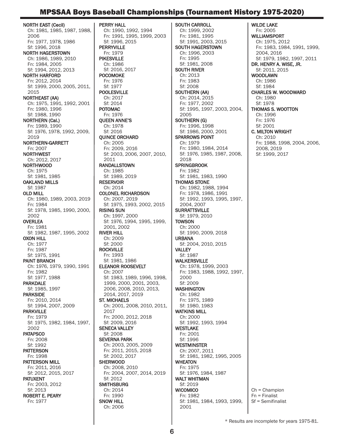# MPSSAA Boys Baseball Championships (Tournament History 1975-2020)

NORTH EAST (Cecil) Ch: 1981, 1985, 1987, 1988, 2006 Fn: 1977, 1978, 1986 Sf: 1996, 2018 NORTH HAGERSTOWN Ch: 1986, 1989, 2010 Fn: 1984, 2005 Sf: 1994, 2012, 2013 NORTH HARFORD Fn: 2012, 2014 Sf: 1999, 2000, 2005, 2011, 2015 NORTHEAST (AA) Ch: 1975, 1991, 1992, 2001 Fn: 1980, 1996 Sf: 1988, 1990 NORTHERN (Cal.) Fn: 1989, 1990 Sf: 1976, 1978, 1992, 2009, 2019 NORTHERN-GARRETT Fn: 2007 NORTHWEST Ch: 2012, 2017 NORTHWOOD Ch: 1975 Sf: 1981, 1985 OAKLAND MILLS Sf: 1987 OLD MILL Ch: 1980, 1989, 2003, 2019 Fn: 1984 Sf: 1978, 1985, 1990, 2000, 2002 **OVERLEA** Fn: 1981 Sf: 1982, 1987, 1995, 2002 OXON HILL Ch: 1977 Fn: 1987 Sf: 1975, 1991 PAINT BRANCH Ch: 1976, 1979, 1990, 1991 Fn: 1982 Sf: 1977, 1988 PARKDALE Sf: 1985, 1997 PARKSIDE Fn: 2010, 2014 Sf: 1994, 2007, 2009 PARKVILLE Fn: 1979 Sf: 1975, 1982, 1984, 1997, 2002 **PATAPSCO** Fn: 2008 Sf: 1992 **PATTERSON** Fn: 1998 PATTERSON MILL Fn: 2011, 2016 Sf: 2012, 2015, 2017 PATUXENT Fn: 2003, 2012 Sf: 2013 ROBERT E. PEARY Fn: 1977

PERRY HALL Ch: 1990, 1992, 1994 Fn: 1991, 1995, 1999, 2003 Sf: 1996, 2015 **PERRYVILLE** Fn: 1979 PIKESVILLE Ch: 1986 Sf: 2016, 2017 POCOMOKE Fn: 1976 Sf: 1977 POOLESVILLE Ch: 2017 Sf: 2014 POTOMAC Fn: 1976 QUEEN ANNE'S Ch: 1978 Sf: 2016 QUINCE ORCHARD Ch: 2005 Fn: 2009, 2016 Sf: 2003, 2006, 2007, 2010, 2011 RANDALLSTOWN Ch: 1985 Sf: 1989, 2019 RESERVOIR Ch: 2014 COLONEL RICHARDSON Ch: 2007, 2019 Sf: 1975, 1993, 2002, 2015 RISING SUN Ch: 1997, 2000 Sf: 1976, 1994, 1995, 1999, 2001, 2002 RIVER HILL Ch: 2009 Sf: 2000 **ROCKVILLE** Fn: 1993 Sf: 1981, 1986 ELEANOR ROOSEVELT Ch: 2007 Sf: 1983, 1989, 1996, 1998, 1999, 2000, 2001, 2003, 2006, 2008, 2010, 2013, 2014, 2017, 2019 ST. MICHAELS Ch: 2001, 2008, 2010, 2011, 2017 Fn: 2000, 2012, 2018 Sf: 2009, 2016 SENECA VALLEY Sf: 2008 SEVERNA PARK Ch: 2003, 2005, 2009 Fn: 2011, 2015, 2018 Sf: 2002, 2017 **SHERWOOD** Ch: 2008, 2010 Fn: 2004, 2007, 2014, 2019 Sf: 2012 **SMITHSBURG** Ch: 2014 Fn: 1990 SNOW HILL Ch: 2006

SOUTH CARROLL Ch: 1999, 2002 Fn: 1981, 1995 Sf: 1991, 2003, 2015 SOUTH HAGERSTOWN Ch: 1996, 2003 Fn: 1995 Sf: 1981, 2008 SOUTH RIVER Ch: 2013 Fn: 1983 Sf: 2008 SOUTHERN (AA) Ch: 2014, 2015 Fn: 1977, 2002 Sf: 1995, 1997, 2003, 2004, 2005 SOUTHERN (G) Fn: 1996, 1998 Sf: 1986, 2000, 2001 SPARROWS POINT Ch: 1979 Fn: 1980, 1984, 2014 Sf: 1976, 1985, 1987, 2008, 2018 **SPRINGBROOK** Fn: 1982 Sf: 1981, 1983, 1990 THOMAS STONE Ch: 1982, 1988, 1994 Fn: 1978, 1986, 1991 Sf: 1992, 1993, 1995, 1997, 2004, 2007 SURRATTSVILLE Sf: 1979, 2010 **TOWSON** Ch: 2000 Sf: 1990, 2009, 2018 URBANA Sf: 2004, 2010, 2015 VALLEY Sf: 1987 WALKERSVILLE Ch: 1978, 1999, 2003 Fn: 1983, 1988, 1992, 1997, 2000 Sf: 2009 **WASHINGTON** Ch: 1982 Fn: 1975, 1989 Sf: 1980, 1983 WATKINS MILL Ch: 2000 Sf: 1992, 1993, 1994 WESTLAKE Fn: 2001 Sf: 1996 WESTMINSTER Ch: 2007, 2011 Sf: 1981, 1982, 1995, 2005 WHEATON Fn: 1975 Sf: 1976, 1984, 1987 WALT WHITMAN Sf: 2019 **WICOMICO** Fn: 1982 Sf: 1981, 1984, 1993, 1999,

WILDE LAKE Fn: 2005 WILLIAMSPORT Ch: 1975, 2012 Fn: 1983, 1984, 1991, 1999, 2004, 2016 Sf: 1979, 1982, 1997, 2011 DR. HENRY A. WISE, JR. Sf: 2011, 2015 WOODLAWN Ch: 1986 Sf: 1984 CHARLES W. WOODWARD Ch: 1980 Sf: 1978 THOMAS S. WOOTTON Ch: 1996 Fn: 1976 Sf: 2001 C. MILTON WRIGHT Ch: 2010 Fn: 1988, 1998, 2004, 2006, 2008, 2019 Sf: 1999, 2017

Ch = Champion Fn = Finalist Sf = Semifinalist

2001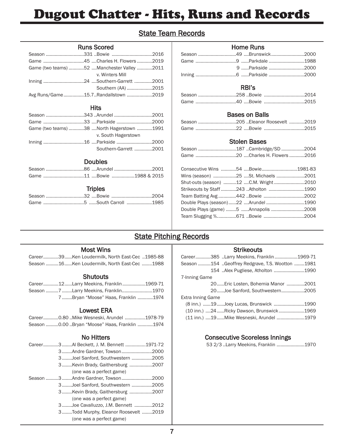# Dugout Chatter - Hits, Runs and Records

# State Team Records

# Home Runs

|  | Season 49 Brunswick 2000 |
|--|--------------------------|
|  |                          |
|  | 9 Parkside 2000          |
|  |                          |

# RBI's

# Bases on Balls

| Season 205 Eleanor Roosevelt 2019 |  |  |
|-----------------------------------|--|--|
|                                   |  |  |

# Stolen Bases

| Consecutive Wins 54 Bowie1981-83       |  |  |
|----------------------------------------|--|--|
|                                        |  |  |
| Shut-outs (season) 12 C.M. Wright 2010 |  |  |
| Strikeouts by Staff 243 Atholton 1990  |  |  |
|                                        |  |  |
| Double Plays (season)22  Arundel 1990  |  |  |
| Double Plays (game) 5 Annapolis 2008   |  |  |
|                                        |  |  |

# State Pitching Records

# Most Wins

Runs Scored Season ..............................331 ..Bowie ................................2016 Game ................................45 ....Charles H. Flowers ............2019 Game (two teams) ............52 ....Manchester Valley ............2011

Inning ................................24 ....Southern-Garrett ..............2001

Avg Runs/Game................15.7..Randallstown ....................2019

Hits Season ..............................343 ..Arundel ..............................2001 Game ................................33 ....Parkside ............................2000 Game (two teams) ............38 ....North Hagerstown ............1991

Inning ................................16 ....Parkside ............................2000

Doubles Season ..............................86 ....Arundel ..............................2001 Game ................................11 ....Bowie ..................1988 & 2015

**Triples** Season ..............................32 ....Bowie ................................2004 Game ................................5 ......South Carroll ....................1985

v. Winters Mill

v. South Hagerstown

Southern (AA) ....................2015

Southern-Garrett ..............2001

Career............39......Ken Loudermilk, North East-Cec ..1985-88 Season ..........16......Ken Loudermilk, North East-Cec ........1988

# **Shutouts**

| Career12Larry Meekins, Franklin1969-71 |  |  |                                    |
|----------------------------------------|--|--|------------------------------------|
| Season 7 Larry Meekins, Franklin1970   |  |  |                                    |
|                                        |  |  | 7Brvan "Moose" Haas. Franklin 1974 |

# Lowest ERA

|  |  |  | Career0.80 Mike Wesneski, Arundel 1978-79     |
|--|--|--|-----------------------------------------------|
|  |  |  | Season 0.00 Bryan "Moose" Haas, Franklin 1974 |

# No Hitters

| Career3AI Beckett, J. M. Bennett 1971-72 |  |
|------------------------------------------|--|
| 3Andre Gardner, Towson2000               |  |
| 3Joel Sanford, Southwestern 2005         |  |
| 3Kevin Brady, Gaithersburg 2007          |  |
| (one was a perfect game)                 |  |
| Season 3 Andre Gardner, Towson 2000      |  |
| 3Joel Sanford, Southwestern 2005         |  |
| 3Kevin Brady, Gaithersburg 2007          |  |
| (one was a perfect game)                 |  |
| 3Joe Cavalluzzo, J.M. Bennett 2012       |  |
| 3Todd Murphy, Eleanor Roosevelt 2019     |  |
| (one was a perfect game)                 |  |

# **Strikeouts**

| Career385 Larry Meekins, Franklin1969-71        |  |
|-------------------------------------------------|--|
| Season 154 Geoffrey Redgrave, T.S. Wootton 1981 |  |
| 154  Alex Pugliese, Atholton       1990         |  |
| 7-Inning Game                                   |  |
| 20 Eric Losten, Bohemia Manor 2001              |  |
| 20Joe Sanford, Southwestern2005                 |  |
| Extra Inning Game                               |  |
| (8 inn.) 19Joey Lucas, Brunswick 1990           |  |
| (10 inn.) 24 Ricky Dawson, Brunswick 1969       |  |
| (11 inn.) 19Mike Wesneski, Arundel 1979         |  |

# Consecutive Scoreless Innings

| 53 2/3 Larry Meekins, Franklin 1970 |
|-------------------------------------|
|-------------------------------------|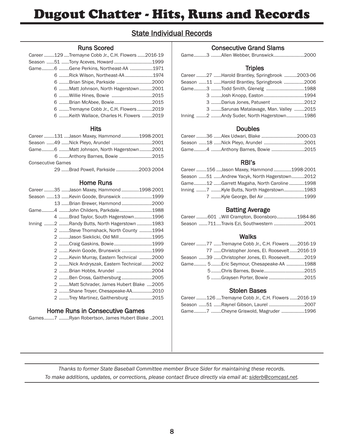# Dugout Chatter - Hits, Runs and Records

# State Individual Records

# Runs Scored

|  | Career 129 Tremayne Cobb Jr., C.H. Flowers 2016-19 |  |
|--|----------------------------------------------------|--|
|  | Season 51 Tony Aceves, Howard 1999                 |  |
|  | Game6 Gene Perkins, Northeast-AA 1971              |  |
|  | 6 Rick Wilson, Northeast-AA 1974                   |  |
|  | 6 Brian Shipe, Parkside 2000                       |  |
|  | 6 Matt Johnson, North Hagerstown2001               |  |
|  |                                                    |  |
|  | 6 Brian McAbee, Bowie2015                          |  |
|  | 6 Tremayne Cobb Jr., C.H. Flowers2019              |  |
|  | 6 Keith Wallace, Charles H. Flowers 2019           |  |

## **Hits**

|                          | Career 131  Jason Maxey, Hammond 1998-2001 |  |
|--------------------------|--------------------------------------------|--|
|                          |                                            |  |
|                          | Game6 Matt Johnson, North Hagerstown2001   |  |
|                          | 6 Anthony Barnes, Bowie 2015               |  |
| <b>Consecutive Games</b> |                                            |  |
|                          | 29 Brad Powell, Parkside 2003-2004         |  |

# Home Runs

| Career 35 Jason Maxey, Hammond 1998-2001    |  |
|---------------------------------------------|--|
| Season 13  Kevin Goode, Brunswick 1999      |  |
| 13 Brian Brewer, Hammond 2000               |  |
| Game4 John Childers, Parkdale1988           |  |
| 4 Brad Taylor, South Hagerstown1996         |  |
| Inning 2 Randy Butts, North Hagerstown 1983 |  |
| 2 Steve Thomshack, North County 1994        |  |
| 2 Jason Sieklicki, Old Mill1995             |  |
| 2 Craig Gaskins, Bowie1999                  |  |
| 2 Kevin Goode, Brunswick 1999               |  |
| 2 Kevin Murray, Eastern Technical 2000      |  |
| 2 Nick Andryszak, Eastern Technical2002     |  |
| 2 Brian Hobbs, Arundel 2004                 |  |
| 2 Ben Cross, Gaithersburg2005               |  |
| 2 Matt Schrader, James Hubert Blake 2005    |  |
| 2 Shane Troyer, Chesapeake-AA2010           |  |
| 2 Trey Martinez, Gaithersburg 2015          |  |
|                                             |  |

# Home Runs in Consecutive Games

Games........7 ........Ryan Robertson, James Hubert Blake ..2001

# Consecutive Grand Slams

|  |  |  |  | Game3 Allen Webber, Brunswick2000 |
|--|--|--|--|-----------------------------------|
|--|--|--|--|-----------------------------------|

# **Triples**

|  | Career 27 Harold Brantley, Springbrook 2003-06 |  |
|--|------------------------------------------------|--|
|  | Season 11 Harold Brantley, Springbrook 2006    |  |
|  | Game3 Todd Smith, Glenelg 1988                 |  |
|  |                                                |  |
|  | 3 Darius Jones, Patuxent 2012                  |  |
|  | 3 Sarunas Matalavage, Man. Valley 2015         |  |
|  | Inning 2 Andy Suder, North Hagerstown1986      |  |

# Doubles

|  | Career 36 Alex Udwari, Blake 2000-03 |  |
|--|--------------------------------------|--|
|  |                                      |  |
|  | Game4 Anthony Barnes, Bowie 2015     |  |

# RBI's

|  | Career 156 Jason Maxey, Hammond 1998-2001      |  |
|--|------------------------------------------------|--|
|  | Season  51  Andrew Yacyk, North Hagerstown2012 |  |
|  | Game12 Garrett Magaha, North Caroline 1998     |  |
|  | Inning 7 Kyle Butts, North Hagerstown1983      |  |
|  |                                                |  |

# Batting Average

|  | Career 601  Will Crampton, Boonsboro1984-86 |  |
|--|---------------------------------------------|--|
|  | Season 711Travis Ezi, Southwestern 2001     |  |

# **Walks**

|  | Career 77 Tremayne Cobb Jr., C.H. Flowers 2016-19 |  |
|--|---------------------------------------------------|--|
|  | 77 Christopher Jones, El. Roosevelt2016-19        |  |
|  | Season 39 Christopher Jones, El. Roosevelt2019    |  |
|  | Game 5Eric Seymour, Chesapeake-AA 1988            |  |
|  |                                                   |  |
|  | 5 Graysen Porter, Bowie 2015                      |  |

# Stolen Bases

|  | Career 126 Tremayne Cobb Jr., C.H. Flowers 2016-19 |  |
|--|----------------------------------------------------|--|
|  | Season 51 Raynel Gibson, Laurel 2007               |  |
|  | Game7 Cheyne Griswold, Magruder 1996               |  |

*Thanks to former State Baseball Committee member Bruce Sider for maintaining these records. To make additions, updates, or corrections, please contact Bruce directly via email at: siderb@comcast.net.*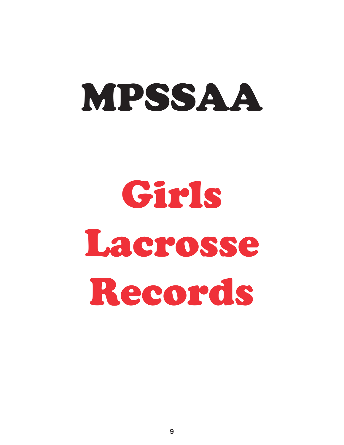# MPSSAA

# Girls Lacrosse Records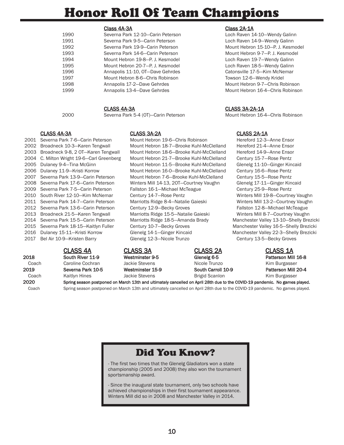# Honor Roll Of Team Champions

| 1990 | Severna Park 12-10-Carin Petersor |
|------|-----------------------------------|
| 1991 | Severna Park 9-5-Carin Peterson   |
| 1992 | Severna Park 19-9-Carin Peterson  |
| 1993 | Severna Park 14-6-Carin Peterson  |
| 1994 | Mount Hebron 19-8-P. J. Kesmodel  |
| 1995 | Mount Hebron 20-7-P. J. Kesmodel  |
| 1996 | Annapolis 11-10, OT-Dave Gehrdes  |
| 1997 | Mount Hebron 8-6-Chris Robinson   |
| 1998 | Annapolis 17-2-Dave Gehrdes       |
| 1999 | Annapolis 13-4-Dave Gehrdes       |
|      |                                   |

## CLASS 4A-3A CLASS 3A-2A CLASS 2A-1A

2001 Severna Park 7-6—Carin Peterson Mount Hebron 19-6—Chris Robinson Hereford 12-3—Anne Ensor 2002 Broadneck 10-3—Karen Tengwall Mount Hebron 18-7—Brooke Kuhl-McClelland Hereford 21-4—Anne Ensor 2003 Broadneck 9-8, 2 OT—Karen Tengwall Mount Hebron 18-6—Brooke Kuhl-McClelland Hereford 14-9—Anne Ensor 2004 C. Milton Wright 19-6—Carl Greenberg Mount Hebron 21-7—Brooke Kuhl-McClelland Century 15-7—Rose Pentz 2005 Dulaney 9-4—Tina McGinn Mount Hebron 11-5—Brooke Kuhl-McClelland Glenelg 11-10—Ginger Kincaid 2006 Dulaney 11-9—Kristi Korrow Mount Hebron 16-0—Brooke Kuhl-McClelland Century 16-6—Rose Pentz 2007 Severna Park 13-9—Carin Peterson Mount Hebron 7-6—Brooke Kuhl-McClelland Century 15-5—Rose Pentz 2008 Severna Park 17-6—Carin Peterson Winters Mill 14-13, 2OT—Courtney Vaughn Glenelg 17-11—Ginger Kincaid 2009 Severna Park 7-5—Carin Peterson Fallston 16-1—Michael McTeague Century 25-9—Rose Pentz 2010 South River 12-10—Kim McNemar Century 14-7—Rose Pentz Winters Mill 19-8—Courtney Vaughn 2011 Severna Park 14-7—Carin Peterson Marriotts Ridge 8-4—Natalie Gaieski Winters Mill 13-2—Courtney Vaughn 2012 Severna Park 13-6—Carin Peterson Century 12-9—Becky Groves Fallston 12-8—Michael McTeague 2013 Broadneck 21-5—Karen Tengwall Marriotts Ridge 15-5—Natalie Gaieski Winters Mill 8-7—Courtney Vaughn 2014 Severna Park 15-5—Carin Peterson Marriotts Ridge 18-5—Amanda Brady Manchester Valley 13-10—Shelly Brezicki 2015 Severna Park 18-15—Kaitlyn Fuller Century 10-7—Becky Groves Manchester Valley 16-5—Shelly Brezicki 2016 Dulaney 15-11—Kristi Korrow Glenelg 14-1—Ginger Kincaid Manchester Valley 22-3—Shelly Brezicki 2017 Bel Air 10-9—Kristen Barry Glenelg 12-3—Nicole Trunzo Century 13-5—Becky Groves

2020 Spring season postponed on March 13th and ultimately cancelled on April 28th due to the COVID-19 pandemic. No games played.

2018 South River 11-9 Westminster 9-5 Glenelg 6-5 Patterson Mill 16-8

Coach Caroline Cochran Jackie Stevens Nicole Trunzo Kim Burgasser 2019 Severna Park 10-5 Westminster 15-9 South Carroll 10-9 Patterson Mill 20-4 Coach Coach Kaitlyn Hines Jackie Stevens Brigid Scanlon Kim Burgasser

# Class 4A-3A Class 2A-1A

Loch Raven 14-10-Wendy Galinn Loch Raven 14-9-Wendy Galinn Mount Hebron 15-10-P. J. Kesmodel Mount Hebron 9-7-P. J. Kesmodel Loch Raven 19-7-Wendy Galinn Loch Raven 18-5-Wendy Galinn Catonsville 17-5-Kim McNemar Towson 12-6-Wendy Kridel Mount Hebron 9-7-Chris Robinson Mount Hebron 16-4-Chris Robinson

# CLASS 4A-3A CLASS 3A-2A-1A

2000 Severna Park 5-4 (OT)—Carin Peterson Mount Hebron 16-4—Chris Robinson

# CLASS 4A CLASS 3A CLASS 2A CLASS 1A

# Coach Spring season postponed on March 13th and ultimately cancelled on April 28th due to the COVID-19 pandemic. No games played.

# Did You Know?

- The first two times that the Glenelg Gladiators won a state championship (2005 and 2008) they also won the tournament sportsmanship award.

- Since the inaugural state tournament, only two schools have achieved championships in their first tournament appearance. Winters Mill did so in 2008 and Manchester Valley in 2014.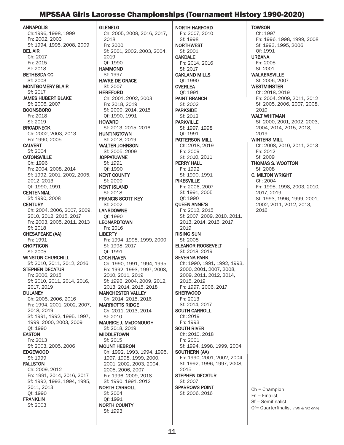# MPSSAA Girls Lacrosse Championships (Tournament History 1990-2020)

ANNAPOLIS Ch:1996, 1998, 1999 Fn: 2002, 2003 Sf: 1994, 1995, 2008, 2009 BEL AIR Ch: 2017 Fn: 2015 Sf: 2018 BETHESDA-CC Sf: 2003 MONTGOMERY BLAIR Sf: 2017 JAMES HUBERT BLAKE Sf: 2006, 2007 BOONSBORO Fn: 2018 Sf: 2019 **BROADNECK** Ch: 2002, 2003, 2013 Fn: 1990, 2005 CALVERT Sf: 2004 **CATONSVILLE** Ch: 1996 Fn: 2004, 2008, 2014 Sf: 1992, 2001, 2002, 2005, 2012, 2013 Qf: 1990, 1991 **CENTENNIAL** Sf: 1990, 2008 **CENTURY** Ch: 2004, 2006, 2007, 2009, 2010, 2012, 2015, 2017 Fn: 2003, 2005, 2011, 2013 Sf: 2018 CHESAPEAKE (AA) Fn: 1991 **CHOPTICON** Sf: 2005 WINSTON CHURCHILL Sf: 2010, 2011, 2012, 2016 STEPHEN DECATUR Fn: 2006, 2015 Sf: 2010, 2011, 2014, 2016, 2017, 2019 **DULANEY** Ch: 2005, 2006, 2016 Fn: 1994, 2001, 2002, 2007, 2018, 2019 Sf: 1991, 1992, 1995, 1997, 1999, 2000, 2003, 2009 Qf: 1990 EASTON Fn: 2013 Sf: 2003, 2005, 2006 EDGEWOOD Sf: 1999 FALLSTON Ch: 2009, 2012 Fn: 1991, 2014, 2016, 2017 Sf: 1992, 1993, 1994, 1995, 2011, 2013 Qf: 1990 FRANKLIN Sf: 2003

GLENELG Ch: 2005, 2008, 2016, 2017, 2018 Fn: 2000 Sf: 2001, 2002, 2003, 2004, 2019 Qf: 1990 **HAMMOND** Sf: 1997 HAVRE DE GRACE Sf: 2007 HEREFORD Ch: 2001, 2002, 2003 Fn: 2018, 2019 Sf: 2000, 2014, 2015 Qf: 1990, 1991 **HOWARD** Sf: 2013, 2015, 2016 HUNTINGTOWN Sf: 2018, 2019 WALTER JOHNSON Sf: 2005, 2009 **JOPPATOWNE** Sf: 1991 Qf: 1990 KENT COUNTY Sf: 2000 KENT ISLAND Sf: 2018 FRANCIS SCOTT KEY Sf: 2002 LANSDOWNE Qf: 1990 LEONARDTOWN Fn: 2016 **LIBERTY** Fn: 1994, 1995, 1999, 2000 Sf: 1998, 2017 Qf: 1991 LOCH RAVEN Ch: 1990, 1991, 1994, 1995 Fn: 1992, 1993, 1997, 2008, 2010, 2011, 2019 Sf: 1996, 2004, 2009, 2012, 2013, 2014, 2015, 2018 MANCHESTER VALLEY Ch: 2014, 2015, 2016 MARRIOTTS RIDGE Ch: 2011, 2013, 2014 Sf: 2010 MAURICE J. McDONOUGH Sf: 2018, 2019 MIDDLETOWN Sf: 2015 MOUNT HEBRON Ch: 1992, 1993, 1994, 1995, 1997, 1998, 1999, 2000, 2001, 2002, 2003, 2004, 2005, 2006, 2007 Fn: 1996, 2009, 2018 Sf: 1990, 1991, 2012 NORTH CARROLL Sf: 2004 Qf: 1991 NORTH COUNTY Sf: 1993

NORTH HARFORD Fn: 2007, 2010 Sf: 1998 NORTHWEST Sf: 2001 OAKDALE Fn: 2014, 2016 Sf: 2017 OAKLAND MILLS Qf: 1990 OVERLEA Qf: 1991 PAINT BRANCH Sf: 2002 PARKSIDE Sf: 2012 PARKVILLE Sf: 1997, 1998 Qf: 1991 PATTERSON MILL Ch: 2018, 2019 Fn: 2009 Sf: 2010, 2011 PERRY HALL Fn: 1992 Sf: 1990, 1991 PIKESVILLE Fn: 2006, 2007 Sf: 1991, 2005 Qf: 1990 QUEEN ANNE'S Fn: 2012, 2015 Sf: 2007, 2009, 2010, 2011, 2013, 2014, 2016, 2017, 2019 RISING SUN Sf: 2008 ELEANOR ROOSEVELT Sf: 2018, 2019 SEVERNA PARK Ch: 1990, 1991, 1992, 1993, 2000, 2001, 2007, 2008, 2009, 2011, 2012, 2014, 2015, 2019 Fn: 1997, 2006, 2017 **SHERWOOD** Fn: 2013 Sf: 2014, 2017 SOUTH CARROLL Ch: 2019 Fn: 1993 SOUTH RIVER Ch: 2010, 2018 Fn: 2001 Sf: 1994, 1998, 1999, 2004 SOUTHERN (AA) Fn: 1990, 2001, 2002, 2004 Sf: 1992, 1996, 1997, 2008, 2015 STEPHEN DECATUR Sf: 2007 SPARROWS POINT Sf: 2006, 2016

**TOWSON** Ch: 1997 Fn: 1996, 1998, 1999, 2008 Sf: 1993, 1995, 2006 Qf: 1991 URBANA Fn: 2005 Sf: 2001 WALKERSVILLE Sf: 2006, 2007 WESTMINSTER Ch: 2018, 2019 Fn: 2004, 2009, 2011, 2012 Sf: 2005, 2006, 2007, 2008, 2010 WALT WHITMAN Sf: 2000, 2001, 2002, 2003, 2004, 2014, 2015, 2018, 2019 WINTERS MILL Ch: 2008, 2010, 2011, 2013 Fn: 2012 Sf: 2009 THOMAS S. WOOTTON Sf: 2008 C. MILTON WRIGHT Ch: 2004 Fn: 1995, 1998, 2003, 2010, 2017, 2019 Sf: 1993, 1996, 1999, 2001, 2002, 2011, 2012, 2013, 2016

Ch = Champion Fn = Finalist Sf = Semifinalist Qf= Quarterfinalist *('90 & '91 only)*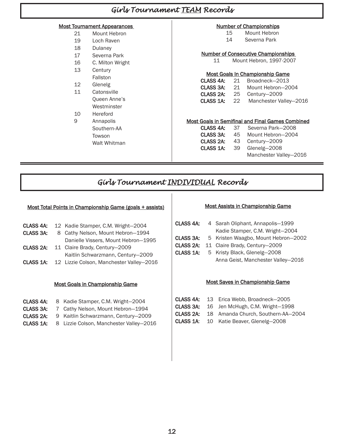# *Girls Tournament TEAM Records*

# Most Tournament Appearances

| 21 | Mount Hebron     |
|----|------------------|
| 19 | Loch Raven       |
| 18 | Dulanev          |
| 17 | Severna Park     |
| 16 | C. Milton Wright |
| 13 | Century          |
|    | Fallston         |
| 12 | Glenelg          |
| 11 | Catonsville      |
|    | Queen Anne's     |
|    | Westminster      |
|    | Hereford         |
|    |                  |

9 Annapolis Southern-AA Towson Walt Whitman

# Number of Championships

- 15 Mount Hebron
- 14 Severna Park
- 
- Number of Consecutive Championships 11 Mount Hebron, 1997-2007

# Most Goals In Championship Game

| CLASS 4A: | -21   | Broadneck-2013         |
|-----------|-------|------------------------|
| CLASS 3A: | 21    | Mount Hebron-2004      |
| CLASS 2A: | 25    | Century-2009           |
| CLASS 1A: | -22 - | Manchester Valley-2016 |
|           |       |                        |

# Most Goals in Semifinal and Final Games Combined

| CLASS 4A: 37 |    | Severna Park-2008                |
|--------------|----|----------------------------------|
| CLASS 3A:    | 45 | Mount Hebron-2004                |
| CLASS 2A:    |    | 43 Century-2009                  |
|              |    | <b>CLASS 1A:</b> 39 Glenelg-2008 |
|              |    | Manchester Valley-2016           |

# *Girls Tournament INDIVIDUAL Records*

# Most Total Points in Championship Game (goals + assists)

| CLASS 4A: | 12 Kadie Stamper, C.M. Wright-2004       |
|-----------|------------------------------------------|
| CLASS 3A: | 8 Cathy Nelson, Mount Hebron-1994        |
|           | Danielle Vissers, Mount Hebron-1995      |
| CLASS 2A: | 11 Claire Brady, Century-2009            |
|           | Kaitlin Schwarzmann, Century-2009        |
| CLASS 1A: | 12 Lizzie Colson, Manchester Valley-2016 |

# Most Goals in Championship Game

| CLASS 4A:            | 8 Kadie Stamper, C.M. Wright-2004       |
|----------------------|-----------------------------------------|
| CLASS 3A:            | 7 Cathy Nelson, Mount Hebron-1994       |
| CLASS <sub>2A:</sub> | 9 Kaitlin Schwarzmann, Century-2009     |
| CLASS 1A:            | 8 Lizzie Colson, Manchester Valley-2016 |

## Most Assists in Championship Game

| <b>CLASS 4A:</b> | 4 Sarah Oliphant, Annapolis-1999    |
|------------------|-------------------------------------|
|                  | Kadie Stamper, C.M. Wright-2004     |
| CLASS 3A:        | 5 Kristen Waagbo, Mount Hebron-2002 |
| CLASS 2A:        | 11 Claire Brady, Century-2009       |
| CLASS 1A:        | 5 Kristy Black, Glenelg-2008        |
|                  | Anna Geist, Manchester Valley-2016  |

## Most Saves in Championship Game

- CLASS 4A: 13 Erica Webb, Broadneck—2005
- CLASS 3A: 16 Jen McHugh, C.M. Wright—1998
- CLASS 2A: 18 Amanda Church, Southern-AA—2004
- CLASS 1A: 10 Katie Beaver, Glenelg—2008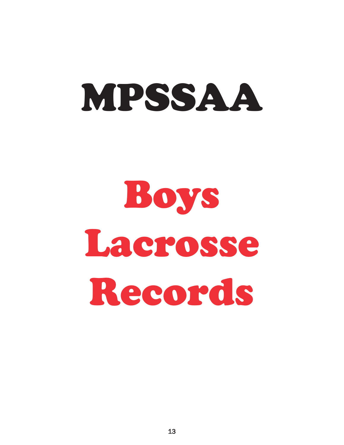

# Boys Lacrosse Records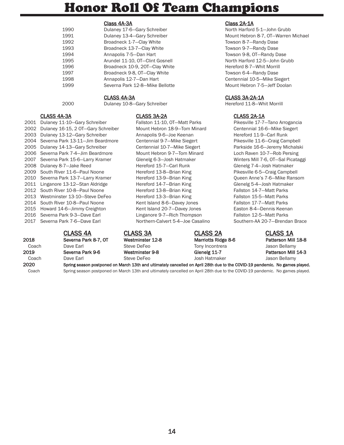# Honor Roll Of Team Champions

## Class 4A-3A Class 2A-1A

| 1990 | Dulaney 17-6-Gary Schreiber     |
|------|---------------------------------|
| 1991 | Dulaney 13-4-Gary Schreiber     |
| 1992 | Broadneck 1-7-Clay White        |
| 1993 | Broadneck 13-7-Clay White       |
| 1994 | Annapolis 7-5-Dan Hart          |
| 1995 | Arundel 11-10, OT-Clint Gosnell |
| 1996 | Broadneck 10-9, 20T-Clay White  |
| 1997 | Broadneck 9-8, OT-Clay White    |
| 1998 | Annapolis 12-7-Dan Hart         |
| 1999 | Severna Park 12-8-Mike Bellotte |
|      |                                 |

2000 Dulaney 10-8—Gary Schreiber Hereford 11-8—Whit Morrill

# CLASS 4A-3A CLASS 3A-2A CLASS 2A-1A

2001 Dulaney 11-10—Gary Schreiber Fallston 11-10, OT—Matt Parks Pikesville 17-7—Tano Arrogancia 2002 Dulaney 16-15, 2 OT—Gary Schreiber Mount Hebron 18-9—Tom Minard Centennial 16-6—Mike Siegert 2003 Dulaney 13-12—Gary Schreiber Annapolis 9-6—Joe Keenan Hereford 11-9—Carl Runk 2004 Severna Park 13-11—Jim Beardmore Centennial 9-7—Mike Siegert Pikesville 11-6—Craig Campbell 2005 Dulaney 14-13—Gary Schreiber Centennial 10-7—Mike Siegert Parkside 16-6—Jeremy Michalski 2006 Severna Park 7-4—Jim Beardmore Mount Hebron 9-7—Tom Minard Loch Raven 10-7—Rob Persing 2007 Severna Park 15-6—Larry Kramer Glenelg 6-3—Josh Hatmaker Winters Mill 7-6, OT—Sal Picataggi 2008 Dulaney 8-7—Jake Reed Hereford 15-7—Carl Runk Glenelg 7-4—Josh Hatmaker 2009 South River 11-6-Paul Noone Hereford 13-8-Brian King Pikesville 6-5-Craig Campbell 2010 Severna Park 13-7—Larry Kramer Hereford 13-9—Brian King Queen Anne's 7-6—Mike Ransom 2011 Linganore 13-12—Stan Aldridge Hereford 14-7—Brian King Glenelg 5-4—Josh Hatmaker 2012 South River 10-8—Paul Noone Hereford 13-8—Brian King Fallston 14-7—Matt Parks 2013 Westminster 13-10-Steve DeFeo Hereford 13-3-Brian King Fallston 15-5-Matt Parks 2014 South River 10-8-Paul Noone Kent Island 8-6-Davey Jones Fallston 17-7-Matt Parks 2015 Howard 14-6-Jimmy Creighton Kent Island 20-7-Davey Jones Easton 8-4-Dennis Keenan 2016 Severna Park 9-3—Dave Earl Linganore 9-7—Rich Thompson Fallston 12-5—Matt Parks 2017 Severna Park 7-6—Dave Earl Northern-Calvert 5-4—Joe Casalino Southern-AA 20-7—Brendan Brace

# CLASS 4A CLASS 3A CLASS 2A CLASS 1A

2018 Severna Park 8-7, OT Westminster 12-8 Marriotts Ridge 8-6 Patterson Mill 18-8 Coach Dave Earl Steve DeFeo Tony Incontrera Jason Bellamy 2019 Severna Park 9-6 Westminster 9-8 Glenelg 11-7 Patterson Mill 14-3 Coach Dave Earl Steve DeFeo Josh Hatmaker Jason Bellamy

North Harford 5-1-John Grubb Mount Hebron 8-7, OT—Warren Michael Towson 8-7-Randy Dase Towson 9-7-Randy Dase Towson 9-8, OT-Randy Dase North Harford 12-5-John Grubb Hereford 8-7-Whit Morrill Towson 6-4-Randy Dase Centennial 10-5-Mike Siegert Mount Hebron 7-5-Jeff Doolan

# CLASS 4A-3A CLASS 3A-2A-1A

2020 Spring season postponed on March 13th and ultimately cancelled on April 28th due to the COVID-19 pandemic. No games played. Coach Spring season postponed on March 13th and ultimately cancelled on April 28th due to the COVID-19 pandemic. No games played.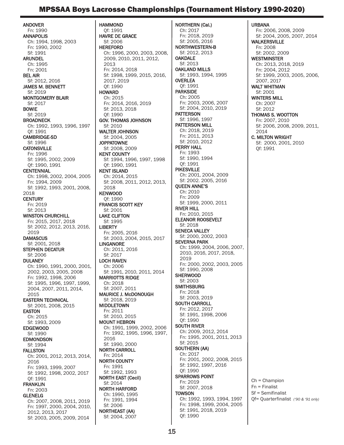# MPSSAA Boys Lacrosse Championships (Tournament History 1990-2020)

ANDOVER Fn: 1990 ANNAPOLIS Ch: 1994, 1998, 2003 Fn: 1990, 2002 Sf: 1991 ARUNDEL Ch: 1995 Fn: 2001 BEL AIR Sf: 2012, 2016 JAMES M. BENNETT Sf: 2019 MONTGOMERY BLAIR Sf: 2017 BOWIE Sf: 2019 **BROADNECK** Ch: 1992, 1993, 1996, 1997 Qf: 1991 CAMBRIDGE-SD Sf: 1996 **CATONSVILLE** Fn: 1996 Sf: 1995, 2002, 2009 Qf: 1990, 1991 **CENTENNIAL** Ch: 1998, 2002, 2004, 2005 Fn: 1994, 2009 Sf: 1992, 1993, 2001, 2008, 2018 **CENTURY** Fn: 2019 Sf: 2013 WINSTON CHURCHILL Fn: 2015, 2017, 2018 Sf: 2002, 2012, 2013, 2016, 2019 **DAMASCUS** Sf: 2001, 2018 STEPHEN DECATUR  $St: 2006$ **DULANEY** Ch: 1990, 1991, 2000, 2001, 2002, 2003, 2005, 2008 Fn: 1992, 1998, 2006 Sf: 1995, 1996, 1997, 1999, 2004, 2007, 2011, 2014, 2015 EASTERN TECHNICAL Sf: 2001, 2008, 2015 EASTON Ch: 2015 Sf: 1993, 2009 EDGEWOOD Sf: 1990 EDMONDSON Sf: 1994 FALLSTON Ch: 2001, 2012, 2013, 2014, 2016 Fn: 1993, 1999, 2007 Sf: 1992, 1998, 2002, 2017 Qf: 1991 FRANKLIN Fn: 2003 GLENELG Ch: 2007, 2008, 2011, 2019 Fn: 1997, 2000, 2004, 2010, 2012, 2013, 2017

Sf: 2003, 2005, 2009, 2014

HAMMOND Qf: 1991 HAVRE DE GRACE Sf: 2006 HEREFORD Ch: 1996, 2000, 2003, 2008, 2009, 2010, 2011, 2012, 2013 Fn: 2014, 2018 Sf: 1998, 1999, 2015, 2016, 2017, 2019 Qf: 1990 **HOWARD** Ch: 2015 Fn: 2014, 2016, 2019 Sf: 2013, 2018 Qf: 1990 GOV. THOMAS JOHNSON Sf: 2010 WALTER JOHNSON Sf: 2004, 2005 **JOPPATOWNE** Sf: 2008, 2009 KENT COUNTY Sf: 1994, 1996, 1997, 1998 Qf: 1990, 1991 KENT ISLAND Ch: 2014, 2015 Sf: 2008, 2011, 2012, 2013, 2018 KENWOOD Qf: 1990 FRANCIS SCOTT KEY Sf: 2001 LAKE CLIFTON Sf: 1995 **LIBERTY** Fn: 2005, 2016 Sf: 2003, 2004, 2015, 2017 LINGANORE Ch: 2011, 2016 Sf: 2017 LOCH RAVEN Ch: 2006 Sf: 1991, 2010, 2011, 2014 MARRIOTTS RIDGE Ch: 2018 Sf: 2007, 2011 MAURICE J. McDONOUGH Sf: 2018, 2019 MIDDLETOWN Fn: 2011 Sf: 2010, 2015 MOUNT HEBRON Ch: 1991, 1999, 2002, 2006 Fn: 1992, 1995, 1996, 1997, 2016 Sf: 1990, 2000 NORTH CARROLL Fn: 2014 NORTH COUNTY Fn: 1991 Sf: 1992, 1993 NORTH EAST (Cecil) Sf: 2014 NORTH HARFORD Ch: 1990, 1995 Fn: 1991, 1994 Sf: 2006 NORTHEAST (AA) Sf: 2004, 2007

NORTHERN (Cal.) Ch: 2017 Fn: 2018, 2019 Sf: 2005, 2016 NORTHWESTERN-B Sf: 2012, 2013 **OAKDALE** Sf: 2013 OAKLAND MILLS Sf: 1993, 1994, 1995 OVERLEA Qf: 1991 PARKSIDE Ch: 2005 Fn: 2003, 2006, 2007 Sf: 2004, 2010, 2019 **PATTERSON** Sf: 1996, 1997 PATTERSON MILL Ch: 2018, 2019 Fn: 2011, 2013 Sf: 2010, 2012 PERRY HALL Fn: 1993 Sf: 1990, 1994 Qf: 1991 PIKESVILLE Ch: 2001, 2004, 2009 Sf: 2002. 2005, 2016 QUEEN ANNE'S Ch: 2010 Fn: 2009 Sf: 1999, 2000, 2011 RIVER HILL Fn: 2010, 2015 ELEANOR ROOSEVELT Sf: 2018 SENECA VALLEY Sf: 2000, 2002, 2003 SEVERNA PARK Ch: 1999, 2004, 2006, 2007, 2010, 2016, 2017, 2018, 2019 Fn: 2000, 2002, 2003, 2005 Sf: 1990, 2008 **SHERWOOD** Sf: 2003 **SMITHSBURG** Fn: 2018 Sf: 2003, 2019 SOUTH CARROLL Fn: 2012, 2017 Sf: 1991, 1998, 2006 Qf: 1990 SOUTH RIVER Ch: 2009, 2012, 2014 Fn: 1995, 2001, 2011, 2013 Sf: 2015 SOUTHERN (AA) Ch: 2017 Fn: 2001, 2002, 2008, 2015 Sf: 1992, 1997, 2016 Qf: 1990 SPARROWS POINT Fn: 2019 Sf: 2007, 2018 **TOWSON** Ch: 1992, 1993, 1994, 1997 Fn: 1998, 1999, 2004, 2005

URBANA Fn: 2006, 2008, 2009 Sf: 2004, 2005, 2007, 2014 **WALKERSVILLE** Fn: 2008 Sf: 2002, 2009 **WESTMINSTER** Ch: 2013, 2018, 2019 Fn: 2004, 2012 Sf: 1999, 2003, 2005, 2006, 2007, 2017 WALT WHITMAN Sf: 2001 WINTERS MILL Ch: 2007 Sf: 2012 THOMAS S. WOOTTON Fn: 2007, 2010 Sf: 2006, 2008, 2009, 2011, 2014 C. MILTON WRIGHT Sf: 2000, 2001, 2010 Qf: 1991

Ch = Champion Fn = Finalist Sf = Semifinalist Qf= Quarterfinalist *('90 & '91 only)*

Sf: 1991, 2018, 2019

Qf: 1990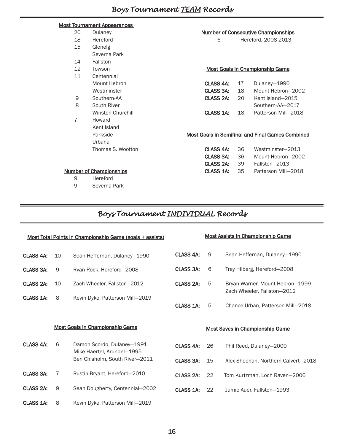# Most Tournament Appearances

| 20 | Dulaney                        | <b>Number of Consecutive Championships</b> |    |                                                         |
|----|--------------------------------|--------------------------------------------|----|---------------------------------------------------------|
| 18 | Hereford                       | 6                                          |    | Hereford, 2008-2013                                     |
| 15 | Glenelg                        |                                            |    |                                                         |
|    | Severna Park                   |                                            |    |                                                         |
| 14 | Fallston                       |                                            |    |                                                         |
| 12 | Towson                         |                                            |    | <b>Most Goals in Championship Game</b>                  |
| 11 | Centennial                     |                                            |    |                                                         |
|    | Mount Hebron                   | CLASS 4A:                                  | 17 | Dulaney-1990                                            |
|    | Westminster                    | CLASS 3A:                                  | 18 | Mount Hebron-2002                                       |
| 9  | Southern-AA                    | CLASS 2A:                                  | 20 | Kent Island-2015                                        |
| 8  | South River                    |                                            |    | Southern-AA-2017                                        |
|    | <b>Winston Churchill</b>       | CLASS 1A:                                  | 18 | Patterson Mill-2018                                     |
| 7  | Howard                         |                                            |    |                                                         |
|    | Kent Island                    |                                            |    |                                                         |
|    | Parkside                       |                                            |    | <b>Most Goals in Semifinal and Final Games Combined</b> |
|    | Urbana                         |                                            |    |                                                         |
|    | Thomas S. Wootton              | CLASS 4A:                                  | 36 | Westminster-2013                                        |
|    |                                | CLASS 3A:                                  | 36 | Mount Hebron-2002                                       |
|    |                                | CLASS 2A:                                  | 39 | Fallston-2013                                           |
|    | <b>Number of Championships</b> | CLASS 1A:                                  | 35 | Patterson Mill-2018                                     |
| 9  | Hereford                       |                                            |    |                                                         |

9 Severna Park

# *Boys Tournament INDIVIDUAL Records*

| Most Total Points in Championship Game (goals + assists) |    |                                                              | <b>Most Assists in Championship Game</b> |    |                                                                |
|----------------------------------------------------------|----|--------------------------------------------------------------|------------------------------------------|----|----------------------------------------------------------------|
| CLASS 4A:                                                | 10 | Sean Heffernan, Dulaney-1990                                 | CLASS 4A:                                | 9  | Sean Heffernan, Dulaney-1990                                   |
| <b>CLASS 3A:</b>                                         | 9  | Ryan Rock, Hereford-2008                                     | <b>CLASS 3A:</b>                         | 6  | Trey Hilberg, Hereford-2008                                    |
| CLASS 2A:                                                | 10 | Zach Wheeler, Fallston-2012                                  | CLASS <sub>2A</sub> :                    | 5  | Bryan Warner, Mount Hebron-1999<br>Zach Wheeler, Fallston-2012 |
| <b>CLASS 1A:</b>                                         | 8  | Kevin Dyke, Patterson Mill-2019                              |                                          |    |                                                                |
|                                                          |    |                                                              | CLASS 1A:                                | 5  | Chance Urban, Patterson Mill-2018                              |
|                                                          |    |                                                              |                                          |    |                                                                |
|                                                          |    | <b>Most Goals in Championship Game</b>                       |                                          |    | <b>Most Saves in Championship Game</b>                         |
| <b>CLASS 4A:</b>                                         | 6  | Damon Scordo, Dulaney-1991                                   | <b>CLASS 4A:</b>                         | 26 | Phil Reed, Dulaney-2000                                        |
|                                                          |    | Mike Haertel, Arundel-1995<br>Ben Chisholm, South River-2011 | CLASS 3A:                                | 15 | Alex Sheehan, Northern-Calvert-2018                            |
| <b>CLASS 3A:</b>                                         | 7  | Rustin Bryant, Hereford-2010                                 | CLASS 2A:                                | 22 | Tom Kurtzman, Loch Raven-2006                                  |
| CLASS 2A:                                                | 9  | Sean Dougherty, Centennial-2002                              | CLASS 1A:                                | 22 | Jamie Auer, Fallston-1993                                      |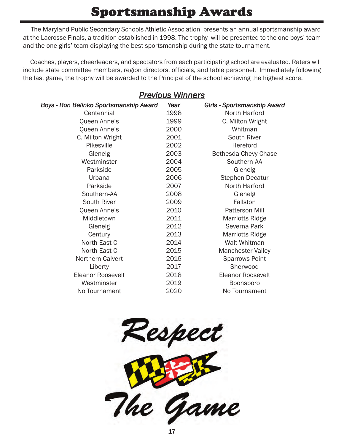# Sportsmanship Awards

The Maryland Public Secondary Schools Athletic Association presents an annual sportsmanship award at the Lacrosse Finals, a tradition established in 1998. The trophy will be presented to the one boys' team and the one girls' team displaying the best sportsmanship during the state tournament.

Coaches, players, cheerleaders, and spectators from each participating school are evaluated. Raters will include state committee members, region directors, officials, and table personnel. Immediately following the last game, the trophy will be awarded to the Principal of the school achieving the highest score.

| <u>Previous Winners</u>                        |      |                             |  |  |
|------------------------------------------------|------|-----------------------------|--|--|
| <u> Boys - Ron Belinko Sportsmanship Award</u> | Year | Girls - Sportsmanship Award |  |  |
| Centennial                                     | 1998 | North Harford               |  |  |
| Queen Anne's                                   | 1999 | C. Milton Wright            |  |  |
| Queen Anne's                                   | 2000 | Whitman                     |  |  |
| C. Milton Wright                               | 2001 | South River                 |  |  |
| Pikesville                                     | 2002 | Hereford                    |  |  |
| Glenelg                                        | 2003 | Bethesda-Chevy Chase        |  |  |
| Westminster                                    | 2004 | Southern-AA                 |  |  |
| Parkside                                       | 2005 | Glenelg                     |  |  |
| Urbana                                         | 2006 | Stephen Decatur             |  |  |
| Parkside                                       | 2007 | North Harford               |  |  |
| Southern-AA                                    | 2008 | Glenelg                     |  |  |
| South River                                    | 2009 | Fallston                    |  |  |
| Queen Anne's                                   | 2010 | <b>Patterson Mill</b>       |  |  |
| Middletown                                     | 2011 | <b>Marriotts Ridge</b>      |  |  |
| Glenelg                                        | 2012 | Severna Park                |  |  |
| Century                                        | 2013 | <b>Marriotts Ridge</b>      |  |  |
| North East-C                                   | 2014 | <b>Walt Whitman</b>         |  |  |
| North East-C                                   | 2015 | <b>Manchester Valley</b>    |  |  |
| Northern-Calvert                               | 2016 | <b>Sparrows Point</b>       |  |  |
| Liberty                                        | 2017 | Sherwood                    |  |  |
| <b>Eleanor Roosevelt</b>                       | 2018 | <b>Eleanor Roosevelt</b>    |  |  |
| Westminster                                    | 2019 | Boonsboro                   |  |  |
| No Tournament                                  | 2020 | No Tournament               |  |  |

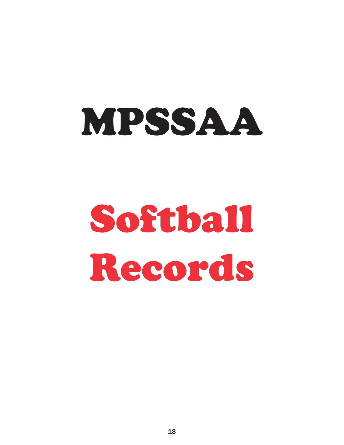# MPSSAA

# Softball Records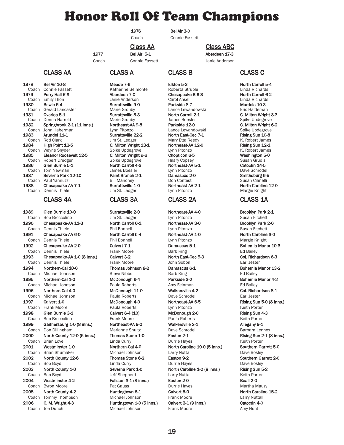# Honor Roll Of Team Champions

1976 Bel Air 3-0

Coach Connie Fassett

Class AA Class ABC

1977 Bel Air 5-1 Aberdeen 17-3 Coach Connie Fassett **Connie Anderson** 

CLASS AA CLASS A CLASS B CLASS C

1978 Bel Air 10-8 **Meade 7-6** Elkton 5-3 Elkton 5-3 North Carroll 5-4 North Carroll 5-4 Coach Connie Fassett Katherine Belmonte Roberta Struble **1988** Linda Richards Coach Connie Fassett Katherine Belmonte Roberta Struble Linda Richards 1919 **Perry Hall 6-3 Aberdeen 7-0 Chesapeake-B 6-3** North Carroll 6-2<br>Coach Emily Thon Carroll Danie Anderson Carol Ansell Carrol Ansell Linda Richards Coach Emily Thon **Coach Emily Thon Coach Emily Thon** Janie Anderson Carol Ansell Linda Richards<br>1980 **Bowie 5-4 Carol Coach Coach Carol Andreis Coach Coach Coach Coach Surrattsville 9-0 Parkside 8-7 Carol Andreis 10-**1991 Bowie 5-4 Surrattsville 9-0<br>1991 Boerald Lancaster Surrattsville 9-0 Marie Grouby Coach Gerald Lancaster **Marie Grouby** Lance Lewandowski **Lance Lewandowski** Eric Haldeman<br>1981 **Overlea 5-1 C. Milton Wright Constant Constant Constant Constant Constant Constant Constant Constant Const** Coach Donna Harrold **Marie Grouby** Marie Grouby James Boesler Spike Updegrove<br>1982 **Springbrook 2-1 (11 inns.) Northeast-AA 9-8** Parkside 12-0 **C. Milton Wright 6-2** Springbrook 2-1 (11 inns.) Coach John Haberman Lynn Pitonzo Lance Lewandowski Spike Updegrove<br>1983 **Arundel 11-1** Surrattsville 22-2 North East-Cec 7-1 Rising Sun 10-8 Coach Rod Clark Jim St. Ledger Mary Etta Reedy K. Robert James<br>1984 **High Point 12-5 C. Milton Wright 13-1 Northeast-AA 12-0** Rising Sun 12-1 Coach Wayne Snyder Spike Updegrove Lynn Pitonzo Coach Wayne Snyder James<br>1985 **Eleanor Roosevelt 12-5 C. Milton Wright 9-6** Chopticon 6-5 **C. Nilton Wright 9-6** Chopticon 6-5 1985 **Eleanor Roosevelt 12-5 C. Milton Wright 9-6 Chopticon 6-5** Coach **Robert Dredger Coach Robert Dredger**<br>Coach Robert Dredger **Coach State System Coach Coach Article Coach Article Coach Article Coach Article Susan Grud** 1986 Glen Burnie 5-1 North Carroll 4-3 Northeast-AA 5-1 Catoctin 14-5 Coach Tom Newman **Coach Tom Newman** James Boesler Lynn Pitonzo **Dave Schrodel**<br>1987 **Severna Park 12-10 Paint Branch 2-1 Damascus 2-0 Communished American Schrodel 1987 Severna Park 12-10** Paint Branch Paul Yannuzzi Coach Paul Yannuzzi Bill Mahoney Don Contesti Susan Cianelli Chesapeake-AA 7-1 Coach Dennis Thiele **Goach Coach Dennis Thiele** Jim St. Ledger Lynn Pitonzo **Margie Knight** 

1989 Glen Burnie 10-0 Surrattsville 2-0 Northeast-AA 4-0 Brooklyn Park 2-1 Coach Bob Broccolino Jim St. Ledger Lynn Pitonzo Susan Fitchett Coach Dennis Thiele Phil Bonnell Lynn Pitonzo Susan Fitchett 1991 Chesapeake-AA 6-0 North Carroll 5-4 Northeast-AA 1-0 North Caroline 3-0 Coach Dennis Thiele **Phil Bonnell** Lynn Pitonzo **Margie Knight** Margie Knight 1992 Chesapeake-AA 2-0 Calvert 7-1 Damascus 5-1 Bohemia Manor 10-3 Coach Dennis Thiele **Frank Moore Barb King Ed Bailey** Ed Bailey 1993 Chesapeake-AA 1-0 (8 inns.) Calvert 3-2 North East-Cec 5-3 Col. Richardson 6-3 Coach Dennis Thiele **Frank Moore** Frank Moore John Sobon **Earl Jester** Earl Jester 1994 **Northern-Cal 10-0** Thomas Johnson 8-2 Damascus 6-1 Bohemia Manor 13-2 Danascus 6-1 Bohemia Manor 13-2 Damascus 6-1 Bohemia Manor 13-2 Coach Michael Johnson Steve Nibbs Barb King Ed Bailey 1995 Northern-Cal 1-0 McDonough 6-4 Parkside 3-2 Bohemia Manor 4-2 Coach Michael Johnson **Paula Roberts** Amy Feinman **Ed Bailey** Ed Bailey 1996 Northern-Cal 4-0 McDonough 11-0 Walkersville 4-2 Col. Richardson 8-1 Coach Michael Johnson Paula Roberts Dave Schrodel Earl Jester 1997 Calvert 1-0 McDonough 4-0 Northeast-AA 6-5 Rising Sun 5-0 (8 inns.) Coach Frank Moore Paula Roberts Lynn Pitonzo Keith Porter 1998 Glen Burnie 3-1 Calvert 6-4 (10) McDonough 2-0 Rising Sun 4-3 Coach Bob Broccolino Frank Moore Paula Roberts Keith Porter 1999 Gaithersburg 1-0 (8 inns.) Northeast-AA 9-0 Walkersville 2-1 Allegany 9-1 Coach Don Dillingham Marianne Shultz Dave Schrodel Barbara Lennox 2000 North County 12-0 (5 inns.) Thomas Stone 1-0 Easton 2-1 Rising Sun 2-1 (8 inns.) Coach Brian Love Linda Curry Durrie Hayes Keith Porter 2001 Westminster 1-0 Northern-Cal 4-0 North Caroline 10-0 (5 inns.) Southern Garrett 5-0 Coach Brian Shumaker Michael Johnson Larry Nuttall Dave Bosley 2002 North County 12-6 Thomas Stone 6-2 Easton 9-2 Southern Garrett 2-0 Coach Bob Boyd **Coach Bob Boyd** Linda Curry **Coach Durrie Hayes** Dave Bosley 2003 North County 1-0 Severna Park 1-0 North Caroline 1-0 (8 inns.) Rising Sun 5-2 Coach Bob Boyd Jeff Shepherd Larry Nuttall Keith Porter 2004 Westminster 4-2 Fallston 3-1 (8 inns.) Easton 2-0 Beall 2-0 Coach Byron Moore **Pat Gauss** Pat Gauss **Pat Byron Durrie Hayes** Purrie Hayes **Martha Mauzy** 2005 North County 4-2 Huntingtown 6-1 Calvert 5-0 North Caroline 15-2 Coach Tommy Thompson Michael Johnson Frank Moore Larry Nuttall 2006 C. M. Wright 4-3 Huntingtown 1-0 (5 inns.) Calvert 2-1 (9 inns.) Catoctin 4-0 Coach Joe Dunch Michael Johnson Frank Moore Amy Hunt

1991 **1982 Surrattsville 5-3** North Carroll 2-1 **C. Milton Wright 8-3**<br>1991 Marie Grouby Mannes Boesler Communication Spike Updegrove **1984 C. Milton Wright 13-1 Northeast-AA**<br>1984 Spike Updegrove **Northeast-AA** Spike Updegrove

# CLASS 4A CLASS 3A CLASS 2A CLASS 1A

North East-Cec 7-1

1990 Chesapeake-AA 11-3 North Carroll 6-1 Northeast-AA 3-0 Brooklyn Park 2-0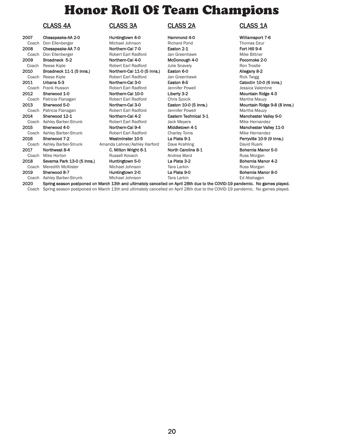# Honor Roll Of Team Champions

# CLASS 4A CLASS 3A CLASS 2A CLASS 1A

| 2007  | Chesapeake-AA 2-0           |
|-------|-----------------------------|
| Coach | Don Ellenberger             |
| 2008  | Chesapeake-AA 7-0           |
| Coach | Don Ellenberger             |
| 2009  | Broadneck 5-2               |
| Coach | Reese Kiple                 |
| 2010  | Broadneck 11-1 (5 inns.)    |
| Coach | Reese Kiple                 |
| 2011  | Urbana 5-3                  |
| Coach | Frank Husson                |
| 2012  | Sherwood 1-0                |
| Coach | Patricia Flanagan           |
| 2013  | Sherwood 5-0                |
| Coach | Patricia Flanagan           |
| 2014  | Sherwood 12-1               |
| Coach | <b>Ashley Barber-Strunk</b> |
| 2015  | Sherwood 4-0                |
| Coach | <b>Ashley Barber-Strunk</b> |
| 2016  | Sherwood 7-2                |
| Coach | <b>Ashley Barber-Strunk</b> |
| 2017  | Northwest 8-4               |
| Coach | Mike Horton                 |
| 2018  | Severna Park 13-0 (5 inns   |
|       | Coach Meredith McAlister    |
| 2019  | Sherwood 8-7                |
| Coach | <b>Ashley Barber-Strunk</b> |
|       |                             |

2-6 Huntingtown 4-0 Hammond 4-0 Williamsport 7-6 Michael Johnson **Ellena Elian Elizabeth Pond Thomas Dzur** Thomas Dzur Northern-Cal 7-0 Easton 2-1 Fort Hill 9-4 Robert Earl Radford Jan Greenhawk Mike Bittner **Northern-Cal 4-0 Broadness McDonough 4-0 Pocomoke 2-0 Robert Earl Radford 3-0** Julie Snavely **Property Property** Ron Trostle Robert Earl Radford Julie Snavely Northern-Cal 11-0 (5 inns.) Easton 6-0 Allegany 8-2 Robert Earl Radford Jan Greenhawk **Rick Twigg** Northern-Cal 3-0 Easton 8-5 Catoctin 10-0 (6 inns.) Robert Earl Radford Jennifer Powell **Goach Husson Husson Automobile Automobile Automobile Automobile Automobile** Northern-Cal 10-0 Liberty 3-2 Mountain Ridge 4-3 Robert Earl Radford Chris Szocik Martha Mauzy Northern-Cal 3-0 Easton 10-0 (5 inns.) Mountain Ridge 9-8 (8 inns.) Robert Earl Radford Jennifer Powell **Martha Mauzy** 2014 Sherwood 12-1 Northern-Cal 4-2 Eastern Technical 3-1 Manchester Valley 9-0 Robert Earl Radford Jack Meyers **Mike Hernandez** Northern-Cal 9-4 Middletown 4-1 Manchester Valley 11-0 Robert Earl Radford Charley Toms Charley Toms Mike Hernandez<br> **Westminster 10-5 Carl Robert Charl Robert Charles Ashley Charles Are Referent Robert Robert Charles Message Michael Struck Robert Robert Robert Charles Messa** Amanda Lahner/Ashley Harford Dave Krahling David Ruark David Ruark 2017 C. Milton Wright 6-1 North Caroline 8-1 North Caroline 8-1 Coach Mike Horton Russell Kovach Andrea Ward Russ Morgan 2018 Severna Park 13-0 (5 inns.) Huntingtown 5-0 La Plata 3-2 Bohemia Manor 4-2 Michael Johnson Tara Larkin Tara Larkin Russ Morgan Huntingtown 2-0 La Plata 9-0 La Plata 9-0 Bohemia Manor 8-0 Michael Johnson Tara Larkin Tara Larkin Ed Abshagen

Perryville 10-9 (9 inns.)

2020 Spring season postponed on March 13th and ultimately cancelled on April 28th due to the COVID-19 pandemic. No games played. Coach Spring season postponed on March 13th and ultimately cancelled on April 28th due to the COVID-19 pandemic. No games played.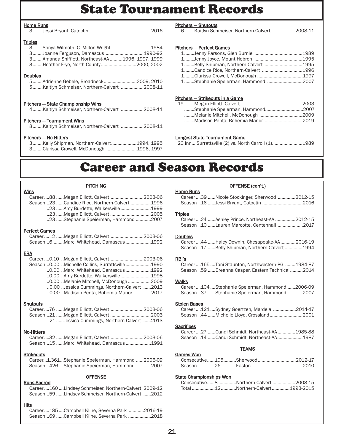# State Tournament Records

### Home Runs

|--|--|

### **Triples**

| 3Sonya Wilmoth, C. Milton Wright 1984           |  |
|-------------------------------------------------|--|
| 3Joanne Ferguson, Damascus 1990-92              |  |
| 3Amanda Shifflett, Northeast-AA1996. 1997. 1999 |  |
| 3Heather Frye, North County2000, 2002           |  |
|                                                 |  |

### **Doubles**

| 5Adrienne Gebele, Broadneck2009, 2010        |  |
|----------------------------------------------|--|
| 5Kaitlyn Schmeiser, Northern-Calvert 2008-11 |  |

# Pitchers — State Championship Wins

| 4Kaitlyn Schmeiser, Northern-Calvert 2008-11 |  |
|----------------------------------------------|--|
|                                              |  |

# Pitchers — Tournament Wins

|  |  | 8Kaitlyn Schmeiser, Northern-Calvert 2008-11 |
|--|--|----------------------------------------------|
|  |  |                                              |

## Pitchers — No Hitters

| 3Kelly Shipman, Northern-Calvert1994, 1995 |  |
|--------------------------------------------|--|
| 3Clarissa Crowell, McDonough 1996, 1997    |  |

## Pitchers — Shutouts

6........Kaitlyn Schmeiser, Northern-Calvert ..................2008-11

## Pitchers — Perfect Games

| 1Kelly Shipman, Northern-Calvert 1995 |  |
|---------------------------------------|--|
|                                       |  |
|                                       |  |
| 1Stephanie Speierman, Hammond 2007    |  |
|                                       |  |

## Pitchers — Strikeouts in a Game

| Stephanie Speierman, Hammond2007  |  |
|-----------------------------------|--|
|                                   |  |
| Madison Penta. Bohemia Manor 2019 |  |
|                                   |  |

## Longest State Tournament Game

|  |  |  | 23 innSurrattsville (2) vs. North Carroll (1)1989 |
|--|--|--|---------------------------------------------------|
|--|--|--|---------------------------------------------------|

# Career and Season Records

# **PITCHING**

| Wins                                          |  |
|-----------------------------------------------|--|
| Career88  Megan Elliott, Calvert 2003-06      |  |
| Season 23 Candice Rice, Northern-Calvert 1996 |  |
| 23 Amy Burdette, Walkersville1999             |  |
|                                               |  |
| 23 Stephanie Speierman, Hammond 2007          |  |
|                                               |  |

## Perfect Games

| Career12  Megan Elliott, Calvert 2003-06 |  |
|------------------------------------------|--|
| Season 6 Marci Whitehead, Damascus 1992  |  |

## ERA

| Career0.10 Megan Elliott, Calvert 2003-06       |  |
|-------------------------------------------------|--|
| Season 0.00 Michelle Collins, Surrattsville1990 |  |
| 0.00 Marci Whitehead, Damascus 1992             |  |
|                                                 |  |
| 0.00 Melanie Mitchell, McDonough 2009           |  |
| 0.00 Jessica Cummings, Northern-Calvert 2013    |  |
| 0.00 Madison Penta, Bohemia Manor 2017          |  |

## **Shutouts**

|  | Career76 Megan Elliott, Calvert 2003-06    |  |
|--|--------------------------------------------|--|
|  |                                            |  |
|  | 21 Jessica Cummings, Northern-Calvert 2013 |  |

## No-Hitters

| Career32 Megan Elliott, Calvert 2003-06  |  |
|------------------------------------------|--|
| Season 15 Marci Whitehead, Damascus 1991 |  |

## **Strikeouts**

| Career1,361Stephanie Speierman, Hammond 2006-09 |  |  |
|-------------------------------------------------|--|--|
| Season 426Stephanie Speierman, Hammond 2007     |  |  |

## **OFFENSE**

## Runs Scored

Career ....160 ....Lindsey Schmeiser, Northern-Calvert 2009-12 Season ..59 ......Lindsey Schmeiser, Northern-Calvert ......2012

## **Hits**

Career ....185 ....Campbell Kline, Severna Park ............2016-19 Season ..69 ......Campbell Kline, Severna Park ..................2018

# OFFENSE (con't.) Career ....39 ......Nicole Stockinger, Sherwood ..............2012-15

# Season ..16 ......Jessi Bryant, Catoctin ................................2016 **Triples**

| Career24 Ashley Prince, Northeast-AA 2012-15 |  |
|----------------------------------------------|--|
| Season 10 Lauren Marcotte, Centennail 2017   |  |

## Doubles

Home Runs

| Career44 Haley Downin, Chesapeake-AA2016-19    |  |
|------------------------------------------------|--|
| Season 17 Kelly Shipman, Northern-Calvert 1994 |  |

## RBI's

Career ....165 ....Toni Staunton, Northwestern-PG ........1984-87 Season ..59 ......Breanna Casper, Eastern Technical..........2014

## **Walks**

Career ....104 ....Stephanie Speierman, Hammond ......2006-09 Season ..37 ......Stephanie Speierman, Hammond ............2007

### Stolen Bases

| Career121Sydney Goertzen, Mardela 2014-17 |  |
|-------------------------------------------|--|
| Season 44 Michelle Lloyd, Crossland2001   |  |

## **Sacrifices**

| Career27 Candi Schmidt, Northeast-AA1985-88 |  |
|---------------------------------------------|--|
| Season 14 Candi Schmidt, Northeast-AA1987   |  |

## **TEAMS**

| Games Won |  |  |
|-----------|--|--|
|           |  |  |
|           |  |  |

## State Championships Won

|  | Consecutive8Northern-Calvert2008-15 |  |
|--|-------------------------------------|--|
|  | Total 12 Northern-Calvert 1993-2015 |  |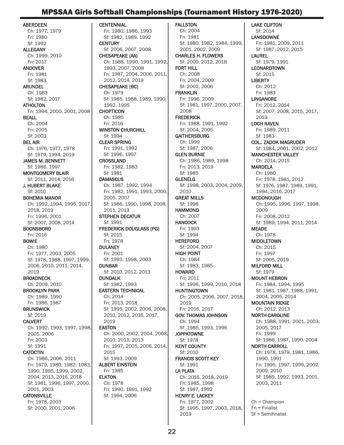# MPSSAA Girls Softball Championships (Tournament History 1976-2020)

ABERDEEN Ch: 1977, 1979 Fn: 1980 Sf: 1992 **ALLEGANY** Ch: 1999, 2010 Fn: 2017 ANDOVER Fn: 1981 Sf: 1983 ARUNDEL Ch: 1983 Sf: 1982, 2017 **ATHOLTON** Fn: 1994, 2000, 2001, 2008 BEALL Ch: 2004 Fn: 2005 Sf: 2003 BEL AIR Ch: 1976, 1977, 1978 Sf: 1979, 1994, 2019 JAMES M. BENNETT Sf: 1986, 1997 MONTGOMERY BLAIR Sf: 2011, 2014, 2016 J. HUBERT BLAKE Sf: 2010 BOHEMIA MANOR Ch: 1992, 1994, 1995, 2017, 2018, 2019 Fn: 1996, 2001 Sf: 2007, 2008, 2014 BOONSBORO Fn: 2016 BOWIE Ch: 1980 Fn: 1977, 2003, 2005 Sf: 1978, 1988, 1997, 1999, 2006, 2010, 2011, 2014, 2019 BROADNECK Ch: 2009, 2010 BROOKLYN PARK Ch: 1989, 1990 Fn: 1986, 1987 **BRUNSWICK** Sf: 2019 CALVERT Ch: 1992, 1993, 1997, 1998, 2005, 2006 Fn: 2003 Sf: 1991 **CATOCTIN** Ch: 1986, 2006, 2011 Fn: 1979, 1980, 1982, 1983, 1990, 1995, 1999, 2002, 2004, 2013, 2016, 2018 Sf: 1981, 1996, 1997, 2000, 2001, 2003

### **CATONSVILLE**

Fn: 1978, 2003 Sf: 2000, 2001, 2006

**CENTENNIAL** Fn: 1980, 1986, 1993 Sf: 1982, 1989, 1992 **CENTURY** Sf: 2006, 2007, 2008 CHESAPEAKE (AA) Ch: 1988, 1990, 1991, 1992, 1993, 2007, 2008 Fn: 1987, 2004, 2006, 2011, 2012, 2014, 2019 CHESAPEAKE (BC) Ch: 1979 Sf: 1985, 1988, 1989, 1990, 1992, 1995 **CHOPTICON** Ch: 1985 Fn: 2016 WINSTON CHURCHILL Sf: 1994 CLEAR SPRING Fn: 1991, 1992 Sf: 1996, 1997 **CROSSLAND** Fn: 1982, 1983 Sf: 1981 **DAMASCUS** Ch: 1987, 1992, 1994 Fn: 1982, 1991, 1993, 2000, 2005, 2007 Sf: 1986, 1990, 1998, 2008, 2011, 2013 STEPHEN DECATUR Sf: 1991 FREDERICK DOUGLASS (PG) Sf: 2015 Fn: 1978 **DULANEY** Fn: 2001 Sf: 1993, 1998, 2003 DUNBAR Sf: 2010, 2012, 2013 DUNDALK Sf: 1982, 1993 EASTERN TECHNICAL Ch: 2014 Fn: 2013, 2018 Sf: 1995, 2002, 2006, 2008, 2010, 2012, 2016, 2017, 2019 EASTON Ch: 2000, 2002, 2004, 2008, 2010, 2011, 2013 Fn: 1997, 2005, 2006, 2014, 2015 Sf: 1993, 2009 ALBERT EINSTEIN Fn: 1985 **ELKTON** Ch: 1978 Fn: 1990, 1991, 1992 Sf: 1994, 2006

FALLSTON Ch: 2004 Fn: 1981 Sf: 1980, 1982, 1984, 1999, 2001, 2002, 2009 CHARLES H. FLOWERS Sf: 2009, 2012, 2018 FORT HILL Ch: 2008 Fn: 2004, 2009 Sf: 2002, 2006 FRANKLIN Fn: 1996, 2009 Sf: 1981, 1997, 2000, 2007, 2008 **FREDERICK** Fn: 1988, 1991, 1992 Sf: 2004, 2005 **GAITHERSBURG** Ch: 1999 Sf: 1987, 2006 GLEN BURNIE Ch: 1986, 1989, 1998 Fn: 2013, 2019 Sf: 1985 GLENELG Sf: 1998, 2003, 2004, 2009, 2010 GREAT MILLS Sf: 1996 **HAMMOND** Ch: 2007 **HANCOCK** Fn: 1993 Sf: 1994 **HEREFORD** Sf: 2004, 2007 HIGH POINT Ch: 1984 Sf: 1983, 1985 **HOWARD** Fn: 2011 Sf: 1996, 1999, 2010, 2018 **HUNTINGTOWN** Ch: 2005, 2006, 2007, 2018, 2019 Fn: 2016, 2017 GOV. THOMAS JOHNSON Ch: 1994 Sf: 1985, 1993, 1996 **JOPPATOWNE** Sf: 1978 KENT COUNTY Sf: 2010 FRANCIS SCOTT KEY Sf: 1991 LA PLATA Ch: 2016, 2018, 2019 Fn: 1985, 1998 Sf: 1987, 1992 HENRY E. LACKEY Fn: 1977, 2002 Sf: 1995, 1997, 2003, 2018, 2019

LAKE CLIFTON Sf: 2014 LANSDOWNE Fn: 1981, 2009, 2011 Sf: 1987, 2012, 2015 **LAUREL** Sf: 1979, 1991 LEONARDTOWN Sf: 2015 **LIBERTY** Ch: 2012 Fn: 1983 LINGANORE Fn: 2012, 2014 Sf: 2007, 2008, 2015, 2017, 2019 LOCH RAVEN Fn: 1989, 2011 Sf: 1983 COL.. ZADOK MAGRUDER Sf: 1984, 2001, 2002, 2012 MANCHESTER VALLEY Ch: 2014, 2015 MARDELA Ch: 1980 Fn: 1978, 1981, 2012 Sf: 1976, 1987, 1989, 1991, 1994, 2016, 2017 MCDONOUGH Ch: 1995, 1996, 1997, 1998, 2009 Fn: 2008, 2012 Sf: 1989, 1994, 2011, 2014 MEADE Ch: 1978 MIDDLETOWN Ch: 2015 Fn: 1997 Sf: 2005, 2019 MILFORD MILL Sf: 1979 MOUNT HEBRON Fn: 1984, 1994, 1995 Sf: 1981, 1987, 1988, 1991, 2004, 2005, 2014 MOUNTAIN RIDGE Ch: 2012, 2013 NORTH CAROLINE Ch: 1988, 1991, 2001, 2003, 2005, 2017 Fn: 1999 Sf: 1986, 1987, 1990, 2004 NORTH CARROLL Ch: 1978, 1979, 1981, 1986, 1990, 1991 Fn: 1995, 1997, 1999, 2002, 2009, 2010 Sf: 1989, 1992, 1993, 2001, 2003, 2011

Ch = Champion Fn = Finalist Sf = Semifinalist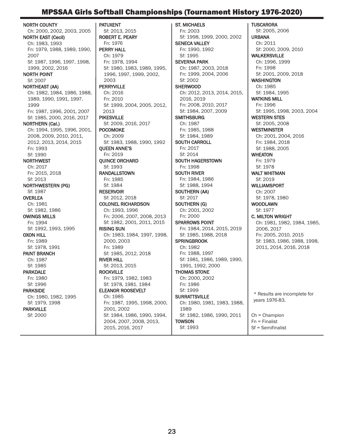# MPSSAA Girls Softball Championships (Tournament History 1976-2020)

NORTH COUNTY Ch: 2000, 2002, 2003, 2005 NORTH EAST (Cecil) Ch: 1983, 1993 Fn: 1979, 1988, 1989, 1990, 2007 Sf: 1987, 1996, 1997, 1998, 1999, 2002, 2016 NORTH POINT Sf: 2007 NORTHEAST (AA) Ch: 1982, 1984, 1986, 1988, 1989, 1990, 1991, 1997, 1999 Fn: 1987, 1996, 2001, 2007 Sf: 1985, 2000, 2016, 2017 NORTHERN (Cal.) Ch: 1994, 1995, 1996, 2001, 2008, 2009, 2010, 2011, 2012, 2013, 2014, 2015 Fn: 1993 Sf: 1990 **NORTHWEST** Ch: 2017 Fn: 2015, 2018 Sf: 2013 NORTHWESTERN (PG) Sf: 1987 **OVERLEA** Ch: 1981 Sf: 1982, 1986 OWINGS MILLS Fn: 1994 Sf: 1992, 1993, 1995 OXON HILL Fn: 1989 Sf: 1978, 1991 PAINT BRANCH Ch: 1987 Sf: 1985 PARKDALE Fn: 1980 Sf: 1996 PARKSIDE Ch: 1980, 1982, 1995 Sf: 1979, 1998 PARKVILLE Sf: 2000

PATUXENT Sf: 2013, 2015 ROBERT E. PEARY Fn: 1976 PERRY HALL Ch: 1979 Fn: 1978, 1994 Sf: 1980, 1983, 1989, 1995, 1996, 1997, 1999, 2002, 2003 PERRYVILLE Ch: 2016 Fn: 2010 Sf: 1999, 2004, 2005, 2012, 2013 PIKESVILLE Sf: 2009, 2016, 2017 POCOMOKE Ch: 2009 Sf: 1983, 1988, 1990, 1992 QUEEN ANNE'S Fn: 2019 QUINCE ORCHARD Sf: 1993 RANDALLSTOWN Fn: 1985 Sf: 1984 **RESERVOIR** Sf: 2012, 2018 COLONEL RICHARDSON Ch: 1993, 1996 Fn: 2006, 2007, 2008, 2013 Sf: 1982, 2001, 2011, 2015 RISING SUN Ch: 1983, 1984, 1997, 1998, 2000, 2003 Fn: 1989 Sf: 1985, 2012, 2018 RIVER HILL Sf: 2013, 2015 ROCKVILLE Fn: 1979, 1982, 1983 Sf: 1978, 1981. 1984 ELEANOR ROOSEVELT Ch: 1985 Fn: 1987, 1995, 1998, 2000, 2001, 2002 Sf: 1984, 1986, 1990, 1994, 2004, 2007, 2008, 2013, 2015, 2016, 2017

ST. MICHAELS Fn: 2003 Sf: 1998, 1999, 2000, 2002 SENECA VALLEY Fn: 1990, 1992 Sf: 1995 SEVERNA PARK Ch: 1987, 2003, 2018 Fn: 1999, 2004, 2006 Sf: 2002 **SHERWOOD** Ch: 2012, 2013, 2014, 2015, 2016, 2019 Fn: 2008, 2010, 2017 Sf: 1984, 2007, 2009 **SMITHSBURG** Ch: 1987 Fn: 1985, 1988 Sf: 1984, 1989 SOUTH CARROLL Fn: 2017 Sf: 2014 SOUTH HAGERSTOWN Fn: 1998 SOUTH RIVER Fn: 1984, 1986 Sf: 1988, 1994 SOUTHERN (AA) Sf: 2017 SOUTHERN (G) Ch: 2001, 2002 Fn: 2000 SPARROWS POINT Fn: 1984, 2014, 2015, 2019 Sf: 1985, 1988, 2018 **SPRINGBROOK** Ch: 1982 Fn: 1988, 1997 Sf: 1981, 1986, 1989, 1990, 1991, 1992, 2000 THOMAS STONE Ch: 2000, 2002 Fn: 1986 Sf: 1999 **SURRATTSVILLE** Ch: 1980, 1981, 1983, 1988, 1989 Sf: 1982, 1986, 1990, 2011 **TOWSON** Sf: 1993

**TUSCARORA** Sf: 2005, 2006 URBANA Ch: 2011 Sf: 2000, 2009, 2010 WALKERSVILLE Ch: 1996, 1999 Fn: 1998 Sf: 2001, 2009, 2018 **WASHINGTON** Ch: 1985 Sf: 1984, 1995 WATKINS MILL Fn: 1996 Sf: 1995, 1998, 2003, 2004 WESTERN STES Sf: 2005, 2008 WESTMINSTER Ch: 2001, 2004, 2016 Fn: 1984, 2018 Sf: 1988, 2005 **WHEATON** Fn: 1979 Sf: 1978 WALT WHITMAN Sf: 2019 WILLIAMSPORT Ch: 2007 Sf: 1978, 1980 WOODLAWN Sf: 1977 C. MILTON WRIGHT Ch: 1981, 1982, 1984, 1985, 2006, 2017 Fn: 2005, 2010, 2015 Sf: 1983, 1986, 1988, 1998, 2011, 2014, 2016, 2018 Ch = Champion Fn = Finalist \* Results are incomplete for years 1976-83.

Sf = Semifinalist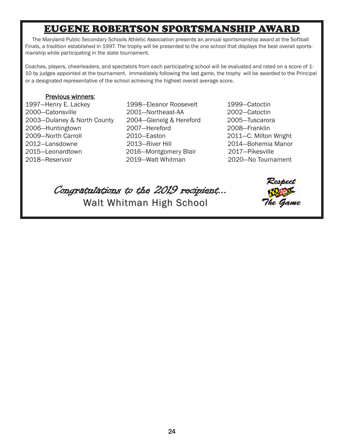# EUGENE ROBERTSON SPORTSMANSHIP AWARD

The Maryland Public Secondary Schools Athletic Association presents an annual sportsmanship award at the Softball Finals, a tradition established in 1997. The trophy will be presented to the one school that displays the best overall sportsmanship while participating in the state tournament.

Coaches, players, cheerleaders, and spectators from each participating school will be evaluated and rated on a score of 1- 10 by judges appointed at the tournament. Immediately following the last game, the trophy will be awarded to the Principal or a designated representative of the school achieving the highest overall average score.

# Previous winners:

- 2000—Catonsville 2001—Northeast-AA 2002—Catoctin 2003—Dulaney & North County 2004—Glenelg & Hereford 2005—Tuscarora 2006—Huntingtown 2007—Hereford 2008—Franklin 2009—North Carroll 2010—Easton 2011—C. Milton Wright 2012—Lansdowne 2013—River Hill 2014—Bohemia Manor 2015—Leonardtown 2016—Montgomery Blair 2017—Pikesville 2018—Reservoir 2019—Walt Whitman 2020—No Tournament
- 1997—Henry E. Lackey 1998—Eleanor Roosevelt 1999—Catoctin
	-

Congratulations to the 2019 recipient... Walt Whitman High School Walt Whitman High School

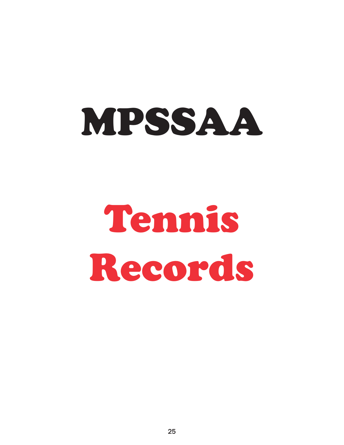# MPSSAA

# Tennis Records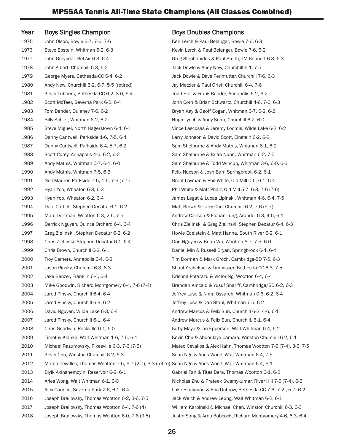| <u>Year</u> | <b>Boys Singles Champion</b>                                                                             | <b>Boys Doubles Champions</b>                                 |
|-------------|----------------------------------------------------------------------------------------------------------|---------------------------------------------------------------|
| 1975        | John Olson, Bowie 6-7, 7-6, 7-6                                                                          | Ken Lerch & Paul Belanger, Bowie 7-6, 6-3                     |
| 1976        | Steve Epstein, Whitman 6-2, 6-3                                                                          | Kevin Lerch & Paul Belanger, Bowie 7-6, 6-2                   |
| 1977        | John Graybeal, Bel Air 6-3, 6-4                                                                          | Greg Stephanides & Paul Smith, JM Bennett 6-3, 6-3            |
| 1978        | John Albert, Churchill 6-3, 6-2                                                                          | Jack Dowle & Andy New, Churchill 6-1, 7-5                     |
| 1979        | George Myers, Bethesda-CC 6-4, 6-2                                                                       | Jack Dowle & Dave Perimutter, Churchill 7-6, 6-3              |
| 1980        | Andy New, Churchill 6-2, 6-7, 5-5 (retired)                                                              | Jay Metzler & Paul Grief, Churchill 6-4, 7-6                  |
| 1981        | Kevin Lubbers, Bethesda-CC 6-2, 3-6, 6-4                                                                 | Todd Hall & Frank Bender, Annapolis 6-2, 6-2                  |
| 1982        | Scott McTeer, Severna Park 6-2, 6-4                                                                      | John Corn & Brian Schwartz, Churchill 4-6, 7-6, 6-3           |
| 1983        | Tom Bender, Dulaney 7-6, 6-2                                                                             | Bryan Kay & Geoff Cogan, Whitman 6-7, 6-2, 6-2                |
| 1984        | Billy Schief, Whitman 6-2, 6-2                                                                           | Hugh Lynch & Andy Sohn, Churchill 6-2, 6-0                    |
| 1985        | Steve Miguel, North Hagerstown 6-4, 6-1                                                                  | Vince Lascosas & Jeremy Loomis, Wilde Lake 6-2, 6-2           |
| 1986        | Danny Cantwell, Parkside 1-6, 7-5, 6-4                                                                   | Larry Johnson & David Scott, Einstein 6-2, 6-3                |
| 1987        | Danny Cantwell, Parkside 6-4, 5-7, 6-2                                                                   | Sam Shelburne & Andy Mathis, Whitman 6-1, 6-2                 |
| 1988        | Scott Corey, Annapolis 4-6, 6-2, 6-2                                                                     | Sam Shelburne & Brian Nunn, Whitman 6-2, 7-5                  |
| 1989        | Andy Mathis, Whitman 5-7, 6-1, 6-0                                                                       | Sam Shelburne & Todd Wincup, Whitman 3-6, 6-0, 6-3            |
| 1990        | Andy Mathis, Whitman 7-5, 6-3                                                                            | Felix Nacson & Josh Barr, Springbrook 6-2, 6-1                |
| 1991        | Neil Maurer, Parkside 7-5, 1-6, 7-6 (7-1)                                                                | Brent Layman & Phil White, Old Mill 0-6, 6-1, 6-4             |
| 1992        | Hyan Yoo, Wheaton 6-3, 6-3                                                                               | Phil White & Matt Pharr, Old Mill 5-7, 6-3, 7-6 (7-6)         |
| 1993        | Hyan Yoo, Wheaton 6-2, 6-4                                                                               | James Legat & Lucas Lipinski, Whitman 4-6, 6-4, 7-5           |
| 1994        | Dale Cathell, Stephen Decatur 6-1, 6-2                                                                   | Matt Brown & Larry Cho, Churchill 6-2, 7-6 (9-7)              |
| 1995        | Marc Dorfman, Wootton 6-3, 2-6, 7-5                                                                      | Andrew Carlson & Florian Jung, Arundel 6-3, 4-6, 6-1          |
| 1996        | Derrick Nguyen, Quince Orchard 6-4, 6-4                                                                  | Chris Zielinski & Greg Zielinski, Stephen Decatur 6-4, 6-3    |
| 1997        | Greg Zielinski, Stephen Decatur 6-2, 6-2                                                                 | Howie Edelstein & Matt Hanna, South River 6-2, 6-1            |
| 1998        | Chris Zielinski, Stephen Decatur 6-1, 6-4                                                                | Don Nguyen & Brian Wu, Wootton 6-7, 7-5, 6-0                  |
| 1999        | Chris Brown, Churchill 6-2, 6-1                                                                          | Daniel Min & Russell Bryan, Springbrook 6-4, 6-4              |
| 2000        | Troy Demers, Annapolis 6-4, 6-2                                                                          | Tim Dorman & Mark Groch, Cambridge-SD 7-5, 6-3                |
| 2001        | Jason Pinsky, Churchill 6-3, 6-3                                                                         | Shaul Yecheksel & Tim Visser, Bethesda-CC 6-3, 7-5            |
| 2002        | Jake Benzel, Franklin 6-4, 6-4                                                                           | Krishna Potarazu & Victor Ng, Wootton 6-4, 6-4                |
| 2003        | Mike Goodwin, Richard Montgomery 6-4, 7-6 (7-4)                                                          | Brendan Kincaid & Yusuf Shariff, Cambridge/SD 6-2, 6-3        |
| 2004        | Jared Pinsky, Churchill 6-4, 6-4                                                                         | Jeffrey Luse & Nima Ossareh, Whitman 0-6, 6-2, 6-4            |
| 2005        | Jared Pinsky, Churchill 6-3, 6-2                                                                         | Jeffrey Luse & Dan Stahl, Whitman 7-5, 6-2                    |
| 2006        | David Nguyen, Wilde Lake 6-3, 6-4                                                                        | Andrew Marcus & Felix Sun, Churchill 6-2, 4-6, 6-1            |
| 2007        | Jared Pinsky, Churchill 6-1, 6-4                                                                         | Andrew Marcus & Felix Sun, Churchill, 6-1, 6-4                |
| 2008        | Chris Goodwin, Rockville 6-1, 6-0                                                                        | Kirby Mayo & Ian Epperson, Walt Whitman 6-4, 6-2              |
| 2009        | Timothy Klanke, Walt Whitman 1-6, 7-5, 6-1                                                               | Kevin Chu & Abdoulaye Camara, Winston Churchill 6-2, 6-1      |
| 2010        | Michael Razumovsky, Pikesville 6-3, 7-6 (7-5)                                                            | Mateo Cevallos & Alex Hahn, Thomas Wootton 7-6 (7-4), 3-6, 7- |
| 2011        | Kevin Chu, Winston Churchill 6-2, 6-3                                                                    | Sean Ngo & Aries Wong, Walt Whitman 6-4, 7-5                  |
| 2012        | Mateo Cevalles, Thomas Wootton 7-5, 6-7 (2-7), 3-3 (retire) Sean Ngo & Aries Wong, Walt Whitman 6-4, 6-1 |                                                               |
| 2013        | Biyik Akinshemoyin, Reservoir 6-2, 6-1                                                                   | Gabriel Fan & Titas Bera, Thomas Wootton 6-1, 6-2             |
| 2014        | Aries Wong, Walt Whitman 6-1, 6-0                                                                        | Nicholas Zhu & Prateek Swamykumar, River Hill 7-6 (7-4), 6-3  |
| 2015        | Alex Caunec, Severna Park 2-6, 6-1, 6-4                                                                  | Luke Blackman & Eric Dubrow, Bethesda-CC 7-6 [7-2], 5-7, 6-2  |
| 2016        | Joseph Brailovsky, Thomas Wootton 6-2, 3-6, 7-5                                                          | Jack Welch & Andrew Leung, Walt Whitman 6-2, 6-1              |
| 2017        | Joseph Brailovsky, Thomas Wootton 6-4, 7-6 (4)                                                           | William Karpinski & Michael Chen, Winston Churchill 6-3, 6-3  |
| 2018        | Joseph Brailovsky, Thomas Wootton 6-0, 7-6 (9-8)                                                         | Justin Song & Arno Babcock, Richard Montgomery 4-6, 6-3, 6-4  |

Bowie 7-6, 6-3 , Bowie 7-6, 6-2 nith, JM Bennett 6-3, 6-3  $1$ urchill 6-1, 7-5 er, Churchill 7-6, 6-3 urchill 6-4, 7-6 nnapolis 6-2, 6-2 Churchill 4-6, 7-6, 6-3 hitman 6-7, 6-2, 6-2 1urchill 6-2, 6-0 omis, Wilde Lake 6-2, 6-2 Einstein 6-2, 6-3 his, Whitman 6-1, 6-2 n, Whitman 6-2, 7-5 tup, Whitman 3-6, 6-0, 6-3 ringbrook 6-2, 6-1 01d Mill 0-6, 6-1, 6-4 Mill 5-7, 6-3, 7-6 (7-6) ki, Whitman 4-6, 6-4, 7-5 urchill 6-2, 7-6 (9-7) ng, Arundel 6-3, 4-6, 6-1 1996 Biki, Stephen Decatur 6-4, 6-3 na, South River 6-2, 6-1 otton 6-7, 7-5, 6-0 Springbrook 6-4, 6-4 Cambridge-SD 7-5, 6-3 er, Bethesda-CC 6-3, 7-5 g, Wootton 6-4, 6-4 ariff, Cambridge/SD 6-2, 6-3 h, Whitman 0-6, 6-2, 6-4  $n$ itman 7-5, 6-2 Churchill 6-2, 4-6, 6-1 Churchill, 6-1, 6-4 Walt Whitman 6-4, 6-2 ara, Winston Churchill 6-2, 6-1 Thomas Wootton 7-6 (7-4), 3-6, 7-5 1t Whitman 6-4, 7-5 It Whitman 6-4, 6-1 omas Wootton 6-1, 6-2 mykumar, River Hill 7-6 (7-4), 6-3 w, Bethesda-CC 7-6 [7-2], 5-7, 6-2 Walt Whitman 6-2, 6-1 Chen, Winston Churchill 6-3, 6-3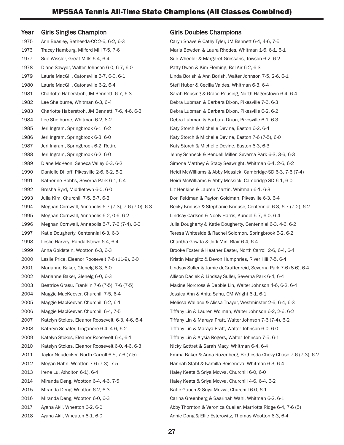# Year Girls Singles Champion Girls Doubles Champions

1975 Ann Beasley, Bethesda-CC 2-6, 6-2, 6-3 Caryn Shave & Cathy Tyler, JM Bennett 6-4, 4-6, 7-5 1976 Tracey Hamburg, Milford Mill 7-5, 7-6 Maria Bowden & Laura Rhodes, Whitman 1-6, 6-1, 6-1 1977 Sue Wissler, Great Mills 6-4, 6-4 Sue Wheeler & Margaret Gressans, Towson 6-2, 6-2 1978 Diane Sawyer, Walter Johnson 6-0, 6-7, 6-0 Patty Owen & Kim Fleming, Bel Air 6-2, 6-3 1979 Laurie MacGill, Catonsville 5-7, 6-0, 6-1 Linda Borish & Ann Borish, Walter Johnson 7-5, 2-6, 6-1 1980 Laurie MacGill, Catonsville 6-2, 6-4 Stefi Huber & Cecilia Valdes, Whitman 6-3, 6-4 1982 Lee Shelburne, Whitman 6-3, 6-4 Debra Lubman & Barbara Dixon, Pikesville 7-5, 6-3 1983 Charlotte Haberstroh, JM Bennett 7-6, 4-6, 6-3 Debra Lubman & Barbara Dixon, Pikesville 6-2, 6-2 1984 Lee Shelburne, Whitman 6-2, 6-2 **Debra Lubman & Barbara Dixon, Pikesville 6-1**, 6-3 1985 Jeri Ingram, Springbrook 6-1, 6-2 Katy Storch & Michelle Devine, Easton 6-2, 6-4 1986 Jeri Ingram, Springbrook 6-3, 6-0 Katy Storch & Michelle Devine, Easton 7-6 (7-5), 6-0 1987 Jeri Ingram, Springbrook 6-2, Retire Katy Storch & Michelle Devine, Easton 6-3, 6-3 1992 Bresha Byrd, Middletown 6-0, 6-0 Liz Henkins & Lauren Martin, Whitman 6-1, 6-3 1993 Julia Kim, Churchill 7-5, 5-7, 6-3 Dori Feldman & Payton Goldman, Pikesville 6-3, 6-4 1995 Meghan Cornwall, Annapolis 6-2, 0-6, 6-2 Lindsay Carlson & Neely Harris, Aundel 5-7, 6-0, 6-4 1998 Leslie Harvey, Randallstown 6-4, 6-4 Charitha Gowda & Jodi Min, Blair 6-4, 6-4 2000 Leslie Price, Eleanor Roosevelt 7-6 (11-9), 6-0 Kristin Manglitz & Devon Humphries, River Hill 7-5, 6-4 2002 Marianne Baker, Glenelg 6-0, 6-3 Allison Daciek & Lindsay Suller, Severna Park 6-4, 6-4 2004 Maggie MacKeever, Churchill 7-5, 6-4 Jessica Ahn & Anita Sahu, CM Wright 6-1, 6-1 2007 Katelyn Stokes, Eleanor Roosevelt 6-3, 4-6, 6-4 Tiffany Lin & Maraya Pratt, Walter Johnson 7-6 (7-4), 6-2 2008 Kathryn Schafer, Linganore 6-4, 4-6, 6-2 Tiffany Lin & Maraya Pratt, Walter Johnson 6-0, 6-0 2009 Katelyn Stokes, Eleanor Roosevelt 6-4, 6-1 Tiffany Lin & Alysia Rogers, Walter Johnson 7-5, 6-1 2010 Katelyn Stokes, Eleanor Roosevelt 6-0, 4-6, 6-3 Nicky Gottret & Sarah Macy, Whitman 6-4, 6-4 2012 Megan Hahn, Wootton 7-6 (7-3), 7-5 Hannah Stahl & Kamilla Beisenova, Whitman 6-3, 6-4 2013 Irene Lu, Atholton 6-1), 6-4 Haley Keats & Sriya Movva, Churchill 6-0, 6-0 2014 Miranda Deng, Wootton 6-4, 4-6, 7-5 Haley Keats & Sriya Movva, Churchill 4-6, 6-4, 6-2 2015 MIranda Deng, Wootton 6-2, 6-3 Katie Gauch & Sriya Movva, Churchill 6-0, 6-1 2016 MIranda Deng, Wootton 6-0, 6-3 Carina Greenberg & Saarinah Wahl, Whitman 6-2, 6-1

1981 Charlotte Haberstroh, JM Bennett 6-7, 6-3 Sarah Reusing & Grace Reusing, North Hagerstown 6-4, 6-4 1988 Jeri Ingram, Springbrook 6-2, 6-0 Jenny Schneck & Kendell Miller, Severna Park 6-3, 3-6, 6-3 1989 Diane McKeon, Seneca Valley 6-3, 6-2 Simone Matthey & Stacy Seawright, Whitman 6-4, 2-6, 6-2 1990 Danielle Dilloff, Pikesville 2-6, 6-2, 6-2 Heidi McWilliams & Abby Messick, Cambridge-SD 6-3, 7-6 (7-4) 1991 Katherine Hobbs, Severna Park 6-1, 6-4 Heidi McWilliams & Abby Messick, Cambridge-SD 6-1, 6-0 1994 Meghan Cornwall, Annapolis 6-7 (7-3), 7-6 (7-0), 6-3 Becky Knouse & Stephanie Knouse, Centennial 6-3, 6-7 (7-2), 6-2 1996 Meghan Cornwall, Annapolis 5-7, 7-6 (7-4), 6-3 Julia Dougherty & Katie Dougherty, Centennial 6-3, 4-6, 6-2 1997 Katie Dougherty, Centennial 6-3, 6-3 Teresa Whiteside & Rachel Solomon, Springbrook 6-2, 6-2 1999 Anna Goldstein, Wootton 6-3, 6-3 Brooke Foster & Heather Easter, North Carroll 2-6, 6-4, 6-4 2001 Marianne Baker, Glenelg 6-3, 6-0 Lindsay Suller & Jamie deGraffenreid, Severna Park 7-6 (8-6), 6-4 2003 Beatrice Grasu. Franklin 7-6 (7-5), 7-6 (7-5) Maxine Norcross & Debbie Lin, Walter Johnson 4-6, 6-2, 6-4 2005 Maggie MacKeever, Churchill 6-2, 6-1 Melissa Wallace & Alissa Thayer, Westminster 2-6, 6-4, 6-3 2006 Maggie MacKeever, Churchill 6-4, 7-5 Tiffany Lin & Lauren Wolman, Walter Johnson 6-2, 2-6, 6-2 2011 Taylor Neudecker, North Carroll 6-5, 7-6 (7-5) Emma Baker & Anna Rozenberg, Bethesda-Chevy Chase 7-6 (7-3), 6-2 2017 Ayana Akli, Wheaton 6-2, 6-0 Abby Thornton & Veronica Cueller, Marriotts Ridge 6-4, 7-6 (5) 2018 Ayana Akli, Wheaton 6-1, 6-0 Annie Dong & Ellie Esterowitz, Thomas Wootton 6-3, 6-4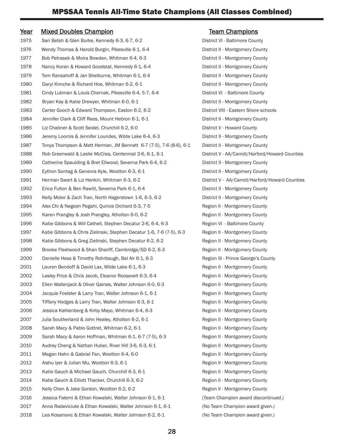# Year Mixed Doubles Champion Network Team Champions

1975 Sari Betsh & Glen Burke, Kennedy 6-3, 6-7, 6-2 District VI - Baltimore County 1976 Wendy Thomas & Harold Burgin, Pikesville 6-1, 6-4 District II - Montgomery County 1977 Bob Petrasek & Moira Bowden, Whitman 6-4, 6-3 District II - Montgomery County 1978 Nancy Koran & Howard Goodstat, Kennedy 6-1, 6-4 District II - Montgomery County 1979 Tom Ransahoff & Jan Shelburne, Whitman 6-1, 6-4 District II - Montgomery County 1980 Daryl Kimche & Richard Hoe, Whitman 6-2, 6-1 District II - Montgomery County 1981 Cindy Lubman & Louis Chernak, Pikesville 6-4, 5-7, 6-4 District VI - Baltimore County 1982 Bryan Kay & Katie Drewyer, Whitman 6-0, 6-1 District II - Montgomery County 1983 Carter Gooch & Edward Thompson, Easton 6-2, 6-2 District VIII - Eastern Shore schools 1984 Jennifer Clark & Cliff Rees, Mount Hebron 6-1, 6-1 District II - Montgomery County 1985 Liz Chabner & Scott Seidel, Churchill 6-2, 6-0 District V - Howard County 1986 Jeremy Loomis & Jennifer Loundes, Wilde Lake 6-4, 6-3 District II - Montgomery County 1987 Tonya Thompson & Matt Herman, JM Bennett 6-7 (7-5), 7-6 (8-6), 6-1 District II - Montgomery County 1988 Rob Greenwald & Leslie McCrea, Centennial 3-6, 6-1, 6-1 District V - AA/Carroll/Harford/Howard Counties 1989 Catherine Spaulding & Bret Ellwood, Severna Park 6-4, 6-2 District II - Montgomery County 1990 Eython Sontag & Genevra Kyle, Wootton 6-3, 6-1 District II - Montgomery County 1991 Herman Swart & Liz Henkin, Whitman 6-3, 6-2 District V - AA/Carroll/Harford/Howard Counties 1992 Erica Fulton & Ben Rawitt, Severna Park 6-1, 6-4 District II - Montgomery County 1993 Kelly Moler & Zach Tran, North Hagerstown 1-6, 6-3, 6-2 District II - Montgomery County 1994 Alex Chi & Negeen Pegahi, Quince Orchard 6-3, 7-5 Region II - Montgomery County 1995 Karen Prangley & Josh Prangley, Atholton 6-0, 6-2 Region II - Montgomery County 1996 Katie Gibbons & Will Cathell, Stephen Decatur 2-6, 6-4, 6-3 Region VI - Baltimore County 1997 Katie Gibbons & Chris Zielinski, Stephen Decatur 1-6, 7-6 (7-5), 6-3 Region II - Montgomery County 1998 Katie Gibbons & Greg Zielinski, Stephen Decatur 6-2, 6-2 Region II - Montgomery County 1999 Brooke Fleetwood & Shan Shariff, Cambridge/SD 6-2, 6-3 Region II - Montgomery County 2000 Danielle Hess & Timothy Rohrbaugh, Bel Air 6-1, 6-3 Region III - Prince George's County 2001 Lauren Bendoff & David Lax, Wilde Lake 6-1, 6-3 Region II - Montgomery County 2002 Lesley Price & Chris Jacob, Eleanor Roosevelt 6-3, 6-4 Region II - Montgomery County 2003 Ellen Wallenjack & Oliver Gaines, Walter Johnson 6-0, 6-3 Region II - Montgomery County 2004 Jacquie Foelster & Larry Tran, Walter Johnson 6-1, 6-1 Region II - Montgomery County 2005 Tiffany Hodges & Larry Tran, Walter Johnson 6-3, 6-1 Region II - Montgomery County 2006 Jessica Kahlenberg & Kirby Mayo, Whitman 6-4, 6-3 Region II - Montgomery County 2007 Julia Southerland & John Healey, Atholton 6-2, 6-1 Region II - Montgomery County 2008 Sarah Macy & Pablo Gottret, Whitman 6-2, 6-1 Region II - Montgomery County 2009 Sarah Macy & Aaron Hoffman, Whitman 6-1, 6-7 (7-5), 6-3 Region II - Montgomery County 2010 Audrey Cheng & Nathan Huber, River Hill 3-6, 6-3, 6-1 Region II - Montgomery County 2011 Megan Hahn & Gabriel Fan, Wootton 6-4, 6-0 Region II - Montgomery County 2012 Aishu Iyer & Julian Mu, Wootton 6-3, 6-1 Region II - Montgomery County 2013 Katie Gauch & Michael Gauch, Churchill 6-3, 6-1 Region II - Montgomery County 2014 Katie Gauch & Elliott Thacker, Churchill 6-3, 6-2 Region II - Montgomery County 2015 Kelly Chen & Jake Gordon, Wootton 6-2, 6-2 Region II - Montgomery County 2016 Jessica Fatemi & Ethan Kowalski, Walter Johnson 6-1, 6-1 (Team Champion award discontinued.) 2017 Anna Radeviciute & Ethan Kowalski, Walter Johnson 6-1, 6-1 (No Team Champion award given.) 2018 Lea Kosanovic & Ethan Kowalski, Walter Johnson 6-2, 6-1 (No Team Champion award given.)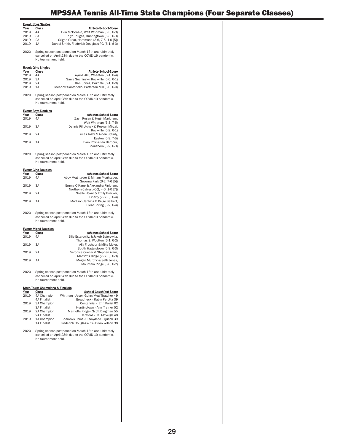# MPSSAA Tennis All-Time State Champions (Four Separate Classes)

| <b>Event: Boys Singles</b><br>Year<br>Class<br>Athlete-School-Score<br>2019<br>4A<br>Evin McDonald, Walt Whitman (6-3, 6-3)<br>Taiyo Tougas, Huntingtown (6-3, 6-3)<br>2019<br>ЗA<br>2019<br>2A<br>Origen Grear, Hammond (3-6, 7-5, 1-0 [5])<br>2019<br>1A<br>Daniel Smith, Frederick Douglass-PG (6-1, 6-3)<br>2020<br>Spring season postponed on March 13th and ultimately<br>cancelled on April 28th due to the COVID-19 pandemic.<br>No tournament held.<br><b>Event: Girls Singles</b><br>Year<br>Class<br>Athlete-School-Score<br>2019<br>4A<br>Ayana Akli, Wheaton (6-1, 6-4)<br>2019<br>ЗA<br>Sania Suchinsky, Rockville (6-0, 6-1)<br>Rani Jones, Oakdale (6-1, 6-0)<br>2019<br>2Α<br>2019<br>Meadow Santoriello, Patterson Mill (6-0, 6-0)<br>1A<br>2020<br>Spring season postponed on March 13th and ultimately<br>cancelled on April 28th due to the COVID-19 pandemic.<br>No tournament held.<br><b>Event: Boys Doubles</b><br>Year<br>Class<br>Athletes-School-Score<br>2019<br>4A<br>Zach Rosen & Hugh Markham,<br>Walt Whitman (6-3, 7-5)<br>2019<br>ЗA<br>Dennis Piliptchak & Keeyan Mirzai,<br>Rockville (6-2, 6-1)<br>2019<br>2A<br>Lucas Joshi & Aiden Steinly,<br>Easton (6-3, 7-5)<br>2019<br>1A<br>Evan Row & lan Barbour,<br>Boonsboro (6-2, 6-3)<br>2020<br>Spring season postponed on March 13th and ultimately<br>cancelled on April 28th due to the COVID-19 pandemic.<br>No tournament held.<br><b>Event: Girls Doubles</b><br>Year<br>Class<br>Athletes-School-Score<br>4A<br>Abby Moghtader & Miriam Moghtader,<br>2019<br>Severna Park (6-2, 7-6 [5])<br>2019<br>ЗA<br>Emma O'Kane & Alexandra Pinkham,<br>Northern-Calvert (6-2, 4-6, 1-0 [7])<br>2019<br>2A<br>Noelle Htwar & Emily Brecker,<br>Liberty (7-6 [3], 6-4)<br>2019<br>1A<br>Madison Jenkins & Paige Seibert,<br>Clear Spring (6-2, 6-4)<br>2020<br>Spring season postponed on March 13th and ultimately<br>cancelled on April 28th due to the COVID-19 pandemic. |
|----------------------------------------------------------------------------------------------------------------------------------------------------------------------------------------------------------------------------------------------------------------------------------------------------------------------------------------------------------------------------------------------------------------------------------------------------------------------------------------------------------------------------------------------------------------------------------------------------------------------------------------------------------------------------------------------------------------------------------------------------------------------------------------------------------------------------------------------------------------------------------------------------------------------------------------------------------------------------------------------------------------------------------------------------------------------------------------------------------------------------------------------------------------------------------------------------------------------------------------------------------------------------------------------------------------------------------------------------------------------------------------------------------------------------------------------------------------------------------------------------------------------------------------------------------------------------------------------------------------------------------------------------------------------------------------------------------------------------------------------------------------------------------------------------------------------------------------------------------------------------------------------------------------------------------------------------------------|
|                                                                                                                                                                                                                                                                                                                                                                                                                                                                                                                                                                                                                                                                                                                                                                                                                                                                                                                                                                                                                                                                                                                                                                                                                                                                                                                                                                                                                                                                                                                                                                                                                                                                                                                                                                                                                                                                                                                                                                |
|                                                                                                                                                                                                                                                                                                                                                                                                                                                                                                                                                                                                                                                                                                                                                                                                                                                                                                                                                                                                                                                                                                                                                                                                                                                                                                                                                                                                                                                                                                                                                                                                                                                                                                                                                                                                                                                                                                                                                                |
|                                                                                                                                                                                                                                                                                                                                                                                                                                                                                                                                                                                                                                                                                                                                                                                                                                                                                                                                                                                                                                                                                                                                                                                                                                                                                                                                                                                                                                                                                                                                                                                                                                                                                                                                                                                                                                                                                                                                                                |
|                                                                                                                                                                                                                                                                                                                                                                                                                                                                                                                                                                                                                                                                                                                                                                                                                                                                                                                                                                                                                                                                                                                                                                                                                                                                                                                                                                                                                                                                                                                                                                                                                                                                                                                                                                                                                                                                                                                                                                |
|                                                                                                                                                                                                                                                                                                                                                                                                                                                                                                                                                                                                                                                                                                                                                                                                                                                                                                                                                                                                                                                                                                                                                                                                                                                                                                                                                                                                                                                                                                                                                                                                                                                                                                                                                                                                                                                                                                                                                                |
|                                                                                                                                                                                                                                                                                                                                                                                                                                                                                                                                                                                                                                                                                                                                                                                                                                                                                                                                                                                                                                                                                                                                                                                                                                                                                                                                                                                                                                                                                                                                                                                                                                                                                                                                                                                                                                                                                                                                                                |
|                                                                                                                                                                                                                                                                                                                                                                                                                                                                                                                                                                                                                                                                                                                                                                                                                                                                                                                                                                                                                                                                                                                                                                                                                                                                                                                                                                                                                                                                                                                                                                                                                                                                                                                                                                                                                                                                                                                                                                |
|                                                                                                                                                                                                                                                                                                                                                                                                                                                                                                                                                                                                                                                                                                                                                                                                                                                                                                                                                                                                                                                                                                                                                                                                                                                                                                                                                                                                                                                                                                                                                                                                                                                                                                                                                                                                                                                                                                                                                                |
|                                                                                                                                                                                                                                                                                                                                                                                                                                                                                                                                                                                                                                                                                                                                                                                                                                                                                                                                                                                                                                                                                                                                                                                                                                                                                                                                                                                                                                                                                                                                                                                                                                                                                                                                                                                                                                                                                                                                                                |
|                                                                                                                                                                                                                                                                                                                                                                                                                                                                                                                                                                                                                                                                                                                                                                                                                                                                                                                                                                                                                                                                                                                                                                                                                                                                                                                                                                                                                                                                                                                                                                                                                                                                                                                                                                                                                                                                                                                                                                |
|                                                                                                                                                                                                                                                                                                                                                                                                                                                                                                                                                                                                                                                                                                                                                                                                                                                                                                                                                                                                                                                                                                                                                                                                                                                                                                                                                                                                                                                                                                                                                                                                                                                                                                                                                                                                                                                                                                                                                                |
|                                                                                                                                                                                                                                                                                                                                                                                                                                                                                                                                                                                                                                                                                                                                                                                                                                                                                                                                                                                                                                                                                                                                                                                                                                                                                                                                                                                                                                                                                                                                                                                                                                                                                                                                                                                                                                                                                                                                                                |
|                                                                                                                                                                                                                                                                                                                                                                                                                                                                                                                                                                                                                                                                                                                                                                                                                                                                                                                                                                                                                                                                                                                                                                                                                                                                                                                                                                                                                                                                                                                                                                                                                                                                                                                                                                                                                                                                                                                                                                |
|                                                                                                                                                                                                                                                                                                                                                                                                                                                                                                                                                                                                                                                                                                                                                                                                                                                                                                                                                                                                                                                                                                                                                                                                                                                                                                                                                                                                                                                                                                                                                                                                                                                                                                                                                                                                                                                                                                                                                                |
|                                                                                                                                                                                                                                                                                                                                                                                                                                                                                                                                                                                                                                                                                                                                                                                                                                                                                                                                                                                                                                                                                                                                                                                                                                                                                                                                                                                                                                                                                                                                                                                                                                                                                                                                                                                                                                                                                                                                                                |
|                                                                                                                                                                                                                                                                                                                                                                                                                                                                                                                                                                                                                                                                                                                                                                                                                                                                                                                                                                                                                                                                                                                                                                                                                                                                                                                                                                                                                                                                                                                                                                                                                                                                                                                                                                                                                                                                                                                                                                |
|                                                                                                                                                                                                                                                                                                                                                                                                                                                                                                                                                                                                                                                                                                                                                                                                                                                                                                                                                                                                                                                                                                                                                                                                                                                                                                                                                                                                                                                                                                                                                                                                                                                                                                                                                                                                                                                                                                                                                                |
|                                                                                                                                                                                                                                                                                                                                                                                                                                                                                                                                                                                                                                                                                                                                                                                                                                                                                                                                                                                                                                                                                                                                                                                                                                                                                                                                                                                                                                                                                                                                                                                                                                                                                                                                                                                                                                                                                                                                                                |
|                                                                                                                                                                                                                                                                                                                                                                                                                                                                                                                                                                                                                                                                                                                                                                                                                                                                                                                                                                                                                                                                                                                                                                                                                                                                                                                                                                                                                                                                                                                                                                                                                                                                                                                                                                                                                                                                                                                                                                |
|                                                                                                                                                                                                                                                                                                                                                                                                                                                                                                                                                                                                                                                                                                                                                                                                                                                                                                                                                                                                                                                                                                                                                                                                                                                                                                                                                                                                                                                                                                                                                                                                                                                                                                                                                                                                                                                                                                                                                                |
|                                                                                                                                                                                                                                                                                                                                                                                                                                                                                                                                                                                                                                                                                                                                                                                                                                                                                                                                                                                                                                                                                                                                                                                                                                                                                                                                                                                                                                                                                                                                                                                                                                                                                                                                                                                                                                                                                                                                                                |
|                                                                                                                                                                                                                                                                                                                                                                                                                                                                                                                                                                                                                                                                                                                                                                                                                                                                                                                                                                                                                                                                                                                                                                                                                                                                                                                                                                                                                                                                                                                                                                                                                                                                                                                                                                                                                                                                                                                                                                |
|                                                                                                                                                                                                                                                                                                                                                                                                                                                                                                                                                                                                                                                                                                                                                                                                                                                                                                                                                                                                                                                                                                                                                                                                                                                                                                                                                                                                                                                                                                                                                                                                                                                                                                                                                                                                                                                                                                                                                                |
|                                                                                                                                                                                                                                                                                                                                                                                                                                                                                                                                                                                                                                                                                                                                                                                                                                                                                                                                                                                                                                                                                                                                                                                                                                                                                                                                                                                                                                                                                                                                                                                                                                                                                                                                                                                                                                                                                                                                                                |
|                                                                                                                                                                                                                                                                                                                                                                                                                                                                                                                                                                                                                                                                                                                                                                                                                                                                                                                                                                                                                                                                                                                                                                                                                                                                                                                                                                                                                                                                                                                                                                                                                                                                                                                                                                                                                                                                                                                                                                |
|                                                                                                                                                                                                                                                                                                                                                                                                                                                                                                                                                                                                                                                                                                                                                                                                                                                                                                                                                                                                                                                                                                                                                                                                                                                                                                                                                                                                                                                                                                                                                                                                                                                                                                                                                                                                                                                                                                                                                                |
|                                                                                                                                                                                                                                                                                                                                                                                                                                                                                                                                                                                                                                                                                                                                                                                                                                                                                                                                                                                                                                                                                                                                                                                                                                                                                                                                                                                                                                                                                                                                                                                                                                                                                                                                                                                                                                                                                                                                                                |
|                                                                                                                                                                                                                                                                                                                                                                                                                                                                                                                                                                                                                                                                                                                                                                                                                                                                                                                                                                                                                                                                                                                                                                                                                                                                                                                                                                                                                                                                                                                                                                                                                                                                                                                                                                                                                                                                                                                                                                |
|                                                                                                                                                                                                                                                                                                                                                                                                                                                                                                                                                                                                                                                                                                                                                                                                                                                                                                                                                                                                                                                                                                                                                                                                                                                                                                                                                                                                                                                                                                                                                                                                                                                                                                                                                                                                                                                                                                                                                                |
|                                                                                                                                                                                                                                                                                                                                                                                                                                                                                                                                                                                                                                                                                                                                                                                                                                                                                                                                                                                                                                                                                                                                                                                                                                                                                                                                                                                                                                                                                                                                                                                                                                                                                                                                                                                                                                                                                                                                                                |
| No tournament held.                                                                                                                                                                                                                                                                                                                                                                                                                                                                                                                                                                                                                                                                                                                                                                                                                                                                                                                                                                                                                                                                                                                                                                                                                                                                                                                                                                                                                                                                                                                                                                                                                                                                                                                                                                                                                                                                                                                                            |
| <b>Event: Mixed Doubles</b>                                                                                                                                                                                                                                                                                                                                                                                                                                                                                                                                                                                                                                                                                                                                                                                                                                                                                                                                                                                                                                                                                                                                                                                                                                                                                                                                                                                                                                                                                                                                                                                                                                                                                                                                                                                                                                                                                                                                    |
| Year<br>Class<br>Athletes-School-Score                                                                                                                                                                                                                                                                                                                                                                                                                                                                                                                                                                                                                                                                                                                                                                                                                                                                                                                                                                                                                                                                                                                                                                                                                                                                                                                                                                                                                                                                                                                                                                                                                                                                                                                                                                                                                                                                                                                         |
| 2019<br>4A<br>Ellie Esterowitz & Jakob Esterowitz,                                                                                                                                                                                                                                                                                                                                                                                                                                                                                                                                                                                                                                                                                                                                                                                                                                                                                                                                                                                                                                                                                                                                                                                                                                                                                                                                                                                                                                                                                                                                                                                                                                                                                                                                                                                                                                                                                                             |
| Thomas S. Wootton (6-1, 6-2)                                                                                                                                                                                                                                                                                                                                                                                                                                                                                                                                                                                                                                                                                                                                                                                                                                                                                                                                                                                                                                                                                                                                                                                                                                                                                                                                                                                                                                                                                                                                                                                                                                                                                                                                                                                                                                                                                                                                   |
| 2019<br>3A<br>Ally Frushour & Mike Moler,                                                                                                                                                                                                                                                                                                                                                                                                                                                                                                                                                                                                                                                                                                                                                                                                                                                                                                                                                                                                                                                                                                                                                                                                                                                                                                                                                                                                                                                                                                                                                                                                                                                                                                                                                                                                                                                                                                                      |
| South Hagerstown (6-3, 6-3)                                                                                                                                                                                                                                                                                                                                                                                                                                                                                                                                                                                                                                                                                                                                                                                                                                                                                                                                                                                                                                                                                                                                                                                                                                                                                                                                                                                                                                                                                                                                                                                                                                                                                                                                                                                                                                                                                                                                    |
| 2019<br>2A<br>Veronica Cuellar & Stephen Alam,                                                                                                                                                                                                                                                                                                                                                                                                                                                                                                                                                                                                                                                                                                                                                                                                                                                                                                                                                                                                                                                                                                                                                                                                                                                                                                                                                                                                                                                                                                                                                                                                                                                                                                                                                                                                                                                                                                                 |
| Marriotts Ridge (7-6 [3], 6-3)<br>2019<br>1A<br>Megan Murphy & Seth Jones,                                                                                                                                                                                                                                                                                                                                                                                                                                                                                                                                                                                                                                                                                                                                                                                                                                                                                                                                                                                                                                                                                                                                                                                                                                                                                                                                                                                                                                                                                                                                                                                                                                                                                                                                                                                                                                                                                     |
| Mountain Ridge (6-0, 6-2)                                                                                                                                                                                                                                                                                                                                                                                                                                                                                                                                                                                                                                                                                                                                                                                                                                                                                                                                                                                                                                                                                                                                                                                                                                                                                                                                                                                                                                                                                                                                                                                                                                                                                                                                                                                                                                                                                                                                      |
| 2020<br>Spring season postponed on March 13th and ultimately<br>cancelled on April 28th due to the COVID-19 pandemic.<br>No tournament held.                                                                                                                                                                                                                                                                                                                                                                                                                                                                                                                                                                                                                                                                                                                                                                                                                                                                                                                                                                                                                                                                                                                                                                                                                                                                                                                                                                                                                                                                                                                                                                                                                                                                                                                                                                                                                   |
|                                                                                                                                                                                                                                                                                                                                                                                                                                                                                                                                                                                                                                                                                                                                                                                                                                                                                                                                                                                                                                                                                                                                                                                                                                                                                                                                                                                                                                                                                                                                                                                                                                                                                                                                                                                                                                                                                                                                                                |
| State Team Champions & Finalists                                                                                                                                                                                                                                                                                                                                                                                                                                                                                                                                                                                                                                                                                                                                                                                                                                                                                                                                                                                                                                                                                                                                                                                                                                                                                                                                                                                                                                                                                                                                                                                                                                                                                                                                                                                                                                                                                                                               |
| Year<br>Class<br>School-Coach(es)-Score<br>Whitman - Jasen Gohn/Meg Thatcher 49                                                                                                                                                                                                                                                                                                                                                                                                                                                                                                                                                                                                                                                                                                                                                                                                                                                                                                                                                                                                                                                                                                                                                                                                                                                                                                                                                                                                                                                                                                                                                                                                                                                                                                                                                                                                                                                                                |
| 2019<br>4A Champion<br><b>4A Finalist</b><br>Broadneck - Kathy Perotta 39                                                                                                                                                                                                                                                                                                                                                                                                                                                                                                                                                                                                                                                                                                                                                                                                                                                                                                                                                                                                                                                                                                                                                                                                                                                                                                                                                                                                                                                                                                                                                                                                                                                                                                                                                                                                                                                                                      |
| Centennial - Erin Parisi 62<br>2019<br>3A Champion                                                                                                                                                                                                                                                                                                                                                                                                                                                                                                                                                                                                                                                                                                                                                                                                                                                                                                                                                                                                                                                                                                                                                                                                                                                                                                                                                                                                                                                                                                                                                                                                                                                                                                                                                                                                                                                                                                             |
| Huntingtown - Amy Trainer 52<br><b>3A Finalist</b>                                                                                                                                                                                                                                                                                                                                                                                                                                                                                                                                                                                                                                                                                                                                                                                                                                                                                                                                                                                                                                                                                                                                                                                                                                                                                                                                                                                                                                                                                                                                                                                                                                                                                                                                                                                                                                                                                                             |
| 2A Champion<br>Marriotts Ridge - Scott Dingman 55<br>2019                                                                                                                                                                                                                                                                                                                                                                                                                                                                                                                                                                                                                                                                                                                                                                                                                                                                                                                                                                                                                                                                                                                                                                                                                                                                                                                                                                                                                                                                                                                                                                                                                                                                                                                                                                                                                                                                                                      |
| Hereford - Hal McVeigh 48<br>2A Finalist                                                                                                                                                                                                                                                                                                                                                                                                                                                                                                                                                                                                                                                                                                                                                                                                                                                                                                                                                                                                                                                                                                                                                                                                                                                                                                                                                                                                                                                                                                                                                                                                                                                                                                                                                                                                                                                                                                                       |
| 1A Champion<br>Sparrows Point - C. Snyder/S. Quach 39<br>2019<br>1A Finalist<br>Frederick Douglass-PG - Brian Wilson 38                                                                                                                                                                                                                                                                                                                                                                                                                                                                                                                                                                                                                                                                                                                                                                                                                                                                                                                                                                                                                                                                                                                                                                                                                                                                                                                                                                                                                                                                                                                                                                                                                                                                                                                                                                                                                                        |
| Spring season postponed on March 13th and ultimately<br>2020<br>cancelled on April 28th due to the COVID-19 pandemic.<br>No tournament held.                                                                                                                                                                                                                                                                                                                                                                                                                                                                                                                                                                                                                                                                                                                                                                                                                                                                                                                                                                                                                                                                                                                                                                                                                                                                                                                                                                                                                                                                                                                                                                                                                                                                                                                                                                                                                   |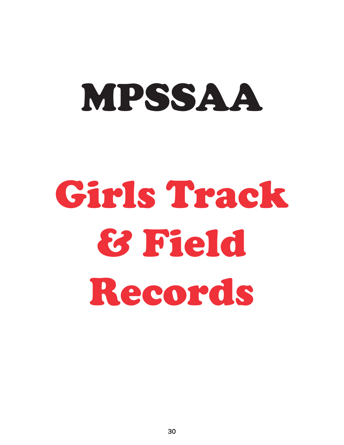# MPSSAA

# Girls Track & Field Records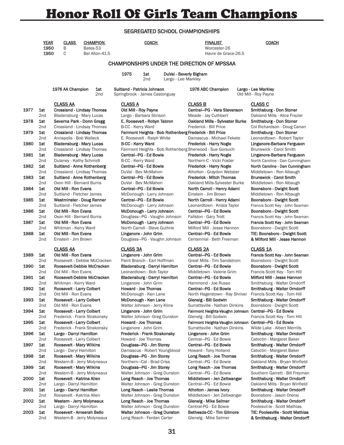# Honor Roll Of Girls Team Champions

## SEGREGATED SCHOOL CHAMPIONSHIPS

|      | <b>YEAR</b><br>1950<br>1950   | <b>CLASS</b><br>Β<br>C                                | <b>CHAMPION</b><br>Bates-53<br>Bel Alton-41.5                 |                                                               | <b>COACH</b>                                                      |                                               | <b>FINALIST</b><br>Worcester-26<br>Havre de Grace-26.5                                                           | <b>COACH</b>                                                                                   |
|------|-------------------------------|-------------------------------------------------------|---------------------------------------------------------------|---------------------------------------------------------------|-------------------------------------------------------------------|-----------------------------------------------|------------------------------------------------------------------------------------------------------------------|------------------------------------------------------------------------------------------------|
|      |                               |                                                       |                                                               |                                                               |                                                                   |                                               | <b>CHAMPIONSHIPS UNDER THE DIRECTION OF MPSSAA</b>                                                               |                                                                                                |
|      |                               |                                                       |                                                               | 1975                                                          | 1st<br>2nd                                                        | DuVal - Beverly Bigham<br>Largo - Lee Markley |                                                                                                                  |                                                                                                |
|      |                               | 1976 AA Champion                                      | 1st<br>2 <sub>nd</sub>                                        | Suitland - Patricia Johnson<br>Springbrook - James Castonguay |                                                                   |                                               | 1976 ABC Champion                                                                                                | Largo - Lee Markley<br>Old Mill - Roy Payne                                                    |
| 1977 | 1st                           | <b>CLASS AA</b>                                       | <b>Crossland - Lindsay Thomas</b>                             | <b>CLASS A</b>                                                | Old Mill - Roy Payne                                              |                                               | <b>CLASS B</b><br>Central-PG - Vera Stevenson                                                                    | <b>CLASS C</b><br>Smithsburg - Don Stoner                                                      |
| 1978 | 2 <sub>nd</sub><br>1st        |                                                       | Bladensburg - Mary Lucas<br>Severna Park - Donn Gregg         |                                                               | Largo - Barbara Stinson<br>E. Roosevelt - Robyn Tabron            |                                               | Meade - Jay Cuthbert<br>Oakland Mills - Sylvester Burke                                                          | Oakland Mills - Alice Frazier<br>Smithsburg - Don Stoner                                       |
| 1979 | 2 <sub>nd</sub><br>1st        |                                                       | Crossland - Lindsay Thomas<br>Crossland - Lindsay Thomas      |                                                               | B-CC - Kerry Ward                                                 |                                               | Frederick - Bill Price<br>Fairmont Heights - Bob Rothenberg Frederick - Bill Price                               | Col Richardson - Doug Canan<br>Smithsburg - Don Stoner                                         |
| 1980 | 2nd<br>1st                    | Annapolis - Bob Walleck                               | <b>Bladensburg - Mary Lucas</b>                               |                                                               | E. Roosevelt - Ralph White<br><b>B-CC - Kerry Ward</b>            |                                               | Damascus - Michael Fekete<br>Frederick - Harry Nogle                                                             | Leonardtown - Robert Taylor<br>Linganore-Barbara Ferguson                                      |
| 1981 | 2 <sub>nd</sub><br>1st        |                                                       | Crossland - Lindsay Thomas<br><b>Bladensburg - Mary Lucas</b> |                                                               | Central--PG - Ed Bowie                                            |                                               | Fairmont Heights - Bob Rothenberg Sherwood - Sue Gorsuch<br>Frederick - Harry Nogle<br>Northern-C - Vicki Foster | Brunswick - Carol Smith<br>Linganore-Barbara Ferguson                                          |
| 1982 | 2 <sub>nd</sub><br>1st<br>2nd | Dulaney - Kathy Schmidt                               | Suitland - Anne Rothenberg<br>Crossland - Lindsay Thomas      |                                                               | B-CC - Kerry Ward<br>Central-PG - Ed Bowie<br>DuVal - Bev McMahon |                                               | <b>Frederick - Harry Nogle</b><br>Atholton - Graydon Webster                                                     | North Caroline - Dan Cunningham<br>North Caroline - Dan Cunningham<br>Middletown - Ron Albaugh |
| 1983 | 1st<br>2 <sub>nd</sub>        | Oxon Hill - Bernard Burns                             | Suitland - Anne Rothenberg                                    |                                                               | Central-PG - Ed Bowie<br>DuVal - Bev McMahon                      |                                               | <b>Frederick - Mitch Thomas</b><br>Oakland Mills-Sylvester Burke                                                 | <b>Brunswick - Carol Smith</b><br>Middletown - Ron Albaugh                                     |
| 1984 | 1st<br>2 <sub>nd</sub>        | Old Mill - Ron Evans<br>Suitland - Fletcher James     |                                                               |                                                               | Central--PG - Ed Bowie<br>McDonough - Larry Johnson               |                                               | North Carroll - Henry Adami<br>Einstein - Jim Brown                                                              | Boonsboro - Dwight Scott<br>Middletown - Ron Albaugh                                           |
| 1985 | 1st<br>2nd                    | Suitland - Fletcher James                             | Westminster - Doug Renner                                     |                                                               | Central-PG - Ed Bowie<br>McDonough - Larry Johnson                |                                               | North Carroll - Henry Adami<br>Leonardtown - Krista Taylor                                                       | Boonsboro - Dwight Scott<br>Francis Scott Key - John Seaman                                    |
| 1986 | 1st<br>2 <sub>nd</sub>        | Old Mill - Ron Evans<br>Oxon Hill - Bernard Burns     |                                                               |                                                               | McDonough - Larry Johnson<br>Douglass-PG - Vaughn Johnson         |                                               | Central-PG - Ed Bowie<br>Fallston - Gary Trott                                                                   | Boonsboro - Dwight Scott<br>Francis Scott Key - John Seaman                                    |
| 1987 | 1st<br>2 <sub>nd</sub>        | Old Mill - Ron Evans<br>Whitman - Kerry Ward          |                                                               |                                                               | McDonough - Larry Johnson<br>North Carroll - Steve Guthrie        |                                               | Central-PG - Ed Bowie<br>Milford Mill - Jesse Hannon                                                             | Francis Scott Key - John Seaman<br>Boonsboro - Dwight Scott                                    |
| 1988 | 1st<br>2nd                    | Old Mill - Ron Evans<br>Einstein - Jim Brown          |                                                               |                                                               | Linganore - John Grim<br>Douglass-PG - Vaughn Johnson             |                                               | Central-PG - Ed Bowie<br>Centennial - Beth Freeman                                                               | TIE: Boonsboro - Dwight Scott<br>& Milford Mill - Jesse Hannon                                 |
|      |                               | <b>CLASS 4A</b>                                       |                                                               | <b>CLASS 3A</b>                                               |                                                                   |                                               | <b>CLASS 2A</b>                                                                                                  | <b>CLASS 1A</b>                                                                                |
| 1989 | 1st<br>2 <sub>nd</sub>        | Old Mill - Ron Evans                                  | Roosevelt - Debbie McCracken                                  |                                                               | Linganore - John Grim<br>Paint Branch - Earl Hoffman              |                                               | Central-PG - Ed Bowie<br>Great Mills - Tim Sandstrom                                                             | Francis Scott Key - John Seaman<br>Boonsboro - Dwight Scott                                    |
| 1990 | 1st<br>2 <sub>nd</sub>        | Old Mill - Ron Evans                                  | Roosevelt-Debbie McCracken                                    |                                                               | Bladensburg - Darryl Hamilton<br>Leonardtown - Bob Taylor         |                                               | Central-PG - Ed Bowie<br>Middletown - Valerie Grim                                                               | Boonsboro - Dwight Scott<br>Francis Scott Key - Tom Hill                                       |
| 1991 | 1st                           |                                                       | Roosevelt-Debbie McCracken                                    |                                                               | Bladensburg - Darryl Hamilton                                     |                                               | Central-PG - Ed Bowie                                                                                            | Milford Mill - Jesse Hannon                                                                    |
| 1992 | 2nd<br>1st                    | Whitman - Kerry Ward<br>Roosevelt - Larry Colbert     |                                                               |                                                               | Linganore - John Grim<br>Howard - Joe Thomas                      |                                               | Hammond - Joe Russo<br>Central-PG - Ed Bowie                                                                     | Smithsburg - Walter Orndorff<br>Smithsburg - Walter Orndorff                                   |
|      | 2nd                           | Old Mill - Ron Evans                                  |                                                               |                                                               | McDonough - Ken Lane                                              |                                               | North Hagerstown - Ray Shriver                                                                                   | Francis Scott Key - Tom Hill                                                                   |
| 1993 | 1st<br>2nd                    | Roosevelt - Larry Colbert<br>Old Mill - Ron Evans     |                                                               |                                                               | McDonough - Ken Lane<br>Walter Johnson - Jerry Kline              |                                               | Glenelg - Bill Godwin<br>Surrattsville - Nathan Dinkins                                                          | Smithsburg - Walter Orndorff<br>Boonsboro - Dwight Scott                                       |
| 1994 | 1st                           | Roosevelt - Larry Colbert                             |                                                               |                                                               | Linganore - John Grim                                             |                                               | Fairmont Heights-Vaughn Johnson                                                                                  | Central-PG - Ed Bowie                                                                          |
|      | 2nd                           |                                                       | Frederick - Frank Strakonsky                                  |                                                               | Walter Johnson - Greg Dunston                                     |                                               | Glenelg - Bill Godwin                                                                                            | Francis Scott Key - Tom Hill                                                                   |
| 1995 | 1st<br>2nd                    | Roosevelt - Larry Colbert                             | Frederick - Frank Strakonsky                                  |                                                               | Howard - Joe Thomas<br>Linganore - John Grim                      |                                               | Fairmont Heights-Vaughn Johnson<br>Surrattsville - Nathan Dinkins                                                | Central-PG - Ed Bowie<br>Wilde Lake - Albert Merrills                                          |
| 1996 | 1st                           | Largo - Darryl Hamilton                               |                                                               |                                                               | Frederick - Frank Strakonsky                                      |                                               | Linganore - John Grim                                                                                            | Smithsburg - Walter Orndorff                                                                   |
| 1997 | 2nd<br>1st                    | Roosevelt - Larry Colbert<br>Roosevelt - Mary Wilkins |                                                               |                                                               | Howard - Joe Thomas<br>Douglass-PG - Jim Storey                   |                                               | Central-PG - Ed Bowie<br>Central-PG - Ed Bowie                                                                   | Catoctin - Margaret Baker<br>Smithsburg - Walter Orndorff                                      |
|      | 2nd                           | Largo - Daryl Hamilton                                |                                                               |                                                               | Damascus - Robert Youngblood                                      |                                               | Howard - Tony Holland                                                                                            | Catoctin - Margaret Baker                                                                      |
| 1998 | 1st                           | Roosevelt - Mary Wilkins                              |                                                               |                                                               | Douglass-PG - Jim Storey                                          |                                               | Long Reach - Joe Thomas                                                                                          | Smithsburg - Walter Orndorff                                                                   |
|      | 2nd                           |                                                       | Western-B - Jerry Molyneaux                                   |                                                               | Northern-Cal - Brad Criss                                         |                                               | Central-PG - Ed Bowie                                                                                            | Oakland Mills - Bryan Winfield                                                                 |
| 1999 | 1st<br>2nd                    | Roosevelt - Mary Wilkins                              | Western-B - Jerry Molyneaux                                   |                                                               | Douglass-PG - Jim Storey<br>Walter Johnson - Greg Dunston         |                                               | Long Reach - Joe Thomas<br>Central-PG - Ed Bowie                                                                 | Smithsburg - Walter Orndorff<br>Southern Garrett - Bill Freyman                                |
| 2000 | 1st                           | Roosevelt - Katrina Allen                             |                                                               |                                                               | Long Reach - Joe Thomas                                           |                                               | Middletown - Jen Zeltwanger                                                                                      | Smithsburg - Walter Orndorff                                                                   |
|      | 2nd                           | Largo - Darryl Hamilton                               |                                                               |                                                               | Walter Johnson - Greg Dunston                                     |                                               | Central-PG - Ed Bowie                                                                                            | Oakland Mills - Bryan Winfield                                                                 |
| 2001 | 1st                           | Largo - Darryl Hamilton                               |                                                               |                                                               | Long Reach - Leslie Thomas                                        |                                               | Atholton - James Ivory                                                                                           | Smithsburg - Walter Orndorff                                                                   |
| 2002 | 2nd                           | Roosevelt - Katrina Allen                             |                                                               |                                                               | Walter Johnson - Greg Dunston                                     |                                               | Middletown - Jen Zeltwanger                                                                                      | Boonsboro - Jason Orensi                                                                       |
|      | 1st<br>2nd                    | Largo - Darryl Hamilton                               | Western - Jerry Molyneaux                                     |                                                               | Long Reach - Joe Thomas<br>Walter Johnson - Greg Dunston          |                                               | Glenelg - Mike Selmer<br>Central-PG - Ed Bowie                                                                   | Smithsburg - Walter Orndorff<br>Poolesvil-le - Scott Mathias                                   |

2003 1st Roosevelt - Ameerah Bello Walter Johnson - Greg Dunston Bethesda-CC - Tim Gilmore TIE: Poolesville - Scott Mathias 2nd Western-B - Jerry Molyneaux Long Reach - Ferdan Carter Glenelg - Mike Selmer & Smithsburg - Walter Orndorff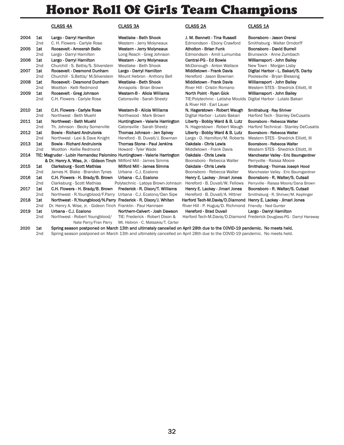# Honor Roll Of Girls Team Champions

## CLASS 4A CLASS 3A CLASS 2A CLASS 1A

| 2004 | 1st             | Largo - Darryl Hamilton                                                                                                   | Westlake - Beth Shook              | J. M. Bennett - Tina Russell                                | Boonsboro - Jason Oren            |
|------|-----------------|---------------------------------------------------------------------------------------------------------------------------|------------------------------------|-------------------------------------------------------------|-----------------------------------|
|      | 2nd             | C. H. Flowers - Carlyle Rose                                                                                              | Western - Jerry Molyneaux          | Edmondson - Ebony Crawford                                  | Smithsburg - Walter Orn           |
| 2005 | 1st             | Roosevelt - Ameerah Bello                                                                                                 | Western - Jerry Molyneaux          | Atholton - Brian Funk                                       | Boonsboro - David Burre           |
|      | 2 <sub>nd</sub> | Largo - Darryl Hamilton                                                                                                   | Long Reach - Greg Johnson          | Edmondson - Amili Lumumba                                   | Brunswick - Anne Zumba            |
| 2006 | 1st             | Largo - Darryl Hamilton                                                                                                   | Western - Jerry Molyneaux          | Central-PG - Ed Bowie                                       | Williamsport - John Baile         |
|      | 2 <sub>nd</sub> | Churchill - S. Bettis/S. Silverstein                                                                                      | Westlake - Beth Shook              | McDonough - Anton Wallace                                   | New Town - Morgan Lisb            |
| 2007 | 1st             | Roosevelt - Desmond Dunham                                                                                                | Largo - Darryl Hamilton            | <b>Middletown - Frank Davis</b>                             | Digital Harbor - L. Bakar         |
|      | 2 <sub>nd</sub> | Churchill - S.Bettis/ M.Silverstein                                                                                       | Mount Hebron - Anthony Bell        | Hereford - Jason Bowman                                     | Poolesville - Bryan Bless         |
| 2008 | 1st             | Roosevelt - Desmond Dunham                                                                                                | Westlake - Beth Shook              | <b>Middletown - Frank Davis</b>                             | Williamsport - John Baile         |
|      | 2 <sub>nd</sub> | Wootton - Kelli Redmond                                                                                                   | Annapolis - Brian Brown            | River Hill - Cristin Romano                                 | Western STES - Shedrick           |
| 2009 | 1st             | Roosevelt - Greg Johnson                                                                                                  | Western-B - Alicia Williams        | North Point - Ryan Gick                                     | Williamsport - John Baile         |
|      | 2 <sub>nd</sub> | C.H. Flowers - Carlyle Rose                                                                                               | Catonsville - Sarah Sheetz         | TIE: Polytechnic - Latisha Moulds Digital Harbor - Lutalo B |                                   |
|      |                 |                                                                                                                           |                                    | & River Hill - Earl Lauer                                   |                                   |
| 2010 | 1st             | C.H. Flowers - Carlyle Rose                                                                                               | Western-B - Alicia Williams        | N. Hagerstown - Robert Waugh                                | Smithsburg - Ray Shriver          |
|      | 2 <sub>nd</sub> | Northwest - Beth Muehl                                                                                                    | Northwood - Mark Brown             | Digital Harbor - Lutalo Bakari                              | Harford Tech - Stanley D          |
| 2011 | 1st             | Northwest - Beth Muehl                                                                                                    | Huntingtown - Valerie Harrington   | Liberty - Bobby Ward & B. Lutz                              | Boonsboro - Rebecca Wal           |
|      | 2 <sub>nd</sub> | Th. Johnson - Becky Somerville                                                                                            | Catonsville - Sarah Sheetz         | N. Hagerstown - Robert Waugh                                | Harford Technical - Stan          |
| 2012 | 1st             | <b>Bowie - Richard Andrulonis</b>                                                                                         | Thomas Johnson - Jen Spivey        | Liberty - Bobby Ward & B. Lutz                              | Boonsboro - Rebecca Wal           |
|      | 2nd             | Northwest - Lexi & Dave Knight                                                                                            | Hereford - B. Duvall/J. Bowman     | Largo - D. Hamilton/M. Roberts                              | Western STES - Shedrick           |
| 2013 | 1st             | <b>Bowie - Richard Andrulonis</b>                                                                                         | Thomas Stone - Paul Jenkins        | Oakdale - Chris Lewis                                       | Boonsboro - Rebecca Wal           |
|      | 2nd             | Wootton - Kellie Redmond                                                                                                  | Howard - Tyler Wade                | Middletown - Frank Davis                                    | Western STES - Shedrick           |
| 2014 |                 | TIE: Magruder - Lubin Hernandez Palomino Huntingtown - Valerie Harrington                                                 |                                    | Oakdale - Chris Lewis                                       | <b>Manchester Valley - Eric B</b> |
|      |                 | & Dr. Henry A. Wise, Jr. - Gideon Tinch Milford Mill - James Simms                                                        |                                    | Boonsboro - Rebecca Walter                                  | Perryville - Raissa Moore         |
| 2015 | 1st             | <b>Clarksburg - Scott Mathias</b>                                                                                         | Milford Mill - James Simms         | Oakdale - Chris Lewis                                       | Smithsburg - Thomas Jose          |
|      | 2 <sub>nd</sub> | James H. Blake - Brandon Tynes                                                                                            | Urbana - C.J. Ecalono              | Boonsboro - Rebecca Walter                                  | Manchester Valley - Eric B        |
| 2016 | 1st             | C.H. Flowers - H. Brady/B. Brown                                                                                          | Urbana - C.J. Ecalono              | Henry E. Lackey - Jimari Jones                              | Boonsboro - R. Walter/S           |
|      | 2 <sub>nd</sub> | Clarksburg - Scott Mathias                                                                                                | Polytechnic - Latoya Brown-Johnson | Hereford - B. Duvall/W. Fellows                             | Perryville - Raissa Moore/        |
| 2017 | 1st             | C.H. Flowers - H. Brady/B. Brown                                                                                          | Frederick - R. Dixon/T. Williams   | Henry E. Lackey - Jimari Jones                              | Boonsboro - R. Walter/S           |
|      | 2 <sub>nd</sub> | Northwest - R.Youngblood/F.Parry                                                                                          | Urbana - C.J. Ecalono/Dan Sipe     | Hereford - B. Duvall/A. Hittner                             | Smithsburg - R. Shriver/M         |
| 2018 | 1st             | Northwest - R.Youngblood/N.Parry Frederick - R. Dixon/J. Whiten                                                           |                                    | Harford Tech-M.Davis/D.Diamond                              | Henry E. Lackey - Jimari          |
|      | 2 <sub>nd</sub> | Dr. Henry A. Wise, Jr. - Gideon Tinch Franklin - Paul Hannsen                                                             |                                    | River Hill - P. Hugus/D. Richmond                           | Friendly - Ned Gunter             |
| 2019 | 1st             | Urbana - C.J. Ecalono                                                                                                     | Northern-Calvert - Josh Dawson     | <b>Hereford - Brad Duvall</b>                               | Largo - Darryl Hamilton           |
|      | 2 <sub>nd</sub> | Northwest - Robert Youngblood/                                                                                            | TIE: Frederick - Robert Dixon &    | Harford Tech-M.Davis/D.Diamond Frederick Douglass-PG - I    |                                   |
|      |                 | Nate Parry/Fran Parry                                                                                                     | Mt. Hebron - C. Matsakis/T. Carter |                                                             |                                   |
| 2020 | 1st             | Spring season postponed on March 13th and ultimately cancelled on April 28th due to the COVID-19 pandemic. No meets held. |                                    |                                                             |                                   |

m STES - Shedrick Elliott, III ester Valley - Eric Baumgardner ille - Raissa Moore burg - Thomas Joseph Hood ester Valley - Eric Baumgardner boro - R. Walter/S. Cutsail lle - Raissa Moore/Dana Brown boro - R. Walter/S. Cutsail burg - R. Shriver/M. Keplinger E. Lackey - Jimari Jones Darryl Hamilton ick Douglass-PG - Darryl Haraway

boro - Jason Orensi **2** and Cherry Supers Fundorff boro - David Burrell wick - Anne Zumbach nsport - John Bailey **2008 - S. Bettish**<br>Swin - Morgan Lisby Harbor - L. Bakari/S. Darby ville - Bryan Blessing nsport - John Bailey m STES - Shedrick Elliott, III nsport - John Bailey Harbor - Lutalo Bakari burg - Ray Shriver d Tech - Stanley DeCusatis ooro - Rebecca Walter d Technical - Stanley DeCusatis 2010 - Rebecca Walter m STES - Shedrick Elliott, III oro - Rebecca Walter

2nd Spring season postponed on March 13th and ultimately cancelled on April 28th due to the COVID-19 pandemic. No meets held.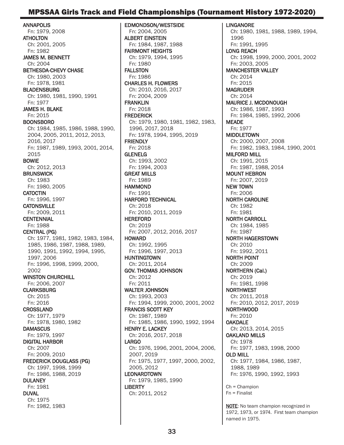# MPSSAA Girls Track and Field Championships (Tournament History 1972-2020)

ANNAPOLIS Fn: 1979, 2008 ATHOLTON Ch: 2001, 2005 Fn: 1982 JAMES M. BENNETT Ch: 2004 BETHESDA-CHEVY CHASE Ch: 1980, 2003 Fn: 1978, 1981 BLADENSBURG Ch: 1980, 1981, 1990, 1991 Fn: 1977 JAMES H. BLAKE Fn: 2015 BOONSBORO Ch: 1984, 1985, 1986, 1988, 1990, 2004, 2005, 2011, 2012, 2013, 2016, 2017 Fn: 1987, 1989, 1993, 2001, 2014, 2015 BOWIE Ch: 2012, 2013 **BRUNSWICK** Ch: 1983 Fn: 1980, 2005 **CATOCTIN** Fn: 1996, 1997 **CATONSVILLE** Fn: 2009, 2011 **CENTENNIAL** Fn: 1988 CENTRAL (PG) Ch: 1977, 1981, 1982, 1983, 1984, 1985, 1986, 1987, 1988, 1989, 1990, 1991, 1992, 1994, 1995, 1997, 2006 Fn: 1996, 1998, 1999, 2000, 2002 WINSTON CHURCHILL Fn: 2006, 2007 **CLARKSBURG** Ch: 2015 Fn: 2016 CROSSLAND Ch: 1977, 1979 Fn: 1978, 1980, 1982 **DAMASCUS** Fn: 1979, 1997 DIGITAL HARBOR Ch: 2007 Fn: 2009, 2010 FREDERICK DOUGLASS (PG) Ch: 1997, 1998, 1999 Fn: 1986, 1988, 2019 **DULANEY** Fn: 1981 DUVAL Ch: 1975 Fn: 1982, 1983

EDMONDSON/WESTSIDE Fn: 2004, 2005 ALBERT EINSTEIN Fn: 1984, 1987, 1988 FAIRMONT HEIGHTS Ch: 1979, 1994, 1995 Fn: 1980 FALLSTON Fn: 1986 CHARLES H. FLOWERS Ch: 2010, 2016, 2017 Fn: 2004, 2009 FRANKLIN Fn: 2018 FREDERICK Ch: 1979, 1980, 1981, 1982, 1983, 1996, 2017, 2018 Fn: 1978, 1994, 1995, 2019 **FRIENDLY** Fn: 2018 **GLENELG** Ch: 1993, 2002 Fn: 1994, 2003 GREAT MILLS Fn: 1989 HAMMOND Fn: 1991 HARFORD TECHNICAL Ch: 2018 Fn: 2010, 2011, 2019 HEREFORD Ch: 2019 Fn: 2007, 2012, 2016, 2017 HOWARD Ch: 1992, 1995 Fn: 1996, 1997, 2013 HUNTINGTOWN Ch: 2011, 2014 GOV. THOMAS JOHNSON Ch: 2012 Fn: 2011 WALTER JOHNSON Ch: 1993, 2003 Fn: 1994, 1999, 2000, 2001, 2002 FRANCIS SCOTT KEY Ch: 1987, 1989 Fn: 1985, 1986, 1990, 1992, 1994 HENRY E. LACKEY Ch: 2016, 2017, 2018 LARGO Ch: 1976, 1996, 2001, 2004, 2006, 2007, 2019 Fn: 1975, 1977, 1997, 2000, 2002, 2005, 2012 **LEONARDTOWN** Fn: 1979, 1985, 1990 LIBERTY Ch: 2011, 2012

LINGANORE Ch: 1980, 1981, 1988, 1989, 1994, 1996 Fn: 1991, 1995 LONG REACH Ch: 1998, 1999, 2000, 2001, 2002 Fn: 2003, 2005 MANCHESTER VALLEY Ch: 2014 Fn: 2015 MAGRUDER Ch: 2014 MAURICE J. MCDONOUGH Ch: 1986, 1987, 1993 Fn: 1984, 1985, 1992, 2006 **MEADE** Fn: 1977 MIDDLETOWN Ch: 2000, 2007, 2008 Fn: 1982, 1983, 1984, 1990, 2001 MILFORD MILL Ch: 1991, 2015 Fn: 1987, 1988, 2014 MOUNT HEBRON Fn: 2007, 2019 NEW TOWN Fn: 2006 NORTH CAROLINE Ch: 1982 Fn: 1981 NORTH CARROLL Ch: 1984, 1985 Fn: 1987 NORTH HAGERSTOWN Ch: 2010 Fn: 1992, 2011 NORTH POINT Ch: 2009 NORTHERN (Cal.) Ch: 2019 Fn: 1981, 1998 NORTHWEST Ch: 2011, 2018 Fn: 2010, 2012, 2017, 2019 NORTHWOOD Fn: 2010 **OAKDALE** Ch: 2013, 2014, 2015 OAKLAND MILLS Ch: 1978 Fn: 1977, 1983, 1998, 2000 OLD MILL Ch: 1977, 1984, 1986, 1987, 1988, 1989 Fn: 1976, 1990, 1992, 1993 Ch = Champion

Fn = Finalist

NOTE: No team champion recognized in 1972, 1973, or 1974. First team champion named in 1975.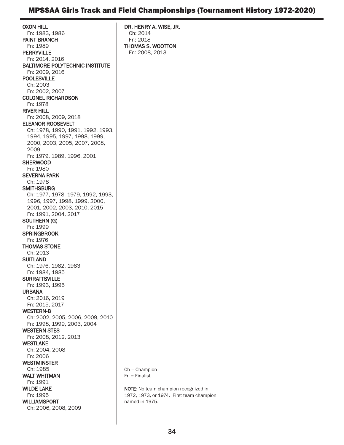# MPSSAA Girls Track and Field Championships (Tournament History 1972-2020)

OXON HILL Fn: 1983, 1986 PAINT BRANCH Fn: 1989 PERRYVILLE Fn: 2014, 2016 BALTIMORE POLYTECHNIC INSTITUTE Fn: 2009, 2016 POOLESVILLE Ch: 2003 Fn: 2002, 2007 COLONEL RICHARDSON Fn: 1978 RIVER HILL Fn: 2008, 2009, 2018 ELEANOR ROOSEVELT Ch: 1978, 1990, 1991, 1992, 1993, 1994, 1995, 1997, 1998, 1999, 2000, 2003, 2005, 2007, 2008, 2009 Fn: 1979, 1989, 1996, 2001 **SHERWOOD** Fn: 1980 SEVERNA PARK Ch: 1978 **SMITHSBURG** Ch: 1977, 1978, 1979, 1992, 1993, 1996, 1997, 1998, 1999, 2000, 2001, 2002, 2003, 2010, 2015 Fn: 1991, 2004, 2017 SOUTHERN (G) Fn: 1999 **SPRINGBROOK** Fn: 1976 THOMAS STONE Ch: 2013 **SUITLAND** Ch: 1976, 1982, 1983 Fn: 1984, 1985 **SURRATTSVILLE** Fn: 1993, 1995 URBANA Ch: 2016, 2019 Fn: 2015, 2017 WESTERN-B Ch: 2002, 2005, 2006, 2009, 2010 Fn: 1998, 1999, 2003, 2004 WESTERN STES Fn: 2008, 2012, 2013 WESTLAKE Ch: 2004, 2008 Fn: 2006 **WESTMINSTER** Ch: 1985 WALT WHITMAN Fn: 1991 WILDE LAKE Fn: 1995 WILLIAMSPORT Ch: 2006, 2008, 2009 DR. HENRY A. WISE, JR. Ch: 2014 Fn: 2018 THOMAS S. WOOTTON Fn: 2008, 2013

Ch = Champion Fn = Finalist

NOTE: No team champion recognized in 1972, 1973, or 1974. First team champion named in 1975.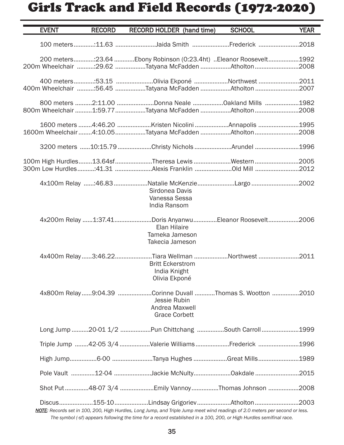# Girls Track and Field Records (1972-2020)

| <b>EVENT</b> | <b>RECORD</b> | <b>RECORD HOLDER</b> (hand time)                                                                                                                                                                                                                    | <b>SCHOOL</b> | <b>YEAR</b> |
|--------------|---------------|-----------------------------------------------------------------------------------------------------------------------------------------------------------------------------------------------------------------------------------------------------|---------------|-------------|
|              |               | 100 meters:11.63 Jaida Smith Frederick 2018                                                                                                                                                                                                         |               |             |
|              |               | 200 meters:23.64 Ebony Robinson (0:23.4ht) Eleanor Roosevelt1992<br>200m Wheelchair 29.62 Tatyana McFadden Atholton 2008                                                                                                                            |               |             |
|              |               | 400m Wheelchair 56.45 Tatyana McFadden Atholton 2007                                                                                                                                                                                                |               |             |
|              |               | 800 meters 2:11.00 Donna Neale 0akland Mills 1982<br>800m Wheelchair 1:59.77 Tatyana McFadden Atholton 2008                                                                                                                                         |               |             |
|              |               | 1600 meters 4:46.20 Kristen Nicolini Annapolis 1995<br>1600m Wheelchair4:10.05Tatyana McFadden Atholton2008                                                                                                                                         |               |             |
|              |               |                                                                                                                                                                                                                                                     |               |             |
|              |               | 100m High Hurdles13.64sfTheresa LewisWestern2005                                                                                                                                                                                                    |               |             |
|              |               | 4x100m Relay :46.83 Natalie McKenzie Largo 2002<br>Sirdonea Davis<br>Vanessa Sessa<br>India Ransom                                                                                                                                                  |               |             |
|              |               | 4x200m Relay 1:37.41Doris AnyanwuEleanor Roosevelt2006<br>Elan Hilaire<br>Tameka Jameson<br>Takecia Jameson                                                                                                                                         |               |             |
|              |               | 4x400m Relay3:46.22Tiara Wellman Northwest 2011<br><b>Britt Eckerstrom</b><br>India Knight<br>Olivia Ekponé                                                                                                                                         |               |             |
|              |               | 4x800m Relay9:04.39 Corinne Duvall Thomas S. Wootton 2010<br>Jessie Rubin<br>Andrea Maxwell<br><b>Grace Corbett</b>                                                                                                                                 |               |             |
|              |               | Long Jump 20-01 1/2 Pun Chittchang South Carroll 1999                                                                                                                                                                                               |               |             |
|              |               | Triple Jump 42-05 3/4 Valerie Williams Frederick 1996                                                                                                                                                                                               |               |             |
|              |               |                                                                                                                                                                                                                                                     |               |             |
|              |               | Pole Vault 12-04 Jackie McNulty0akdale 2015                                                                                                                                                                                                         |               |             |
|              |               | Shot Put 48-07 3/4 Emily Vannoy Thomas Johnson 2008                                                                                                                                                                                                 |               |             |
|              |               | NOTE: Records set in 100, 200, High Hurdles, Long Jump, and Triple Jump meet wind readings of 2.0 meters per second or less.<br>The symbol (-sf) appears following the time for a record established in a 100, 200, or High Hurdles semifinal race. |               |             |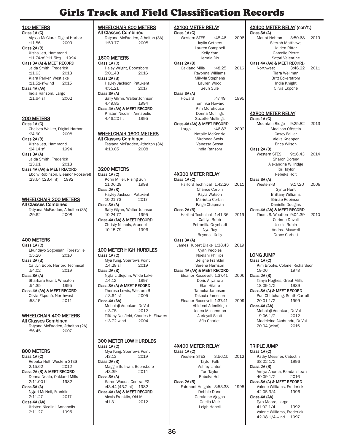# Girls Track and Field Classification Records

100 METERS Class 1A (C) -----<br>Alyssa McClure, Digital Harbor<br>:11.86 2009  $:11.86$ Class 2A (B) Kisha Jett, Hammond :11.74-sf (:11.5ht) 1994 Class 3A (A) & MEET RECORD Jaida Smith, Frederick<br>:11.63 2018  $:11.63$ Kiara Parker, Westlake<br>:11.51-sf-wind 2015  $:11.51$ -sf-wind Class 4A (AA) India Ransom, Largo<br>:11.64 sf 2002  $:11.64$  sf 200 METERS Class 1A (C) Chelsea Walker, Digital Harbor<br>:24.60 2008 2008 Class 2A (B) Kisha Jett, Hammond<br>:24.14 sf 1994  $:24.14$  sf Class 3A (A) Jaida Smith, Frederick<br>:23.91 2018  $:23.91$ Class 4A (AA) & MEET RECORD Ebony Robinson, Eleanor Roosevelt :23.64 (:23.4 ht) 1992 WHEELCHAIR 200 METERS All Classes Combined Tatyana McFadden, Atholton (3A) :29.62 2008 400 METERS Class 1A (C) Ekundayo Sogbesan, Forestville :55.26 Class 2A (B) Caitlyn Bobb, Harford Technical<br>:54.02 2019  $:54.02$ Class 3A (A) Sharkara Grant, Wheaton<br>:54.35 1995 :54.35 Class 4A (AA) & MEET RECORD

Olivia Ekponé, Northwest :53.15 2011

### WHEELCHAIR 400 METERS All Classes Combined

Tatyana McFadden, Atholton (2A)<br>:56.45 2007  $:56.45$ 

### 800 METERS Class 1A (C)

Rebeka Holt, Western STES 2:15.62 2012 Class 2A (B) & MEET RECORD Donna Neale, Oakland Mills<br>2:11.00 ht<br>1982  $2:11.00$  ht

Class 3A (A)

Nyjari McNeil, Franklin 2:11.27 2017

Class 4A (AA) Kristen Nicolini, Annapolis 2:11.27 1995

WHEELCHAIR 800 METERS All Classes Combined Tatyana McFadden, Atholton (3A)<br>1:59.77 2008 1:59.77 1600 METERS Class 1A (C) Haley Wright, Boonsboro<br>5:01.43 2016 5:01.43 Class 2A (B) Hayley Jackson, Patuxent 4:51.21 2017 Class 3A (A) Sally Glynn, Walter Johnson 4:49.85 1994 Class 4A (AA) & MEET RECORD Kristen Nicolini, Annapolis<br>4:46.20 ht 1995 4:46.20 ht WHEELCHAIR 1600 METERS All Classes Combined Tatyana McFadden, Atholton (3A)<br>4:10.05 2008  $4:10.05$ 3200 METERS Class 1A (C) Korin Miller, Rising Sun<br>11:06.29 1998 11:06.29 Class 2A (B) Hayley Jackson, Patuxent<br>10:21.73 2017 10:21.73 Class 3A (A) Sally Glynn, Walter Johnson 10:24.77 1995 Class 4A (AA) & MEET RECORD Christy Nichols, Arundel 10:15.79 1996 100 METER HIGH HURDLES Class 1A (C) Mya King, Sparrows Point<br>:14.28 sf 2019  $:14.28$  sf Class 2A (B) Nyjla Littlejohn, Wilde Lake :14.12 1997 Class 3A (A) & MEET RECORD Theresa Lewis, Western-B<br>:13.64 sf 2005  $:13.64$  sf Class 4A (AA) Mobolaji Adeokun, DuVal :13.75 2012 Tiffany Nesfield, Charles H. Flowers<br>:13.72-wind 2004  $:13.72$ -wind 300 METER LOW HURDLES Class 1A (C) Mya King, Sparrows Point<br>:43.13 2019  $:43.13$ Class 2A (B) Maggie Sullivan, Boonsboro  $:43.39$ Class 3A (A) Karen Woods, Central-PG :43.44 (43.2 ht) 1982 Class 4A (AA) & MEET RECORD

Alexis Franklin, Old Mill<br>:41.31 2012

 $:41.31$ 

4X100 METER RELAY Class 1A (C) Western STES :48.46 2008 Jaylin Gethers Lauren Campbell Kelly Yam Jermia Dix Class 2A (B) Oakland Mills :48.25 2016 Rayonna Williams Mik-yla Stephens Lauren Wood Seun Sule Class 3A (A) Howard :47.49 1995 Tominka Howard Kim Morehouse Donna Mullings Suzette Mullings Class 4A (AA) & MEET RECORD Largo :46.83 2002 Natalie McKenzie Sirdonea Savis Vanessa Sessa India Ransom 4X200 METER RELAY Class 1A (C) Harford Technical 1:42.20 2011 Charice Corbin Kayla Watson Marietta Corbin Paige Chapman Class 2A (B) Harford Technical 1:41.36 2019 Caitlyn Bobb Petronilla Onyebadi Nya Ray Beyonce Kelly Class 3A (A) James Hubert Blake 1:38.43 2019 Cyan Peoples Noelani Phillips Geligne Franklin Serena Harrison Class 4A (AA) & MEET RECORD Eleanor Roosevelt 1:37.41 2006 Doris Anyanwu Elan Hilaire Tameka Jameson Takecia Jameson Eleanor Roosevelt 1:37.41 2009 Abidemi Adenikinju Jenea Mccammon Aurieyall Scott Afia Charles 4X400 METER RELAY Class 1A (C) Western STES 3:56.15 2012 Taylor Folk Ashley Linton Tori Taylor Rebeka Holt Class 2A (B) Fairmont Heights 3:53.38 1995 Debbie Dunn Geraldine Ajagba Odelia Muir

4X400 METER RELAY (con't.) Class 3A (A)<br>Mount Hebron 3:50.68 2019 Sierrah Matthews Jaiden Ritter Garcelle Pierre Satori Valentine Class 4A (AA) & MEET RECORD<br>Northwest 3:46.22 Northwest 3:46.22 2011 Tiara Wellman Britt Eckerstrom India Knight Olivia Ekpone 4X800 METER RELAY Class 1A (C) Mountain Ridge 9:25.82 2013 Madison Offstein Casey Felker Aleks Knepper Erica Wilson Class 2A (B) Western STES 9:16.43 2014 Sharon Dorsey Alexandria Willridge Tori Taylor Rebeka Holt Class 3A (A) Western-B 9:17.20 2009 Syrita Hunt Brittany Williams Brinae Robinson Danielle Douglas Class 4A (AA) & MEET RECORD Thom. S. Wootton 9:04.39 2010 Corinne Duvall Jessie Rubin Andrea Maxwell Grace Corbett LONG JUMP Class 1A (C) Kim Brooks, Colonel Richardson<br>19-06 1978  $19-06$ Class 2A (B) Tanya Hughes, Great Mills<br>18-09 1/2 1989 18-09 1/2 Class 3A (A) & MEET RECORD Pun Chittchang, South Carroll 20-01 1/2 1999 Class 4A (AA)

Mobolaji Adeokun, DuVal<br>19-06 1/2 2012 19-06 1/2 Madeleine Akobundu, DuVal 20-04 (wind) 2016

# TRIPLE JUMP

Class 1A (C) Kathy Messner, Catoctin 38-02 1/2 1996 Class 2A (B) Amiya Anoma, Randallstown<br>40-09 1/2 2016 40-09 1/2 Class 3A (A) & MEET RECORD

Valerie Williams, Frederick<br>42-05 3/4 1996 42-05 3/4 Class 4A (AA)

Tyra Moore, Largo 41-02 1/4 1992 Valerie Williams, Frederick 42-08 1/4-wind 1997

Leigh Hancil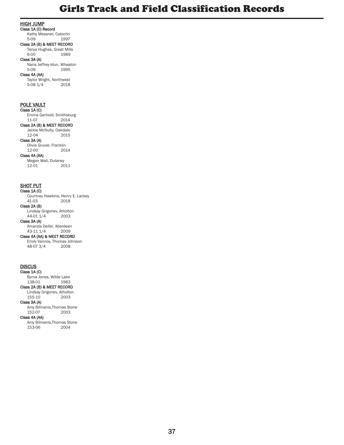#### HIGH JUMP

Class 1A (C) Record Kathy Messner, Catoctin<br>5-09 1997

5-09 1997 Class 2A (B) & MEET RECORD

### Tanya Hughes, Great Mills<br>6-00 1989

### Class 3A (A)

Nana Jeffrey-Idun, Wheaton 5-09 1995

1989

### Class 4A (AA)

Taylor Wright, Northwest<br>5-08 1/4 2018  $5-08$   $1/4$ 

### POLE VAULT

Class 1A (C) Emma Gerhold, Smithsburg 2014 Class 2A (B) & MEET RECORD Jackie McNulty, Oakdale<br>12-04 2015 2015 Class 3A (A) Olivia Gruver, Franklin  $12-00$ Class 4A (AA) Megan Wall, Dulaney<br>12-01 2011  $12-01$ 

#### **SHOT PUT**

Class 1A (C) Courtney Hawkins, Henry E. Lackey<br>41-03 2018  $2018$ Class 2A (B) Lindsay Grigoriev, Atholton<br>44-01 1/4 2003  $44-01$   $1/4$ 

Class 3A (A)

Amanda Deller, Aberdeen<br>43-11 1/4 2009 43-11 1/4 Class 4A (AA) & MEET RECORD

Emily Vannoy, Thomas Johnson<br>48-07 3/4 2008 48-07 3/4

### **DISCUS**

 $\overline{\text{Class }1\text{A}}$  (C) Byrna Jones, Wilde Lake<br>138-01 1983 138-01 Class 2A (B) & MEET RECORD Lindsay Grigoriev, Atholton  $12003$ Class 3A (A)

Amy Bilmanis, Thomas Stone<br>152-07 2003  $152-07$ 

#### Class 4A (AA)

Amy Bilmanis, Thomas Stone<br>153-06 2004  $153-06$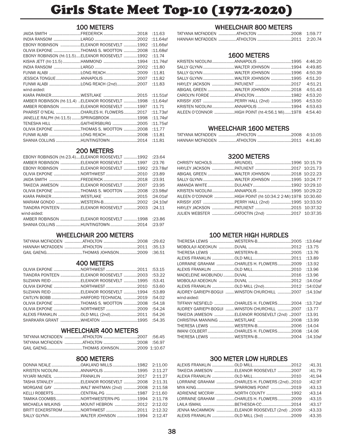# Girls State Meet Top-10 (1972-2020)

### 100 METERS

|                                                 |  | :11.63      |
|-------------------------------------------------|--|-------------|
|                                                 |  | $:11.64$ sf |
| EBONY ROBINSON ELEANOR ROOSEVELT 1992           |  | $:11.66$ sf |
| OLIVIA EKPONE THOMAS S. WOOTTON 2008            |  | $:11.68$ sf |
| EBONY ROBINSON (ht-11.5)ELEANOR ROOSEVELT 1992  |  | :11.74      |
| KISHA JETT (ht-11.5)HAMMOND 1994                |  | $:11.74$ sf |
|                                                 |  | :11.80      |
| FUNMI ALABI LONG REACH2009                      |  | :11.81      |
|                                                 |  | :11.82      |
| FUNMI ALABI LONG REACH (2nd)2007                |  | :11.83      |
| wind-aided:                                     |  |             |
|                                                 |  | :11.51sf    |
| AMBER ROBINSON (ht-11.4) ELEANOR ROOSEVELT 1998 |  | $:11.64$ sf |
| AMBER ROBINSON ELEANOR ROOSEVELT 1997           |  | :11.71      |
| PHARIST O'NEAL CHARLES H. FLOWERS2017           |  | $:11.73$ sf |
| JANELLE RALPH (ht-11.5) SPRINGBROOK 1998        |  | $:11.74$ sf |
| TENESHA HILL GAITHERSBURG 2005                  |  | $:11.75$ sf |
| OLIVIA EKPONE THOMAS S. WOOTTON 2008            |  | :11.77      |
| FUNMI ALABI LONG REACH2008                      |  | :11.81      |
| SHANIA COLLINS HUNTINGTOWN 2014                 |  | :11.81      |
|                                                 |  |             |

### 200 METERS

| EBONY ROBINSON (ht-23.4)ELEANOR ROOSEVELT 1992 :23.64 |  |  |
|-------------------------------------------------------|--|--|
| AMBER ROBINSON ELEANOR ROOSEVELT 1997 :23.76          |  |  |
| EBONY ROBINSON ELEANOR ROOSEVELT 1992 :23.78sf        |  |  |
| OLIVIA EKPONE NORTHWEST 2010 :23.89                   |  |  |
|                                                       |  |  |
| TAKECIA JAMESON ELEANOR ROOSEVELT 2007 :23.95         |  |  |
| OLIVIA EKPONE THOMAS S. WOOTTON 2008 :23.98sf         |  |  |
|                                                       |  |  |
|                                                       |  |  |
| TIANDRA PONTEEN ELEANOR ROOSEVELT 2003 :24.11         |  |  |
| wind-aided:                                           |  |  |
| AMBER ROBINSON ELEANOR ROOSEVELT 1998 :23.86          |  |  |
| SHANIA COLLINS HUNTINGTOWN 2014 :23.97                |  |  |
|                                                       |  |  |

### WHEELCHAIR 200 METERS

| GAIL GAENGTHOMAS JOHNSON2009 :36.51 |  |
|-------------------------------------|--|

### 400 METERS

| OLIVIA EKPONE NORTHWEST 2011 :53.15           |  |
|-----------------------------------------------|--|
| TIANDRA PONTEEN ELEANOR ROOSEVELT 2003 :53.22 |  |
| SUZIANN REID ELEANOR ROOSEVELT 1995 :53.41    |  |
| 0LIVIA EKPONE NORTHWEST 2010 :53.60           |  |
| SUZIANN REID ELEANOR ROOSEVELT 1994 :53.89    |  |
| CAITLYN BOBB HARFORD TECHNICAL 2019 :54.02    |  |
| 0LIVIA EKPONE THOMAS S. WOOTTON 2008 :54.18   |  |
| 0LIVIA EKPONE NORTHWEST 2009 :54.24           |  |
| ALEXIS FRANKLIN OLD MILL (2nd)2011 :54.26     |  |
|                                               |  |

### WHEELCHAIR 400 METERS

| GAIL GAENGTHOMAS JOHNSON2009 1:10.67 |  |
|--------------------------------------|--|

### 800 METERS

| KRISTEN NICOLINIANNAPOLIS 1995 2:11.27      |  |  |
|---------------------------------------------|--|--|
|                                             |  |  |
| TASHA STANLEYELEANOR ROOSEVELT 2008 2:11.31 |  |  |
| MORGANE GAY WALT WHITMAN (2nd) 2008 2:11.58 |  |  |
| KELLI ROBERTSCENTRAL-PG 1987 2:11.60        |  |  |
| TAMIKA COOMBSNORTHWESTERN-PG 1994 2:11.78   |  |  |
| MICHAELA WILKINS MOUNT HEBRON 2012 2:12.02  |  |  |
| BRITT ECKERSTROM NORTHWEST 2011 2:12.32     |  |  |
| SALLY GLYNN WALTER JOHNSON 1994 2:12.47     |  |  |

### WHEELCHAIR 800 METERS

### 1600 METERS

| KRISTEN NICOLINIANNAPOLIS 1995 4:46.20                |  |  |
|-------------------------------------------------------|--|--|
| SALLY GLYNN WALTER JOHNSON 1994 4:49.85               |  |  |
| SALLY GLYNN WALTER JOHNSON 1996 4:50.39               |  |  |
| SALLY GLYNN WALTER JOHNSON 1995 4:51.20               |  |  |
|                                                       |  |  |
| ABIGAIL GREEN WALTER JOHNSON 2018 4:51.43             |  |  |
|                                                       |  |  |
|                                                       |  |  |
| KRISTEN NICOLINIANNAPOLIS 1994 4:53.63                |  |  |
| AILEEN O'CONNOR HIGH POINT (ht-4:56.1 Mi)1978 4:54.40 |  |  |

### WHEELCHAIR 1600 METERS

| TATYANA MCFADDEN ATHOLTON 2008 4:10.05 |  |
|----------------------------------------|--|
|                                        |  |

### 3200 METERS

| CHRISTY NICHOLSARUNDEL 1996 10:15.79                       |  |  |
|------------------------------------------------------------|--|--|
|                                                            |  |  |
| ABIGAIL GREEN WALTER JOHNSON 2018 10:22.23                 |  |  |
| SALLY GLYNN WALTER JOHNSON 1995 10:24.77                   |  |  |
|                                                            |  |  |
| KRISTEN NICOLINIANNAPOLIS1995 10:29.22                     |  |  |
| AILEEN O'CONNOR HIGH POINT (ht-10:34.2 2-Mi) 1978 10:30.60 |  |  |
| KRISSY JOST PERRY HALL (2nd) 1995 10:33.50                 |  |  |
|                                                            |  |  |
| JULIEN WEBSTER CATOCTIN (2nd) 2017 10:37.35                |  |  |

### 100 METER HIGH HURDLES

|                                              |  | $:13.64$ sf |
|----------------------------------------------|--|-------------|
|                                              |  | :13.75      |
|                                              |  | :13.76      |
|                                              |  | :13.89      |
| LORRAINE GRAHAM CHARLES H. FLOWERS2009       |  | :13.92      |
|                                              |  | :13.96      |
|                                              |  | :13.96      |
|                                              |  | :14.01sf    |
| ALEXIS FRANKLIN OLD MILL (2nd)2012           |  | :14:02sf    |
| AUDREY GARIEPY-BOGUI WINSTON CHURCHILL 2007  |  | :14.10sf    |
| wind-aided:                                  |  |             |
| TIFFANY NESFIELD CHARLES H. FLOWERS2004      |  | :13.72sf    |
| AUDREY GARIEPY-BOGUL WINSTON CHURCHILL 2007  |  | :13.77      |
| TAKECIA JAMESON ELEANOR ROOSEVELT (2nd) 2007 |  | :13.91      |
|                                              |  | :13.99      |
| THERESA LEWIS WESTERN-B2006                  |  | :14.04      |
| IMANI COLBERTCHARLES H. FLOWERS2008          |  | :14.06      |
| THERESA LEWIS WESTERN-B2004                  |  | :14.10sf    |

### 300 METER LOW HURDLES

|                                              |  | :41.31 |
|----------------------------------------------|--|--------|
| TAKECIA JAMESON ELEANOR ROOSEVELT 2007       |  | :41.79 |
|                                              |  | :41.94 |
| LORRAINE GRAHAM CHARLES H. FLOWERS (2nd)2010 |  | :42.97 |
|                                              |  | :43.13 |
| ADRIENNE MCCRAYNORTH COUNTY 1992             |  | :43.14 |
| LORRAINE GRAHAM CHARLES H. FLOWERS2009       |  | :43.15 |
| LAILA ISMAIL BETHESDA-CC2014                 |  | :43.17 |
| JENNA McCAMMON ELEANOR ROOSEVELT (2nd) 2009  |  | :43.33 |
| ALEXIS FRANKLIN OLD MILL (3rd) 2009          |  | :43.35 |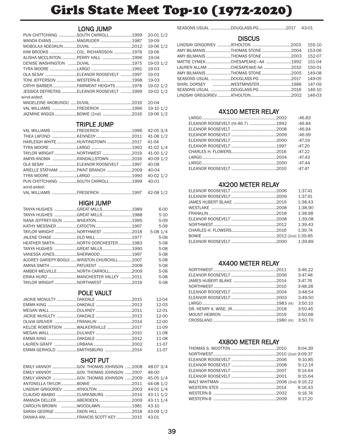# Girls State Meet Top-10 (1972-2020)

### LONG JUMP

|                                          |  | 20-01 1/2 |
|------------------------------------------|--|-----------|
|                                          |  | 19-09     |
|                                          |  | 19-06 1/2 |
|                                          |  | 19-06     |
| ALISHA MCCLINTON PERRY HALL 1996         |  | 19-04     |
|                                          |  | 19-03 1/2 |
|                                          |  | 19-03     |
| OLA SESAY ELEANOR ROOSEVELT 1997         |  | $19-03$   |
| TONI JEFFERSON WESTERN-B 1998            |  | 19-03     |
| CATHY BARBERFAIRMONT HEIGHTS 1978        |  | 19-02 1/2 |
| JESSICA DEFREITAS ELEANOR ROOSEVELT 1999 |  | 19-02 1/2 |
| wind-aided:                              |  |           |
|                                          |  | 20-04     |
| VAL WILLIAMS FREDERICK 1996              |  | 19-10 1/2 |
| JAZMINE WIGGS BOWIE (2nd) 2016           |  | 19-06 1/2 |

### TRIPLE JUMP

| VAL WILLIAMS FREDERICK 1996            |  | 42-053/4  |
|----------------------------------------|--|-----------|
|                                        |  |           |
| HARLEIGH WHITEHUNTINGTOWN 2017         |  | 41-04     |
|                                        |  |           |
| TAYLOR WRIGHT NORTHWEST 2019 41-00 1/2 |  |           |
| AMIYA ANOMA RANDALLSTOWN 2016          |  | 40-09 1/2 |
| OLA SESAY ELEANOR ROOSEVELT 1997       |  | 40-08     |
| ARIELLE STATHAM PAINT BRANCH 2009      |  | 40-04     |
|                                        |  | 40-02 1/2 |
| PUN CHITTCHANG SOUTH CARROLL1999       |  | 40-01     |
| wind-aided:                            |  |           |
| VAL WILLIAMS FREDERICK 1997 42-08 1/2  |  |           |

### HIGH JUMP

| TANYA HUGHES  GREAT MILLS 1989             |  | $6 - 00$  |
|--------------------------------------------|--|-----------|
| TANYA HUGHES  GREAT MILLS 1988             |  | $5 - 10$  |
| NANA JEFFREY-IDUN WHEATON1995              |  | 5-09      |
|                                            |  | $5-09$    |
| TAYLOR WRIGHTNORTHWEST2018                 |  | $5-081/4$ |
|                                            |  | $5 - 08$  |
|                                            |  | 5-08      |
| TANYA HUGHES  GREAT MILLS 1990             |  | $5 - 08$  |
| VANESSA JONESSHERWOOD 1997                 |  | $5 - 08$  |
| AUDREY GARIEPY-BOGUI WINSTON CHURCHILL2007 |  | $5 - 08$  |
| AMINA SMITH PATUXENT  2008                 |  | $5-08$    |
|                                            |  | $5 - 08$  |
| ERIKA HURD MANCHESTER VALLEY 2011          |  | $5 - 08$  |
| TAYLOR WRIGHTNORTHWEST2019                 |  | $5-08$    |

### POLE VAULT

|                                    |  | 12-04     |
|------------------------------------|--|-----------|
|                                    |  | $12 - 03$ |
|                                    |  | $12 - 01$ |
|                                    |  | $12 - 00$ |
|                                    |  | $12 - 00$ |
| KELCIE ROBERTSON WALKERSVILLE 2017 |  | 11-09     |
|                                    |  | 11-08     |
|                                    |  | 11-08     |
|                                    |  | 11-07     |
| EMMA GERHOLD SMITHSBURG 2014 11-07 |  |           |

### SHOT PUT

| EMILY VANNOY GOV. THOMAS JOHNSON 2008 48-07 3/4 |  |           |
|-------------------------------------------------|--|-----------|
| EMILY VANNOY GOV. THOMAS JOHNSON 2007 46-00     |  |           |
|                                                 |  | 45-05 1/4 |
|                                                 |  | 44-08 1/2 |
|                                                 |  |           |
| CLAUDIO ABABIO CLARKSBURG 2014 43-11 1/2        |  |           |
| AMANDA DELLER ABERDEEN2009 43-11 1/4            |  |           |
|                                                 |  |           |
|                                                 |  |           |
|                                                 |  |           |

|  | SEASONS USUAL DOUGLASS-PG2017 |  | 43-01 |
|--|-------------------------------|--|-------|
|--|-------------------------------|--|-------|

### **DISCUS**

|                                             |  | 155-10 |
|---------------------------------------------|--|--------|
| AMY BILMANIS THOMAS STONE 2004              |  | 153-06 |
| AMY BILMANIS THOMAS STONE 2003              |  | 152-07 |
| MATTIE CYMEKCHESAPEAKE-AA 1992              |  | 151-04 |
| LAUREN ALLAM CHESAPEAKE-AA 2010             |  | 150-01 |
| AMY BILMANIS THOMAS STONE 2005              |  | 149-08 |
| SEASONS USUAL DOUGLASS-PG 2017              |  | 149-05 |
| SHIRL DORSEY THE WESTMINSTER THE THIRD 1986 |  | 147-09 |
| SEASONS USUAL DOUGLASS-PG 2016              |  | 146-10 |
|                                             |  | 146-03 |

### 4X100 METER RELAY

|                                  | :46.83 |
|----------------------------------|--------|
| ELEANOR ROOSEVELT (ht-46.7) 1992 | :46.84 |
|                                  | :46.94 |
|                                  | :46.99 |
|                                  | :47.19 |
|                                  | :47.20 |
|                                  | :47.22 |
|                                  | :47.43 |
|                                  | :47.44 |
|                                  | :47.47 |

### 4X200 METER RELAY

|  | 1:37.41 |
|--|---------|
|  | 1:37.41 |
|  | 1:38.43 |
|  | 1:38.90 |
|  | 1:38.98 |
|  | 1:39.08 |
|  | 1:39.43 |
|  | 1:39.74 |
|  |         |
|  |         |

### 4X400 METER RELAY

|  | 3:46.22 |
|--|---------|
|  | 3:47.48 |
|  | 3:47.76 |
|  | 3:48.28 |
|  | 3:48.54 |
|  | 3:49.50 |
|  | 3:50.10 |
|  | 3:50.45 |
|  | 3:50.68 |
|  | 3:50.70 |

### 4X800 METER RELAY

|  | 9:10.85 |
|--|---------|
|  | 9:12.14 |
|  | 9:14.64 |
|  | 9:15.64 |
|  |         |
|  | 9:16.43 |
|  | 9:16.74 |
|  | 9:17.20 |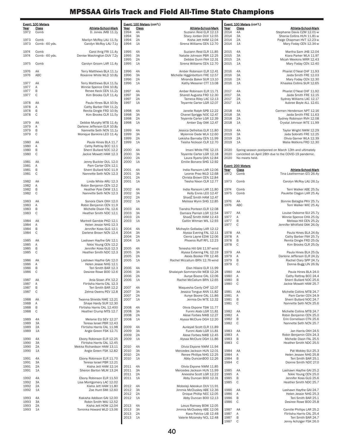|              | Event: 100 Meters      |                                                        |              | Event: 100 Meters (con't.) |                                                            |              | Event: 100 Meters (con't.) |                                                                                                               |
|--------------|------------------------|--------------------------------------------------------|--------------|----------------------------|------------------------------------------------------------|--------------|----------------------------|---------------------------------------------------------------------------------------------------------------|
| Year         | Class                  | Athlete-School-Mark                                    | Year         | Class                      | Athlete-School-Mark                                        | Year         | Class                      | Athlete-School-Mark                                                                                           |
| 1972         | Comb                   | D. Jones JMB 11.2y                                     | 1994<br>1994 | 4A<br>3A                   | Suziann Reid ELR 12.13<br>Stacy Jordan DUV 12.55           | 2014<br>2014 | 4A<br>3A                   | Stephanie Davis CZM 12.01-w<br>Shania Collins HUN 11.81-w                                                     |
| 1973<br>1973 | Comb<br>Comb - 60 yds. | Marilyn McRoy LAU 11.5y<br>Carolyn McRoy LAU 7.1y      | 1994<br>1994 | 2A<br>1A                   | Kisha Jett HAM 12.04<br>Sirena Williams CEN 12.70          | 2014<br>2014 | 2A<br>1A                   | Paige Chapman HVT 12.23-w<br>Mary Foday CEN 12.34-w                                                           |
| 1974<br>1974 | Comb<br>Comb - 60 yds. | Carol Ihrig FRI 11.4y<br>Denise Washington DUV 7.2y    | 1995<br>1995 | 4A<br>3A                   | Suziann Reid ELR 11.85<br>Natalie Johnson PBR 12.25        | 2015<br>2015 | 4A<br>3A                   | Martha Sam JHB 12.04<br>Kiara Parker WLA 11.97                                                                |
|              |                        |                                                        | 1995         | 2A                         | Debbie Dunn FAH 12.31                                      | 2015         | 2A                         | Micah Meekins MRR 12.43                                                                                       |
| 1975         | Comb                   | Carolyn Groom LAR 11.4y                                | 1995         | 1A                         | Sirena Williams CEN 12.70                                  | 2015         | 1A                         | Mary Foday CEN 12.40                                                                                          |
| 1976         | AA                     | Terry Matthews BLA 11.1y                               | 1996         | 4A                         | Amber Robinson ELR 12.41                                   | 2016         | 4A                         | Pharist O'Neal CHF 11.93                                                                                      |
| 1976         | ABC                    | Roxanne White WLD 10.8y                                | 1996<br>1996 | 3A<br>2A                   | Michelle Higginbottom FRE 12.57<br>Miranda Baker SUR 13.10 | 2016<br>2016 | 3A<br>2A                   | Jaida Smith FRE 12.03<br>Mary Foday CEN 12.30                                                                 |
| 1977         | AA                     | Terry Matthews BLA 11.5y                               | 1996         | 1A                         | Kathy Messner CTT 13.08                                    | 2016         | 1A                         | Khaalea Collins SUR 12.65                                                                                     |
| 1977         | Α                      | Winnie Spence CHA 10.8y                                |              |                            |                                                            |              |                            |                                                                                                               |
| 1977         | B                      | Renee Keck CEN 11.2y                                   | 1997         | 4A                         | Amber Robinson ELR 11.71                                   | 2017         | 4A                         | Pharist O'Neal CHF 11.92                                                                                      |
| 1977         | C                      | Kim Brooks CLR 11.4y                                   | 1997<br>1997 | ЗA<br>2A                   | Sharell Augusta FRD 12.30<br>Tameca Riley LAC 12.13        | 2017<br>2017 | 3A<br>2A                   | Jaida Smith FRE 12.15<br>Sydney Williams LAC 12.17                                                            |
| 1978         | AA                     | Paula Hines BLA 10.9y                                  | 1997         | 1A                         | Teyarnte Carter LGR 12.07                                  | 2017         | 1A                         | Aubree Boyle ALL 12.61                                                                                        |
| 1978         | Α                      | Cathy Barber FAH 11.2y                                 |              |                            |                                                            |              |                            |                                                                                                               |
| 1978<br>1978 | В<br>C                 | Renita Dingle FRD 10.9y                                | 1998         | 4A<br>3A                   | Janelle Ralph SPB 12.22                                    | 2018<br>2018 | 4A                         | Carmen Henderson NPT 12.16                                                                                    |
|              |                        | Kim Brooks CLR 11.5y                                   | 1998<br>1998 | 2A                         | Chanel Spriggs NOC 12.47<br>Teyarnte Carter LGR 12.39      | 2018         | 3A<br>2A                   | Jaida Smith FRE 11.63<br>Sydney Robinson RVH 12.08                                                            |
| 1979         | AA                     | Debbie Murphy MTB 11.4y                                | 1998         | 1A                         | Amber Day OAK 12.47                                        | 2018         | 1A                         | Crystal Johnson WTE 11.99                                                                                     |
| 1979         | Α                      | Darlene Jefferson ELR 10.8y                            |              |                            |                                                            |              |                            |                                                                                                               |
| 1979<br>1979 | B<br>C                 | Nannette Seth NCN 11.1y<br>Monique Bankins LEO 11.4y   | 1999<br>1999 | 4A<br>3A                   | Jessica Defreitas ELR 11.80<br>Mylennie Dade WLA 12.60     | 2019<br>2019 | 4A<br>3A                   | Taylor Wright NWM 12.29<br>Jada Sobratti FRE 12.25                                                            |
|              |                        |                                                        | 1999         | 2A                         | Lekisha Barnaby CEN 11.99                                  | 2019         | 2A                         | Olivia Garner WLA 12.39                                                                                       |
| 1980         | AA                     | Paula Hines BLA 11.7                                   | 1999         | 1A                         | Tiesha Nickson CLR 12.70                                   | 2019         | 1A                         | Malia Watkins FRD 12.30                                                                                       |
| 1980         | Α                      | Cathy Rattray BCC 12.1                                 |              |                            |                                                            |              |                            |                                                                                                               |
| 1980<br>1980 | В<br>C                 | Sherri Bullard NOC 12.2<br>Jackie Mowatt HAM 12.3      | 2000<br>2000 | 4A<br>3A                   | Imani White FRE 12.15<br>Teyarnte Carter LGR 12.18         | 2020<br>2020 |                            | Spring season postponed on March 13th and ultimately<br>cancelled on April 28th due to the COVID-19 pandemic. |
|              |                        |                                                        | 2000         | 2A                         | Laura Ryans QAN 12.84                                      | 2020         | No meets held.             |                                                                                                               |
| 1981         | AA                     | Jenny Buckler DUL 12.0                                 | 2000         | 1A                         | Emilie Bonano SHG 12.92                                    |              |                            |                                                                                                               |
| 1981         | Α                      | Pam Carter CEN 12.1<br>Sherri Bullard NOC 11.9         |              |                            |                                                            |              | Event: 200 Meters          |                                                                                                               |
| 1981<br>1981 | В<br>C                 | Nannette Seth NCN 12.3                                 | 2001<br>2001 | 4A<br>3A                   | India Ransom LAR 12.06<br>Leonie Prao WLD 12.68            | Year<br>1972 | Class<br>Comb              | Athlete-School-Mark<br>Tina Leatherman GTJ 26.4y                                                              |
|              |                        |                                                        | 2001         | 2A                         | Christa Brown CEN 12.84                                    |              |                            |                                                                                                               |
| 1982         | AA                     | Linda White ARU 12.3                                   | 2001         | 1A                         | Tiesha Nixon CLR 12.77                                     | 1973         | Comb                       | Carolyn McRoy LAU 26.1y                                                                                       |
| 1982<br>1982 | Α<br>B                 | Robin Benjamin CEN 12.2<br>Heather Pyle CWW 13.1       | 2002         | 4A                         | India Ransom LAR 11.80                                     | 1974         | Comb                       | Terri Walker ABE 25.5y                                                                                        |
| 1982         | C                      | Nannette Seth NCN 12.3                                 | 2002         | 3A                         | Kelly Ennis LEO 12.47                                      | 1975         | Comb                       | Paulette Clagon LAR 25.4y                                                                                     |
|              |                        |                                                        | 2002         | 2A                         | Shad2 Smith HAM 12.47                                      |              |                            |                                                                                                               |
| 1983<br>1983 | AA<br>Α                | Sonora Clark OXH 12.0<br>Robin Benjamin CEN 11.9       | 2002         | 1A                         | Melissa Wynn SHG 12.85                                     | 1976<br>1976 | AA<br>ABC                  | Bonnie Bataglia PKV 25.7y<br>Terri Walker WIC 25.4y                                                           |
| 1983         | B                      | Michelle Dixon FAL 12.6                                | 2003         | 4A                         | Tiandra Ponteen ELR 12.08                                  |              |                            |                                                                                                               |
| 1983         | C                      | Heather Smith NDC 12.1                                 | 2003         | 3A                         | Damara Parrish LGR 12.54                                   | 1977         | AA                         | Louise Osborne SUI 25.7y                                                                                      |
|              |                        |                                                        | 2003         | 2A                         | ShadZ Smith HAM 12.43                                      | 1977         | Α                          | Winnie Spence CHA 25.0y                                                                                       |
| 1984<br>1984 | AA<br>Α                | Martrell Gamble PKD 12.1<br>Helen Jessie NHG 12.3      | 2003         | 1A                         | Caitlin Witman WIL 12.93                                   | 1977<br>1977 | B<br>C                     | Melissa Hill CEN 25.2y<br>Jennifer Whitfield OAK 26.0y                                                        |
| 1984         | В                      | Jennifer Koss GLG 12.1                                 | 2004         | 4A                         | Michaylin Golladay LAR 12.12                               |              |                            |                                                                                                               |
| 1984         | C                      | Darlene Brown NCN 12.4                                 | 2004         | 3A                         | Alyssa Evering FAL 12.11                                   | 1978         | AA                         | Paula Hines BLA 24.6y                                                                                         |
| 1985         | AA                     | Lashawn Haythe GAI 12.1                                | 2004<br>2004 | 2A<br>1A                   | Cierra Layne EDW 12.06<br>Phoenix Ruff RFL 12.23           | 1978<br>1978 | Α<br>B                     | Cathy Barber FAH 25.7y<br>Renita Dingle FRD 25.0y                                                             |
| 1985         | Α                      | Nikki Young CEN 12.2                                   |              |                            |                                                            | 1978         | C                          | Kim Brooks CLR 25.0y                                                                                          |
| 1985         | B                      | Jennifer Koss GLG 12.3                                 | 2005         | 4A                         | Tenesha Hill GAI 11.97-wind                                |              |                            |                                                                                                               |
| 1985         | C                      | Heather Smith NDC 12.3                                 | 2005<br>2005 | 3A<br>2A                   | Alyssa Evbering FAL 12.19                                  | 1979         | AA                         | Paula Hines BLA 25.0y                                                                                         |
| 1986         | AA                     | Lashawn Haythe GAI 12.0                                | 2005         | 1A                         | Alexis Booker FRI 12.46<br>Rachel Mccallum BRN 12.76-wind  | 1979<br>1979 | Α<br>B                     | Darlene Jefferson ELR 24.2y<br>Rachel Clary SPP 24.7y                                                         |
| 1986         | Α                      | Helen Jessie NHG 12.1                                  |              |                            |                                                            | 1979         | C                          | Donna Bugg LIN 26.9y                                                                                          |
| 1986         | B                      | Teri Smith BAR 12.3                                    | 2006         | 4A                         | Elan Hilaire ELR 11.99                                     |              |                            |                                                                                                               |
| 1986         | C                      | Desiree Rowe BOO 12.6                                  | 2006<br>2006 | 3A<br>2A                   | Shalaiyah Sommerville WEB 12.24<br>Aunye Boone CAL 12.06   | 1980<br>1980 | AA<br>Α                    | Paula Hines BLA 24.0<br>Cathy Rattray BCC 24.4                                                                |
| 1987         | AA                     | Ania Sloan JFK 12.2                                    | 2006         | 1A                         | Rachel McCallum BRN 12.65                                  | 1980         | B                          | Sherri Bullard NOC 25.6                                                                                       |
| 1987         | Α                      | Flirtisha Harris CAL 12.3                              |              |                            |                                                            | 1980         | C                          | Jackie Mowatt HAM 25.7                                                                                        |
| 1987<br>1987 | B<br>C                 | Teri Smith BAR 12.2<br>Zelma Owens PEV 12.8            | 2007<br>2007 | 4A<br>3A                   | Waquesha Canty CHF 12.07<br>Jessica Tongue ANN 11.82       | 1981         | AA                         | Michelle Collins MTB 24.7                                                                                     |
|              |                        |                                                        | 2007         | 2A                         | Aunye Boone CAL 11.86                                      | 1981         | Α                          | Pam Carter CEN 24.9                                                                                           |
| 1988         | AA                     | Twanna Shields NWE 12.21                               | 2007         | 1A                         | Jermia Dix WTE 12.32                                       | 1981         | B                          | Sherri Bullard NOC 24.7                                                                                       |
| 1988<br>1988 | Α<br>B                 | Shaye Hardy SUR 12.30<br>Flirtisha Harris CAL 12.400   | 2008         | 4A                         | Olivia Ekpone TSW 11.77                                    | 1981         | C                          | Nannette Seth NCN 25.6                                                                                        |
| 1988         | C                      | Heather Crump MTS 12.7                                 | 2008         | 3A                         | Funmi Alabi LGR 11.81                                      | 1982         | AA                         | Michelle Collins MTB 24.7                                                                                     |
|              |                        |                                                        | 2008         | 2A                         | Alese Forbes NWB 12.27                                     | 1982         | Α                          | Robin Benjamin CEN 25.0                                                                                       |
| 1989<br>1989 | 4A<br>3A               | Melanie Etz SEV 12.27<br>Teresa Israel PBR 12.43       | 2008         | 1A                         | Alyssa McClure DGH 12.20                                   | 1982<br>1982 | B<br>C                     | Erin Cornelison CTN 25.6<br>Nannette Seth NCN 25.7                                                            |
| 1989         | 2A                     | Flirtisha Harris CAL 11.98                             | 2009         | 4A                         | Aurieyall Scott ELR 11.89                                  |              |                            |                                                                                                               |
| 1989         | 1A                     | Angie Green FSK 12.71                                  | 2009         | 3A                         | Funmi Alabi LGR 11.81                                      | 1983         | AA                         | Jan Harris OXH 24.5                                                                                           |
| 1990         | 4A                     |                                                        | 2009         | 2A<br>1A                   | Alese Forbes NWB 12.45<br>Alyssa McClure DGH 11.86         | 1983<br>1983 | Α<br>B                     | Robin Benjamin CEN 24.3<br>Michelle Dixon FAL 25.5                                                            |
| 1990         | 3A                     | Ebony Robinson ELR 12.25<br>Flirtisha Harris CAL 12.45 | 2009         |                            |                                                            | 1983         | C                          | Heather Smith NDC 25.5                                                                                        |
| 1990         | 2A                     | Mekka Richardson HAM 13.11                             | 2010         | 4A                         | Olivia Ekpone NWM 11.94                                    |              |                            |                                                                                                               |
| 1990         | 1A                     | Angie Green FSK 12.82                                  | 2010         | 3A                         | Mercedes Jackson HUN 12.01                                 | 1984         | AA                         | Pat Mobley SUI 25.3                                                                                           |
| 1991         | 4A                     | Ebony Robinson ELR 11.70                               | 2010<br>2010 | 2A<br>1A                   | Renee Phillips NHG 12.25<br>Abby DuncanBOO 12.26           | 1984<br>1984 | Α<br>B                     | Helen Jessee NHG 25.8<br>Teri Smith BAR 25.1                                                                  |
| 1991         | 3A                     | Teresa Israel PBR 12.21                                |              |                            |                                                            | 1984         | C                          | Dionne Smith NDC 27.0                                                                                         |
| 1991         | 2A                     | Kisha Jett HAM 12.14                                   | 2011         | 4A                         | Olivia Ekpone NWM 11.85                                    |              |                            |                                                                                                               |
| 1991         | 1A                     | Sheron Barton MLM 13.24                                | 2011<br>2011 | 3A<br>2A                   | Mercedes Jackson HUN 11.99<br>Aneesha Scott LGR 12.22      | 1985<br>1985 | AA<br>Α                    | Lashawn Haythe GAI 25.2<br>Nikki Young CEN 25.0                                                               |
| 1992         | 4A                     | Ebony Robinson ELR 11.50                               | 2011         | 1A                         | Abby Duncan BOO 12.31                                      | 1985         | $\sf B$                    | Jennifer Koss GLG 25.6                                                                                        |
| 1992         | 3A                     | Lisa Montgomery LAC 12.02                              |              |                            |                                                            | 1985         | C                          | Heather Smith NDC 25.7                                                                                        |
| 1992<br>1992 | 2A<br>1A               | Kisha Jett HAM 11.80<br>Zoe Hunt SMI 12.60             | 2012<br>2012 | 4A<br>3A                   | Mobolaji Adeokun DUV 11.91<br>Jimmia McCluskey ABE 12.36   | 1986         | AA                         | Lashawn Haythe GAI 24.7                                                                                       |
|              |                        |                                                        | 2012         | 2A                         | Dnique Phillip NEC 12.05                                   | 1986         | Α                          | Helen Jessie NHG 25.3                                                                                         |
| 1993         | 4A                     | Kakisha Addison GAI 12.00                              | 2012         | 1A                         | Abby Duncan BOO 12.13                                      | 1986         | B                          | Teri Smith BAR 25.1                                                                                           |
| 1993<br>1993 | 3A<br>2A               | Robin Smith WAJ 12.52<br>Kisha Jett HOW 12.04          | 2013         | 4A                         | Lexus Ramsey BOW 12.05                                     | 1986         | $\mathbb C$                | Desiree Rowe BOO 25.8                                                                                         |
| 1993         | 1A                     | Tominka Howard WLD 13.06                               | 2013         | 3A                         | Jimmia McCluskey ABE 12.06                                 | 1987         | AA                         | Camille Phillips LAR 25.2                                                                                     |
|              |                        |                                                        | 2013         | 2A                         | Kara Patrice LIB 12.48                                     | 1987         | Α                          | Flirtisha Harris CAL 25.4                                                                                     |
|              |                        |                                                        | 2013         | 1A                         | Valerie Mizansky NCL 12.48                                 | 1987         | B                          | Teri Smith BAR 24.7                                                                                           |
|              |                        |                                                        |              |                            |                                                            | 1987         | $\mathbb C$                | Jenny Achziger FSK 26.0                                                                                       |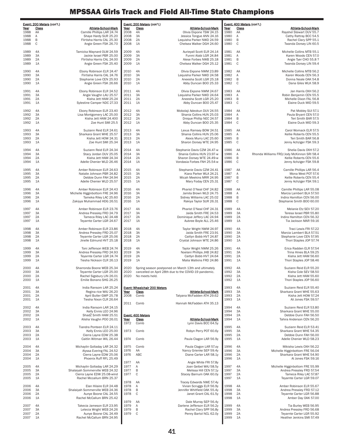|              | Event: 200 Meters (con't.) |                                                                |              | Event: 200 Meters (con't.)                   |                                                                                                               |              |             | Event: 400 Meters (con't.)                                          |
|--------------|----------------------------|----------------------------------------------------------------|--------------|----------------------------------------------|---------------------------------------------------------------------------------------------------------------|--------------|-------------|---------------------------------------------------------------------|
| Year<br>1988 | Class<br>AA                | Athlete-School-Mark<br>Camille Phillips LAR 24.74              | Year<br>2008 | Class<br>4A                                  | Athlete-School-Mark<br>Olivia Ekpone TSW 24.15                                                                | Year<br>1980 | Class<br>AA | Athlete-School-Mark<br>Rayshel Stewart DUV 55.7                     |
| 1988         | Α                          | Shaye Hardy SUR 25.20                                          | 2008         | 3A                                           | Jessica Tongue ANN 24.16                                                                                      | 1980         | Α           | Cathy Rattray BCC 54.5                                              |
| 1988<br>1988 | B<br>C                     | Flirtisha Harris CAL 25.30<br>Angie Green FSK 26.70            | 2008<br>2008 | 2A<br>1A                                     | Lequisha Parker NWD 24.59<br>Chelsea Walker DGH 24.60                                                         | 1980<br>1980 | B<br>C      | Rachel Clary SPP 55.1<br>Twanda Dorsey LIN 60.5                     |
| 1989         | 4A                         | Tamicka Maynard OLM 24.59                                      | 2009         | 4A                                           | Aurieyall Scott ELR 24.14                                                                                     | 1981         | AA          | Michelle Collins MTB 55.1                                           |
| 1989<br>1989 | 3A<br>2A                   | Jackie Israel PBR 25.00<br>Flirtisha Harris CAL 24.00          | 2009<br>2009 | 3A<br>2A                                     | Funmi Alabi LGR 24.84<br>Alese Forbes NWB 25.18                                                               | 1981<br>1981 | Α<br>B      | Karen Woods CEN 57.0<br>Angie Tyer CHO 55.8 ?                       |
| 1989         | 1A                         | Angie Green FSK 25.40                                          | 2009         | 1A                                           | Chelsea Walker DGH 25.12                                                                                      | 1981         | C           | Twanda Dorsey LIN 59.4                                              |
| 1990         | 4A                         | Ebony Robinson ELR 24.47                                       | 2010         | 4A                                           | Olivia Ekpone NWM 23.89                                                                                       | 1982         | AA          | Michelle Collins MTB 56.2                                           |
| 1990<br>1990 | 3A<br>2A                   | Flirtisha Harris CAL 24.76<br>Stephanie Love CEN 25.93         | 2010<br>2010 | 3A<br>2A                                     | Lequisha Parker NWD 24.58<br>Aneesha Scott LGR 25.18                                                          | 1982<br>1982 | Α<br>B      | Karen Woods CEN 56.3<br>Donna Neale OAK 54.8                        |
| 1990         | 1A                         | Angie Green FSK 26.66                                          | 2010         | 1A                                           | Abby Duncan BOO 25.33                                                                                         | 1982         | C           | Dana Giles WLK 58.9                                                 |
| 1991         | 4A                         | Ebony Robinson ELR 24.52                                       | 2011         | 4A                                           | Olivia Ekpone NWM 24.67                                                                                       | 1983         | AA          | Jan Harris OXH 56.2                                                 |
| 1991<br>1991 | 3A<br>2A                   | Angie Vaughn LAU 25.57<br>Kisha Jett HAM 25.24                 | 2011<br>2011 | 3A<br>2A                                     | Lequisha Parker NWD 24.64<br>Aneesha Scott LGR 25.20                                                          | 1983<br>1983 | Α<br>B      | Robin Benjamin CEN 55.5<br>Michelle Dixon FAL 56.8                  |
| 1991         | 1A                         | Sylestine Camper NDC 27.33                                     | 2011         | 1A                                           | Abby Duncan BOO 25.47                                                                                         | 1983         | C           | Elaine Duck MID 59.5                                                |
| 1992<br>1992 | 4A<br>3A                   | Ebony Robinson ELR 23.40<br>Lisa Montgomery LAC 25.00          | 2012<br>2012 | 4A<br>3A                                     | Mobolaji Adeokun DUV 24.55<br>Shania Collins HUN 25.03                                                        | 1984<br>1984 | AA<br>Α     | Pat Mobley SUI 57.1<br>Paula Bryant CEN 57.0                        |
| 1992         | 2A                         | Kisha Jett HAM 24.400                                          | 2012         | 2A                                           | Dnique Phillip NEC 24.57                                                                                      | 1984         | B           | Teri Smith BAR 57.5                                                 |
| 1992         | 1A                         | Zoe Hunt SMI 25.5                                              | 2012         | 1A                                           | Abby Duncan BOO 25.35                                                                                         | 1984         | C           | Elaine Duck MID 59.3                                                |
| 1993<br>1993 | 4A<br>3A                   | Suziann Reid ELR 24.61<br>Sharkara Grant WHE 25.57             | 2013<br>2013 | 4A<br>3A                                     | Lexus Ramsey BOW 24.51<br>Shania Collins HUN 25.06                                                            | 1985<br>1985 | AA<br>Α     | Carol Womack ELR 57.5<br>Kellie Roberts CEN 55.5                    |
| 1993         | 2A                         | Kisha Jett HOW 24.31                                           | 2013         | 2A                                           | Alexis Murry LAC 25.60                                                                                        | 1985         | B           | Teri Smith BAR 56.8                                                 |
| 1993         | 1A                         | Zoe Hunt SMI 25.34                                             | 2013         | 1A                                           | Sharon Dorsey WTE 24.95                                                                                       | 1985         | C           | Jenny Achziger FSK 59.3                                             |
| 1994<br>1994 | 4A<br>3A                   | Suziann Reid ELR 24.34                                         | 2014<br>2014 | 4A<br>3A                                     | Stephanie Davis CZM 24.47-w<br>Shania Collins HUN 23.97-w                                                     | 1986<br>1986 | AA<br>Α     | Shelia Davis OXH 57.2<br>Rhonda Williams FRD/Jody McKinnon SRI 58.4 |
| 1994         | 2A                         | Stacy Jordan DUV 25.05<br>Kisha Jett HAM 24.34                 | 2014         | 2A                                           | Sharon Dorsey WTE 24.49-w                                                                                     | 1986         | B           | Kellie Roberts CEN 55.6                                             |
| 1994         | 1A                         | Adelle Chenier WLD 26.46                                       | 2014         | 1A                                           | Vondasia Forbes FAH 25.54-w                                                                                   | 1986         | C           | Jenny Achziger FSK 59.8                                             |
| 1995         | 4A<br>3A                   | Amber Robinson ELR 24.63                                       | 2015<br>2015 | 4A                                           | Stephanie Davis CZM 24.41<br>Kiara Parker WLA 24.21                                                           | 1987<br>1987 | AA          | Camille Phillips LAR 56.4<br>Mona West POT 57.6                     |
| 1995<br>1995 | 2A                         | Natalie Johnson PBR 24.82<br>Debbie Dunn FAH 24.94             | 2015         | 3A<br>2A                                     | Micah Meekins MRR 24.95                                                                                       | 1987         | Α<br>B      | Kellie Roberts CEN 55.4                                             |
| 1995         | 1A                         | Adelle Chenier WLD 25.57                                       | 2015         | 1A                                           | Mary Foday CEN 25.31                                                                                          | 1987         | C           | Jenny Achziger FSK 59.1                                             |
| 1996         | 4A                         | Amber Robinson ELR 24.43                                       | 2016         | 4A                                           | Pharist O'Neal CHF 24.82                                                                                      | 1988         | AA          | Camille Phillips LAR 55.08                                          |
| 1996<br>1996 | 3A<br>2A                   | Michelle Higginbottom FRE 24.96<br>Tameka Riley LAC 25.60      | 2016<br>2016 | 3A<br>2A                                     | Jamila Brown WLD 24.75<br>Sidney Williams LAC 25.02                                                           | 1988<br>1988 | Α<br>B      | Marcia Lambert BLA 57.50<br>Indira Hamilton CEN 56.00               |
| 1996         | 1A                         | Zakiyya Muhammad HDG 26.51                                     | 2016         | 1A                                           | Rakiya Taylor SUR 26.31                                                                                       | 1988         | C           | Stephanie Smith BOO 60.00                                           |
| 1997         | 4A                         | Amber Robinson ELR 23.76                                       | 2017         | 4A                                           | Pharist O'Neal CHF 24.31                                                                                      | 1989         | 4A          | Melanie Etz SEV 57.20                                               |
| 1997<br>1997 | 3A<br>2A                   | Andrea Pressley FRD 24.79<br>Tameca Riley LAC 24.48            | 2017<br>2017 | 3A<br>2A                                     | Jaida Smith FRE 24.53<br>Dominique Jeffery LAC 24.94                                                          | 1989<br>1989 | 3A<br>2A    | Teresa Israel PBR 55.80<br>Indira Hamilton CEN 56.32                |
| 1997         | 1A                         | Teyarnte Carter LGR 24.67                                      | 2017         | 1A                                           | Aubree Boyle ALL 25.46                                                                                        | 1989         | 1A          | Tia Jackson MAR 59.16                                               |
| 1998         | 4A                         | Amber Robinson ELR 23.86                                       | 2018         | 4A                                           | Taylor Wright NWM 24.97                                                                                       | 1990         | 4A          | Traci Lewis FRI 57.22                                               |
| 1998<br>1998 | 3A<br>2A                   | Andrea Pressley FRD 25.07<br>Teyarnte Carter LGR 25.06         | 2018<br>2018 | 3A<br>2A                                     | Jaida Smith FRE 23.91<br>Caitlyn Bobb HVT 24.87                                                               | 1990<br>1990 | 3A<br>2A    | Marcia Lambert BLA 57.51<br>Stephanie Love CEN 57.95                |
| 1998         | 1A                         | Jinelle Edmund HVT 25.18                                       | 2018         | 1A                                           | Crystal Johnson WTE 24.86                                                                                     | 1990         | 1A          | Thori Staples JOP 57.74                                             |
| 1999         | 4A                         | Toni Jefferson WEB 24.74                                       | 2019         | 4A                                           | Taylor Wright NWM 25.26                                                                                       | 1991         | 4A          | Erica Radden ELR 57.54                                              |
| 1999<br>1999 | 3A<br>2A                   | Andrea Pressley FRD 24.93<br>Teyarnte Carter LGR 24.74         | 2019<br>2019 | 3A<br>2A                                     | Noelani Phillips JHB 24.82<br>Caitlyn Bobb HVT 24.64                                                          | 1991<br>1991 | 3A<br>2A    | Trina Hines BLA 59.25<br>Kisha Jett HAM 56.60                       |
| 1999         | 1A                         | Tiesha Nickson CLR 26.13                                       | 2019         | 1A                                           | Malia Watkins FRD 24.86                                                                                       | 1991         | 1A          | Thori Staples JOP 58.46                                             |
| 2000<br>2000 | 4A<br>3A                   | Sharronda Boone WEB 25.34<br>Teyarnte Carter LGR 25.00         | 2020<br>2020 |                                              | Spring season postponed on March 13th and ultimately<br>cancelled on April 28th due to the COVID-19 pandemic. | 1992<br>1992 | 4A<br>3A    | Suziann Reid ELR 55.20<br>Kisha Cole SEV 58.50                      |
| 2000         | 2A                         | Rachel Sigsbury LIN 26.01                                      | 2020         | No meets held.                               |                                                                                                               | 1992         | 2A          | Kisha Jett HAM 55.60                                                |
| 2000         | 1A                         | Emilie Bonano SHG 26.25                                        |              |                                              |                                                                                                               | 1992         | 1A          | Thori Staples JOP 56.60                                             |
| 2001<br>2001 | 4A<br>3A                   | India Ransom LAR 25.24<br>Regina rice WAJ 26.20                | Year         | Event: Wheelchair 200 Meters<br><b>Class</b> | Athlete-School-Mark                                                                                           | 1993<br>1993 | 4A<br>3A    | Suziann Reid ELR 55.40<br>Sharkara Grant WHE 55.63                  |
| 2001         | 2A                         | April Butler GWP 25.78                                         | 2008         | Comb                                         | Tatyana McFadden ATH 29.62                                                                                    | 1993         | 2A          | Kisha Jett HOW 57.24                                                |
| 2001         | 1A                         | Tiesha Nixon CLR 26.64                                         | 2011         | Comb                                         | Hannah McFadden ATH 35.13                                                                                     | 1993         | 1A          | Ali Jones FSK 59.57                                                 |
| 2002<br>2002 | 4A<br>3A                   | India Ransom LAR 24.15<br>Kelly Ennis LEO 24.96                |              |                                              |                                                                                                               | 1994<br>1994 | 4A<br>3A    | Suziann Reid ELR 53.80<br>Sharkara Grant WHE 55.00                  |
| 2002         | 2A                         | Shad2 Smith HAM 25.51                                          |              | Event: 400 Meters                            |                                                                                                               | 1994         | 2A          | Debbie Dunn FAH 56.50                                               |
| 2002         | 1A                         | Alisha Vaughn POO 26.01                                        | Year<br>1972 | Class<br>Comb                                | <b>Athlete-School-Mark</b><br>Lynn Davis BCC 64.5y                                                            | 1994         | 1A          | Tahira Anderson CEN 56.20                                           |
| 2003         | 4A                         | Tiandra Ponteen ELR 24.11                                      |              |                                              |                                                                                                               | 1995         | 4A          | Suziann Reid ELR 53.41                                              |
| 2003<br>2003 | 3A<br>2A                   | Kelly Ennis LEO 25.00<br>Cierra Layne EDW 25.38                | 1973         | Comb                                         | Robyn Perry POT 60.6y                                                                                         | 1995<br>1995 | 3A<br>2A    | Sharkara Grant WHE 54.35<br>Debbie Dunn FAH 56.00                   |
| 2003         | 1A                         | Caitlin Witman WIL 26.44                                       | 1974         | Comb                                         | Paula Clagon LAR 56.9y                                                                                        | 1995         | 1A          | Adelle Chenier WLD 58.23                                            |
| 2004         | 4A                         | Michaylin Golladay LAR 24.32                                   | 1975         | Comb                                         | Paula Clagon LAR 57.oy                                                                                        | 1996         | 4A          | Mikisha Lewis OXH 56.22                                             |
| 2004<br>2004 | 3A<br>2A                   | Alyssa Evering FAL 24.52<br>Cierra Layne EDW 25.06             | 1976<br>1976 | AA<br>ABC                                    | Nancy Grienke SEP 59.4y<br>Diane Carter LAR 58.1y                                                             | 1996<br>1996 | 3A<br>2A    | Michelle Higginbottom FRE 56.04<br>Sharkara Grant WHE 54.90         |
| 2004         | 1A                         | Phoenix Ruff RFL 25.49                                         |              |                                              |                                                                                                               | 1996         | 1A          | Al Jones FSK 59.16                                                  |
| 2005         | 4A                         | Michaylin Golladay LAR 24.29                                   | 1977<br>1977 | AA<br>Α                                      | Angie White FRI 57.8y<br>Joan Geibel WAJ 58.5y                                                                | 1997         | 4A          | Michelle Higginbottom FRE 55.99                                     |
| 2005<br>2005 | 3A                         | Shalaiyah Sommerville WEB 24.32<br>Cierra Layne EDW 25.08-wind | 1977<br>1977 | B<br>C                                       | Melissa Hill CEN 57.1y<br>Stacey Barnum OAK 60.0y                                                             | 1997<br>1997 | 3A          | Andrea Pressley FRD 57.54<br>Tameca Riley LAC 57.87                 |
| 2005         | 2A<br>1A                   | Rachel Mccallum BRN 25.37                                      | 1978         | AA                                           | Tracey Edwards NWE 57.4y                                                                                      | 1997         | 2A<br>1A    | Teyarnte Carter LGR 59.07                                           |
| 2006         | 4A                         | Elan Hilaire ELR 24.48                                         | 1978         | Α                                            | Vivian Scruggs ELR 56.9y                                                                                      | 1998         | 4A          | Amber Robinson ELR 55.67                                            |
| 2006<br>2006 | 3A<br>2A                   | Shalaiyah Sommerville WEB 24.36<br>Aunye Boone CAL 24.55       | 1978<br>1978 | B<br>$\mathbf C$                             | Jennifer Whitfield OAK 55.4y<br>Janet Grant CAL 61.5y                                                         | 1998<br>1998 | 3A<br>2A    | Andrea Pressley FRD 57.12<br>Teyarnte Carter LGR 56.88              |
| 2006         | 1A                         | Rachel McCallum BRN 25.42                                      |              |                                              |                                                                                                               | 1998         | 1A          | Amber Day OAK 57.00                                                 |
| 2007         | 4A                         | Takecia Jameson ELR 23.95                                      | 1979<br>1979 | AA<br>Α                                      | Dale Murray SEP 56.4y<br>Darlene Jefferson ELR 56.2y                                                          | 1999         | 4A          | Tia Burley WEB 56.95                                                |
| 2007<br>2007 | 3A<br>2A                   | Letecia Wright WEB 24.26<br>Aunye Boone CAL 24.49              | 1979<br>1979 | B<br>$\mathsf{C}$                            | Rachel Clary SPP 56.8y<br>Penny Bartol NCL 62.0y                                                              | 1999<br>1999 | 3A<br>2A    | Andrea Pressley FRD 56.68<br>Teyarnte Carter LGR 55.92              |
| 2007         | 1A                         | Rachel McCallum BRN 24.95                                      |              |                                              |                                                                                                               | 1999         | 1A          | Heather Jenkins SMI 57.49                                           |
|              |                            |                                                                |              |                                              |                                                                                                               |              |             |                                                                     |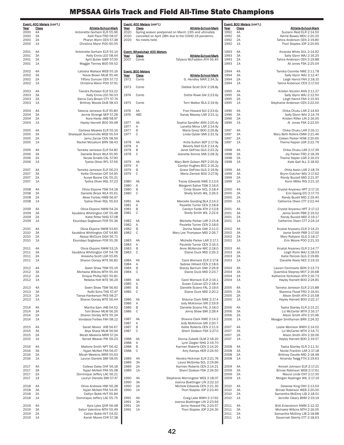|              | <u>Event: 400 Meters</u> (con't.) |                                                              |              | Event: 400 Meters (con't.)          |                                                                             |              | Event: 800 Meters (con't.) |                                                              |
|--------------|-----------------------------------|--------------------------------------------------------------|--------------|-------------------------------------|-----------------------------------------------------------------------------|--------------|----------------------------|--------------------------------------------------------------|
| Year<br>2000 | <u>Class</u><br>4A                | Athlete-School-Mark<br>Antoinette Gorham ELR 55.96           | Year<br>2020 | <b>Class</b>                        | Athlete-School-Mark<br>Spring season postponed on March 13th and ultimately | Year<br>1992 | <u>Class</u><br>4A         | Athlete-School-Mark<br>Suziann Reid ELR 2:14.50              |
| 2000         | 3A                                | Kelli Pace FRD 58.07                                         | 2020         |                                     | cancelled on April 28th due to the COVID-19 pandemic.                       | 1992         | 3A                         | Kerrie Bowes MDU 2:20.20                                     |
| 2000<br>2000 | 2A<br>1A                          | Pharyn Wynn CEN 57.38<br>Christina Mann POO 60.05            | 2020         | No meets held.                      |                                                                             | 1992<br>1992 | 2A<br>1A                   | Tahira Anderson CEN 2:19.80<br>Thori Staples JOP 2:20.60     |
|              |                                   |                                                              |              |                                     |                                                                             |              |                            |                                                              |
| 2001         | 4A                                | Antoinette Gorham ELR 55.14                                  |              | <b>Event: Wheelchair 400 Meters</b> |                                                                             | 1993         | 4A                         | Amanda White DUL 2:14.92                                     |
| 2001<br>2001 | 3A<br>2A                          | Kelly Ennis LEO 58.44<br>April Butler GWP 57.00              | Year<br>2007 | <b>Class</b><br>Comb                | <b>Athlete-School-Mark</b><br>Tatyana McFadden ATH 56.45                    | 1993<br>1993 | 3A<br>2A                   | Sally Glynn WAJ 2:16.25<br>Tahira Anderson CEN 2:19.88       |
| 2001         | 1A                                | Maggie Tierney BOO 59.52                                     |              |                                     |                                                                             | 1993         | 1A                         | Ali Jones FSK 2:25.04                                        |
|              |                                   |                                                              |              |                                     |                                                                             |              |                            |                                                              |
| 2002<br>2002 | 4A<br>ЗΑ                          | Latosha Wallace WEB 55.16<br>Novia Brown MLM 55.46           | Year         | Event: 800 Meters<br><u>Class</u>   | <b>Athlete-School-Mark</b>                                                  | 1994<br>1994 | 4A<br>3A                   | Tamika Coombs NWE 2:11.78<br>Sally Glynn WAJ 2:12.47         |
| 2002         | 2A                                | Tiffany Duncan CEN 57.72                                     | 1972         | Comb                                | G. Hendley MAR 2:34.3y                                                      | 1994         | 2A                         | Leigh Hancil FAH 2:18.10                                     |
| 2002         | 1A                                | Christina Mann POO 57.91                                     |              |                                     |                                                                             | 1994         | 1A                         | Tahira Anderson CEN 2:17.50                                  |
| 2003         | 4A                                | Tiandra Ponteen ELR 53.22                                    | 1973         | Comb                                | Debbie Scott DUV 2:28.8y                                                    | 1995         | 4A                         | Kristen Nicolini ANN 2:11.27                                 |
| 2003         | ЗA                                | Kelly Ennis LEO 56.03                                        | 1974         | Comb                                | Dottie Rowe GAI 2:23.6y                                                     | 1995         | 3A                         | Sally Glynn WAJ 2:12.50                                      |
| 2003         | 2A                                | Sierra Cary-Brown CTY 57.74                                  |              |                                     |                                                                             | 1995         | 2A                         | Leigh Hancil FAH 2:15.93                                     |
| 2003         | 1A                                | Brittney Woods DUB 58.43                                     | 1975         | Comb                                | Terri Walker BLA 2:19.9y                                                    | 1995         | 1A                         | Stephanie Anderson CEN 2:22.00                               |
| 2004         | 4A                                | Takecia Jameson ELR 55.80                                    | 1976         | AA                                  | Fran Howard SUI 2:23.6y                                                     | 1996         | 4A                         | Chika Chuku LAR 2:14.60                                      |
| 2004<br>2004 | 3A<br>2A                          | Jennie Strange SEP 57.28                                     | 1976         | ABC                                 | Sandy Massey LAR 2:21.1y                                                    | 1996<br>1996 | 3A<br>2A                   | Sally Glynn WAJ 2:14.74<br>Kristen Ritter LIN 2:16.00        |
| 2004         | 1A                                | Kora Hardy JMB 58.97<br>Hayley Harnett BOO 59.48             | 1977         | AA                                  | Sophia Sandifer ANN 2:20.4y                                                 | 1996         | 1A                         | Al Jones FSK 2:22.50                                         |
|              |                                   |                                                              | 1977         | Α                                   | Lanetta Minor LAR 2:14.9y                                                   |              |                            |                                                              |
| 2005<br>2005 | 4A<br>ЗΑ                          | Carliesa Meakes ELR 55.16<br>Shalaiyah Sommerville WEB 55.54 | 1977<br>1977 | B<br>C                              | Maria Grosz BOO 2:26.8y<br>Linda Oyster SMI 2:31.5y                         | 1997<br>1997 | 4A<br>3A                   | Chika Chuku LAR 2:16.11<br>Mary Beth Rollins CMW 2:21.46     |
| 2005         | 2A                                | Jamu Zarzar CEN 58.56                                        |              |                                     |                                                                             | 1997         | 2A                         | Coleen Parker HOW 2:20.65                                    |
| 2005         | 1A                                | Rachel Mccallum BRN 58.43                                    | 1978         | AA                                  | Anita Sutton SEP 2:17.9y                                                    | 1997         | 1A                         | Thema Napier LGR 2:22.79                                     |
| 2006         | 4A                                | Tameka Jameson ELR 54.80                                     | 1978<br>1978 | Α<br>B                              | Beverly Stell ELR 2:14.4y<br>Janet DeFries GLG 2:22.2y                      | 1998         | 4A                         | Chika Chuku LAR 2:17.39                                      |
| 2006         | ЗA                                | Danielle Brock WLA 55.95                                     | 1978         | C                                   | Jeanette Simms SMI 2:28.3y                                                  | 1998         | 3A                         | Joy Parker FRD 2:18.39                                       |
| 2006         | 2A                                | Nicole Smalls CAL 57.90                                      |              |                                     |                                                                             | 1998         | 2A                         | Thema Napier LGR 2:16.03                                     |
| 2006         | 1A                                | Tyshia Oliver RFL 57.56                                      | 1979<br>1979 | AA<br>Α                             | Mary Beth Golsen REP 2:20.0y<br>Carolyn Hughes BCC 2:16.2y                  | 1998         | 1A                         | Kate Gall ALL 2:18.92                                        |
| 2007         | 4A                                | Tameka Jameson ELR 56.23                                     | 1979         | B                                   | Grace DeFries GLG 2:19.9y                                                   | 1999         | 4A                         | Ohita Asein LAR 2:18.74                                      |
| 2007         | 3A<br>2A                          | Kellie Christian CAT 54.95                                   | 1979         | C                                   | Maria Zientok BOO 2:27.9y                                                   | 1999<br>1999 | 3A<br>2A                   | Brynn Dutcher WAJ 2:17.62<br>Randy Buzzell MID 2:21.97       |
| 2007<br>2007 | 1A                                | Aunye Boone CAL 55.21<br>Tyshia Oliver RGL 57.23             | 1980         | AA                                  | Tracey Edwards NWE 2:13.6                                                   | 1999         | 1A                         | Korin Miller RIS 2:21.10                                     |
|              |                                   |                                                              | 1980         | Α                                   | Margaret Salive TSW 2:16.6                                                  |              |                            |                                                              |
| 2008<br>2008 | 4A<br>ЗΑ                          | Olivia Ekpone TSW 54.18<br>Danielle Brock WLA 55.61          | 1980<br>1980 | B<br>C                              | Cindy Stover NCL 2:18.4<br>Shelly Smith WIL 2:26.5                          | 2000<br>2000 | 4A<br>3A                   | Crystal Anyanwu HPT 2:17.15<br>Erin Gaeng GTJ 2:17.70        |
| 2008         | 2A                                | Alese Forbes NWB 56.97                                       |              |                                     |                                                                             | 2000         | 2A                         | Randy Buzell MID 2:19.40                                     |
| 2008         | 1A                                | Tyshia Oliver RGL 55.63                                      | 1981         | AA                                  | Marcelle Gooding BLA 2:14.2                                                 | 2000         | 1A                         | Catherine Olsen CTT 2:22.44                                  |
| 2009         | 4A                                | Olivia Ekpone NWM 54.24                                      | 1981<br>1981 | Α<br>B                              | Paulette Turner CEN 2:18.8<br>Carolyn Forde ATH 2:13.8                      | 2001         | 4A                         | Crystal Anyanwu HPT 2:17.12                                  |
| 2009         | ЗA                                | Xauddina Whittington CAT 55.48                               | 1981         | C                                   | Shelly Smith WIL 2:22.6                                                     | 2001         | 3A                         | Jamie Smith PBR 2:19.02                                      |
| 2009         | 2A                                | Katie Ritter NHG 57.08                                       |              |                                     |                                                                             | 2001         | 2A                         | Randy Buzzell MID 2:19.17                                    |
| 2009         | 1A                                | Ekundayo Sogbesan FOR 55.36                                  | 1982<br>1982 | AA<br>A                             | Michelle Parker LAR 2:15.8<br>Paulette Turner CEN 2:18.6                    | 2001         | 1A                         | Catherine Olsen CTT 2:24.14                                  |
| 2010         | 4A                                | Olivia Ekpone NWM 53.60                                      | 1982         | B                                   | Donna Neale OAK 2:11.0                                                      | 2002         | 4A                         | Krystal Anywanu ELR 2:14.21                                  |
| 2010         | 3A<br>2A                          | Xauddina Whittington CAT 54.85<br>Alyssa McClure DGH 56.71   | 1982         | C                                   | Mary Lee Thompson MID 2:26.7                                                | 2002<br>2002 | 3A<br>2A                   | Jamie Smith PBR 2:17.00                                      |
| 2010<br>2010 | 1A                                | Ekundayo Sogbesan FOR 55.26                                  | 1983         | AA                                  | Michelle Parker LAR 2:17.1                                                  | 2002         | 1A                         | Mary Rollyson GLG 2:18.17<br>Erin Moore POO 2:21.33          |
|              |                                   |                                                              | 1983         | Α                                   | Paulette Turner CEN 2:16.5                                                  |              |                            |                                                              |
| 2011<br>2011 | 4A<br>ЗΑ                          | Olivia Ekpone NWM 53.15<br>Xauddina Whittington CAT 54.78    | 1983<br>1983 | B<br>C                              | Anne McKenzie WIC 2:18.0<br>Elaine Duck MID 2:26.3                          | 2003<br>2003 | 4A<br>3A                   | Krystal Anyanwu ELR 2:14.77<br>Leigh Rivlin WAJ 2:18.03      |
| 2011         | 2A                                | Aneesha Scott LGR 55.65                                      |              |                                     |                                                                             | 2003         | 2A                         | Katie Pencek GLG 2:19.86                                     |
| 2011         | 1A                                | Sharon Dorsey WTE 56.82                                      | 1984         | AA                                  | Carol Womack ELR 2:17.8                                                     | 2003         | 1A                         | Danielle Keely NEC 2:19.10                                   |
| 2012         | 4A                                | Gwen Shaw TSW 55.19                                          | 1984<br>1984 | A<br>B                              | Sabrae Hilliard CEN 2:18.6<br>Stacey Barnum OAK 2:26.8                      | 2004         | 4A                         | Lauren Centrowitz BDN 2:13.73                                |
| 2012         | 3A                                | Michaela Wilkins MTH 55.44                                   | 1984         | C                                   | Elaine Duck MID 2:23.7                                                      | 2004         | 3A                         | Quantikia Stepney MVT 2:16.68                                |
| 2012         | 2A                                | Dnique Phillip NEC 55.81                                     |              |                                     |                                                                             | 2004         | 2A                         | Katherine Nicholson ATH 2:16.73                              |
| 2012         | 1A                                | Rebeka Holt WTE 56.24                                        | 1985<br>1985 | AA<br>Α                             | Carol Womack ELR 2:16.1<br>Susan Culican GTJ 2:18.4                         | 2004         | 1A                         | Hayley Harnett BOO 2:24.81                                   |
| 2013         | 4A                                | Gwen Shaw TSW 56.60                                          | 1985         | B                                   | Danielle Sciano FAL 2:19.6                                                  | 2005         | 4A                         | Tameka Jameson ELR 2:15.88                                   |
| 2013         | 3A                                | Kolbi Sims THS 57.47                                         | 1985         | C                                   | Elaine Duck MID 2:20.2                                                      | 2005         | 3A                         | Starema Flood FRD 2:16.61                                    |
| 2013<br>2013 | 2A<br>1A                          | Tianya Hankerson PKS 58.27<br>Sharon Dorsey WTE 56.44        | 1986         | AA                                  | Shauna Clark NWE 2:17.4                                                     | 2005<br>2005 | 2A<br>1A                   | Alison Smith ATH 2:15.58<br>Hayley Harnett BOO 2:22.17       |
|              |                                   |                                                              | 1986         | Α                                   | Jody McKinnon SRI 2:19.9                                                    |              |                            |                                                              |
| 2014<br>2014 | 4A<br>ЗΑ                          | Martha Sam JHB 54.52<br>Toni Brown MLM 56.26                 | 1986<br>1986 | B<br>C                              | Danielle Sciano FAL 2:18.0<br>Jenny Shaw SMI 2:28.4                         | 2006<br>2006 | 4A<br>3A                   | Tasha Stanley ELR 2:15.21<br>Liz McCarter MTH 2:16.17        |
| 2014         | 2A                                | Sharon Dorsey WTE 55.24                                      |              |                                     |                                                                             | 2006         | 2A                         | Alison Smith ATH 2:15.96                                     |
| 2014         | 1A                                | Vondasia Forbes FAH 58.12                                    | 1987         | AA                                  | Shauna Clark NWE 2:14.2                                                     | 2006         | 1A                         | Meagan Smithyman BRN 2:24.32                                 |
| 2015         | 4A                                | Sarah Moore JHB 56.67                                        | 1987<br>1987 | Α<br>B                              | Jody McKinnon SRI 2:20.7<br>Kellie Roberts CEN 2:11.6                       | 2007         | 4A                         | Leslie Morrison WWH 2:14.02                                  |
| 2015         | 3A                                | Aliya Sharp MLM 56.94                                        | 1987         | C                                   | Sherri Dodson FSK 2:27.0                                                    | 2007         | 3A                         | Liz McCarter MTH 2:14.71                                     |
| 2015         | 2A                                | Micah Meekins MRR 57.24                                      |              |                                     |                                                                             | 2007         | 2A                         | Alison Smith ATH 2:16.06                                     |
| 2015         | 1A                                | Senait Weaver PIK 59.23                                      | 1988<br>1988 | AA<br>Α                             | Donna Zubalik OLM 2:18.20<br>Lynn Ziegler NHG 2:19.70                       | 2007         | 1A                         | Hayley Harnett BOO 2:19.57                                   |
| 2016         | 4A                                | Mallorie Smith NPT 56.42                                     | 1988         | B                                   | Karmen Roberts CEN 2:14.20                                                  | 2008         | 4A                         | Tasha Stanley ELR 2:11.31                                    |
| 2016         | 3A                                | Nyjari McNeil FRA 56.07                                      | 1988         | C                                   | Amy Kamps HER 2:24.50                                                       | 2008         | 3A                         | Nicole Franklin LAR 2:17.18                                  |
| 2016<br>2016 | 2A<br>1A                          | Micah Meekins MRR 55.63<br>Lauryn Daniels SMI 58.05          | 1989         | 4A                                  | Kendra Hickman ELR 2:21.76                                                  | 2008<br>2008 | 2A<br>1A                   | Brittney Caudle MID 2:18.48<br>Amanda Twigg FTH 2:19.63      |
|              |                                   |                                                              | 1989         | 3A                                  | Laura McGinley SCL 2:19.66                                                  |              |                            |                                                              |
| 2017         | 4A                                | Collese Daley CHF 56.18                                      | 1989         | 2A                                  | Karmen Roberts CEN 2:14.21                                                  | 2009         | 4A                         | Amirah Johnson ELR 2:17.21                                   |
| 2017<br>2017 | ЗΑ<br>2A                          | Nyjari McNeil FRA 55.08<br>Dominique Jeffery LAC 56.21       | 1989         | 1A                                  | Sherri Dodson FSK 2:24.50                                                   | 2009<br>2009 | 3A<br>2A                   | Brinae Robinson WEB 2:17.61<br>Maura Linde CNT 2:17.35       |
| 2017         | 1A                                | Lauryn Daniels SMI 57.47                                     | 1990         | 4A                                  | Stephanie Morningstar WES 2:18.07                                           | 2009         | 1A                         | Morgan Keplinger WIL 2:17.19                                 |
|              |                                   |                                                              | 1990         | 3A                                  | Joanna Boettinger LIN 2:22.10                                               |              |                            |                                                              |
| 2018<br>2018 | 4A<br>3A                          | Olivia Andrews HWI 56.28<br>Nyjari McNeil FRA 54.45          | 1990<br>1990 | 2A<br>1A                            | Michele Edwards CEN 2:21.30<br>Thori Staples JOP 2:23.40                    | 2010<br>2010 | 4A<br>3A                   | Deseree King OXH 2:13.54<br>Brinae Robinson WEB 2:20.00      |
| 2018         | 2A                                | Caitlyn Bobb HVT 55.84                                       |              |                                     |                                                                             | 2010         | 2A                         | Samantha McElroy LIB 2:18.51                                 |
| 2018         | 1A                                | Dominique Jeffery LAC 55.75                                  | 1991<br>1991 | 4A<br>3A                            | Craig Lake WWH 2:17.62<br>Joanna Boettinger LIN 2:23.94                     | 2010         | 1A                         | Jennifer Cleary BHM 2:19.19                                  |
| 2019         | 4A                                | Kyra Lyles QOR 56.48                                         | 1991         | 2A                                  | Jenny Howard FAL 2:20.57                                                    | 2011         | 4A                         | Britt Eckerstrom NWM 2:12.32                                 |
| 2019         | 3A                                | Satori Valentine MTH 55.49                                   | 1991         | 1A                                  | Thori Staples JOP 2:24.30                                                   | 2011         | 3A                         | Michaela Wilkins MTH 2:16.05                                 |
| 2019<br>2019 | 2A<br>1A                          | Caitlyn Bobb HVT 54.02<br>Karah Moore CVR 57.38              |              |                                     |                                                                             | 2011<br>2011 | 2A<br>1A                   | Samantha McElroy LIB 2:18.88<br>Savannah Steinly CTT 2:18.63 |
|              |                                   |                                                              |              |                                     |                                                                             |              |                            |                                                              |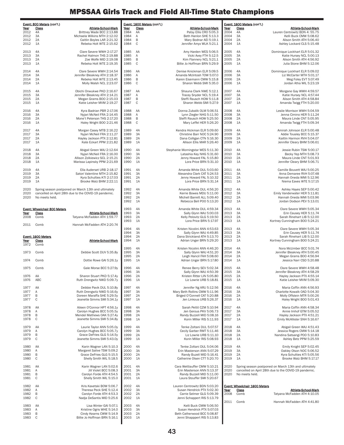|              | Event: 800 Meters (con't.)                            |                                                             |              | Event: 1600 Meters (con't.) |                                                               |              | Event: 1600 Meters (con't.)            |                                                            |
|--------------|-------------------------------------------------------|-------------------------------------------------------------|--------------|-----------------------------|---------------------------------------------------------------|--------------|----------------------------------------|------------------------------------------------------------|
| Year<br>2012 | Class<br>4A                                           | Athlete-School-Mark<br>Brittney Wade BCC 2:13.88            | Year<br>1984 | Class<br>AA                 | Athlete-School-Mark<br>Patsy Ellis CRO 5:05.3                 | Year<br>2004 | Class<br>4A                            | Athlete-School-Mark<br>Lauren Centrowitz BDN 4: 55.75      |
| 2012         | 3A                                                    | Michaela Wilkins MTH 2:12.02                                | 1984         | Α                           | Beth Hanlon SHE 5:13.3                                        | 2004         | 3A                                     | Kelli Buck CMW 5:08.62                                     |
| 2012<br>2012 | 2A<br>1A                                              | Caitlin Boyles LAR 2:21.32<br>Rebeka Holt WTE 2:15.62       | 1984<br>1984 | B<br>$\mathsf C$            | Mary Bodnar AEI 5:19.1<br>Jennifer Amyx WLK 5:21.1            | 2004<br>2004 | 2A<br>1A                               | Alison Smith ATH 5:06.40<br>Ashley Lockard CLS 5:15.48     |
|              |                                                       |                                                             |              |                             |                                                               |              |                                        |                                                            |
| 2013<br>2013 | 4A<br>3A                                              | Clare Severe WWH 2:17.27<br>Rachel Halmon THS 2:19.88       | 1985<br>1985 | AA<br>Α                     | Amy Harden WES 5:06.5<br>Vicki Avey FTH 5:12.5                | 2005<br>2005 | 4A<br>3A                               | Dominique Lockhart ELR 5:01.32<br>Katie Hursey NCL 5:00.13 |
| 2013         | 2A                                                    | Zoe Wolfe MID 2:19.08                                       | 1985         | B                           | Kim Flannery NCL 5:21.1                                       | 2005         | 2A                                     | Alison Smith ATH 4:56.92                                   |
| 2013         | 1A                                                    | Rebeka Holt WTE 2:19.35                                     | 1985         | $\mathbb C$                 | Billie Jo Hoffman BRN 5:29.9                                  | 2005         | 1A                                     | Julia Stone BHM 5:12.06                                    |
| 2014         | 4A                                                    | Clare Severe WWH 2:14.54                                    | 1986         | AA                          | Denise Knickman ELR 5:09.5                                    | 2006         | 4A                                     | Dominique Lockhart ELR 5:09.02                             |
| 2014         | 3A                                                    | Jennifer Bleakney ATH 2:18.37                               | 1986         | Α                           | Amanda McIntosh TOW 5:07.0                                    | 2006         | 3A                                     | Liz McCarter MTH 5:01.17                                   |
| 2014<br>2014 | 2A<br>1A                                              | Rebeka Holt WTE 2:13.45<br>Molly Walsh NCL 2:23.07          | 1986<br>1986 | B<br>C                      | Karen Eisemann CMW 5:15.8<br>Sharon Webb SMI 5:35.0           | 2006<br>2006 | 2A<br>1A                               | Meg Foley EVT 5:07.49<br>Jordan Atha WIL 5:23.19           |
|              |                                                       |                                                             |              |                             |                                                               |              |                                        |                                                            |
| 2015<br>2015 | 4A<br>3A                                              | Obichi Onwukwe PKD 2:16.67<br>Jennifer Bleakney ATH 2:14.21 | 1987<br>1987 | AA<br>Α                     | Shauna Clark NWE 5:12.1<br>Tracey Snyder NCL 5:19.4           | 2007<br>2007 | 4A<br>3A                               | Morgane Gay WWH 4:59.57<br>Katie Hursey NCL 4:57.44        |
| 2015         | 2A                                                    | Megan Grams B00 2:15.03                                     | 1987         | B                           | Steffi Rausch HOW 5:11.8                                      | 2007         | 2A                                     | Alison Smith ATH 4:58.84                                   |
| 2015         | 1A                                                    | Katie Leisher MVM 2:19.27                                   | 1987         | C                           | Sharon Webb SMI 5:27.9                                        | 2007         | 1A                                     | Amanda Twigg FTH 5:20.00                                   |
| 2016         | 4A                                                    | Kyra Badrian PBR 2:17.06                                    | 1988         | AA                          | Donna Zubalik OLM 5:06.51                                     | 2008         | 4A                                     | Leslie Morrison WWH 5:04.59                                |
| 2016<br>2016 | 3A<br>2A                                              | Nyjari McNeil FRA 2:14.45<br>Mone't Peterson THS 2:17.20    | 1988<br>1988 | Α<br>B                      | Lynn Ziegler NHG 5:11.50<br>Steffi Rausch HOW 5:25.50         | 2008<br>2008 | 3A<br>2A                               | Jenna Cimino HER 5:11.24<br>Maura Linde CNT 5:05.95        |
| 2016         | 1A                                                    | Haley Wright BOO 2:21.46                                    | 1988         | $\mathbb C$                 | Mary Leffel HER 5:26.20                                       | 2008         | 1A                                     | Amanda Twigg FTH 5:09.34                                   |
| 2017         | 4A                                                    | Morgan Casey MTB 2:16.22                                    | 1989         | 4A                          | Kendra Hickman ELR 5:09.60                                    | 2009         | 4A                                     | Amirah Johnson ELR 5:00.48                                 |
| 2017         | 3A                                                    | Nyjari McNeil FRA 2:11.27                                   | 1989         | 3A                          | Christine Barr NOC 5:24.90                                    | 2009         | 3A                                     | Addie Tousley BCC 5:15.37                                  |
| 2017<br>2017 | 2A<br>1A                                              | Hayley Jackson PTX 2:12.81<br>Kate Eckart PPM 2:21.82       | 1989<br>1989 | 2A<br>1A                    | Dana Colligan CTN 5:16.30<br>Allison Ellis MAR 5:26.40        | 2009<br>2009 | 2A<br>1A                               | Kaitlin Harmon RVH 5:04.07<br>Jennifer Cleary BHM 5:06.61  |
|              |                                                       |                                                             |              |                             |                                                               |              |                                        |                                                            |
| 2018<br>2018 | 4A<br>3A                                              | Abigail Green WAJ 2:12.64<br>Nyjari McNeil FRA 2:16.00      | 1990<br>1990 | 4A<br>3A                    | Stephanie Morningstar WES 5:11.30<br>Latashia Key NHG 5:31.60 | 2010<br>2010 | 4A<br>3A                               | Jessie Rubin TSW 5:00.17<br>Becky Yep MTH 5:08.73          |
| 2018         | 2A                                                    | Allison Zolkiewicz SCL 2:15.21                              | 1990         | 2A                          | Jenny Howard FAL 5:15.80                                      | 2010         | 2A                                     | Maura Linde CNT 5:01.93                                    |
| 2018         | 1A                                                    | Marissa Lapinsky PPM 2:21.69                                | 1990         | 1A                          | Lora Price BRN 5:31.10                                        | 2010         | 1A                                     | Jennifer Cleary BHM 5:06.71                                |
| 2019         | 4A                                                    | Ella Auderset URB 2:18.17                                   | 1991         | 4A                          | Amanda White DUL 5:03.60                                      | 2011         | 4A                                     | Camille Bouvett WAJ 5:00.25                                |
| 2019<br>2019 | 3A<br>2A                                              | Satori Valentine MTH 2:15.82<br>Kyra Schulties KTI 2:17.03  | 1991<br>1991 | 3A<br>2A                    | Alexandra Clark CAT 5:24.53<br>Jenny Howard FAL 5:10.32       | 2011<br>2011 | 3A<br>2A                               | Anna Demaree RVH 5:07.48<br>Hannah Oneda WMI 5:12.96       |
| 2019         | 1A                                                    | Brooke Walz BHM 2:22.11                                     | 1991         | 1A                          | Lora Price BRN 5:31.14                                        | 2011         | 1A                                     | Niema Eaves WTE 5:17.15                                    |
| 2020         | Spring season postponed on March 13th and ultimately  |                                                             | 1992         | 4A                          | Amanda White DUL 4:56.20                                      | 2012         | 4A                                     | Ashley Hayes SEP 5:00.42                                   |
| 2020         | cancelled on April 28th due to the COVID-19 pandemic. |                                                             | 1992         | 3A                          | Kerrie Bowes MDU 5:11.00                                      | 2012         | 3A                                     | Emily Vanderwater HER 5:11.81                              |
| 2020         | No meets held.                                        |                                                             | 1992<br>1992 | 2A<br>1A                    | Michell Barrett ALL 5:09.40<br>Rebecca Bell POO 5:13.20       | 2012<br>2012 | 2A<br>1A                               | Hannah Oneda WMI 5:03.96<br>Jordan Dodson PEV 5:13.01      |
|              |                                                       |                                                             |              |                             |                                                               |              |                                        |                                                            |
| Year         | Event: Wheelchair 800 Meters<br>Class                 | <b>Athlete-School-Mark</b>                                  | 1993<br>1993 | 4A<br>3A                    | Amanda White DUL 4:59.34<br>Sally Glynn WAJ 5:00.03           | 2013<br>2013 | 4A<br>3A                               | Clare Severe WWH 5:05.34<br>Erin Causey HER 5:11.74        |
| 2008         | Comb                                                  | Tatyana McFadden ATH 1:59.77                                | 1993         | 2A                          | Kelly Pelovitz GLG 5:19.50                                    | 2013         | 2A                                     | Sarah Rinehart LIB 5:12.00                                 |
| 2011         | Comb                                                  | Hannah McFadden ATH 2:20.74                                 | 1993         | 1A                          | Lora Price BRN 5:17.97                                        | 2013         | 1A                                     | Kortney Cunningham BOO 5:24.21                             |
|              |                                                       |                                                             | 1994         | 4A                          | Kristen Nicolini ANN 4:53.63                                  | 2013         | 4A                                     | Clare Severe WWH 5:05.34                                   |
|              | Event: 1600 Meters                                    |                                                             | 1994<br>1994 | 3A<br>2A                    | Sally Glynn WAJ 4:49.85<br>Dana Strickland ATH 5:13.70        | 2013<br>2013 | 3A<br>2A                               | Erin Causey HER 5:11.74<br>Sarah Rinehart LIB 5:12.00      |
| Year         | Class                                                 | Athlete-School-Mark                                         | 1994         | 1A                          | Adrian Unger BRN 5:29.20                                      | 2013         | 1A                                     | Kortney Cunningham BOO 5:24.21                             |
| 1972         | Comb                                                  |                                                             | 1995         | 4A                          | Kristen Nicolini ANN 4:46.20                                  | 2014         | 4A                                     | Nora McUmber BCC 5:01.74                                   |
| 1973         | Comb                                                  | Debbie Scott DUV 5:35.8y                                    | 1995         | 3A                          | Sally Glynn WAJ 4:51.20                                       | 2014         | 3A                                     | Jennifer Bleakney ATH 5:00.45                              |
| 1974         | Comb                                                  | Dottie Rowe GAI 5:26.1y                                     | 1995<br>1995 | 2A<br>1A                    | Leigh Hancil FAH 5:08.60<br>Adrian Unger BRN 5:17.80          | 2014<br>2014 | 2A<br>1A                               | Megan Grams BOO 4:56.94<br>Jessica Narr CSD 5:20.88        |
|              |                                                       |                                                             |              |                             |                                                               |              |                                        |                                                            |
| 1975         | Comb                                                  | Gale Morse BCC 5:27.9y                                      | 1996<br>1996 | 4A<br>3A                    | Renee Berry SEV 5:02.34<br>Sally Glynn WAJ 4:50.39            | 2015<br>2015 | 4A<br>3A                               | Clare Severe WWH 4:58.48<br>Jennifer Bleakney ATH 4:58.29  |
| 1976         | AA                                                    | Sharon Stuart PKD 5:17.4y                                   | 1996         | 2A                          | Kristen Ritter LIN 5:05.80                                    | 2015         | 2A                                     | Hayley Jackson PTX 4:55.14                                 |
| 1976         | ABC                                                   | Ruth Drengwitz NWD 5:09.7y                                  | 1996         | 1A                          | Liz Lowrie URB 5:18.81                                        | 2015         | 1A                                     | Katie Leisher MVM 5:09.30                                  |
| 1977         | AA                                                    | Debbie Pavik DUL 5:10.8y                                    | 1997         | 4A                          | Jennifer Ng ARU 5:12.56                                       | 2016         | 4A                                     | Maria Coffin ANN 4:56.93                                   |
| 1977<br>1977 | Α<br>B                                                | Ruth Drengwitz NWD 5:16.6y<br>Doreen Maraffa SHE 5:29.5y    | 1997<br>1997 | 3A<br>2A                    | Mary Beth Rollins CMW 5:11.96<br>Briged O'Connell CAT 5:20.88 | 2016<br>2016 | 3A<br>2A                               | Charlotte Kowalk OAD 5:04.30<br>Molly Offstein MTR 5:00.26 |
| 1977         | C                                                     | Jeanette Simms SMI 5:34.1y                                  | 1997         | 1A                          | Jen Linkous URB 5:26.37                                       | 2016         | 1A                                     | Haley Wright BOO 5:01.43                                   |
| 1978         | AA                                                    | Aileen O'Connor HPT 4:56.1y                                 | 1998         | 4A                          | Sarah Pettit CZM 5:10.94                                      | 2017         | 4A                                     | Maria Coffin ANN 4:58.34                                   |
| 1978         | Α                                                     | Carolyn Hughes BCC 5:05.5y                                  | 1998         | 3A                          | Jen Gerous PKV 5:06.73                                        | 2017         | 3A                                     | Annie Imhof GTM 5:05.52                                    |
| 1978<br>1978 | B<br>C                                                | Mendel Mathews OAK 5:27.4y<br>Jeanette Simms SMI 5:34.8y    | 1998<br>1998 | 2A<br>1A                    | Randy Buzzell MID 5:08.16<br>Korin Miller RIS 5:11.93         | 2017<br>2017 | 2A<br>1A                               | Hayley Jackson PTX 4:51.21<br>Emily McAllister SNH 5:16.67 |
|              |                                                       |                                                             |              |                             |                                                               |              |                                        |                                                            |
| 1979<br>1979 | AA<br>Α                                               | Laurie Taylor ANN 5:05.0y<br>Carolyn Hughes BCC 5:05.7y     | 1999<br>1999 | 4A<br>3A                    | Tenke Zoltani DUL 5:07.57<br>Cecily Garber RMT 5:11.46        | 2018<br>2018 | 4A<br>3A                               | Abigail Green WAJ 4:51.43<br>Jessica Rogers CMW 5:14.18    |
| 1979         | В                                                     | Grace DeFries GLG 5:14.5y                                   | 1999         | 2A                          | Liz Lowrie URB 5:11.10                                        | 2018         | 2A                                     | Nandina Satsangi POO 5:10.83                               |
| 1979         | C                                                     | Jeanette Simms SMI 5:43.0y                                  | 1999         | 1A                          | Korin Miller RIS 5:08.93                                      | 2018         | 1A                                     | Ashley Betz PPM 5:25.59                                    |
| 1980         | AA                                                    | Karin Wagner LAN 5:10.3                                     | 2000         | 4A                          | Tenke Zoltani DUL 5:04.06                                     | 2019         | 4A                                     | Emily Knight SEP 5:02.45                                   |
| 1980<br>1980 | Α<br>В                                                | Margaret Salive TSW 5:09.2<br>Grace DeFries GLG 5:15.5      | 2000<br>2000 | 3A<br>2A                    | Erin Masterson ANN 5:07.29<br>Randy Buzell MID 5:16.41        | 2019<br>2019 | 3A<br>2A                               | Oakley Olson NOC 5:06.52<br>Kyra Schulties KTI 5:05.56     |
| 1980         | C                                                     | Shelly Smith WIL 5:18.5                                     | 2000         | 1A                          | Catherine Olsen CTT 5:20.70                                   | 2019         | 1A                                     | Brooke Walz BHM 5:17.17                                    |
| 1981         | AA                                                    | Karin Wagner LAN 5:02.6                                     | 2001         | 4A                          | Cara Wettlauffer CMW 5:10.21                                  | 2020         |                                        | Spring season postponed on March 13th and ultimately       |
| 1981         | Α                                                     | Jill Violet BCC 5:08.3                                      | 2001         | 3A                          | Erin Masterson ANN 5:13.37                                    | 2020         |                                        | cancelled on April 28th due to the COVID-19 pandemic.      |
| 1981<br>1981 | B<br>C                                                | Carolyn Forde ATH 4:54.5<br>Shelly Smith WIL 5:15.0         | 2001<br>2001 | 2A<br>1A                    | Randy Buzzell MID 5:11.00<br>Laura Stouffer SMI 5:20.67       | 2020         | No meets held.                         |                                                            |
|              |                                                       |                                                             |              |                             |                                                               |              |                                        |                                                            |
| 1982<br>1982 | AA<br>Α                                               | Kris Kavetski BOW 5:06.7<br>Theresa Peck SHE 5:12.4         | 2002<br>2002 | 4A<br>3A                    | Lauren Centrowitz BDN 5:03.20<br>Susan Hendrick PTX 5:02.30   | Year         | Event: Wheelchair 1600 Meters<br>Class | Athlete-School-Mark                                        |
| 1982         | B                                                     | Carolyn Forde ATH 4:53.3                                    | 2002         | 2A                          | Carrie Selmer GLG 5:09.39                                     | 2008         | Comb                                   | Tatyana McFadden ATH 4:10.05                               |
| 1982         | C                                                     | Nadja DeSantis MID 5:25.6                                   | 2002         | 1A                          | Jenni Schappert RIS 5:13.79                                   | 2011         | Comb                                   | Hannah McFadden ATH 4:41.80                                |
| 1983         | AA                                                    | Lisa Winter GAI 5:07.1                                      | 2003         | 4A                          | Kelli Buck CMW 5:06.50                                        |              |                                        |                                                            |
| 1983<br>1983 | Α<br>В                                                | Kristine Ogris WHE 5:14.0<br>Cindy Kearns CWW 5:14.9        | 2003<br>2003 | 3A<br>2A                    | Susan Hendrick PTX 5:07.03<br>Beth Catherwood BCC 5:08.87     |              |                                        |                                                            |
| 1983         | C                                                     | Billie Jo Hoffman BRN 5:16.1                                | 2003         | 1A                          | Jenni Shapppert RIS 5:13.83                                   |              |                                        |                                                            |
|              |                                                       |                                                             |              |                             |                                                               |              |                                        |                                                            |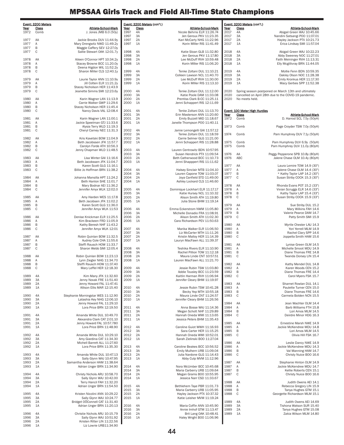| Class<br>Athlete-School-Mark<br><b>Class</b><br>Athlete-School-Mark<br>Class<br>Athlete-School-Mark<br>Year<br>Year<br>Year<br>1972<br>Comb<br>J. Jones JMB 6.0 (50y)<br>1997<br>4A<br>Nicole Behrns ELR 11:26.74<br>2017<br>4A<br>Abigail Green WAJ 10:45.66<br>3A<br>2017<br>1997<br>Jen Geroux PKV 11:23.35<br>3A<br>Nandini Satsangi POO 11:07.01<br>Jackie Brooks DUV 11:44.9y<br>2A<br>2017<br>2A<br>1977<br>AA<br>1997<br>Kari McCarty NHG 11:22.96<br>Hayley Jackson PTX 10:21.73<br>Mary Drengwitz NWD 11:49.2y<br>1A<br>Korin Miller RIS 11:41.49<br>2017<br>1977<br>Α<br>1997<br>1A<br>Erica Lindsay SMI 11:57.04<br>B<br>Maggie Caffery SEV 12:27.0y<br>1977<br>1977<br>C<br>Sallie Stewart OAK 12:01.7y<br>1998<br>Katie Sloan GLB 11:32.80<br>2018<br>4A<br>Abigail Green WAJ 10:22.23<br>4A<br>3A<br>Jen Gerous PKV 11:17.80<br>2018<br>3A<br>Abby Sweeney NOC 11:27.01<br>1998<br>1978<br>AA<br>Aileen O'Connor HPT 10:34.2y<br>1998<br>2A<br>Lee McDuff RVH 10:59.48<br>2018<br>2A<br>Faith Meininger RVH 11:13.31<br>1978<br>Α<br>1A<br>Korin Miller RIS 11:06.20<br>2018<br>1A<br>Elly Mcgillivray BRN 11:44.05<br>Stacey Browne BCC 11.20.0y<br>1998<br>В<br>Deena Higdon WIL 11:52.2y<br>1978<br>1978<br>C<br>Sharon Miller CLS 12:40.1y<br>2019<br>1999<br>4A<br>Tenke Zoltani DUL 11:10.21<br>4A<br>Mollie Fenn BDN 10:59.35<br>3A<br>2019<br>1999<br>Colleen Lawson NCL 11:40.70<br>3A<br>Oakley Olson NOC 11:28.38<br>2A<br>2019<br>2A<br>1979<br>AA<br>Laurie Taylor ANN 11:10.9y<br>1999<br>Lee McDuff RVH 11:30.00<br>Emily Kronkus HER 11:17.30<br>1979<br>2019<br>Α<br>Jill Cotten ELR 11:21.2y<br>1999<br>1A<br>Korin Miller RIS 11:13.10<br>1A<br>Macy Gerbes SPP 11:52.38<br>1979<br>В<br>Stacey Nicholson HER 11:43.9<br>1979<br>C<br>Jeanette Simms SMI 12:23.6y<br>2000<br>4A<br>Tenke Zoltani DUL 11:12.00<br>2020<br>Spring season postponed on March 13th and ultimately<br>3A<br>2000<br>Katie Poole DAM 11:33.08<br>2020<br>cancelled on April 28th due to the COVID-19 pandemic.<br>Karin Wagner LAN 11:13.9<br>2A<br>2020<br>1980<br>AA<br>2000<br>Prentiss Clark B-CC 11:25.11<br>No meets held.<br>Carrie Walker GWP 11:29.6<br>1A<br>1980<br>Α<br>2000<br>Jenni Schappert RIS 12:11.69<br>B<br>1980<br>Stacey Nicholson HER 11:45.4<br>1980<br>C<br>2001<br>4A<br>Event: 100 Meter High Hurdles<br>Nancy Davis VAL 12:08.4<br>Tenke Zoltani DUL 11:13.70<br>3A<br>Athlete-School-Mark<br>2001<br>Erin Masterson ANN 11:20.60<br>Year<br>Class<br>1981<br>AA<br>Karin Wagner LAN 11:00.1<br>2001<br>2A<br>Emily Buzzell MID 11:18.67<br>1972<br>Comb<br>D. Harrod SCL 7.5y (50yH)<br>1A<br>Janelle Thompson POO 11:40.11<br>1981<br>Α<br>Jackie Speelman GTJ 11:33.6<br>2001<br>B<br>Page Croyder TSW 7.0y (50yH)<br>1981<br>Alysia Terry WLD 11:19.3<br>1973<br>Comb<br>1981<br>C<br>Cheryl Carney NEC 11:31.3<br>2002<br>4A<br>Jamie Lemongelli GAI 11:57.12<br>2002<br>3A<br>1974<br>Pam Humphrey DUV 7.1y (50yH)<br>Tenke Zoltani DUL 11:18.59<br>Comb<br>Kris Kavetski BOW 11:04.9<br>2A<br>1982<br>AA<br>2002<br>Carrie Selmer GLG 11:21.00<br>1982<br>Α<br>Beth Jacobssen JFK 11:57.7<br>2002<br>1A<br>Jenni Schappert RIS 11:28.88<br>1975<br>Comb<br>Pam Humphrey DUV 6.9y (50yH)<br>B<br>Pam Humphrey DUV 11.0y (80yH)<br>1982<br>Carolyn Forde ATH 10:56.3<br>1975<br>Comb<br>1982<br>C<br>Jenny Chapman WLD 11:48.5<br>2003<br>4A<br>Lauren Centrowitz BDN 10:57.95<br>3A<br>2003<br>Susan Hendrick PTX 11:09.54<br>1976<br>AA<br>Peggy Pepperone SPB 10.8y (80yH)<br>Lisa Winter GAI 11:16.6<br>2A<br>1976<br>ABC<br>1983<br>AA<br>2003<br>Beth Catherwood BCC 11:10.73<br>Jalene Chase OLM 10.4y (80yH)<br>Beth Jacobssen JFK 11:04.7<br>2003<br>1A<br>1983<br>Α<br>Jenni Shapppert RIS 11:11.62<br>B<br>1983<br>Karen Scott GLG 11:16.1<br>1977<br>AA<br>Laura Lemire TOW 14.9 (30")<br>1983<br>C<br>Billie Jo Hoffman BRN 11:38.2<br>2004<br>4A<br>Halsey Sinclair MTB 11:04.10<br>1977<br>Α<br>Jalene Chase OLM 14.4 (30")<br>B<br>2004<br>3A<br>Lauren Capone TOW 11:03.07<br>1977<br>* Kathy Taylor LAP 14.2 (30")<br>Susan Striby COCK 15.3 (30")<br>1984<br>AA<br>Johanna Mansilla HPT 11:24.2<br>2004<br>2A<br>Joya Canfield STD 11:49.00<br>1977<br>C<br>1984<br>2004<br>1A<br>Α<br>Beth Hanlon SHE 11:01.7<br>Ashley Lockard CLS 11:46.60<br>B<br>Rhonda Evans POT 15.2 (33")<br>1984<br>Mary Bodnar AEI 11:36.2<br>1978<br>AA<br>C<br>1984<br>Jennifer Amyx WLK 12:02.0<br>2005<br>4A<br>Dominique Lockhart ELR 11:17.17<br>1978<br>Α<br>Vivian Scruggs ELR 14.6 (33")<br>3A<br>B<br>Kathy Taylor LAP 15.4 (33")<br>2005<br>Katie Hursey NCL 11:10.32<br>1978<br>Amy Harden WES 11:17.8<br>C<br>Susan Striby COCK 15.9 (33")<br>1985<br>AA<br>2005<br>2A<br>Alison Smith ATH 11:19.80<br>1978<br>1985<br>Α<br>Beth Jacobsen JFK 11:02.2<br>2005<br>1A<br>Julia Stone BHM 11:19.14<br>В<br>1979<br>Sue Striby DUL 15.2<br>1985<br>Karen Scott GLG 11:36.0<br>AA<br>1985<br>C<br>4A<br>Emma Eckerstrom NWM 11:05.80<br>1979<br>Mary Wilkins FAH 14.6<br>Jennifer Amyx WLK 11:53<br>2006<br>Α<br>3A<br>B<br>Valerie Pearce DAM 14.7<br>2006<br>Michelle Donadio FRA 11:08.91<br>1979<br>Denise Knickman ELR 11:25.5<br>2A<br>1979<br>C<br>1986<br>AA<br>2006<br>Alison Smith ATH 11:02.30<br>Patty Smith SMI 15.9<br>1986<br>Α<br>Kim Brackeen FRD 11:05.9<br>2006<br>1A<br>Cara Richardson PEV 11:50.63<br>1986<br>B<br>Kathy Beresh NHF 11:43.2<br>1980<br>AA<br>Myrtle Chester LAU 14.3<br>1986<br>C<br>4A<br>Marika Walker ELR 11:06.50<br>1980<br>Jennifer Amyx WLK 12:01<br>2007<br>Α<br>Yori Yerrell MLM 14.9<br>3A<br>Liz McCarter MTH 11:11.26<br>B<br>2007<br>1980<br>Rachel Clary SPP 14.6<br>Robin Quinlan BOW 11:32.5<br>2A<br>C<br>1987<br>AA<br>2007<br>Kristin Malloy HER 11:14.39<br>1980<br>Joppella Smith HAM 15.6<br>2007<br>1A<br>1987<br>Α<br>Audrey Cole CHA 11:55.6<br>Lauryn MacFawn ALL 11:39.37<br>B<br>Lynise Green OLM 14.5<br>1987<br>Steffi Rausch HOW 11:33.7<br>1981<br>AA<br>C<br>1987<br>Sharon Webb SMI 12:05.4<br>2008<br>4A<br>Teshika Rivers ELR 11:10.90<br>1981<br>Α<br>Michelle Smoot MDU 14.9<br>2008<br>3A<br>Rachel Pillion TOW 11:12.18<br>B<br>1981<br>Diane Thomas FRE 14.8<br>Robin Quinlan BOW 11:23.13<br>2A<br>1981<br>C<br>1988<br>AA<br>2008<br>Maura Linde CNT 10:57.51<br>Twanda Dorsey LIN 15.4<br>1988<br>Α<br>Lynn Ziegler NHG 11:34.70<br>2008<br>1A<br>Lauren MacFawn ALL 11:21.70<br>B<br>Kathy Mendel DUL 14.8<br>1988<br>Steffi Rausch HOW 11:37.40<br>1982<br>AA<br>C<br>Jessie Rubin TSW 11:03.80<br>1982<br>1988<br>Mary Leffel HER 12:18.30<br>2009<br>4A<br>Α<br>Karen Woods CEN 15.2<br>2009<br>3A<br>Addie Tousley BCC 11:23.59<br>1982<br>B<br>Diane Thomas FRE 14.4<br>4A<br>2009<br>C<br>1989<br>Kim Many JFK 11:32.60<br>2A<br>Kaitlin Harman RVH 11:06.94<br>1982<br>Carol Myers FSK 15.7<br>3A<br>Jenny Novak FRE 11:51.40<br>2009<br>1A<br>Jennifer Cleary BHM 11:19.97<br>1989<br>Jenny Howard FAL 11:47.41<br>1989<br>2A<br>1983<br>AA<br>Sharnet Rowlan DUL 14.1<br>Allison Ellis MAR 12:15.40<br>2010<br>4A<br>Jessie Rubin TSW 10:41.28<br>1983<br>Paulette Turner CEN 15.0<br>1989<br>1A<br>Α<br>3A<br>1983<br>B<br>2010<br>Becky Yep MTH 10:55.18<br>Diane Thomas FRE 14.6<br>Stephanie Morningstar WES 11:12.90<br>2A<br>1983<br>C<br>1990<br>4A<br>2010<br>Maura Linde CNT 11:24.57<br>Carmela Bolden NCN 15.5<br>3A<br>2010<br>1A<br>Jennifer Cleary BHM 11:26.56<br>1990<br>Latashia Key NHG 12:06.10<br>1984<br>1990<br>2A<br>Jenny Howard FAL 11:29.10<br>AA<br>Jean Wachter OLM 14.4<br>2011<br>1990<br>1A<br>Lora Price BRN 12:19.50<br>4A<br>Anna Bosse WAJ 11:14.36<br>1984<br>Α<br>Barb Williams FTH 15.8<br>2011<br>3A<br>1984<br>B<br>Megan Schott NHF 11:29.89<br>Lori Amos MLM 14.5<br>Amanda White DUL 10:49.70<br>2A<br>1984<br>C<br>1991<br>4A<br>2011<br>Hannah Oneda WMI 11:13.65<br>Deirdre Minor HDG 16.3<br>1A<br>1991<br>3A<br>Alexandra Clark CAT 2:01.10<br>2011<br>Jessica Peters BHM 11:35.43<br>1985<br>Ernestine Marsh NWE 14.9<br>1991<br>2A<br>Jenny Howard FAL 10:57.780<br>AA<br>Lora Price BRN 11:48.90<br>2012<br>4A<br>Caroline Guiot WWH 11:16.93<br>1985<br>1991<br>1A<br>Α<br>Jackie McKendree MDU 14.8<br>3A<br>B<br>2012<br>Sara Carter HER 11:15.25<br>1985<br>Lori Amos MLM 14.5<br>Amanda White DUL 10:29.10<br>2012<br>2A<br>1985<br>C<br>Olivia Hill FSK 16.7<br>1992<br>4A<br>Hannah Oneda WMI 10:52.01<br>1A<br>1992<br>3A<br>Amy Giardina CAT 11:34.30<br>2012<br>Sarah Zielinski BOO 11:27.04<br>Leslie Dancy NWE 14.9<br>1992<br>2A<br>Michell Barrett ALL 11:27.60<br>1986<br>AA<br>2013<br>4A<br>Caroline Beakes BCC 10:56.52<br>1986<br>1992<br>1A<br>Lora Price BRN 11:35.30<br>Α<br>Jackie McKendree MDU 14.3<br>2013<br>3A<br>Emily Mulhern URB 11:09.04<br>B<br>1986<br>Val Manning HAM 14.7<br>2A<br>C<br>Christy Nuice BOO 16.6<br>1993<br>4A<br>Amanda White DUL 10:47.13<br>2013<br>Julia Nardone GLG 11:14.43<br>1986<br>2013<br>1A<br>Abby Culp MVM 11:12.96<br>1993<br>3A<br>Sally Glynn WAJ 10:47.95<br>Stephanie Hinton OLM 14.9<br>1993<br>2A<br>Samantha Anderson HAM 11:38.64<br>1987<br>AA<br>2014<br>1993<br>1A<br>Adrian Unger BRN 11:34.90<br>4A<br>Nora McUmber BCC 10:45.68<br>1987<br>Α<br>Jackie McKendree MDU 14.7<br>2014<br>3A<br>Maria Carberry URB 11:09.64<br>B<br>1987<br>Kellie Roberts CEN 15.1<br>Christy Nichols ARU 10:58.70<br>2A<br>Megan Grams B00 10:55.95<br>C<br>Christy Nuice BOO 16.6<br>1994<br>4A<br>2014<br>1987<br>Sally Glynn WAJ 10:42.00<br>1994<br>ЗA<br>2014<br>1A<br>Jessica Narr CSD 11:33.67<br>Terry Hancil FAH 11:32.20<br>Judith Owens AEI 14.1<br>1994<br>2A<br>1988<br>AA<br>Adrian Unger BRN 11:54.50<br>Bethlehem Taye PBR 11:01.73<br>1994<br>1A<br>2015<br>4A<br>1988<br>Α<br>Rebecca Gregory LIN 15.9<br>3A<br>Tanya Hughes GTM 15.1<br>2015<br>Maria Carberry URB 11:05.95<br>1988<br>B<br>Kristen Nicolini ANN 10:29.22<br>2A<br>1988<br>C<br>Georgette Richardson MLM 15.1<br>1995<br>4A<br>2015<br>Hayley Jackson PTX 10:37.32<br>Sally Glynn WAJ 10:24.77<br>2015<br>1A<br>Katie Leisher MVM 11:19.24<br>1995<br>3A<br>Bridget OOConnell CAT 11:31.40<br>Judith Owens AEI 14.69<br>1995<br>2A<br>1989<br>4A<br>Adrian Unger BRN 11:20.13<br>2016<br>4A<br>1989<br>3A<br>1995<br>1A<br>Maria Coffin ANN 10:45.90<br>Tishona Watson SUR 15.40<br>3A<br>1989<br>2A<br>2016<br>Annie Imhof GTM 11:13.47<br>Tanya Hughes GTM 15.08<br>Christie Nichols ARU 10:15.79<br>2A<br>1996<br>4A<br>2016<br>Brit Lang OAK 10:48.41<br>1989<br>1A<br>Zakia Wilson MLM 14.80<br>Sally Glynn WAJ 10:51.92<br>2016<br>1A<br>Haley Wright BOO 11:06.96<br>1996<br>3A<br>Kristen Ritter LIN 11:22.56<br>1996<br>2A<br>1996<br>1A<br>Liz Lowrie URB11:34.90 | Event: 3200 Meters |  | Event: 3200 Meters (con't.) |  | Event: 3200 Meters (con't.) |  |
|------------------------------------------------------------------------------------------------------------------------------------------------------------------------------------------------------------------------------------------------------------------------------------------------------------------------------------------------------------------------------------------------------------------------------------------------------------------------------------------------------------------------------------------------------------------------------------------------------------------------------------------------------------------------------------------------------------------------------------------------------------------------------------------------------------------------------------------------------------------------------------------------------------------------------------------------------------------------------------------------------------------------------------------------------------------------------------------------------------------------------------------------------------------------------------------------------------------------------------------------------------------------------------------------------------------------------------------------------------------------------------------------------------------------------------------------------------------------------------------------------------------------------------------------------------------------------------------------------------------------------------------------------------------------------------------------------------------------------------------------------------------------------------------------------------------------------------------------------------------------------------------------------------------------------------------------------------------------------------------------------------------------------------------------------------------------------------------------------------------------------------------------------------------------------------------------------------------------------------------------------------------------------------------------------------------------------------------------------------------------------------------------------------------------------------------------------------------------------------------------------------------------------------------------------------------------------------------------------------------------------------------------------------------------------------------------------------------------------------------------------------------------------------------------------------------------------------------------------------------------------------------------------------------------------------------------------------------------------------------------------------------------------------------------------------------------------------------------------------------------------------------------------------------------------------------------------------------------------------------------------------------------------------------------------------------------------------------------------------------------------------------------------------------------------------------------------------------------------------------------------------------------------------------------------------------------------------------------------------------------------------------------------------------------------------------------------------------------------------------------------------------------------------------------------------------------------------------------------------------------------------------------------------------------------------------------------------------------------------------------------------------------------------------------------------------------------------------------------------------------------------------------------------------------------------------------------------------------------------------------------------------------------------------------------------------------------------------------------------------------------------------------------------------------------------------------------------------------------------------------------------------------------------------------------------------------------------------------------------------------------------------------------------------------------------------------------------------------------------------------------------------------------------------------------------------------------------------------------------------------------------------------------------------------------------------------------------------------------------------------------------------------------------------------------------------------------------------------------------------------------------------------------------------------------------------------------------------------------------------------------------------------------------------------------------------------------------------------------------------------------------------------------------------------------------------------------------------------------------------------------------------------------------------------------------------------------------------------------------------------------------------------------------------------------------------------------------------------------------------------------------------------------------------------------------------------------------------------------------------------------------------------------------------------------------------------------------------------------------------------------------------------------------------------------------------------------------------------------------------------------------------------------------------------------------------------------------------------------------------------------------------------------------------------------------------------------------------------------------------------------------------------------------------------------------------------------------------------------------------------------------------------------------------------------------------------------------------------------------------------------------------------------------------------------------------------------------------------------------------------------------------------------------------------------------------------------------------------------------------------------------------------------------------------------------------------------------------------------------------------------------------------------------------------------------------------------------------------------------------------------------------------------------------------------------------------------------------------------------------------------------------------------------------------------------------------------------------------------------------------------------------------------------------------------------------------------------------------------------------------------------------------------------------------------------------------------------------------------------------------------------------------------------------------------------------------------------------------------------------------------------------------------------------------------------------------------------------------------------------------------------------------------------------------------------------------------------------------------------------------------------------------------------------------------------------------------------------------------------------------------------------------------------------------------------------------------------------------------------------------------------------------------------------------------------------------------------------------------------------------------------------------------------------------------------------------------------------------------------------------------------------------------------------------------------------------------------------------------------------------------------------------------------------------------------------------------------------------------------------------------------------------------------------------------------------------------------------------------------------------------------------------------------------------------------------------------------------------------------------------------------------------------------------------------------------------------------------------------------------------------------------------------------------------------------------------------------------------------------------------------------------------------------------------------------------------------------------------------------------------------------------------------------------------------------------------------------------------------------------------------------------------------------------------------------------------------------------------------------------------------------------------------------------------------------------------------------------------------------------------------------------------------------------------------------------------------------------------------------------------------------------------------------------------------------------------------------------------------------------------------------------------------------------------------------------------------------------------------------------------------------------------------------------------------------------------------------------------------------------------------------------------------------------------------------------------------------------------------------------------------------------------------------------------------------------------------------------------------------------------------------------------------------------------------------------------------------------------------------------------------------------------------------------------------------------------------------------------------|--------------------|--|-----------------------------|--|-----------------------------|--|
|                                                                                                                                                                                                                                                                                                                                                                                                                                                                                                                                                                                                                                                                                                                                                                                                                                                                                                                                                                                                                                                                                                                                                                                                                                                                                                                                                                                                                                                                                                                                                                                                                                                                                                                                                                                                                                                                                                                                                                                                                                                                                                                                                                                                                                                                                                                                                                                                                                                                                                                                                                                                                                                                                                                                                                                                                                                                                                                                                                                                                                                                                                                                                                                                                                                                                                                                                                                                                                                                                                                                                                                                                                                                                                                                                                                                                                                                                                                                                                                                                                                                                                                                                                                                                                                                                                                                                                                                                                                                                                                                                                                                                                                                                                                                                                                                                                                                                                                                                                                                                                                                                                                                                                                                                                                                                                                                                                                                                                                                                                                                                                                                                                                                                                                                                                                                                                                                                                                                                                                                                                                                                                                                                                                                                                                                                                                                                                                                                                                                                                                                                                                                                                                                                                                                                                                                                                                                                                                                                                                                                                                                                                                                                                                                                                                                                                                                                                                                                                                                                                                                                                                                                                                                                                                                                                                                                                                                                                                                                                                                                                                                                                                                                                                                                                                                                                                                                                                                                                                                                                                                                                                                                                                                                                                                                                                                                                                                                                                                                                                                                                                                                                                                                                                                                                                                                                                                                                                                                                                                                                                                                                                                                                                                                                                                                                                                                                                                                                                                                                                                                                                                                                                                                                                                                                                                                                                                                                                                                                                                                                                                                                                                                                                                                                                              |                    |  |                             |  |                             |  |
|                                                                                                                                                                                                                                                                                                                                                                                                                                                                                                                                                                                                                                                                                                                                                                                                                                                                                                                                                                                                                                                                                                                                                                                                                                                                                                                                                                                                                                                                                                                                                                                                                                                                                                                                                                                                                                                                                                                                                                                                                                                                                                                                                                                                                                                                                                                                                                                                                                                                                                                                                                                                                                                                                                                                                                                                                                                                                                                                                                                                                                                                                                                                                                                                                                                                                                                                                                                                                                                                                                                                                                                                                                                                                                                                                                                                                                                                                                                                                                                                                                                                                                                                                                                                                                                                                                                                                                                                                                                                                                                                                                                                                                                                                                                                                                                                                                                                                                                                                                                                                                                                                                                                                                                                                                                                                                                                                                                                                                                                                                                                                                                                                                                                                                                                                                                                                                                                                                                                                                                                                                                                                                                                                                                                                                                                                                                                                                                                                                                                                                                                                                                                                                                                                                                                                                                                                                                                                                                                                                                                                                                                                                                                                                                                                                                                                                                                                                                                                                                                                                                                                                                                                                                                                                                                                                                                                                                                                                                                                                                                                                                                                                                                                                                                                                                                                                                                                                                                                                                                                                                                                                                                                                                                                                                                                                                                                                                                                                                                                                                                                                                                                                                                                                                                                                                                                                                                                                                                                                                                                                                                                                                                                                                                                                                                                                                                                                                                                                                                                                                                                                                                                                                                                                                                                                                                                                                                                                                                                                                                                                                                                                                                                                                                                                                              |                    |  |                             |  |                             |  |
|                                                                                                                                                                                                                                                                                                                                                                                                                                                                                                                                                                                                                                                                                                                                                                                                                                                                                                                                                                                                                                                                                                                                                                                                                                                                                                                                                                                                                                                                                                                                                                                                                                                                                                                                                                                                                                                                                                                                                                                                                                                                                                                                                                                                                                                                                                                                                                                                                                                                                                                                                                                                                                                                                                                                                                                                                                                                                                                                                                                                                                                                                                                                                                                                                                                                                                                                                                                                                                                                                                                                                                                                                                                                                                                                                                                                                                                                                                                                                                                                                                                                                                                                                                                                                                                                                                                                                                                                                                                                                                                                                                                                                                                                                                                                                                                                                                                                                                                                                                                                                                                                                                                                                                                                                                                                                                                                                                                                                                                                                                                                                                                                                                                                                                                                                                                                                                                                                                                                                                                                                                                                                                                                                                                                                                                                                                                                                                                                                                                                                                                                                                                                                                                                                                                                                                                                                                                                                                                                                                                                                                                                                                                                                                                                                                                                                                                                                                                                                                                                                                                                                                                                                                                                                                                                                                                                                                                                                                                                                                                                                                                                                                                                                                                                                                                                                                                                                                                                                                                                                                                                                                                                                                                                                                                                                                                                                                                                                                                                                                                                                                                                                                                                                                                                                                                                                                                                                                                                                                                                                                                                                                                                                                                                                                                                                                                                                                                                                                                                                                                                                                                                                                                                                                                                                                                                                                                                                                                                                                                                                                                                                                                                                                                                                                                              |                    |  |                             |  |                             |  |
|                                                                                                                                                                                                                                                                                                                                                                                                                                                                                                                                                                                                                                                                                                                                                                                                                                                                                                                                                                                                                                                                                                                                                                                                                                                                                                                                                                                                                                                                                                                                                                                                                                                                                                                                                                                                                                                                                                                                                                                                                                                                                                                                                                                                                                                                                                                                                                                                                                                                                                                                                                                                                                                                                                                                                                                                                                                                                                                                                                                                                                                                                                                                                                                                                                                                                                                                                                                                                                                                                                                                                                                                                                                                                                                                                                                                                                                                                                                                                                                                                                                                                                                                                                                                                                                                                                                                                                                                                                                                                                                                                                                                                                                                                                                                                                                                                                                                                                                                                                                                                                                                                                                                                                                                                                                                                                                                                                                                                                                                                                                                                                                                                                                                                                                                                                                                                                                                                                                                                                                                                                                                                                                                                                                                                                                                                                                                                                                                                                                                                                                                                                                                                                                                                                                                                                                                                                                                                                                                                                                                                                                                                                                                                                                                                                                                                                                                                                                                                                                                                                                                                                                                                                                                                                                                                                                                                                                                                                                                                                                                                                                                                                                                                                                                                                                                                                                                                                                                                                                                                                                                                                                                                                                                                                                                                                                                                                                                                                                                                                                                                                                                                                                                                                                                                                                                                                                                                                                                                                                                                                                                                                                                                                                                                                                                                                                                                                                                                                                                                                                                                                                                                                                                                                                                                                                                                                                                                                                                                                                                                                                                                                                                                                                                                                                              |                    |  |                             |  |                             |  |
|                                                                                                                                                                                                                                                                                                                                                                                                                                                                                                                                                                                                                                                                                                                                                                                                                                                                                                                                                                                                                                                                                                                                                                                                                                                                                                                                                                                                                                                                                                                                                                                                                                                                                                                                                                                                                                                                                                                                                                                                                                                                                                                                                                                                                                                                                                                                                                                                                                                                                                                                                                                                                                                                                                                                                                                                                                                                                                                                                                                                                                                                                                                                                                                                                                                                                                                                                                                                                                                                                                                                                                                                                                                                                                                                                                                                                                                                                                                                                                                                                                                                                                                                                                                                                                                                                                                                                                                                                                                                                                                                                                                                                                                                                                                                                                                                                                                                                                                                                                                                                                                                                                                                                                                                                                                                                                                                                                                                                                                                                                                                                                                                                                                                                                                                                                                                                                                                                                                                                                                                                                                                                                                                                                                                                                                                                                                                                                                                                                                                                                                                                                                                                                                                                                                                                                                                                                                                                                                                                                                                                                                                                                                                                                                                                                                                                                                                                                                                                                                                                                                                                                                                                                                                                                                                                                                                                                                                                                                                                                                                                                                                                                                                                                                                                                                                                                                                                                                                                                                                                                                                                                                                                                                                                                                                                                                                                                                                                                                                                                                                                                                                                                                                                                                                                                                                                                                                                                                                                                                                                                                                                                                                                                                                                                                                                                                                                                                                                                                                                                                                                                                                                                                                                                                                                                                                                                                                                                                                                                                                                                                                                                                                                                                                                                                              |                    |  |                             |  |                             |  |
|                                                                                                                                                                                                                                                                                                                                                                                                                                                                                                                                                                                                                                                                                                                                                                                                                                                                                                                                                                                                                                                                                                                                                                                                                                                                                                                                                                                                                                                                                                                                                                                                                                                                                                                                                                                                                                                                                                                                                                                                                                                                                                                                                                                                                                                                                                                                                                                                                                                                                                                                                                                                                                                                                                                                                                                                                                                                                                                                                                                                                                                                                                                                                                                                                                                                                                                                                                                                                                                                                                                                                                                                                                                                                                                                                                                                                                                                                                                                                                                                                                                                                                                                                                                                                                                                                                                                                                                                                                                                                                                                                                                                                                                                                                                                                                                                                                                                                                                                                                                                                                                                                                                                                                                                                                                                                                                                                                                                                                                                                                                                                                                                                                                                                                                                                                                                                                                                                                                                                                                                                                                                                                                                                                                                                                                                                                                                                                                                                                                                                                                                                                                                                                                                                                                                                                                                                                                                                                                                                                                                                                                                                                                                                                                                                                                                                                                                                                                                                                                                                                                                                                                                                                                                                                                                                                                                                                                                                                                                                                                                                                                                                                                                                                                                                                                                                                                                                                                                                                                                                                                                                                                                                                                                                                                                                                                                                                                                                                                                                                                                                                                                                                                                                                                                                                                                                                                                                                                                                                                                                                                                                                                                                                                                                                                                                                                                                                                                                                                                                                                                                                                                                                                                                                                                                                                                                                                                                                                                                                                                                                                                                                                                                                                                                                                              |                    |  |                             |  |                             |  |
|                                                                                                                                                                                                                                                                                                                                                                                                                                                                                                                                                                                                                                                                                                                                                                                                                                                                                                                                                                                                                                                                                                                                                                                                                                                                                                                                                                                                                                                                                                                                                                                                                                                                                                                                                                                                                                                                                                                                                                                                                                                                                                                                                                                                                                                                                                                                                                                                                                                                                                                                                                                                                                                                                                                                                                                                                                                                                                                                                                                                                                                                                                                                                                                                                                                                                                                                                                                                                                                                                                                                                                                                                                                                                                                                                                                                                                                                                                                                                                                                                                                                                                                                                                                                                                                                                                                                                                                                                                                                                                                                                                                                                                                                                                                                                                                                                                                                                                                                                                                                                                                                                                                                                                                                                                                                                                                                                                                                                                                                                                                                                                                                                                                                                                                                                                                                                                                                                                                                                                                                                                                                                                                                                                                                                                                                                                                                                                                                                                                                                                                                                                                                                                                                                                                                                                                                                                                                                                                                                                                                                                                                                                                                                                                                                                                                                                                                                                                                                                                                                                                                                                                                                                                                                                                                                                                                                                                                                                                                                                                                                                                                                                                                                                                                                                                                                                                                                                                                                                                                                                                                                                                                                                                                                                                                                                                                                                                                                                                                                                                                                                                                                                                                                                                                                                                                                                                                                                                                                                                                                                                                                                                                                                                                                                                                                                                                                                                                                                                                                                                                                                                                                                                                                                                                                                                                                                                                                                                                                                                                                                                                                                                                                                                                                                                              |                    |  |                             |  |                             |  |
|                                                                                                                                                                                                                                                                                                                                                                                                                                                                                                                                                                                                                                                                                                                                                                                                                                                                                                                                                                                                                                                                                                                                                                                                                                                                                                                                                                                                                                                                                                                                                                                                                                                                                                                                                                                                                                                                                                                                                                                                                                                                                                                                                                                                                                                                                                                                                                                                                                                                                                                                                                                                                                                                                                                                                                                                                                                                                                                                                                                                                                                                                                                                                                                                                                                                                                                                                                                                                                                                                                                                                                                                                                                                                                                                                                                                                                                                                                                                                                                                                                                                                                                                                                                                                                                                                                                                                                                                                                                                                                                                                                                                                                                                                                                                                                                                                                                                                                                                                                                                                                                                                                                                                                                                                                                                                                                                                                                                                                                                                                                                                                                                                                                                                                                                                                                                                                                                                                                                                                                                                                                                                                                                                                                                                                                                                                                                                                                                                                                                                                                                                                                                                                                                                                                                                                                                                                                                                                                                                                                                                                                                                                                                                                                                                                                                                                                                                                                                                                                                                                                                                                                                                                                                                                                                                                                                                                                                                                                                                                                                                                                                                                                                                                                                                                                                                                                                                                                                                                                                                                                                                                                                                                                                                                                                                                                                                                                                                                                                                                                                                                                                                                                                                                                                                                                                                                                                                                                                                                                                                                                                                                                                                                                                                                                                                                                                                                                                                                                                                                                                                                                                                                                                                                                                                                                                                                                                                                                                                                                                                                                                                                                                                                                                                                                              |                    |  |                             |  |                             |  |
|                                                                                                                                                                                                                                                                                                                                                                                                                                                                                                                                                                                                                                                                                                                                                                                                                                                                                                                                                                                                                                                                                                                                                                                                                                                                                                                                                                                                                                                                                                                                                                                                                                                                                                                                                                                                                                                                                                                                                                                                                                                                                                                                                                                                                                                                                                                                                                                                                                                                                                                                                                                                                                                                                                                                                                                                                                                                                                                                                                                                                                                                                                                                                                                                                                                                                                                                                                                                                                                                                                                                                                                                                                                                                                                                                                                                                                                                                                                                                                                                                                                                                                                                                                                                                                                                                                                                                                                                                                                                                                                                                                                                                                                                                                                                                                                                                                                                                                                                                                                                                                                                                                                                                                                                                                                                                                                                                                                                                                                                                                                                                                                                                                                                                                                                                                                                                                                                                                                                                                                                                                                                                                                                                                                                                                                                                                                                                                                                                                                                                                                                                                                                                                                                                                                                                                                                                                                                                                                                                                                                                                                                                                                                                                                                                                                                                                                                                                                                                                                                                                                                                                                                                                                                                                                                                                                                                                                                                                                                                                                                                                                                                                                                                                                                                                                                                                                                                                                                                                                                                                                                                                                                                                                                                                                                                                                                                                                                                                                                                                                                                                                                                                                                                                                                                                                                                                                                                                                                                                                                                                                                                                                                                                                                                                                                                                                                                                                                                                                                                                                                                                                                                                                                                                                                                                                                                                                                                                                                                                                                                                                                                                                                                                                                                                                              |                    |  |                             |  |                             |  |
|                                                                                                                                                                                                                                                                                                                                                                                                                                                                                                                                                                                                                                                                                                                                                                                                                                                                                                                                                                                                                                                                                                                                                                                                                                                                                                                                                                                                                                                                                                                                                                                                                                                                                                                                                                                                                                                                                                                                                                                                                                                                                                                                                                                                                                                                                                                                                                                                                                                                                                                                                                                                                                                                                                                                                                                                                                                                                                                                                                                                                                                                                                                                                                                                                                                                                                                                                                                                                                                                                                                                                                                                                                                                                                                                                                                                                                                                                                                                                                                                                                                                                                                                                                                                                                                                                                                                                                                                                                                                                                                                                                                                                                                                                                                                                                                                                                                                                                                                                                                                                                                                                                                                                                                                                                                                                                                                                                                                                                                                                                                                                                                                                                                                                                                                                                                                                                                                                                                                                                                                                                                                                                                                                                                                                                                                                                                                                                                                                                                                                                                                                                                                                                                                                                                                                                                                                                                                                                                                                                                                                                                                                                                                                                                                                                                                                                                                                                                                                                                                                                                                                                                                                                                                                                                                                                                                                                                                                                                                                                                                                                                                                                                                                                                                                                                                                                                                                                                                                                                                                                                                                                                                                                                                                                                                                                                                                                                                                                                                                                                                                                                                                                                                                                                                                                                                                                                                                                                                                                                                                                                                                                                                                                                                                                                                                                                                                                                                                                                                                                                                                                                                                                                                                                                                                                                                                                                                                                                                                                                                                                                                                                                                                                                                                                                              |                    |  |                             |  |                             |  |
|                                                                                                                                                                                                                                                                                                                                                                                                                                                                                                                                                                                                                                                                                                                                                                                                                                                                                                                                                                                                                                                                                                                                                                                                                                                                                                                                                                                                                                                                                                                                                                                                                                                                                                                                                                                                                                                                                                                                                                                                                                                                                                                                                                                                                                                                                                                                                                                                                                                                                                                                                                                                                                                                                                                                                                                                                                                                                                                                                                                                                                                                                                                                                                                                                                                                                                                                                                                                                                                                                                                                                                                                                                                                                                                                                                                                                                                                                                                                                                                                                                                                                                                                                                                                                                                                                                                                                                                                                                                                                                                                                                                                                                                                                                                                                                                                                                                                                                                                                                                                                                                                                                                                                                                                                                                                                                                                                                                                                                                                                                                                                                                                                                                                                                                                                                                                                                                                                                                                                                                                                                                                                                                                                                                                                                                                                                                                                                                                                                                                                                                                                                                                                                                                                                                                                                                                                                                                                                                                                                                                                                                                                                                                                                                                                                                                                                                                                                                                                                                                                                                                                                                                                                                                                                                                                                                                                                                                                                                                                                                                                                                                                                                                                                                                                                                                                                                                                                                                                                                                                                                                                                                                                                                                                                                                                                                                                                                                                                                                                                                                                                                                                                                                                                                                                                                                                                                                                                                                                                                                                                                                                                                                                                                                                                                                                                                                                                                                                                                                                                                                                                                                                                                                                                                                                                                                                                                                                                                                                                                                                                                                                                                                                                                                                                                              |                    |  |                             |  |                             |  |
|                                                                                                                                                                                                                                                                                                                                                                                                                                                                                                                                                                                                                                                                                                                                                                                                                                                                                                                                                                                                                                                                                                                                                                                                                                                                                                                                                                                                                                                                                                                                                                                                                                                                                                                                                                                                                                                                                                                                                                                                                                                                                                                                                                                                                                                                                                                                                                                                                                                                                                                                                                                                                                                                                                                                                                                                                                                                                                                                                                                                                                                                                                                                                                                                                                                                                                                                                                                                                                                                                                                                                                                                                                                                                                                                                                                                                                                                                                                                                                                                                                                                                                                                                                                                                                                                                                                                                                                                                                                                                                                                                                                                                                                                                                                                                                                                                                                                                                                                                                                                                                                                                                                                                                                                                                                                                                                                                                                                                                                                                                                                                                                                                                                                                                                                                                                                                                                                                                                                                                                                                                                                                                                                                                                                                                                                                                                                                                                                                                                                                                                                                                                                                                                                                                                                                                                                                                                                                                                                                                                                                                                                                                                                                                                                                                                                                                                                                                                                                                                                                                                                                                                                                                                                                                                                                                                                                                                                                                                                                                                                                                                                                                                                                                                                                                                                                                                                                                                                                                                                                                                                                                                                                                                                                                                                                                                                                                                                                                                                                                                                                                                                                                                                                                                                                                                                                                                                                                                                                                                                                                                                                                                                                                                                                                                                                                                                                                                                                                                                                                                                                                                                                                                                                                                                                                                                                                                                                                                                                                                                                                                                                                                                                                                                                                                              |                    |  |                             |  |                             |  |
|                                                                                                                                                                                                                                                                                                                                                                                                                                                                                                                                                                                                                                                                                                                                                                                                                                                                                                                                                                                                                                                                                                                                                                                                                                                                                                                                                                                                                                                                                                                                                                                                                                                                                                                                                                                                                                                                                                                                                                                                                                                                                                                                                                                                                                                                                                                                                                                                                                                                                                                                                                                                                                                                                                                                                                                                                                                                                                                                                                                                                                                                                                                                                                                                                                                                                                                                                                                                                                                                                                                                                                                                                                                                                                                                                                                                                                                                                                                                                                                                                                                                                                                                                                                                                                                                                                                                                                                                                                                                                                                                                                                                                                                                                                                                                                                                                                                                                                                                                                                                                                                                                                                                                                                                                                                                                                                                                                                                                                                                                                                                                                                                                                                                                                                                                                                                                                                                                                                                                                                                                                                                                                                                                                                                                                                                                                                                                                                                                                                                                                                                                                                                                                                                                                                                                                                                                                                                                                                                                                                                                                                                                                                                                                                                                                                                                                                                                                                                                                                                                                                                                                                                                                                                                                                                                                                                                                                                                                                                                                                                                                                                                                                                                                                                                                                                                                                                                                                                                                                                                                                                                                                                                                                                                                                                                                                                                                                                                                                                                                                                                                                                                                                                                                                                                                                                                                                                                                                                                                                                                                                                                                                                                                                                                                                                                                                                                                                                                                                                                                                                                                                                                                                                                                                                                                                                                                                                                                                                                                                                                                                                                                                                                                                                                                                              |                    |  |                             |  |                             |  |
|                                                                                                                                                                                                                                                                                                                                                                                                                                                                                                                                                                                                                                                                                                                                                                                                                                                                                                                                                                                                                                                                                                                                                                                                                                                                                                                                                                                                                                                                                                                                                                                                                                                                                                                                                                                                                                                                                                                                                                                                                                                                                                                                                                                                                                                                                                                                                                                                                                                                                                                                                                                                                                                                                                                                                                                                                                                                                                                                                                                                                                                                                                                                                                                                                                                                                                                                                                                                                                                                                                                                                                                                                                                                                                                                                                                                                                                                                                                                                                                                                                                                                                                                                                                                                                                                                                                                                                                                                                                                                                                                                                                                                                                                                                                                                                                                                                                                                                                                                                                                                                                                                                                                                                                                                                                                                                                                                                                                                                                                                                                                                                                                                                                                                                                                                                                                                                                                                                                                                                                                                                                                                                                                                                                                                                                                                                                                                                                                                                                                                                                                                                                                                                                                                                                                                                                                                                                                                                                                                                                                                                                                                                                                                                                                                                                                                                                                                                                                                                                                                                                                                                                                                                                                                                                                                                                                                                                                                                                                                                                                                                                                                                                                                                                                                                                                                                                                                                                                                                                                                                                                                                                                                                                                                                                                                                                                                                                                                                                                                                                                                                                                                                                                                                                                                                                                                                                                                                                                                                                                                                                                                                                                                                                                                                                                                                                                                                                                                                                                                                                                                                                                                                                                                                                                                                                                                                                                                                                                                                                                                                                                                                                                                                                                                                                              |                    |  |                             |  |                             |  |
|                                                                                                                                                                                                                                                                                                                                                                                                                                                                                                                                                                                                                                                                                                                                                                                                                                                                                                                                                                                                                                                                                                                                                                                                                                                                                                                                                                                                                                                                                                                                                                                                                                                                                                                                                                                                                                                                                                                                                                                                                                                                                                                                                                                                                                                                                                                                                                                                                                                                                                                                                                                                                                                                                                                                                                                                                                                                                                                                                                                                                                                                                                                                                                                                                                                                                                                                                                                                                                                                                                                                                                                                                                                                                                                                                                                                                                                                                                                                                                                                                                                                                                                                                                                                                                                                                                                                                                                                                                                                                                                                                                                                                                                                                                                                                                                                                                                                                                                                                                                                                                                                                                                                                                                                                                                                                                                                                                                                                                                                                                                                                                                                                                                                                                                                                                                                                                                                                                                                                                                                                                                                                                                                                                                                                                                                                                                                                                                                                                                                                                                                                                                                                                                                                                                                                                                                                                                                                                                                                                                                                                                                                                                                                                                                                                                                                                                                                                                                                                                                                                                                                                                                                                                                                                                                                                                                                                                                                                                                                                                                                                                                                                                                                                                                                                                                                                                                                                                                                                                                                                                                                                                                                                                                                                                                                                                                                                                                                                                                                                                                                                                                                                                                                                                                                                                                                                                                                                                                                                                                                                                                                                                                                                                                                                                                                                                                                                                                                                                                                                                                                                                                                                                                                                                                                                                                                                                                                                                                                                                                                                                                                                                                                                                                                                                              |                    |  |                             |  |                             |  |
|                                                                                                                                                                                                                                                                                                                                                                                                                                                                                                                                                                                                                                                                                                                                                                                                                                                                                                                                                                                                                                                                                                                                                                                                                                                                                                                                                                                                                                                                                                                                                                                                                                                                                                                                                                                                                                                                                                                                                                                                                                                                                                                                                                                                                                                                                                                                                                                                                                                                                                                                                                                                                                                                                                                                                                                                                                                                                                                                                                                                                                                                                                                                                                                                                                                                                                                                                                                                                                                                                                                                                                                                                                                                                                                                                                                                                                                                                                                                                                                                                                                                                                                                                                                                                                                                                                                                                                                                                                                                                                                                                                                                                                                                                                                                                                                                                                                                                                                                                                                                                                                                                                                                                                                                                                                                                                                                                                                                                                                                                                                                                                                                                                                                                                                                                                                                                                                                                                                                                                                                                                                                                                                                                                                                                                                                                                                                                                                                                                                                                                                                                                                                                                                                                                                                                                                                                                                                                                                                                                                                                                                                                                                                                                                                                                                                                                                                                                                                                                                                                                                                                                                                                                                                                                                                                                                                                                                                                                                                                                                                                                                                                                                                                                                                                                                                                                                                                                                                                                                                                                                                                                                                                                                                                                                                                                                                                                                                                                                                                                                                                                                                                                                                                                                                                                                                                                                                                                                                                                                                                                                                                                                                                                                                                                                                                                                                                                                                                                                                                                                                                                                                                                                                                                                                                                                                                                                                                                                                                                                                                                                                                                                                                                                                                                                              |                    |  |                             |  |                             |  |
|                                                                                                                                                                                                                                                                                                                                                                                                                                                                                                                                                                                                                                                                                                                                                                                                                                                                                                                                                                                                                                                                                                                                                                                                                                                                                                                                                                                                                                                                                                                                                                                                                                                                                                                                                                                                                                                                                                                                                                                                                                                                                                                                                                                                                                                                                                                                                                                                                                                                                                                                                                                                                                                                                                                                                                                                                                                                                                                                                                                                                                                                                                                                                                                                                                                                                                                                                                                                                                                                                                                                                                                                                                                                                                                                                                                                                                                                                                                                                                                                                                                                                                                                                                                                                                                                                                                                                                                                                                                                                                                                                                                                                                                                                                                                                                                                                                                                                                                                                                                                                                                                                                                                                                                                                                                                                                                                                                                                                                                                                                                                                                                                                                                                                                                                                                                                                                                                                                                                                                                                                                                                                                                                                                                                                                                                                                                                                                                                                                                                                                                                                                                                                                                                                                                                                                                                                                                                                                                                                                                                                                                                                                                                                                                                                                                                                                                                                                                                                                                                                                                                                                                                                                                                                                                                                                                                                                                                                                                                                                                                                                                                                                                                                                                                                                                                                                                                                                                                                                                                                                                                                                                                                                                                                                                                                                                                                                                                                                                                                                                                                                                                                                                                                                                                                                                                                                                                                                                                                                                                                                                                                                                                                                                                                                                                                                                                                                                                                                                                                                                                                                                                                                                                                                                                                                                                                                                                                                                                                                                                                                                                                                                                                                                                                                                              |                    |  |                             |  |                             |  |
|                                                                                                                                                                                                                                                                                                                                                                                                                                                                                                                                                                                                                                                                                                                                                                                                                                                                                                                                                                                                                                                                                                                                                                                                                                                                                                                                                                                                                                                                                                                                                                                                                                                                                                                                                                                                                                                                                                                                                                                                                                                                                                                                                                                                                                                                                                                                                                                                                                                                                                                                                                                                                                                                                                                                                                                                                                                                                                                                                                                                                                                                                                                                                                                                                                                                                                                                                                                                                                                                                                                                                                                                                                                                                                                                                                                                                                                                                                                                                                                                                                                                                                                                                                                                                                                                                                                                                                                                                                                                                                                                                                                                                                                                                                                                                                                                                                                                                                                                                                                                                                                                                                                                                                                                                                                                                                                                                                                                                                                                                                                                                                                                                                                                                                                                                                                                                                                                                                                                                                                                                                                                                                                                                                                                                                                                                                                                                                                                                                                                                                                                                                                                                                                                                                                                                                                                                                                                                                                                                                                                                                                                                                                                                                                                                                                                                                                                                                                                                                                                                                                                                                                                                                                                                                                                                                                                                                                                                                                                                                                                                                                                                                                                                                                                                                                                                                                                                                                                                                                                                                                                                                                                                                                                                                                                                                                                                                                                                                                                                                                                                                                                                                                                                                                                                                                                                                                                                                                                                                                                                                                                                                                                                                                                                                                                                                                                                                                                                                                                                                                                                                                                                                                                                                                                                                                                                                                                                                                                                                                                                                                                                                                                                                                                                                                              |                    |  |                             |  |                             |  |
|                                                                                                                                                                                                                                                                                                                                                                                                                                                                                                                                                                                                                                                                                                                                                                                                                                                                                                                                                                                                                                                                                                                                                                                                                                                                                                                                                                                                                                                                                                                                                                                                                                                                                                                                                                                                                                                                                                                                                                                                                                                                                                                                                                                                                                                                                                                                                                                                                                                                                                                                                                                                                                                                                                                                                                                                                                                                                                                                                                                                                                                                                                                                                                                                                                                                                                                                                                                                                                                                                                                                                                                                                                                                                                                                                                                                                                                                                                                                                                                                                                                                                                                                                                                                                                                                                                                                                                                                                                                                                                                                                                                                                                                                                                                                                                                                                                                                                                                                                                                                                                                                                                                                                                                                                                                                                                                                                                                                                                                                                                                                                                                                                                                                                                                                                                                                                                                                                                                                                                                                                                                                                                                                                                                                                                                                                                                                                                                                                                                                                                                                                                                                                                                                                                                                                                                                                                                                                                                                                                                                                                                                                                                                                                                                                                                                                                                                                                                                                                                                                                                                                                                                                                                                                                                                                                                                                                                                                                                                                                                                                                                                                                                                                                                                                                                                                                                                                                                                                                                                                                                                                                                                                                                                                                                                                                                                                                                                                                                                                                                                                                                                                                                                                                                                                                                                                                                                                                                                                                                                                                                                                                                                                                                                                                                                                                                                                                                                                                                                                                                                                                                                                                                                                                                                                                                                                                                                                                                                                                                                                                                                                                                                                                                                                                                              |                    |  |                             |  |                             |  |
|                                                                                                                                                                                                                                                                                                                                                                                                                                                                                                                                                                                                                                                                                                                                                                                                                                                                                                                                                                                                                                                                                                                                                                                                                                                                                                                                                                                                                                                                                                                                                                                                                                                                                                                                                                                                                                                                                                                                                                                                                                                                                                                                                                                                                                                                                                                                                                                                                                                                                                                                                                                                                                                                                                                                                                                                                                                                                                                                                                                                                                                                                                                                                                                                                                                                                                                                                                                                                                                                                                                                                                                                                                                                                                                                                                                                                                                                                                                                                                                                                                                                                                                                                                                                                                                                                                                                                                                                                                                                                                                                                                                                                                                                                                                                                                                                                                                                                                                                                                                                                                                                                                                                                                                                                                                                                                                                                                                                                                                                                                                                                                                                                                                                                                                                                                                                                                                                                                                                                                                                                                                                                                                                                                                                                                                                                                                                                                                                                                                                                                                                                                                                                                                                                                                                                                                                                                                                                                                                                                                                                                                                                                                                                                                                                                                                                                                                                                                                                                                                                                                                                                                                                                                                                                                                                                                                                                                                                                                                                                                                                                                                                                                                                                                                                                                                                                                                                                                                                                                                                                                                                                                                                                                                                                                                                                                                                                                                                                                                                                                                                                                                                                                                                                                                                                                                                                                                                                                                                                                                                                                                                                                                                                                                                                                                                                                                                                                                                                                                                                                                                                                                                                                                                                                                                                                                                                                                                                                                                                                                                                                                                                                                                                                                                                                              |                    |  |                             |  |                             |  |
|                                                                                                                                                                                                                                                                                                                                                                                                                                                                                                                                                                                                                                                                                                                                                                                                                                                                                                                                                                                                                                                                                                                                                                                                                                                                                                                                                                                                                                                                                                                                                                                                                                                                                                                                                                                                                                                                                                                                                                                                                                                                                                                                                                                                                                                                                                                                                                                                                                                                                                                                                                                                                                                                                                                                                                                                                                                                                                                                                                                                                                                                                                                                                                                                                                                                                                                                                                                                                                                                                                                                                                                                                                                                                                                                                                                                                                                                                                                                                                                                                                                                                                                                                                                                                                                                                                                                                                                                                                                                                                                                                                                                                                                                                                                                                                                                                                                                                                                                                                                                                                                                                                                                                                                                                                                                                                                                                                                                                                                                                                                                                                                                                                                                                                                                                                                                                                                                                                                                                                                                                                                                                                                                                                                                                                                                                                                                                                                                                                                                                                                                                                                                                                                                                                                                                                                                                                                                                                                                                                                                                                                                                                                                                                                                                                                                                                                                                                                                                                                                                                                                                                                                                                                                                                                                                                                                                                                                                                                                                                                                                                                                                                                                                                                                                                                                                                                                                                                                                                                                                                                                                                                                                                                                                                                                                                                                                                                                                                                                                                                                                                                                                                                                                                                                                                                                                                                                                                                                                                                                                                                                                                                                                                                                                                                                                                                                                                                                                                                                                                                                                                                                                                                                                                                                                                                                                                                                                                                                                                                                                                                                                                                                                                                                                                                              |                    |  |                             |  |                             |  |
|                                                                                                                                                                                                                                                                                                                                                                                                                                                                                                                                                                                                                                                                                                                                                                                                                                                                                                                                                                                                                                                                                                                                                                                                                                                                                                                                                                                                                                                                                                                                                                                                                                                                                                                                                                                                                                                                                                                                                                                                                                                                                                                                                                                                                                                                                                                                                                                                                                                                                                                                                                                                                                                                                                                                                                                                                                                                                                                                                                                                                                                                                                                                                                                                                                                                                                                                                                                                                                                                                                                                                                                                                                                                                                                                                                                                                                                                                                                                                                                                                                                                                                                                                                                                                                                                                                                                                                                                                                                                                                                                                                                                                                                                                                                                                                                                                                                                                                                                                                                                                                                                                                                                                                                                                                                                                                                                                                                                                                                                                                                                                                                                                                                                                                                                                                                                                                                                                                                                                                                                                                                                                                                                                                                                                                                                                                                                                                                                                                                                                                                                                                                                                                                                                                                                                                                                                                                                                                                                                                                                                                                                                                                                                                                                                                                                                                                                                                                                                                                                                                                                                                                                                                                                                                                                                                                                                                                                                                                                                                                                                                                                                                                                                                                                                                                                                                                                                                                                                                                                                                                                                                                                                                                                                                                                                                                                                                                                                                                                                                                                                                                                                                                                                                                                                                                                                                                                                                                                                                                                                                                                                                                                                                                                                                                                                                                                                                                                                                                                                                                                                                                                                                                                                                                                                                                                                                                                                                                                                                                                                                                                                                                                                                                                                                                              |                    |  |                             |  |                             |  |
|                                                                                                                                                                                                                                                                                                                                                                                                                                                                                                                                                                                                                                                                                                                                                                                                                                                                                                                                                                                                                                                                                                                                                                                                                                                                                                                                                                                                                                                                                                                                                                                                                                                                                                                                                                                                                                                                                                                                                                                                                                                                                                                                                                                                                                                                                                                                                                                                                                                                                                                                                                                                                                                                                                                                                                                                                                                                                                                                                                                                                                                                                                                                                                                                                                                                                                                                                                                                                                                                                                                                                                                                                                                                                                                                                                                                                                                                                                                                                                                                                                                                                                                                                                                                                                                                                                                                                                                                                                                                                                                                                                                                                                                                                                                                                                                                                                                                                                                                                                                                                                                                                                                                                                                                                                                                                                                                                                                                                                                                                                                                                                                                                                                                                                                                                                                                                                                                                                                                                                                                                                                                                                                                                                                                                                                                                                                                                                                                                                                                                                                                                                                                                                                                                                                                                                                                                                                                                                                                                                                                                                                                                                                                                                                                                                                                                                                                                                                                                                                                                                                                                                                                                                                                                                                                                                                                                                                                                                                                                                                                                                                                                                                                                                                                                                                                                                                                                                                                                                                                                                                                                                                                                                                                                                                                                                                                                                                                                                                                                                                                                                                                                                                                                                                                                                                                                                                                                                                                                                                                                                                                                                                                                                                                                                                                                                                                                                                                                                                                                                                                                                                                                                                                                                                                                                                                                                                                                                                                                                                                                                                                                                                                                                                                                                                              |                    |  |                             |  |                             |  |
|                                                                                                                                                                                                                                                                                                                                                                                                                                                                                                                                                                                                                                                                                                                                                                                                                                                                                                                                                                                                                                                                                                                                                                                                                                                                                                                                                                                                                                                                                                                                                                                                                                                                                                                                                                                                                                                                                                                                                                                                                                                                                                                                                                                                                                                                                                                                                                                                                                                                                                                                                                                                                                                                                                                                                                                                                                                                                                                                                                                                                                                                                                                                                                                                                                                                                                                                                                                                                                                                                                                                                                                                                                                                                                                                                                                                                                                                                                                                                                                                                                                                                                                                                                                                                                                                                                                                                                                                                                                                                                                                                                                                                                                                                                                                                                                                                                                                                                                                                                                                                                                                                                                                                                                                                                                                                                                                                                                                                                                                                                                                                                                                                                                                                                                                                                                                                                                                                                                                                                                                                                                                                                                                                                                                                                                                                                                                                                                                                                                                                                                                                                                                                                                                                                                                                                                                                                                                                                                                                                                                                                                                                                                                                                                                                                                                                                                                                                                                                                                                                                                                                                                                                                                                                                                                                                                                                                                                                                                                                                                                                                                                                                                                                                                                                                                                                                                                                                                                                                                                                                                                                                                                                                                                                                                                                                                                                                                                                                                                                                                                                                                                                                                                                                                                                                                                                                                                                                                                                                                                                                                                                                                                                                                                                                                                                                                                                                                                                                                                                                                                                                                                                                                                                                                                                                                                                                                                                                                                                                                                                                                                                                                                                                                                                                                              |                    |  |                             |  |                             |  |
|                                                                                                                                                                                                                                                                                                                                                                                                                                                                                                                                                                                                                                                                                                                                                                                                                                                                                                                                                                                                                                                                                                                                                                                                                                                                                                                                                                                                                                                                                                                                                                                                                                                                                                                                                                                                                                                                                                                                                                                                                                                                                                                                                                                                                                                                                                                                                                                                                                                                                                                                                                                                                                                                                                                                                                                                                                                                                                                                                                                                                                                                                                                                                                                                                                                                                                                                                                                                                                                                                                                                                                                                                                                                                                                                                                                                                                                                                                                                                                                                                                                                                                                                                                                                                                                                                                                                                                                                                                                                                                                                                                                                                                                                                                                                                                                                                                                                                                                                                                                                                                                                                                                                                                                                                                                                                                                                                                                                                                                                                                                                                                                                                                                                                                                                                                                                                                                                                                                                                                                                                                                                                                                                                                                                                                                                                                                                                                                                                                                                                                                                                                                                                                                                                                                                                                                                                                                                                                                                                                                                                                                                                                                                                                                                                                                                                                                                                                                                                                                                                                                                                                                                                                                                                                                                                                                                                                                                                                                                                                                                                                                                                                                                                                                                                                                                                                                                                                                                                                                                                                                                                                                                                                                                                                                                                                                                                                                                                                                                                                                                                                                                                                                                                                                                                                                                                                                                                                                                                                                                                                                                                                                                                                                                                                                                                                                                                                                                                                                                                                                                                                                                                                                                                                                                                                                                                                                                                                                                                                                                                                                                                                                                                                                                                                                              |                    |  |                             |  |                             |  |
|                                                                                                                                                                                                                                                                                                                                                                                                                                                                                                                                                                                                                                                                                                                                                                                                                                                                                                                                                                                                                                                                                                                                                                                                                                                                                                                                                                                                                                                                                                                                                                                                                                                                                                                                                                                                                                                                                                                                                                                                                                                                                                                                                                                                                                                                                                                                                                                                                                                                                                                                                                                                                                                                                                                                                                                                                                                                                                                                                                                                                                                                                                                                                                                                                                                                                                                                                                                                                                                                                                                                                                                                                                                                                                                                                                                                                                                                                                                                                                                                                                                                                                                                                                                                                                                                                                                                                                                                                                                                                                                                                                                                                                                                                                                                                                                                                                                                                                                                                                                                                                                                                                                                                                                                                                                                                                                                                                                                                                                                                                                                                                                                                                                                                                                                                                                                                                                                                                                                                                                                                                                                                                                                                                                                                                                                                                                                                                                                                                                                                                                                                                                                                                                                                                                                                                                                                                                                                                                                                                                                                                                                                                                                                                                                                                                                                                                                                                                                                                                                                                                                                                                                                                                                                                                                                                                                                                                                                                                                                                                                                                                                                                                                                                                                                                                                                                                                                                                                                                                                                                                                                                                                                                                                                                                                                                                                                                                                                                                                                                                                                                                                                                                                                                                                                                                                                                                                                                                                                                                                                                                                                                                                                                                                                                                                                                                                                                                                                                                                                                                                                                                                                                                                                                                                                                                                                                                                                                                                                                                                                                                                                                                                                                                                                                                              |                    |  |                             |  |                             |  |
|                                                                                                                                                                                                                                                                                                                                                                                                                                                                                                                                                                                                                                                                                                                                                                                                                                                                                                                                                                                                                                                                                                                                                                                                                                                                                                                                                                                                                                                                                                                                                                                                                                                                                                                                                                                                                                                                                                                                                                                                                                                                                                                                                                                                                                                                                                                                                                                                                                                                                                                                                                                                                                                                                                                                                                                                                                                                                                                                                                                                                                                                                                                                                                                                                                                                                                                                                                                                                                                                                                                                                                                                                                                                                                                                                                                                                                                                                                                                                                                                                                                                                                                                                                                                                                                                                                                                                                                                                                                                                                                                                                                                                                                                                                                                                                                                                                                                                                                                                                                                                                                                                                                                                                                                                                                                                                                                                                                                                                                                                                                                                                                                                                                                                                                                                                                                                                                                                                                                                                                                                                                                                                                                                                                                                                                                                                                                                                                                                                                                                                                                                                                                                                                                                                                                                                                                                                                                                                                                                                                                                                                                                                                                                                                                                                                                                                                                                                                                                                                                                                                                                                                                                                                                                                                                                                                                                                                                                                                                                                                                                                                                                                                                                                                                                                                                                                                                                                                                                                                                                                                                                                                                                                                                                                                                                                                                                                                                                                                                                                                                                                                                                                                                                                                                                                                                                                                                                                                                                                                                                                                                                                                                                                                                                                                                                                                                                                                                                                                                                                                                                                                                                                                                                                                                                                                                                                                                                                                                                                                                                                                                                                                                                                                                                                                              |                    |  |                             |  |                             |  |
|                                                                                                                                                                                                                                                                                                                                                                                                                                                                                                                                                                                                                                                                                                                                                                                                                                                                                                                                                                                                                                                                                                                                                                                                                                                                                                                                                                                                                                                                                                                                                                                                                                                                                                                                                                                                                                                                                                                                                                                                                                                                                                                                                                                                                                                                                                                                                                                                                                                                                                                                                                                                                                                                                                                                                                                                                                                                                                                                                                                                                                                                                                                                                                                                                                                                                                                                                                                                                                                                                                                                                                                                                                                                                                                                                                                                                                                                                                                                                                                                                                                                                                                                                                                                                                                                                                                                                                                                                                                                                                                                                                                                                                                                                                                                                                                                                                                                                                                                                                                                                                                                                                                                                                                                                                                                                                                                                                                                                                                                                                                                                                                                                                                                                                                                                                                                                                                                                                                                                                                                                                                                                                                                                                                                                                                                                                                                                                                                                                                                                                                                                                                                                                                                                                                                                                                                                                                                                                                                                                                                                                                                                                                                                                                                                                                                                                                                                                                                                                                                                                                                                                                                                                                                                                                                                                                                                                                                                                                                                                                                                                                                                                                                                                                                                                                                                                                                                                                                                                                                                                                                                                                                                                                                                                                                                                                                                                                                                                                                                                                                                                                                                                                                                                                                                                                                                                                                                                                                                                                                                                                                                                                                                                                                                                                                                                                                                                                                                                                                                                                                                                                                                                                                                                                                                                                                                                                                                                                                                                                                                                                                                                                                                                                                                                                              |                    |  |                             |  |                             |  |
|                                                                                                                                                                                                                                                                                                                                                                                                                                                                                                                                                                                                                                                                                                                                                                                                                                                                                                                                                                                                                                                                                                                                                                                                                                                                                                                                                                                                                                                                                                                                                                                                                                                                                                                                                                                                                                                                                                                                                                                                                                                                                                                                                                                                                                                                                                                                                                                                                                                                                                                                                                                                                                                                                                                                                                                                                                                                                                                                                                                                                                                                                                                                                                                                                                                                                                                                                                                                                                                                                                                                                                                                                                                                                                                                                                                                                                                                                                                                                                                                                                                                                                                                                                                                                                                                                                                                                                                                                                                                                                                                                                                                                                                                                                                                                                                                                                                                                                                                                                                                                                                                                                                                                                                                                                                                                                                                                                                                                                                                                                                                                                                                                                                                                                                                                                                                                                                                                                                                                                                                                                                                                                                                                                                                                                                                                                                                                                                                                                                                                                                                                                                                                                                                                                                                                                                                                                                                                                                                                                                                                                                                                                                                                                                                                                                                                                                                                                                                                                                                                                                                                                                                                                                                                                                                                                                                                                                                                                                                                                                                                                                                                                                                                                                                                                                                                                                                                                                                                                                                                                                                                                                                                                                                                                                                                                                                                                                                                                                                                                                                                                                                                                                                                                                                                                                                                                                                                                                                                                                                                                                                                                                                                                                                                                                                                                                                                                                                                                                                                                                                                                                                                                                                                                                                                                                                                                                                                                                                                                                                                                                                                                                                                                                                                                                              |                    |  |                             |  |                             |  |
|                                                                                                                                                                                                                                                                                                                                                                                                                                                                                                                                                                                                                                                                                                                                                                                                                                                                                                                                                                                                                                                                                                                                                                                                                                                                                                                                                                                                                                                                                                                                                                                                                                                                                                                                                                                                                                                                                                                                                                                                                                                                                                                                                                                                                                                                                                                                                                                                                                                                                                                                                                                                                                                                                                                                                                                                                                                                                                                                                                                                                                                                                                                                                                                                                                                                                                                                                                                                                                                                                                                                                                                                                                                                                                                                                                                                                                                                                                                                                                                                                                                                                                                                                                                                                                                                                                                                                                                                                                                                                                                                                                                                                                                                                                                                                                                                                                                                                                                                                                                                                                                                                                                                                                                                                                                                                                                                                                                                                                                                                                                                                                                                                                                                                                                                                                                                                                                                                                                                                                                                                                                                                                                                                                                                                                                                                                                                                                                                                                                                                                                                                                                                                                                                                                                                                                                                                                                                                                                                                                                                                                                                                                                                                                                                                                                                                                                                                                                                                                                                                                                                                                                                                                                                                                                                                                                                                                                                                                                                                                                                                                                                                                                                                                                                                                                                                                                                                                                                                                                                                                                                                                                                                                                                                                                                                                                                                                                                                                                                                                                                                                                                                                                                                                                                                                                                                                                                                                                                                                                                                                                                                                                                                                                                                                                                                                                                                                                                                                                                                                                                                                                                                                                                                                                                                                                                                                                                                                                                                                                                                                                                                                                                                                                                                                                              |                    |  |                             |  |                             |  |
|                                                                                                                                                                                                                                                                                                                                                                                                                                                                                                                                                                                                                                                                                                                                                                                                                                                                                                                                                                                                                                                                                                                                                                                                                                                                                                                                                                                                                                                                                                                                                                                                                                                                                                                                                                                                                                                                                                                                                                                                                                                                                                                                                                                                                                                                                                                                                                                                                                                                                                                                                                                                                                                                                                                                                                                                                                                                                                                                                                                                                                                                                                                                                                                                                                                                                                                                                                                                                                                                                                                                                                                                                                                                                                                                                                                                                                                                                                                                                                                                                                                                                                                                                                                                                                                                                                                                                                                                                                                                                                                                                                                                                                                                                                                                                                                                                                                                                                                                                                                                                                                                                                                                                                                                                                                                                                                                                                                                                                                                                                                                                                                                                                                                                                                                                                                                                                                                                                                                                                                                                                                                                                                                                                                                                                                                                                                                                                                                                                                                                                                                                                                                                                                                                                                                                                                                                                                                                                                                                                                                                                                                                                                                                                                                                                                                                                                                                                                                                                                                                                                                                                                                                                                                                                                                                                                                                                                                                                                                                                                                                                                                                                                                                                                                                                                                                                                                                                                                                                                                                                                                                                                                                                                                                                                                                                                                                                                                                                                                                                                                                                                                                                                                                                                                                                                                                                                                                                                                                                                                                                                                                                                                                                                                                                                                                                                                                                                                                                                                                                                                                                                                                                                                                                                                                                                                                                                                                                                                                                                                                                                                                                                                                                                                                                                              |                    |  |                             |  |                             |  |
|                                                                                                                                                                                                                                                                                                                                                                                                                                                                                                                                                                                                                                                                                                                                                                                                                                                                                                                                                                                                                                                                                                                                                                                                                                                                                                                                                                                                                                                                                                                                                                                                                                                                                                                                                                                                                                                                                                                                                                                                                                                                                                                                                                                                                                                                                                                                                                                                                                                                                                                                                                                                                                                                                                                                                                                                                                                                                                                                                                                                                                                                                                                                                                                                                                                                                                                                                                                                                                                                                                                                                                                                                                                                                                                                                                                                                                                                                                                                                                                                                                                                                                                                                                                                                                                                                                                                                                                                                                                                                                                                                                                                                                                                                                                                                                                                                                                                                                                                                                                                                                                                                                                                                                                                                                                                                                                                                                                                                                                                                                                                                                                                                                                                                                                                                                                                                                                                                                                                                                                                                                                                                                                                                                                                                                                                                                                                                                                                                                                                                                                                                                                                                                                                                                                                                                                                                                                                                                                                                                                                                                                                                                                                                                                                                                                                                                                                                                                                                                                                                                                                                                                                                                                                                                                                                                                                                                                                                                                                                                                                                                                                                                                                                                                                                                                                                                                                                                                                                                                                                                                                                                                                                                                                                                                                                                                                                                                                                                                                                                                                                                                                                                                                                                                                                                                                                                                                                                                                                                                                                                                                                                                                                                                                                                                                                                                                                                                                                                                                                                                                                                                                                                                                                                                                                                                                                                                                                                                                                                                                                                                                                                                                                                                                                                                              |                    |  |                             |  |                             |  |
|                                                                                                                                                                                                                                                                                                                                                                                                                                                                                                                                                                                                                                                                                                                                                                                                                                                                                                                                                                                                                                                                                                                                                                                                                                                                                                                                                                                                                                                                                                                                                                                                                                                                                                                                                                                                                                                                                                                                                                                                                                                                                                                                                                                                                                                                                                                                                                                                                                                                                                                                                                                                                                                                                                                                                                                                                                                                                                                                                                                                                                                                                                                                                                                                                                                                                                                                                                                                                                                                                                                                                                                                                                                                                                                                                                                                                                                                                                                                                                                                                                                                                                                                                                                                                                                                                                                                                                                                                                                                                                                                                                                                                                                                                                                                                                                                                                                                                                                                                                                                                                                                                                                                                                                                                                                                                                                                                                                                                                                                                                                                                                                                                                                                                                                                                                                                                                                                                                                                                                                                                                                                                                                                                                                                                                                                                                                                                                                                                                                                                                                                                                                                                                                                                                                                                                                                                                                                                                                                                                                                                                                                                                                                                                                                                                                                                                                                                                                                                                                                                                                                                                                                                                                                                                                                                                                                                                                                                                                                                                                                                                                                                                                                                                                                                                                                                                                                                                                                                                                                                                                                                                                                                                                                                                                                                                                                                                                                                                                                                                                                                                                                                                                                                                                                                                                                                                                                                                                                                                                                                                                                                                                                                                                                                                                                                                                                                                                                                                                                                                                                                                                                                                                                                                                                                                                                                                                                                                                                                                                                                                                                                                                                                                                                                                                              |                    |  |                             |  |                             |  |
|                                                                                                                                                                                                                                                                                                                                                                                                                                                                                                                                                                                                                                                                                                                                                                                                                                                                                                                                                                                                                                                                                                                                                                                                                                                                                                                                                                                                                                                                                                                                                                                                                                                                                                                                                                                                                                                                                                                                                                                                                                                                                                                                                                                                                                                                                                                                                                                                                                                                                                                                                                                                                                                                                                                                                                                                                                                                                                                                                                                                                                                                                                                                                                                                                                                                                                                                                                                                                                                                                                                                                                                                                                                                                                                                                                                                                                                                                                                                                                                                                                                                                                                                                                                                                                                                                                                                                                                                                                                                                                                                                                                                                                                                                                                                                                                                                                                                                                                                                                                                                                                                                                                                                                                                                                                                                                                                                                                                                                                                                                                                                                                                                                                                                                                                                                                                                                                                                                                                                                                                                                                                                                                                                                                                                                                                                                                                                                                                                                                                                                                                                                                                                                                                                                                                                                                                                                                                                                                                                                                                                                                                                                                                                                                                                                                                                                                                                                                                                                                                                                                                                                                                                                                                                                                                                                                                                                                                                                                                                                                                                                                                                                                                                                                                                                                                                                                                                                                                                                                                                                                                                                                                                                                                                                                                                                                                                                                                                                                                                                                                                                                                                                                                                                                                                                                                                                                                                                                                                                                                                                                                                                                                                                                                                                                                                                                                                                                                                                                                                                                                                                                                                                                                                                                                                                                                                                                                                                                                                                                                                                                                                                                                                                                                                                                              |                    |  |                             |  |                             |  |
|                                                                                                                                                                                                                                                                                                                                                                                                                                                                                                                                                                                                                                                                                                                                                                                                                                                                                                                                                                                                                                                                                                                                                                                                                                                                                                                                                                                                                                                                                                                                                                                                                                                                                                                                                                                                                                                                                                                                                                                                                                                                                                                                                                                                                                                                                                                                                                                                                                                                                                                                                                                                                                                                                                                                                                                                                                                                                                                                                                                                                                                                                                                                                                                                                                                                                                                                                                                                                                                                                                                                                                                                                                                                                                                                                                                                                                                                                                                                                                                                                                                                                                                                                                                                                                                                                                                                                                                                                                                                                                                                                                                                                                                                                                                                                                                                                                                                                                                                                                                                                                                                                                                                                                                                                                                                                                                                                                                                                                                                                                                                                                                                                                                                                                                                                                                                                                                                                                                                                                                                                                                                                                                                                                                                                                                                                                                                                                                                                                                                                                                                                                                                                                                                                                                                                                                                                                                                                                                                                                                                                                                                                                                                                                                                                                                                                                                                                                                                                                                                                                                                                                                                                                                                                                                                                                                                                                                                                                                                                                                                                                                                                                                                                                                                                                                                                                                                                                                                                                                                                                                                                                                                                                                                                                                                                                                                                                                                                                                                                                                                                                                                                                                                                                                                                                                                                                                                                                                                                                                                                                                                                                                                                                                                                                                                                                                                                                                                                                                                                                                                                                                                                                                                                                                                                                                                                                                                                                                                                                                                                                                                                                                                                                                                                                                              |                    |  |                             |  |                             |  |
|                                                                                                                                                                                                                                                                                                                                                                                                                                                                                                                                                                                                                                                                                                                                                                                                                                                                                                                                                                                                                                                                                                                                                                                                                                                                                                                                                                                                                                                                                                                                                                                                                                                                                                                                                                                                                                                                                                                                                                                                                                                                                                                                                                                                                                                                                                                                                                                                                                                                                                                                                                                                                                                                                                                                                                                                                                                                                                                                                                                                                                                                                                                                                                                                                                                                                                                                                                                                                                                                                                                                                                                                                                                                                                                                                                                                                                                                                                                                                                                                                                                                                                                                                                                                                                                                                                                                                                                                                                                                                                                                                                                                                                                                                                                                                                                                                                                                                                                                                                                                                                                                                                                                                                                                                                                                                                                                                                                                                                                                                                                                                                                                                                                                                                                                                                                                                                                                                                                                                                                                                                                                                                                                                                                                                                                                                                                                                                                                                                                                                                                                                                                                                                                                                                                                                                                                                                                                                                                                                                                                                                                                                                                                                                                                                                                                                                                                                                                                                                                                                                                                                                                                                                                                                                                                                                                                                                                                                                                                                                                                                                                                                                                                                                                                                                                                                                                                                                                                                                                                                                                                                                                                                                                                                                                                                                                                                                                                                                                                                                                                                                                                                                                                                                                                                                                                                                                                                                                                                                                                                                                                                                                                                                                                                                                                                                                                                                                                                                                                                                                                                                                                                                                                                                                                                                                                                                                                                                                                                                                                                                                                                                                                                                                                                                                              |                    |  |                             |  |                             |  |
|                                                                                                                                                                                                                                                                                                                                                                                                                                                                                                                                                                                                                                                                                                                                                                                                                                                                                                                                                                                                                                                                                                                                                                                                                                                                                                                                                                                                                                                                                                                                                                                                                                                                                                                                                                                                                                                                                                                                                                                                                                                                                                                                                                                                                                                                                                                                                                                                                                                                                                                                                                                                                                                                                                                                                                                                                                                                                                                                                                                                                                                                                                                                                                                                                                                                                                                                                                                                                                                                                                                                                                                                                                                                                                                                                                                                                                                                                                                                                                                                                                                                                                                                                                                                                                                                                                                                                                                                                                                                                                                                                                                                                                                                                                                                                                                                                                                                                                                                                                                                                                                                                                                                                                                                                                                                                                                                                                                                                                                                                                                                                                                                                                                                                                                                                                                                                                                                                                                                                                                                                                                                                                                                                                                                                                                                                                                                                                                                                                                                                                                                                                                                                                                                                                                                                                                                                                                                                                                                                                                                                                                                                                                                                                                                                                                                                                                                                                                                                                                                                                                                                                                                                                                                                                                                                                                                                                                                                                                                                                                                                                                                                                                                                                                                                                                                                                                                                                                                                                                                                                                                                                                                                                                                                                                                                                                                                                                                                                                                                                                                                                                                                                                                                                                                                                                                                                                                                                                                                                                                                                                                                                                                                                                                                                                                                                                                                                                                                                                                                                                                                                                                                                                                                                                                                                                                                                                                                                                                                                                                                                                                                                                                                                                                                                                              |                    |  |                             |  |                             |  |
|                                                                                                                                                                                                                                                                                                                                                                                                                                                                                                                                                                                                                                                                                                                                                                                                                                                                                                                                                                                                                                                                                                                                                                                                                                                                                                                                                                                                                                                                                                                                                                                                                                                                                                                                                                                                                                                                                                                                                                                                                                                                                                                                                                                                                                                                                                                                                                                                                                                                                                                                                                                                                                                                                                                                                                                                                                                                                                                                                                                                                                                                                                                                                                                                                                                                                                                                                                                                                                                                                                                                                                                                                                                                                                                                                                                                                                                                                                                                                                                                                                                                                                                                                                                                                                                                                                                                                                                                                                                                                                                                                                                                                                                                                                                                                                                                                                                                                                                                                                                                                                                                                                                                                                                                                                                                                                                                                                                                                                                                                                                                                                                                                                                                                                                                                                                                                                                                                                                                                                                                                                                                                                                                                                                                                                                                                                                                                                                                                                                                                                                                                                                                                                                                                                                                                                                                                                                                                                                                                                                                                                                                                                                                                                                                                                                                                                                                                                                                                                                                                                                                                                                                                                                                                                                                                                                                                                                                                                                                                                                                                                                                                                                                                                                                                                                                                                                                                                                                                                                                                                                                                                                                                                                                                                                                                                                                                                                                                                                                                                                                                                                                                                                                                                                                                                                                                                                                                                                                                                                                                                                                                                                                                                                                                                                                                                                                                                                                                                                                                                                                                                                                                                                                                                                                                                                                                                                                                                                                                                                                                                                                                                                                                                                                                                                              |                    |  |                             |  |                             |  |
|                                                                                                                                                                                                                                                                                                                                                                                                                                                                                                                                                                                                                                                                                                                                                                                                                                                                                                                                                                                                                                                                                                                                                                                                                                                                                                                                                                                                                                                                                                                                                                                                                                                                                                                                                                                                                                                                                                                                                                                                                                                                                                                                                                                                                                                                                                                                                                                                                                                                                                                                                                                                                                                                                                                                                                                                                                                                                                                                                                                                                                                                                                                                                                                                                                                                                                                                                                                                                                                                                                                                                                                                                                                                                                                                                                                                                                                                                                                                                                                                                                                                                                                                                                                                                                                                                                                                                                                                                                                                                                                                                                                                                                                                                                                                                                                                                                                                                                                                                                                                                                                                                                                                                                                                                                                                                                                                                                                                                                                                                                                                                                                                                                                                                                                                                                                                                                                                                                                                                                                                                                                                                                                                                                                                                                                                                                                                                                                                                                                                                                                                                                                                                                                                                                                                                                                                                                                                                                                                                                                                                                                                                                                                                                                                                                                                                                                                                                                                                                                                                                                                                                                                                                                                                                                                                                                                                                                                                                                                                                                                                                                                                                                                                                                                                                                                                                                                                                                                                                                                                                                                                                                                                                                                                                                                                                                                                                                                                                                                                                                                                                                                                                                                                                                                                                                                                                                                                                                                                                                                                                                                                                                                                                                                                                                                                                                                                                                                                                                                                                                                                                                                                                                                                                                                                                                                                                                                                                                                                                                                                                                                                                                                                                                                                                                              |                    |  |                             |  |                             |  |
|                                                                                                                                                                                                                                                                                                                                                                                                                                                                                                                                                                                                                                                                                                                                                                                                                                                                                                                                                                                                                                                                                                                                                                                                                                                                                                                                                                                                                                                                                                                                                                                                                                                                                                                                                                                                                                                                                                                                                                                                                                                                                                                                                                                                                                                                                                                                                                                                                                                                                                                                                                                                                                                                                                                                                                                                                                                                                                                                                                                                                                                                                                                                                                                                                                                                                                                                                                                                                                                                                                                                                                                                                                                                                                                                                                                                                                                                                                                                                                                                                                                                                                                                                                                                                                                                                                                                                                                                                                                                                                                                                                                                                                                                                                                                                                                                                                                                                                                                                                                                                                                                                                                                                                                                                                                                                                                                                                                                                                                                                                                                                                                                                                                                                                                                                                                                                                                                                                                                                                                                                                                                                                                                                                                                                                                                                                                                                                                                                                                                                                                                                                                                                                                                                                                                                                                                                                                                                                                                                                                                                                                                                                                                                                                                                                                                                                                                                                                                                                                                                                                                                                                                                                                                                                                                                                                                                                                                                                                                                                                                                                                                                                                                                                                                                                                                                                                                                                                                                                                                                                                                                                                                                                                                                                                                                                                                                                                                                                                                                                                                                                                                                                                                                                                                                                                                                                                                                                                                                                                                                                                                                                                                                                                                                                                                                                                                                                                                                                                                                                                                                                                                                                                                                                                                                                                                                                                                                                                                                                                                                                                                                                                                                                                                                                                              |                    |  |                             |  |                             |  |
|                                                                                                                                                                                                                                                                                                                                                                                                                                                                                                                                                                                                                                                                                                                                                                                                                                                                                                                                                                                                                                                                                                                                                                                                                                                                                                                                                                                                                                                                                                                                                                                                                                                                                                                                                                                                                                                                                                                                                                                                                                                                                                                                                                                                                                                                                                                                                                                                                                                                                                                                                                                                                                                                                                                                                                                                                                                                                                                                                                                                                                                                                                                                                                                                                                                                                                                                                                                                                                                                                                                                                                                                                                                                                                                                                                                                                                                                                                                                                                                                                                                                                                                                                                                                                                                                                                                                                                                                                                                                                                                                                                                                                                                                                                                                                                                                                                                                                                                                                                                                                                                                                                                                                                                                                                                                                                                                                                                                                                                                                                                                                                                                                                                                                                                                                                                                                                                                                                                                                                                                                                                                                                                                                                                                                                                                                                                                                                                                                                                                                                                                                                                                                                                                                                                                                                                                                                                                                                                                                                                                                                                                                                                                                                                                                                                                                                                                                                                                                                                                                                                                                                                                                                                                                                                                                                                                                                                                                                                                                                                                                                                                                                                                                                                                                                                                                                                                                                                                                                                                                                                                                                                                                                                                                                                                                                                                                                                                                                                                                                                                                                                                                                                                                                                                                                                                                                                                                                                                                                                                                                                                                                                                                                                                                                                                                                                                                                                                                                                                                                                                                                                                                                                                                                                                                                                                                                                                                                                                                                                                                                                                                                                                                                                                                                                              |                    |  |                             |  |                             |  |
|                                                                                                                                                                                                                                                                                                                                                                                                                                                                                                                                                                                                                                                                                                                                                                                                                                                                                                                                                                                                                                                                                                                                                                                                                                                                                                                                                                                                                                                                                                                                                                                                                                                                                                                                                                                                                                                                                                                                                                                                                                                                                                                                                                                                                                                                                                                                                                                                                                                                                                                                                                                                                                                                                                                                                                                                                                                                                                                                                                                                                                                                                                                                                                                                                                                                                                                                                                                                                                                                                                                                                                                                                                                                                                                                                                                                                                                                                                                                                                                                                                                                                                                                                                                                                                                                                                                                                                                                                                                                                                                                                                                                                                                                                                                                                                                                                                                                                                                                                                                                                                                                                                                                                                                                                                                                                                                                                                                                                                                                                                                                                                                                                                                                                                                                                                                                                                                                                                                                                                                                                                                                                                                                                                                                                                                                                                                                                                                                                                                                                                                                                                                                                                                                                                                                                                                                                                                                                                                                                                                                                                                                                                                                                                                                                                                                                                                                                                                                                                                                                                                                                                                                                                                                                                                                                                                                                                                                                                                                                                                                                                                                                                                                                                                                                                                                                                                                                                                                                                                                                                                                                                                                                                                                                                                                                                                                                                                                                                                                                                                                                                                                                                                                                                                                                                                                                                                                                                                                                                                                                                                                                                                                                                                                                                                                                                                                                                                                                                                                                                                                                                                                                                                                                                                                                                                                                                                                                                                                                                                                                                                                                                                                                                                                                                                              |                    |  |                             |  |                             |  |
|                                                                                                                                                                                                                                                                                                                                                                                                                                                                                                                                                                                                                                                                                                                                                                                                                                                                                                                                                                                                                                                                                                                                                                                                                                                                                                                                                                                                                                                                                                                                                                                                                                                                                                                                                                                                                                                                                                                                                                                                                                                                                                                                                                                                                                                                                                                                                                                                                                                                                                                                                                                                                                                                                                                                                                                                                                                                                                                                                                                                                                                                                                                                                                                                                                                                                                                                                                                                                                                                                                                                                                                                                                                                                                                                                                                                                                                                                                                                                                                                                                                                                                                                                                                                                                                                                                                                                                                                                                                                                                                                                                                                                                                                                                                                                                                                                                                                                                                                                                                                                                                                                                                                                                                                                                                                                                                                                                                                                                                                                                                                                                                                                                                                                                                                                                                                                                                                                                                                                                                                                                                                                                                                                                                                                                                                                                                                                                                                                                                                                                                                                                                                                                                                                                                                                                                                                                                                                                                                                                                                                                                                                                                                                                                                                                                                                                                                                                                                                                                                                                                                                                                                                                                                                                                                                                                                                                                                                                                                                                                                                                                                                                                                                                                                                                                                                                                                                                                                                                                                                                                                                                                                                                                                                                                                                                                                                                                                                                                                                                                                                                                                                                                                                                                                                                                                                                                                                                                                                                                                                                                                                                                                                                                                                                                                                                                                                                                                                                                                                                                                                                                                                                                                                                                                                                                                                                                                                                                                                                                                                                                                                                                                                                                                                                                              |                    |  |                             |  |                             |  |
|                                                                                                                                                                                                                                                                                                                                                                                                                                                                                                                                                                                                                                                                                                                                                                                                                                                                                                                                                                                                                                                                                                                                                                                                                                                                                                                                                                                                                                                                                                                                                                                                                                                                                                                                                                                                                                                                                                                                                                                                                                                                                                                                                                                                                                                                                                                                                                                                                                                                                                                                                                                                                                                                                                                                                                                                                                                                                                                                                                                                                                                                                                                                                                                                                                                                                                                                                                                                                                                                                                                                                                                                                                                                                                                                                                                                                                                                                                                                                                                                                                                                                                                                                                                                                                                                                                                                                                                                                                                                                                                                                                                                                                                                                                                                                                                                                                                                                                                                                                                                                                                                                                                                                                                                                                                                                                                                                                                                                                                                                                                                                                                                                                                                                                                                                                                                                                                                                                                                                                                                                                                                                                                                                                                                                                                                                                                                                                                                                                                                                                                                                                                                                                                                                                                                                                                                                                                                                                                                                                                                                                                                                                                                                                                                                                                                                                                                                                                                                                                                                                                                                                                                                                                                                                                                                                                                                                                                                                                                                                                                                                                                                                                                                                                                                                                                                                                                                                                                                                                                                                                                                                                                                                                                                                                                                                                                                                                                                                                                                                                                                                                                                                                                                                                                                                                                                                                                                                                                                                                                                                                                                                                                                                                                                                                                                                                                                                                                                                                                                                                                                                                                                                                                                                                                                                                                                                                                                                                                                                                                                                                                                                                                                                                                                                                              |                    |  |                             |  |                             |  |
|                                                                                                                                                                                                                                                                                                                                                                                                                                                                                                                                                                                                                                                                                                                                                                                                                                                                                                                                                                                                                                                                                                                                                                                                                                                                                                                                                                                                                                                                                                                                                                                                                                                                                                                                                                                                                                                                                                                                                                                                                                                                                                                                                                                                                                                                                                                                                                                                                                                                                                                                                                                                                                                                                                                                                                                                                                                                                                                                                                                                                                                                                                                                                                                                                                                                                                                                                                                                                                                                                                                                                                                                                                                                                                                                                                                                                                                                                                                                                                                                                                                                                                                                                                                                                                                                                                                                                                                                                                                                                                                                                                                                                                                                                                                                                                                                                                                                                                                                                                                                                                                                                                                                                                                                                                                                                                                                                                                                                                                                                                                                                                                                                                                                                                                                                                                                                                                                                                                                                                                                                                                                                                                                                                                                                                                                                                                                                                                                                                                                                                                                                                                                                                                                                                                                                                                                                                                                                                                                                                                                                                                                                                                                                                                                                                                                                                                                                                                                                                                                                                                                                                                                                                                                                                                                                                                                                                                                                                                                                                                                                                                                                                                                                                                                                                                                                                                                                                                                                                                                                                                                                                                                                                                                                                                                                                                                                                                                                                                                                                                                                                                                                                                                                                                                                                                                                                                                                                                                                                                                                                                                                                                                                                                                                                                                                                                                                                                                                                                                                                                                                                                                                                                                                                                                                                                                                                                                                                                                                                                                                                                                                                                                                                                                                                                              |                    |  |                             |  |                             |  |
|                                                                                                                                                                                                                                                                                                                                                                                                                                                                                                                                                                                                                                                                                                                                                                                                                                                                                                                                                                                                                                                                                                                                                                                                                                                                                                                                                                                                                                                                                                                                                                                                                                                                                                                                                                                                                                                                                                                                                                                                                                                                                                                                                                                                                                                                                                                                                                                                                                                                                                                                                                                                                                                                                                                                                                                                                                                                                                                                                                                                                                                                                                                                                                                                                                                                                                                                                                                                                                                                                                                                                                                                                                                                                                                                                                                                                                                                                                                                                                                                                                                                                                                                                                                                                                                                                                                                                                                                                                                                                                                                                                                                                                                                                                                                                                                                                                                                                                                                                                                                                                                                                                                                                                                                                                                                                                                                                                                                                                                                                                                                                                                                                                                                                                                                                                                                                                                                                                                                                                                                                                                                                                                                                                                                                                                                                                                                                                                                                                                                                                                                                                                                                                                                                                                                                                                                                                                                                                                                                                                                                                                                                                                                                                                                                                                                                                                                                                                                                                                                                                                                                                                                                                                                                                                                                                                                                                                                                                                                                                                                                                                                                                                                                                                                                                                                                                                                                                                                                                                                                                                                                                                                                                                                                                                                                                                                                                                                                                                                                                                                                                                                                                                                                                                                                                                                                                                                                                                                                                                                                                                                                                                                                                                                                                                                                                                                                                                                                                                                                                                                                                                                                                                                                                                                                                                                                                                                                                                                                                                                                                                                                                                                                                                                                                                              |                    |  |                             |  |                             |  |
|                                                                                                                                                                                                                                                                                                                                                                                                                                                                                                                                                                                                                                                                                                                                                                                                                                                                                                                                                                                                                                                                                                                                                                                                                                                                                                                                                                                                                                                                                                                                                                                                                                                                                                                                                                                                                                                                                                                                                                                                                                                                                                                                                                                                                                                                                                                                                                                                                                                                                                                                                                                                                                                                                                                                                                                                                                                                                                                                                                                                                                                                                                                                                                                                                                                                                                                                                                                                                                                                                                                                                                                                                                                                                                                                                                                                                                                                                                                                                                                                                                                                                                                                                                                                                                                                                                                                                                                                                                                                                                                                                                                                                                                                                                                                                                                                                                                                                                                                                                                                                                                                                                                                                                                                                                                                                                                                                                                                                                                                                                                                                                                                                                                                                                                                                                                                                                                                                                                                                                                                                                                                                                                                                                                                                                                                                                                                                                                                                                                                                                                                                                                                                                                                                                                                                                                                                                                                                                                                                                                                                                                                                                                                                                                                                                                                                                                                                                                                                                                                                                                                                                                                                                                                                                                                                                                                                                                                                                                                                                                                                                                                                                                                                                                                                                                                                                                                                                                                                                                                                                                                                                                                                                                                                                                                                                                                                                                                                                                                                                                                                                                                                                                                                                                                                                                                                                                                                                                                                                                                                                                                                                                                                                                                                                                                                                                                                                                                                                                                                                                                                                                                                                                                                                                                                                                                                                                                                                                                                                                                                                                                                                                                                                                                                                                              |                    |  |                             |  |                             |  |
|                                                                                                                                                                                                                                                                                                                                                                                                                                                                                                                                                                                                                                                                                                                                                                                                                                                                                                                                                                                                                                                                                                                                                                                                                                                                                                                                                                                                                                                                                                                                                                                                                                                                                                                                                                                                                                                                                                                                                                                                                                                                                                                                                                                                                                                                                                                                                                                                                                                                                                                                                                                                                                                                                                                                                                                                                                                                                                                                                                                                                                                                                                                                                                                                                                                                                                                                                                                                                                                                                                                                                                                                                                                                                                                                                                                                                                                                                                                                                                                                                                                                                                                                                                                                                                                                                                                                                                                                                                                                                                                                                                                                                                                                                                                                                                                                                                                                                                                                                                                                                                                                                                                                                                                                                                                                                                                                                                                                                                                                                                                                                                                                                                                                                                                                                                                                                                                                                                                                                                                                                                                                                                                                                                                                                                                                                                                                                                                                                                                                                                                                                                                                                                                                                                                                                                                                                                                                                                                                                                                                                                                                                                                                                                                                                                                                                                                                                                                                                                                                                                                                                                                                                                                                                                                                                                                                                                                                                                                                                                                                                                                                                                                                                                                                                                                                                                                                                                                                                                                                                                                                                                                                                                                                                                                                                                                                                                                                                                                                                                                                                                                                                                                                                                                                                                                                                                                                                                                                                                                                                                                                                                                                                                                                                                                                                                                                                                                                                                                                                                                                                                                                                                                                                                                                                                                                                                                                                                                                                                                                                                                                                                                                                                                                                                                              |                    |  |                             |  |                             |  |
|                                                                                                                                                                                                                                                                                                                                                                                                                                                                                                                                                                                                                                                                                                                                                                                                                                                                                                                                                                                                                                                                                                                                                                                                                                                                                                                                                                                                                                                                                                                                                                                                                                                                                                                                                                                                                                                                                                                                                                                                                                                                                                                                                                                                                                                                                                                                                                                                                                                                                                                                                                                                                                                                                                                                                                                                                                                                                                                                                                                                                                                                                                                                                                                                                                                                                                                                                                                                                                                                                                                                                                                                                                                                                                                                                                                                                                                                                                                                                                                                                                                                                                                                                                                                                                                                                                                                                                                                                                                                                                                                                                                                                                                                                                                                                                                                                                                                                                                                                                                                                                                                                                                                                                                                                                                                                                                                                                                                                                                                                                                                                                                                                                                                                                                                                                                                                                                                                                                                                                                                                                                                                                                                                                                                                                                                                                                                                                                                                                                                                                                                                                                                                                                                                                                                                                                                                                                                                                                                                                                                                                                                                                                                                                                                                                                                                                                                                                                                                                                                                                                                                                                                                                                                                                                                                                                                                                                                                                                                                                                                                                                                                                                                                                                                                                                                                                                                                                                                                                                                                                                                                                                                                                                                                                                                                                                                                                                                                                                                                                                                                                                                                                                                                                                                                                                                                                                                                                                                                                                                                                                                                                                                                                                                                                                                                                                                                                                                                                                                                                                                                                                                                                                                                                                                                                                                                                                                                                                                                                                                                                                                                                                                                                                                                                                              |                    |  |                             |  |                             |  |
|                                                                                                                                                                                                                                                                                                                                                                                                                                                                                                                                                                                                                                                                                                                                                                                                                                                                                                                                                                                                                                                                                                                                                                                                                                                                                                                                                                                                                                                                                                                                                                                                                                                                                                                                                                                                                                                                                                                                                                                                                                                                                                                                                                                                                                                                                                                                                                                                                                                                                                                                                                                                                                                                                                                                                                                                                                                                                                                                                                                                                                                                                                                                                                                                                                                                                                                                                                                                                                                                                                                                                                                                                                                                                                                                                                                                                                                                                                                                                                                                                                                                                                                                                                                                                                                                                                                                                                                                                                                                                                                                                                                                                                                                                                                                                                                                                                                                                                                                                                                                                                                                                                                                                                                                                                                                                                                                                                                                                                                                                                                                                                                                                                                                                                                                                                                                                                                                                                                                                                                                                                                                                                                                                                                                                                                                                                                                                                                                                                                                                                                                                                                                                                                                                                                                                                                                                                                                                                                                                                                                                                                                                                                                                                                                                                                                                                                                                                                                                                                                                                                                                                                                                                                                                                                                                                                                                                                                                                                                                                                                                                                                                                                                                                                                                                                                                                                                                                                                                                                                                                                                                                                                                                                                                                                                                                                                                                                                                                                                                                                                                                                                                                                                                                                                                                                                                                                                                                                                                                                                                                                                                                                                                                                                                                                                                                                                                                                                                                                                                                                                                                                                                                                                                                                                                                                                                                                                                                                                                                                                                                                                                                                                                                                                                                                              |                    |  |                             |  |                             |  |
|                                                                                                                                                                                                                                                                                                                                                                                                                                                                                                                                                                                                                                                                                                                                                                                                                                                                                                                                                                                                                                                                                                                                                                                                                                                                                                                                                                                                                                                                                                                                                                                                                                                                                                                                                                                                                                                                                                                                                                                                                                                                                                                                                                                                                                                                                                                                                                                                                                                                                                                                                                                                                                                                                                                                                                                                                                                                                                                                                                                                                                                                                                                                                                                                                                                                                                                                                                                                                                                                                                                                                                                                                                                                                                                                                                                                                                                                                                                                                                                                                                                                                                                                                                                                                                                                                                                                                                                                                                                                                                                                                                                                                                                                                                                                                                                                                                                                                                                                                                                                                                                                                                                                                                                                                                                                                                                                                                                                                                                                                                                                                                                                                                                                                                                                                                                                                                                                                                                                                                                                                                                                                                                                                                                                                                                                                                                                                                                                                                                                                                                                                                                                                                                                                                                                                                                                                                                                                                                                                                                                                                                                                                                                                                                                                                                                                                                                                                                                                                                                                                                                                                                                                                                                                                                                                                                                                                                                                                                                                                                                                                                                                                                                                                                                                                                                                                                                                                                                                                                                                                                                                                                                                                                                                                                                                                                                                                                                                                                                                                                                                                                                                                                                                                                                                                                                                                                                                                                                                                                                                                                                                                                                                                                                                                                                                                                                                                                                                                                                                                                                                                                                                                                                                                                                                                                                                                                                                                                                                                                                                                                                                                                                                                                                                                                              |                    |  |                             |  |                             |  |
|                                                                                                                                                                                                                                                                                                                                                                                                                                                                                                                                                                                                                                                                                                                                                                                                                                                                                                                                                                                                                                                                                                                                                                                                                                                                                                                                                                                                                                                                                                                                                                                                                                                                                                                                                                                                                                                                                                                                                                                                                                                                                                                                                                                                                                                                                                                                                                                                                                                                                                                                                                                                                                                                                                                                                                                                                                                                                                                                                                                                                                                                                                                                                                                                                                                                                                                                                                                                                                                                                                                                                                                                                                                                                                                                                                                                                                                                                                                                                                                                                                                                                                                                                                                                                                                                                                                                                                                                                                                                                                                                                                                                                                                                                                                                                                                                                                                                                                                                                                                                                                                                                                                                                                                                                                                                                                                                                                                                                                                                                                                                                                                                                                                                                                                                                                                                                                                                                                                                                                                                                                                                                                                                                                                                                                                                                                                                                                                                                                                                                                                                                                                                                                                                                                                                                                                                                                                                                                                                                                                                                                                                                                                                                                                                                                                                                                                                                                                                                                                                                                                                                                                                                                                                                                                                                                                                                                                                                                                                                                                                                                                                                                                                                                                                                                                                                                                                                                                                                                                                                                                                                                                                                                                                                                                                                                                                                                                                                                                                                                                                                                                                                                                                                                                                                                                                                                                                                                                                                                                                                                                                                                                                                                                                                                                                                                                                                                                                                                                                                                                                                                                                                                                                                                                                                                                                                                                                                                                                                                                                                                                                                                                                                                                                                                                              |                    |  |                             |  |                             |  |
|                                                                                                                                                                                                                                                                                                                                                                                                                                                                                                                                                                                                                                                                                                                                                                                                                                                                                                                                                                                                                                                                                                                                                                                                                                                                                                                                                                                                                                                                                                                                                                                                                                                                                                                                                                                                                                                                                                                                                                                                                                                                                                                                                                                                                                                                                                                                                                                                                                                                                                                                                                                                                                                                                                                                                                                                                                                                                                                                                                                                                                                                                                                                                                                                                                                                                                                                                                                                                                                                                                                                                                                                                                                                                                                                                                                                                                                                                                                                                                                                                                                                                                                                                                                                                                                                                                                                                                                                                                                                                                                                                                                                                                                                                                                                                                                                                                                                                                                                                                                                                                                                                                                                                                                                                                                                                                                                                                                                                                                                                                                                                                                                                                                                                                                                                                                                                                                                                                                                                                                                                                                                                                                                                                                                                                                                                                                                                                                                                                                                                                                                                                                                                                                                                                                                                                                                                                                                                                                                                                                                                                                                                                                                                                                                                                                                                                                                                                                                                                                                                                                                                                                                                                                                                                                                                                                                                                                                                                                                                                                                                                                                                                                                                                                                                                                                                                                                                                                                                                                                                                                                                                                                                                                                                                                                                                                                                                                                                                                                                                                                                                                                                                                                                                                                                                                                                                                                                                                                                                                                                                                                                                                                                                                                                                                                                                                                                                                                                                                                                                                                                                                                                                                                                                                                                                                                                                                                                                                                                                                                                                                                                                                                                                                                                                                              |                    |  |                             |  |                             |  |
|                                                                                                                                                                                                                                                                                                                                                                                                                                                                                                                                                                                                                                                                                                                                                                                                                                                                                                                                                                                                                                                                                                                                                                                                                                                                                                                                                                                                                                                                                                                                                                                                                                                                                                                                                                                                                                                                                                                                                                                                                                                                                                                                                                                                                                                                                                                                                                                                                                                                                                                                                                                                                                                                                                                                                                                                                                                                                                                                                                                                                                                                                                                                                                                                                                                                                                                                                                                                                                                                                                                                                                                                                                                                                                                                                                                                                                                                                                                                                                                                                                                                                                                                                                                                                                                                                                                                                                                                                                                                                                                                                                                                                                                                                                                                                                                                                                                                                                                                                                                                                                                                                                                                                                                                                                                                                                                                                                                                                                                                                                                                                                                                                                                                                                                                                                                                                                                                                                                                                                                                                                                                                                                                                                                                                                                                                                                                                                                                                                                                                                                                                                                                                                                                                                                                                                                                                                                                                                                                                                                                                                                                                                                                                                                                                                                                                                                                                                                                                                                                                                                                                                                                                                                                                                                                                                                                                                                                                                                                                                                                                                                                                                                                                                                                                                                                                                                                                                                                                                                                                                                                                                                                                                                                                                                                                                                                                                                                                                                                                                                                                                                                                                                                                                                                                                                                                                                                                                                                                                                                                                                                                                                                                                                                                                                                                                                                                                                                                                                                                                                                                                                                                                                                                                                                                                                                                                                                                                                                                                                                                                                                                                                                                                                                                                                              |                    |  |                             |  |                             |  |
|                                                                                                                                                                                                                                                                                                                                                                                                                                                                                                                                                                                                                                                                                                                                                                                                                                                                                                                                                                                                                                                                                                                                                                                                                                                                                                                                                                                                                                                                                                                                                                                                                                                                                                                                                                                                                                                                                                                                                                                                                                                                                                                                                                                                                                                                                                                                                                                                                                                                                                                                                                                                                                                                                                                                                                                                                                                                                                                                                                                                                                                                                                                                                                                                                                                                                                                                                                                                                                                                                                                                                                                                                                                                                                                                                                                                                                                                                                                                                                                                                                                                                                                                                                                                                                                                                                                                                                                                                                                                                                                                                                                                                                                                                                                                                                                                                                                                                                                                                                                                                                                                                                                                                                                                                                                                                                                                                                                                                                                                                                                                                                                                                                                                                                                                                                                                                                                                                                                                                                                                                                                                                                                                                                                                                                                                                                                                                                                                                                                                                                                                                                                                                                                                                                                                                                                                                                                                                                                                                                                                                                                                                                                                                                                                                                                                                                                                                                                                                                                                                                                                                                                                                                                                                                                                                                                                                                                                                                                                                                                                                                                                                                                                                                                                                                                                                                                                                                                                                                                                                                                                                                                                                                                                                                                                                                                                                                                                                                                                                                                                                                                                                                                                                                                                                                                                                                                                                                                                                                                                                                                                                                                                                                                                                                                                                                                                                                                                                                                                                                                                                                                                                                                                                                                                                                                                                                                                                                                                                                                                                                                                                                                                                                                                                                                              |                    |  |                             |  |                             |  |
|                                                                                                                                                                                                                                                                                                                                                                                                                                                                                                                                                                                                                                                                                                                                                                                                                                                                                                                                                                                                                                                                                                                                                                                                                                                                                                                                                                                                                                                                                                                                                                                                                                                                                                                                                                                                                                                                                                                                                                                                                                                                                                                                                                                                                                                                                                                                                                                                                                                                                                                                                                                                                                                                                                                                                                                                                                                                                                                                                                                                                                                                                                                                                                                                                                                                                                                                                                                                                                                                                                                                                                                                                                                                                                                                                                                                                                                                                                                                                                                                                                                                                                                                                                                                                                                                                                                                                                                                                                                                                                                                                                                                                                                                                                                                                                                                                                                                                                                                                                                                                                                                                                                                                                                                                                                                                                                                                                                                                                                                                                                                                                                                                                                                                                                                                                                                                                                                                                                                                                                                                                                                                                                                                                                                                                                                                                                                                                                                                                                                                                                                                                                                                                                                                                                                                                                                                                                                                                                                                                                                                                                                                                                                                                                                                                                                                                                                                                                                                                                                                                                                                                                                                                                                                                                                                                                                                                                                                                                                                                                                                                                                                                                                                                                                                                                                                                                                                                                                                                                                                                                                                                                                                                                                                                                                                                                                                                                                                                                                                                                                                                                                                                                                                                                                                                                                                                                                                                                                                                                                                                                                                                                                                                                                                                                                                                                                                                                                                                                                                                                                                                                                                                                                                                                                                                                                                                                                                                                                                                                                                                                                                                                                                                                                                                                              |                    |  |                             |  |                             |  |
|                                                                                                                                                                                                                                                                                                                                                                                                                                                                                                                                                                                                                                                                                                                                                                                                                                                                                                                                                                                                                                                                                                                                                                                                                                                                                                                                                                                                                                                                                                                                                                                                                                                                                                                                                                                                                                                                                                                                                                                                                                                                                                                                                                                                                                                                                                                                                                                                                                                                                                                                                                                                                                                                                                                                                                                                                                                                                                                                                                                                                                                                                                                                                                                                                                                                                                                                                                                                                                                                                                                                                                                                                                                                                                                                                                                                                                                                                                                                                                                                                                                                                                                                                                                                                                                                                                                                                                                                                                                                                                                                                                                                                                                                                                                                                                                                                                                                                                                                                                                                                                                                                                                                                                                                                                                                                                                                                                                                                                                                                                                                                                                                                                                                                                                                                                                                                                                                                                                                                                                                                                                                                                                                                                                                                                                                                                                                                                                                                                                                                                                                                                                                                                                                                                                                                                                                                                                                                                                                                                                                                                                                                                                                                                                                                                                                                                                                                                                                                                                                                                                                                                                                                                                                                                                                                                                                                                                                                                                                                                                                                                                                                                                                                                                                                                                                                                                                                                                                                                                                                                                                                                                                                                                                                                                                                                                                                                                                                                                                                                                                                                                                                                                                                                                                                                                                                                                                                                                                                                                                                                                                                                                                                                                                                                                                                                                                                                                                                                                                                                                                                                                                                                                                                                                                                                                                                                                                                                                                                                                                                                                                                                                                                                                                                                                              |                    |  |                             |  |                             |  |
|                                                                                                                                                                                                                                                                                                                                                                                                                                                                                                                                                                                                                                                                                                                                                                                                                                                                                                                                                                                                                                                                                                                                                                                                                                                                                                                                                                                                                                                                                                                                                                                                                                                                                                                                                                                                                                                                                                                                                                                                                                                                                                                                                                                                                                                                                                                                                                                                                                                                                                                                                                                                                                                                                                                                                                                                                                                                                                                                                                                                                                                                                                                                                                                                                                                                                                                                                                                                                                                                                                                                                                                                                                                                                                                                                                                                                                                                                                                                                                                                                                                                                                                                                                                                                                                                                                                                                                                                                                                                                                                                                                                                                                                                                                                                                                                                                                                                                                                                                                                                                                                                                                                                                                                                                                                                                                                                                                                                                                                                                                                                                                                                                                                                                                                                                                                                                                                                                                                                                                                                                                                                                                                                                                                                                                                                                                                                                                                                                                                                                                                                                                                                                                                                                                                                                                                                                                                                                                                                                                                                                                                                                                                                                                                                                                                                                                                                                                                                                                                                                                                                                                                                                                                                                                                                                                                                                                                                                                                                                                                                                                                                                                                                                                                                                                                                                                                                                                                                                                                                                                                                                                                                                                                                                                                                                                                                                                                                                                                                                                                                                                                                                                                                                                                                                                                                                                                                                                                                                                                                                                                                                                                                                                                                                                                                                                                                                                                                                                                                                                                                                                                                                                                                                                                                                                                                                                                                                                                                                                                                                                                                                                                                                                                                                                                              |                    |  |                             |  |                             |  |
|                                                                                                                                                                                                                                                                                                                                                                                                                                                                                                                                                                                                                                                                                                                                                                                                                                                                                                                                                                                                                                                                                                                                                                                                                                                                                                                                                                                                                                                                                                                                                                                                                                                                                                                                                                                                                                                                                                                                                                                                                                                                                                                                                                                                                                                                                                                                                                                                                                                                                                                                                                                                                                                                                                                                                                                                                                                                                                                                                                                                                                                                                                                                                                                                                                                                                                                                                                                                                                                                                                                                                                                                                                                                                                                                                                                                                                                                                                                                                                                                                                                                                                                                                                                                                                                                                                                                                                                                                                                                                                                                                                                                                                                                                                                                                                                                                                                                                                                                                                                                                                                                                                                                                                                                                                                                                                                                                                                                                                                                                                                                                                                                                                                                                                                                                                                                                                                                                                                                                                                                                                                                                                                                                                                                                                                                                                                                                                                                                                                                                                                                                                                                                                                                                                                                                                                                                                                                                                                                                                                                                                                                                                                                                                                                                                                                                                                                                                                                                                                                                                                                                                                                                                                                                                                                                                                                                                                                                                                                                                                                                                                                                                                                                                                                                                                                                                                                                                                                                                                                                                                                                                                                                                                                                                                                                                                                                                                                                                                                                                                                                                                                                                                                                                                                                                                                                                                                                                                                                                                                                                                                                                                                                                                                                                                                                                                                                                                                                                                                                                                                                                                                                                                                                                                                                                                                                                                                                                                                                                                                                                                                                                                                                                                                                                                              |                    |  |                             |  |                             |  |
|                                                                                                                                                                                                                                                                                                                                                                                                                                                                                                                                                                                                                                                                                                                                                                                                                                                                                                                                                                                                                                                                                                                                                                                                                                                                                                                                                                                                                                                                                                                                                                                                                                                                                                                                                                                                                                                                                                                                                                                                                                                                                                                                                                                                                                                                                                                                                                                                                                                                                                                                                                                                                                                                                                                                                                                                                                                                                                                                                                                                                                                                                                                                                                                                                                                                                                                                                                                                                                                                                                                                                                                                                                                                                                                                                                                                                                                                                                                                                                                                                                                                                                                                                                                                                                                                                                                                                                                                                                                                                                                                                                                                                                                                                                                                                                                                                                                                                                                                                                                                                                                                                                                                                                                                                                                                                                                                                                                                                                                                                                                                                                                                                                                                                                                                                                                                                                                                                                                                                                                                                                                                                                                                                                                                                                                                                                                                                                                                                                                                                                                                                                                                                                                                                                                                                                                                                                                                                                                                                                                                                                                                                                                                                                                                                                                                                                                                                                                                                                                                                                                                                                                                                                                                                                                                                                                                                                                                                                                                                                                                                                                                                                                                                                                                                                                                                                                                                                                                                                                                                                                                                                                                                                                                                                                                                                                                                                                                                                                                                                                                                                                                                                                                                                                                                                                                                                                                                                                                                                                                                                                                                                                                                                                                                                                                                                                                                                                                                                                                                                                                                                                                                                                                                                                                                                                                                                                                                                                                                                                                                                                                                                                                                                                                                                                              |                    |  |                             |  |                             |  |
|                                                                                                                                                                                                                                                                                                                                                                                                                                                                                                                                                                                                                                                                                                                                                                                                                                                                                                                                                                                                                                                                                                                                                                                                                                                                                                                                                                                                                                                                                                                                                                                                                                                                                                                                                                                                                                                                                                                                                                                                                                                                                                                                                                                                                                                                                                                                                                                                                                                                                                                                                                                                                                                                                                                                                                                                                                                                                                                                                                                                                                                                                                                                                                                                                                                                                                                                                                                                                                                                                                                                                                                                                                                                                                                                                                                                                                                                                                                                                                                                                                                                                                                                                                                                                                                                                                                                                                                                                                                                                                                                                                                                                                                                                                                                                                                                                                                                                                                                                                                                                                                                                                                                                                                                                                                                                                                                                                                                                                                                                                                                                                                                                                                                                                                                                                                                                                                                                                                                                                                                                                                                                                                                                                                                                                                                                                                                                                                                                                                                                                                                                                                                                                                                                                                                                                                                                                                                                                                                                                                                                                                                                                                                                                                                                                                                                                                                                                                                                                                                                                                                                                                                                                                                                                                                                                                                                                                                                                                                                                                                                                                                                                                                                                                                                                                                                                                                                                                                                                                                                                                                                                                                                                                                                                                                                                                                                                                                                                                                                                                                                                                                                                                                                                                                                                                                                                                                                                                                                                                                                                                                                                                                                                                                                                                                                                                                                                                                                                                                                                                                                                                                                                                                                                                                                                                                                                                                                                                                                                                                                                                                                                                                                                                                                                                              |                    |  |                             |  |                             |  |
|                                                                                                                                                                                                                                                                                                                                                                                                                                                                                                                                                                                                                                                                                                                                                                                                                                                                                                                                                                                                                                                                                                                                                                                                                                                                                                                                                                                                                                                                                                                                                                                                                                                                                                                                                                                                                                                                                                                                                                                                                                                                                                                                                                                                                                                                                                                                                                                                                                                                                                                                                                                                                                                                                                                                                                                                                                                                                                                                                                                                                                                                                                                                                                                                                                                                                                                                                                                                                                                                                                                                                                                                                                                                                                                                                                                                                                                                                                                                                                                                                                                                                                                                                                                                                                                                                                                                                                                                                                                                                                                                                                                                                                                                                                                                                                                                                                                                                                                                                                                                                                                                                                                                                                                                                                                                                                                                                                                                                                                                                                                                                                                                                                                                                                                                                                                                                                                                                                                                                                                                                                                                                                                                                                                                                                                                                                                                                                                                                                                                                                                                                                                                                                                                                                                                                                                                                                                                                                                                                                                                                                                                                                                                                                                                                                                                                                                                                                                                                                                                                                                                                                                                                                                                                                                                                                                                                                                                                                                                                                                                                                                                                                                                                                                                                                                                                                                                                                                                                                                                                                                                                                                                                                                                                                                                                                                                                                                                                                                                                                                                                                                                                                                                                                                                                                                                                                                                                                                                                                                                                                                                                                                                                                                                                                                                                                                                                                                                                                                                                                                                                                                                                                                                                                                                                                                                                                                                                                                                                                                                                                                                                                                                                                                                                                                              |                    |  |                             |  |                             |  |
|                                                                                                                                                                                                                                                                                                                                                                                                                                                                                                                                                                                                                                                                                                                                                                                                                                                                                                                                                                                                                                                                                                                                                                                                                                                                                                                                                                                                                                                                                                                                                                                                                                                                                                                                                                                                                                                                                                                                                                                                                                                                                                                                                                                                                                                                                                                                                                                                                                                                                                                                                                                                                                                                                                                                                                                                                                                                                                                                                                                                                                                                                                                                                                                                                                                                                                                                                                                                                                                                                                                                                                                                                                                                                                                                                                                                                                                                                                                                                                                                                                                                                                                                                                                                                                                                                                                                                                                                                                                                                                                                                                                                                                                                                                                                                                                                                                                                                                                                                                                                                                                                                                                                                                                                                                                                                                                                                                                                                                                                                                                                                                                                                                                                                                                                                                                                                                                                                                                                                                                                                                                                                                                                                                                                                                                                                                                                                                                                                                                                                                                                                                                                                                                                                                                                                                                                                                                                                                                                                                                                                                                                                                                                                                                                                                                                                                                                                                                                                                                                                                                                                                                                                                                                                                                                                                                                                                                                                                                                                                                                                                                                                                                                                                                                                                                                                                                                                                                                                                                                                                                                                                                                                                                                                                                                                                                                                                                                                                                                                                                                                                                                                                                                                                                                                                                                                                                                                                                                                                                                                                                                                                                                                                                                                                                                                                                                                                                                                                                                                                                                                                                                                                                                                                                                                                                                                                                                                                                                                                                                                                                                                                                                                                                                                                                              |                    |  |                             |  |                             |  |
|                                                                                                                                                                                                                                                                                                                                                                                                                                                                                                                                                                                                                                                                                                                                                                                                                                                                                                                                                                                                                                                                                                                                                                                                                                                                                                                                                                                                                                                                                                                                                                                                                                                                                                                                                                                                                                                                                                                                                                                                                                                                                                                                                                                                                                                                                                                                                                                                                                                                                                                                                                                                                                                                                                                                                                                                                                                                                                                                                                                                                                                                                                                                                                                                                                                                                                                                                                                                                                                                                                                                                                                                                                                                                                                                                                                                                                                                                                                                                                                                                                                                                                                                                                                                                                                                                                                                                                                                                                                                                                                                                                                                                                                                                                                                                                                                                                                                                                                                                                                                                                                                                                                                                                                                                                                                                                                                                                                                                                                                                                                                                                                                                                                                                                                                                                                                                                                                                                                                                                                                                                                                                                                                                                                                                                                                                                                                                                                                                                                                                                                                                                                                                                                                                                                                                                                                                                                                                                                                                                                                                                                                                                                                                                                                                                                                                                                                                                                                                                                                                                                                                                                                                                                                                                                                                                                                                                                                                                                                                                                                                                                                                                                                                                                                                                                                                                                                                                                                                                                                                                                                                                                                                                                                                                                                                                                                                                                                                                                                                                                                                                                                                                                                                                                                                                                                                                                                                                                                                                                                                                                                                                                                                                                                                                                                                                                                                                                                                                                                                                                                                                                                                                                                                                                                                                                                                                                                                                                                                                                                                                                                                                                                                                                                                                                              |                    |  |                             |  |                             |  |
|                                                                                                                                                                                                                                                                                                                                                                                                                                                                                                                                                                                                                                                                                                                                                                                                                                                                                                                                                                                                                                                                                                                                                                                                                                                                                                                                                                                                                                                                                                                                                                                                                                                                                                                                                                                                                                                                                                                                                                                                                                                                                                                                                                                                                                                                                                                                                                                                                                                                                                                                                                                                                                                                                                                                                                                                                                                                                                                                                                                                                                                                                                                                                                                                                                                                                                                                                                                                                                                                                                                                                                                                                                                                                                                                                                                                                                                                                                                                                                                                                                                                                                                                                                                                                                                                                                                                                                                                                                                                                                                                                                                                                                                                                                                                                                                                                                                                                                                                                                                                                                                                                                                                                                                                                                                                                                                                                                                                                                                                                                                                                                                                                                                                                                                                                                                                                                                                                                                                                                                                                                                                                                                                                                                                                                                                                                                                                                                                                                                                                                                                                                                                                                                                                                                                                                                                                                                                                                                                                                                                                                                                                                                                                                                                                                                                                                                                                                                                                                                                                                                                                                                                                                                                                                                                                                                                                                                                                                                                                                                                                                                                                                                                                                                                                                                                                                                                                                                                                                                                                                                                                                                                                                                                                                                                                                                                                                                                                                                                                                                                                                                                                                                                                                                                                                                                                                                                                                                                                                                                                                                                                                                                                                                                                                                                                                                                                                                                                                                                                                                                                                                                                                                                                                                                                                                                                                                                                                                                                                                                                                                                                                                                                                                                                                                              |                    |  |                             |  |                             |  |
|                                                                                                                                                                                                                                                                                                                                                                                                                                                                                                                                                                                                                                                                                                                                                                                                                                                                                                                                                                                                                                                                                                                                                                                                                                                                                                                                                                                                                                                                                                                                                                                                                                                                                                                                                                                                                                                                                                                                                                                                                                                                                                                                                                                                                                                                                                                                                                                                                                                                                                                                                                                                                                                                                                                                                                                                                                                                                                                                                                                                                                                                                                                                                                                                                                                                                                                                                                                                                                                                                                                                                                                                                                                                                                                                                                                                                                                                                                                                                                                                                                                                                                                                                                                                                                                                                                                                                                                                                                                                                                                                                                                                                                                                                                                                                                                                                                                                                                                                                                                                                                                                                                                                                                                                                                                                                                                                                                                                                                                                                                                                                                                                                                                                                                                                                                                                                                                                                                                                                                                                                                                                                                                                                                                                                                                                                                                                                                                                                                                                                                                                                                                                                                                                                                                                                                                                                                                                                                                                                                                                                                                                                                                                                                                                                                                                                                                                                                                                                                                                                                                                                                                                                                                                                                                                                                                                                                                                                                                                                                                                                                                                                                                                                                                                                                                                                                                                                                                                                                                                                                                                                                                                                                                                                                                                                                                                                                                                                                                                                                                                                                                                                                                                                                                                                                                                                                                                                                                                                                                                                                                                                                                                                                                                                                                                                                                                                                                                                                                                                                                                                                                                                                                                                                                                                                                                                                                                                                                                                                                                                                                                                                                                                                                                                                                              |                    |  |                             |  |                             |  |
|                                                                                                                                                                                                                                                                                                                                                                                                                                                                                                                                                                                                                                                                                                                                                                                                                                                                                                                                                                                                                                                                                                                                                                                                                                                                                                                                                                                                                                                                                                                                                                                                                                                                                                                                                                                                                                                                                                                                                                                                                                                                                                                                                                                                                                                                                                                                                                                                                                                                                                                                                                                                                                                                                                                                                                                                                                                                                                                                                                                                                                                                                                                                                                                                                                                                                                                                                                                                                                                                                                                                                                                                                                                                                                                                                                                                                                                                                                                                                                                                                                                                                                                                                                                                                                                                                                                                                                                                                                                                                                                                                                                                                                                                                                                                                                                                                                                                                                                                                                                                                                                                                                                                                                                                                                                                                                                                                                                                                                                                                                                                                                                                                                                                                                                                                                                                                                                                                                                                                                                                                                                                                                                                                                                                                                                                                                                                                                                                                                                                                                                                                                                                                                                                                                                                                                                                                                                                                                                                                                                                                                                                                                                                                                                                                                                                                                                                                                                                                                                                                                                                                                                                                                                                                                                                                                                                                                                                                                                                                                                                                                                                                                                                                                                                                                                                                                                                                                                                                                                                                                                                                                                                                                                                                                                                                                                                                                                                                                                                                                                                                                                                                                                                                                                                                                                                                                                                                                                                                                                                                                                                                                                                                                                                                                                                                                                                                                                                                                                                                                                                                                                                                                                                                                                                                                                                                                                                                                                                                                                                                                                                                                                                                                                                                                                              |                    |  |                             |  |                             |  |
|                                                                                                                                                                                                                                                                                                                                                                                                                                                                                                                                                                                                                                                                                                                                                                                                                                                                                                                                                                                                                                                                                                                                                                                                                                                                                                                                                                                                                                                                                                                                                                                                                                                                                                                                                                                                                                                                                                                                                                                                                                                                                                                                                                                                                                                                                                                                                                                                                                                                                                                                                                                                                                                                                                                                                                                                                                                                                                                                                                                                                                                                                                                                                                                                                                                                                                                                                                                                                                                                                                                                                                                                                                                                                                                                                                                                                                                                                                                                                                                                                                                                                                                                                                                                                                                                                                                                                                                                                                                                                                                                                                                                                                                                                                                                                                                                                                                                                                                                                                                                                                                                                                                                                                                                                                                                                                                                                                                                                                                                                                                                                                                                                                                                                                                                                                                                                                                                                                                                                                                                                                                                                                                                                                                                                                                                                                                                                                                                                                                                                                                                                                                                                                                                                                                                                                                                                                                                                                                                                                                                                                                                                                                                                                                                                                                                                                                                                                                                                                                                                                                                                                                                                                                                                                                                                                                                                                                                                                                                                                                                                                                                                                                                                                                                                                                                                                                                                                                                                                                                                                                                                                                                                                                                                                                                                                                                                                                                                                                                                                                                                                                                                                                                                                                                                                                                                                                                                                                                                                                                                                                                                                                                                                                                                                                                                                                                                                                                                                                                                                                                                                                                                                                                                                                                                                                                                                                                                                                                                                                                                                                                                                                                                                                                                                                              |                    |  |                             |  |                             |  |
|                                                                                                                                                                                                                                                                                                                                                                                                                                                                                                                                                                                                                                                                                                                                                                                                                                                                                                                                                                                                                                                                                                                                                                                                                                                                                                                                                                                                                                                                                                                                                                                                                                                                                                                                                                                                                                                                                                                                                                                                                                                                                                                                                                                                                                                                                                                                                                                                                                                                                                                                                                                                                                                                                                                                                                                                                                                                                                                                                                                                                                                                                                                                                                                                                                                                                                                                                                                                                                                                                                                                                                                                                                                                                                                                                                                                                                                                                                                                                                                                                                                                                                                                                                                                                                                                                                                                                                                                                                                                                                                                                                                                                                                                                                                                                                                                                                                                                                                                                                                                                                                                                                                                                                                                                                                                                                                                                                                                                                                                                                                                                                                                                                                                                                                                                                                                                                                                                                                                                                                                                                                                                                                                                                                                                                                                                                                                                                                                                                                                                                                                                                                                                                                                                                                                                                                                                                                                                                                                                                                                                                                                                                                                                                                                                                                                                                                                                                                                                                                                                                                                                                                                                                                                                                                                                                                                                                                                                                                                                                                                                                                                                                                                                                                                                                                                                                                                                                                                                                                                                                                                                                                                                                                                                                                                                                                                                                                                                                                                                                                                                                                                                                                                                                                                                                                                                                                                                                                                                                                                                                                                                                                                                                                                                                                                                                                                                                                                                                                                                                                                                                                                                                                                                                                                                                                                                                                                                                                                                                                                                                                                                                                                                                                                                                                              |                    |  |                             |  |                             |  |
|                                                                                                                                                                                                                                                                                                                                                                                                                                                                                                                                                                                                                                                                                                                                                                                                                                                                                                                                                                                                                                                                                                                                                                                                                                                                                                                                                                                                                                                                                                                                                                                                                                                                                                                                                                                                                                                                                                                                                                                                                                                                                                                                                                                                                                                                                                                                                                                                                                                                                                                                                                                                                                                                                                                                                                                                                                                                                                                                                                                                                                                                                                                                                                                                                                                                                                                                                                                                                                                                                                                                                                                                                                                                                                                                                                                                                                                                                                                                                                                                                                                                                                                                                                                                                                                                                                                                                                                                                                                                                                                                                                                                                                                                                                                                                                                                                                                                                                                                                                                                                                                                                                                                                                                                                                                                                                                                                                                                                                                                                                                                                                                                                                                                                                                                                                                                                                                                                                                                                                                                                                                                                                                                                                                                                                                                                                                                                                                                                                                                                                                                                                                                                                                                                                                                                                                                                                                                                                                                                                                                                                                                                                                                                                                                                                                                                                                                                                                                                                                                                                                                                                                                                                                                                                                                                                                                                                                                                                                                                                                                                                                                                                                                                                                                                                                                                                                                                                                                                                                                                                                                                                                                                                                                                                                                                                                                                                                                                                                                                                                                                                                                                                                                                                                                                                                                                                                                                                                                                                                                                                                                                                                                                                                                                                                                                                                                                                                                                                                                                                                                                                                                                                                                                                                                                                                                                                                                                                                                                                                                                                                                                                                                                                                                                                                              |                    |  |                             |  |                             |  |
|                                                                                                                                                                                                                                                                                                                                                                                                                                                                                                                                                                                                                                                                                                                                                                                                                                                                                                                                                                                                                                                                                                                                                                                                                                                                                                                                                                                                                                                                                                                                                                                                                                                                                                                                                                                                                                                                                                                                                                                                                                                                                                                                                                                                                                                                                                                                                                                                                                                                                                                                                                                                                                                                                                                                                                                                                                                                                                                                                                                                                                                                                                                                                                                                                                                                                                                                                                                                                                                                                                                                                                                                                                                                                                                                                                                                                                                                                                                                                                                                                                                                                                                                                                                                                                                                                                                                                                                                                                                                                                                                                                                                                                                                                                                                                                                                                                                                                                                                                                                                                                                                                                                                                                                                                                                                                                                                                                                                                                                                                                                                                                                                                                                                                                                                                                                                                                                                                                                                                                                                                                                                                                                                                                                                                                                                                                                                                                                                                                                                                                                                                                                                                                                                                                                                                                                                                                                                                                                                                                                                                                                                                                                                                                                                                                                                                                                                                                                                                                                                                                                                                                                                                                                                                                                                                                                                                                                                                                                                                                                                                                                                                                                                                                                                                                                                                                                                                                                                                                                                                                                                                                                                                                                                                                                                                                                                                                                                                                                                                                                                                                                                                                                                                                                                                                                                                                                                                                                                                                                                                                                                                                                                                                                                                                                                                                                                                                                                                                                                                                                                                                                                                                                                                                                                                                                                                                                                                                                                                                                                                                                                                                                                                                                                                                                              |                    |  |                             |  |                             |  |
|                                                                                                                                                                                                                                                                                                                                                                                                                                                                                                                                                                                                                                                                                                                                                                                                                                                                                                                                                                                                                                                                                                                                                                                                                                                                                                                                                                                                                                                                                                                                                                                                                                                                                                                                                                                                                                                                                                                                                                                                                                                                                                                                                                                                                                                                                                                                                                                                                                                                                                                                                                                                                                                                                                                                                                                                                                                                                                                                                                                                                                                                                                                                                                                                                                                                                                                                                                                                                                                                                                                                                                                                                                                                                                                                                                                                                                                                                                                                                                                                                                                                                                                                                                                                                                                                                                                                                                                                                                                                                                                                                                                                                                                                                                                                                                                                                                                                                                                                                                                                                                                                                                                                                                                                                                                                                                                                                                                                                                                                                                                                                                                                                                                                                                                                                                                                                                                                                                                                                                                                                                                                                                                                                                                                                                                                                                                                                                                                                                                                                                                                                                                                                                                                                                                                                                                                                                                                                                                                                                                                                                                                                                                                                                                                                                                                                                                                                                                                                                                                                                                                                                                                                                                                                                                                                                                                                                                                                                                                                                                                                                                                                                                                                                                                                                                                                                                                                                                                                                                                                                                                                                                                                                                                                                                                                                                                                                                                                                                                                                                                                                                                                                                                                                                                                                                                                                                                                                                                                                                                                                                                                                                                                                                                                                                                                                                                                                                                                                                                                                                                                                                                                                                                                                                                                                                                                                                                                                                                                                                                                                                                                                                                                                                                                                                              |                    |  |                             |  |                             |  |
|                                                                                                                                                                                                                                                                                                                                                                                                                                                                                                                                                                                                                                                                                                                                                                                                                                                                                                                                                                                                                                                                                                                                                                                                                                                                                                                                                                                                                                                                                                                                                                                                                                                                                                                                                                                                                                                                                                                                                                                                                                                                                                                                                                                                                                                                                                                                                                                                                                                                                                                                                                                                                                                                                                                                                                                                                                                                                                                                                                                                                                                                                                                                                                                                                                                                                                                                                                                                                                                                                                                                                                                                                                                                                                                                                                                                                                                                                                                                                                                                                                                                                                                                                                                                                                                                                                                                                                                                                                                                                                                                                                                                                                                                                                                                                                                                                                                                                                                                                                                                                                                                                                                                                                                                                                                                                                                                                                                                                                                                                                                                                                                                                                                                                                                                                                                                                                                                                                                                                                                                                                                                                                                                                                                                                                                                                                                                                                                                                                                                                                                                                                                                                                                                                                                                                                                                                                                                                                                                                                                                                                                                                                                                                                                                                                                                                                                                                                                                                                                                                                                                                                                                                                                                                                                                                                                                                                                                                                                                                                                                                                                                                                                                                                                                                                                                                                                                                                                                                                                                                                                                                                                                                                                                                                                                                                                                                                                                                                                                                                                                                                                                                                                                                                                                                                                                                                                                                                                                                                                                                                                                                                                                                                                                                                                                                                                                                                                                                                                                                                                                                                                                                                                                                                                                                                                                                                                                                                                                                                                                                                                                                                                                                                                                                                                              |                    |  |                             |  |                             |  |
|                                                                                                                                                                                                                                                                                                                                                                                                                                                                                                                                                                                                                                                                                                                                                                                                                                                                                                                                                                                                                                                                                                                                                                                                                                                                                                                                                                                                                                                                                                                                                                                                                                                                                                                                                                                                                                                                                                                                                                                                                                                                                                                                                                                                                                                                                                                                                                                                                                                                                                                                                                                                                                                                                                                                                                                                                                                                                                                                                                                                                                                                                                                                                                                                                                                                                                                                                                                                                                                                                                                                                                                                                                                                                                                                                                                                                                                                                                                                                                                                                                                                                                                                                                                                                                                                                                                                                                                                                                                                                                                                                                                                                                                                                                                                                                                                                                                                                                                                                                                                                                                                                                                                                                                                                                                                                                                                                                                                                                                                                                                                                                                                                                                                                                                                                                                                                                                                                                                                                                                                                                                                                                                                                                                                                                                                                                                                                                                                                                                                                                                                                                                                                                                                                                                                                                                                                                                                                                                                                                                                                                                                                                                                                                                                                                                                                                                                                                                                                                                                                                                                                                                                                                                                                                                                                                                                                                                                                                                                                                                                                                                                                                                                                                                                                                                                                                                                                                                                                                                                                                                                                                                                                                                                                                                                                                                                                                                                                                                                                                                                                                                                                                                                                                                                                                                                                                                                                                                                                                                                                                                                                                                                                                                                                                                                                                                                                                                                                                                                                                                                                                                                                                                                                                                                                                                                                                                                                                                                                                                                                                                                                                                                                                                                                                                              |                    |  |                             |  |                             |  |
|                                                                                                                                                                                                                                                                                                                                                                                                                                                                                                                                                                                                                                                                                                                                                                                                                                                                                                                                                                                                                                                                                                                                                                                                                                                                                                                                                                                                                                                                                                                                                                                                                                                                                                                                                                                                                                                                                                                                                                                                                                                                                                                                                                                                                                                                                                                                                                                                                                                                                                                                                                                                                                                                                                                                                                                                                                                                                                                                                                                                                                                                                                                                                                                                                                                                                                                                                                                                                                                                                                                                                                                                                                                                                                                                                                                                                                                                                                                                                                                                                                                                                                                                                                                                                                                                                                                                                                                                                                                                                                                                                                                                                                                                                                                                                                                                                                                                                                                                                                                                                                                                                                                                                                                                                                                                                                                                                                                                                                                                                                                                                                                                                                                                                                                                                                                                                                                                                                                                                                                                                                                                                                                                                                                                                                                                                                                                                                                                                                                                                                                                                                                                                                                                                                                                                                                                                                                                                                                                                                                                                                                                                                                                                                                                                                                                                                                                                                                                                                                                                                                                                                                                                                                                                                                                                                                                                                                                                                                                                                                                                                                                                                                                                                                                                                                                                                                                                                                                                                                                                                                                                                                                                                                                                                                                                                                                                                                                                                                                                                                                                                                                                                                                                                                                                                                                                                                                                                                                                                                                                                                                                                                                                                                                                                                                                                                                                                                                                                                                                                                                                                                                                                                                                                                                                                                                                                                                                                                                                                                                                                                                                                                                                                                                                                                              |                    |  |                             |  |                             |  |
|                                                                                                                                                                                                                                                                                                                                                                                                                                                                                                                                                                                                                                                                                                                                                                                                                                                                                                                                                                                                                                                                                                                                                                                                                                                                                                                                                                                                                                                                                                                                                                                                                                                                                                                                                                                                                                                                                                                                                                                                                                                                                                                                                                                                                                                                                                                                                                                                                                                                                                                                                                                                                                                                                                                                                                                                                                                                                                                                                                                                                                                                                                                                                                                                                                                                                                                                                                                                                                                                                                                                                                                                                                                                                                                                                                                                                                                                                                                                                                                                                                                                                                                                                                                                                                                                                                                                                                                                                                                                                                                                                                                                                                                                                                                                                                                                                                                                                                                                                                                                                                                                                                                                                                                                                                                                                                                                                                                                                                                                                                                                                                                                                                                                                                                                                                                                                                                                                                                                                                                                                                                                                                                                                                                                                                                                                                                                                                                                                                                                                                                                                                                                                                                                                                                                                                                                                                                                                                                                                                                                                                                                                                                                                                                                                                                                                                                                                                                                                                                                                                                                                                                                                                                                                                                                                                                                                                                                                                                                                                                                                                                                                                                                                                                                                                                                                                                                                                                                                                                                                                                                                                                                                                                                                                                                                                                                                                                                                                                                                                                                                                                                                                                                                                                                                                                                                                                                                                                                                                                                                                                                                                                                                                                                                                                                                                                                                                                                                                                                                                                                                                                                                                                                                                                                                                                                                                                                                                                                                                                                                                                                                                                                                                                                                                                              |                    |  |                             |  |                             |  |
|                                                                                                                                                                                                                                                                                                                                                                                                                                                                                                                                                                                                                                                                                                                                                                                                                                                                                                                                                                                                                                                                                                                                                                                                                                                                                                                                                                                                                                                                                                                                                                                                                                                                                                                                                                                                                                                                                                                                                                                                                                                                                                                                                                                                                                                                                                                                                                                                                                                                                                                                                                                                                                                                                                                                                                                                                                                                                                                                                                                                                                                                                                                                                                                                                                                                                                                                                                                                                                                                                                                                                                                                                                                                                                                                                                                                                                                                                                                                                                                                                                                                                                                                                                                                                                                                                                                                                                                                                                                                                                                                                                                                                                                                                                                                                                                                                                                                                                                                                                                                                                                                                                                                                                                                                                                                                                                                                                                                                                                                                                                                                                                                                                                                                                                                                                                                                                                                                                                                                                                                                                                                                                                                                                                                                                                                                                                                                                                                                                                                                                                                                                                                                                                                                                                                                                                                                                                                                                                                                                                                                                                                                                                                                                                                                                                                                                                                                                                                                                                                                                                                                                                                                                                                                                                                                                                                                                                                                                                                                                                                                                                                                                                                                                                                                                                                                                                                                                                                                                                                                                                                                                                                                                                                                                                                                                                                                                                                                                                                                                                                                                                                                                                                                                                                                                                                                                                                                                                                                                                                                                                                                                                                                                                                                                                                                                                                                                                                                                                                                                                                                                                                                                                                                                                                                                                                                                                                                                                                                                                                                                                                                                                                                                                                                                                              |                    |  |                             |  |                             |  |
|                                                                                                                                                                                                                                                                                                                                                                                                                                                                                                                                                                                                                                                                                                                                                                                                                                                                                                                                                                                                                                                                                                                                                                                                                                                                                                                                                                                                                                                                                                                                                                                                                                                                                                                                                                                                                                                                                                                                                                                                                                                                                                                                                                                                                                                                                                                                                                                                                                                                                                                                                                                                                                                                                                                                                                                                                                                                                                                                                                                                                                                                                                                                                                                                                                                                                                                                                                                                                                                                                                                                                                                                                                                                                                                                                                                                                                                                                                                                                                                                                                                                                                                                                                                                                                                                                                                                                                                                                                                                                                                                                                                                                                                                                                                                                                                                                                                                                                                                                                                                                                                                                                                                                                                                                                                                                                                                                                                                                                                                                                                                                                                                                                                                                                                                                                                                                                                                                                                                                                                                                                                                                                                                                                                                                                                                                                                                                                                                                                                                                                                                                                                                                                                                                                                                                                                                                                                                                                                                                                                                                                                                                                                                                                                                                                                                                                                                                                                                                                                                                                                                                                                                                                                                                                                                                                                                                                                                                                                                                                                                                                                                                                                                                                                                                                                                                                                                                                                                                                                                                                                                                                                                                                                                                                                                                                                                                                                                                                                                                                                                                                                                                                                                                                                                                                                                                                                                                                                                                                                                                                                                                                                                                                                                                                                                                                                                                                                                                                                                                                                                                                                                                                                                                                                                                                                                                                                                                                                                                                                                                                                                                                                                                                                                                                                              |                    |  |                             |  |                             |  |
|                                                                                                                                                                                                                                                                                                                                                                                                                                                                                                                                                                                                                                                                                                                                                                                                                                                                                                                                                                                                                                                                                                                                                                                                                                                                                                                                                                                                                                                                                                                                                                                                                                                                                                                                                                                                                                                                                                                                                                                                                                                                                                                                                                                                                                                                                                                                                                                                                                                                                                                                                                                                                                                                                                                                                                                                                                                                                                                                                                                                                                                                                                                                                                                                                                                                                                                                                                                                                                                                                                                                                                                                                                                                                                                                                                                                                                                                                                                                                                                                                                                                                                                                                                                                                                                                                                                                                                                                                                                                                                                                                                                                                                                                                                                                                                                                                                                                                                                                                                                                                                                                                                                                                                                                                                                                                                                                                                                                                                                                                                                                                                                                                                                                                                                                                                                                                                                                                                                                                                                                                                                                                                                                                                                                                                                                                                                                                                                                                                                                                                                                                                                                                                                                                                                                                                                                                                                                                                                                                                                                                                                                                                                                                                                                                                                                                                                                                                                                                                                                                                                                                                                                                                                                                                                                                                                                                                                                                                                                                                                                                                                                                                                                                                                                                                                                                                                                                                                                                                                                                                                                                                                                                                                                                                                                                                                                                                                                                                                                                                                                                                                                                                                                                                                                                                                                                                                                                                                                                                                                                                                                                                                                                                                                                                                                                                                                                                                                                                                                                                                                                                                                                                                                                                                                                                                                                                                                                                                                                                                                                                                                                                                                                                                                                                                              |                    |  |                             |  |                             |  |
|                                                                                                                                                                                                                                                                                                                                                                                                                                                                                                                                                                                                                                                                                                                                                                                                                                                                                                                                                                                                                                                                                                                                                                                                                                                                                                                                                                                                                                                                                                                                                                                                                                                                                                                                                                                                                                                                                                                                                                                                                                                                                                                                                                                                                                                                                                                                                                                                                                                                                                                                                                                                                                                                                                                                                                                                                                                                                                                                                                                                                                                                                                                                                                                                                                                                                                                                                                                                                                                                                                                                                                                                                                                                                                                                                                                                                                                                                                                                                                                                                                                                                                                                                                                                                                                                                                                                                                                                                                                                                                                                                                                                                                                                                                                                                                                                                                                                                                                                                                                                                                                                                                                                                                                                                                                                                                                                                                                                                                                                                                                                                                                                                                                                                                                                                                                                                                                                                                                                                                                                                                                                                                                                                                                                                                                                                                                                                                                                                                                                                                                                                                                                                                                                                                                                                                                                                                                                                                                                                                                                                                                                                                                                                                                                                                                                                                                                                                                                                                                                                                                                                                                                                                                                                                                                                                                                                                                                                                                                                                                                                                                                                                                                                                                                                                                                                                                                                                                                                                                                                                                                                                                                                                                                                                                                                                                                                                                                                                                                                                                                                                                                                                                                                                                                                                                                                                                                                                                                                                                                                                                                                                                                                                                                                                                                                                                                                                                                                                                                                                                                                                                                                                                                                                                                                                                                                                                                                                                                                                                                                                                                                                                                                                                                                                                              |                    |  |                             |  |                             |  |
|                                                                                                                                                                                                                                                                                                                                                                                                                                                                                                                                                                                                                                                                                                                                                                                                                                                                                                                                                                                                                                                                                                                                                                                                                                                                                                                                                                                                                                                                                                                                                                                                                                                                                                                                                                                                                                                                                                                                                                                                                                                                                                                                                                                                                                                                                                                                                                                                                                                                                                                                                                                                                                                                                                                                                                                                                                                                                                                                                                                                                                                                                                                                                                                                                                                                                                                                                                                                                                                                                                                                                                                                                                                                                                                                                                                                                                                                                                                                                                                                                                                                                                                                                                                                                                                                                                                                                                                                                                                                                                                                                                                                                                                                                                                                                                                                                                                                                                                                                                                                                                                                                                                                                                                                                                                                                                                                                                                                                                                                                                                                                                                                                                                                                                                                                                                                                                                                                                                                                                                                                                                                                                                                                                                                                                                                                                                                                                                                                                                                                                                                                                                                                                                                                                                                                                                                                                                                                                                                                                                                                                                                                                                                                                                                                                                                                                                                                                                                                                                                                                                                                                                                                                                                                                                                                                                                                                                                                                                                                                                                                                                                                                                                                                                                                                                                                                                                                                                                                                                                                                                                                                                                                                                                                                                                                                                                                                                                                                                                                                                                                                                                                                                                                                                                                                                                                                                                                                                                                                                                                                                                                                                                                                                                                                                                                                                                                                                                                                                                                                                                                                                                                                                                                                                                                                                                                                                                                                                                                                                                                                                                                                                                                                                                                                                              |                    |  |                             |  |                             |  |
|                                                                                                                                                                                                                                                                                                                                                                                                                                                                                                                                                                                                                                                                                                                                                                                                                                                                                                                                                                                                                                                                                                                                                                                                                                                                                                                                                                                                                                                                                                                                                                                                                                                                                                                                                                                                                                                                                                                                                                                                                                                                                                                                                                                                                                                                                                                                                                                                                                                                                                                                                                                                                                                                                                                                                                                                                                                                                                                                                                                                                                                                                                                                                                                                                                                                                                                                                                                                                                                                                                                                                                                                                                                                                                                                                                                                                                                                                                                                                                                                                                                                                                                                                                                                                                                                                                                                                                                                                                                                                                                                                                                                                                                                                                                                                                                                                                                                                                                                                                                                                                                                                                                                                                                                                                                                                                                                                                                                                                                                                                                                                                                                                                                                                                                                                                                                                                                                                                                                                                                                                                                                                                                                                                                                                                                                                                                                                                                                                                                                                                                                                                                                                                                                                                                                                                                                                                                                                                                                                                                                                                                                                                                                                                                                                                                                                                                                                                                                                                                                                                                                                                                                                                                                                                                                                                                                                                                                                                                                                                                                                                                                                                                                                                                                                                                                                                                                                                                                                                                                                                                                                                                                                                                                                                                                                                                                                                                                                                                                                                                                                                                                                                                                                                                                                                                                                                                                                                                                                                                                                                                                                                                                                                                                                                                                                                                                                                                                                                                                                                                                                                                                                                                                                                                                                                                                                                                                                                                                                                                                                                                                                                                                                                                                                                                              |                    |  |                             |  |                             |  |
|                                                                                                                                                                                                                                                                                                                                                                                                                                                                                                                                                                                                                                                                                                                                                                                                                                                                                                                                                                                                                                                                                                                                                                                                                                                                                                                                                                                                                                                                                                                                                                                                                                                                                                                                                                                                                                                                                                                                                                                                                                                                                                                                                                                                                                                                                                                                                                                                                                                                                                                                                                                                                                                                                                                                                                                                                                                                                                                                                                                                                                                                                                                                                                                                                                                                                                                                                                                                                                                                                                                                                                                                                                                                                                                                                                                                                                                                                                                                                                                                                                                                                                                                                                                                                                                                                                                                                                                                                                                                                                                                                                                                                                                                                                                                                                                                                                                                                                                                                                                                                                                                                                                                                                                                                                                                                                                                                                                                                                                                                                                                                                                                                                                                                                                                                                                                                                                                                                                                                                                                                                                                                                                                                                                                                                                                                                                                                                                                                                                                                                                                                                                                                                                                                                                                                                                                                                                                                                                                                                                                                                                                                                                                                                                                                                                                                                                                                                                                                                                                                                                                                                                                                                                                                                                                                                                                                                                                                                                                                                                                                                                                                                                                                                                                                                                                                                                                                                                                                                                                                                                                                                                                                                                                                                                                                                                                                                                                                                                                                                                                                                                                                                                                                                                                                                                                                                                                                                                                                                                                                                                                                                                                                                                                                                                                                                                                                                                                                                                                                                                                                                                                                                                                                                                                                                                                                                                                                                                                                                                                                                                                                                                                                                                                                                                              |                    |  |                             |  |                             |  |
|                                                                                                                                                                                                                                                                                                                                                                                                                                                                                                                                                                                                                                                                                                                                                                                                                                                                                                                                                                                                                                                                                                                                                                                                                                                                                                                                                                                                                                                                                                                                                                                                                                                                                                                                                                                                                                                                                                                                                                                                                                                                                                                                                                                                                                                                                                                                                                                                                                                                                                                                                                                                                                                                                                                                                                                                                                                                                                                                                                                                                                                                                                                                                                                                                                                                                                                                                                                                                                                                                                                                                                                                                                                                                                                                                                                                                                                                                                                                                                                                                                                                                                                                                                                                                                                                                                                                                                                                                                                                                                                                                                                                                                                                                                                                                                                                                                                                                                                                                                                                                                                                                                                                                                                                                                                                                                                                                                                                                                                                                                                                                                                                                                                                                                                                                                                                                                                                                                                                                                                                                                                                                                                                                                                                                                                                                                                                                                                                                                                                                                                                                                                                                                                                                                                                                                                                                                                                                                                                                                                                                                                                                                                                                                                                                                                                                                                                                                                                                                                                                                                                                                                                                                                                                                                                                                                                                                                                                                                                                                                                                                                                                                                                                                                                                                                                                                                                                                                                                                                                                                                                                                                                                                                                                                                                                                                                                                                                                                                                                                                                                                                                                                                                                                                                                                                                                                                                                                                                                                                                                                                                                                                                                                                                                                                                                                                                                                                                                                                                                                                                                                                                                                                                                                                                                                                                                                                                                                                                                                                                                                                                                                                                                                                                                                                              |                    |  |                             |  |                             |  |
|                                                                                                                                                                                                                                                                                                                                                                                                                                                                                                                                                                                                                                                                                                                                                                                                                                                                                                                                                                                                                                                                                                                                                                                                                                                                                                                                                                                                                                                                                                                                                                                                                                                                                                                                                                                                                                                                                                                                                                                                                                                                                                                                                                                                                                                                                                                                                                                                                                                                                                                                                                                                                                                                                                                                                                                                                                                                                                                                                                                                                                                                                                                                                                                                                                                                                                                                                                                                                                                                                                                                                                                                                                                                                                                                                                                                                                                                                                                                                                                                                                                                                                                                                                                                                                                                                                                                                                                                                                                                                                                                                                                                                                                                                                                                                                                                                                                                                                                                                                                                                                                                                                                                                                                                                                                                                                                                                                                                                                                                                                                                                                                                                                                                                                                                                                                                                                                                                                                                                                                                                                                                                                                                                                                                                                                                                                                                                                                                                                                                                                                                                                                                                                                                                                                                                                                                                                                                                                                                                                                                                                                                                                                                                                                                                                                                                                                                                                                                                                                                                                                                                                                                                                                                                                                                                                                                                                                                                                                                                                                                                                                                                                                                                                                                                                                                                                                                                                                                                                                                                                                                                                                                                                                                                                                                                                                                                                                                                                                                                                                                                                                                                                                                                                                                                                                                                                                                                                                                                                                                                                                                                                                                                                                                                                                                                                                                                                                                                                                                                                                                                                                                                                                                                                                                                                                                                                                                                                                                                                                                                                                                                                                                                                                                                                                              |                    |  |                             |  |                             |  |
|                                                                                                                                                                                                                                                                                                                                                                                                                                                                                                                                                                                                                                                                                                                                                                                                                                                                                                                                                                                                                                                                                                                                                                                                                                                                                                                                                                                                                                                                                                                                                                                                                                                                                                                                                                                                                                                                                                                                                                                                                                                                                                                                                                                                                                                                                                                                                                                                                                                                                                                                                                                                                                                                                                                                                                                                                                                                                                                                                                                                                                                                                                                                                                                                                                                                                                                                                                                                                                                                                                                                                                                                                                                                                                                                                                                                                                                                                                                                                                                                                                                                                                                                                                                                                                                                                                                                                                                                                                                                                                                                                                                                                                                                                                                                                                                                                                                                                                                                                                                                                                                                                                                                                                                                                                                                                                                                                                                                                                                                                                                                                                                                                                                                                                                                                                                                                                                                                                                                                                                                                                                                                                                                                                                                                                                                                                                                                                                                                                                                                                                                                                                                                                                                                                                                                                                                                                                                                                                                                                                                                                                                                                                                                                                                                                                                                                                                                                                                                                                                                                                                                                                                                                                                                                                                                                                                                                                                                                                                                                                                                                                                                                                                                                                                                                                                                                                                                                                                                                                                                                                                                                                                                                                                                                                                                                                                                                                                                                                                                                                                                                                                                                                                                                                                                                                                                                                                                                                                                                                                                                                                                                                                                                                                                                                                                                                                                                                                                                                                                                                                                                                                                                                                                                                                                                                                                                                                                                                                                                                                                                                                                                                                                                                                                                                              |                    |  |                             |  |                             |  |
|                                                                                                                                                                                                                                                                                                                                                                                                                                                                                                                                                                                                                                                                                                                                                                                                                                                                                                                                                                                                                                                                                                                                                                                                                                                                                                                                                                                                                                                                                                                                                                                                                                                                                                                                                                                                                                                                                                                                                                                                                                                                                                                                                                                                                                                                                                                                                                                                                                                                                                                                                                                                                                                                                                                                                                                                                                                                                                                                                                                                                                                                                                                                                                                                                                                                                                                                                                                                                                                                                                                                                                                                                                                                                                                                                                                                                                                                                                                                                                                                                                                                                                                                                                                                                                                                                                                                                                                                                                                                                                                                                                                                                                                                                                                                                                                                                                                                                                                                                                                                                                                                                                                                                                                                                                                                                                                                                                                                                                                                                                                                                                                                                                                                                                                                                                                                                                                                                                                                                                                                                                                                                                                                                                                                                                                                                                                                                                                                                                                                                                                                                                                                                                                                                                                                                                                                                                                                                                                                                                                                                                                                                                                                                                                                                                                                                                                                                                                                                                                                                                                                                                                                                                                                                                                                                                                                                                                                                                                                                                                                                                                                                                                                                                                                                                                                                                                                                                                                                                                                                                                                                                                                                                                                                                                                                                                                                                                                                                                                                                                                                                                                                                                                                                                                                                                                                                                                                                                                                                                                                                                                                                                                                                                                                                                                                                                                                                                                                                                                                                                                                                                                                                                                                                                                                                                                                                                                                                                                                                                                                                                                                                                                                                                                                                                              |                    |  |                             |  |                             |  |
|                                                                                                                                                                                                                                                                                                                                                                                                                                                                                                                                                                                                                                                                                                                                                                                                                                                                                                                                                                                                                                                                                                                                                                                                                                                                                                                                                                                                                                                                                                                                                                                                                                                                                                                                                                                                                                                                                                                                                                                                                                                                                                                                                                                                                                                                                                                                                                                                                                                                                                                                                                                                                                                                                                                                                                                                                                                                                                                                                                                                                                                                                                                                                                                                                                                                                                                                                                                                                                                                                                                                                                                                                                                                                                                                                                                                                                                                                                                                                                                                                                                                                                                                                                                                                                                                                                                                                                                                                                                                                                                                                                                                                                                                                                                                                                                                                                                                                                                                                                                                                                                                                                                                                                                                                                                                                                                                                                                                                                                                                                                                                                                                                                                                                                                                                                                                                                                                                                                                                                                                                                                                                                                                                                                                                                                                                                                                                                                                                                                                                                                                                                                                                                                                                                                                                                                                                                                                                                                                                                                                                                                                                                                                                                                                                                                                                                                                                                                                                                                                                                                                                                                                                                                                                                                                                                                                                                                                                                                                                                                                                                                                                                                                                                                                                                                                                                                                                                                                                                                                                                                                                                                                                                                                                                                                                                                                                                                                                                                                                                                                                                                                                                                                                                                                                                                                                                                                                                                                                                                                                                                                                                                                                                                                                                                                                                                                                                                                                                                                                                                                                                                                                                                                                                                                                                                                                                                                                                                                                                                                                                                                                                                                                                                                                                                              |                    |  |                             |  |                             |  |
|                                                                                                                                                                                                                                                                                                                                                                                                                                                                                                                                                                                                                                                                                                                                                                                                                                                                                                                                                                                                                                                                                                                                                                                                                                                                                                                                                                                                                                                                                                                                                                                                                                                                                                                                                                                                                                                                                                                                                                                                                                                                                                                                                                                                                                                                                                                                                                                                                                                                                                                                                                                                                                                                                                                                                                                                                                                                                                                                                                                                                                                                                                                                                                                                                                                                                                                                                                                                                                                                                                                                                                                                                                                                                                                                                                                                                                                                                                                                                                                                                                                                                                                                                                                                                                                                                                                                                                                                                                                                                                                                                                                                                                                                                                                                                                                                                                                                                                                                                                                                                                                                                                                                                                                                                                                                                                                                                                                                                                                                                                                                                                                                                                                                                                                                                                                                                                                                                                                                                                                                                                                                                                                                                                                                                                                                                                                                                                                                                                                                                                                                                                                                                                                                                                                                                                                                                                                                                                                                                                                                                                                                                                                                                                                                                                                                                                                                                                                                                                                                                                                                                                                                                                                                                                                                                                                                                                                                                                                                                                                                                                                                                                                                                                                                                                                                                                                                                                                                                                                                                                                                                                                                                                                                                                                                                                                                                                                                                                                                                                                                                                                                                                                                                                                                                                                                                                                                                                                                                                                                                                                                                                                                                                                                                                                                                                                                                                                                                                                                                                                                                                                                                                                                                                                                                                                                                                                                                                                                                                                                                                                                                                                                                                                                                                                              |                    |  |                             |  |                             |  |
|                                                                                                                                                                                                                                                                                                                                                                                                                                                                                                                                                                                                                                                                                                                                                                                                                                                                                                                                                                                                                                                                                                                                                                                                                                                                                                                                                                                                                                                                                                                                                                                                                                                                                                                                                                                                                                                                                                                                                                                                                                                                                                                                                                                                                                                                                                                                                                                                                                                                                                                                                                                                                                                                                                                                                                                                                                                                                                                                                                                                                                                                                                                                                                                                                                                                                                                                                                                                                                                                                                                                                                                                                                                                                                                                                                                                                                                                                                                                                                                                                                                                                                                                                                                                                                                                                                                                                                                                                                                                                                                                                                                                                                                                                                                                                                                                                                                                                                                                                                                                                                                                                                                                                                                                                                                                                                                                                                                                                                                                                                                                                                                                                                                                                                                                                                                                                                                                                                                                                                                                                                                                                                                                                                                                                                                                                                                                                                                                                                                                                                                                                                                                                                                                                                                                                                                                                                                                                                                                                                                                                                                                                                                                                                                                                                                                                                                                                                                                                                                                                                                                                                                                                                                                                                                                                                                                                                                                                                                                                                                                                                                                                                                                                                                                                                                                                                                                                                                                                                                                                                                                                                                                                                                                                                                                                                                                                                                                                                                                                                                                                                                                                                                                                                                                                                                                                                                                                                                                                                                                                                                                                                                                                                                                                                                                                                                                                                                                                                                                                                                                                                                                                                                                                                                                                                                                                                                                                                                                                                                                                                                                                                                                                                                                                                                              |                    |  |                             |  |                             |  |
|                                                                                                                                                                                                                                                                                                                                                                                                                                                                                                                                                                                                                                                                                                                                                                                                                                                                                                                                                                                                                                                                                                                                                                                                                                                                                                                                                                                                                                                                                                                                                                                                                                                                                                                                                                                                                                                                                                                                                                                                                                                                                                                                                                                                                                                                                                                                                                                                                                                                                                                                                                                                                                                                                                                                                                                                                                                                                                                                                                                                                                                                                                                                                                                                                                                                                                                                                                                                                                                                                                                                                                                                                                                                                                                                                                                                                                                                                                                                                                                                                                                                                                                                                                                                                                                                                                                                                                                                                                                                                                                                                                                                                                                                                                                                                                                                                                                                                                                                                                                                                                                                                                                                                                                                                                                                                                                                                                                                                                                                                                                                                                                                                                                                                                                                                                                                                                                                                                                                                                                                                                                                                                                                                                                                                                                                                                                                                                                                                                                                                                                                                                                                                                                                                                                                                                                                                                                                                                                                                                                                                                                                                                                                                                                                                                                                                                                                                                                                                                                                                                                                                                                                                                                                                                                                                                                                                                                                                                                                                                                                                                                                                                                                                                                                                                                                                                                                                                                                                                                                                                                                                                                                                                                                                                                                                                                                                                                                                                                                                                                                                                                                                                                                                                                                                                                                                                                                                                                                                                                                                                                                                                                                                                                                                                                                                                                                                                                                                                                                                                                                                                                                                                                                                                                                                                                                                                                                                                                                                                                                                                                                                                                                                                                                                                                              |                    |  |                             |  |                             |  |
|                                                                                                                                                                                                                                                                                                                                                                                                                                                                                                                                                                                                                                                                                                                                                                                                                                                                                                                                                                                                                                                                                                                                                                                                                                                                                                                                                                                                                                                                                                                                                                                                                                                                                                                                                                                                                                                                                                                                                                                                                                                                                                                                                                                                                                                                                                                                                                                                                                                                                                                                                                                                                                                                                                                                                                                                                                                                                                                                                                                                                                                                                                                                                                                                                                                                                                                                                                                                                                                                                                                                                                                                                                                                                                                                                                                                                                                                                                                                                                                                                                                                                                                                                                                                                                                                                                                                                                                                                                                                                                                                                                                                                                                                                                                                                                                                                                                                                                                                                                                                                                                                                                                                                                                                                                                                                                                                                                                                                                                                                                                                                                                                                                                                                                                                                                                                                                                                                                                                                                                                                                                                                                                                                                                                                                                                                                                                                                                                                                                                                                                                                                                                                                                                                                                                                                                                                                                                                                                                                                                                                                                                                                                                                                                                                                                                                                                                                                                                                                                                                                                                                                                                                                                                                                                                                                                                                                                                                                                                                                                                                                                                                                                                                                                                                                                                                                                                                                                                                                                                                                                                                                                                                                                                                                                                                                                                                                                                                                                                                                                                                                                                                                                                                                                                                                                                                                                                                                                                                                                                                                                                                                                                                                                                                                                                                                                                                                                                                                                                                                                                                                                                                                                                                                                                                                                                                                                                                                                                                                                                                                                                                                                                                                                                                                                              |                    |  |                             |  |                             |  |
|                                                                                                                                                                                                                                                                                                                                                                                                                                                                                                                                                                                                                                                                                                                                                                                                                                                                                                                                                                                                                                                                                                                                                                                                                                                                                                                                                                                                                                                                                                                                                                                                                                                                                                                                                                                                                                                                                                                                                                                                                                                                                                                                                                                                                                                                                                                                                                                                                                                                                                                                                                                                                                                                                                                                                                                                                                                                                                                                                                                                                                                                                                                                                                                                                                                                                                                                                                                                                                                                                                                                                                                                                                                                                                                                                                                                                                                                                                                                                                                                                                                                                                                                                                                                                                                                                                                                                                                                                                                                                                                                                                                                                                                                                                                                                                                                                                                                                                                                                                                                                                                                                                                                                                                                                                                                                                                                                                                                                                                                                                                                                                                                                                                                                                                                                                                                                                                                                                                                                                                                                                                                                                                                                                                                                                                                                                                                                                                                                                                                                                                                                                                                                                                                                                                                                                                                                                                                                                                                                                                                                                                                                                                                                                                                                                                                                                                                                                                                                                                                                                                                                                                                                                                                                                                                                                                                                                                                                                                                                                                                                                                                                                                                                                                                                                                                                                                                                                                                                                                                                                                                                                                                                                                                                                                                                                                                                                                                                                                                                                                                                                                                                                                                                                                                                                                                                                                                                                                                                                                                                                                                                                                                                                                                                                                                                                                                                                                                                                                                                                                                                                                                                                                                                                                                                                                                                                                                                                                                                                                                                                                                                                                                                                                                                                                              |                    |  |                             |  |                             |  |
|                                                                                                                                                                                                                                                                                                                                                                                                                                                                                                                                                                                                                                                                                                                                                                                                                                                                                                                                                                                                                                                                                                                                                                                                                                                                                                                                                                                                                                                                                                                                                                                                                                                                                                                                                                                                                                                                                                                                                                                                                                                                                                                                                                                                                                                                                                                                                                                                                                                                                                                                                                                                                                                                                                                                                                                                                                                                                                                                                                                                                                                                                                                                                                                                                                                                                                                                                                                                                                                                                                                                                                                                                                                                                                                                                                                                                                                                                                                                                                                                                                                                                                                                                                                                                                                                                                                                                                                                                                                                                                                                                                                                                                                                                                                                                                                                                                                                                                                                                                                                                                                                                                                                                                                                                                                                                                                                                                                                                                                                                                                                                                                                                                                                                                                                                                                                                                                                                                                                                                                                                                                                                                                                                                                                                                                                                                                                                                                                                                                                                                                                                                                                                                                                                                                                                                                                                                                                                                                                                                                                                                                                                                                                                                                                                                                                                                                                                                                                                                                                                                                                                                                                                                                                                                                                                                                                                                                                                                                                                                                                                                                                                                                                                                                                                                                                                                                                                                                                                                                                                                                                                                                                                                                                                                                                                                                                                                                                                                                                                                                                                                                                                                                                                                                                                                                                                                                                                                                                                                                                                                                                                                                                                                                                                                                                                                                                                                                                                                                                                                                                                                                                                                                                                                                                                                                                                                                                                                                                                                                                                                                                                                                                                                                                                                                              |                    |  |                             |  |                             |  |
|                                                                                                                                                                                                                                                                                                                                                                                                                                                                                                                                                                                                                                                                                                                                                                                                                                                                                                                                                                                                                                                                                                                                                                                                                                                                                                                                                                                                                                                                                                                                                                                                                                                                                                                                                                                                                                                                                                                                                                                                                                                                                                                                                                                                                                                                                                                                                                                                                                                                                                                                                                                                                                                                                                                                                                                                                                                                                                                                                                                                                                                                                                                                                                                                                                                                                                                                                                                                                                                                                                                                                                                                                                                                                                                                                                                                                                                                                                                                                                                                                                                                                                                                                                                                                                                                                                                                                                                                                                                                                                                                                                                                                                                                                                                                                                                                                                                                                                                                                                                                                                                                                                                                                                                                                                                                                                                                                                                                                                                                                                                                                                                                                                                                                                                                                                                                                                                                                                                                                                                                                                                                                                                                                                                                                                                                                                                                                                                                                                                                                                                                                                                                                                                                                                                                                                                                                                                                                                                                                                                                                                                                                                                                                                                                                                                                                                                                                                                                                                                                                                                                                                                                                                                                                                                                                                                                                                                                                                                                                                                                                                                                                                                                                                                                                                                                                                                                                                                                                                                                                                                                                                                                                                                                                                                                                                                                                                                                                                                                                                                                                                                                                                                                                                                                                                                                                                                                                                                                                                                                                                                                                                                                                                                                                                                                                                                                                                                                                                                                                                                                                                                                                                                                                                                                                                                                                                                                                                                                                                                                                                                                                                                                                                                                                                                              |                    |  |                             |  |                             |  |
|                                                                                                                                                                                                                                                                                                                                                                                                                                                                                                                                                                                                                                                                                                                                                                                                                                                                                                                                                                                                                                                                                                                                                                                                                                                                                                                                                                                                                                                                                                                                                                                                                                                                                                                                                                                                                                                                                                                                                                                                                                                                                                                                                                                                                                                                                                                                                                                                                                                                                                                                                                                                                                                                                                                                                                                                                                                                                                                                                                                                                                                                                                                                                                                                                                                                                                                                                                                                                                                                                                                                                                                                                                                                                                                                                                                                                                                                                                                                                                                                                                                                                                                                                                                                                                                                                                                                                                                                                                                                                                                                                                                                                                                                                                                                                                                                                                                                                                                                                                                                                                                                                                                                                                                                                                                                                                                                                                                                                                                                                                                                                                                                                                                                                                                                                                                                                                                                                                                                                                                                                                                                                                                                                                                                                                                                                                                                                                                                                                                                                                                                                                                                                                                                                                                                                                                                                                                                                                                                                                                                                                                                                                                                                                                                                                                                                                                                                                                                                                                                                                                                                                                                                                                                                                                                                                                                                                                                                                                                                                                                                                                                                                                                                                                                                                                                                                                                                                                                                                                                                                                                                                                                                                                                                                                                                                                                                                                                                                                                                                                                                                                                                                                                                                                                                                                                                                                                                                                                                                                                                                                                                                                                                                                                                                                                                                                                                                                                                                                                                                                                                                                                                                                                                                                                                                                                                                                                                                                                                                                                                                                                                                                                                                                                                                                              |                    |  |                             |  |                             |  |
|                                                                                                                                                                                                                                                                                                                                                                                                                                                                                                                                                                                                                                                                                                                                                                                                                                                                                                                                                                                                                                                                                                                                                                                                                                                                                                                                                                                                                                                                                                                                                                                                                                                                                                                                                                                                                                                                                                                                                                                                                                                                                                                                                                                                                                                                                                                                                                                                                                                                                                                                                                                                                                                                                                                                                                                                                                                                                                                                                                                                                                                                                                                                                                                                                                                                                                                                                                                                                                                                                                                                                                                                                                                                                                                                                                                                                                                                                                                                                                                                                                                                                                                                                                                                                                                                                                                                                                                                                                                                                                                                                                                                                                                                                                                                                                                                                                                                                                                                                                                                                                                                                                                                                                                                                                                                                                                                                                                                                                                                                                                                                                                                                                                                                                                                                                                                                                                                                                                                                                                                                                                                                                                                                                                                                                                                                                                                                                                                                                                                                                                                                                                                                                                                                                                                                                                                                                                                                                                                                                                                                                                                                                                                                                                                                                                                                                                                                                                                                                                                                                                                                                                                                                                                                                                                                                                                                                                                                                                                                                                                                                                                                                                                                                                                                                                                                                                                                                                                                                                                                                                                                                                                                                                                                                                                                                                                                                                                                                                                                                                                                                                                                                                                                                                                                                                                                                                                                                                                                                                                                                                                                                                                                                                                                                                                                                                                                                                                                                                                                                                                                                                                                                                                                                                                                                                                                                                                                                                                                                                                                                                                                                                                                                                                                                                              |                    |  |                             |  |                             |  |
|                                                                                                                                                                                                                                                                                                                                                                                                                                                                                                                                                                                                                                                                                                                                                                                                                                                                                                                                                                                                                                                                                                                                                                                                                                                                                                                                                                                                                                                                                                                                                                                                                                                                                                                                                                                                                                                                                                                                                                                                                                                                                                                                                                                                                                                                                                                                                                                                                                                                                                                                                                                                                                                                                                                                                                                                                                                                                                                                                                                                                                                                                                                                                                                                                                                                                                                                                                                                                                                                                                                                                                                                                                                                                                                                                                                                                                                                                                                                                                                                                                                                                                                                                                                                                                                                                                                                                                                                                                                                                                                                                                                                                                                                                                                                                                                                                                                                                                                                                                                                                                                                                                                                                                                                                                                                                                                                                                                                                                                                                                                                                                                                                                                                                                                                                                                                                                                                                                                                                                                                                                                                                                                                                                                                                                                                                                                                                                                                                                                                                                                                                                                                                                                                                                                                                                                                                                                                                                                                                                                                                                                                                                                                                                                                                                                                                                                                                                                                                                                                                                                                                                                                                                                                                                                                                                                                                                                                                                                                                                                                                                                                                                                                                                                                                                                                                                                                                                                                                                                                                                                                                                                                                                                                                                                                                                                                                                                                                                                                                                                                                                                                                                                                                                                                                                                                                                                                                                                                                                                                                                                                                                                                                                                                                                                                                                                                                                                                                                                                                                                                                                                                                                                                                                                                                                                                                                                                                                                                                                                                                                                                                                                                                                                                                                                              |                    |  |                             |  |                             |  |
|                                                                                                                                                                                                                                                                                                                                                                                                                                                                                                                                                                                                                                                                                                                                                                                                                                                                                                                                                                                                                                                                                                                                                                                                                                                                                                                                                                                                                                                                                                                                                                                                                                                                                                                                                                                                                                                                                                                                                                                                                                                                                                                                                                                                                                                                                                                                                                                                                                                                                                                                                                                                                                                                                                                                                                                                                                                                                                                                                                                                                                                                                                                                                                                                                                                                                                                                                                                                                                                                                                                                                                                                                                                                                                                                                                                                                                                                                                                                                                                                                                                                                                                                                                                                                                                                                                                                                                                                                                                                                                                                                                                                                                                                                                                                                                                                                                                                                                                                                                                                                                                                                                                                                                                                                                                                                                                                                                                                                                                                                                                                                                                                                                                                                                                                                                                                                                                                                                                                                                                                                                                                                                                                                                                                                                                                                                                                                                                                                                                                                                                                                                                                                                                                                                                                                                                                                                                                                                                                                                                                                                                                                                                                                                                                                                                                                                                                                                                                                                                                                                                                                                                                                                                                                                                                                                                                                                                                                                                                                                                                                                                                                                                                                                                                                                                                                                                                                                                                                                                                                                                                                                                                                                                                                                                                                                                                                                                                                                                                                                                                                                                                                                                                                                                                                                                                                                                                                                                                                                                                                                                                                                                                                                                                                                                                                                                                                                                                                                                                                                                                                                                                                                                                                                                                                                                                                                                                                                                                                                                                                                                                                                                                                                                                                                                              |                    |  |                             |  |                             |  |
|                                                                                                                                                                                                                                                                                                                                                                                                                                                                                                                                                                                                                                                                                                                                                                                                                                                                                                                                                                                                                                                                                                                                                                                                                                                                                                                                                                                                                                                                                                                                                                                                                                                                                                                                                                                                                                                                                                                                                                                                                                                                                                                                                                                                                                                                                                                                                                                                                                                                                                                                                                                                                                                                                                                                                                                                                                                                                                                                                                                                                                                                                                                                                                                                                                                                                                                                                                                                                                                                                                                                                                                                                                                                                                                                                                                                                                                                                                                                                                                                                                                                                                                                                                                                                                                                                                                                                                                                                                                                                                                                                                                                                                                                                                                                                                                                                                                                                                                                                                                                                                                                                                                                                                                                                                                                                                                                                                                                                                                                                                                                                                                                                                                                                                                                                                                                                                                                                                                                                                                                                                                                                                                                                                                                                                                                                                                                                                                                                                                                                                                                                                                                                                                                                                                                                                                                                                                                                                                                                                                                                                                                                                                                                                                                                                                                                                                                                                                                                                                                                                                                                                                                                                                                                                                                                                                                                                                                                                                                                                                                                                                                                                                                                                                                                                                                                                                                                                                                                                                                                                                                                                                                                                                                                                                                                                                                                                                                                                                                                                                                                                                                                                                                                                                                                                                                                                                                                                                                                                                                                                                                                                                                                                                                                                                                                                                                                                                                                                                                                                                                                                                                                                                                                                                                                                                                                                                                                                                                                                                                                                                                                                                                                                                                                                                              |                    |  |                             |  |                             |  |
|                                                                                                                                                                                                                                                                                                                                                                                                                                                                                                                                                                                                                                                                                                                                                                                                                                                                                                                                                                                                                                                                                                                                                                                                                                                                                                                                                                                                                                                                                                                                                                                                                                                                                                                                                                                                                                                                                                                                                                                                                                                                                                                                                                                                                                                                                                                                                                                                                                                                                                                                                                                                                                                                                                                                                                                                                                                                                                                                                                                                                                                                                                                                                                                                                                                                                                                                                                                                                                                                                                                                                                                                                                                                                                                                                                                                                                                                                                                                                                                                                                                                                                                                                                                                                                                                                                                                                                                                                                                                                                                                                                                                                                                                                                                                                                                                                                                                                                                                                                                                                                                                                                                                                                                                                                                                                                                                                                                                                                                                                                                                                                                                                                                                                                                                                                                                                                                                                                                                                                                                                                                                                                                                                                                                                                                                                                                                                                                                                                                                                                                                                                                                                                                                                                                                                                                                                                                                                                                                                                                                                                                                                                                                                                                                                                                                                                                                                                                                                                                                                                                                                                                                                                                                                                                                                                                                                                                                                                                                                                                                                                                                                                                                                                                                                                                                                                                                                                                                                                                                                                                                                                                                                                                                                                                                                                                                                                                                                                                                                                                                                                                                                                                                                                                                                                                                                                                                                                                                                                                                                                                                                                                                                                                                                                                                                                                                                                                                                                                                                                                                                                                                                                                                                                                                                                                                                                                                                                                                                                                                                                                                                                                                                                                                                                                              |                    |  |                             |  |                             |  |
|                                                                                                                                                                                                                                                                                                                                                                                                                                                                                                                                                                                                                                                                                                                                                                                                                                                                                                                                                                                                                                                                                                                                                                                                                                                                                                                                                                                                                                                                                                                                                                                                                                                                                                                                                                                                                                                                                                                                                                                                                                                                                                                                                                                                                                                                                                                                                                                                                                                                                                                                                                                                                                                                                                                                                                                                                                                                                                                                                                                                                                                                                                                                                                                                                                                                                                                                                                                                                                                                                                                                                                                                                                                                                                                                                                                                                                                                                                                                                                                                                                                                                                                                                                                                                                                                                                                                                                                                                                                                                                                                                                                                                                                                                                                                                                                                                                                                                                                                                                                                                                                                                                                                                                                                                                                                                                                                                                                                                                                                                                                                                                                                                                                                                                                                                                                                                                                                                                                                                                                                                                                                                                                                                                                                                                                                                                                                                                                                                                                                                                                                                                                                                                                                                                                                                                                                                                                                                                                                                                                                                                                                                                                                                                                                                                                                                                                                                                                                                                                                                                                                                                                                                                                                                                                                                                                                                                                                                                                                                                                                                                                                                                                                                                                                                                                                                                                                                                                                                                                                                                                                                                                                                                                                                                                                                                                                                                                                                                                                                                                                                                                                                                                                                                                                                                                                                                                                                                                                                                                                                                                                                                                                                                                                                                                                                                                                                                                                                                                                                                                                                                                                                                                                                                                                                                                                                                                                                                                                                                                                                                                                                                                                                                                                                                                              |                    |  |                             |  |                             |  |
|                                                                                                                                                                                                                                                                                                                                                                                                                                                                                                                                                                                                                                                                                                                                                                                                                                                                                                                                                                                                                                                                                                                                                                                                                                                                                                                                                                                                                                                                                                                                                                                                                                                                                                                                                                                                                                                                                                                                                                                                                                                                                                                                                                                                                                                                                                                                                                                                                                                                                                                                                                                                                                                                                                                                                                                                                                                                                                                                                                                                                                                                                                                                                                                                                                                                                                                                                                                                                                                                                                                                                                                                                                                                                                                                                                                                                                                                                                                                                                                                                                                                                                                                                                                                                                                                                                                                                                                                                                                                                                                                                                                                                                                                                                                                                                                                                                                                                                                                                                                                                                                                                                                                                                                                                                                                                                                                                                                                                                                                                                                                                                                                                                                                                                                                                                                                                                                                                                                                                                                                                                                                                                                                                                                                                                                                                                                                                                                                                                                                                                                                                                                                                                                                                                                                                                                                                                                                                                                                                                                                                                                                                                                                                                                                                                                                                                                                                                                                                                                                                                                                                                                                                                                                                                                                                                                                                                                                                                                                                                                                                                                                                                                                                                                                                                                                                                                                                                                                                                                                                                                                                                                                                                                                                                                                                                                                                                                                                                                                                                                                                                                                                                                                                                                                                                                                                                                                                                                                                                                                                                                                                                                                                                                                                                                                                                                                                                                                                                                                                                                                                                                                                                                                                                                                                                                                                                                                                                                                                                                                                                                                                                                                                                                                                                                              |                    |  |                             |  |                             |  |
|                                                                                                                                                                                                                                                                                                                                                                                                                                                                                                                                                                                                                                                                                                                                                                                                                                                                                                                                                                                                                                                                                                                                                                                                                                                                                                                                                                                                                                                                                                                                                                                                                                                                                                                                                                                                                                                                                                                                                                                                                                                                                                                                                                                                                                                                                                                                                                                                                                                                                                                                                                                                                                                                                                                                                                                                                                                                                                                                                                                                                                                                                                                                                                                                                                                                                                                                                                                                                                                                                                                                                                                                                                                                                                                                                                                                                                                                                                                                                                                                                                                                                                                                                                                                                                                                                                                                                                                                                                                                                                                                                                                                                                                                                                                                                                                                                                                                                                                                                                                                                                                                                                                                                                                                                                                                                                                                                                                                                                                                                                                                                                                                                                                                                                                                                                                                                                                                                                                                                                                                                                                                                                                                                                                                                                                                                                                                                                                                                                                                                                                                                                                                                                                                                                                                                                                                                                                                                                                                                                                                                                                                                                                                                                                                                                                                                                                                                                                                                                                                                                                                                                                                                                                                                                                                                                                                                                                                                                                                                                                                                                                                                                                                                                                                                                                                                                                                                                                                                                                                                                                                                                                                                                                                                                                                                                                                                                                                                                                                                                                                                                                                                                                                                                                                                                                                                                                                                                                                                                                                                                                                                                                                                                                                                                                                                                                                                                                                                                                                                                                                                                                                                                                                                                                                                                                                                                                                                                                                                                                                                                                                                                                                                                                                                                                              |                    |  |                             |  |                             |  |
|                                                                                                                                                                                                                                                                                                                                                                                                                                                                                                                                                                                                                                                                                                                                                                                                                                                                                                                                                                                                                                                                                                                                                                                                                                                                                                                                                                                                                                                                                                                                                                                                                                                                                                                                                                                                                                                                                                                                                                                                                                                                                                                                                                                                                                                                                                                                                                                                                                                                                                                                                                                                                                                                                                                                                                                                                                                                                                                                                                                                                                                                                                                                                                                                                                                                                                                                                                                                                                                                                                                                                                                                                                                                                                                                                                                                                                                                                                                                                                                                                                                                                                                                                                                                                                                                                                                                                                                                                                                                                                                                                                                                                                                                                                                                                                                                                                                                                                                                                                                                                                                                                                                                                                                                                                                                                                                                                                                                                                                                                                                                                                                                                                                                                                                                                                                                                                                                                                                                                                                                                                                                                                                                                                                                                                                                                                                                                                                                                                                                                                                                                                                                                                                                                                                                                                                                                                                                                                                                                                                                                                                                                                                                                                                                                                                                                                                                                                                                                                                                                                                                                                                                                                                                                                                                                                                                                                                                                                                                                                                                                                                                                                                                                                                                                                                                                                                                                                                                                                                                                                                                                                                                                                                                                                                                                                                                                                                                                                                                                                                                                                                                                                                                                                                                                                                                                                                                                                                                                                                                                                                                                                                                                                                                                                                                                                                                                                                                                                                                                                                                                                                                                                                                                                                                                                                                                                                                                                                                                                                                                                                                                                                                                                                                                                                              |                    |  |                             |  |                             |  |
|                                                                                                                                                                                                                                                                                                                                                                                                                                                                                                                                                                                                                                                                                                                                                                                                                                                                                                                                                                                                                                                                                                                                                                                                                                                                                                                                                                                                                                                                                                                                                                                                                                                                                                                                                                                                                                                                                                                                                                                                                                                                                                                                                                                                                                                                                                                                                                                                                                                                                                                                                                                                                                                                                                                                                                                                                                                                                                                                                                                                                                                                                                                                                                                                                                                                                                                                                                                                                                                                                                                                                                                                                                                                                                                                                                                                                                                                                                                                                                                                                                                                                                                                                                                                                                                                                                                                                                                                                                                                                                                                                                                                                                                                                                                                                                                                                                                                                                                                                                                                                                                                                                                                                                                                                                                                                                                                                                                                                                                                                                                                                                                                                                                                                                                                                                                                                                                                                                                                                                                                                                                                                                                                                                                                                                                                                                                                                                                                                                                                                                                                                                                                                                                                                                                                                                                                                                                                                                                                                                                                                                                                                                                                                                                                                                                                                                                                                                                                                                                                                                                                                                                                                                                                                                                                                                                                                                                                                                                                                                                                                                                                                                                                                                                                                                                                                                                                                                                                                                                                                                                                                                                                                                                                                                                                                                                                                                                                                                                                                                                                                                                                                                                                                                                                                                                                                                                                                                                                                                                                                                                                                                                                                                                                                                                                                                                                                                                                                                                                                                                                                                                                                                                                                                                                                                                                                                                                                                                                                                                                                                                                                                                                                                                                                                                              |                    |  |                             |  |                             |  |
|                                                                                                                                                                                                                                                                                                                                                                                                                                                                                                                                                                                                                                                                                                                                                                                                                                                                                                                                                                                                                                                                                                                                                                                                                                                                                                                                                                                                                                                                                                                                                                                                                                                                                                                                                                                                                                                                                                                                                                                                                                                                                                                                                                                                                                                                                                                                                                                                                                                                                                                                                                                                                                                                                                                                                                                                                                                                                                                                                                                                                                                                                                                                                                                                                                                                                                                                                                                                                                                                                                                                                                                                                                                                                                                                                                                                                                                                                                                                                                                                                                                                                                                                                                                                                                                                                                                                                                                                                                                                                                                                                                                                                                                                                                                                                                                                                                                                                                                                                                                                                                                                                                                                                                                                                                                                                                                                                                                                                                                                                                                                                                                                                                                                                                                                                                                                                                                                                                                                                                                                                                                                                                                                                                                                                                                                                                                                                                                                                                                                                                                                                                                                                                                                                                                                                                                                                                                                                                                                                                                                                                                                                                                                                                                                                                                                                                                                                                                                                                                                                                                                                                                                                                                                                                                                                                                                                                                                                                                                                                                                                                                                                                                                                                                                                                                                                                                                                                                                                                                                                                                                                                                                                                                                                                                                                                                                                                                                                                                                                                                                                                                                                                                                                                                                                                                                                                                                                                                                                                                                                                                                                                                                                                                                                                                                                                                                                                                                                                                                                                                                                                                                                                                                                                                                                                                                                                                                                                                                                                                                                                                                                                                                                                                                                                                              |                    |  |                             |  |                             |  |
|                                                                                                                                                                                                                                                                                                                                                                                                                                                                                                                                                                                                                                                                                                                                                                                                                                                                                                                                                                                                                                                                                                                                                                                                                                                                                                                                                                                                                                                                                                                                                                                                                                                                                                                                                                                                                                                                                                                                                                                                                                                                                                                                                                                                                                                                                                                                                                                                                                                                                                                                                                                                                                                                                                                                                                                                                                                                                                                                                                                                                                                                                                                                                                                                                                                                                                                                                                                                                                                                                                                                                                                                                                                                                                                                                                                                                                                                                                                                                                                                                                                                                                                                                                                                                                                                                                                                                                                                                                                                                                                                                                                                                                                                                                                                                                                                                                                                                                                                                                                                                                                                                                                                                                                                                                                                                                                                                                                                                                                                                                                                                                                                                                                                                                                                                                                                                                                                                                                                                                                                                                                                                                                                                                                                                                                                                                                                                                                                                                                                                                                                                                                                                                                                                                                                                                                                                                                                                                                                                                                                                                                                                                                                                                                                                                                                                                                                                                                                                                                                                                                                                                                                                                                                                                                                                                                                                                                                                                                                                                                                                                                                                                                                                                                                                                                                                                                                                                                                                                                                                                                                                                                                                                                                                                                                                                                                                                                                                                                                                                                                                                                                                                                                                                                                                                                                                                                                                                                                                                                                                                                                                                                                                                                                                                                                                                                                                                                                                                                                                                                                                                                                                                                                                                                                                                                                                                                                                                                                                                                                                                                                                                                                                                                                                                                              |                    |  |                             |  |                             |  |
|                                                                                                                                                                                                                                                                                                                                                                                                                                                                                                                                                                                                                                                                                                                                                                                                                                                                                                                                                                                                                                                                                                                                                                                                                                                                                                                                                                                                                                                                                                                                                                                                                                                                                                                                                                                                                                                                                                                                                                                                                                                                                                                                                                                                                                                                                                                                                                                                                                                                                                                                                                                                                                                                                                                                                                                                                                                                                                                                                                                                                                                                                                                                                                                                                                                                                                                                                                                                                                                                                                                                                                                                                                                                                                                                                                                                                                                                                                                                                                                                                                                                                                                                                                                                                                                                                                                                                                                                                                                                                                                                                                                                                                                                                                                                                                                                                                                                                                                                                                                                                                                                                                                                                                                                                                                                                                                                                                                                                                                                                                                                                                                                                                                                                                                                                                                                                                                                                                                                                                                                                                                                                                                                                                                                                                                                                                                                                                                                                                                                                                                                                                                                                                                                                                                                                                                                                                                                                                                                                                                                                                                                                                                                                                                                                                                                                                                                                                                                                                                                                                                                                                                                                                                                                                                                                                                                                                                                                                                                                                                                                                                                                                                                                                                                                                                                                                                                                                                                                                                                                                                                                                                                                                                                                                                                                                                                                                                                                                                                                                                                                                                                                                                                                                                                                                                                                                                                                                                                                                                                                                                                                                                                                                                                                                                                                                                                                                                                                                                                                                                                                                                                                                                                                                                                                                                                                                                                                                                                                                                                                                                                                                                                                                                                                                                              |                    |  |                             |  |                             |  |
|                                                                                                                                                                                                                                                                                                                                                                                                                                                                                                                                                                                                                                                                                                                                                                                                                                                                                                                                                                                                                                                                                                                                                                                                                                                                                                                                                                                                                                                                                                                                                                                                                                                                                                                                                                                                                                                                                                                                                                                                                                                                                                                                                                                                                                                                                                                                                                                                                                                                                                                                                                                                                                                                                                                                                                                                                                                                                                                                                                                                                                                                                                                                                                                                                                                                                                                                                                                                                                                                                                                                                                                                                                                                                                                                                                                                                                                                                                                                                                                                                                                                                                                                                                                                                                                                                                                                                                                                                                                                                                                                                                                                                                                                                                                                                                                                                                                                                                                                                                                                                                                                                                                                                                                                                                                                                                                                                                                                                                                                                                                                                                                                                                                                                                                                                                                                                                                                                                                                                                                                                                                                                                                                                                                                                                                                                                                                                                                                                                                                                                                                                                                                                                                                                                                                                                                                                                                                                                                                                                                                                                                                                                                                                                                                                                                                                                                                                                                                                                                                                                                                                                                                                                                                                                                                                                                                                                                                                                                                                                                                                                                                                                                                                                                                                                                                                                                                                                                                                                                                                                                                                                                                                                                                                                                                                                                                                                                                                                                                                                                                                                                                                                                                                                                                                                                                                                                                                                                                                                                                                                                                                                                                                                                                                                                                                                                                                                                                                                                                                                                                                                                                                                                                                                                                                                                                                                                                                                                                                                                                                                                                                                                                                                                                                                                              |                    |  |                             |  |                             |  |
|                                                                                                                                                                                                                                                                                                                                                                                                                                                                                                                                                                                                                                                                                                                                                                                                                                                                                                                                                                                                                                                                                                                                                                                                                                                                                                                                                                                                                                                                                                                                                                                                                                                                                                                                                                                                                                                                                                                                                                                                                                                                                                                                                                                                                                                                                                                                                                                                                                                                                                                                                                                                                                                                                                                                                                                                                                                                                                                                                                                                                                                                                                                                                                                                                                                                                                                                                                                                                                                                                                                                                                                                                                                                                                                                                                                                                                                                                                                                                                                                                                                                                                                                                                                                                                                                                                                                                                                                                                                                                                                                                                                                                                                                                                                                                                                                                                                                                                                                                                                                                                                                                                                                                                                                                                                                                                                                                                                                                                                                                                                                                                                                                                                                                                                                                                                                                                                                                                                                                                                                                                                                                                                                                                                                                                                                                                                                                                                                                                                                                                                                                                                                                                                                                                                                                                                                                                                                                                                                                                                                                                                                                                                                                                                                                                                                                                                                                                                                                                                                                                                                                                                                                                                                                                                                                                                                                                                                                                                                                                                                                                                                                                                                                                                                                                                                                                                                                                                                                                                                                                                                                                                                                                                                                                                                                                                                                                                                                                                                                                                                                                                                                                                                                                                                                                                                                                                                                                                                                                                                                                                                                                                                                                                                                                                                                                                                                                                                                                                                                                                                                                                                                                                                                                                                                                                                                                                                                                                                                                                                                                                                                                                                                                                                                                                              |                    |  |                             |  |                             |  |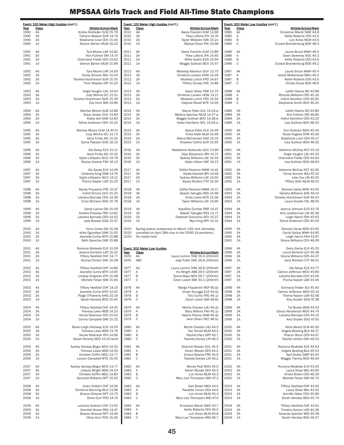|              | Event: 100 Meter High Hurdles (con't.)                                 | Event: 100 Meter High Hurdles (con't.)                                                                                        | Event: 300 Meter Low Hurdles (con't.)                                                            |  |  |
|--------------|------------------------------------------------------------------------|-------------------------------------------------------------------------------------------------------------------------------|--------------------------------------------------------------------------------------------------|--|--|
| Year<br>1990 | Class<br>Athlete-School-Mark<br>4A<br>Kristie Rohleder OLM 15.78       | Class<br><b>Athlete-School-Mark</b><br>Year<br>2010<br>4A<br>Alexis Franklin OLM 13.96                                        | Class<br>Athlete-School-Mark<br>Year<br>1985<br>AA<br>Ernestine Marsh NWE 44.8                   |  |  |
| 1990         | 3A<br>Tishona Watson SUR 14.74                                         | 3A<br>2010<br>Thea Lafond JFK 14.74                                                                                           | 1985<br>Α<br>Kellie Roberts CEN 43.5                                                             |  |  |
| 1990<br>1990 | 2A<br>Stephanie Love CEN 15.40<br>1A<br>Sheron Barton MLM 16.22        | 2A<br>2010<br>Tayler Wheeler OAK 15.21<br>2010<br>1A<br>Mykael Dixon PIK 15.68                                                | B<br>1985<br>Lori Amos MLM 44.9<br>$\mathbb C$<br>1985<br>Crystal Brandenburg BOO 48.3           |  |  |
|              | Tyra Moore LAR 14.82                                                   | Alexis Franklin OLM 13.89                                                                                                     | Laurie Bruce WWH 46.0                                                                            |  |  |
| 1991<br>1991 | 4A<br>3A<br>Kim Fullmer SRI 14.74                                      | 4A<br>2011<br>3A<br>2011<br>Thea Lafond JFK 14.45                                                                             | 1986<br>AA<br>1986<br>Α<br>Dawn Sweeney NOC 44.3                                                 |  |  |
| 1991         | 2A<br>Charmene Fields CEN 14.62                                        | 2A<br>2011<br>Willie Austin EDG 14.94                                                                                         | $\sf B$<br>1986<br>Kellie Roberts CEN 43.6                                                       |  |  |
| 1991         | 1A<br>Sheron Barton MLM 15.99                                          | 1A<br>2011<br>Maggie Sullivan BOO 15.57                                                                                       | C<br>1986<br>Crystal Brandenburg BOO 49.2                                                        |  |  |
| 1992         | 4A<br>Tyra Moore LAR 14.50                                             | 2012<br>4A<br>Mobolaji Adeokun DUV 13.75                                                                                      | AA<br>Laurie Bruce WWH 45.4<br>1987                                                              |  |  |
| 1992<br>1992 | 3A<br>Torrey Simons WAJ 15.03<br>2A<br>Tamelia Hutchinson SUR 15.30    | 2012<br>3A<br>Christine London HOW 14.26<br>2A<br>2012<br>Modesty Lorick FRD 14.67                                            | 1987<br>Α<br>Jackie McKendree MDU 46.2<br>$\sf B$<br>1987<br>Kellie Roberts CEN 43.6             |  |  |
| 1992         | 1A<br>Thori Staples JOP 15.20                                          | 2012<br>1A<br>Tiffany Dorsey OVE 14.89                                                                                        | C<br>1987<br>Christy Nuice BOO 48.9                                                              |  |  |
| 1993         | 4A<br>Angie Vaughn LAU 14.54                                           | 2013<br>4A<br>Gwen Shaw TSW 13.75                                                                                             | 1988<br>AA<br>Judith Owens AEI 43.98                                                             |  |  |
| 1993         | 3A<br>Judy Whims GTJ 15.51                                             | 3A<br>2013<br>Christine London HOW 14.17                                                                                      | 1988<br>Α<br>Rhonda Williams FRD 45.30                                                           |  |  |
| 1993<br>1993 | 2A<br>Tamelia Hutchinson SUR 15.39<br>Zoe Hunt SMI 14.86<br>1A         | 2A<br>2013<br>Modesty Lorick FRD 14.54<br>2013<br>1A<br>Daijona Revell WTE 14.90                                              | $\sf B$<br>1988<br>Indira Hamilton CEN 46.60<br>$\mathbb C$<br>1988<br>Stephanie Smith BOO 46.20 |  |  |
|              |                                                                        |                                                                                                                               |                                                                                                  |  |  |
| 1994<br>1994 | 4A<br>Martise Moore OLM 14.88<br>3A<br>Stacy Jordan DUV 14.83          | 2014<br>4A<br>Alexus Pyles CLK 14.54-w<br>3A<br>2014<br>Medina Spencer MLM 14.57-w                                            | 1989<br>4A<br>Judith Owens AEI 44.80<br>1989<br>3A<br>Kim Fullmer SRI 46.80                      |  |  |
| 1994         | 2A<br>Kisha Jett HAM 14.60                                             | 2A<br>2014<br>Maggie Sullivan BOO 14.28-w                                                                                     | 1989<br>2A<br>Indira Hamilton CEN 43.20                                                          |  |  |
| 1994         | 1A<br>Tahira Anderson CEN 15.20                                        | 1A<br>2014<br>Haley Cianfarini NCL 14.64-w                                                                                    | 1A<br>1989<br>Lisa Sullivan BOO 48.20                                                            |  |  |
| 1995         | 4A<br>Martise Moore OLM 14.40 ht                                       | 4A<br>2015<br>Alexus Pyles CLK 14.49                                                                                          | 1990<br>4A<br>Erin Graham WOO 45.44                                                              |  |  |
| 1995<br>1995 | 3A<br>Judy Whims GTJ 14.73<br>2A<br>Ilana Finley AEI 15.20             | 3A<br>2015<br>Yinka Alabi MLM 14.49<br>2A<br>Alaina McCracken OAD 15.10<br>2015                                               | 3A<br>1990<br>Tanya Hughes GTM 45.09<br>1990<br>2A<br>Stephanie Love CEN 45.17                   |  |  |
| 1995         | 1A<br>Sylvia Paesani SOG 16.15                                         | 1A<br>2015<br>Khaalea Collins SUR 15.65                                                                                       | 1990<br>1A<br>Lisa Sullivan BOO 48.32                                                            |  |  |
| 1996         | 4A<br>Ola Sesay ELR 15.11                                              | 4A<br>2016<br>Madeleine Akobundu DUV 13.96                                                                                    | 1991<br>4A<br>Adrienne McCray NCT 45.14                                                          |  |  |
| 1996         | 3A<br>Ilana Finley AEI 15.02                                           | 2016<br>3A<br>Deja Stevenson BPI 14.71                                                                                        | 1991<br>3A<br>Angie Vaughn LAU 45.26                                                             |  |  |
| 1996<br>1996 | 2A<br>Nyjila Littlejohn WLD 14.78<br>Stacey Greene FSK 16.13<br>1A     | 2A<br>2016<br>Sydney Williams LAC 14.33<br>2016<br>1A<br>Aidan Alston NAF 16.13                                               | 2A<br>1991<br>Charmene Fields CEN 44.64<br>1991<br>1A<br>Lisa Sullivan BOO 48.64                 |  |  |
|              |                                                                        |                                                                                                                               |                                                                                                  |  |  |
| 1997<br>1997 | 4A<br>Ola Sesay ELR 14.49<br>3A<br>Carlesha King DAM 14.76             | 2017<br>4A<br>Editta Pessima NWM 14.41<br>3A<br>2017<br>Nadia Hackett BPI 14.69                                               | 1992<br>4A<br>Adrienne McCray NCT 42.90<br>1992<br>3A<br>Torrey Simons WAJ 45.10                 |  |  |
| 1997         | 2A<br>Nyjila Littlejohn WLD 14.12                                      | 2A<br>2017<br>Sydney Williams LAC 14.50                                                                                       | 1992<br>2A<br>Julie Cox LIB 45.20                                                                |  |  |
| 1997         | 1A<br>Thema Napier LGR 15.29                                           | 1A<br>2017<br>Alyssa Mullery FTH 16.30                                                                                        | 1A<br>1992<br>Tiffany Stith MLM 48.10                                                            |  |  |
| 1998         | 4A<br>Mardy Przywarty FRE 15.37                                        | 2018<br>4A<br>Editta Pessima NWM 14.17                                                                                        | 1993<br>4A<br>Sheraie Darby WOO 44.55                                                            |  |  |
| 1998<br>1998 | 3A<br>Indrid Elmore DUV 15.33<br>2A<br>Lekisha Barnaby CEN 14.38       | 3A<br>2018<br>Adaobi Tabugbo RES 14.48<br>2018<br>2A<br>Emily Lewis NCN 15.06                                                 | 1993<br>3A<br>Takisha Williams SHE 46.14<br>2A<br>1993<br>Tamelia Hutchinson SUR 46.53           |  |  |
| 1998         | 1A<br>Erica McCann SHG 15.78                                           | 2018<br>1A<br>Taylor Williams LAC 14.90                                                                                       | 1993<br>1A<br>Laura Snyder FAL 48.00                                                             |  |  |
| 1999         | 4A<br>Genie Lavine GAI 15.09                                           | 2019<br>4A<br>KayaRae Dunbar PBR 14.47                                                                                        | 1994<br>4A<br>Jeanna Johnson ELR 43.76                                                           |  |  |
| 1999         | 3A<br>Andrea Pressley FRD 14.82                                        | 3A<br>2019<br>Adaobi Tabugbo RES 14.71                                                                                        | 1994<br>3A<br>Amy Leatherman LIN 46.36                                                           |  |  |
| 1999<br>1999 | 2A<br>Lekisha Barnaby CEN 14.42<br>1A<br>Jody Bowser SOG 15.47         | 2A<br>2019<br>Deborah Gnoumou SEV 15.27<br>2019<br>1A<br>Mya King SPP 14.31                                                   | 1994<br>2A<br>Leigh Hancil FAH 45.93<br>1994<br>1A<br>Tahira Anderson CEN 45.56                  |  |  |
|              |                                                                        |                                                                                                                               |                                                                                                  |  |  |
| 2000<br>2000 | 4A<br>Yorvo Jones GAI 15.28<br>3A<br>Arike Ogundipe DAM 15.05          | 2020<br>Spring season postponed on March 13th and ultimately<br>cancelled on April 28th due to the COVID-19 pandemic.<br>2020 | 1995<br>4A<br>Sheraie Darby WOO 43.95<br>1995<br>3A<br>Cecily Gallup WWH 44.95                   |  |  |
| 2000         | 2A<br>Jeanette Curtis MTH 15.88                                        | 2020<br>No meets held.                                                                                                        | 2A<br>1995<br>Leigh Hancil FAH 43.97                                                             |  |  |
| 2000         | 1A<br>Beth Sprecher SMI 15.88                                          |                                                                                                                               | 1A<br>1995<br>Sirena Williams CEN 46.09                                                          |  |  |
| 2001         | 4A<br>Romona Modeste ELR 15.09                                         | Event: 300 Meter Low Hurdles                                                                                                  | 1996<br>4A<br>Doris Garba ELR 45.25                                                              |  |  |
| 2001<br>2001 | 3A<br>Jessica Dunston LAP 15.02<br>2A<br>Tiffany Nesfield CHF 14.77    | Class<br>Athlete-School-Mark<br>Year<br>Laura Lemire TOW 29.4 (200mH)<br>1976<br>AA                                           | 1996<br>3A<br>Laura Borland LEO 46.38<br>Sirena Williams CEN 44.37<br>1996<br>2A                 |  |  |
| 2001         | 1A<br>Rachel Clinton OAK 15.08                                         | 1976<br>ABC<br>Jody Fuller SHE 29.8 (200mH)                                                                                   | 1996<br>1A<br>Jana Romlein CTT 46.01                                                             |  |  |
| 2002         | Tiffany Nesfield CHF 14.86<br>4A                                       | 1977<br>Laura Lemire TOW 29.8 (200mH)<br>AA                                                                                   | 1997<br>4A<br>Ola Sesay ELR 43.77                                                                |  |  |
| 2002<br>2002 | Jeanette Curtis MTH 14.65<br>ЗA<br>2A                                  | Iris Wright JMB 29.5 (200mH)<br>1977<br>Α<br>$\sf B$                                                                          | Catrice Jefferson WOO 45.80<br>ЗΑ<br>199<br>2A<br>1997                                           |  |  |
| 2002         | Lindsay Grigoriev ATH 15.48<br>Michele Feiser SMI 15.90<br>1A          | 1977<br>Sylvia Mays MEA 29.7 (200mH)<br>C<br>1977<br>Caryn Leach SMI 30.3 (200mH)                                             | Lekisha Barnaby CEN 43.56<br>1997<br>Thema Napier LGR 44.46<br>1A                                |  |  |
| 2003         | 4A<br>Tiffany Nesfield CHF 14.15                                       | 1978<br>AA<br>Marge Fitzpatrick REP 46.0y                                                                                     | 1998<br>4A<br>Schnavia Felder SUI 45.40                                                          |  |  |
| 2003         | Jeanette Curtis MTH 14.42<br>3A                                        | 1978<br>Vivian Scruggs ELR 44.0y<br>А                                                                                         | 1998<br>3A<br>Catrice Jefferson WOO 45.14                                                        |  |  |
| 2003<br>2003 | 2A<br>Paige O'Flaherty NHG 15.19<br>1A<br>Sarah Hensley BOO 15.45      | B<br>1978<br>Tory Curtis FRD 46.1y<br>C<br>1978<br>Caryn Leach SMI 48.6y                                                      | 1998<br>2A<br>Thema Napier LGR 43.58<br>1998<br>1A<br>Amy Snyder SOG 47.28                       |  |  |
|              |                                                                        |                                                                                                                               |                                                                                                  |  |  |
| 2004<br>2004 | 4A<br>Tiffany Nesfield CHF 14.45<br>3A<br>Theresa Lews WEB 14.23       | 1979<br>AA<br>Myrtle Chester LAU 46.2y<br>1979<br>Α<br>Mary Wilkins FAH 45.1y                                                 | 1999<br>4A<br>Tia Burley WEB 44.03<br>1999<br>3A<br>Ebony Henderson WOO 44.70                    |  |  |
| 2004         | Nicole Robinson ATH 15.52<br>2A                                        | B<br>1979<br>Valerie Pearce DAM 46.4y                                                                                         | 1999<br>Lekisha Barnaby CEN 44.15<br>2A                                                          |  |  |
| 2004         | 1A<br>Corina Campbell SMI 15.32                                        | C<br>1979<br>Jane Oliveri NEC 48.5y                                                                                           | 1999<br>1A<br>Amy Snyder SOG 47.00                                                               |  |  |
| 2005         | Bever-Leigh Holloway ELR 14.55<br>4A                                   | 1980<br>Myrtle Chester LAU 44.5<br>AA                                                                                         | 2000<br>Alicia Beard OLM 45.56<br>4A                                                             |  |  |
| 2005<br>2005 | 3A<br>Theresa Lews WEB 13.76<br>2A<br>Nicole Robinson ATH 14.99        | 1980<br>А<br>Yori Yerrell MLM 44.2<br>B<br>1980<br>Rachel Clary SPP 43.7                                                      | 2000<br>3A<br>Angela Bowling BLA 46.27<br>2000<br>2A<br>Pharyn Wynn CEN 44.47                    |  |  |
| 2005         | Sarah Hensley BOO 15.00-wind<br>1A                                     | $\mathbf C$<br>1980<br>Twanda Dorsey LIN 46.3                                                                                 | 2000<br>Rachel clinton OAK 46.03<br>1A                                                           |  |  |
| 2006         | 4A<br>Audrey Gariepy-Bogui WCH 14.32                                   | 1981<br>AA<br>Sharnet Rowlan DUL 45.5                                                                                         | 2001<br>4A<br>Romona Modeste ELR 44.53                                                           |  |  |
| 2006         | Theresa Lewis WEB 14.04<br>3A                                          | 1981<br>А<br>Karen Woods CEN 44.2                                                                                             | 2001<br>3A<br>Angela Bowling BLA 45.53                                                           |  |  |
| 2006<br>2006 | 2A<br>Christen Griffin MDU 14.77<br>1A<br>Lauren Campbell WTE 15.55    | 1981<br>B<br>Eraina Bowins FRE 45.6<br>C<br>1981<br>Twanda Dorsey LIN 46.2                                                    | 2001<br>2A<br>April Butler GWP 44.50<br>2001<br>1A<br>Maggie Tierney BOO 46.64                   |  |  |
|              |                                                                        |                                                                                                                               |                                                                                                  |  |  |
| 2007<br>2007 | 4A<br>Audrey Gariepy-Bogui WCH 13.77<br>3A<br>Letecia Wright WEB 14.23 | 1982<br>AA<br>Wendy Peal WCH 45.0<br>1982<br>Α<br>Karen Woods CEN 43.2                                                        | 2002<br>4A<br>Romona Modeste ELR 43.45<br>2002<br>3A<br>Laura Shaw WAJ 43.90                     |  |  |
| 2007         | Christen Griffin MDU 14.80<br>2A                                       | B<br>1982<br>Lori Amos MLM 45.3                                                                                               | 2002<br>2A<br>Krista Brown CEN 46.29                                                             |  |  |
| 2007         | 1A<br>Geranda Williams NPT 15.42                                       | C<br>1982<br>Mary Lee Thompson MID 47.3                                                                                       | 2002<br>1A<br>Michele Feiser SMI 46.70                                                           |  |  |
| 2008         | Imani Colbert CHF 14.06<br>4A                                          | 1983<br>AA<br>Gail Brown MEA 44.4                                                                                             | 2003<br>4A<br>Tiffany Nesfield CHF 43.56                                                         |  |  |
| 2008<br>2008 | 3A<br>Christina Manning WLA 13.99<br>2A<br>Shavon Briscoe NPT 14.75    | 1983<br>Α<br>Paulette Turner CEN 44.6<br>B<br>1983<br>Lori Amos MLM 45.3                                                      | 2003<br>3A<br>Laura Shaw WAJ 44.32<br>2003<br>2A<br>Jennifer Geter CEN 45.89                     |  |  |
| 2008         | Olivia Durr POO 14.74<br>1A                                            | $\mathsf{C}$<br>1983<br>Mary Lee Thompson MID 47.0                                                                            | 2003<br>Sarah Hensley BOO 45.70<br>1A                                                            |  |  |
| 2009         | 4A<br>Lorranie Graham CHF 13.92                                        | 1984<br>AA<br>Ernestine Marsh NWE 43.7                                                                                        | 2004<br>4A<br>Tiffany Nesfield CHF 43.61                                                         |  |  |
| 2009         | Kamilah Brown RES 14.47<br>3A                                          | 1984<br>А<br>Kellie Roberts CEN 46.0                                                                                          | 2004<br>3A<br>Timisha Gomez LGR 44.36                                                            |  |  |
| 2009<br>2009 | 2A<br>Shavon Briscoe NPT 14.46<br>1A<br>Olivia Durr POO 15.06          | 1984<br>B<br>Lori Amos MLM 45.8<br>C<br>1984<br>Mary Lee Thompson MID 46.7                                                    | 2004<br>2A<br>Amanda Spickler MID 45.58<br>2004<br>1A<br>Sarah Hensley BOO 46.27                 |  |  |
|              |                                                                        |                                                                                                                               |                                                                                                  |  |  |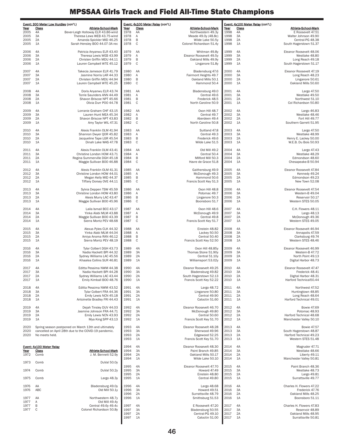|              | Event: 300 Meter Low Hurdles (con't.)                                                                         |              | Event: 4x100 Meter Relay (con't.) |                                                | Event: 4x100 Meter Relay (con't.)<br><b>Class</b><br>Athlete-School-Mark<br>Year |          |                                               |
|--------------|---------------------------------------------------------------------------------------------------------------|--------------|-----------------------------------|------------------------------------------------|----------------------------------------------------------------------------------|----------|-----------------------------------------------|
| Year<br>2005 | Class<br>Athlete-School-Mark<br>4A<br>Bever-Leigh Holloway ELR 43.86-wind                                     | Year<br>1978 | Class<br>AA                       | Athlete-School-Mark<br>Northwestern 49.3y      | 1998                                                                             | 4A       | E Roosevelt 47.51                             |
| 2005<br>2005 | Theresa Lews WEB 43.75-wind<br>3A<br>2A<br>Amanda Spickler MID 46.25                                          | 1978<br>1978 | Α<br>B                            | Meade 49.0y (48.8c)<br>Wilde Lake 50.5y        | 1998<br>1998                                                                     | 3A<br>2A | Walter Johnson 49.90<br>Central-PG 48.38      |
| 2005         | 1A<br>Sarah Hensley BOO 44.07-3A rec                                                                          | 1978         | $\mathsf{C}$                      | Colonel Richardson 51.4y                       | 1998                                                                             | 1A       | South Hagerstown 51.37                        |
| 2006         | 4A<br>Patricia Anyanwu ELR 43.40                                                                              | 1979         | AA                                | Whitman 49.8y                                  | 1999                                                                             | 4A       | Eleanor Roosevelt 48.06                       |
| 2006<br>2006 | 3A<br>Theresa Lewis WEB 43.99<br>2A<br>Christen Griffin MDU 44.11                                             | 1979<br>1979 | Α<br>B                            | Eleanor Roosevelt 49.5y<br>Oakland Mills 49.9y | 1999<br>1999                                                                     | 3A<br>2A | Westlake 48.80<br>Long Reach 49.18            |
| 2006         | Lauren Campbell WTE 45.12<br>1A                                                                               | 1979         | $\mathbf C$                       | Linganore 51.8y                                | 1999                                                                             | 1A       | South Hagerstown 51.17                        |
| 2007<br>2007 | 4A<br>Takecia Jameson ELR 41.79<br>3A<br>Jasmine Norris LAR 44.33                                             | 1980<br>1980 | AA<br>Α                           | Bladensburg 47.6<br>Fairmont Heights 49.7      | 2000<br>2000                                                                     | 4A<br>3A | Eleanor Roosevelt 47.19<br>Long Reach 48.23   |
| 2007         | 2A<br>Christen Griffin MDU 44.94                                                                              | 1980         | B                                 | Oakland Mills 50.1                             | 2000                                                                             | 2A       | Linganore 50.61                               |
| 2007         | Lauren Campbell WTE 45.25<br>1A                                                                               | 1980         | $\mathsf{C}$                      | Hammond 50.4                                   | 2000                                                                             | 1A       | Oakland Mills 50.60                           |
| 2008<br>2008 | 4A<br>Doris Anyanwu ELR 43.74<br>3A<br>Torrie Saunders ANN 44.49                                              | 1981<br>1981 | AA<br>Α                           | Bladensburg 49.0<br>Central 49.6               | 2001<br>2001                                                                     | 4A<br>3A | Largo 47.50<br>Westlake 49.50                 |
| 2008<br>2008 | 2A<br>Shavon Briscoe NPT 45.66<br>Olivia Durr POO 44.78<br>1A                                                 | 1981<br>1981 | B<br>$\mathbb C$                  | Frederick 48.5<br>North Caroline 50.9          | 2001<br>2001                                                                     | 2A<br>1A | Northwest 51.10<br>Col Richardson 50.80       |
|              |                                                                                                               |              |                                   |                                                |                                                                                  |          |                                               |
| 2009<br>2009 | 4A<br>Lorranie Graham CHF 43.15<br>3A<br>Lauren Hunt MEA 45.34                                                | 1982<br>1982 | AA<br>Α                           | Oxon Hill 48.7<br>Central 49.7                 | 2002<br>2002                                                                     | 4A<br>3A | Largo 46.83<br>Westlake 48.46                 |
| 2009<br>2009 | Shavon Briscoe NPT 43.83<br>2A<br>1A<br>Amy Taylor WIL 47.31                                                  | 1982<br>1982 | B<br>$\mathsf{C}$                 | Aberdeen 49.4<br>North Caroline 50.8           | 2002<br>2002                                                                     | 2A<br>1A | Fort Hill 49.77<br>Southern Garrett 51.95     |
| 2010         | Alexis Franklin OLM 41.94<br>4A                                                                               | 1983         | AA                                | Suitland 47.8                                  | 2003                                                                             | 4A       | Largo 47.50                                   |
| 2010         | Shannon Dwyer QOR 45.82<br>3A                                                                                 | 1983         | Α<br>B                            | Central 49.3                                   | 2003<br>2003                                                                     | 3A<br>2A | Westlake 48.99<br>Henry E. Lackey 50.00       |
| 2010<br>2010 | 2A<br>Jacqueline Tape LGR 45.54<br>Dinah Lake WAS 47.78<br>1A                                                 | 1983<br>1983 | $\mathsf{C}$                      | Frederick 49.6<br>Wilde Lake 51.5              | 2003                                                                             | 1A       | W.E.B. Du Bois 50.93                          |
| 2011         | 4A<br>Alexis Franklin OLM 43.41                                                                               | 1984         | AA                                | Old Mill 49.2                                  | 2004                                                                             | 4A       | Largo 47.43                                   |
| 2011<br>2011 | 3A<br>Christine London HOW 43.71<br>2A<br>Regina Summerville DGH 45.18                                        | 1984<br>1984 | Α<br>B                            | Central 50.4<br>Milford Mill 50.3              | 2004<br>2004                                                                     | 3A<br>2A | Westlake 48.29<br>Edmondson 48.60             |
| 2011         | 1A<br>Maggie Sullivan BOO 46.88                                                                               | 1984         | $\mathbb C$                       | Havre de Grace 51.8                            | 2004                                                                             | 1A       | Chesapeake-B 50.94                            |
| 2012         | 4A<br>Alexis Franklin OLM 41.31                                                                               | 1985         | AA                                | Gaithersburg 49.9                              | 2005                                                                             | 4A       | Eleanor Roosevelt 47.84                       |
| 2012<br>2012 | 3A<br>Christine London HOW 44.01<br>2A<br>Megan Kelly MID 44.37                                               | 1985<br>1985 | Α<br>B                            | McDonough 49.3<br>Hammond 50.6                 | 2005<br>2005                                                                     | 3A<br>2A | Kennedy 49.24<br>Edmondson 49.23              |
| 2012         | Tiffany Dorsey OVE 44.11<br>1A                                                                                | 1985         | $\mathbf C$                       | Francis Scott Key 51.3                         | 2005                                                                             | 1A       | New Town 52.08                                |
| 2013<br>2013 | Sylvia Deppen TSW 45.59<br>4A<br>3A<br>Christine London HOW 43.80                                             | 1986<br>1986 | AA<br>Α                           | Oxon Hill 48.8<br>Potomac 49.7                 | 2006<br>2006                                                                     | 4A<br>3A | Eleanor Roosevelt 47.54<br>Western-B 49.04    |
| 2013         | 2A<br>Alexis Murry LAC 43.47                                                                                  | 1986         | B                                 | Linganore 50.3                                 | 2006                                                                             | 2A       | Reservoir 50.17                               |
| 2013         | 1A<br>Maggie Sullivan BOO 45.96                                                                               | 1986         | $\mathbf C$                       | Boonsboro 51.7                                 | 2006                                                                             | 1A       | Western STES 50.05                            |
| 2014<br>2014 | 4A<br>Laila Ismail BCC 43.17<br>3A<br>Yinka Alabi MLM 43.88                                                   | 1987<br>1987 | AA<br>Α                           | Oxon Hill 48.6<br>McDonough 49.9               | 2007<br>2007                                                                     | 4A<br>3A | C.H. Flowers 48.11<br>Largo 48.13             |
| 2014<br>2014 | 2A<br>Maggie Sullivan BOO 43.39<br>1A<br>Sierra Montz PEV 48.68                                               | 1987<br>1987 | B<br>$\mathbb C$                  | Central 49.8<br>Francis Scott Key 51.7         | 2007<br>2007                                                                     | 2A<br>1A | McDonough 49.36<br>Western STES 49.05         |
|              |                                                                                                               |              |                                   |                                                |                                                                                  |          |                                               |
| 2015<br>2015 | 4A<br>Alexus Pyles CLK 44.32<br>3A<br>Yinka Alabi MLM 44.04                                                   | 1988<br>1988 | AA<br>Α                           | Einstein 48.82<br>Lackey 50.50                 | 2008<br>2008                                                                     | 4A<br>3A | Eleanor Roosevelt 46.94<br>Annapolis 47.59    |
| 2015<br>2015 | Amiya Anoma RAN 46.12<br>2A<br>1A<br>Sierra Montz PEV 48.19                                                   | 1988<br>1988 | B<br>$\mathbb C$                  | Central 50.40<br>Francis Scott Key 52.50       | 2008<br>2008                                                                     | 2A<br>1A | Clarksburg 49.74<br>Western STES 48.46        |
| 2016         | 4A<br>Tylar Colbert DGH 43.73                                                                                 | 1989         | 4A                                | Oxon Hill 48.85y                               | 2009                                                                             | 4A       | Eleanor Roosevelt 46.99                       |
| 2016         | 3A<br>Nadia Hackett BPI 44.32                                                                                 | 1989         | 3A                                | Thomas Stone 51.90y                            | 2009                                                                             | 3A       | Western-B 47.72                               |
| 2016<br>2016 | 2A<br>Sydney Williams LAC 45.56<br>1A<br>Khaalea Collins SUR 46.81                                            | 1989<br>1989 | 2A<br>1A                          | Central 51.10y<br>Williamsport 53.02y          | 2009<br>2009                                                                     | 2A<br>1A | North Point 49.13<br>Digital Harbor 48.73     |
| 2017         | 4A<br>Editta Pessima NWM 44.38                                                                                | 1990         | 4A                                | Eleanor Roosevelt 49.25                        | 2010                                                                             | 4A       | Eleanor Roosevelt 47.47                       |
| 2017<br>2017 | Nadia Hackett BPI 44.28<br>3A<br>2A<br>Sydney Williams LAC 43.44                                              | 1990<br>1990 | 3A<br>2A                          | Bladensburg 49.82<br>South Hagerstown 52.13    | 2010<br>2010                                                                     | 3A<br>2A | Frederick 48.41<br>Digital Harbor 48.31       |
| 2017         | Emily Kimball B00 48.76<br>1A                                                                                 | 1990         | 1A                                | Francis Scott Key 52.22                        | 2010                                                                             | 1A       | Harford Technical50.44                        |
| 2018         | Editta Pessima NWM 43.52<br>4A                                                                                | 1991         | 4A                                | Largo 48.72                                    | 2011                                                                             | 4A       | Northwest 47.52                               |
| 2018<br>2018 | 3A<br>Tylar Colbert FRA 44.36<br>Emily Lewis NCN 45.18<br>2A                                                  | 1991<br>1991 | 3A<br>2A                          | Linganore 50.80<br>Central 49.90               | 2011<br>2011                                                                     | 3A<br>2A | Huntingtown 48.85<br>Long Reach 48.64         |
| 2018         | Antoinette Bradley FRI 44.43<br>1A                                                                            | 1991         | 1A                                | Catoctin 51.60                                 | 2011                                                                             | 1A       | Harford Technical 49.01                       |
| 2019<br>2019 | Dejah Tinsley DUV 44.03<br>4A<br>3A<br>Jasmine Johnson FRA 44.71                                              | 1992<br>1992 | 4A<br>3A                          | Eleanor Roosevelt 46.70<br>McDonough 49.80     | 2012<br>2012                                                                     | 4A<br>3A | <b>Bowie 47.69</b><br>Potomac 48.93           |
| 2019         | Emily Lewis NCN 43.93<br>2A                                                                                   | 1992         | 2A                                | Central 50.60                                  | 2012                                                                             | 2A       | Harford Technical 48.68                       |
| 2019         | Mya King SPP 43.13<br>1A                                                                                      | 1992         | 1A                                | Francis Scott Key 51.70                        | 2012                                                                             | 1A       | Manchester Valley 50.10                       |
| 2020<br>2020 | Spring season postponed on March 13th and ultimately<br>cancelled on April 28th due to the COVID-19 pandemic. | 1993<br>1993 | 4A<br>3A                          | Eleanor Roosevelt 48.28<br>Sherwood 49.96      | 2013<br>2013                                                                     | 4A<br>3A | <b>Bowie 47.57</b><br>South Hagerstown 48.87  |
| 2020         | No meets held.                                                                                                | 1993<br>1993 | 2A<br>1A                          | Edgewood 52.25<br>Francis Scott Key 51.70      | 2013<br>2013                                                                     | 2A<br>1A | Harford Technical 49.23<br>Western STES 51.48 |
|              | Event: 4x100 Meter Relay                                                                                      | 1994         | 4A                                | Eleanor Roosevelt 48.30                        | 2014                                                                             | 4A       | Magruder 47.71                                |
| Year         | <b>Class</b><br><b>Athlete-School-Mark</b>                                                                    | 1994         | 3A                                | Paint Branch 49.85                             | 2014                                                                             | 3A       | Westlake 48.66                                |
| 1972         | Comb<br>J. M. Bennett 52.9y                                                                                   | 1994<br>1994 | 2A<br>1A                          | Oakland Mills 50.17<br>Wilde Lake 50.10        | 2014<br>2014                                                                     | 2A<br>1A | Liberty 49.11<br>Manchester Valley 50.81      |
| 1973         | Comb<br>DuVal 50.0y                                                                                           | 1995         | 4A                                | Eleanor Roosevelt 47.70                        | 2015                                                                             | 4A       | Paint Branch 48.36                            |
| 1974         | DuVal 50.2y<br>Comb                                                                                           | 1995<br>1995 | 3A<br>2A                          | Howard 47.49<br>Einstein 48.80                 | 2015<br>2015                                                                     | 3A<br>2A | Westlake 48.73<br>Largo 49.81                 |
| 1975         | Largo 48.3y<br>Comb                                                                                           | 1995         | 1A                                | Central 49.80                                  | 2015                                                                             | 1A       | Surrattsville 49.77                           |
| 1976         | Bladensburg 49.0y<br>AA                                                                                       | 1996         | 4A                                | Largo 48.68                                    | 2016                                                                             | 4A       | Charles H. Flowers 47.22                      |
| 1976         | ABC<br>Old Mill 50.1y                                                                                         | 1996<br>1996 | 3A<br>2A                          | Howard 49.51<br>Surrattsville 48.79            | 2016<br>2016                                                                     | 3A<br>2A | Frederick 47.76<br>Oakland Mills 48.25        |
| 1977<br>1977 | AA<br>Northwestern 48.7y<br>Old Mill 49.4y<br>Α                                                               | 1996         | 1A                                | Smithsburg 51.53                               | 2016                                                                             | 1A       | Boonsboro 51.11                               |
| 1977<br>1977 | Central 49.6y 49.4c<br>B<br>Colonel Richardson 50.8y<br>C                                                     | 1997<br>1997 | 4A<br>3A                          | E Roosevelt 47.20<br>Bladensburg 50.55         | 2017<br>2017                                                                     | 4A<br>3A | Charles H. Flowers 47.83<br>Reservoir 48.89   |
|              |                                                                                                               | 1997<br>1997 | 2A<br>1A                          | Central-PG 49.10<br>Catoctin 51.00             | 2017<br>2017                                                                     | 2A<br>1A | Oakland Mills 48.95<br>Surrattsville 50.81    |
|              |                                                                                                               |              |                                   |                                                |                                                                                  |          |                                               |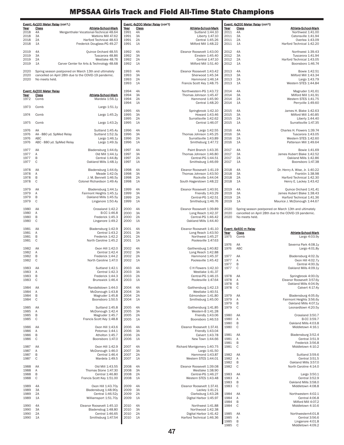|              | Event: 4x100 Meter Relay (con't.)                                       |                                                     |              | Event: 4x200 Meter Relay (con't) |                                                 |              | Event: 4x200 Meter Relay (con't) |                                                       |
|--------------|-------------------------------------------------------------------------|-----------------------------------------------------|--------------|----------------------------------|-------------------------------------------------|--------------|----------------------------------|-------------------------------------------------------|
| Year         | Class                                                                   | <b>Athlete-School-Mark</b>                          | Year         | Class                            | Athlete-School-Mark                             | Year         | Class                            | Athlete-School-Mark                                   |
| 2018         | 4A<br>Merganthaler Vocational-Technical 48.64                           |                                                     | 1991         | 4A                               | Suitland 1:44.10                                | 2011         | 4A                               | Northwest 1:41.00                                     |
| 2018<br>2018 | 3A<br>2A                                                                | Watkins Mill 47.62<br>Harford Technical 48.63       | 1991<br>1991 | 3A<br>2A                         | Liberty 1:47.10<br>Central 1:45.26              | 2011<br>2011 | 3A<br>2A                         | Catonsville 1:41.94<br>Overlea 1:43.09                |
| 2018         | 1A                                                                      | Frederick Douglass-PG 49.27                         | 1991         | 1A                               | Milford Mill 1:48.22                            | 2011         | 1A                               | Harford Technical 1:42.20                             |
| 2019         | 4A                                                                      | Quince Orchard 48.55                                | 1992         | 4A                               | Eleanor Roosevelt 1:43.00                       | 2012         | 4A                               | Northwest 1:39.43                                     |
| 2019<br>2019 | 3A<br>2A                                                                | Tuscarora 48.86<br>Westlake 48.76                   | 1992<br>1992 | 3A<br>2A                         | Einstein 1:45.40                                | 2012<br>2012 | 3A<br>2A                         | Tuscarora 1:41.94<br>Harford Technical 1:43.05        |
| 2019         | 1A<br>Carver Center for Arts & Technology 48.68                         |                                                     | 1992         | 1A                               | Central 1:47.10<br>Milford Mill 1:51.40         | 2012         | 1A                               | Boonsboro 1:46.74                                     |
| 2020         | Spring season postponed on March 13th and ultimately                    |                                                     | 1993         | 4A                               | Eleanor Roosevelt 1:43.42                       | 2013         | 4A                               | Bowie 1:42.51                                         |
| 2020         | cancelled on April 28th due to the COVID-19 pandemic.<br>No meets held. |                                                     | 1993         | 3A                               | Sherwood 1:45.34<br>Hammond 1:46.14             | 2013<br>2013 | 3A<br>2A                         | Milford Mill 1:43.34                                  |
| 2020         |                                                                         |                                                     | 1993<br>1993 | 2A<br>1A                         | Francis Scott Key 1:48.75                       | 2013         | 1A                               | Largo 1:43.79<br>Western STES 1:44.84                 |
|              | Event: 4x200 Meter Relay                                                |                                                     | 1994         | 4A                               | Northwestern-PG 1:43.72                         | 2014         | 4A                               | Magruder 1:41.61                                      |
| <u>Year</u>  | Class                                                                   | <b>Athlete-School-Mark</b>                          | 1994         | 3A                               | Thomas Johnson 1:45.47                          | 2014         | 3A                               | Milford Mill 1:41.91                                  |
| 1972         | Comb                                                                    | Mardela 1:56.1y                                     | 1994         | 2A                               | Hammond 1:45.90                                 | 2014         | 2A                               | Western STES 1:41.75                                  |
| 1973         | Comb                                                                    | Largo 1:51.1y                                       | 1994         | 1A                               | Central 1:48.20                                 | 2014         | 1A                               | Perryville 1:49.60                                    |
| 1974         | Comb                                                                    | Largo 1:45.2y                                       | 1995<br>1995 | 4A<br>3A                         | Springbrook 1:42.10<br>Howard 1:43.46           | 2015<br>2015 | 4A<br>3A                         | James H. Blake 1:42.63<br>Milford Mill 1:40.85        |
|              |                                                                         |                                                     | 1995         | 2A                               | Surrattsville 1:42.62                           | 2015         | 2A                               | Liberty 1:44.40                                       |
| 1975         | Comb                                                                    | Largo 1:43.2y                                       | 1995         | 1A                               | Central 1:46.07                                 | 2015         | 1A                               | Surrattsville 1:47.35                                 |
| 1976         | AA                                                                      | Suitland 1:45.4y                                    | 1996         | 4A                               | Largo 1:42.55                                   | 2016         | 4A                               | Charles H. Flowers 1:39.74                            |
| 1976<br>1976 | AA - 880 yd. SpMed Relay<br>ABC                                         | Suitland 1:52.3y                                    | 1996         | 3A                               | Thomas Johnson 1:45.25<br>Surrattsville 1:43.89 | 2016<br>2016 | 3A<br>2A                         | Tuscarora 1:43.05                                     |
| 1976         | ABC - 880 yd. SpMed Relay                                               | Largo 1:46.1y<br>Largo 1:49.3y                      | 1996<br>1996 | 2A<br>1A                         | Smithsburg 1:47.72                              | 2016         | 1A                               | Western STES 1:42.60<br>Patterson Mill 1:49.64        |
| 1977         | AA                                                                      | Bladensburg 1:44.6y                                 | 1997         | 4A                               | Paint Branch 1:43.35                            | 2017         | 4A                               | Bowie 1:41.69                                         |
| 1977         | Α                                                                       | Old Mill 1:44.1y                                    | 1997         | 3A                               | Thomas Johnson 1:46.80                          | 2017         | 3A                               | James Hubert Blake 1:42.52                            |
| 1977<br>1977 | B<br>C                                                                  | Central 1:44.8y<br>Oakland Mills 1:48.1y            | 1997<br>1997 | 2A<br>1A                         | Central-PG 1:44.51<br>Smithsburg 1:46.69        | 2017<br>2017 | 2A<br>1A                         | Oakland Mills 1:42.86<br>Boonsboro 1:47.38            |
| 1978         | AA                                                                      | Bladensburg 1:44.6y                                 | 1998         | 4A                               | Eleanor Roosevelt 1:41.19                       | 2018         | 4A                               | Dr. Henry A. Wise, Jr. 1:40.22                        |
| 1978         | Α                                                                       | Meade 1:42.0y                                       | 1998         | 3A                               | Thomas Johnson 1:43.50                          | 2018         | 3A                               | Franklin 1:38.98                                      |
| 1978<br>1978 | B<br>C                                                                  | J. M. Bennett 1:46.5y<br>Colonel Richardson 1:49.4y | 1998<br>1998 | 2A<br>1A                         | Rockville 1:44.04<br>South Hagerstown 1:48.22   | 2018<br>2018 | 2A<br>1A                         | Harford Technical 1:42.30<br>Henry E. Lackey 1:43.42  |
| 1979         | AA                                                                      | Bladensburg 1:44.1y                                 | 1999         | 4A                               | Eleanor Roosevelt 1:40.91                       | 2019         | 4A                               | Quince Orchard 1:41.41                                |
| 1979         | Α                                                                       | Fairmont Heights 1:45.1y                            | 1999         | 3A                               | Friendly 1:43.29                                | 2019         | 3A                               | James Hubert Blake 1:38.43                            |
| 1979         | B                                                                       | Oakland Mills 1:45.5y                               | 1999         | 2A                               | Central-PG 1:42.51                              | 2019         | 2A                               | Harford Technical 1:41.36                             |
| 1979         | C                                                                       | Linganore 1:50.4y                                   | 1999         | 1A                               | Smithsburg 1:46.76                              | 2019         | 1A                               | Maurice J. McDonough 1:44.67                          |
| 1980         | AA                                                                      | Crossland 1:42.2                                    | 2000         | 4A                               | Eleanor Roosevelt 1:39.89                       | 2020         |                                  | Spring season postponed on March 13th and ultimately  |
| 1980<br>1980 | Α<br>B                                                                  | B-CC 1:46.8<br>Frederick 1:45.3                     | 2000<br>2000 | 3A<br>2A                         | Long Reach 1:42.37<br>Central-PG 1:46.42        | 2020<br>2020 | No meets held.                   | cancelled on April 28th due to the COVID-19 pandemic. |
| 1980         | C                                                                       | Linganore 1:49.2                                    | 2000         | 1A                               | Oakland Mills 1:44.40                           |              |                                  |                                                       |
|              |                                                                         |                                                     |              |                                  |                                                 |              |                                  |                                                       |
|              |                                                                         |                                                     |              |                                  |                                                 |              |                                  |                                                       |
| 1981<br>1981 | AA<br>Α                                                                 | Bladensburg 1:42.9<br>Central 1:43.2                | 2001<br>2001 | 4A<br>3A                         | Eleanor Roosevelt 1:41.10<br>Long Reach 1:43.50 | <u>Year</u>  | Event: 4x400 m Relay<br>Class    | Athlete-School-Mark                                   |
| 1981         | B                                                                       | Frederick 1:42.2                                    | 2001         | 2A                               | Northwest 1:45.27                               | 1975         | Comb                             | Largo 4:03.9y                                         |
| 1981         | C                                                                       | North Caroline 1:45.2                               | 2001         | 1A                               | Poolesville 1:47.63                             | 1976         | AA                               | Severna Park 4:08.1y                                  |
| 1982         | AA                                                                      | Oxon Hill 1:42.0                                    | 2002         | 4A                               | Gaithersburg 1:40.82                            | 1976         | ABC                              | Largo 4:01.8y                                         |
| 1982         | Α                                                                       | Central 1:42.4                                      | 2002         | 3A                               | Long Reach 1:42.88                              |              |                                  |                                                       |
| 1982<br>1982 | B<br>C                                                                  | Frederick 1:44.2<br>North Caroline 1:47.0           | 2002<br>2002 | 2A<br>1A                         | Hammond 1:45.37<br>Poolesville 1:45.42          | 1977<br>1977 | AA<br>Α                          | Bladensburg 4:02.3y<br>Oxon Hill 4:02.7y              |
|              |                                                                         |                                                     |              |                                  |                                                 | 1977         | B                                | Central 4:00.3y                                       |
| 1983<br>1983 | AA<br>Α                                                                 | Suitland 1:42.1<br>Central 1:42.3                   | 2003<br>2003 | 4A<br>3A                         | C H Flowers 1:42.10<br>Westlake 1:41.37         | 1977         | $\mathsf{C}$                     | Oakland Mills 4:09.1y                                 |
| 1983         | B                                                                       | Frederick 1:44.3                                    | 2003         | 2A                               | Central-PG 1:46.15                              | 1978         | AA                               | Springbrook 4:00.0y                                   |
| 1983         | C                                                                       | Brunswick 1:46.4                                    | 2003         | 1A                               | Poolesville 1:47.64                             | 1978         | Α                                | Eleanor Roosevelt 3:57.6                              |
| 1984         | AA                                                                      | Randallstown 1:44.0                                 | 2004         | 4A                               | Gaithersburg 1:42.13                            | 1978<br>1978 | $\sf B$<br>C                     | Oakland Mills 4:04.9y<br>Calvert 4:17.4y              |
| 1984         | Α                                                                       | McDonough 1:43.8                                    | 2004         | 3A                               | Westlake 1:40.51                                |              |                                  |                                                       |
| 1984<br>1984 | B<br>C                                                                  | Magruder 1:45.8<br>Boonsboro 1:50.5                 | 2004<br>2004 | 2A<br>1A                         | Edmondson 1:41.80<br>Smithsburg 1:45.00         | 1979<br>1979 | AA<br>Α                          | Bladensburg 4:05.6y<br>Fairmont Heights 3:56.6y       |
|              |                                                                         |                                                     |              |                                  |                                                 | 1979         | B                                | Oakland Mills 4:07.1y                                 |
| 1985<br>1985 | AA<br>Α                                                                 | Suitland 1:45.8<br>McDonough 1:42.4                 | 2005<br>2005 | 4A<br>3A                         | Gaithersburg 1:41.85<br>Western-B 1:41.28       | 1979         | C                                | Leonardtown 4:20.5y                                   |
| 1985         | B                                                                       | Magruder 1:45.7                                     | 2005         | 2A                               | Friendly 1:43.06                                | 1980         | AA                               | Crossland 3:50.7                                      |
| 1985         | C                                                                       | Francis Scott Key 1:48.8                            | 2005         | 1A                               | Boonsboro 1:46.53                               | 1980         | Α                                | B-CC 3:59.7                                           |
| 1986         | AA                                                                      | Oxon Hill 1:43.6                                    | 2006         | 4A                               | Eleanor Roosevelt 1:37.41                       | 1980<br>1980 | B<br>$\mathsf{C}$                | Oakland Mills 4:03.8<br>Middletown 4:16.1             |
| 1986         | Α                                                                       | Potomac 1:44.1                                      | 2006         | 3A                               | Friendly 1:43.04                                |              |                                  |                                                       |
| 1986<br>1986 | B<br>C                                                                  | Atholton 1:45.7<br>Boonsboro 1:47.0                 | 2006<br>2006 | 2A<br>1A                         | Calvert 1:43.78<br>New Town 1:44.66             | 1981<br>1981 | AA<br>Α                          | Bladensburg 3:52.4<br>Central 3:51.9                  |
|              |                                                                         |                                                     |              |                                  |                                                 | 1981         | $\,$ B                           | Frederick 3:56.8                                      |
| 1987<br>1987 | AA<br>Α                                                                 | Oxon Hill 1:42.9<br>McDonough 1:46.0                | 2007<br>2007 | 4A<br>3A                         | Richard Montgomery 1:40.75<br>Largo 1:41.50     | 1981         | C                                | Middletown 4:10.2                                     |
| 1987         | B                                                                       | Central 1:46.4                                      | 2007         | 2A                               | Hammond 1:43.87                                 | 1982         | AA                               | Suitland 3:59.6                                       |
| 1987         | C                                                                       | Mardela 1:49.5                                      | 2007         | 1A                               | Western STES 1:44.01                            | 1982         | Α                                | Central 3:51.5                                        |
| 1988         | AA                                                                      | Old Mill 1:43.55                                    | 2008         | 4A                               | Eleanor Roosevelt 1:39.08                       | 1982<br>1982 | B<br>$\mathsf{C}$                | Oakland Mills 3:57.0<br>North Caroline 4:14.0         |
| 1988         | Α                                                                       | Thomas Stone 1:47.30                                | 2008         | 3A                               | Westlake 1:38.90                                |              |                                  |                                                       |
| 1988<br>1988 | B<br>C                                                                  | Central 1:46.80<br>Francis Scott Key 1:51.00        | 2008<br>2008 | 2A<br>1A                         | Central-PG 1:46.27<br>Western STES 1:43.48      | 1983<br>1983 | AA<br>Α                          | Largo 3:50.1<br>Central 3:52.9                        |
|              |                                                                         |                                                     |              |                                  |                                                 | 1983         | B                                | Oakland Mills 3:58.0                                  |
| 1989<br>1989 | 4A<br>3A                                                                | Oxon Hill 1:43.70y<br>Bladensburg 1:48.90y          | 2009<br>2009 | 4A<br>3A                         | Eleanor Roosevelt 1:37.41<br>Lackey 1:41.21     | 1983         | $\mathsf{C}$                     | Middletown 4:08.8                                     |
| 1989         | 2A                                                                      | Central 1:46.52y                                    | 2009         | 2A                               | Clarksburg 1:43.28                              | 1984         | AA                               | Northwestern 4:02.1                                   |
| 1989         | 1A                                                                      | Williamsport 1:51.70y                               | 2009         | 1A                               | Digital Harbor 1:45.97                          | 1984<br>1984 | Α<br>B                           | Central 4:06.8<br>Milford Mill 4:07.2                 |
| 1990         | 4A                                                                      | Eleanor Roosevelt 1:45.10                           | 2010         | 4A                               | Northwest 1:41.88                               | 1984         | $\mathsf{C}$                     | Middletown 4:10.6                                     |
| 1990<br>1990 | 3A<br>2A                                                                | Bladensbug 1:48.80<br>Central 1:46.65               | 2010<br>2010 | 3A<br>2A                         | Northwood 1:42.38<br>Digital Harbor 1:41.42     | 1985         | AA                               | Northwestern4:01.8                                    |
| 1990         | 1A                                                                      | Smithsburg 1:47.54                                  | 2010         | 1A                               | Harford Technical 1:46.36                       | 1985<br>1985 | Α<br>$\,$ B                      | Central 3:56.6<br>Linganore 4:01.8                    |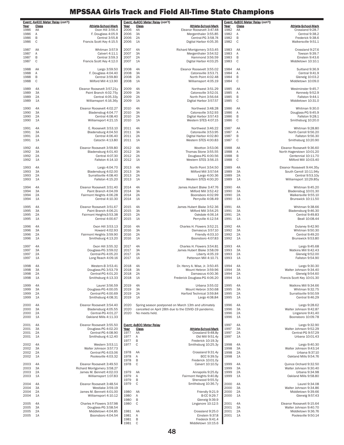|              | Event: 4x400 Meter Relay (con't) |                                                     |              | Event: 4x400 Meter Relay (con't) |                                                          |              | Event: 4x800 Meter Relay (con't) |                                               |
|--------------|----------------------------------|-----------------------------------------------------|--------------|----------------------------------|----------------------------------------------------------|--------------|----------------------------------|-----------------------------------------------|
| Year<br>1986 | Class<br>AA                      | <b>Athlete-School-Mark</b><br>Oxon Hill 3:56.4      | Year<br>2006 | <b>Class</b><br>4A               | <b>Athlete-School-Mark</b><br>Eleanor Roosevelt 3:47.48  | Year<br>1982 | Class<br>AA                      | Athlete-School-Mark<br>Crossland 9:28.7       |
| 1986         | Α                                | F. Douglass 4:05.9                                  | 2006         | ЗA                               | Mergenthaler 3:55.85                                     | 1982         | Α                                | Central 9:38.2                                |
| 1986         | B                                | Central 3:55.8                                      | 2006         | 2A                               | Central-PG 3:58.74                                       | 1982         | B                                | Frederick 9:38.6                              |
| 1986         | C                                | Francis Scott Key 4:15.5                            | 2006         | 1A                               | Digital Harbor 4:05.35                                   | 1982         | $\mathbb C$                      | Walkersville 9:51.1                           |
| 1987         | AA                               | Whitman 3:57.9                                      | 2007         | 4A                               | Richard Montgomery 3:53.45                               | 1983         | AA                               | Crossland 9:27.6                              |
| 1987         | Α                                | Calvert 4:11.1                                      | 2007         | 3A                               | Mergenthaler 3:54.52                                     | 1983         | Α                                | Towson 9:39.7                                 |
| 1987         | B<br>C                           | Central 3:59.3<br>Francis Scott Key 4:12.0          | 2007<br>2007 | 2A<br>1A                         | Hammond 3:56.59<br>Digital Harbor 4:03.25                | 1983<br>1983 | B<br>C                           | Einstein 9:43.6<br>Middletown 10:10.1         |
| 1987         |                                  |                                                     |              |                                  |                                                          |              |                                  |                                               |
| 1988         | AA                               | Largo 3:59.50                                       | 2008         | 4A                               | Eleanor Roosevelt 3:55.02                                | 1984         | AA                               | Suitland 9:36.9                               |
| 1988<br>1988 | Α<br>B                           | F. Douglass 4:04.40<br>Central 3:59.80              | 2008<br>2008 | 3A<br>2A                         | Catonsville 3:53.71<br>North Point 4:02.48               | 1984<br>1984 | Α<br>B                           | Central 9:41.9<br>Glenelg 10:03.2             |
| 1988         | C                                | Milford Mill 4:13.90                                | 2008         | 1A                               | Williamsport 4:05.19                                     | 1984         | C                                | Middletown 10:09.0                            |
|              |                                  |                                                     |              |                                  |                                                          |              |                                  |                                               |
| 1989<br>1989 | 4A<br>3A                         | Eleanor Roosevelt 3:57.21y<br>Paint Branch 4:02.75y | 2009<br>2009 | 4A<br>3A                         | Northwest 3:51.29<br>Catonsville 3:52.01                 | 1985<br>1985 | AA<br>Α                          | Westminster 9:45.7<br>Kennedy 9:52.9          |
| 1989         | 2A                               | Central 4:05.33y                                    | 2009         | 2A                               | North Point 3:56.64                                      | 1985         | $\,$ B                           | Fallston 9:44.1                               |
| 1989         | 1A                               | Williamsport 4:16.36y                               | 2009         | 1A                               | Digital Harbor 3:57.57                                   | 1985         | C                                | Middletown 10:31.0                            |
| 1990         | 4A                               | Eleanor Roosevelt 4:02.27                           | 2010         | 4A                               | Northwest 3:48.28                                        | 1986         | AA                               | Whitman 9:30.0                                |
| 1990         | 3A                               | Bladensbug 4:04.77                                  | 2010         | 3A                               | Catonsville 3:52.93                                      | 1986         | Α                                | Douglass-PG 9:45.9                            |
| 1990<br>1990 | 2A<br>1A                         | Central 4:08.40<br>Williamsport 4:21.15             | 2010<br>2010 | 2A<br>1A                         | Digital Harbor 3:57.43<br>Western STES 4:07.15           | 1986<br>1986 | B<br>$\mathsf{C}$                | Fallston 9:28.1<br>Smithsburg 10:20.0         |
|              |                                  |                                                     |              |                                  |                                                          |              |                                  |                                               |
| 1991         | 4A                               | E. Roosevelt 3:53.10                                | 2011         | 4A                               | Northwest 3:46.22                                        | 1987         | AA                               | Whitman 9:28.80                               |
| 1991<br>1991 | 3A<br>2A                         | Bladensburg 4:04.50<br>Central 4:06.40              | 2011<br>2011 | 3A<br>2A                         | Catonsville 3:53.95<br>Digital Harbor 4:02.80            | 1987<br>1987 | Α<br>B                           | North Carroll 9:56.20<br>Fallston 9:56.30     |
| 1991         | 1A                               | Catoctin 4:13.80                                    | 2011         | 1A                               | Western STES 4:00.83                                     | 1987         | C                                | Smithsburg 10:20.90                           |
| 1992         | 4A                               | Eleanor Roosevelt 3:59.80                           | 2012         | 4A                               | Wootton 3:53.06                                          | 1988         | AA                               | Eleanor Roosevelt 9:36.60                     |
| 1992         | 3A                               | Bladensburg 4:01.40                                 | 2012         | 3A                               | Thomas Stone 3:55.55                                     | 1988         | Α                                | North Hagerstown 10:01.20                     |
| 1992         | 2A                               | Central 4:07.30                                     | 2012         | 2A                               | Douglass-PG 4:00.56                                      | 1988         | B                                | Centennial 10:11.70                           |
| 1992         | 1A                               | Fallston 4:14.10                                    | 2012         | 1A                               | Western STES 3:56.15                                     | 1988         | C                                | Milford Mill 10:03.40                         |
| 1993         | 4A                               | Largo 4:04.70                                       | 2013         | 4A                               | North Point 3:54.50                                      | 1989         | 4A                               | Eleanor Roosevelt 9:44.35y                    |
| 1993         | 3A                               | Bladensburg 4:02.00                                 | 2013         | 3A                               | Milford Mill 3:57.64                                     | 1989         | 3A                               | South Carroll 10:11.94y                       |
| 1993<br>1993 | 2A<br>1A                         | Surrattsville 4:08.40<br>Fallston 4:15.20           | 2013<br>2013 | 2A<br>1A                         | Largo 4:00.36<br>Western STES 4:00.20                    | 1989<br>1989 | 2A<br>1A                         | Central 9:53.10y<br>Williamsport 10:29.85y    |
|              |                                  |                                                     |              |                                  |                                                          |              |                                  |                                               |
| 1994<br>1994 | 4A<br>3A                         | Eleanor Roosevelt 3:51.40<br>Paint Branch 4:04.09   | 2014<br>2014 | 4A<br>3A                         | James Hubert Blake 3:47.76                               | 1990<br>1990 | 4A<br>3A                         | Whitman 9:45.20<br>Bladensbug 10:01.30        |
| 1994         | 2A                               | Fairmont Heights 4:06.28                            | 2014         | 2A                               | Milford Mill 3:52.42<br>Boonsboro 4:02.99                | 1990         | 2A                               | Walkersville 9:55.10                          |
| 1994         | 1A                               | Central 4:10.30                                     | 2014         | 1A                               | Perryville 4:08.49                                       | 1990         | 1A                               | Brunswick 10:11.50                            |
| 1995         | 4A                               | Eleanor Roosevelt 3:51.67                           | 2015         | 4A                               | James Hubert Blake 3:52.36                               | 1991         | 4A                               | Whitman 9:38.66                               |
| 1995         | 3A                               | Paint Branch 4:06.21                                | 2015         | 3A                               | Milford Mill 3:54.25                                     | 1991         | 3A                               | Bladensburg 9:46.30                           |
| 1995         | 2A                               | Fairmont Heights3:53.38                             | 2015         | 2A                               | Oakdale 4:06.14                                          | 1991         | 2A                               | Central 9:49.83                               |
| 1995         | 1A                               | Central 4:00.67                                     | 2015         | 1A                               | Perryville 4:12.54                                       | 1991         | 1A                               | Beall 10:08.44                                |
| 1996         | 4A                               | Oxon Hill 3:53.13                                   | 2016         | 4A                               | Charles H. Flowers 3:52.21                               | 1992         | 4A                               | Dulaney 9:42.90                               |
| 1996<br>1996 | 3A<br>2A                         | Howard 4:02.93<br>Fairmont Heights 3:59.90          | 2016<br>2016 | 3A<br>2A                         | Damascus 3:57.10<br>Friendly 4:03.10                     | 1992<br>1992 | 3A<br>2A                         | Whitman 9:50.30<br>Central 9:49.20            |
| 1996         | 1A                               | Smithsburg 4:13.20                                  | 2016         | 1A                               | Boonsboro 4:07.83                                        | 1992         | 1A                               | Brunswick 9:53.80                             |
|              |                                  |                                                     |              |                                  |                                                          |              |                                  |                                               |
| 1997<br>1997 | 4A<br>3A                         | Oxon Hill 3:55.32<br>Douglass-PG 3:59.02            | 2017<br>2017 | 4A<br>3A                         | Charles H. Flowers 3:54.81<br>James Hubert Blake 3:58.09 | 1993<br>1993 | 4A<br>3A                         | Largo 9:45.68<br>Watkins Mill 9:42.43         |
| 1997         | 2A                               | Central-PG 4:05.20                                  | 2017         | 2A                               | Liberty 4:05.19                                          | 1993         | 2A                               | Glenelg 9:52.00                               |
| 1997         | 1A                               | Long Reach 4:09.16                                  | 2017         | 1A                               | Patterson Mill 4:10.71                                   | 1993         | 1A                               | Fallston 9:54.90                              |
| 1998         | 4A                               | Western-B 3:53.41                                   | 2018         | 4A                               | Dr. Henry A. Wise, Jr. 3:50.45                           | 1994         | 4A                               | Largo 9:30.30                                 |
| 1998         | 3A                               | Douglass-PG 3:53.79                                 | 2018         | 3A                               | Mount Hebron 3:59.96                                     | 1994         | 3A                               | Walter Johnson 9:34.40                        |
| 1998<br>1998 | 2A<br>1A                         | Central-PG 4:01.20<br>Smithsburg 4:13.33            | 2018<br>2018 | 2A<br>1A                         | Damascus 4:00.36<br>Frederick Douglass-PG 4:06.20        | 1994<br>1994 | 2A<br>1A                         | Glenelg 9:54.60<br>Francis Scott Key 10:01.30 |
|              |                                  |                                                     |              |                                  |                                                          |              |                                  |                                               |
| 1999<br>1999 | 4A<br>3A                         | Laurel 3:56.59                                      | 2019         | 4A<br>3A                         | Urbana 3:55.02                                           | 1995         | 4A                               | Watkins Mill 9:34.66<br>Whitman 9:32.75       |
| 1999         | 2A                               | Douglass-PG 4:00.05<br>Central-PG 4:00.69           | 2019<br>2019 | 2A                               | Mount Hebron 3:50.68<br>Harford Technical 3:59.84        | 1995<br>1995 | 3A<br>2A                         | Surrattsville 9:50.59                         |
| 1999         | 1A                               | Smithsburg 4:08.31                                  | 2019         | 1A                               | Largo 4:08.84                                            | 1995         | 1A                               | Central 9:46.29                               |
| 2000         | 4A                               | Eleanor Roosevelt 3:54.40                           | 2020         |                                  | Spring season postponed on March 13th and ultimately     | 1996         | 4A                               | Largo 9:28.62                                 |
| 2000         | 3A                               | Bladensburg 4:05.55                                 | 2020         |                                  | cancelled on April 28th due to the COVID-19 pandemic.    | 1996         | 3A                               | Walter Johnson 9:42.87                        |
| 2000         | 2A                               | Central-PG 4:01.27<br>Oakland Mills 4:11.33         | 2020         | No meets held.                   |                                                          | 1996         | 2A                               | Linganore 9:41.40                             |
| 2000         | 1A                               |                                                     |              |                                  |                                                          | 1996         | 1A                               | Boonsboro 10:09.78                            |
| 2001         | 4A                               | Eleanor Roosevelt 3:55.50                           |              | Event: 4x800 Meter Relay         |                                                          | 1997         | 4A                               | Largo 9:32.90                                 |
| 2001<br>2001 | 3A<br>2A                         | Douglass-PG 4:02.20<br>Central-PG 4:08.90           | Year<br>1977 | Class<br>AA                      | Athlete-School-Mark<br>Crossland 9:48.8y                 | 1997<br>1997 | 3A<br>2A                         | Walter Johnson 9:52.29<br>Central-PG 9:57.29  |
| 2001         | 1A                               | Smithsburg 4:12.40                                  | 1977         | Α                                | Old Mill 9:51.4y                                         | 1997         | 1A                               | Urbana 10:01.43                               |
|              |                                  |                                                     | 1977         | B                                | Frederick 10:19.3y                                       |              |                                  |                                               |
| 2002<br>2002 | 4A<br>3A                         | Western 3:53.11<br>Walter Johnson 3:57.73           | 1977         | C                                | Smithsburg 10:25.3y                                      | 1998<br>1998 | 4A<br>3A                         | Largo 9:40.30<br>Walter Johnson 9:43.14       |
| 2002         | 2A                               | Central-PG 4:03.06                                  | 1978         | AA                               | Crossland 9:31.4y                                        | 1998         | 2A                               | Urbana 9:37.10                                |
| 2002         | 1A                               | Poolesville 4:03.32                                 | 1978         | Α                                | BCC 9:39.5y                                              | 1998         | 1A                               | Oakland Mills 9:54.76                         |
| 2003         | 4A                               | Eleanor Roosevelt 3:49.50                           | 1978<br>1978 | B<br>C                           | Frederick 10:01.0y<br>Calvert 10:10.5y                   | 1999         | 4A                               | Quince Orchard 9:32.50                        |
| 2003         | 3A                               | Richard Montgomery 3:58.27                          |              |                                  |                                                          | 1999         | 3A                               | Walter Johnson 9:30.40                        |
| 2003<br>2003 | 2A<br>1A                         | James M. Bennett 4:02.03<br>Williamsport 1:07.83    | 1979<br>1979 | AA<br>Α                          | Annapolis 9:25.6y<br>Fairmont Heights 9:40.8y            | 1999<br>1999 | 2A<br>1A                         | Urbana 9:34.98<br>Oakland Mills 9:58.80       |
|              |                                  |                                                     | 1979         | B                                | Sherwood 9:55.5y                                         |              |                                  |                                               |
| 2004         | 4A                               | Eleanor Roosevelt 3:48.54                           | 1979         | C                                | Smithsburg 10:36.7y                                      | 2000         | 4A                               | Laurel 9:34.08                                |
| 2004<br>2004 | 3A<br>2A                         | Westlake 3:59.19<br>James M. Bennett 4:01.00        | 1980         | AA                               | Friendly 9:21.9                                          | 2000<br>2000 | 3A<br>2A                         | Walter Johnson 9:34.86<br>Middletown 9:39.66  |
| 2004         | 1A                               | Williamsport 4:10.12                                | 1980         | Α                                | B-CC 9:29.7                                              | 2000         | 1A                               | Glenelg 9:57.43                               |
| 2005         | 4A                               | Charles H Flowers 3:57.98                           | 1980<br>1980 | B<br>$\mathsf{C}$                | Glenelg 9:39.9<br>Linganore 10:12.5                      | 2001         | 4A                               | Eleanor Roosevelt 9:15.64                     |
| 2005         | 3A                               | Douglass-PG 3:58.54                                 |              |                                  |                                                          | 2001         | 3A                               | Walter Johnson 9:40.70                        |
| 2005         | 2A                               | Middletown 4:04.85                                  | 1981         | AA                               | Crossland 9:25.0                                         | 2001         | 2A                               | Middletown 9:36.76                            |
| 2005         | 1A                               | Boonsboro 4:04.54                                   | 1981<br>1981 | Α<br>B                           | Einstein 9:37.8<br>Fredeick 9:41.4                       | 2001         | 1A                               | Poolesville 9:50.14                           |
|              |                                  |                                                     | 1981         | $\mathsf{C}$                     | Middletown 10:15.6                                       |              |                                  |                                               |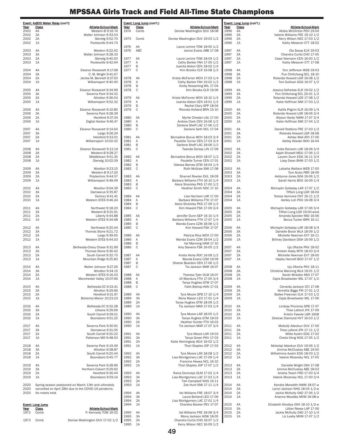|              | Event: 4x800 Meter Relay (con't)                                                                              |                                                  |              | Event: Long Jump (con't.) |                                                              |              | Event: Long Jump (con't.) |                                                                 |
|--------------|---------------------------------------------------------------------------------------------------------------|--------------------------------------------------|--------------|---------------------------|--------------------------------------------------------------|--------------|---------------------------|-----------------------------------------------------------------|
| Year<br>2002 | Class<br>4A                                                                                                   | Athlete-School-Mark<br>Western-B 9:16.74         | Year<br>1974 | <b>Class</b><br>Comb      | <b>Athlete-School-Mark</b><br>Denise Washington DUV 18-08    | Year<br>1996 | Class<br>4A               | Athlete-School-Mark<br>Alisha McClinton PEH 19-04               |
| 2002<br>2002 | 3A<br>2A                                                                                                      | Walter Johnson 9:33.03<br>Glenelg 9:52.70        | 1975         | Comb                      | Denise Washington DUV 19-03 1/2                              | 1996<br>1996 | 3A<br>2A                  | Valerie Williams FRE 19-10 1/2<br>Kerry Wilson NEC 17-03 1/2    |
| 2002<br>2003 | 1A<br>4A                                                                                                      | Poolesville 9:44.70<br>Western 9:22.42           | 1976<br>1976 | AA<br>ABC                 | Laura Lemire TOW 18-00 1/2<br>Janice Evans JMB 17-08         | 1996<br>1997 | 1A<br>4A                  | Kathy Messner CTT 18-02<br>Ola Sesay ELR 19-03                  |
| 2003         | 3A                                                                                                            | Walter Johnson 9:28.33                           |              |                           |                                                              | 1997         | 3A                        | Chandra Curtis CHO 17-05                                        |
| 2003         | 2A                                                                                                            | Glenelg 9:40.50                                  | 1977         | AA                        | Laura Lemire TOW 18-04 1/2                                   | 1997         | 2A                        | Cassi Niemann CEN 16-00 1/2                                     |
| 2003         | 1A                                                                                                            | Poolesville 9:42.94                              | 1977<br>1977 | Α<br>B                    | Cathy Barber FAH 17-05 1/2<br>Juanita Alston CEN 18-02 1/4   | 1997         | 1A                        | Kathy Messner CTT 17-08                                         |
| 2004         | 4A                                                                                                            | Eleanor Roosevelt 9:17.68                        | 1977         | $\mathbb C$               | Kim Brooks CLR 16-08 1/2                                     | 1998         | 4A                        | Toni Jefferson WEB 19-03                                        |
| 2004         | 3A                                                                                                            | C. M. Wright 9:41.67                             |              |                           |                                                              | 1998         | 3A                        | Pun Chittchang SCL 18-10                                        |
| 2004<br>2004 | 2A<br>1A                                                                                                      | James M. Bennett 9:37.50<br>Williamsport 9:40.40 | 1978<br>1978 | AA<br>Α                   | Krista McFarren WCH 17-03 1/4<br>Cathy Barber FAH 19-02 1/2  | 1998<br>1998 | 2A<br>1A                  | Rolanda Howard LGR 16-08 1/2<br>Toni Sullivan SOG 16-07 1/2     |
|              |                                                                                                               |                                                  | 1978         | B                         | Korby Kesserling WIL 17-04                                   |              |                           |                                                                 |
| 2005         | 4A                                                                                                            | Eleanor Roosevelt 9:34.99                        | 1978         | $\mathsf C$               | Kim Brooks CLR 19-06                                         | 1999         | 4A                        | Jessica Defreitas ELR 19-02 1/2                                 |
| 2005<br>2005 | 3A<br>2A                                                                                                      | Severna Park 9:34.02<br>Atholton 9:36.54         | 1979         | AA                        | Krista McFarren WCH 18-10 1/4                                | 1999<br>1999 | 3A<br>2A                  | Pun Chittchang SCL 20-01 1/2<br>Rolanda Howard LGR 17-08 1/2    |
| 2005         | 1A                                                                                                            | Williamsport 9:52.32                             | 1979         | Α                         | Juanita Alston CEN 19-01 1/2                                 | 1999         | 1A                        | Katie Hoffman SMI 17-03 1/2                                     |
| 2006         | 4A                                                                                                            | Eleanor Roosevelt 9:10.85                        | 1979<br>1979 | B<br>$\mathsf C$          | Rachel Clary SPP 18-04<br>Rhonda Holland BRN 15-10           | 2000         | 4A                        | Kalifa Pilgrim ELR 16-09 1/4                                    |
| 2006         | 3A                                                                                                            | Severna Park 9:28.39                             |              |                           |                                                              | 2000         | 3A                        | Rolanda Howard LGR 18-06 3/4                                    |
| 2006<br>2006 | 2A<br>1A                                                                                                      | Hereford 9:37.34<br>Digital Harbor 9:46.47       | 1980<br>1980 | AA<br>Α                   | Myrtle Chester LAU 17-00<br>Andrea Clark CEN 16-06 1/2       | 2000<br>2000 | 2A<br>1A                  | Allyson Hardy NWM 17-07 3/4<br>Katie Hoffman SMI 17-04 1/2      |
|              |                                                                                                               |                                                  | 1980         | B                         | Darlene Sheff LAC 17-06 1/2                                  |              |                           |                                                                 |
| 2007         | 4A                                                                                                            | Eleanor Roosevelt 9:14.64                        | 1980         | $\mathsf C$               | Darlene Seth NCL 17-04                                       | 2001         | 4A                        | Daniell Robbins FRE 17-03 1/2                                   |
| 2007<br>2007 | 3A<br>2A                                                                                                      | Largo 9:26.24<br>Hereford 9:33.01                | 1981         | AA                        | Bernadine Bocus WCH 18-03 3/4                                | 2001<br>2001 | 3A<br>2A                  | Rolanda Howard LGR 18-08<br>Ashley Wall ATH 17-06               |
| 2007         | 1A                                                                                                            | Williamsport 10:02.02                            | 1981         | Α                         | Paulette Turner CEN 17-03 3/4                                | 2001         | 1A                        | Ashley Reeder BOO 16-04                                         |
| 2008         | 4A                                                                                                            | Eleanor Roosevelt 9:12.14                        | 1981<br>1981 | B<br>$\mathbf C$          | Darlene Sheff LAC 18-06 1/2<br>Twanda Dorsey LIN 17-09       | 2002         | 4A                        | India Ransom LAR 18-06 3/4                                      |
| 2008         | 3A                                                                                                            | Western-B 9:28.27                                |              |                           |                                                              | 2002         | 3A                        | Aajah Showell MDU 17-06 1/2                                     |
| 2008         | 2A                                                                                                            | Middletown 9:51.35                               | 1982         | AA                        | Bernadine Bocus WCH 18-07 1/2                                | 2002         | 2A<br>1A                  | Lauren Dunn EDG 16-11 3/4                                       |
| 2008         | 1A                                                                                                            | Glenelg 10:02.09                                 | 1982<br>1982 | Α<br>B                    | Paulette Turner CEN 17-01<br>Odessa Barnes GTM 18-04 1/4     | 2002         |                           | Lissy Dean BHM 17-03 1/2                                        |
| 2009         | 4A                                                                                                            | Wootton 9:23.15                                  | 1982         | $\mathbf C$               | Ruth McGraw SMI 17-08                                        | 2003         | 4A                        | Latosha Wallace WEB 17-00                                       |
| 2009<br>2009 | 3A<br>2A                                                                                                      | Western-B 9:17.20<br>Polytechnic 9:44.57         | 1983         | AA                        | Sharnet Rowlan DUL 18-09                                     | 2003<br>2003 | 3A<br>2A                  | Toni Aluko PBR 18-09<br>Ashlynne Jones SOA 16-06 1/2            |
| 2009         | 1A                                                                                                            | Williamsport 9:48.49                             | 1983         | Α                         | Barbara Williams FTH 16-10 1/4                               | 2003         | 1A                        | Sarah Harris B00 16-09 1/4                                      |
| 2010         | 4A                                                                                                            | Wootton 9:04.39                                  | 1983<br>1983 | B<br>$\mathbb C$          | Alece Shockley PKS 17-00 1/2<br>Heather Smith NDC 17-10      | 2004         | 4A                        | Michaylin Golladay LAR 17-07 1/2                                |
| 2010         | 3A                                                                                                            | Damascus 9:35.87                                 |              |                           |                                                              | 2004         | 3A                        | Tiffani Long LGR 18-04                                          |
| 2010<br>2010 | 2A<br>1A                                                                                                      | Century 9:41.41<br>Western STES 9:46.24          | 1984<br>1984 | AA<br>Α                   | Lisa Harrison LAR 17-00<br>Barbara Williams FTH 17-07        | 2004<br>2004 | 2A<br>1A                  | Teresa Vannone CNT 16-11 1/2<br>Ashley Loh POO 16-08 3/4        |
|              |                                                                                                               |                                                  | 1984         | B                         | Alece Shockley PKS 17-09 1/2                                 |              |                           |                                                                 |
| 2011<br>2011 | 4A<br>3A                                                                                                      | Northwest 9:18.20<br>Western-B 9:31.91           | 1984         | C                         | Kim Howard FSK 17-09 3/4                                     | 2005<br>2005 | 4A<br>3A                  | Michaylin Golladay LAR 17-06 3/4<br>Tiffani Long LGR 19-00-wind |
| 2011         | 2A                                                                                                            | Liberty 9:44.88                                  | 1985         | AA                        | Jennifer Dunn SEP 16-10 1/4                                  | 2005         | 2A                        | Amanda Spickler MID 16-06                                       |
| 2011         | 1A                                                                                                            | Western STES 9:34.68                             | 1985<br>1985 | Α<br>B                    | Barbara Williams FTH 17-07 1/4<br>Wanda Evans CZM 18-08 1/2  | 2005         | 1A                        | Becca Tucker BRN 16-11                                          |
| 2012         | 4A                                                                                                            | Northwest 9:20.44                                | 1985         | $\mathbf C$               | Kim Howard FSK 17-07                                         | 2006         | 4A                        | Michaylin Golladay LAR 18-08 3/4                                |
| 2012<br>2012 | 3A<br>2A                                                                                                      | Thomas Stone 9:21.72<br>Largo 9:39.65            | 1986         | AA                        | Patricia Rice WCH 17-00                                      | 2006<br>2006 | 3A<br>2A                  | Danielle Brock WLA 18-09 1/2<br>Michelle Newman EVT 16-11       |
| 2012         | 1A                                                                                                            | Western STES 9:44.03                             | 1986         | Α                         | Wanda Evans CZM 18-04 1/2                                    | 2006         | 1A                        | Britney Davidson DGH 16-09 1/2                                  |
| 2013         | 4A                                                                                                            | Bethesda-Chevy Chase 9:31.99                     | 1986<br>1986 | B<br>$\mathbb C$          | Val Manning HAM 17-10<br>Amy Stevens FSK 16-05 1/2           | 2007         | 4A                        | Uju Ofoche PKV 18-02                                            |
| 2013         | 3A                                                                                                            | Thomas Stone 9:36.42                             |              |                           |                                                              | 2007         | 3A                        | Kristen Haley MTH 18-03 3/4                                     |
| 2013<br>2013 | 2A<br>1A                                                                                                      | South Carroll 9:32.70<br>Mountain Ridge 9:25.82  | 1987<br>1987 | AA<br>Α                   | Krista Hicks ROC 16-09 1/2<br>Wanda Evans CZM 19-09          | 2007<br>2007 | 2A<br>1A                  | Michelle Newman EVT 18-00<br>Hayley Harnett BOO 17-07 1/2       |
|              |                                                                                                               |                                                  | 1987         | B                         | Sheree Beardon CEN 17-06 1/2                                 |              |                           |                                                                 |
| 2014<br>2014 | 4A<br>3A                                                                                                      | Walter Johnson 9:27.26<br>Atholton 9:34.15       | 1987         | $\mathsf{C}$              | Tia Jackson MAR 16-07                                        | 2008<br>2008 | 4A<br>3A                  | Uju Ofoche PKV 18-11<br>Christina Manning WLA 19-01 1/2         |
| 2014         | 2A                                                                                                            | Western STES 9:16.43                             | 1988         | AA                        | Theresa Tyler OLM 16-07                                      | 2008         | 2A                        | Sarah Wrieden MID 17-07                                         |
| 2014         | 1A                                                                                                            | Manchester Valley 10:07.66                       | 1988<br>1988 | Α<br>B                    | Jill Mandura FTH 17-05 3/4<br>Tanya Hughes GTM 17-07         | 2008         | 1A                        | Cayla Broadwater WIL 17-07 1/2                                  |
| 2015         | 4A                                                                                                            | Bethesda-CC 9:33.41                              | 1988         | $\mathsf C$               | Faith Bishop HAN 17-01                                       | 2009         | 4A                        | Cenarda Jackson GTJ 17-08                                       |
| 2015<br>2015 | 3A<br>2A                                                                                                      | Atholton 9:29.66<br>Hereford 9:31.97             | 1989         | 4A                        | Tyra Moore SPB 17-10 1/4                                     | 2009<br>2009 | 3A<br>2A                  | Vernetta Biggs FRI 17-01 1/2<br>Bailee Freeman CLK 17-03 1/2    |
| 2015         | 1A                                                                                                            | Bohemia Manor 10:23.23                           | 1989         | 3A                        | Rena Mason LEO 17-01 1/4                                     | 2009         | 1A                        | Cayla Broadwater WIL 17-06                                      |
| 2016         | 4A                                                                                                            | Bethesda-CC 9:32.28                              | 1989<br>1989 | 2A<br>1A                  | Tanya Hughes GTM 18-09 1/2<br>Tia Jackson MAR 17-03 1/4      | 2010         | 4A                        | Lindsay Pinckney SPB 17-07                                      |
| 2016         | 3A                                                                                                            | Urbana 9:29.69                                   |              |                           |                                                              | 2010         | 3A                        | Thea Lafond JFK 17-09                                           |
| 2016<br>2016 | 2A<br>1A                                                                                                      | South Carroll 9:39.01<br>Boonsboro 9:51.25       | 1990<br>1990 | 4A<br>3A                  | Tyra Moore LAR 18-05 1/2<br>Tanya Hughes GTM 18-03           | 2010<br>2010 | 2A<br>1A                  | Kristin Fawole LGR 1608<br>Desirae Diamond HVT 16-03 1/2        |
|              |                                                                                                               |                                                  | 1990         | 2A                        | Heather Hunter FTH 16-02                                     |              |                           |                                                                 |
| 2017<br>2017 | 4A<br>3A                                                                                                      | Severna Park 9:30.91<br>Damascus 9:31.05         | 1990         | 1A                        | Tia Jackson MAR 17-07 3/4                                    | 2011<br>2011 | 4A<br>3A                  | Moboliji Adeokun DUV 17-06<br>Thea Lafond JFK 17-11 1/2         |
| 2017         | 2A                                                                                                            | South Carroll 9:20.22                            | 1991         | 4A                        | Tyra Moore LAR 19-03                                         | 2011         | 2A                        | Willie Austin EDG 17-02                                         |
| 2017         | 1A                                                                                                            | Patterson Mill 9:48.50                           | 1991<br>1991 | 3A<br>2A                  | Tanya Green PKV 17-03<br>Katie Hemingway WLK 16-02 1/2       | 2011         | 1A                        | Chelsi Kling NOG 17-05 1/2                                      |
| 2018         | 4A                                                                                                            | Severna Park 9:19.46                             | 1991         | 1A                        | Thori Staples JOP 17-03                                      | 2012         | 4A                        | Mobolaji Adeokun DUV 19-06 1/2                                  |
| 2018<br>2018 | 3A<br>2A                                                                                                      | Atholton 9:38.87<br>South Carroll 9:20.44        | 1992         | 4A                        | Tyra Moore LAR 18-08 1/2                                     | 2012<br>2012 | 3A<br>2A                  | Jimmia McCluskey ABE 19-00<br>Wilhelmina Austin EDG 18-03 1/2   |
| 2018         | 1A                                                                                                            | Boonsboro 9:45.77                                | 1992         | 3A                        | Lisa Montgomery LAC 17-09 1/4                                | 2012         | 1A                        | Valerie Mizansky NCL 17-05                                      |
| 2019         | 4A                                                                                                            | Severna Park 9:28.96                             | 1992<br>1992 | 2A<br>1A                  | Francine Hewes NCL 16-10<br>Thori Staples JOP 17-07 1/2      | 2013         | 4A                        | Danielle Wright OXH 17-08                                       |
| 2019         | 3A                                                                                                            | Northern-Calvert 9:29.92                         |              |                           |                                                              | 2013         | 3A                        | Jimmia McCluskey ABE 18-03                                      |
| 2019<br>2019 | 2A<br>1A                                                                                                      | Hereford 9:36.44<br>Boonsboro 9:59.14            | 1993<br>1993 | 4A<br>3A                  | Raina Domneys OLM 17-02 1/4<br>Lisa Montgomery LAC 17-03 1/4 | 2013<br>2013 | 2A<br>1A                  | Anisha Teach FRD 17-00 3/4<br>Valerie Mizansky NCL 17-00 3/4    |
|              |                                                                                                               |                                                  | 1993         | 2A                        | Tish Campbell NHG 16-11                                      |              |                           |                                                                 |
| 2020<br>2020 | Spring season postponed on March 13th and ultimately<br>cancelled on April 28th due to the COVID-19 pandemic. |                                                  | 1993         | 1A                        | Zoe Hunt SMI 17-11 1/4                                       | 2014<br>2014 | 4A<br>3A                  | Kendra Meredith NWM 18-07-w<br>Larryl Jackson NHG 18-04 1/2-w   |
| 2020         | No meets held.                                                                                                |                                                  | 1994         | 4A                        | Val Williams FRE 18-07 3/4                                   | 2014         | 2A                        | Jackie McNulty OAD 17-06 1/2                                    |
|              |                                                                                                               |                                                  | 1994<br>1994 | 3A<br>2A                  | Laura Borland LEO 17-06<br>Lisa Montgomery LAC 17-01 1/4     | 2014         | 1A                        | Arianna Woodley MVM 16-08-w                                     |
|              | <b>Event: Long Jump</b>                                                                                       |                                                  | 1994         | 1A                        | Chandra Booker PEV 17-07                                     | 2015         | 4A                        | Elizabeth Shodiya OXH 18-10 1/2-w                               |
| Year<br>1972 | Class<br>Comb                                                                                                 | Athlete-School-Mark<br>P. Kennedy TOW 16-02      | 1995         | 4A                        | Val Williams FRE 18-08 3/4                                   | 2015<br>2015 | 3A<br>2A                  | Lillian Reese LAP 17-06<br>Jackie McNulty OAD 17-10 1/4         |
|              |                                                                                                               |                                                  | 1995         | 3A                        | Mona Jackson HOW 18-05                                       | 2015         | 1A                        | Liz Leahy MVM 17-07 1/2                                         |
| 1973         | Comb                                                                                                          | Denise Washington DUV 17-02 1/2                  | 1995<br>1995 | 2A<br>1A                  | Chandra Curtis CHO 16-07 1/2<br>Kerry Wilson NEC 16-09 1/2   |              |                           |                                                                 |
|              |                                                                                                               |                                                  |              |                           |                                                              |              |                           |                                                                 |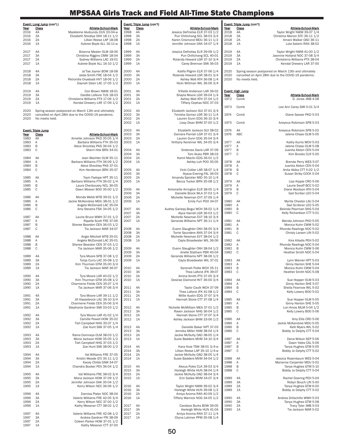| Year<br>2016         | <u>Event: Long Jump</u> (con't.)<br><b>Athlete-School-Mark</b><br><u>Class</u><br>4A<br>Madeleine Akobundu DUV 20-04-w          | Year<br>1998         | <b>Class</b><br>4A | Event: Triple Jump (con't) | Athlete-School-Mark<br>Jessica DeFrietas ELR 37-03 1/2                                         | Year<br>2018         | Event: Triple Jump (con't)<br>Class<br>4A | Athlete-School-Mark<br>Taylor Wright NWM 39-07 1/4                                                            |
|----------------------|---------------------------------------------------------------------------------------------------------------------------------|----------------------|--------------------|----------------------------|------------------------------------------------------------------------------------------------|----------------------|-------------------------------------------|---------------------------------------------------------------------------------------------------------------|
| 2016<br>2016<br>2016 | 3A<br>Elizabeth Shodiya OXH 18-11 1/2<br>2A<br>Lillian Reese LAP 18-08<br>Aubree Boyle ALL 16-11-w<br>1A                        | 1998<br>1998<br>1998 | 3A<br>2A<br>1A     |                            | Pun Chittchang SCL 38-03 3/4<br>Karen Crismond MDU 36-11 1/2<br>Jennifer Johnson OAK 34-07 1/4 | 2018<br>2018<br>2018 | 3A<br>2A<br>1A                            | Christina Marion STC 36-11 1/2<br>Amani Walker OAD 36-11<br>Lola Salami RAN 38-02                             |
| 2017                 | 4A<br>Brianna Mealer OLM 18-06                                                                                                  | 1999                 | 4A                 |                            | Jessica Defreitas ELR 39-09 1/2                                                                | 2019                 | 4A                                        | Taylor Wright NWM 41-00 1/2                                                                                   |
| 2017<br>2017<br>2017 | Christina Riggins CMW 18-04<br>ЗA<br>Sydney Williams LAC 19-01<br>2A<br>Aubree Boyle ALL 16-10 1/2<br>1A                        | 1999<br>1999<br>1999 | 3A<br>2A<br>1A     |                            | Pun Chittchang SCL 40-01<br>Rolanda Howard LGR 37-10 3/4<br>Carey Brennan SMI 36-03            | 2019<br>2019<br>2019 | 3A<br>2A<br>1A                            | Jasmine Holland NOC 37-08 3/4<br>Christierra Williams PTX 38-04<br>Kendal Drewery LAR 37-00                   |
| 2018<br>2018<br>2018 | 4A<br>Ja'Tae Joyner BOW 18-08<br>Jaida Smith FRE 18-04 1/2<br>3A<br>2A<br>Petronilla Onyebadi HVT 18-06 1/2                     | 2000<br>2000<br>2000 | 4A<br>3A<br>2A     |                            | Kalifa Pilgrim ELR 37-06 1/4<br>Rolanda Howard LGR 38-01 3/4<br>Ashley Wall ATH 36-08 1/4      | 2020<br>2020<br>2020 | No meets held.                            | Spring season postponed on March 13th and ultimately<br>cancelled on April 28th due to the COVID-19 pandemic. |
| 2018                 | 1A<br>Daynah Desir LAC 17-05 1/2                                                                                                | 2000                 | 1A                 |                            | Nicki Wittman WIL 36-06 3/4                                                                    |                      |                                           |                                                                                                               |
| 2019<br>2019<br>2019 | Cori Brown NWM 18-01<br>4A<br>Dardlie Lefevre TUS 18-03<br>3A<br>2A<br>Christierra Williams PTX 17-06 1/2                       | 2001<br>2001<br>2001 | 4A<br>3A<br>2A     |                            | N'Kelle Anderson LAR 36-02<br>Shayla Moore LGR 39-04 1/4<br>Ashley Wall ATH 37-04 1/2          | Year<br>1972         | Event: High Jump<br><b>Class</b><br>Comb  | Athlete-School-Mark<br>D. Jones JMB 4-08                                                                      |
| 2019                 | Kendal Drewery LAR 17-09 1/2<br>1A                                                                                              | 2001                 | 1A                 |                            | Tiffany Cephas NDC 37-03                                                                       | 1973                 | Comb                                      | Lee Ann Carey SMI 5-01 3/4                                                                                    |
| 2020<br>2020<br>2020 | Spring season postponed on March 13th and ultimately<br>cancelled on April 28th due to the COVID-19 pandemic.<br>No meets held. | 2002<br>2002<br>2002 | 4A<br>3A<br>2A     |                            | Elizabeth Jackson SUI 37-01 3/4<br>Timisha Gomez LGR 36-11 1/4<br>Lauren Dunn EDG 36-10 3/4    | 1974                 | Comb                                      | Diane Sasser PKD 5-03                                                                                         |
|                      |                                                                                                                                 | 2002                 | 1A                 |                            | Lissy Dean BHM 37-00 1/2                                                                       | 1975                 | Comb                                      | Aneyeus Robinson SPB 5-03                                                                                     |
| Year                 | <u>Event: Triple Jump</u><br><b>Class</b><br>Athlete-School-Mark                                                                | 2003<br>2003         | 4A<br>3A           |                            | Elizabeth Jackson SUI 38-02<br>Damara Parrish LGR 37-01 3/4                                    | 1976<br>1976         | AA<br>ABC                                 | Aneyeus Robinson SPB 5-02<br>Jalene Chase OLM 5-05                                                            |
| 1983                 | Annette Johnson PKD 35-05 1/4<br>AA                                                                                             | 2003                 | 2A                 |                            | Lauren Dunn EDG 35-04 3/4                                                                      |                      |                                           |                                                                                                               |
| 1983<br>1983         | Barbara Williams FTH 35-03<br>Α<br>B<br>Alece Shockley PKS 36-04 1/2                                                            | 2003                 | 1A                 |                            | Nrittany Kershner WIL 34-05 3/4                                                                | 1977<br>1977         | AA<br>Α                                   | Kathy Kurris WCH 5-03<br>Jalene Chase OLM 5-08                                                                |
| 1983                 | C<br>Sherri Hite BRN 34-01                                                                                                      | 2004                 | 4A                 |                            | Sirdonea Davis LAR 37-09                                                                       | 1977<br>1977         | B<br>C                                    | Juanita Alston CEN 5-04                                                                                       |
| 1984                 | Jean Wachter OLM 35-11<br>AA                                                                                                    | 2004<br>2004         | 3A<br>2A           |                            | Toni Aluko PBR 38-03<br>Kamil Maclin EDG 36-01 1/2                                             |                      |                                           | Kim Brooks CLR 5-00                                                                                           |
| 1984<br>1984         | Barbara Williams FTH 36-09 1/2<br>Α<br>Alece Shockley PKS 37-01<br>B                                                            | 2004                 | 1A                 |                            | Ashley Loh POO 35-05                                                                           | 1978<br>1978         | AA<br>Α                                   | Brenda Perry WES 5-07<br>Juanita Alston CEN 5-04                                                              |
| 1984                 | C<br>Kim Henderson BRN 35-07                                                                                                    | 2005                 | 4A                 |                            | Vicki Collier LAR 38-07 1/4                                                                    | 1978                 | B                                         | Anita Abiba CTT 5-02 1/2                                                                                      |
| 1985                 | AA<br>Toyin Fadope HPT 35-11                                                                                                    | 2005<br>2005         | 3A<br>2A           |                            | Alyssa Evering FAL 36-03<br>Amanda Spickler MID 35-10 1/4                                      | 1978                 | C                                         | Susan Striby COCK 5-04                                                                                        |
| 1985                 | Barbara Williams FTH 36-02 1/4<br>Α                                                                                             | 2005                 | 1A                 |                            | Becca Tucker BRN 35-08 1/2                                                                     | 1979                 | AA                                        | Lisa Kipple CRO 5-06                                                                                          |
| 1985<br>1985         | B<br>Laura Cherbousky NCL 36-05<br>C<br>Dawn Weaver BOO 35-00 1/2                                                               | 2006                 | 4A                 |                            | Antoinette Arrington ELR 38-05 1/4                                                             | 1979<br>1979         | Α<br>B                                    | Laurie Swoff BCC 5-02<br>Diane Woolson ATH 5-04                                                               |
| 1986                 | Monda Webb MTB 39-01 1/2<br>AA                                                                                                  | 2006<br>2006         | 3A<br>2A           |                            | Danielle Brock WLA 37-03 1/4<br>Michelle Newman EVT 37-09 1/4                                  | 1979                 | C                                         | Gail Scriber LEO 5-04                                                                                         |
| 1986                 | Α<br>Jackie McKendree MDU 38-01 1/2                                                                                             | 2006                 | 1A                 |                            | Emily Furr POO 34-07                                                                           | 1980                 | AA                                        | Myrtle Chester LAU 5-04                                                                                       |
| 1986<br>1986         | B<br>Angela McDonald LAC 35-04<br>C<br>Amy Stevens FSK 34-05 1/2                                                                | 2007                 | 4A                 |                            | Audrey Gariepy-Bogui WCH 38-02 1/4                                                             | 1980<br>1980         | Α<br>B                                    | Gail Scribner LEO 5-05<br>Belinda Pearman SHG 5-04                                                            |
|                      |                                                                                                                                 | 2007                 | 3A                 |                            | Alyce Harrell LGR 36-03 1/2                                                                    | 1980                 | C                                         | Kelly Richardson CTT 5-01                                                                                     |
| 1987<br>1987         | Laurie Bruce WWH 37-01 1/2<br>AA<br>Α<br>Rayelle Scott FRE 37-06                                                                | 2007<br>2007         | 2A<br>1A           |                            | Michelle Newman EVT 38-10 3/4<br>Geranda Williams NPT 36-11 1/4                                | 1981                 | AA                                        | Wanda Johnson PKD 5-05                                                                                        |
| 1987<br>1987         | Sheree Beardon CEN 36-03 1/2<br>B<br>C<br>Tia Jackson MAR 34-07                                                                 | 2008                 | 4A                 |                            | Evann Slaughter OXH 38-05 3/4                                                                  | 1981<br>1981         | Α<br>B                                    | Monica Kuhn CWW 5-02<br>Rhonda Rawlings NOC 5-02                                                              |
|                      |                                                                                                                                 | 2008                 | 3A                 |                            | Torrie Saunders ANN 37-04 3/4                                                                  | 1981                 | C                                         | Christy Larsen LIN 5-02                                                                                       |
| 1988<br>1988         | AA<br>Angie Mitchell MTB 35-01<br>Angela McDonald LAC 35-01<br>Α                                                                | 2008<br>2008         | 2A<br>1A           |                            | Michelle Newman EVT 38-04 1/2<br>Cayla Broadwater WIL 36-06                                    | 1982                 | AA                                        | Kira Kiladis PEH 5-02                                                                                         |
| 1988<br>1988         | B<br>Sheree Beardon CEN 37-03 1/2<br>C<br>Tia Jackson MAR 35-06 1/2                                                             |                      |                    |                            |                                                                                                | 1982<br>1982         | Α<br>В                                    | Rhonda Rawlings NOC 5-04<br>Monica Kuhn CWW 5-06                                                              |
|                      |                                                                                                                                 | 2009<br>2009         | 4A<br>3A           |                            | Evann Slaughter OXH 38-04 1/2<br>Arielle Statham PBR 40-04                                     | 1982                 | C                                         | Heather Smith NDC 5-04                                                                                        |
| 1989<br>1989         | Tyra Moore SPB 37-08 1/2<br>4A<br>3A<br>Tonja Curry LAC 35-08 1/2                                                               | 2009<br>2009         | 2A<br>1A           |                            | Geranda Williams NPT 38-06 1/2<br>Cayla Broadwater WIL 37-01                                   | 1983                 | AA                                        | Lynn Warner HPT 5-03                                                                                          |
| 1989                 | 2A<br>Kim Thurman GTM 35-00 3/4                                                                                                 |                      |                    |                            |                                                                                                | 1983                 | Α                                         | Ginny Hanlon SHE 5-04                                                                                         |
| 1989                 | Tia Jackson MAR 36-07<br>1A                                                                                                     | 2010<br>2010         | 4A<br>3A           |                            | Serenah Polite WCH 35-11<br>Thea Lafond JFK 39-07                                              | 1983<br>1983         | B<br>C                                    | Monica Kuhn CWW 5-04<br>Heather Smith NDC 5-08                                                                |
| 1990<br>1990         | 4A<br>Tyra Moore LAR 40-02 1/2<br>Kim Thurman GTM 35-08 1/2<br>3A                                                               | 2010<br>2010         | 2A<br>1A           |                            | Amina Smith PTX 37-05 3/4<br>Desirae Diamond HVT 36-00 3/4                                     | 1984                 | AA                                        | Sue Hopper OLM 5-03                                                                                           |
| 1990                 | 2A<br>Charmene Fields CEN 35-07 1/4                                                                                             |                      |                    |                            |                                                                                                | 1984                 | Α                                         | Ginny Hanlon SHE 5-07                                                                                         |
| 1990                 | Tia Jackson MAR 37-06 3/4<br>1A                                                                                                 | 2011<br>2011         | 4A<br>3A           |                            | Taylor Caulk WCH 37-09<br>Thea Lafond JFK 41-08 1/2                                            | 1984<br>1984         | B<br>C                                    | Sheila Fearnow WIL 5-02<br>Kelly Lowery BOO 5-02                                                              |
| 1991<br>1991         | 4A<br>Tyra Moore LAR 39-11 1/2<br>3A<br>Jill Hassebrock LAU 36-10 3/4                                                           | 2011<br>2011         | 2A<br>1A           |                            | Willie Austin EDG 37-07 3/4<br>Hannah Stone CTT 37-08 1/4                                      | 1985                 | AA                                        | Sue Hopper OLM 5-05                                                                                           |
| 1991                 | Charmene Fields CEN 35-06 3/4<br>2A                                                                                             |                      |                    |                            |                                                                                                | 1985                 | Α                                         | Ginny Hanlon SHE 5-05                                                                                         |
| 1991                 | 1A<br>Stephanie Gardner SMI 33-03 1/2                                                                                           | 2012<br>2012         | 4A<br>3A           |                            | Nichelle McMilliam MEA 37-01 1/2<br>Raven Jackson NHG 36-04 1/2                                | 1985<br>1985         | В<br>C                                    | Lori Amos MLM 5-04 1/2<br>Kelly Lowery BOO 5-06                                                               |
| 1992                 | 4A<br>Tyra Moore LAR 41-02 1/4                                                                                                  | 2012                 | 2A                 |                            | Hannah Stone CTT 37-07 3/4                                                                     |                      |                                           |                                                                                                               |
| 1992<br>1992         | 3A<br>Camille Powell HOW 35-02<br>2A<br>Tish Campbell NHG 35-07 1/4                                                             | 2012                 | 1A                 |                            | Ashley Jackson BHM 33-06 1/2                                                                   | 1986<br>1986         | AA<br>Α                                   | Amy Ellis CRO 5-06<br>Jackie McKendree MDU 5-05                                                               |
| 1992                 | Zoe Hunt SMI 37-05 1/4<br>1A                                                                                                    | 2013<br>2013         | 4A<br>3A           |                            | Danielle Baker NPT 37-03<br>Jermika Miller HAM 38-04 1/4                                       | 1986<br>1986         | B<br>C                                    | Kelli Myers WIL 5-02<br>Bobby Jo Delphy CTT 5-04                                                              |
| 1993                 | 4A<br>Raina Domneys OLM 38-03 1/2                                                                                               | 2013                 | 2A                 |                            | Jackie McNulty OAD 38-05 1/4                                                                   |                      |                                           |                                                                                                               |
| 1993<br>1993         | 3A<br>Mona Jackson HOW 35-05 1/2<br>2A<br>Tish Campbell NHG 37-03 1/2                                                           | 2013                 | 1A                 |                            | Suzie Badders MVM 34-10 3/4                                                                    | 1987<br>1987         | AA<br>Α                                   | Dena Wilson SEP 5-06<br>Dawn Yates CAL 5-06                                                                   |
| 1993                 | Zoe Hunt SMI 38-00 1/2<br>1A                                                                                                    | 2014<br>2014         | 4A<br>3A           |                            | Kara Huie TSW 38-01 3/4-w<br>Lillian Reese LAP 35-10 1/4-w                                     | 1987<br>1987         | B<br>C                                    | Tanya Hughes GTM 5-05<br>Bobby Jo Delphy CTT 5-02                                                             |
| 1994                 | 4A<br>Val Williams FRE 37-05                                                                                                    | 2014                 | 2A                 |                            | Jackie McNulty OAD 38-05 1/4                                                                   |                      |                                           |                                                                                                               |
| 1994<br>1994         | 3A<br>Kristin Meade GTJ 35-11 1/2<br>2A<br>Kacey Childs DAM 34-07                                                               | 2014                 | 1A                 |                            | Susie Badders MVM 34-04 1/2                                                                    | 1988<br>1988         | AA<br>Α                                   | Jessica Rosenbaum WES 5-04<br>Marianne Carpenter MDU 5-02                                                     |
| 1994                 | Chandra Booker PEV 36-04 1/2<br>1A                                                                                              | 2015                 | 4A                 |                            | Alexus Pyles CLK 39-03 3/4                                                                     | 1988                 | В                                         | Tanya Hughes GTM 5-10                                                                                         |
| 1995                 | 4A<br>Val Williams FRE 38-02 3/4                                                                                                | 2015<br>2015         | 3A<br>2A           |                            | Harleigh White HUN 38-04 1/4<br>Jackie McNulty OAD 38-04 3/4                                   | 1988                 | C                                         | Bobby Jo Delphy CTT 5-04                                                                                      |
| 1995<br>1995         | 3A<br>Mona Jackson HOW 37-09 1/2<br>2A<br>Jennifer Johnson OAK 35-04 1/2                                                        | 2015                 | 1A                 |                            | Erin Sallee MVM 34-07 3/4                                                                      | 1989<br>1989         | 4A<br>3A                                  | Rachel Doering PEH 5-04<br>Robyn Bouch LIN 5-00                                                               |
| 1995                 | Kerry Wilson NEC 36-06 1/2<br>1A                                                                                                | 2016                 | 4A                 |                            | Taylor Wright NWM 39-02 3/4                                                                    | 1989                 | 2A                                        | Tanya Hughes GTM 6-00                                                                                         |
| 1996                 | 4A<br>Darnisa Plater NOC 38-04                                                                                                  | 2016<br>2016         | 3A<br>2A           |                            | Harleigh White HUN 39-08 1/2<br>Amiya Anoma RAN 40-09 1/2                                      | 1989                 | 1A                                        | Bobby Jo Delphy CTT 5-02                                                                                      |
| 1996                 | ЗA<br>Valerie Williams FRE 42-05 3/4                                                                                            | 2016                 | 1A                 |                            | Tiffany Warnick NOG 34-05 1/2                                                                  | 1990                 | 4A                                        | Andrea Dritschillo WWH 5-03                                                                                   |
| 1996<br>1996         | 2A<br>Kerry Wilson NEC 37-00 1/2<br>1A<br>Kathy Messner CTT 38-02 1/2                                                           | 2017                 | 4A                 |                            | Candace Burks BOW 39-05                                                                        | 1990<br>1990         | 3A<br>2A                                  | Tanya Hughes GTM 5-08<br>Tracy Tyler JMB 5-03                                                                 |
| 1997                 | 4A<br>Valerie Williams FRE 42-08 1/2                                                                                            | 2017<br>2017         | 3A<br>2A           |                            | Harleigh White HUN 41-04<br>Amiya Anoma RAN 37-11 1/4                                          | 1990                 | 1A                                        | Tia Jackson MAR 5-02                                                                                          |
| 1997                 | 3A<br>Andrea Gardner FRI 38-09                                                                                                  | 2017                 | 1A                 |                            | Chyna Latimer PPM 35-08 1/4                                                                    |                      |                                           |                                                                                                               |
| 1997<br>1997         | 2A<br>Coleen Parker HOW 37-01 1/2<br>1A<br>Kathy Messner CTT 37-00                                                              |                      |                    |                            |                                                                                                |                      |                                           |                                                                                                               |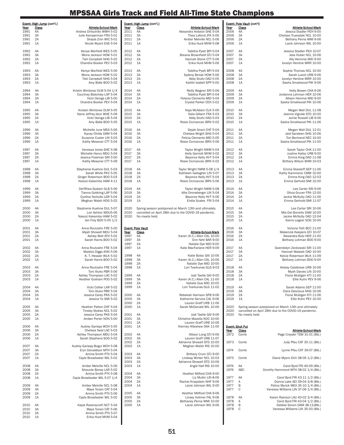|              | Event: High Jump (con't.) |                                                             |              | Event: High Jump (con't.) |                                                         |              | Event: Pole Vault (con't) |                                                                             |
|--------------|---------------------------|-------------------------------------------------------------|--------------|---------------------------|---------------------------------------------------------|--------------|---------------------------|-----------------------------------------------------------------------------|
| Year         | <b>Class</b>              | <b>Athlete-School-Mark</b>                                  | Year         | <u>Class</u>              | <b>Athlete-School-Mark</b>                              | Year         | <b>Class</b>              | Athlete-School-Mark                                                         |
| 1991         | 4A                        | Andrea Dritschillo WWH 5-02                                 | 2011         | 4A                        | Alexandra Holston SHE 5-04                              | 2006         | 4A                        | Jessica Stadler PEH 9-00                                                    |
| 1991<br>1991 | 3A<br>2A                  | Julie Kamperman FRA 5-01<br>Shayla Zinn WIC 5-01            | 2011<br>2011 | 3A<br>2A                  | Thea Lafond JFK 5-06<br>Amber Melville NCL 5-06         | 2006<br>2006 | 3A<br>2A                  | Chelsea Truesdale NCL 10-00<br>Bethany Perna WMI 9-06                       |
| 1991         | 1A                        | Nicole Wyant EAS 5-04                                       | 2011         | 1A                        | Erika Hurd MVM 5-08                                     | 2006         | 1A                        | Lacie Johnson WIL 10-00                                                     |
|              |                           |                                                             |              |                           |                                                         |              |                           |                                                                             |
| 1992<br>1992 | 4A<br>3A                  | Kenya Warfield WES 5-05<br>Mona Jackson HOW 5-01            | 2012<br>2012 | 4A<br>3A                  | Tabitha Pyatt BPI 5-04<br>Breana Brownfield GTJ 5-04    | 2007<br>2007 | 4A<br>3A                  | Jessica Stadler PEH 10-07<br>Jess Huber NCL 10-06                           |
| 1992         | 2A                        | Tish Campbell NHG 5-02                                      | 2012         | 2A                        | Hannah Stone CTT 5-06                                   | 2007         | 2A                        | Ally Hemmie MID 9-00                                                        |
| 1992         | 1A                        | Chandra Booker PEV 5-03                                     | 2012         | 1A                        | Erika Hurd MVM 5-06                                     | 2007         | 1A                        | Jocelyn Henline MRR 10-00                                                   |
|              |                           |                                                             |              |                           |                                                         |              |                           |                                                                             |
| 1993<br>1993 | 4A<br>3A                  | Kenya Warfield WES 5-06<br>Mona Jackson HOW 5-02            | 2013<br>2013 | 4A<br>3A                  | Tabitha Pyatt BPI 5-04<br>Sydeny Biniak HOW 5-06        | 2008<br>2008 | 4A<br>3A                  | Sophie Thomas NCL 10-00<br>Sarah Lueck URB 9-06                             |
| 1993         | 2A                        | Tish Campbell NHG 5-04                                      | 2013         | 2A                        | Abby Stultz OAD 5-05                                    | 2008         | 2A                        | Jocelyn Henline MRR 10-00                                                   |
| 1993         | 1A                        | Amy Bidle BOO 5-02                                          | 2013         | 1A                        | Kaitlin Isabell SPP 5-00                                | 2008         | 1A                        | Sasha Smallwood PIK 9-06                                                    |
|              |                           |                                                             |              |                           |                                                         |              |                           |                                                                             |
| 1994<br>1994 | 4A<br>3A                  | Kristin Wimbrow OLM 5-04 1/4<br>Courtney Blatchley LAP 5-04 | 2014<br>2014 | 4A<br>3A                  | Reilly Wagner SRI 5-06<br>Tabitha Pyatt BPI 5-04        | 2009<br>2009 | 4A<br>3A                  | Holly Bowen CHA 9-06<br>Jordanna Lehman HER 10-06                           |
| 1994         | 2A                        | Vicki Osinga LIB 5-00                                       | 2014         | 2A                        | Felecia Clements MID 5-04                               | 2009         | 2A                        | Allison Hemme MID 9-00                                                      |
| 1994         | 1A                        | Chandra Booker PEV 5-04                                     | 2014         | 1A                        | Crystal Parker CEN 5-02                                 | 2009         | 1A                        | Sasha Smallwood PIK 10-06                                                   |
| 1995         | 4A                        | Kristen Wimbrow OLM 5-05                                    | 2015         | 4A                        | Naja McAdam CLK 5-06                                    | 2010         | 4A                        | Megan Wall DUL 11-08                                                        |
| 1995         | 3A                        | Nana Jeffrey-Idun WHE 5-09                                  | 2015         | 3A                        | Nala Gilbert FRA 5-03                                   | 2010         | 3A                        | Jeanna Vignale STD 10-00                                                    |
| 1995         | 2A                        | Vicki Osinga LIB 5-04                                       | 2015         | 2A                        | Abby Stultz OAD 5-04                                    | 2010         | 2A                        | Jamie Russell LIB 9-06                                                      |
| 1995         | 1A                        | Amy Bidle BOO 5-05                                          | 2015         | 1A                        | Rosie Cicmancec BRN 5-02                                | 2010         | 1A                        | Sasha Smallwood PIK 11-06                                                   |
| 1996         | 4A                        | Michelle June MEA 5-06                                      | 2016         | 4A                        | Dejah Grant CHF 5-04                                    | 2011         | 4A                        | Megan Wall DUL 12-01                                                        |
| 1996         | 3A                        | Kacey Childs DAM 5-04                                       | 2016         | 3A                        | Chelsea Wright SHG 5-04                                 | 2011         | 3A                        | Jaid Sandeen SHG 10-06                                                      |
| 1996         | 2A                        | Suzanne Custer LIN 5-03                                     | 2016         | 2A                        | Felicia Clements MID 5-05                               | 2011         | 2A                        | Tori Bertrand NEC 10-00                                                     |
| 1996         | 1A                        | Kathy Messner CTT 5-04                                      | 2016         | 1A                        | Rosie Cicmancec BRN 5-06                                | 2011         | 1A                        | Sasha Smallwood PIK 11-00                                                   |
| 1997         | 4A                        | Vanessa Jones SHE 5-08                                      | 2017         | 4A                        | Taylor Wright NWM 5-04                                  | 2012         | 4A                        | Sarah Taylor CHA 11-00                                                      |
| 1997         | 3A                        | Michelle Henry MDU 5-04                                     | 2017         | 3A                        | Kelly Garriott MVM 5-02                                 | 2012         | 3A                        | Justine Kalisz URB 9-00                                                     |
| 1997         | 2A                        | Jessica Freeman SRI 5-00                                    | 2017         | 2A                        | Beyonce Kelly HVT 5-04                                  | 2012         | 2A                        | Emma King OAD 11-08                                                         |
| 1997         | 1A                        | Kathy Messner CTT 5-09                                      | 2017         | 1A                        | Rosie Cicmancec BRN 5-02                                | 2012         | 1A                        | Brittany Wilson BHM 10-03                                                   |
| 1998         | 4A                        | Stephanie Kuehne DUL 5-03                                   | 2018         | 4A                        | Taylor Wright NWM 5-08 1/4                              | 2013         | 4A                        | Emma Staisloff SEP 11-06                                                    |
| 1998         | 3A                        | Sarah White PKV 5-05                                        | 2018         | 3A                        | Kathleen Gallagher LIN 5-07                             | 2013         | 3A                        | Kathy Kammerer CMW 10-00                                                    |
| 1998         | 2A                        | Ginger Robertson BOO 5-03                                   | 2018         | 2A                        | Beyonce Kelly HVT 5-04                                  | 2013         | 2A                        | Emma King OAD 12-03                                                         |
| 1998         | 1A                        | Nosozi Kakembo HAM 4-11                                     | 2018         | 1A                        | Rosie Cicmancec BRN 5-06                                | 2013         | 1A                        | Emma Gerhold SMI 10-00                                                      |
| 1999         | 4A                        | Del'Rhea Godwin GLB 5-06                                    | 2019         | 4A                        | Taylor Wright NWM 5-08                                  | 2014         | 4A                        | Lea Carter SRI 9-06                                                         |
| 1999         | 3A                        | Tianna Goldring LAP 5-06                                    | 2019         | 3A                        | Allie Droneberger LIN 5-04                              | 2014         | 3A                        | Olivia Gruver FRA 12-00                                                     |
| 1999         | 2A                        | Cynthia Nicholls LGR 5-04                                   | 2019         | 2A                        | Beyonce Kelly HVT 5-06                                  | 2014         | 2A                        | Jackie McNulty OAD 11-06                                                    |
| 1999         | 1A                        | Meghan Walsh HDG 5-02                                       | 2019         | 1A                        | Endia Scales FRI 5-04                                   | 2014         | 1A                        | Emma Gerhold SMI 11-07                                                      |
| 2000         | 4A                        | Stephanie Kuehne DUL 5-07                                   | 2020         |                           | Spring season postponed on March 13th and ultimately    | 2015         | 4A                        | Lea Carter SRI 10-06                                                        |
| 2000         | 3A                        | Lori Ashton MDU5-06                                         | 2020         |                           | cancelled on April 28th due to the COVID-19 pandemic.   | 2015         | 3A                        | Mia Del Borrello DAM 10-00                                                  |
| 2000         | 2A                        | Nasozi Kakembo HAM 5-02                                     | 2020         | No meets held.            |                                                         | 2015         | 2A                        | Jackie McNulty OAD 12-04                                                    |
| 2000         | 1A                        | Jen Frey BOO 5-00 1/2                                       |              |                           |                                                         | 2015         | 1A                        | Sierra Legeer SOG 10-00                                                     |
| 2001         | 4A                        | Anna Routzahn FRE 5-00                                      |              | <b>Event: Pole Vault</b>  |                                                         | 2016         | 4A                        | Victoria Toth BCC 11-00                                                     |
| 2001         | 3A                        | AAjah Showell MDU 5-04                                      | Year         | Class                     | Athlete-School-Mark                                     | 2016         | 3A                        | Makenzie Keepers GTJ 10-07                                                  |
| 2001<br>2001 | 2A<br>1A                  | Ashley Wall ATH 5-02<br>Sarah Harris B00 5-02               | 1997<br>1997 | 4A<br>3A                  | Karen (K.C.) Allen CAL 10-00<br>Erin Nett BAR 9-00      | 2016<br>2016 | 2A<br>1A                  | Alexandra Butz HER 11-00<br>Bethany Lohman BOO 9-00                         |
|              |                           |                                                             | 1997         | 2A                        | Natalie Dye MID 9-00                                    |              |                           |                                                                             |
| 2002         | 4A                        | Anna Routzahn FRE 5-04                                      | 1997         | 1A                        | Kate MacFarlane HER 9-09                                | 2017         | 4A                        | Gwendolyn Zeckowski SRI 11-00                                               |
| 2002<br>2002 | 3A                        | Maleka Diggs ANN 5-06                                       |              |                           |                                                         | 2017         | 3A<br>2A                  | Hannah Walasik OAD 10-00                                                    |
|              | 2A                        |                                                             |              |                           |                                                         |              |                           | Kelcie Robertson WLK 11-09                                                  |
|              |                           | K. T. Hessler WLK 5-02                                      | 1998         | 4A                        | Katie Bolac GAI 10-06                                   | 2017         |                           |                                                                             |
| 2002         | 1A                        | Sarah Harris B00 5-02                                       | 1998<br>1998 | 3A<br>2A                  | Karen (K.C.) Allen CAL 10-06<br>Natalie Dye MID 10-00   | 2017         | 1A                        | Bethany Lohman B00 9-00                                                     |
| 2003         | 4A                        | Anna Routzahn FRE 5-04                                      | 1998         | 1A                        | Lori Tvarkunas GLG 9-03                                 | 2018         | 4A                        | Kelsey Calabrese URB 10-06                                                  |
| 2003         | 3A                        | Toni Aluko PBR 5-06                                         |              |                           |                                                         | 2018         | 3A                        | Myah Davies LIN 10-00                                                       |
| 2003<br>2003 | 2A<br>1A                  | Ashley Thompson LAC 5-02<br>Heather Graham POO 5-02         | 1999<br>1999 | 4A<br>3A                  | Jodi Taetle GAI 9-00<br>Karen (K.C.) Allen CAL 11-00    | 2018<br>2018 | 2A<br>1A                  | Fiona Mulligan KTI 11-00<br>Ellie Kuhn PEV 9-06                             |
|              |                           |                                                             | 1999         | 2A                        | Natalie Dyw MID 10-05                                   |              |                           |                                                                             |
| 2004         | 4A                        | Vicki Collier LAR 5-02                                      | 1999         | 1A                        | Lori Tvarkunas GLG 11-02                                | 2019         | 4A                        | Sarah Adams SEP 11-00                                                       |
| 2004         | 3A                        | Toni Aluko PBR 5-04                                         |              |                           |                                                         | 2019         | 3A                        | Clara Desclous NHG 10-06                                                    |
| 2004<br>2004 | 2A<br>1A                  | Jessica Carey PKS 5-02<br>Jessica Yu SMI 5-02               | 2000<br>2000 | 4A<br>3A                  | Rebekah Harrison SPB 9-06<br>Katherine Service CAL 9-06 | 2019<br>2019 | 2A<br>1A                  | Fiona Mulligan KTI 11-06<br>Ellie Kuhn PEV 10-00                            |
|              |                           |                                                             | 2000         | 2A                        | Lauren Graff URB 11-06                                  |              |                           |                                                                             |
| 2005         | 4A                        | Heather Patton CHF 5-04                                     | 2000         | 1A                        | Sarah McDonald WIL 10-06                                | 2020         |                           | Spring season postponed on March 13th and ultimately                        |
| 2005         | 3A                        | Tinsley Stokes NCL 5-02                                     | 2001         | 4A                        |                                                         | 2020<br>2020 | No meets held.            | cancelled on April 28th due to the COVID-19 pandemic.                       |
| 2005<br>2005 | 2A<br>1A                  | Jessica Carey PKS 5-04<br>Amber Porter NCN 5-00             | 2001         | 3A                        | Jodi Taetle GAI 9-06<br>Christine Mazella NOC 10-00     |              |                           |                                                                             |
|              |                           |                                                             | 2001         | 2A                        | Lauren Graff URB 10-06                                  |              |                           |                                                                             |
| 2006         | 4A                        | Audrey Gariepy WCH 5-05                                     | 2001         | 1A                        | Kierney Hiteshew OAK 11-00                              |              | <b>Event: Shot Put</b>    |                                                                             |
| 2006         | 3A                        | Chelsea Neal LAC 5-03                                       | 2002         |                           |                                                         | Year         | Class                     | Athlete-School-Mark                                                         |
| 2006<br>2006 | 2A<br>1A                  | Ashley Thompson MDU 5-04<br>Sarah Stephens SOG 5-02         | 2002         | 4A<br>3A                  | Allison Long GTJ 9-06<br>Lauren Graff URB 11-07         | 1972         | Comb                      | Page Croyder TSW 31-01 (8lb.)                                               |
|              |                           |                                                             | 2002         | 2A                        | Adrianne Showell STD 10-00                              | 1973         | Comb                      | Judy Pfau CAT 35-11 (8lb.)                                                  |
| 2007         | 4A                        | Audrey Gariepy-Bogui WCH 5-08                               | 2002         | 1A                        | Meghan Walsh RIS 10-00                                  |              |                           |                                                                             |
| 2007<br>2007 | 3A<br>2A                  | Eryn Donaldson MTH 5-04<br>Amina Smith PTX 5-04             | 2003         | 4A                        | Brittany Crum GTJ 9-00                                  | 1974         | Comb                      | Lynne Pfau CAT 39-07 (8lb.)                                                 |
| 2007         | 1A                        | Cayla Broadwater WIL 5-02                                   | 2003         | 3A                        | Lindsay Winter NCL 10-03                                | 1975         | Comb                      | Diane Myers DUV 38-06 1/2 (8lb.)                                            |
|              |                           |                                                             | 2003         | 2A                        | Adrianne Showell STD 10-06                              |              |                           |                                                                             |
| 2008<br>2008 | 4A<br>3A                  | Amber Melville NCL 5-06                                     | 2003         | 1A                        | Angie Hall RIS 10-00                                    | 1976<br>1976 | AA                        | Carol Byrd FRI 40-09 (8lb.)                                                 |
| 2008         | 2A                        | Shaunte Boney LAR 5-02<br>Amina Smith PTX 5-08              | 2004         | 4A                        | Heather Milford CHA 9-00                                |              | ABC                       | Dorothy Hammond MTH 38-02 1/4 (8lb.)                                        |
| 2008         | 1A                        | Cayla Broadwater WIL 5-07 1/4                               | 2004         | 3A                        | Liz Mullin LIN 8-06                                     | 1977         | AA                        | Carol Byrd FRI 43-11 1/2 (8lb.)                                             |
|              |                           |                                                             | 2004         | 2A                        | Rachel Knapstein NHF 9-06                               | 1977         | Α                         | Donna Lake AEI 39-04 3/8 (8lb.)                                             |
| 2009<br>2009 | 4A<br>3A                  | Amber Melville NCL 5-08<br>Maya Torain CAT 5-04             | 2004         | 1A                        | Lacie Johnson WIL 9-00                                  | 1977<br>1977 | B<br>C                    | Patice Myrick MEA 35-10 1/4 (8lb.)<br>Vanessa Williams LIN 37-06 1/4 (8lb.) |
| 2009         | 2A                        | Amina Smith PTX 5-06                                        | 2005         | 4A                        | Heather Millford CHA 9-06                               |              |                           |                                                                             |
| 2009         | 1A                        | Cayla Broadwater WIL 5-02                                   | 2005         | 3A                        | Linsey Vollmer FAL 9-06                                 | 1978         | AA                        | Karen Ryerson LAU 40-02 3/4 (8lb.)                                          |
|              |                           |                                                             | 2005         | 2A                        | Bethaney Perna WMI 10-00                                | 1978         | Α                         | Carol Byrd FRI 43-04 1/2 (8lb.)                                             |
| 2010<br>2010 | 4A<br>3A                  | Kayla Ravenscroft NCT 5-04<br>Maya Torain CAT 5-06          | 2005         | 1A                        | Lacie Johnson WIL 9-06                                  | 1978<br>1978 | B<br>C                    | Debbie Simon DAM 38-11(8lb.)<br>Vanessa Williams LIN 35-00 (8lb.)           |
| 2010         | 2A                        | Amina Smith PTX 5-07                                        |              |                           |                                                         |              |                           |                                                                             |
| 2010         | 1A                        | Erika Hurd MVM 5-04                                         |              |                           |                                                         |              |                           |                                                                             |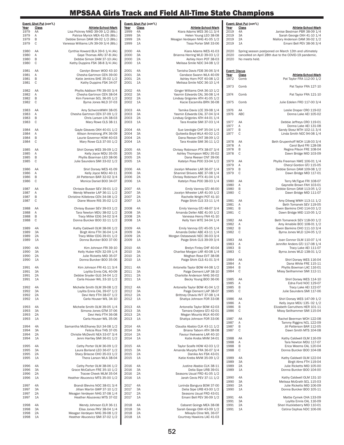| Year<br>1979<br>1979<br>1979         | Event: Shot Put (con't.)<br><b>Class</b><br>AA<br>Α<br>B | <b>Athlete-School-Mark</b><br>Lisa Pickney NWD 39-09 1/2 (8lb.)<br>Patrice Myrick MEA 41-05 (8lb.)<br>Debbie Simon DAM 39-02 1/2 (8lb.)                                  | Year<br>1999<br>1999<br>1999         | Event: Shot Put (con't.)<br>Class<br>4A<br>3A<br>2A | <b>Athlete-School-Mark</b><br>Kiara Adams WES 36-11 3/4<br>Helen Young LEO 38-08<br>Meagan Verdeyen NHG 41-05 1/2                        | Year<br>2019<br>2019<br>2019         | <u>Event: Shot Put</u> (con't.)<br><b>Class</b><br>4A<br>Janise Bestman PBR 38-09 1/4<br>3A<br>Sarah George OXH 41-10 1/4<br>2A<br>Mallory Anderson DAM 36-02 1/2 | Athlete-School-Mark                                 |
|--------------------------------------|----------------------------------------------------------|--------------------------------------------------------------------------------------------------------------------------------------------------------------------------|--------------------------------------|-----------------------------------------------------|------------------------------------------------------------------------------------------------------------------------------------------|--------------------------------------|-------------------------------------------------------------------------------------------------------------------------------------------------------------------|-----------------------------------------------------|
| 1979<br>1980<br>1980<br>1980<br>1980 | C<br>AA<br>Α<br>B<br>C                                   | Vanessa Williams LIN 39-09 3/4 (8lb.)<br>Cynthia Howard BLA 39-6 1/4 (4k)<br>Gaye Thomas ARU 37-8 (4k)<br>Debbie Simon DAM 37-10 (4k)<br>Kathy Duppins FSK 38-8 3/4 (4k) | 1999<br>2000<br>2000<br>2000<br>2000 | 1A<br>4A<br>3A<br>2A<br>1A                          | Tissa Porter SMI 33-06<br>Kiara Adams WES 41-03<br>Brianna Herring WLD 39-03 1/2<br>Ashley Horn POT 38-03<br>Melissa Smile NDC 34-08 1/2 | 2019<br>2020<br>2020<br>2020         | 1A<br>Spring season postponed on March 13th and ultimately<br>cancelled on April 28th due to the COVID-19 pandemic.<br>No meets held.                             | Emani Bell PEV 38-06 3/4                            |
| 1981<br>1981<br>1981<br>1981         | AA<br>Α<br>B<br>С                                        | Carolyn Brown WOO 43-10<br>Chesha Gartmon CEN 39-00<br>Katie Jenkins SHE 35-02 1/2<br>Kathy Duppins FSK 34-07                                                            | 2001<br>2001<br>2001<br>2001         | 4A<br>3A<br>2A<br>1A                                | Tanisha Davis FDB 36-06 3/4<br>Candace Swann WLA 40-09<br>Ashley Horn POT 40-08 1/2<br>Melissa Smile NDC 36-10 1/4                       | <b>Event: Discus</b><br>Year<br>1972 | <b>Class</b><br>Comb                                                                                                                                              | Athlete-School-Mark<br>Pat Taylor FRA 112-00 1/2    |
| 1982                                 | AA                                                       | Phyllis Addison FRI 39-00 3/4                                                                                                                                            | 2002                                 | 4A                                                  | Ginger Williams CHA 36-10 1/2                                                                                                            | 1973                                 | Comb                                                                                                                                                              | Pat Taylor FRA 127-10                               |
| 1982<br>1982                         | Α<br>B                                                   | Chesha Gartmon CEN 38-04<br>Kim Foreman SCL 36-05 1/2                                                                                                                    | 2002<br>2002                         | 3A<br>2A                                            | Yasmin Edwards CAL 36-08 1/4<br>Lindsay Grigoriev ATH 41-05 1/2                                                                          | 1974                                 | Comb                                                                                                                                                              | Pat Taylor FRA 121-10                               |
| 1982                                 | C                                                        | Byrna Jones WLD 37-03                                                                                                                                                    | 2002                                 | 1A                                                  | Kacie Escamilla BRN 36-08                                                                                                                | 1975                                 | Julie Edelen FRD 117-00 3/4<br>Comb                                                                                                                               |                                                     |
| 1983<br>1983<br>1983<br>1983         | AA<br>Α<br>B<br>C                                        | Amy SchwinnWWH 38-05<br>Chesha Gartmon CEN 37-09 1/2<br>Chris Larsen LIN 38-03<br>Mary Rowe CLS 38-11                                                                    | 2003<br>2003<br>2003<br>2003         | 4A<br>3A<br>2A<br>1A                                | Tamika Davis LCE 39-08 1/4<br>Yasmin Edwards CAL 37-04 3/4<br>Lindsay Grigoriev ATH 44-01 1/4<br>Tara Knable SMI 37-03 1/4               | 1976<br>1976<br>1977                 | AA<br>ABC<br>AA<br>Debbie Jeffreys CRO 119-01                                                                                                                     | Leslie Draper CRO 119-02<br>Donna Lake AEI 105-02   |
| 1984                                 | AA                                                       | Gayle Gleaves OXH 40-01 1/2                                                                                                                                              | 2004                                 | 4A                                                  | Sue Izevbigie CHF 35-04 1/4                                                                                                              | 1977<br>1977                         | Α<br>B<br>Sandy Stosz MTH 102-11 3/4                                                                                                                              | Donna Lake AEI 131-08                               |
| 1984<br>1984                         | Α<br>B                                                   | Allison Armstrong JFK 36-09<br>Laurie Governor HOW 40-03                                                                                                                 | 2004<br>2004                         | 3A<br>2A                                            | Quiteelia Boyd WLA 40-02 1/2<br>Dana Reeser CNT 38-09 1/2                                                                                | 1977                                 | C<br>Linda Smith NEC 94-08 1/4                                                                                                                                    |                                                     |
| 1984                                 | C                                                        | Mary Rowe CLS 37-00 1/2                                                                                                                                                  | 2004                                 | 1A                                                  | Tara Knable SMI 36-11 1/2                                                                                                                | 1978                                 | AA<br>Beth Grupenhoff WCH 118-03 3/4                                                                                                                              |                                                     |
| 1985                                 | AA                                                       | Shirl Dorsey WES 39-09 1/2                                                                                                                                               | 2005                                 | 4A                                                  | Chrissy Robinson PTX 38-07 3/4                                                                                                           | 1978<br>1978                         | Α<br>B                                                                                                                                                            | Carol Byrd FRI 128-08<br>Regina Pilson FRE 108-04   |
| 1985<br>1985                         | Α<br>B                                                   | Kelly Joyce MDU 35-05<br>Phyllis Boarman LEO 38-06                                                                                                                       | 2005<br>2005                         | 3A<br>2A                                            | Ashley Thompson MDU 35-02<br>Dana Reeser CNT 39-06                                                                                       | 1978                                 | C                                                                                                                                                                 | Dawn Bridge MID 103-09                              |
| 1985                                 | C                                                        | Julie Saunders SMI 33-02 1/2                                                                                                                                             | 2005                                 | 1A                                                  | Katelyn Poss POO 33-04 1/2                                                                                                               | 1979<br>1979                         | Phyllis Freeman NWE 106-01 1/4<br>AA<br>Α                                                                                                                         | Cheryl Gordon GTJ 115-05                            |
| 1986<br>1986                         | AA<br>Α                                                  | Shirl Dorsey WES 41-09<br>Kelly Joyce MDU 40-11                                                                                                                          | 2006<br>2006                         | 4A<br>3A                                            | Jocelyn Wheeler LAR 36-07 1/4<br>Shannel Shivers ABE 37-08 1/4                                                                           | 1979<br>1979                         | B<br>Debbie Simon DAM 109-08 1/2<br>C                                                                                                                             | Dawn Bridge MID 117-01                              |
| 1986<br>1986                         | B<br>C                                                   | Jill Patterson BAR 32-02 3/4<br>Monica Daniel BOO 34-07                                                                                                                  | 2006<br>2006                         | 2A<br>1A                                            | Chrissy Robinson PTX 41-04 1/4<br>Katelyn Poss POO 38-03 1/4                                                                             | 1980                                 | AA                                                                                                                                                                | Terry McTigue FRI 108-07                            |
|                                      |                                                          |                                                                                                                                                                          |                                      |                                                     |                                                                                                                                          | 1980                                 | Gaynelle Brown FAH 103-01<br>Α                                                                                                                                    |                                                     |
| 1987<br>1987                         | AA<br>Α                                                  | Chrissie Busser SEV 39-01 1/2<br>Wendy Wheeler LAP 36-11 1/2                                                                                                             | 2007<br>2007                         | 4A<br>3A                                            | Emily Vannoy GTJ 46-00<br>Jocelyn Wheeler LAR 41-00 1/2                                                                                  | 1980<br>1980                         | B<br>Debbie Simon DAM 113-05 1/2<br>C                                                                                                                             | Dawn Bridge MID 111-07                              |
| 1987<br>1987                         | B<br>C                                                   | Christine Killebrew CEN 34-08 1/2<br>Diane Moore RIS 35-02 1/2                                                                                                           | 2007<br>2007                         | 2A<br>1A                                            | Rachelle Wright POT 41-10<br>Paige Shirk CLS 33-11 1/4                                                                                   | 1981                                 | AA<br>Amy Dilweg WWH 113-11 1/2                                                                                                                                   |                                                     |
| 1988                                 | AA                                                       | Chrissy Busser SEV 39-03 1/2                                                                                                                                             | 2008                                 | 4A                                                  | Emily Vannoy GTJ 48-07 3/4                                                                                                               | 1981<br>1981                         | Α<br>Beth Tomanek SEV 119-05<br>B<br>Gwen Bankins CHO 114-03 1/2                                                                                                  |                                                     |
| 1988<br>1988                         | Α<br>B                                                   | Tara Newton MDU 38-02 1/2<br>Tracy Miller EDG 34-02 3/4                                                                                                                  | 2008<br>2008                         | 3A<br>2A                                            | Amanda Deller ABE 41-00 1/2<br>Vanessa Henry FAH 41-10                                                                                   | 1981                                 | C<br>Dawn Bridge MID 110-05 1/2                                                                                                                                   |                                                     |
| 1988                                 | C                                                        | Donna Burcker B00 32-11 1/2                                                                                                                                              | 2008                                 | 1A                                                  | Kelly Yarn WTE 34-04 1/4                                                                                                                 | 1982<br>1982                         | AA<br>Beth Tomaneck SEV 118-00 1/2<br>Α<br>Amy Amabile BCC 108-01 1/2                                                                                             |                                                     |
| 1989<br>1989                         | 4A<br>3A                                                 | Kathy Caldwell OLM 38-06 1/2<br>Birgit Alms FTH 36-04 1/4                                                                                                                | 2009<br>2009                         | 4A<br>3A                                            | Emily Vannoy GTJ 45-05 1/4<br>Amanda Deller ABE 43-11 1/4                                                                                | 1982<br>1982                         | B<br>Gwen Bankins CHO 111-10 3/4<br>C<br>Byrna Jones WLD 124-05 1/2                                                                                               |                                                     |
| 1989<br>1989                         | 2A<br>1A                                                 | Tracy Miller EDG 39-01 1/2<br>Donna Burcker BOO 37-00                                                                                                                    | 2009<br>2009                         | 2A<br>1A                                            | Morgan Ostasewski NEC 36-03 3/4<br>Paige Shirk CLS 39-09 3/4                                                                             | 1983                                 | AA<br>Joan Connor OLM 110-07 1/4                                                                                                                                  |                                                     |
| 1990                                 | 4A                                                       | Kim Johnson FRI 39-10                                                                                                                                                    | 2010                                 | 4A                                                  | Brelyn Finley CHF 40-04                                                                                                                  | 1983<br>1983                         | Α<br>Jennifer Anders GTJ 117-08 1/4<br>B                                                                                                                          | Tracy Lake AEI 111-07                               |
| 1990                                 | ЗA                                                       | Kelly Huber KEN 32-09 1/4<br>Julie Ricketts MID 35-07                                                                                                                    | 2010                                 | 3A<br>2A                                            | Charlise Morgan LAR 40-08 1/4                                                                                                            | 1983                                 | C<br>Byrna Jones WLD 138-01 1/2                                                                                                                                   |                                                     |
| 1990<br>1990                         | 2A<br>1A                                                 | Donna Burcker B00 35-06                                                                                                                                                  | 2010<br>2010                         | 1A                                                  | Meghan Rose EVT 38-08<br>Paige Shirk CLS 41-01 3/4                                                                                       | 1984                                 | AA                                                                                                                                                                | Shirl Dorsey WES 116-04                             |
| 1991                                 | 4A                                                       | Kim Johnson FRI 41-11 3/4                                                                                                                                                | 2011                                 | 4A                                                  | Antonella Taylor BOW 44-08 1/2                                                                                                           | 1984<br>1984                         | Α<br>Phyllis Bowman LAC 116-01<br>B                                                                                                                               | Dana White FRE 115-11                               |
| 1991<br>1991                         | 3A<br>2A                                                 | Loylita Ennis CAL 40-09<br>Debbie Snyder GLG 34-04 1/2                                                                                                                   | 2011<br>2011                         | 3A<br>2A                                            | Paige Dement LAP 38-10<br>Charlotte Anderson NHG 36-02                                                                                   | 1984                                 | C<br>Missy Seilhammer SMI 112-11                                                                                                                                  |                                                     |
| 1991                                 | 1A                                                       | Carla Houser WIL 33-10 1/2                                                                                                                                               | 2011                                 | 1A                                                  | Becky Young BOO 36-06                                                                                                                    | 1985<br>1985                         | AA<br>Α                                                                                                                                                           | Shirl Dorsey WES 114-10<br>Edna Ford NOC 129-07     |
| 1992<br>1992                         | 4A<br>3A                                                 | Michelle Smith OLM 39-08 1/2<br>Loylita Ennis CAL 39-07 1/2                                                                                                              | 2012<br>2012                         | 4A<br>3A                                            | Antonella Taylor BOW 41-04 1/2<br>Paige Dement LAP 38-07                                                                                 | 1985<br>1985                         | B<br>C<br>Julie Saunders SMI 117-06                                                                                                                               | Tracy Lake AEI 122-07                               |
| 1992<br>1992                         | 2A<br>1A                                                 | Devi Hetz FTH 38-07 1/2<br>Carla Houser WIL 34-10                                                                                                                        | 2012<br>2012                         | 2A<br>1A                                            | Brittney Chavis HVT 37-08 1/4<br>Shatiya Johnson FOR 33-08                                                                               | 1986                                 | Shirl Dorsey WES 147-09 1/2<br>AA                                                                                                                                 |                                                     |
| 1993                                 | 4A                                                       | Michelle Smith OLM 39-05 1/4                                                                                                                                             | 2013                                 | 4A                                                  | Antonella Taylor BOW 42-03                                                                                                               | 1986<br>1986                         | Kelly Joyce MDU 135-02 1/2<br>Α<br>B<br>Elizabeth Carruthers HER 101-11                                                                                           |                                                     |
| 1993<br>1993                         | 3A<br>2A                                                 | Simona Jones GTM 37-06<br>Devi Hetz FTH 36-08                                                                                                                            | 2013<br>2013                         | 3A<br>2A                                            | Tamara Oveiera GTJ 42-01<br>Megan Mounts WLK 40-00                                                                                       | 1986                                 | C<br>Missy Seilhammer SMI 115-04                                                                                                                                  |                                                     |
| 1993                                 | 1A                                                       | Carla Houser WIL 35-06                                                                                                                                                   | 2013                                 | 1A                                                  | Shatiya Johnson FOR 33-06                                                                                                                | 1987<br>1987                         | Rachel Beerman WCH 122-08<br>AA<br>Α<br>Tammy Riggins NCL 122-09                                                                                                  |                                                     |
| 1994                                 | 4A                                                       | Samantha McElhaney SUI 34-08 1/2                                                                                                                                         | 2014                                 | 4A                                                  | Claudia Ababio CLK 43-11 1/2                                                                                                             | 1987                                 | B                                                                                                                                                                 | Jill Patterson BAR 112-05                           |
| 1994<br>1994                         | 3A<br>2A                                                 | Felicia Rice THS 37-05<br>Christie McDevitt NEA 33-07 3/4                                                                                                                | 2014<br>2014                         | 3A<br>2A                                            | Briana Taborn ATH 38-08<br>Favour Ihekwene LAR 40-10                                                                                     | 1987                                 | C                                                                                                                                                                 | Dawn Smith MTS 104-08                               |
| 1994                                 | 1A                                                       | Jenni Hartley SMI 36-01 1/2                                                                                                                                              | 2014                                 | 1A                                                  | Katie Krebs MVM 34-01                                                                                                                    | 1988<br>1988                         | AA<br>Kathy Caldwell OLM 116-09<br>Α                                                                                                                              | Tara Newton MDU 117-07                              |
| 1995<br>1995                         | 4A<br>3A                                                 | Cathy Porter OLM 36-09 1/2<br>Laura Borland LEO 36-07 1/2                                                                                                                | 2015<br>2015                         | 4A<br>3A                                            | Taylor Scaife HOW 42-03 1/2<br>Amanda Murphy FRA 36-07 3/4                                                                               | 1988<br>1988                         | B<br>C<br>Donna Burcker BOO 104-08                                                                                                                                | Erica Weems CAL 120-04                              |
| 1995<br>1995                         | 2A<br>1A                                                 | Stacy Briscoe CHO 35-03 1/2<br>Thera Larson WLA 38-04                                                                                                                    | 2015<br>2015                         | 2A<br>1A                                            | Danika Ani FSK 43-01<br>Katie Krebs MVM 35-09 1/2                                                                                        | 1989                                 | 4A<br>Kathy Caldwell OLM 122-04                                                                                                                                   |                                                     |
| 1996                                 | 4A                                                       | Cathy Porter OLM 38-06 1/2                                                                                                                                               | 2016                                 | 4A                                                  | Justine Ababio CLK 38-11                                                                                                                 | 1989<br>1989                         | 3A<br>2A                                                                                                                                                          | Birgit Alms FTH 119-04<br>Julie Ricketts MID 105-00 |
| 1996<br>1996                         | 3A<br>2A                                                 | Grace McCallum FRE 35-10 1/2<br>Tracee Cheek MLM 35-04                                                                                                                   | 2016<br>2016                         | 3A<br>2A                                            | Delia Sipe URB 39-01<br>Seasons Usual FRD 41-05 1/2                                                                                      | 1989                                 | 1A<br>Donna Burcker BOO 104-00                                                                                                                                    |                                                     |
| 1996                                 | 1A                                                       | Heather Abucevicz MTS 35-00 1/2                                                                                                                                          | 2016                                 | 1A                                                  | Jarah Cevis PEV 37-11 1/2                                                                                                                | 1990<br>1990                         | 4A<br>Kathy Caldwell OLM 131-10<br>3A<br>Melissa McGrath SCL 115-03                                                                                               |                                                     |
| 1997                                 | 4A                                                       | Brandi Blevins NOC 38-01 3/4                                                                                                                                             | 2017                                 | 4A                                                  | Lorinda Bangura BOW 37-00                                                                                                                | 1990                                 | 2A<br>Donna Burcker BOO 105-11                                                                                                                                    | Julie Ricketts MID 106-09                           |
| 1997<br>1997                         | 3A<br>2A                                                 | Jillian Martin GWP 37-10 1/2<br>Meagan Verdeyen NHG 37-08 1/4                                                                                                            | 2017<br>2017                         | 3A<br>2A                                            | Delia Sipe URB 43-00 1/2<br>Seasons Usual FRD 43-01                                                                                      | 1990                                 | 1A                                                                                                                                                                |                                                     |
| 1997                                 | 1A                                                       | Heather Abuceviez MTS 37-02                                                                                                                                              | 2017                                 | 1A                                                  | Emani Bell PEV 36-09 1/2                                                                                                                 | 1991<br>1991                         | 4A<br>3A                                                                                                                                                          | Mattie Cymek CHA 133-09<br>Loylita Ennis CAL 116-09 |
| 1998<br>1998                         | 4A<br>3A                                                 | Wendy Johnson ELR 36-11<br>Elisa Jones PKV 38-04 1/4                                                                                                                     | 2018<br>2018                         | 4A<br>3A                                            | Cabaret Goings MEA 38-08<br>Sarah George OXH 43-09 1/2                                                                                   | 1991<br>1991                         | 2A<br>Sheri Huckleberry MID 110-01<br>1A<br>Catina Cephas NDC 106-06                                                                                              |                                                     |
| 1998<br>1998                         | 2A<br>1A                                                 | Meagan Verdeyen NHG 39-08 1/2<br>Heather Abucevicz SMI 37-02 1/2                                                                                                         | 2018<br>2018                         | 2A<br>1A                                            | Mikayla Cline WIL 36-07<br>Courtney Hawkins LAC 41-03                                                                                    |                                      |                                                                                                                                                                   |                                                     |
|                                      |                                                          |                                                                                                                                                                          |                                      |                                                     |                                                                                                                                          |                                      |                                                                                                                                                                   |                                                     |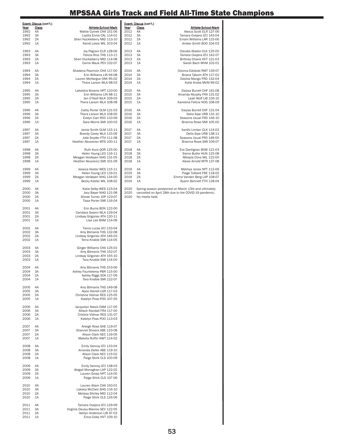|                      | Event: Discus (con't.) |                                                                                    |              | Event: Discus (con't.) |                                                                                                               |
|----------------------|------------------------|------------------------------------------------------------------------------------|--------------|------------------------|---------------------------------------------------------------------------------------------------------------|
| Year<br>1992         | <b>Class</b><br>4A     | Athlete-School-Mark<br>Mattie Cymek CHA 151-06                                     | Year<br>2012 | Class<br>4A            | Athlete-School-Mark<br>Alexus Scott ELR 127-06                                                                |
| 1992                 | 3A                     | Loylita Ennis CAL 114-01                                                           | 2012         | 3A                     | Tamara Ovejera GTJ 143-04                                                                                     |
| 1992<br>1992         | 2A<br>1A               | Sheri Huckleberry MID 113-10<br>Kandi Lewis WIL 103-04                             | 2012<br>2012 | 2A<br>1A               | Emani Williams LAR 115-06<br>Amber Smith BOO 104-03                                                           |
| 1993                 | 4A                     | Joy Pegram ELR 128-06                                                              | 2013         | 4A                     | Claudia Ababio CLK 125-05                                                                                     |
| 1993                 | 3A                     | Felicia Rice THS 113-11                                                            | 2013         | 3A                     | Tamara Ovejera GTJ 142-07                                                                                     |
| 1993<br>1993         | 2A<br>1A               | Sheri Huckleberry MID 114-08<br>Carrie Mauk PEV 102-07                             | 2013<br>2013 | 2A<br>1A               | Brittney Chavis HVT 121-03<br>Sarah Bach MVM 102-01                                                           |
| 1994                 | 4A                     | Shadena Pearmon CHA 117-00                                                         | 2014         | 4A                     | Ozioma Edokobi RMT 139-07                                                                                     |
| 1994                 | 3A                     | Erin Williams LIN 94-08                                                            | 2014         | 3A                     | Briana Taborn ATH 117-02                                                                                      |
| 1994<br>1994         | 2A<br>1A               | Lauren McHargue OAK 95-02<br>Thera Larson WLA 98-03                                | 2014<br>2014 | 2A<br>1A               | Deshia Mango FRD 132-04<br>Katie Krebs MVM 99-02                                                              |
| 1995                 | 4A                     | Lakeisha Browne HPT 110-00                                                         | 2015         | 4A                     | Daiysa Burrell CHF 141-08                                                                                     |
| 1995                 | 3A                     | Erin Williams LIN 98-11                                                            | 2015         | 3A                     | Amanda Murphy FRA 131-02                                                                                      |
| 1995<br>1995         | 2A<br>1A               | Jen O'Neill WLK 109-03<br>Thera Larson WLA 108-08                                  | 2015<br>2015 | 2A<br>1A               | Leah Wolf LIB 126-10<br>Kaneena Felicia NOG 108-09                                                            |
| 1996                 | 4A                     | Cathy Porter OLM 121-03                                                            | 2016         | 4A                     | Daiysa Burrell CHF 131-04                                                                                     |
| 1996                 | 3A                     | Thera Larson WLA 108-00                                                            | 2016         | 3A                     | Delia Sipe URB 131-10                                                                                         |
| 1996<br>1996         | 2A<br>1A               | Evelyn Carr ROC 110-09<br>Sara Morris SMI 100-03                                   | 2016<br>2016 | 2A<br>1A               | Seasons Usual FRD 146-10<br>Brianna Rowe SMI 105-00                                                           |
| 1997                 | 4A                     | Jamie Smith OLM 115-11                                                             | 2017         | 4A                     | Xanthi Limber CLK 114-02                                                                                      |
| 1997                 | 3A                     | Brandy Cavey WLA 115-09                                                            | 2017         | 3A                     | Delia Sipe URB 138-11                                                                                         |
| 1997<br>1997         | 2A<br>1A               | Jolie Snyder FTH 111-08<br>Heather Abuceviez MTS 100-11                            | 2017<br>2017 | 2A<br>1A               | Seasons Usual FRD 149-05<br>Brianna Rowe SMI 109-07                                                           |
| 1998                 | 4A                     | Ruth Kura QOR 125-00                                                               | 2018         | 4A                     | Eve Dantignac BOW 121-03                                                                                      |
| 1998                 | 3A                     | Helen Young LEO 116-11                                                             | 2018         | 3A                     | Sierra Butler HUN 125-08                                                                                      |
| 1998                 | 2A                     | Meagan Verdeyen NHG 131-05                                                         | 2018         | 2A                     | Mikayla Cline WIL 122-00                                                                                      |
| 1998                 | 1A                     | Heather Abucevicz SMI 101-09                                                       | 2018         | 1A                     | Alexie Arnold MTR 137-08                                                                                      |
| 1999<br>1999         | 4A<br>3A               | Jessica Hester WES 115-11<br>Helen Young LEO 116-01                                | 2019<br>2019 | 4A<br>3A               | Mekhya Jones NPT 112-06<br>Paige Tolbard FRE 118-02                                                           |
| 1999<br>1999         | 2A<br>1A               | Meagan Verdeyen NHG 134-00<br>Becky Kistler WIL 108-02                             | 2019<br>2019 | 2A<br>1A               | Emma Vanden Berg LAP 108-07<br>Ryann Bennett FTH 128-04                                                       |
|                      | 4A                     |                                                                                    | 2020         |                        |                                                                                                               |
| 2000<br>2000         | 3A                     | Katie Selby WES 123-04<br>Jacy Bayer NHG 121-08                                    | 2020         |                        | Spring season postponed on March 13th and ultimately<br>cancelled on April 28th due to the COVID-19 pandemic. |
| 2000                 | 2A                     | Shiree Turner JOP 123-07                                                           | 2020         | No meets held.         |                                                                                                               |
| 2000                 | 1A                     | Tissa Porter SMI 116-04                                                            |              |                        |                                                                                                               |
| 2001                 | 4A                     | Erin Burns BDN 122-00                                                              |              |                        |                                                                                                               |
| 2001<br>2001         | 3A<br>2A               | Candace Swann WLA 129-04<br>Lindsay Grigoriev ATH 120-11                           |              |                        |                                                                                                               |
| 2001                 | 1A                     | Lisa Lee BHM 114-09                                                                |              |                        |                                                                                                               |
| 2002                 | 4A                     | Tierra Lucas GTJ 133-04                                                            |              |                        |                                                                                                               |
| 2002<br>2002<br>2002 | 3A<br>2A<br>1A         | Amy Bilmanis THS 132-08<br>Lindsay Grigoriev ATH 146-03<br>Terra Knable SMI 114-05 |              |                        |                                                                                                               |
|                      |                        |                                                                                    |              |                        |                                                                                                               |
| 2003                 | 4A                     | Ginger Williams CHA 125-01                                                         |              |                        |                                                                                                               |
| 2003                 | 3A                     | Amy Bilmanis THS 152-07                                                            |              |                        |                                                                                                               |
| 2003<br>2003         | 2A<br>1A               | Lindsay Grigoriev ATH 155-10<br>Tara Knable SMI 114-00                             |              |                        |                                                                                                               |
|                      |                        |                                                                                    |              |                        |                                                                                                               |
| 2004                 | 4A                     | Amy Bilmanis THS 153-06                                                            |              |                        |                                                                                                               |
| 2004                 | 3A                     | Ashley Faunteleroy PBR 115-00                                                      |              |                        |                                                                                                               |
| 2004<br>2004         | 2A<br>1A               | Ashley Riggs SOA 117-09<br>Tara Knable SMI 122-07                                  |              |                        |                                                                                                               |
| 2005                 | 4A                     | Amy Bilmanis THS 149-08                                                            |              |                        |                                                                                                               |
| 2005                 | 3A                     | Alyce Harrell LGR 117-03                                                           |              |                        |                                                                                                               |
| 2005                 | 2A                     | Christine Vidmar RES 125-05                                                        |              |                        |                                                                                                               |
| 2005                 | 1A                     | Katelyn Poss POO 107-05                                                            |              |                        |                                                                                                               |
| 2006                 | 4A                     | Jacquelyn Adock DAM 117-05                                                         |              |                        |                                                                                                               |
| 2006                 | 3A                     | Allison Randall FRA 117-00                                                         |              |                        |                                                                                                               |
| 2006<br>2006         | 2A<br>1A               | Cristine Vidmar RES 131-07<br>Katelyn Poss POO 113-03                              |              |                        |                                                                                                               |
|                      |                        |                                                                                    |              |                        |                                                                                                               |
| 2007                 | 4A                     | Arleigh Rose SHE 119-07                                                            |              |                        |                                                                                                               |
| 2007                 | 3A                     | Shannel Shivers ABE 123-08                                                         |              |                        |                                                                                                               |
| 2007<br>2007         | 2A<br>1A               | Alison Clark NEC 119-05<br>Maketa Ruffin NWT 114-02                                |              |                        |                                                                                                               |
| 2008                 | 4A                     | Emily Vannoy GTJ 133-04                                                            |              |                        |                                                                                                               |
| 2008                 | 3A                     | Amanda Deller ABE 119-10                                                           |              |                        |                                                                                                               |
| 2008                 | 2A                     | Alison Clark NEC 115-02                                                            |              |                        |                                                                                                               |
| 2008                 | 1A                     | Paige Shirk CLS 100-09                                                             |              |                        |                                                                                                               |
| 2009                 | 4A                     | Emily Vannoy GTJ 138-03                                                            |              |                        |                                                                                                               |
| 2009                 | 3A                     | Abigail Monaghan LAP 122-02                                                        |              |                        |                                                                                                               |
| 2009                 | 2A                     | Lauren Gross NPT 114-05                                                            |              |                        |                                                                                                               |
| 2009                 | 1A                     | Paige Shirk CLS 107-06                                                             |              |                        |                                                                                                               |
| 2010                 | 4A                     | Lauren Allam CHA 150-01                                                            |              |                        |                                                                                                               |
| 2010                 | 3A                     | Lakesa McClain SHG 116-10                                                          |              |                        |                                                                                                               |
| 2010                 | 2A                     | Melissa Shirley MID 112-04                                                         |              |                        |                                                                                                               |
| 2010                 | 1A                     | Paige Shirk CLS 126-06                                                             |              |                        |                                                                                                               |
| 2011                 | 4A                     | Tamara Ovejera GTJ 129-09                                                          |              |                        |                                                                                                               |
| 2011                 | 3A<br>2A               | Virginia Owusu-Mainoo SEV 122-05                                                   |              |                        |                                                                                                               |
| 2011<br>2011         | 1A                     | Ashlyn Anderson LIB 97-03<br>Erica Coley HVT 109-10                                |              |                        |                                                                                                               |
|                      |                        |                                                                                    |              |                        |                                                                                                               |
|                      |                        |                                                                                    |              |                        |                                                                                                               |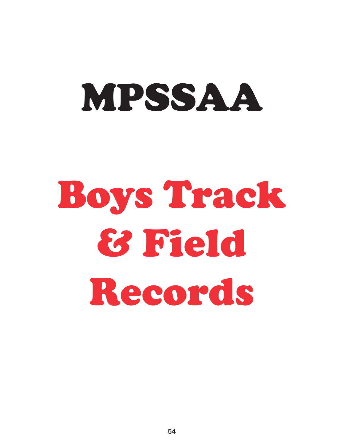# MPSSAA

# Boys Track & Field Records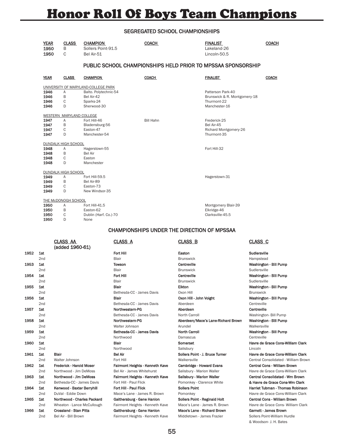## Honor Roll Of Boys Team Champions

#### SEGREGATED SCHOOL CHAMPIONSHIPS

|      | <b>YEAR</b><br>1950<br>1950 | <b>CLASS</b><br>B<br>C     | <b>CHAMPION</b><br>Sollers Point-91.5<br>Bel Air-51 | <b>COACH</b>                    | <u>FINALIST</u><br>Lakeland-26<br>Lincoln-50.5               | <b>COACH</b>                         |
|------|-----------------------------|----------------------------|-----------------------------------------------------|---------------------------------|--------------------------------------------------------------|--------------------------------------|
|      |                             |                            |                                                     |                                 | PUBLIC SCHOOL CHAMPIONSHIPS HELD PRIOR TO MPSSAA SPONSORSHIP |                                      |
|      | <b>YEAR</b>                 | <b>CLASS</b>               | <b>CHAMPION</b>                                     | <b>COACH</b>                    | <b>FINALIST</b>                                              | <b>COACH</b>                         |
|      |                             |                            | UNIVERSITY OF MARYLAND-COLLEGE PARK                 |                                 |                                                              |                                      |
|      | 1946                        | Α                          | Balto. Polytechnic-54                               |                                 | Patterson Park-40                                            |                                      |
|      | 1946                        | B                          | Bel Air-42                                          |                                 | Brunswick & R. Montgomery-18                                 |                                      |
|      | 1946<br>1946                | C<br>D                     | Sparks-24<br>Sherwood-30                            |                                 | Thurmont-22<br>Manchester-16                                 |                                      |
|      |                             |                            |                                                     |                                 |                                                              |                                      |
|      |                             | WESTERN MARYLAND COLLEGE   |                                                     | <b>Bill Hahn</b>                |                                                              |                                      |
|      | 1947<br>1947                | Α<br>B                     | Fort Hill-46                                        |                                 | Frederick-25<br>Bel Air-45                                   |                                      |
|      | 1947                        | C                          | Bladensburg-56<br>Easton-47                         |                                 | Richard Montgomery-26                                        |                                      |
|      | 1947                        | D                          | Manchester-54                                       |                                 | Thurmont-35                                                  |                                      |
|      |                             | <b>DUNDALK HIGH SCHOOL</b> |                                                     |                                 |                                                              |                                      |
|      | 1948                        | Α                          | Hagerstown-55                                       |                                 | Fort Hill-32                                                 |                                      |
|      | 1948                        | B                          | <b>Bel Air</b>                                      |                                 |                                                              |                                      |
|      | 1948                        | C                          | Easton                                              |                                 |                                                              |                                      |
|      | 1948                        | D                          | Manchester                                          |                                 |                                                              |                                      |
|      |                             | <b>DUNDALK HIGH SCHOOL</b> |                                                     |                                 |                                                              |                                      |
|      | 1949                        | Α                          | Fort Hill-59.5                                      |                                 | Hagerstown-31                                                |                                      |
|      | 1949                        | B                          | Bel Air-89                                          |                                 |                                                              |                                      |
|      | 1949                        | C                          | Easton-73                                           |                                 |                                                              |                                      |
|      | 1949                        | D                          | New Windsor-35                                      |                                 |                                                              |                                      |
|      |                             | THE McDONOGH SCHOOL        |                                                     |                                 |                                                              |                                      |
|      | 1950                        | Α                          | Fort Hill-41.5                                      |                                 | Montgomery Blair-39                                          |                                      |
|      | 1950                        | B                          | Easton-62                                           |                                 | Elkridge-46                                                  |                                      |
|      | 1950                        | С                          | Dublin (Harf. Co.)-70                               |                                 | Clarksville-45.5                                             |                                      |
|      | 1950                        | D                          | None                                                |                                 |                                                              |                                      |
|      |                             |                            |                                                     |                                 | <b>CHAMPIONSHIPS UNDER THE DIRECTION OF MPSSAA</b>           |                                      |
|      |                             | <b>CLASS AA</b>            |                                                     | <b>CLASS A</b>                  | <b>CLASS B</b>                                               | <b>CLASS C</b>                       |
|      |                             | (added 1960-61)            |                                                     |                                 |                                                              |                                      |
| 1952 | 1st                         |                            |                                                     | Fort Hill                       | Easton                                                       | Sudlersville                         |
|      | 2nd                         |                            |                                                     | Blair                           | <b>Brunswick</b>                                             | Hampstead                            |
| 1953 | 1st                         |                            |                                                     | <b>Towson</b>                   | Centreville                                                  | Washington - Bill Pump               |
|      | 2nd                         |                            |                                                     | Blair                           | <b>Brunswick</b>                                             | Sudlersville                         |
| 1954 | 1st                         |                            |                                                     | Fort Hill                       | Centreville                                                  | Washington - Bill Pump               |
|      | 2 <sub>nd</sub>             |                            |                                                     | Blair                           | <b>Brunswick</b>                                             | Sudlersville                         |
| 1955 | 1st                         |                            |                                                     | <b>Blair</b>                    | Elkton                                                       | Washington - Bill Pump               |
|      | 2nd                         |                            |                                                     | Bethesda-CC - James Davis       | Oxon Hill                                                    | <b>Brunswick</b>                     |
| 1956 | 1st                         |                            |                                                     | Blair                           | Oxon Hill - John Voight                                      | Washington - Bill Pump               |
|      |                             |                            |                                                     |                                 | Aberdeen                                                     | Centreville                          |
|      | 2nd                         |                            |                                                     | Bethesda-CC - James Davis       |                                                              |                                      |
| 1957 | 1st                         |                            |                                                     | Northwestern-PG                 | Aberdeen                                                     | Centreville                          |
|      | 2nd                         |                            |                                                     | Bethesda-CC - James Davis       | North Carroll                                                | Washington- Bill Pump                |
| 1958 | 1st                         |                            |                                                     | Northwestern-PG                 | Aberdeen/Mace's Lane-Richard Brown                           | Washington - Bill Pump               |
|      | 2nd                         |                            |                                                     | Walter Johnson                  | Arundel                                                      | Walkersville                         |
| 1959 | 1st                         |                            |                                                     | Bethesda-CC - James Davis       | <b>North Carroll</b>                                         | Washington - Bill Pump               |
|      | 2nd                         |                            |                                                     | Northwood                       | Damascus                                                     | Centreville                          |
| 1960 | 1st                         |                            |                                                     | Blair                           | Somerset                                                     | Havre de Grace Cons-William Clark    |
|      | 2nd                         |                            |                                                     | Northwood                       | Salisbury                                                    | Lincoln                              |
| 1961 | 1st                         | Blair                      |                                                     | <b>Bel Air</b>                  | Sollers Point - J. Bruce Turner                              | Havre de Grace Cons-William Clark    |
|      | 2nd                         | Walter Johnson             |                                                     | Fort Hill                       | Walkersville                                                 | Central Consolidated - William Brown |
| 1962 | 1st                         | Frederick - Harold Moser   |                                                     | Fairmont Heights - Kenneth Kave | <b>Cambridge - Howard Evans</b>                              | Central Cons - William Brown         |

2nd Northwood - Jim DeMoss Bel Air - James Whitehurst Salisbury - Marion Waller Havre de Grace Cons-William Clark 1963 1st Northwood - Jim DeMoss Fairmont Heights - Kenneth Kave Salisbury - Marion Waller Central Consolidated - Wm Brown 2nd Bethesda-CC - James Davis Fort Hill - Paul Flick Pomonkey - Clarence White **& Havre de Grace Cons-Wm Clark** 1964 1st Kenwood - Baxter Berryhill Fort Hill - Paul Flick Sollers Point Sollers Point Harriet Tubman - Thomas Robinson 2nd DuVal - Eddie Down Mace's Lane - James R. Brown Pomonkey Mace Cons-William Clark 1965 1st Northwood - Charles Packard Gaithersburg - Gene Hanlon Sollers Point - Reginald Holt Central Cons - William Brown 2nd Wheaton - Lance McCullough Fairmont Heights - Kenneth Kave Mace's Lane - James R. Brown Havre de Grace Cons- William Clark 1966 1st Crossland - Stan Pitts Gaithersburg - Gene Hanlon Mace's Lane - Richard Brown Garnett - James Brown 2nd Bel Air - Bill Brown Fairmont Heights - Kenneth Kave Middletown - James Frazier Sollers Point-William Hurdle & Woodson- J. H. Bates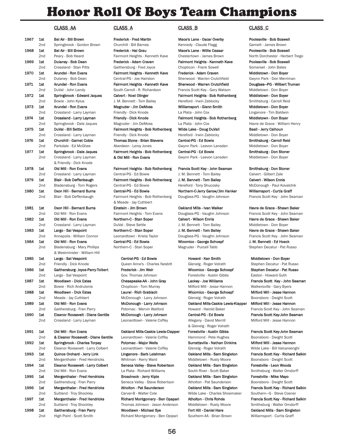### Honor Roll Of Boys Team Champions

#### CLASS AA CLASS A CLASS B CLASS C

| 1967 | 1st        | Bel Air - Bill Brown                                   |
|------|------------|--------------------------------------------------------|
| 1968 | 2nd<br>1st | Springbrook - Gordon Brown<br>Bel Air - Bill Brown     |
|      | 2nd        | Peary - Bob Heard                                      |
| 1969 | 1st        | Dulaney - Bob Dean                                     |
|      | 2nd        | Crossland - Stan Pitts                                 |
| 1970 | 1st        | Arundel - Ron Evans                                    |
|      | 2nd        | Dulaney - Bob Dean                                     |
| 1971 | 1st        | Arundel - Ron Evans                                    |
|      | 2nd        | DuVal - John Landy                                     |
| 1972 | 1st        | Springbrook - Edward Jaques                            |
|      | 2nd        | Bowie - John Kylus                                     |
| 1973 | 1st        | Arundel - Ron Evans                                    |
|      | 2nd        | Crossland - Larry Layman                               |
| 1974 | 1st        | Crossland - Larry Layman                               |
| 1975 | 2nd<br>1st | Springbrook - Dale Jaques<br>DuVal - Bill Settle       |
|      | 2nd        | Crossland - Larry Layman                               |
| 1976 | 1st        | <b>Churchill - Garnet Coble</b>                        |
|      | 2nd        | Parkdale - Ed McGhee                                   |
| 1977 | 1st        | Springbrook - Dale Jaques                              |
|      | 2nd        | Crossland - Larry Layman                               |
|      |            | & Friendly - Dick Knode                                |
| 1978 | 1st        | Old Mill - Ron Evans                                   |
|      | 2nd        | Crossland - Larry Layman                               |
| 1979 | 1st        | Blair - Bob Deffenbaugh                                |
|      | 2nd        | Bladensburg - Tom Rogers                               |
| 1980 | 1st        | Oxon Hill - Bernard Burns                              |
|      | 2nd        | Blair - Bob Deffenbaugh                                |
|      |            |                                                        |
| 1981 | 1st        | Oxon Hill - Bernard Burns                              |
|      | 2nd        | Old Mill - Ron Evans                                   |
| 1982 | 1st        | Old Mill - Ron Evans                                   |
|      | 2nd        | Crossland - Larry Layman                               |
| 1983 | 1st<br>2nd | Largo - Sal Vespoint<br>Annapolis - William Connor     |
| 1984 | 1st        | Old Mill - Ron Evans                                   |
|      | 2nd        | Bladensburg - Mary Phillips                            |
|      |            | & Westminster - William Hill                           |
| 1985 | 1st        | Largo - Sal Vespoint                                   |
|      | 2nd        | Friendly - Dick Knode                                  |
| 1986 | 1st        | Gaithersburg-Joyce-Parry-Tolbe                         |
|      | 2nd        | Largo - Sal Vespoint                                   |
| 1987 | 1st        | <b>Woodlawn - Dick Estes</b>                           |
|      | 2nd        | Bowie - Rich Andrulonis                                |
| 1988 | 1st        | Woodlawn - Dick Estes                                  |
|      | 2nd        | Meade - Jay Cuthbert                                   |
| 1989 | 1st        | Old Mill - Ron Evans                                   |
|      | 2nd        | Gaithersburg - Fran Parry                              |
| 1990 | 1st        | Eleanor Roosevelt - Diane Gent                         |
|      | 2nd        | Crossland - Larry Layman                               |
| 1991 | 1st        |                                                        |
|      | 2nd        | Old Mill - Ron Evans<br>& Eleanor Roosevelt - Diane Ge |
| 1992 | 1st        | Springbrook - Charles Torpey                           |
|      | 2nd        | Eleanor Roosevelt - Larry Colbe                        |
| 1993 | 1st        | Quince Orchard - Jerry Link                            |
|      | 2nd        | Mergenthaler - Fred Hendricks                          |
| 1994 | 1st        | Eleanor Roosevelt - Larry Colbe                        |
|      | 2nd        | Old Mill - Ron Evans                                   |
| 1995 | 1st        | <b>Mergenthaler - Fred Hendricks</b>                   |
|      | 2nd        | Gaithersburg - Fran Parry                              |
| 1996 | 1st        | Mergenthaler - Fred Hendricks                          |
|      | 2nd        | Suitland - Troy Shockley                               |
| 1997 | 1st        | Mergenthaler - Fred Hendricks                          |
|      | 2nd        | Suitland - Troy Shockley                               |
| 1998 | 1st        | Gaithersburg - Fran Parry                              |

& Meade - Jay Cuthbert 1981 15t Cinstein - Jim Brown **Milly - Burns Cakland Mills - Ivan Walker** Havre de Grace - Shawn Baker Fairmont Heights - Tom Evans Douglass-PG - Vaughn Johnson Francis Scott Key - John Seaman 1982 1992 1st Old Mill - Ron Ennis Northern-C - Stan Soper Calvert - Wilson Ennis Havre de Grace - Shawn Baker 2nd Crossland - Larry Layman DuVal - Steve Settle J. M. Bennett - Tom Bailey Middletown - Don Boyer

1985 1st Largo - Sal Vespoint Central-PG - Ed Bowie Howard - Ken Smith Middletown - Don Boyer

Woodlawn - Michael Sye Fort Hill - Daniel Hare **Fort Hill - Daniel Hare** Oakland Mills - Sam Singleton 2nd High Point - Scott Smith Richard Montgomery - Ben Opipari Southern-AA - Brian Brown Williamsport - Curtis Graff

1967 1967 1st Brown Frederick - Fred Martin Mace's Lane - Oscar Overby 1967 1st Brown Poolesville - Bob Boswell 2nd Springbrook - Gordon Brown Churchill - Bill Barnes Kennedy - Claude Flagg Garnett - James Brown 1968 1st Bel Air - Bill Brown Frederick - Hal Grau Mace's Lane - Willie Ceasar Poolesville - Bob Boswell Fairmont Heights - Kenneth Kave Chestertown - James Brown North Dorchester - Herbert Trego 1969 1st Dulaney - Bob Dean Frederick - Adam Craven Fairmont Heights - Kenneth Kave Poolesville - Bob Boswell 2nd Crossland - Stan Pitts Gaithersburg - Fred Joyce Chopticon - Frank Sowell Somerset - John Bates 1970 1970 1st Arundel Pairmont Heights - Kenneth Kave Frederick - Adam Craven Middletown - Don Boyer 2nd Dulaney - Bob Dean Central-PG - Joe Hairston Sherwood - Warren Crutchfield Gwynn Park - Don Merriman 1971 1st Arundel - Ron Evans Fairmont Heights - Kenneth Kave Sherwood - Warren Crutchfield Douglass—PG - Wilbert Truman 2000 South Carroll - R. Richardson Francis Scott Key - Gary Watson Middletown - Don Boyer 1972 1st Springbrook - Edward Jaques Calvert - Noel Olinger Fairmont Heights - Bob Rothenberg Middletown - Don Boyer 2nd Bowie - Tom Bailey Freeford - Irwin Zablocky Smithsburg - Carroll Reid Magruder - Jim DeMoss **National Arms Milliamsport - Glenn Smith** Middletown - Don Boyer 2nd Crossland - La Plata - John Cox Linganore - Tim Baldwin Friendly - Dick Knode 1974 1974 1st Crossland University Deck Crossland Vietnam Friendly - Dick Knode Fairmont Heights - Bob Rothenberg Middletown - Don Boyer 2nd Springbrook - Jim DeMoss La Plata - John Cox Bagruder - Havre de Grace - William Henry 1975 15t Pairmont Heights - Bob Rothenberg Wilde Lake - Doug DuVall Beall - Jerry Calhoun Priendly - Dick Knode **Hereford - Irwin Zablocky** Middletown - Don Boyer 1976 1976 1st Churchill Reid - Garnet Contral-PG - Ed Bowie Smithsburg - Carroll Reid Aberdeen - Leroy Jones **2008** Gwynn Park - Leevon Lansden Middletown - Don Boyer 1977 1977 1st Springbrook - Dale Japan - Danis Fairmont Heights - Don Stoner<br>Fairmont Heights - Bob Rothenberg Central-PG - Ed Bowie Smithsburg - Smithsburg - Don Stoner & Old Mill - Ron Evans Gwynn Park - Leevon Lansden Middletown - Don Boyer

Fairmont Heights - Bob Rothenberg Francis Scott Key - John Seaman Smithsburg - Don Stoner 2nd Central-PG - Ed Bowie Central-PG - Ed Bowie J. M. Bennett - Tom Bailey Calvert - Gilbert Zale 1979 1 Fairmont Heights - Bob Rothenberg J. M. Bennett - Tom Bailey Calvert - Wilson Ennis 2nd Bladensburg - Tom Hereford - Tony Shucosky Central-PG - Ed Bowie Hereford - Tony Shucosky McDonough - Paul Kovalchik 1980 1st Oxon Hill - Bernard Burns Central-PG - Ed Bowie Northern-C-Jerry Gerow/Jim Hanker Williamsport - Curtis Graff Fairmont Heights - Bob Rothenberg Douglass-PG - Vaughn Johnson Francis Scott Key - John Seaman

1983 1993 1st Largo - Stan Soper J. M. Bennett - Tom Bailey 1st Largo - Shawn Baker Central-PG - Ed Bowie **Mill - Ron Evans Central-PG - Ed Bowie** Wicomico - George Schoepf J. M. Bennett - Ed Hoeck 2nd Bladensburg - Magruder - Purcell Tabb Stephen Decatur - Pat Russo

2013 Queen Anne's - Charles Nesbitt Glenelg - Roger Volrath Stephen Decatur - Pat Russo 1986 1st Gaithersburg- Joyce-Parry-Tolbert Frederick - Jim Wicomico - George Schoepf Stephen Decatur - Pat Russo Gov. Thomas Johnson **Forestville - Austin Gibbs** Easton - Howard Guth 1987 1st Woodlawn - Dick Estes Chesapeake-AA - John Gray Lackey - Joe Williams Francis Scott Key - John Seaman 2nd Bowie - Rich Andrulonis Chopticon - Tom Murray Milford Mill - Jesse Hannon Walkersville - Gary Byers Laurel - Rich Grabisch **Milford Mill - Dick Estes Laurel - And Accomico - George Schoepf Milford Mill - Jesse Hannon** McDonough - Larry Johnson Glenelg - Roger Volrath Boonsboro - Dwight Scott McDonough - Larry Johnson **Cakland Mills-Caskie Lewis-Klapper** Milford Mill - Jesse Hannon Potomac - Mervin Watford Howard - Harold Baker Francis Scott Key - John Seaman 1990 1st Eleanor McDonough - Larry Johnson Central-PG - Ed Bowie Francis Scott Key-John Seaman 2010 Leonardtown - Valerie Coffey **Allegany - David Merrill** Milford Mill - Jesse Hannon & Glenelg - Roger Volrath 0akland Mills-Caskie Lewis-Clapper Forestville - Austin Gibbs Francis Scott Key-John Seaman 2ntile Leonardtown - Valerie Coffey Hammond - Pete Hughes Boonsboro - Dwight Scott Potomac - Major Wells **Charles Containers Containers Containers** Containers Milford Mill - Jesse Hannon 2nd Eleonardtown - Valerie Coffey Colenelg - Roger Volrath Glenely - Wilde Lake - Bill Valcareenghi Linganore - Barb Leishman **Cakland Mills - Sam Singleton Francis Scott Key - Richard Salkin** Whitman - Kerry Ward **Middletown - Rusty Moore** Boonsboro - Dwight Scott 1994 1st Collect - Steve Robertson - Cakland Mills - Sam Singleton - Forestville - Leon Woods 2nd Old Mill - Ron Evans La Plata - Richard Williams South River - Scott Baker Smithsburg - Walter Orndorff 1995 1st Mergenthaler Cakland Mills - Sam Singleton Forestville - Mike Mayo 200 Seneca Valley - Steve Robertson Atholton - Pat Saunderson Boonsboro - Dwight Scott 1996 1st Mergenthaler - Fred Hendricks Atholton - Pat Saunderson Oakland Mills - Sam Singleton Francis Scott Key - Richard Salkin 2nd Suitland Suitland - Troy Suitland - Charles Shoemaker Southern-G - Steve Cosner Richard Montgomery - Ben Opapari Atholton - Chris Rohde Francis Scott Key - Richard Salkin 2nd Suitland - Troy Shockley Thomas Johnson - Jason Anderson Middletown - Rusty Moore Smithsburg - Walter Orndorff

Leonardtown - Krista Taylor **Connor Leonardtown - Krista Taylor Connor Connor Connor Connor Connor Connor Connor**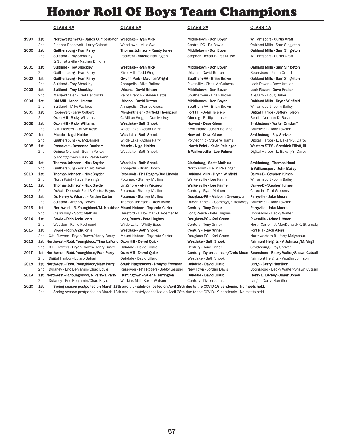### Honor Roll Of Boys Team Champions

| 1999 | 1st | Northwestern-PG - Carlos Cumberbatch Westlake - Ryan Gick         |                                  |
|------|-----|-------------------------------------------------------------------|----------------------------------|
|      | 2nd | Eleanor Roosevelt - Larry Colbert                                 | Woodlawn - Mike Sye              |
| 2000 | 1st | Gaithersburg - Fran Parry                                         | Thomas Johnson - Randy Jor       |
|      | 2nd | Suitland - Troy Shockley                                          | Patuxent - Valerie Harringtor    |
|      |     | & Surrattsville - Nathan Dinkins                                  |                                  |
| 2001 | 1st | Suitland - Troy Shockley                                          | Westlake - Ryan Gick             |
|      | 2nd | Gaithersburg - Fran Parry                                         | River Hill - Todd Wright         |
| 2002 | 1st | Gaithersburg - Fran Parry                                         | Gwynn Park - Maurice Wrigh       |
|      | 2nd | Suitland - Troy Shockley                                          | Annapolis - Mike Ballard         |
| 2003 | 1st | Suitland - Troy Shockley                                          | Urbana - David Britton           |
|      | 2nd | Mergenthaler - Fred Hendricks                                     | Paint Branch - Steven Bettis     |
| 2004 | 1st | Old Mill - Janet Liimatta                                         | Urbana - David Britton           |
|      | 2nd | Suitland - Mike Wallace                                           | Annapolis - Charles Gross        |
| 2005 | 1st | Roosevelt - Larry Colbert                                         | Mergenthaler - Garfield Thor     |
|      | 2nd | Oxon Hill - Ricky Williams                                        | C. Milton Wright - Don Micke     |
| 2006 | 1st | Oxon Hill - Ricky Williams                                        | Westlake - Beth Shook            |
|      | 2nd | C.H. Flowers - Carlyle Rose                                       | Wilde Lake - Adam Parry          |
| 2007 | 1st | Meade - Nigel Holder                                              | Westlake - Beth Shook            |
|      | 2nd | Gaithersburg - A. McDaniels                                       | Wilde Lake - Adam Parry          |
| 2008 | 1st | Roosevelt - Desmond Dunham                                        | Meade - Nigel Holder             |
|      | 2nd | Quince Orchard - Seann Pelkey                                     | Westlake - Beth Shook            |
|      |     | & Montgomery Blair - Ralph Penn                                   |                                  |
| 2009 | 1st | Thomas Johnson - Nick Snyder                                      | Westlake - Beth Shook            |
|      | 2nd | Gaithersburg - Adrian McDaniel                                    | Annapolis - Brian Brown          |
| 2010 | 1st | Thomas Johnson - Nick Snyder                                      | Reservoir - Phil Rogers/Jud I    |
|      | 2nd | North Point - Kevin Reisinger                                     | Potomac - Stanley Mullins        |
| 2011 | 1st | Thomas Johnson - Nick Snyder                                      | Linganore - Alvin Pridgeon       |
|      | 2nd | DuVal - Deborah Reid & Cortez Hayes                               | Potomac - Stanley Mullins        |
| 2012 | 1st | Dr. Henry A. Wise Jr. - Farden Carter                             | <b>Potomac - Stanley Mullins</b> |
|      | 2nd | Suitland - Anthony Brown                                          | Thomas Johnson - Drew Irvir      |
| 2013 | 1st | Northwest - R. Youngblood/M. Neubiser Mount Hebron - Teyarnte Car |                                  |
|      | 2nd | Clarksburg - Scott Mathias                                        | Hereford - J. Bowman/J. Roe      |
| 2014 | 1st | <b>Bowie - Rich Andrulonis</b>                                    | Long Reach - Pete Hughes         |
|      | 2nd | Wootton - Kellie Redmond                                          | Wilde Lake - Whitty Bass         |
| 2015 | 1st | <b>Bowie - Rich Andrulonis</b>                                    | Westlake - Beth Shook            |
|      | 2nd | C.H. Flowers - Bryan Brown/Henry Brady                            | Mount Hebron - Teyarnte Car      |
| 2016 | 1st | Northwest - Robt. Youngblood/Thea LaFond Oxon Hill - Derrel Quick |                                  |
|      | 2nd | C.H. Flowers - Bryan Brown/Henry Brady                            | Oakdale - David Lillard          |
| 2017 |     | 1st Northwest - Robt. Youngblood/Fran Parry                       | Oxon Hill - Derrel Quick         |
|      | 2nd | Digital Harbor - Lutalo Bakari                                    | Oakdale - David Lillard          |
| 2018 |     | 1st Northwest - Robt. Youngblood/Nate Parry                       | South Hagerstown - Dwayne        |
|      | 2nd | Dulaney - Eric Benjamin/Chad Boyle                                | Reservoir - Phil Rogers/Bobl     |
| 2019 |     | 1st Northwest - R.Youngblood/N.Parry/F.Parry                      | Huntingtown - Valerie Harring    |
|      | 2nd | Dulaney - Eric Benjamin/Chad Boyle                                | Watkins Mill - Kevin Watson      |
| 2020 | 1st | Spring season postponed on March 13th and ultimately cancelled on |                                  |

Urbana - David Britton **Boonsboro - Jason Orendi** Pikesville - Chris McGuiness Loch Raven - Dave Kreller Middletown - Don Boyer Loch Raven - Dave Kreller Southern-AA - Brian Brown Allegany - Doug Baker Southern-AA - Brian Brown Williamsport - John Bailey Glenelg - Phillip Johnson Beall - Norman DeRosa Howard - Dave Glenn Smithsburg - Walter Orndorff 2nd C.H. Flowers - Carlyle Rose Wilde Lake - Adam Parry Kent Island - Justin Holland Brunswick - Tony Lawson Howard - Dave Glenn Smithsburg - Ray Shriver

2010 1st Thomas Dakland Mills - Bryan Winfield Carver-B - Stephen Kimes Walkersville - Lee Palmer Williamsport - John Bailey

2010 - Century - Ryan Melhorn - Catoctin - Terri Gibbons Douglass-PG - Malcolm Drewery, Jr. Perryville - Jake Moore ng Gueen Anne - D.Comegys/Y.Holloway Brunswick - Tony Lawson 2013 1st Northwest - Realty - Tony Griner Century - Tony Griner Century - Tony Griner Perryville - Jake Moore

2011 Century - Tony Griner Smithsburg - Ray Shriver

#### CLASS 4A CLASS 3A CLASS 2A CLASS 1A

1999 1st Niddletown - Don Boyer - Cumber Williamsport - Curtis Graff 2010 Central-PG - Ed Bowie **Calard Mills - Sam Singleton** Middletown - Don Boyer **Cakland Mills - Sam Singleton** Stephen Decatur - Pat Russo Williamsport - Curtis Graff

Middletown - Don Boyer **Cakland Mills - Sam Singleton** 2002 1st Gaithern-AA - Brian Brown **Parry Contained Mills - Sam Singleton** Middletown - Don Boyer **Cakland Mills - Bryan Winfield** mpson Fort Hill - John Telerico **Collagent Collect Digital Harbor - Jeffery Tolson** Polytechnic - Steve Williams Digital Harbor - L. Bakari/S. Darby North Point - Kevin Reisinger Western STES - Shedrick Elliott, III & Walkersville - Lee Palmer Digital Harbor - L. Bakari/S. Darby

Clarksburg - Scott Mathias - Smithsburg - Thomas Hood North Point - Kevin Reisinger **& Williamsport - John Bailey** Walkersville - Lee Palmer Carver-B - Stephen Kimes 2nd Clarksburg - Clarksburg I. Boonsboro - Becky Walter Douglass-PG - Kori Green Pikesville - Adam Hittner 2010 - Century - Tony Griner North Carroll - J. MacDonald/K. Strumsky 2015 2015 1st Bowie - Century - Tony Griner - Beth Shoot Hill - Zach Alkire 2nd C.H. Flowers - Brownlass-PG - Kori Green - Teyarn Morthwestern-B - Jerry Molyneaux Westlake - Beth Shook Fairmont Heights - V. Johnson/M. Virgil Century - Dyron Johnson/Chris Mead Boonsboro - Becky Walter/Shawn Cutsail Westlake - Beth Shook Fairmont Heights - Vaughn Johnson Freeman Oakdale - David Lillard Largo - Darryl Hamilton 2000 - Dulaney Gessler New Town - Jordan Davis **Boonsboro - Becky Walter/Shawn Cutsail** 2019 1st Northwest Oakdale - David Lillard<br>Blood - Valerie Henry E. Lackey - Jimari Jones 2010 Century - Dyron Johnson **Eric Boyle Water** Largo - Darryl Hamilton

April 28th due to the COVID-19 pandemic. No meets held.

2nd Spring season postponed on March 13th and ultimately cancelled on April 28th due to the COVID-19 pandemic. No meets held.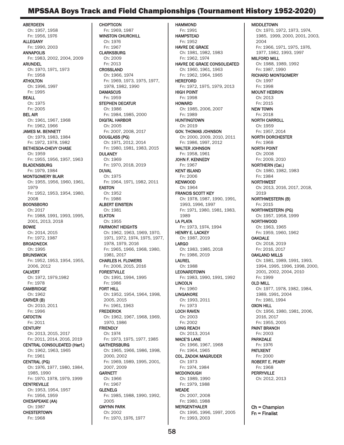### MPSSAA Boys Track and Field Championships (Tournament History 1952-2020)

**ABERDEEN** Ch: 1957, 1958 Fn: 1956, 1976 ALLEGANY Fn: 1990, 2003 ANNAPOLIS Fn: 1983, 2002, 2004, 2009 ARUNDEL Ch: 1970, 1971, 1973 Fn: 1958 ATHOLTON Ch: 1996, 1997 Fn: 1995 BEALL Ch: 1975 Fn: 2005 BEL AIR Ch: 1961, 1967, 1968 Fn: 1962, 1966 JAMES M. BENNETT Ch: 1979, 1983, 1984 Fn: 1972, 1978, 1982 BETHESDA-CHEVY CHASE Ch: 1959 Fn: 1955, 1956, 1957, 1963 **BLADENSBURG** Fn: 1979, 1984 MONTGOMERY BLAIR Ch: 1955, 1956, 1960, 1961, 1979 Fn: 1952, 1953, 1954, 1980, 2008 **BOONSBORO** Ch: 2017 Fn: 1988, 1991, 1993, 1995, 2001, 2013, 2018 BOWIE Ch: 2014, 2015 Fn: 1972, 1987 **BROADNECK** Ch: 1995 **BRUNSWICK** Fn: 1952, 1953, 1954, 1955, 2006, 2012 CALVERT Ch: 1972, 1979,1982 Fn: 1978 CAMBRIDGE Ch: 1962 CARVER (B) Ch: 2010, 2011 Fn: 1996 **CATOCTIN** Fn: 2011 **CENTURY** Ch: 2013, 2015, 2017 Fn: 2011, 2014, 2016, 2019 CENTRAL CONSOLIDATED (Harf.) Ch: 1962, 1963, 1965 Fn: 1961 CENTRAL (PG) Ch: 1976, 1977, 1980, 1984, 1985, 1990 Fn: 1970, 1978, 1979, 1999 CENTREVILLE Ch: 1953, 1954, 1957 Fn: 1956, 1959 CHESAPEAKE (AA) Ch: 1987 **CHESTERTOWN** Fn: 1968

**CHOPTICON** Fn: 1969, 1987 WINSTON CHURCHILL Ch: 1976 Fn: 1967 **CLARKSBURG** Ch: 2009 Fn: 2013 CROSSLAND Ch: 1966, 1974 Fn: 1969, 1973, 1975, 1977, 1978, 1982, 1990 **DAMASCUS** Fn: 1959 STEPHEN DECATUR Ch: 1986 Fn: 1984, 1985, 2000 DIGITAL HARBOR Ch: 2005 Fn: 2007, 2008, 2017 DOUGLASS (PG) Ch: 1971, 2012, 2014 Fn: 1980, 1981, 1983, 2015 DULANEY Ch: 1969 Fn: 1970, 2018, 2019 DUVAL Ch: 1975 Fn: 1964, 1971, 1982, 2011 EASTON Ch: 1952 Fn: 1986 ALBERT EINSTEIN Ch: 1981 **ELKTON** Ch: 1955 FAIRMONT HEIGHTS Ch: 1962, 1963, 1969, 1970, 1971, 1972, 1974, 1975, 1977, 1978, 1979, 2016 Fn: 1965, 1966, 1968, 1980, 1981, 2017 CHARLES H. FLOWERS Fn: 2006, 2015, 2016 FORESTVILLE Ch: 1991, 1994, 1995 Fn: 1986 FORT HILL Ch: 1952, 1954, 1964, 1998, 2005, 2015 Fn: 1961, 1963 **FREDERICK** Ch: 1962, 1967, 1968, 1969, 1970, 1986 **FRIENDLY** Ch: 1974 Fn: 1973, 1975, 1977, 1985 GAITHERSBURG Ch: 1965, 1966, 1986, 1998, 2000, 2002 Fn: 1969, 1989, 1995, 2001, 2007, 2009 **GARNETT** Ch: 1966 Fn: 1967 GLENELG Fn: 1985, 1988, 1990, 1992, 2005 GWYNN PARK Ch: 2002 Fn: 1970, 1976, 1977

HAMMOND Fn: 1991 HAMPSTEAD Fn: 1952 HAVRE DE GRACE Ch: 1981, 1982, 1983 Fn: 1962, 1974 HAVRE DE GRACE CONSOLIDATED Ch: 1960, 1961, 1963 Fn: 1962, 1964, 1965 **HEREFORD** Fn: 1972, 1975, 1979, 2013 HIGH POINT Fn: 1998 **HOWARD** Ch: 1985, 2006, 2007 Fn: 1989 **HUNTINGTOWN** Ch: 2019 GOV. THOMAS JOHNSON Ch: 2000, 2009, 2010, 2011 Fn: 1986, 1997, 2012 WALTER JOHNSON Fn: 1958, 1961 JOHN F. KENNEDY Fn: 1967 KENT ISLAND Fn: 2006 KENWOOD Ch: 1964 FRANCIS SCOTT KEY Ch: 1978, 1987, 1990, 1991, 1993, 1996, 1997 Fn: 1971, 1980, 1981, 1983, 1989 LA PLATA Fn: 1973, 1974, 1994 HENRY E. LACKEY Ch: 1987, 2019 LARGO Ch: 1983, 1985, 2018 Fn: 1986, 2019 LAUREL Ch: 1988 **LEONARDTOWN** Fn: 1983, 1990, 1991, 1992 LINCOLN Fn: 1960 LINGANORE Ch: 1993, 2011 Fn: 1973 LOCH RAVEN Ch: 2003 Fn: 2002 LONG REACH Ch: 2013, 2014 MACE'S LANE Ch: 1966, 1967, 1968 Fn: 1964, 1965 COL. ZADOK MAGRUDER Ch: 1973 Fn: 1974, 1984 **MCDONOUGH** Ch: 1989, 1990 Fn: 1979, 1988 MEADE Ch: 2007, 2008 Fn: 1980, 1988 MERGENTHALER Ch: 1995, 1996, 1997, 2005 Fn: 1993, 2003

MIDDLETOWN Ch: 1970, 1972, 1973, 1974, 1985, 1999, 2000, 2001, 2003, 2004 Fn: 1966, 1971, 1975, 1976, 1977, 1982, 1993, 1997 MILFORD MILL Ch: 1988, 1989, 1992 Fn: 1987, 1990 RICHARD MONTGOMERY Ch: 1997 Fn: 1998 MOUNT HEBRON Ch: 2013 Fn: 2015 NEW TOWN Fn: 2018 NORTH CARROLL Ch: 1959 Fn: 1957, 2014 NORTH DORCHESTER Fn: 1968 NORTH POINT Ch: 2008 Fn: 2009, 2010 NORTHERN (Cal.) Ch: 1980, 1982, 1983 Fn: 1984 NORTHWEST Ch: 2013, 2016, 2017, 2018, 2019 NORTHWESTERN (B) Fn: 2015 NORTHWESTERN (PG) Ch: 1957, 1958, 1999 NORTHWOOD Ch: 1963, 1965 Fn: 1959, 1960, 1962 **OAKDALE** Ch: 2018, 2019 Fn: 2016, 2017 OAKLAND MILLS Ch: 1981, 1989, 1991, 1993, 1994, 1995, 1996, 1998, 2000, 2001, 2002, 2004, 2010 Fn: 1999 OLD MILL Ch: 1977, 1978, 1982, 1984, 1989, 1991, 2004 Fn: 1981, 1994 OXON HILL Ch: 1956, 1980, 1981, 2006, 2016, 2017 Fn: 1955, 2005 PAINT BRANCH Fn: 2003 PARKDALE Fn: 1976 PATUXENT Fn: 2000 ROBERT E. PEARY Fn: 1968 **PERRYVILLE** Ch: 2012, 2013

Ch = Champion Fn = Finalist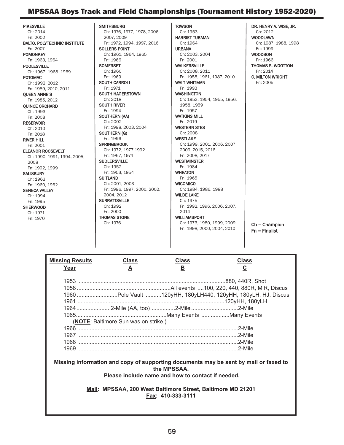### MPSSAA Boys Track and Field Championships (Tournament History 1952-2020)

PIKESVILLE Ch: 2014 Fn: 2002 BALTO. POLYTECHNIC INSTITUTE Fn: 2007 POMONKEY Fn: 1963, 1964 POOLESVILLE Ch: 1967, 1968. 1969 POTOMAC Ch: 1992, 2012 Fn: 1989, 2010, 2011 QUEEN ANNE'S Fn: 1985, 2012 QUINCE ORCHARD Ch: 1993 Fn: 2008 RESERVOIR Ch: 2010 Fn: 2018 RIVER HILL Fn: 2001 ELEANOR ROOSEVELT Ch: 1990, 1991, 1994, 2005, 2008 Fn: 1992, 1999 **SALISBURY** Ch: 1963 Fn: 1960, 1962 SENECA VALLEY Ch: 1994 Fn: 1995 **SHERWOOD** Ch: 1971 Fn: 1970

**SMITHSBURG** Ch: 1976, 1977, 1978, 2006, 2007, 2009 Fn: 1972, 1994, 1997, 2016 SOLLERS POINT Ch: 1961, 1964, 1965 Fn: 1966 **SOMERSET** Ch: 1960 Fn: 1969 SOUTH CARROLL Fn: 1971 SOUTH HAGERSTOWN Ch: 2018 SOUTH RIVER Fn: 1994 SOUTHERN (AA) Ch: 2002 Fn: 1998, 2003, 2004 SOUTHERN (G) Fn: 1996 **SPRINGBROOK** Ch: 1972, 1977,1992 Fn: 1967, 1974 SUDLERSVILLE Ch: 1952 Fn: 1953, 1954 **SUITLAND** Ch: 2001, 2003 Fn: 1996, 1997, 2000, 2002, 2004, 2012 **SURRATTSVILLE** Ch: 1992 Fn: 2000 THOMAS STONE Ch: 1976 **TOWSON** Ch: 1953 HARRIET TUBMAN Ch: 1964 URBANA Ch: 2003, 2004 Fn: 2001 WALKERSVILLE Ch: 2008, 2011 Fn: 1958, 1961, 1987, 2010 WALT WHITMAN Fn: 1993 WASHINGTON Ch: 1953, 1954, 1955, 1956, 1958, 1959 Fn: 1957 WATKINS MILL Fn: 2019 WESTERN STES Ch: 2008 **WESTLAKE** Ch: 1999, 2001, 2006, 2007, 2009, 2015, 2016 Fn: 2008, 2017 WESTMINSTER Fn: 1984 **WHEATON** Fn: 1965 **WICOMICO** Ch: 1984, 1986, 1988 WILDE LAKE Ch: 1975 Fn: 1992, 1996, 2006, 2007, 2014 WILLIAMSPORT Ch: 1973, 1980, 1999, 2009 Fn: 1998, 2000, 2004, 2010

DR. HENRY A. WISE, JR. Ch: 2012 WOODLAWN Ch: 1987, 1988, 1998 Fn: 1999 WOODSON Fn: 1966 THOMAS S. WOOTTON Fn: 2014 C. MILTON WRIGHT Fn: 2005 Ch = Champion

Fn = Finalist

| <b>Missing Results</b>                            | <b>Class</b>                                                | <b>Class</b>      | <b>Class</b>                                                                         |  |  |  |
|---------------------------------------------------|-------------------------------------------------------------|-------------------|--------------------------------------------------------------------------------------|--|--|--|
| Year                                              | A                                                           | 旦                 | <u>ତ</u>                                                                             |  |  |  |
|                                                   |                                                             |                   |                                                                                      |  |  |  |
|                                                   |                                                             |                   |                                                                                      |  |  |  |
|                                                   |                                                             |                   |                                                                                      |  |  |  |
|                                                   |                                                             |                   | 1960 Pole Vault 120yHH, 180yLH440, 120yHH, 180yLH, HJ, Discus                        |  |  |  |
|                                                   |                                                             |                   |                                                                                      |  |  |  |
|                                                   | 1964 2-Mile (AA, too)2-Mile 2-Mile                          |                   |                                                                                      |  |  |  |
|                                                   |                                                             |                   |                                                                                      |  |  |  |
|                                                   | (NOTE: Baltimore Sun was on strike.)                        |                   |                                                                                      |  |  |  |
|                                                   |                                                             |                   |                                                                                      |  |  |  |
|                                                   |                                                             |                   |                                                                                      |  |  |  |
|                                                   |                                                             |                   |                                                                                      |  |  |  |
|                                                   |                                                             |                   |                                                                                      |  |  |  |
|                                                   |                                                             |                   |                                                                                      |  |  |  |
|                                                   |                                                             |                   | Missing information and copy of supporting documents may be sent by mail or faxed to |  |  |  |
| the MPSSAA.                                       |                                                             |                   |                                                                                      |  |  |  |
| Please include name and how to contact if needed. |                                                             |                   |                                                                                      |  |  |  |
|                                                   |                                                             |                   |                                                                                      |  |  |  |
|                                                   | Mail: MPSSAA, 200 West Baltimore Street, Baltimore MD 21201 |                   |                                                                                      |  |  |  |
|                                                   |                                                             | Fax: 410-333-3111 |                                                                                      |  |  |  |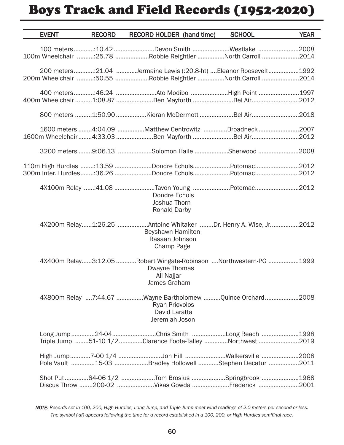# Boys Track and Field Records (1952-2020)

| <b>EVENT</b> | <b>RECORD</b> | <b>RECORD HOLDER</b> (hand time)                                                                                       | <b>SCHOOL</b> | <b>YEAR</b> |
|--------------|---------------|------------------------------------------------------------------------------------------------------------------------|---------------|-------------|
|              |               | 100 meters10.42 Devon Smith Westlake 2008<br>100m Wheelchair :25.78 Robbie Reightler North Carroll 2014                |               |             |
|              |               | 200 meters:21.04 Jermaine Lewis (:20.8-ht) Eleanor Roosevelt1992                                                       |               |             |
|              |               | 400m Wheelchair 1:08.87 Ben Mayforth Bel Air2012                                                                       |               |             |
|              |               | 800 meters 1:50.90 Kieran McDermott Bel Air2018                                                                        |               |             |
|              |               | 1600 meters 4:04.09 Matthew Centrowitz Broadneck 2007<br>1600m Wheelchair4:33.03 Ben Mayforth Bel Air2012              |               |             |
|              |               | 3200 meters 9:06.13 Solomon Haile Sherwood 2008                                                                        |               |             |
|              |               | 110m High Hurdles :13.59 Dondre EcholsPotomac2012<br>300m Inter. Hurdles:36.26 Dondre EcholsPotomac2012                |               |             |
|              |               | 4X100m Relay :41.08 Tavon Young Potomac2012<br>Dondre Echols<br>Joshua Thorn<br><b>Ronald Darby</b>                    |               |             |
|              |               | 4X200m Relay1:26.25 Antoine Whitaker Dr. Henry A. Wise, Jr2012<br>Beyshawn Hamilton<br>Rasaan Johnson<br>Champ Page    |               |             |
|              |               | 4X400m Relay3:12.05 Robert Wingate-Robinson Northwestern-PG 1999<br>Dwayne Thomas<br>Ali Najjar<br>James Graham        |               |             |
|              |               | 4X800m Relay 7:44.67 Wayne Bartholomew Quince Orchard 2008<br><b>Ryan Priovolos</b><br>David Laratta<br>Jeremiah Joson |               |             |
|              |               | Long Jump 24-04 Chris Smith Long Reach 1998<br>Triple Jump 51-10 1/2 Clarence Foote-Talley Northwest 2019              |               |             |
|              |               | High Jump7-00 1/4 Jon Hill Walkersville 2008<br>Pole Vault 15-03 Bradley Hollowell Stephen Decatur 2011                |               |             |
|              |               | Shot Put64-06 1/2 Tom Brosius Springbrook 1968<br>Discus Throw 200-02 Vikas Gowda Frederick 2001                       |               |             |

*NOTE: Records set in 100, 200, High Hurdles, Long Jump, and Triple Jump meet wind readings of 2.0 meters per second or less. The symbol (-sf) appears following the time for a record established in a 100, 200, or High Hurdles semifinal race.*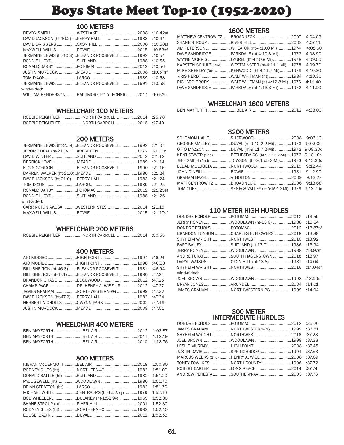# Boys State Meet Top-10 (1952-2020)

### 100 METERS

| DAVID JACKSON (ht-10.2) PERRY HALL 1983 :10.44         |  |  |
|--------------------------------------------------------|--|--|
|                                                        |  |  |
|                                                        |  |  |
| JERMAINE LEWIS (ht-10.3) ELEANOR ROOSEVELT 1992 :10.54 |  |  |
|                                                        |  |  |
|                                                        |  |  |
|                                                        |  |  |
|                                                        |  |  |
| JERMAINE LEWIS ELEANOR ROOSEVELT 1991 :10.58           |  |  |
| wind-aided:                                            |  |  |
| WILLIAM HENDERSONBALTIMORE POLYTECHNIC 2017 :10.52sf   |  |  |

### WHEELCHAIR 100 METERS

| ROBBIE REIGHTLER NORTH CARROLL 2014 :25.78 |  |
|--------------------------------------------|--|
| ROBBIE REIGHTLER NORTH CARROLL 2016 :27.40 |  |

### 200 METERS

| JERMAINE LEWIS (ht-20.8) ELEANOR ROOSEVELT 1992 :21.04 |  |  |
|--------------------------------------------------------|--|--|
|                                                        |  |  |
|                                                        |  |  |
|                                                        |  |  |
| ELGIN GORDON ELEANOR ROOSEVELT 1990 :21.16             |  |  |
|                                                        |  |  |
|                                                        |  |  |
|                                                        |  |  |
|                                                        |  |  |
|                                                        |  |  |
| wind-aided:                                            |  |  |
| CARRINGTON AKOSA WESTERN STES 2014 :21.15              |  |  |
|                                                        |  |  |
|                                                        |  |  |

### WHEELCHAIR 200 METERS

| ROBBIE REIGHTLER NORTH CARROLL 2014 :50.55 |  |  |  |  |
|--------------------------------------------|--|--|--|--|
|--------------------------------------------|--|--|--|--|

### 400 METERS

| ATO MODIBOHIGH POINT 1997 :46.24                     |  |  |
|------------------------------------------------------|--|--|
|                                                      |  |  |
| BILL SHELTON (ht-46.8)ELEANOR ROOSEVELT 1981 :46.94  |  |  |
| BILL SHELTON (ht-47.1) ELEANOR ROOSEVELT 1980 :47.24 |  |  |
|                                                      |  |  |
| CHAMP PAGE DR. HENRY A. WISE. JR. 2012 :47.27        |  |  |
| JAMES GRAHAM NORTHWESTERN-PG 1999 :47.32             |  |  |
|                                                      |  |  |
|                                                      |  |  |
|                                                      |  |  |
|                                                      |  |  |

### WHEELCHAIR 400 METERS

### 800 METERS

| RODNEY GILES (ht) NORTHERN-C 1983 1:51.00          |  |  |
|----------------------------------------------------|--|--|
|                                                    |  |  |
|                                                    |  |  |
|                                                    |  |  |
| MICHAEL WHITE CENTRAL-PG (ht-1:52.7y) 1979 1:52.10 |  |  |
| BOB WHEELER DULANEY (ht-1:52.9y) 1969 1:52.30      |  |  |
|                                                    |  |  |
| RODNEY GILES (ht) NORTHERN-C 1982 1:52.40          |  |  |
|                                                    |  |  |

### 1600 METERS

| JIM PETERSON WHEATON (ht-4:10.0 Mi) 1974 4:08.60           |  |
|------------------------------------------------------------|--|
|                                                            |  |
| WAYNE MORRIS LAUREL (ht-4:10.9 Mi) 1978 4:09.50            |  |
| KARSTEN SCHULZ (2nd)WESTMINSTER (ht-4:11.1 Mi)1978 4:09.70 |  |
| MIKE SHEELEY (3rd) KENWOOD (ht-4:11.7 Mi) 1978 4:10.30     |  |
| KRIS HERDT WALT WHITMAN (ht)1984 4:10.30                   |  |
| RICHARD BRODY WALT WHITMAN (ht-4:12.8 Mi) 1976 4:11.40     |  |
| DAVE SANDRIDGE PARKDALE (ht-4:13.3 Mi) 1972 4:11.90        |  |

### WHEELCHAIR 1600 METERS

|--|--|--|--|

### 3200 METERS

| GEORGE MALLEY DUVAL (ht-9:10.2 2-Mi) 1973 9:07.00c          |  |
|-------------------------------------------------------------|--|
| OTTO MAZZONIDUVAL (ht-9:11.7 2-Mi)1972 9:08.30c             |  |
| KENT STAVER (2nd)BETHESDA-CC (ht-9:13.3 2-Mi) 1972 9:10.10c |  |
| JEFF SMITH (2nd) TOWSON (ht-9:15.5 2-Mi)1973 9:12.30c       |  |
|                                                             |  |
|                                                             |  |
|                                                             |  |
|                                                             |  |
| TOM CUFF SENECA VALLEY (ht-9:16.9 2-Mi)1979 9:13.70c        |  |

### 110 METER HIGH HURDLES

| JERRY RONEYWOODLAWN (ht-13.6) 1988 :13.84 |  |          |
|-------------------------------------------|--|----------|
|                                           |  | :13.87sf |
| BRANDON TUNSON CHARLES H. FLOWERS 2018    |  | :13.89   |
|                                           |  | :13.92   |
| BART BAILEYSUITLAND (ht-13.7) 1986 :13.94 |  |          |
|                                           |  | :13.97sf |
| ANDRE TURAYSOUTH HAGERSTOWN 2018          |  | :13.97   |
|                                           |  |          |
|                                           |  | :14.04sf |
| wind-aided:                               |  |          |
|                                           |  |          |
|                                           |  |          |
| JAMES GRAHAM NORTHWESTERN-PG 1999 :14.04  |  |          |

#### 300 METER INTERMEDIATE HURDLES

| JAMES GRAHAM NORTHWESTERN-PG 1999 :36.51     |  |  |
|----------------------------------------------|--|--|
|                                              |  |  |
|                                              |  |  |
|                                              |  |  |
|                                              |  |  |
| MARCUS WEEKS (2nd) HENRY A. WISE 2008 :37.69 |  |  |
| TONEY FOWLKES NORTH COUNTY 1996 :37.72       |  |  |
|                                              |  |  |
| ANDREW PERESTASOUTHERN-AA 2003 :37.76        |  |  |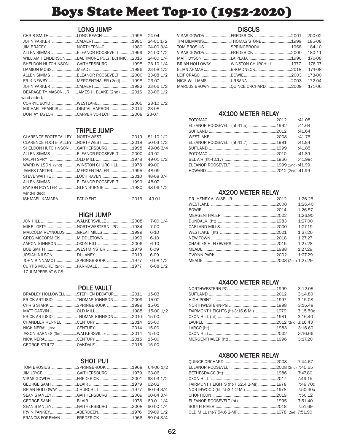# Boys State Meet Top-10 (1952-2020)

### LONG JUMP

|                                                 |  | 24-04     |
|-------------------------------------------------|--|-----------|
|                                                 |  | 24-01 1/2 |
| JIM BRACEY NORTHERN-C1980                       |  | 24-00 3/4 |
| ALLEN SIMMS ELEANOR ROOSEVELT 1999              |  | 24-00 1/2 |
| WILLIAM HENDERSONBALTIMORE POLYTECHNIC2016      |  | 24-00 1/4 |
| SHELDON HUTCHINSON GAITHERSBURG 1998            |  | 23-10 1/4 |
|                                                 |  | 23-08 1/2 |
| ALLEN SIMMS ELEANOR ROOSEVELT 2000              |  | 23-08 1/2 |
| ERIK NEWBYMERGENTHALER (2nd)1998                |  | 23-07     |
|                                                 |  | 23-06 1/2 |
| DEARAGE TY MASON, JR. JAMES H. BLAKE (2nd) 2016 |  | 23-06 1/2 |
| wind-aided:                                     |  |           |
|                                                 |  | 23-10 1/2 |
| MICHAEL FRANCIS DIGITAL HARBOR 2014 23-08       |  |           |
| DONTAY TAYLOR CARVER VO-TECH 2008               |  | 23-07     |

### TRIPLE JUMP

| CLARENCE FOOTE-TALLEY  NORTHWEST 2019   |  | $51-10$ $1/2$ |
|-----------------------------------------|--|---------------|
| CLARENCE FOOTE-TALLEY  NORTHWEST 2018   |  | 50-03 1/2     |
| SHELDON HUTCHINSON GAITHERSBURG 1998    |  | 49-06 3/4     |
| ALLEN SIMMS ELEANOR ROOSEVELT 2000      |  | 49-02         |
|                                         |  | 49-01 1/2     |
| WARD WILSON (2nd) WINSTON CHURCHILL1978 |  | 49-00         |
| JAMES CARTERMERGENTHALER1995            |  | 48-09         |
| STEVE WAITHE LOCH RAVEN 2010            |  | 48-083/4      |
| ALLEN SIMMS ELEANOR ROOSEVELT 1999      |  | 48-07         |
| PAYTON POYNTER GLEN BURNIE 1980         |  | 48-06 1/2     |
| wind-aided:                             |  |               |
|                                         |  | 49-01         |

### HIGH JUMP

| JON HILL WALKERSVILLE 2008 7-00 1/4 |  |          |
|-------------------------------------|--|----------|
| MIKE LOFTY NORTHWESTERN-PG 1984     |  | $7 - 00$ |
| MALCOLM REYNOLDS GREAT MILLS 1999   |  | $6 - 10$ |
| GREG MCCORMICK MIDDLETOWN 1999      |  | $6-10$   |
|                                     |  | $6-10$   |
|                                     |  | $6-09$   |
|                                     |  | $6-09$   |
| JOHN KINNAMOT SPRINGBROOK 1977      |  | 6-08 1/2 |
| CURTIS MOORE (2nd) PARKDALE 1977    |  | 6-08 1/2 |
| 17 JUMPERS AT 6-08                  |  |          |

### POLE VAULT

| BRADLEY HOLLOWELLSTEPHEN DECATUR2011 |  | 15-03     |
|--------------------------------------|--|-----------|
| ERICK ARTUSIO THOMAS JOHNSON 2009    |  | $15-02$   |
| CHRIS STARK SPRINGBROOK 1999         |  | 15-01     |
|                                      |  | 15-00 1/2 |
| ERICK ARTUSIO THOMAS JOHNSON 2010    |  | $15-00$   |
|                                      |  | 15-00     |
|                                      |  | 15-00     |
| JASON BARNES (3rd) WALKERSVILLE 2014 |  | 15-00     |
|                                      |  | $15-00$   |
|                                      |  | $15-00$   |
|                                      |  |           |

### SHOT PUT

| TOM BROSIUS SPRINGBROOK 1968 64-06 1/2   |  |           |
|------------------------------------------|--|-----------|
| JIM JOYCE GAITHERSBURG 1979 63-06        |  |           |
| VIKAS GOWDA FREDERICK 2001               |  | 63-03 1/2 |
|                                          |  | 62-02     |
| BRIAN HOLLOWAY CHURCHILL 1977 60-04 3/4  |  |           |
| SEAN STANLEY GAITHERSBURG 2009 60-04 3/4 |  |           |
|                                          |  |           |
|                                          |  | 60-00 1/4 |
|                                          |  |           |
| FRANCIS FOREMAN FREDERICK 1966 59-04 3/4 |  |           |

### **DISCUS**

|                                       |  | 200-02   |
|---------------------------------------|--|----------|
| TIM BILMANISTHOMAS STONE 1999         |  | 185-08   |
| TOM BROSIUS SPRINGBROOK1968           |  | 184-10   |
|                                       |  | 180-11   |
|                                       |  | 176-08   |
| BRIAN HOLLOWAY WINSTON CHURCHILL 1977 |  | 176-07   |
|                                       |  | 174-08   |
|                                       |  | 173-00   |
|                                       |  | $172-04$ |
|                                       |  |          |
|                                       |  |          |

### 4X100 METER RELAY

|                                  | :41.08  |
|----------------------------------|---------|
| ELEANOR ROOSEVELT (ht-41.5) 1992 | :41.64  |
|                                  | :41.64  |
|                                  | :41.76  |
| ELEANOR ROOSEVELT (ht-41.7) 1991 | :41.84  |
|                                  | :41.85  |
|                                  | :41.89  |
|                                  | :41.99c |
|                                  |         |
|                                  |         |

### 4X200 METER RELAY

|  | 1:26.25 |
|--|---------|
|  | 1:26.40 |
|  | 1:26.57 |
|  | 1:26.90 |
|  | 1:27.00 |
|  | 1:27.19 |
|  | 1:27.20 |
|  | 1:27.27 |
|  | 1:27.28 |
|  | 1:27.29 |
|  | 1:27.29 |
|  |         |
|  |         |

### 4X400 METER RELAY

|                                      | 3:12.05  |
|--------------------------------------|----------|
|                                      | 3:14.80  |
|                                      | 3:15.08  |
|                                      | 3:15.48  |
| FAIRMONT HEIGHTS (ht-3:16.6 Mi) 1979 | 3:15.50c |
|                                      | 3:16.40  |
|                                      |          |
|                                      | 3:16.60  |
|                                      | 3:16.66  |
|                                      | 3:17.20  |
|                                      |          |

#### 4X800 METER RELAY

|                                        | 7:47.80  |
|----------------------------------------|----------|
|                                        | 7:49.15  |
| FAIRMONT HEIGHTS (ht-7:52.4 2-Mi) 1978 | 7:49.70c |
| NORTHWOOD (ht-7:53.1 2-Mi) 1978        | 7:50.40c |
|                                        | 7:50.12  |
|                                        | 7:51.40  |
|                                        | 7:51.69  |
|                                        |          |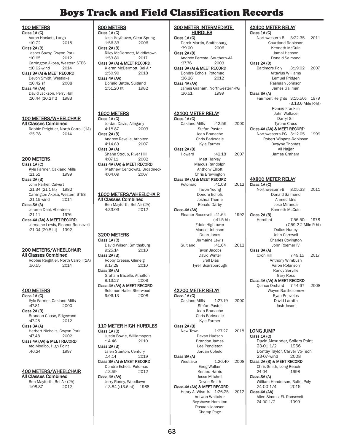### Boys Track and Field Classification Records

100 METERS Class 1A (C)

Aaron Hackett, Largo<br>:10.72 2018  $:10.72$ Class 2A (B) Jasper Savoy, Gwynn Park<br>:10.65 2012

 $:10.65$ Carrington Akosa, Western STES<br>:10.62-wind 2014  $:10.62$ -wind

Class 3A (A) & MEET RECORD Devon Smith, Westlake<br>:10.42 sf 2008  $:10.42$  sf Class 4A (AA) David Jackson, Perry Hall

:10.44 (10.2 ht) 1983

100 METERS/WHEELCHAIR All Classes Combined Robbie Reightler, North Carroll (1A)<br>:25.78 2014  $:25.78$ 

### 200 METERS

Class 1A (C) Kyle Farmer, Oakland Mills :21.51 1999 Class 2A (B) John Parker, Calvert :21.34 (21.1 ht) 1982 Carrington Akosa, Western STES<br>:21.15-wind 2014  $:21.15$ -wind Class 3A (A) Jerome Deal, Aberdeen

:21.11 1976 Class 4A (AA) & MEET RECORD Jermaine Lewis, Eleanor Roosevelt :21.04 (20.8 ht) 1992

#### 200 METERS/WHEELCHAIR All Classes Combined

Robbie Reightler, North Carroll (1A)<br>:50.55 2014  $:50.55$ 

400 METERS Class 1A (C)

Kyle Farmer, Oakland Mills<br>:47.81 2000  $:47.81$ Class 2A (B) Brandon Chase, Edgewood  $:47.25$ Class 3A (A) Herbert Nicholls, Gwynn Park<br>2002  $.47.48$ 

Class 4A (AA) & MEET RECORD Ato Modibo, High Point<br>:46.24 1997  $:46.24$ 

#### 400 METERS/WHEELCHAIR All Classes Combined

Ben Mayforth, Bel Air (2A) 1:08.87 2012

800 METERS Class 1A (C) Josh Keyfauver, Clear Spring<br>1:56.33 2006 1:56.33 Class 2A (B) Riley McDermott, Middletown<br>1:53.80 2017 1:53.80 2017 Class 3A (A) & MEET RECORD Kieran McDermott, Bel Air<br>1:50.90 2018 1:50.90 Class 4A (AA) Donald Battle, Suitland 1:51.20 ht 1982 1600 METERS Class 1A (C) Jordan Davis, Allegany<br>4:18.87 2003 4:18.87 Class 2A (B) Andrew Revelle, Atholton 4:14.83 2007 Class 3A (A) Shane Stroup, River Hill<br>4:07.11 2002 4:07.11 Class 4A (AA) & MEET RECORD Matthew Centrowitz, Broadneck 4:04.09 2007 1600 METERS/WHEELCHAIR All Classes Combined Ben Mayforth, Bel Air (2A)  $4:33.03$ 3200 METERS Class 1A (C) David Wilson, Smithsburg<br>9:25.14 2010 9:25.14 Class 2A (B) Robby Creese, Glenelg<br>9:17.28 2010 9:17.28 Class 3A (A) Graham Bazelle, Atholton<br>9:13.27 2009  $9:13.27$ Class 4A (AA) & MEET RECORD

Solomon Haile, Sherwood<br>9:06.13 2008  $9:06.13$ 

#### 110 METER HIGH HURDLES Class 1A (C)

Justin Bowie, Williamsport :14.46 2010 Class 2A (B) Jalen Stanton, Century<br>14.14 201 2019

#### Class 3A (A) & MEET RECORD Dondre Echols, Potomac<br>:13.59 2012  $:13.59$

Class 4A (AA) Jerry Roney, Woodlawn :13.84 (:13.6 ht) 1988 300 METER INTERMEDIATE HURDLES

Class 1A (C) Derek Martin, Smithsburg<br>:39.00 2006  $:39.00$ Class 2A (B)

Andrew Peresta, Southern-AA<br>:37.76 2003  $:37.76$ Class 3A (A) & MEET RECORD

Dondre Echols, Potomac :36.26 2012 Class 4A (AA)

James Graham, Northwestern-PG :36.51 1999

#### 4X100 METER RELAY Class 1A (C)

Oakland Mills :42.56 2000 Stefan Pastor Jean Brunache Chris Barksdale Kyle Farmer Class 2A (B) Howard :42.18 2007 Matt Harvey

#### Marcus Randolph Anthony Elliott Chris Brewington Class 3A (A) & MEET RECORD<br>Potomac :41.08 Potomac :41.08 2012

Tavon Young Dondre Echols Joshua Thome Ronald Darby Class 4A (AA) Eleanor Roosevelt :41.64 1992 (:41.5 ht) Eddie Hightower Mancel Johnson Duan Jones Jermaine Lewis Suitland :41.64 2012 Tavon Jacobs David Winter Tyrell Dias Tyrell Scarsborough

### 4X200 METER RELAY

Class 1A (C) Oakland Mills 1:27.19 2000 Stefan Pastor Jean Brunache Chris Barksdale Kyle Farmer Class 2A (B)

New Town 1:27.27 2018 Devan Hudson Brandon James

Lee Pendleton Jordan Cofield Class 3A (A) Westlake 1:26.40 2008 Greg Walker Kenard Harris Jesse Mitchell Devon Smith

Class 4A (AA) & MEET RECORD Henry A. Wise Jr. 1:26.25 2012 Antwan Whitaker Beyshawn Hamilton Rasaan Johnson Champ Page

#### Class 1A (C) Northwestern-B 3:22.35 2011 Courtland Robinson Kenneth McCuin Jamal Henson Donald Salmond Class 2A (B) Baltimore Poly 3:19.02 2007 Artavius Williams Lemuel Pridgen Rashaan Johnson James Gallman Class 3A (A) Fairmont Heights 3:15.50c 1979 (3:13.6 Mile R-ht) Ronnie Franklin John Wallace Darryl Gill Tyrone Cross Class 4A (AA) & MEET RECORD Northwestern-PG 3:12.05 1999 Robert Wingate-Robinson Dwayne Thomas Ali Najjar James Graham 4X800 METER RELAY Class 1A (C) Northwestern-B 8:05.33 2011 Donald Salmond Ahmed Idris Jose Miranda Kenneth McCuin Class 2A (B)<br>Hereford 7:56.50c 1978 (7:59.2 2-Mile R-ht) Dallas Hurley John Cornwell Charles Covington John Roemer IV Class 3A (A)

4X400 METER RELAY

Oxon Hill 7:49.15 2017 Anthony Wimbush Aaron Robinson Randy Serville Gary Ross **Class 4A (AA) & MEET RECORD**<br>Ouince Orchard 7:44.67 Quince Orchard 7:44.67 2008 Wayne Bartholomew

Ryan Priovolos David Laratta Josh Joson

### LONG JUMP

Class 1A (C) David Alexander, Sollers Point<br>23-01 1/2 1966 23-01 1/2 Dontay Taylor, Carver Vo-Tech<br>23-07-wind<br>2008 23-07-wind

Class 2A (B) & MEET RECORD Chris Smith, Long Reach<br>24-04 1998

 $24 - 04$ Class 3A (A)

William Henderson, Balto. Poly<br>24-00 1/4 2016 24-00 1/4 Class 4A (AA)

Allen Simms, El. Roosevelt<br>24-00 1/2 1999 24-00 1/2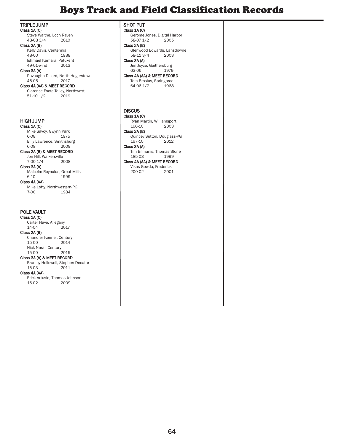### Boys Track and Field Classification Records

TRIPLE JUMP

Class 1A (C) Steve Waithe, Loch Raven<br>48-08 3/4 2010 48-08 3/4

#### Class 2A (B)

Kelly Davis, Centennial<br>48-00 198 1988 Ishmael Kamara, Patuxent 49-01-wind

Class 3A (A) Ravaughn Dillard, North Hagerstown  $48 - 05$ 

### Class 4A (AA) & MEET RECORD

Clarence Foote-Talley, Northwest<br>51-10 1/2 2019  $51-10$   $1/2$ 

### HIGH JUMP

Class 1A (C) Mike Savoy, Gwynn Park<br>6-08 1975 6-08 1975 Billy Lawrence, Smithsburg 6-08 2009

#### Class 2A (B) & MEET RECORD

Jon Hill, Walkersville<br>7-00 1/4 2008  $7-00$   $1/4$ Class 3A (A)

Malcolm Reynolds, Great Mills<br>6-10 1999 6-10 1999 Class 4A (AA)

Mike Lofty, Northwestern-PG<br>7-00 1984 7-00 1984

#### POLE VAULT

Class 1A (C) Carter Nave, Allegany<br>14-04 2017  $14 - 04$ Class 2A (B) Chandler Kennel, Century 15-00 2014 Nick Neral, Century<br>15-00 2015

#### $15-00$ Class 3A (A) & MEET RECORD

Bradley Hollowell, Stephen Decatur<br>15-03 2011  $15-03$ Class 4A (AA) Erick Artusio, Thomas Johnson 15-02 2009

**SHOT PUT** 

Class 1A (C) Gerome Jones, Digital Harbor<br>58-07 1/2 2005 58-07 1/2 Class 2A (B) Glenwood Edwards, Lansdowne<br>58-11.3/4 2003  $58-113/4$ Class 3A (A) Jim Joyce, Gaithersburg<br>63-06 1979 1979 Class 4A (AA) & MEET RECORD Tom Brosius, Springbrook<br>64-06 1/2 1968 64-06 1/2

#### **DISCUS** Class 1A (C)

Ryan Martin, Williamsport  $166-10$ Class 2A (B) Quincey Sutton, Douglass-PG<br>167-10 2012  $167-10$ Class 3A (A) Tim Bilmanis, Thomas Stone<br>185-08 1999 185-08

### Class 4A (AA) & MEET RECORD

Vikas Gowda, Frederick 200-02 2001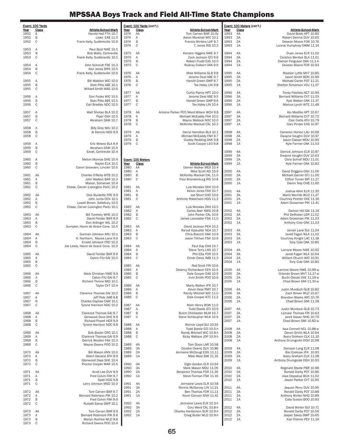| Year         | Event: 100 Yards<br>Class | <b>Athlete-School-Mark</b>                                  | Year         | Event: 100 Yards (con't.)<br>Class | <b>Athlete-School-Mark</b>                            | Year         | Event: 100 Meters (con't.)<br><b>Class</b> | Athlete-School-Mark                                     |
|--------------|---------------------------|-------------------------------------------------------------|--------------|------------------------------------|-------------------------------------------------------|--------------|--------------------------------------------|---------------------------------------------------------|
| 1952         | Α                         | Harold Hall FTH 10.7                                        | 1974         | AA                                 | Tom Carven BAR 10.0y                                  | 1993         | 4A                                         | David Bobb HPT 10.80                                    |
| 1952         | B                         | Lisko EAS 11.0                                              | 1974         | Α                                  | Aaron Marshall WIC 10.1                               | 1993         | 3A                                         | Robert Dennis DUV 10.65                                 |
| 1952         | $\mathsf{C}$              | Frank Kelly, Sudlersville 10.9                              | 1974<br>1974 | B<br>$\mathsf C$                   | Francis Winters LAP 9.7                               | 1993<br>1993 | 2A<br>1A                                   | Desean Moore FOR 10.76                                  |
| 1953         | Α                         | Paul Byrd NWE 10.1                                          |              |                                    | T. Jones RIS 10.3                                     |              |                                            | Lonnie Humphrey OWM 11.14                               |
| 1953         | B                         | Bob Walls, Centreville                                      | 1975         | AA                                 | Kendric Higgins NWE 9.7                               | 1994         | 4A                                         | Duan Jones ELR 11.02                                    |
| 1953         | $\mathsf{C}$              | Frank Kelly, Sudlersville 10.1                              | 1975<br>1975 | Α<br>$\, {\sf B}$                  | Zack Jackson GTJ 9.6<br>Robert Fludd EAS 10.0         | 1994<br>1994 | 3A<br>2A                                   | Carleton Bentick BLA 11.01<br>Damon Ferguson OAK 11.1-h |
| 1954         | Α                         | John Schmidt FRE 10.3                                       | 1975         | $\mathsf C$                        | Rodney Colbert OAK 9.9                                | 1994         | 1A                                         | Desean Moore FOR 10.93                                  |
| 1954         | B                         | Ken Jones BRN 10.5                                          |              |                                    |                                                       |              |                                            |                                                         |
| 1954         | C                         | Frank Kelly, Sudlersville 10.6                              | 1976<br>1976 | AA<br>Α                            | Mike Williams GLB 9.8<br>Jerome Deal ABE 9.7          | 1995<br>1995 | 4A<br>3A                                   | Royston Lyttle MVT 10.85<br>Jason Smith BDN 10.99       |
| 1955         | Α                         | Bill Walston WIC 10.0                                       | 1976         | B                                  | Harold Green GWP 9.7                                  | 1995         | 2A                                         | Michael Carter POT 11.21                                |
| 1955         | B                         | Stan Pitts ABE 10.1                                         | 1976         | C                                  | Tex Haley LIN 9.8                                     | 1995         | 1A                                         | Shelton Simonson VCU 11.07                              |
| 1955         | $\mathsf{C}$              | Willard Smith WAS 10.6                                      | 1977         | AA                                 | Curtis Pierce HPT 10.0                                | 1996         | 4A                                         | Toney Fowlkes NCT 10.99                                 |
| 1956         | Α                         | Don Fooks WIC 10.5                                          | 1977         | Α                                  | Jerome Deal ABE 9.5                                   | 1996         | 3A                                         | Bernard Williams CVT 11.03                              |
| 1956         | B                         | Stan Pitts ABE 10.5                                         | 1977         | B                                  | Harold Green GWP 9.6                                  | 1996         | 2A                                         | Kyle Walker OAK 11.37                                   |
| 1956         | $\mathsf{C}$              | Earl Bradley NDC 10.5                                       | 1977         | C                                  | Tex Haley LIN 10.4                                    | 1996         | 1A                                         | Marcus Lynch WTE 11.48                                  |
| 1957         | Α                         | Walt Shober BLA 10.2                                        | 1978         | AA                                 | Antoine Parker POT/Ward Wilson WCH 9.8                | 1997         | 4A                                         | Ato Modibo HPT 10.67                                    |
| 1957         | B                         | Piper OXH 10.5                                              | 1978         | Α                                  | Michael McEaddy FAH 10.0                              | 1997         | 3A                                         | Bernard Williams CVT 10.72                              |
| 1957         | $\mathsf{C}$              | Abraham DAM 10.7                                            | 1978<br>1978 | B<br>C                             | Wayne Wallace NOC 10.0<br>McKinley Mackall CAL 10.3   | 1997<br>1997 | 2A<br>1A                                   | Cian Oatts ATH 10.79<br>Gary Pinder EAS 10.97           |
| 1958         | Α                         | Billy Grey WAJ 10.2                                         |              |                                    |                                                       |              |                                            |                                                         |
| 1958         | B                         | Al Dennis HDG 9.9                                           | 1979         | AA                                 | Darryl Hamilton BLA 10.1                              | 1998         | 4A                                         | Cameron Horton LAU 10.68                                |
| 1958         | C                         |                                                             | 1979<br>1979 | Α<br>B                             | Michael McEaddy FAH 9.7<br>Dudley Redding OAK 9.8     | 1998<br>1998 | 3A<br>2A                                   | Dwayne Vaughn DUV 10.97<br>Jason Caesar MDU 10.90       |
| 1959         | Α                         | Eric Wowra BLA 9.9                                          | 1979         | C                                  | Scott Cooper LEO 9.8                                  | 1998         | 1A                                         | Kyle Farmer OAK 11.03                                   |
| 1959         | B                         | Abraham DAM 10.5                                            |              |                                    |                                                       |              |                                            |                                                         |
| 1959         | $\mathsf{C}$              | Eevet, Centrevile 10.4                                      |              |                                    |                                                       | 1999<br>1999 | 4A<br>3A                                   | Derrick Johnson ELR 10.87<br>Dwayne Vaughn DUV 10.63    |
| 1960         | Α                         | Melvin Monroe SHG 10.4                                      |              | Event: 100 Meters                  |                                                       | 1999         | 2A                                         | Chris Schraf MDU 11.01                                  |
| 1960         | B                         | Naylor ELK 10.1                                             | <u>Year</u>  | Class                              | Athlete-School-Mark                                   | 1999         | 1A                                         | Kyle Farmer OAK 10.83                                   |
| 1960         | C                         | Calvin Snowden, Lincoln 10.5                                | 1980<br>1980 | AA<br>Α                            | Darren Walker MEA 10.4                                | 2000         | 4A                                         |                                                         |
| 1961         | AA                        | Charles O'Reilly MTB 10.2                                   | 1980         | B                                  | Mike Scott AEI 10.9<br>McKinley Mackall CAL 11.0      | 2000         | 3A                                         | David Driggers OXH 11.06<br>Michael Garner GTJ 11.00    |
| 1961         | Α                         | John Walters BAR 10.3                                       | 1980         | C                                  | Paul Brandenburg RIS 10.8                             | 2000         | 2A                                         | Clifton Turner BPI 11.27                                |
| 1961<br>1961 | B<br>$\mathsf{C}$         | Mason, Somerset 10.4<br>Chase, Carver (Lexington Park) 10.2 | 1981         | AA                                 | Luis Morales OXH 10.6                                 | 2000         | 1A                                         | Davon Telp CHB 11.60                                    |
|              |                           |                                                             | 1981         | Α                                  | Kelvin Jones FAH 10.7                                 | 2001         | 4A                                         | Joshua Allen ELR 11.35                                  |
| 1962         | AA                        | Dick Burdette FRE 9.9                                       | 1981         | B                                  | Joe Short CHO 10.6                                    | 2001         | 3A                                         | Mario Merrills WLD 11.27                                |
| 1962<br>1962 | Α<br>B                    | John Junta CEN 10.1<br>Lowell Brown, Salisbury 10.0         | 1981         | C                                  | Anthony Robertson HDG 11.2                            | 2001<br>2001 | 2A<br>1A                                   | Courtney Pointer OVE 11.16<br>Adam Grossman PIK 11.41   |
| 1962         | C                         | Chase, Carver (Lexington Park) 10.1                         | 1982         | AA                                 | Luis Morales OXH 10.5                                 |              |                                            |                                                         |
|              |                           |                                                             | 1982         | Α                                  | Carlos Aker NWD 10.8                                  | 2002         | 4A                                         | Damon Hill GAI 11.14                                    |
| 1963<br>1963 | AA<br>Α                   | Bill Turetsky WHE 10.0<br>David Fender BAR 9.9              | 1982<br>1982 | B<br>$\mathsf C$                   | John Parker CAL 10.6<br>James Lancaster FSK 11.0      | 2002<br>2002 | 3A<br>2A                                   | Phil DeRosier LGR 11.02<br>Adam Grossman PIK 11.03      |
| 1963         | B                         | Don Ardinger WIL 10.2                                       |              |                                    |                                                       | 2002         | 1A                                         | Anthony Cole OAK 11.23                                  |
| 1963         | C                         | Sumpter, Havre de Grace Cons. 10.5                          | 1983         | AA                                 | David Jackson PEH 10.2                                |              |                                            |                                                         |
| 1964         | AA                        | Gorman Johnson ARU 10.1                                     | 1983<br>1983 | Α<br>B                             | Ra'oof Aziauddir NEA 10.7<br>Chris Bianchi OAK 10.9   | 2003<br>2003 | 4A<br>3A                                   | Jamell Lane SUI 11.04<br>Jared Fagan WLA 11.02          |
| 1964         | Α                         | H. Northern, Maces Lane 9.9                                 | 1983         | C                                  | Jason Tillman FSK 10.9                                | 2003         | 2A                                         | Courtney Knight LAC 11.18                               |
| 1964         | B                         | Ernest Johnson FRD 10.2                                     |              |                                    |                                                       | 2003         | 1A                                         | Tony Cole OAK 10.85                                     |
| 1964         | C                         | Joe Lewis, Havre de Grace Cons. 10.0                        | 1984<br>1984 | AA<br>Α                            | Paul Day CHA 10.7<br>Steve Terry LAN 10.7             | 2004         | 4A                                         | Larrone Moore NWE 10.92                                 |
| 1965         | AA                        | David Fender BAR 9.9                                        | 1984         | B                                  | Phil Ellis FOR 10.5                                   | 2004         | 3A                                         | Jared Fagan WLA 10.64                                   |
| 1965         | Α                         | Calvin Fitz GAI 10.0                                        | 1984         | $\mathbf C$                        | Elmer Davis JMB 11.3                                  | 2004         | 2A                                         | William Church WIC 10.91                                |
| 1965<br>1965 | B<br>C                    |                                                             | 1985         | AA                                 | Rod Scott FRI 10.6                                    | 2004         | 1A                                         | Tony Cole OAK 10.83                                     |
|              |                           |                                                             | 1985         | Α                                  | Delancy Richardson CEN 10.5                           | 2005         | 4A                                         | Larrone Moore NWE 10.99-w                               |
| 1966         | AA                        | Mark Christian NWE 9.9                                      | 1985         | B                                  | Dale Cooper EAS 10.9                                  | 2005         | 3A                                         | Orlando Brown MVT 11.17-w                               |
| 1966<br>1966 | Α<br>B                    | Calvin Fitz GAI 9.7<br>Richard Throne MID 10.1              | 1985         | C                                  | Irvin Smith POO 10.6                                  | 2005<br>2005 | 2A<br>1A                                   | Buchi Okezie OVE 11.19-w<br>Chad Brown SMI 11.30-w      |
| 1966         | C                         | Taylor CVT 10.4                                             | 1986         | AA                                 | Marty Walker JFK 10.7                                 |              |                                            |                                                         |
|              |                           |                                                             | 1986         | Α                                  | Kevin Gear RMT 10.7                                   | 2006         | 4A                                         | Justin Murdoch GLB 10.82                                |
| 1967<br>1967 | AA<br>Α                   | Clarence Thomas GAI 10.0<br>Jeff Polk JMB 9.8               | 1986<br>1986 | B<br>C                             | Randy Mitchell WIC 11.0<br>Dale Cooper KTC 11.2       | 2006<br>2006 | 3A<br>2A                                   | Zach Brown WLD 10.67<br>Brandon Weeks WIC 10.76         |
| 1967         | B                         | Charles Cephas CAM 10.1                                     |              |                                    |                                                       | 2006         | 1A                                         | Chad Brown SMI 11.28                                    |
| 1967         | $\mathbb C$               | Tyrone Harrison NDC 10.2                                    | 1987<br>1987 | AA<br>Α                            | Marc Henry BOW 11.0<br>Todd Steele GTJ 10.9           | 2007         | 4A                                         | Justin Murdock GLB 10.73                                |
| 1968         | AA                        | Clarence Thomas GAI 9.7                                     | 1987         | B                                  | Butch Chichester MLM 10.7                             | 2007         | 3A                                         | Lamaar Thomas FRI 10.63                                 |
| 1968         | Α                         | Genwood Dove SHE 9.9                                        | 1987         | C                                  | Steve Schleupner WLK 10.9                             | 2007         | 2A                                         | Jarell Hasan NHG 10.79                                  |
| 1968<br>1968 | B<br>C                    | Richard Powell HER 9.9<br>Tyrone Harrison NDC 9.8           | 1988         | AA                                 | Ronnie Lloyd SUI 10.55                                | 2007         | 1A                                         | Chad Brown SMI 10.82-w                                  |
|              |                           |                                                             | 1988         | Α                                  | Todd Steele GTJ 10.5-h                                | 2008         | 4A                                         | Issa Connell NCL 10.88-w                                |
| 1969         | AA                        | Bob Bosler CRO 10.1                                         | 1988         | B                                  | Randy Mitchell WIC 10.8-h                             | 2008         | 3A                                         | Devon Smith WLA 10.64                                   |
| 1969<br>1969 | Α<br>B                    | Clarence Thomas GAI 9.9<br>Derrick Wooten FAH 10.3          | 1988         | C                                  | Ricky Wallace JOP 10.9-h                              | 2008<br>2008 | 2A<br>1A                                   | Avery Graham CLK 11.10<br>Anthony Drumgoole DGH 10.98   |
| 1969         | C                         | Wayne Owens POO 10.2                                        | 1989         | 4A                                 | Tom Dixon LAR 10.58                                   |              |                                            |                                                         |
|              |                           |                                                             | 1989         | 3A                                 | Dondre Owens DUV 10.86                                | 2009         | 4A                                         | Denison Long ELR 11.08                                  |
| 1970<br>1970 | AA<br>Α                   | Bill Mason ANN 10.0<br>Glenn Devane ATH 9.9                 | 1989<br>1989 | 2A<br>1A                           | Jermaine McDougl EDG 11.11<br>Mike West SMI 11.31     | 2009         | 3A                                         | Bisi Ezekoye JFK 10.93                                  |
| 1970         | B                         | Glenwood Daye SHE 10.4                                      |              |                                    |                                                       | 2009<br>2009 | 2A<br>1A                                   | Avery Graham CLK 11.08<br>Anthony Drumgoole DGH 10.93   |
| 1970         | C                         | Proctor Cooper MAR 10.5                                     | 1990         | 4A                                 | Elgin Gordon ELR 10.64                                |              |                                            |                                                         |
| 1971         | AA                        | Arvid Lee DUV 9.9                                           | 1990<br>1990 | 3A<br>2A                           | Mark Mason MDU 11.05<br>Benjamin Thomas FOR 11.35     | 2010<br>2010 | 4A<br>3A                                   | Reginald Steele PBR 10.96<br>Ronald Darby POT 10.86     |
| 1971         | Α                         | Fred Colvin FAH 9.7                                         | 1990         | 1A                                 | Steve Forman FSK 11.16                                | 2010         | 2A                                         | Jose Depadua WLK 11.02                                  |
| 1971         | B                         | Spell HDG 9.8                                               |              |                                    |                                                       | 2010         | 1A                                         | Jawan Parker CVT 10.95                                  |
| 1971         | C                         | Larry Johnson MSD 10.0                                      | 1991<br>1991 | 4A<br>3A                           | Jermaine Lewis ELR 10.58<br>Ronnie McGarvey LIN 11.21 | 2011         | 4A                                         | Jaquan Perry DUV 10.95                                  |
| 1972         | AA                        | Tom Carven BAR 9.7                                          | 1991         | 2A                                 | Ben Thomas FOR 11.11                                  | 2011         | 3A                                         | Ronald Darby POT 10.88                                  |
| 1972         | Α                         | Bernard Robinson PIK 10.2                                   | 1991         | 1A                                 | Kevin Cannon SNH 11.41                                | 2011         | 2A                                         | Anthony Winter NHG 10.89                                |
| 1972<br>1972 | B<br>C                    | Fred Colvin FAH 9.6<br>Russell Savoy GWP 10.1               | 1992         | 4A                                 | Jermaine Lewis ELR 10.3-h                             | 2011         | 1A                                         | Coby Gussio BOO 10.93                                   |
|              |                           |                                                             | 1992         | 3A                                 | Cory Ward CAL 10.8-h                                  | 2012         | 4A                                         | David Winter SUI 10.71                                  |
| 1973         | AA                        | Tom Carven BAR 9.9                                          | 1992         | 2A                                 | Charles Hankerson SUR 10.9-h                          | 2012         | 3A                                         | Ronald Darby POT 10.56                                  |
| 1973<br>1973 | Α<br>B                    | Bernard Robinson PIK 9.6<br>Marlyn Rochee WLD 9.8           | 1992         | 1A                                 | Craig Butler WLD 10.9-h                               | 2012<br>2012 | 2A<br>1A                                   | Jasper Savoy GWP 10.65<br>Karl Palmer PEV 11.19         |
| 1973         | C                         | Richard Owens POO 10.4                                      |              |                                    |                                                       |              |                                            |                                                         |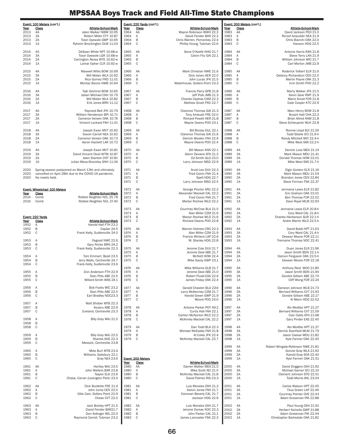|              | Event: 100 Meters (con't.)                                                                                    |              | Event: 220 Yards (con't.)  |                                                           |              | Event: 200 Meters (con't.) |                                                            |
|--------------|---------------------------------------------------------------------------------------------------------------|--------------|----------------------------|-----------------------------------------------------------|--------------|----------------------------|------------------------------------------------------------|
| Year<br>2013 | Athlete-School-Mark<br>Class<br>4A<br>Jalen Walker NWM 10.95                                                  | Year<br>1964 | Class<br>AA                | Athlete-School-Mark<br>Wayne Robinson WWH 22.3            | Year<br>1983 | Class<br>AA                | Athlete-School-Mark<br>David Jackson PEH 21.0              |
| 2013         | 3A<br>Robert Miller CTY 10.87                                                                                 | 1964         | Α                          | David Fender BAR 22.2                                     | 1983         | Α                          | Ra'oof Aziauddir NEA 21.9                                  |
| 2013<br>2013 | 2A<br>Tosin Oyewole GWP 10.65<br>1A<br>Ryheim Brockington DUB 11.03                                           | 1964<br>1964 | B<br>$\mathbf C$           | Chris Warren, Pomonkey 22.4<br>Phillip Young, Tubman 22.6 | 1983<br>1983 | B<br>$\mathbb C$           | Chris Bianchi OAK 22.0<br>Hanson HDG 22.5                  |
| 2014         | 4A<br>DeSean White NPT 10.68-w                                                                                | 1965         | AA                         | Gene O'Keefe NHG 21.7                                     | 1984         | AA                         | Antoine Harris RAN 21.8                                    |
| 2014         | 3A<br>Tosin Oyewole LGR 10.68-w                                                                               | 1965         | Α                          | Calvin Fitz GAI 22.1                                      | 1984         | Α                          | Steve Terry LAN 21.9                                       |
| 2014<br>2014 | 2A<br>Carrington Akosa WTE 10.62-w<br>Lamar Opher CLR 10.92-w<br>1A                                           | 1965<br>1965 | $\sf B$<br>$\mathbf C$     |                                                           | 1984<br>1984 | $\sf B$<br>C               | William Johnson WIC 21.7<br>Carl Morton JMB 22.9           |
|              |                                                                                                               |              |                            |                                                           |              |                            |                                                            |
| 2015<br>2015 | 4A<br>Maxwell Willis BOW 10.69<br>3A<br>Will Moten WLA 10.92                                                  | 1966<br>1966 | AA<br>Α                    | Mark Christian NWE 21.6<br>Dick Jones HER 22.0            | 1985<br>1985 | AA<br>Α                    | Roderick Tolbert ELR 21.6<br>Delancy Richardson CEN 22.0   |
| 2015         | 2A<br>Rico Gomez FRD 11.01                                                                                    | 1966         | B                          | John Lucas JFK 21.5                                       | 1985         | B                          | Martin Payne OAK 22.3                                      |
| 2015         | Montaz Boone NWB 10.94<br>1A                                                                                  | 1966         | $\mathbb C$                | Waterhouse, Sollers Point 23.3                            | 1985         | $\mathbb C$                | Irvin Smith POO 22.2                                       |
| 2016         | 4A<br>Tajh Gilchrist BOW 10.65                                                                                | 1967         | AA                         | Francis Parry SPB 21.8<br>Jeff Polk JMB 21.3              | 1986         | AA                         | Marty Walker JFK 21.5                                      |
| 2016<br>2016 | 3A<br>Jabari Michael OXH 10.79<br>2A<br>Will Moten WLA 10.82                                                  | 1967<br>1967 | Α<br>B                     | Charles Cephas CAM 22.3                                   | 1986<br>1986 | Α<br>B                     | Kevin Gear RMT 21.9<br>Mario Small FOR 21.8                |
| 2016         | 1A<br>Erik Jones BRN 11.12                                                                                    | 1967         | $\mathsf{C}$               | Mathew Gnatt FRD 22.7                                     | 1986         | C                          | Dale Cooper KTC 22.9                                       |
| 2017         | 4A<br>Raynard Bell JFK 10.79                                                                                  | 1968         | AA                         | Clarence Thomas GAI 21.3                                  | 1987         | AA                         | Marc Henry BOW 21.8                                        |
| 2017<br>2017 | 3A<br>William Henderson BPI 10.71<br>2A<br>Cameron Vereen OAK 10.76                                           | 1968<br>1968 | Α<br>$\sf B$               | Tony Ambush FRE 22.0<br>Richard Powell HER 21.8           | 1987<br>1987 | Α<br>B                     | Bryant Hall CHA 22.2<br>Brian Allred HAM 21.8              |
| 2017         | 1A<br>Vincent Lockard FAH 11.01                                                                               | 1968         | $\mathbf C$                | Wayne Owens POO 23.1                                      | 1987         | C                          | Steve Schleupner WLK 22.8                                  |
| 2018         | 4A<br>Joseph Ewan MVT 10.92                                                                                   | 1969         | AA                         | Bill Brozey DUL 22.1                                      | 1988         | AA                         | Ronnie Llovd SUI 21.26                                     |
| 2018         | 3A<br>Davon Carroll NEA 10.62                                                                                 | 1969         | Α                          | Clarence Thomas GAI 21.6                                  | 1988         | Α                          | Todd Steele GTJ 21.6-h                                     |
| 2018<br>2018 | 2A<br>Cameron Vereen OAK 10.73<br>1A<br>Aaron Hackett LAR 10.72                                               | 1969<br>1969 | B<br>$\mathbb C$           | Derrick Wooten FAH 22.9<br>Wayne Owens POO 22.4           | 1988<br>1988 | B<br>$\mathbb C$           | Randy Mitchell WIC 22.4-h<br>Mike West SMI 22.2-h          |
| 2019         | 4A<br>Joseph Ewan MVT 10.81                                                                                   | 1970         | AA                         | Bill Mason ANN 22.1                                       | 1989         | 4A                         | Derrick Love MEA 21.14                                     |
| 2019         | 3A<br>David Vincent Okoli WTM 10.87                                                                           | 1970         | Α                          | Glenn Devane ATH 21.3                                     | 1989         | 3A                         | Mark Mason MDU 21.41                                       |
| 2019<br>2019 | Jalen Stanton CNT 10.81<br>2A<br>Julian Meza-Shockley SNH 11.06<br>1A                                         | 1970<br>1970 | B<br>$\mathbf C$           | Ed Smith GLG 23.0<br>Larry Johnson MSD 22.9               | 1989<br>1989 | 2A<br>1A                   | Donald Thomas HOW 22.01<br>Mike West SMI 21.7-h            |
|              |                                                                                                               |              |                            |                                                           |              |                            |                                                            |
| 2020<br>2020 | Spring season postponed on March 13th and ultimately<br>cancelled on April 28th due to the COVID-19 pandemic. | 1971<br>1971 | AA<br>Α                    | Arvid Lee DUV 22.3<br>Fred Colvin FAH 21.4                | 1990<br>1990 | 4A<br>3A                   | Elgin Gordon ELR 21.16<br>Mark Mason MDU 21.54             |
| 2020         | No meets held.                                                                                                | 1971         | B                          | Spell HDG 22.7                                            | 1990         | 2A                         | Brandon Jones CEN 22.84                                    |
|              |                                                                                                               | 1971         | $\mathsf C$                | Larry Johnson MSD 22.5                                    | 1990         | 1A                         | Steve Forman FSK 22.37                                     |
| Year         | <b>Event: Wheelchair 100 Meters</b><br>Athlete-School-Mark<br>Class                                           | 1972<br>1972 | AA<br>Α                    | George Proctor ARU 22.2<br>Alexander Mackall CAL 22.2     | 1991<br>1991 | 4A<br>3A                   | Jermaine Lewis ELR 21.82<br>Eric Graham OAK 22.01          |
| 2014         | Robbie Reightler NCL 25.78<br>Comb                                                                            | 1972         | B                          | Fred Colvin FAH 21.7                                      | 1991         | 2A                         | Ben Thomas FOR 22.52                                       |
| 2016         | Comb<br>Robbie Reightler NCL 27.40                                                                            | 1972         | $\mathbb C$                | Marlyn Rochee WLD 22.2                                    | 1991         | 1A                         | Dave Royal MLM 22.93                                       |
|              |                                                                                                               | 1973<br>1973 | AA                         | Courtney McCrae BLA 21.5                                  | 1992<br>1992 | 4A<br>3A                   | Jermaine Lewis ELR 20.8-h                                  |
|              | Event: 220 Yards                                                                                              | 1973         | Α<br>B                     | Alan Miller CZM 21.6<br>Marlyn Rochee WLD 21.6            | 1992         | 2A                         | Cory Ward CAL 21.8-h<br>Charles Hankerson SUR 22.1-h       |
| Year<br>1952 | Class<br><b>Athlete-School-Mark</b><br>Α<br>Harold Hall FTH 23.2                                              | 1973         | $\mathsf{C}$               | Richard Owens POO 22.8                                    | 1992         | 1A                         | Andre Martin WLD 22.5-h                                    |
| 1952         | B<br>Caplan 24.5                                                                                              | 1974         | AA                         | Warren Holmes CRO 22.3                                    | 1993         | 4A                         | David Bobb HPT 21.63                                       |
| 1952         | C<br>Frank Kelly, Sudlersville 24.0                                                                           | 1974<br>1974 | Α<br>B                     | Alan Miller CZM 21.9<br>Francis Winters LAP 22.6          | 1993<br>1993 | 3A<br>2A                   | Cory Ward CAL 21.4-h<br>Desean Moore FOR 22.11             |
| 1953         | Osgood NWE 22.6<br>Α                                                                                          | 1974         | $\mathbf C$                | M. Stanley HDG 22.8                                       | 1993         | 1A                         | Tremaine Thomas NDC 22.41                                  |
| 1953<br>1953 | B<br>Gary Porter BRN 24.2<br>C<br>Frank Kelly, Sudlersville 22.3                                              | 1975         | AA                         | Jerome Cole DUV 21.7                                      | 1994         | 4A                         | Duan Jones ELR 21.96                                       |
| 1954         | Tom Emmart, Beall 23.5<br>A                                                                                   | 1975<br>1975 | Α<br>B                     | Jerome Deal ABE 21.7<br>McNott HOW 22.4                   | 1994<br>1994 | 3A<br>2A                   | Jason Smith BDN 22.1-h<br>Damon Ferguson OAK 22.5-h        |
| 1954         | B<br>Jerry Walls, Centreville 24.7                                                                            | 1975         | $\mathbb C$                | Mike Savoy GWP 23.1                                       | 1994         | 1A                         | Desean Moore FOR 22.18                                     |
| 1954         | C<br>Frank Kelly, Sudlersville 23.6                                                                           | 1976         | AA                         | Mike Williams GLB 21.7                                    | 1995         | 4A                         | Anthony Reid WOO 21.80                                     |
| 1955 A       | Don Anderson FTH 22.9                                                                                         | 1976         | A                          | Jerome Deal ABE 21.0                                      | 1995         | 3A                         | Jason Smith BDN 21.94                                      |
| 1955<br>1955 | B<br>Stan Pitts ABE 22.5<br>C<br>Willard Smith WAS 24.1                                                       | 1976<br>1976 | B<br>$\mathbf C$           | Robert Fludd EAS 22.6<br>James Friday OAK 22.4            | 1995<br>1995 | 2A<br>1A                   | Dondre Gilliam ABE 22.70<br>Cliff Wong FOR 22.24           |
| 1956         | Bob Fooks WIC 23.2<br>Α                                                                                       | 1977         | AA                         | Gerald Chasten BLA 22I4                                   | 1996         | 4A                         | Dameon Johnson WLB 21.73                                   |
| 1956         | B<br>Stan Pitts ABE 22.5                                                                                      | 1977         | Α                          | Larry McKenney CZM 21.7                                   | 1996         | 3A                         | Bernard Williams CVT 21.93                                 |
| 1956         | $\mathsf{C}$<br>Earl Bradley NDC23.3                                                                          | 1977<br>1977 | B<br>$\mathsf C$           | Harold Green GWP 21.9<br>Moore POO 23.0                   | 1996<br>1996 | 2A<br>1A                   | Dondre Gilliam ABE 22.17<br>Al Mann HDG 22.52              |
| 1957         | Α<br>Walt Shober MTB 22.3<br>B<br>Kozaru ABE 22.9                                                             |              |                            | Antoine Parker POT 49.2                                   | 1997         | 4A                         | Ato Modibo HPT 21.27                                       |
| 1957<br>1957 | C<br>Eveland, Centreville 23.3                                                                                | 1978<br>1978 | AA<br>Α                    | Curtis Hall FAH 22.1                                      | 1997         | 3A                         | Bernard Williams CVT 21.59                                 |
| 1958         | Billy Grey WAJ 21.5<br>A                                                                                      | 1978<br>1978 | B<br>$\mathbb C$           | Carlton McNorton WLD 22.2<br>McKinley Mackall CAL 22.2    | 1997<br>1997 | 2A<br>1A                   | Cian Oatts ATH 21.68<br>Gary Pinder EAS 22.45              |
| 1958         | B                                                                                                             |              |                            |                                                           |              |                            |                                                            |
| 1958         | C                                                                                                             | 1979<br>1979 | AA<br>Α                    | Dan Todd BLA 22.3<br>Michael McEaddy FAH 21.8             | 1998<br>1998 | 4A<br>3A                   | Ato Modibo HPT 21.27<br>Derrick Stanfield MLM 21.79        |
| 1959         | Α<br>Billy Grey WAJ 22.5                                                                                      | 1979         | B                          | Al Coles JFK 22.4<br>McKinley Mackall CAL 22.7            | 1998         | 2A                         | Jason Caesar MDU 21.82<br>Kyle Farmer OAK 22.40            |
| 1959<br>1959 | B<br>Shanks SHE 22.3<br>$\mathsf C$<br>Messick, Centreville 23.8                                              | 1979         | C                          |                                                           | 1998         | 1A                         |                                                            |
| 1960         | Α<br>Mike Burt MTB 23.4                                                                                       |              |                            |                                                           | 1999<br>1999 | 4A<br>3A                   | Robert Wingate-Robinson NWE 21.81<br>Gonzie Gray WLA 21.92 |
| 1960         | B<br>Williams, Salisbury 22.1                                                                                 |              |                            |                                                           | 1999         | 2A                         | Karold Gray SOA 22.40                                      |
| 1960         | C<br>Gray NEA 23.6                                                                                            | Year         | Event: 200 Meters<br>Class | <b>Athlete-School-Mark</b>                                | 1999         | 1A                         | Kyle Farmer OAK 21.51                                      |
| 1961<br>1961 | Hartley WAJ 23.5<br>AA<br>John Walters BAR 23.8<br>Α                                                          | 1980<br>1980 | AA<br>Α                    | Darren Walker MEA 21.0<br>Mike Scott AEI 21.5             | 2000<br>2000 | 4A<br>3A                   | David Driggers OXH 21.92<br>Michael Garner GTJ 22.10       |
| 1961         | B<br>Naylor ELK 23.9                                                                                          | 1980         | B                          | McKinley Mackall CAL 21.8                                 | 2000         | 2A                         | Clement Johnson STD 22.51                                  |
| 1961         | $\mathsf C$<br>Chase, Carver (Lexington Park) 23.4                                                            | 1980         | $\mathsf C$                | David Palmer RIS 23.3                                     | 2000         | 1A                         | Todd Morris WIL 23.04                                      |
| 1962         | AA<br>Dick Burdette FRE 21.4                                                                                  | 1981         | AA                         | Luis Morales OXH 21.3                                     | 2001         | 4A                         | Carlos Watson HPT 22.45                                    |
| 1962<br>1962 | Α<br>John Junta CEN 22.5<br>B<br>Odis Cain, Sollers Point 22.9                                                | 1981<br>1981 | Α<br>B                     | Kelvin Jones FAH 21.7<br>Donovan Beverly CAL 21.7         | 2001<br>2001 | 3A<br>2A                   | Titus Green LAP 22.46<br>Courtney Pointer OVE 22.43        |
| 1962         | C<br>Chase CVT 22.0                                                                                           | 1981         | $\mathsf{C}$               | Jackson HDG 22.9                                          | 2001         | 1A                         | Adam Grossman PIK 22.88                                    |
| 1963         | AA<br>Jack Bickley HPT 21.5                                                                                   | 1982         | AA                         | Luis Morales OXH 21.7                                     | 2002         | 4A                         | Paul Young OXH 21.91                                       |
| 1963<br>1963 | David Fender BAR21.7<br>A<br>B<br>Don Ardinger WIL 22.0                                                       | 1982<br>1982 | Α<br>B                     | Jerome Dorsey NOC 22.3<br>John Parker CAL 21.1            | 2002<br>2002 | 3A<br>2A                   | Herbert Nicholls GWP 21.88<br>Adam Grossman PIK 22.44      |
| 1963         | C<br>Raymond Carroll, Tubman 23.2                                                                             | 1982         | C                          | James Lancaster FSK 22.3                                  | 2002         | 1A                         | Christopher Barksdale OAK 21.82                            |
|              |                                                                                                               |              |                            |                                                           |              |                            |                                                            |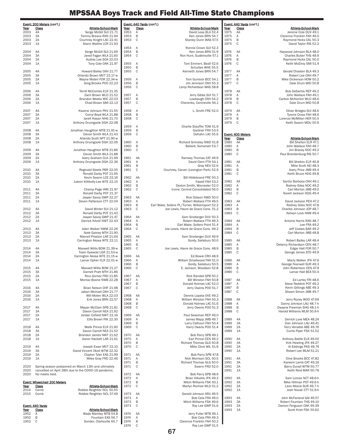|              | Event: 200 Meters (con't.)                                                                                    |              |                   | Event: 440 Yards (con't.)                         |              | Event: 440 Yards (con't.) |                                                         |
|--------------|---------------------------------------------------------------------------------------------------------------|--------------|-------------------|---------------------------------------------------|--------------|---------------------------|---------------------------------------------------------|
| Year         | Class<br><b>Athlete-School-Mark</b>                                                                           | Year         | Class             | Athlete-School-Mark                               | <u>Year</u>  | Class                     | Athlete-School-Mark                                     |
| 2003<br>2003 | 4A<br>Serge McGill SUI 21.71<br>3A<br>Tommy Breaux RAN 21.94                                                  | 1953<br>1953 | Α<br>B            | David Leas BLA 52.4<br>Ken Jones BRN 54.7         | 1975<br>1975 | AA<br>Α                   | Jerome Cole DUV 49.1<br>Clarence Franklin FAH 49.0      |
| 2003         | 2A<br>Courtney Knight LAC 22.41                                                                               | 1953         | $\mathbb C$       | Stanley Dunn WAS 57.5                             | 1975         | B                         | Raymond Hicks CAL 50.3                                  |
| 2003         | 1A<br>Stann Waithe LCR 21.93                                                                                  |              |                   |                                                   | 1975         | C                         | David Taylor RIS 52.2                                   |
|              |                                                                                                               | 1954         | Α                 | Ronnie Crown SUI 52.3                             |              |                           |                                                         |
| 2004<br>2004 | 4A<br>Serge McGill SUI 21.69<br>3A<br>Jared Fagan WLA 21.60                                                   | 1954<br>1954 | B<br>$\mathsf{C}$ | Ken Jones BRN 51.9<br>Ron Hunt, Sudlersville 57.1 | 1976<br>1976 | AA<br>Α                   | Haywood Johnson BLA 48.0<br>Charles Butler THS 48.9     |
| 2004         | 2A<br>Audrey Lee SOA 22.03                                                                                    |              |                   |                                                   | 1976         | B                         | Raymond Hicks CAL 50.0                                  |
| 2004         | 1A<br>Tony Cole OAK 21.97                                                                                     | 1955         | Α                 | Tom Emmert, Beall 52.6                            | 1976         | C                         | Keith McElroy SMI 51.4                                  |
|              |                                                                                                               | 1955         | B                 | Schuttes WHE 55.5                                 |              |                           |                                                         |
| 2005<br>2005 | 4A<br>Howard Bailey OXH 21.77<br>3A<br>Orlando Brown MVT 22.17-w                                              | 1955         | C                 | Kenneth Jones BRN 54.7                            | 1977<br>1977 | AA<br>Α                   | Gerald Chasten BLA 49.3<br>Robert Lee OXH 49.7          |
| 2005         | 2A<br>Wayne Moten FOR 22.34-w                                                                                 | 1956         | A                 | Tom Gunlock BCC 54.1                              | 1977         | B                         | Mike Dickerson HOW 50.2                                 |
| 2005         | Greg Brooks POO 22.23<br>1A                                                                                   | 1956         | B                 | Jim Jennison OXH 55.3                             | 1977         | C                         | Dale Drum MID 50.8                                      |
|              |                                                                                                               | 1956         | $\mathbb C$       | Leroy Richardson WAS 58.8                         |              |                           |                                                         |
| 2006<br>2006 | 4A<br>Terrill McCombs ELR 21.35<br>3A<br>Zach Brown WLD 21.52                                                 | 1957         | A                 | Jerry Gibbs SUI 51.7                              | 1978<br>1978 | AA<br>Α                   | Bob DeSantis REP 49.2<br>John Wallace FAH 49.1          |
| 2006         | 2A<br>Brandon Weeks WIC 22.03                                                                                 | 1957         | B                 | Lowbaugh OXH 54.2                                 | 1978         | B                         | Carlton McNorton WLD 48.6                               |
| 2006         | Chad Brown SMI 22.13<br>1A                                                                                    | 1957         | C                 | Cherenko, Centreville 56.1                        | 1978         | C                         | Dale Drum MID 50.8                                      |
|              |                                                                                                               |              |                   |                                                   |              |                           |                                                         |
| 2007<br>2007 | 4A<br>Kwame Johnson PKV 21.55<br>3A<br>Corryl Boyd WLA 21.88                                                  | 1958<br>1958 | Α<br>B            | L. Smith FRE 52.0                                 | 1979<br>1979 | AA<br>Α                   | Oliver Bridges SUI 48.6<br>Tyrone Cross FAH 48.6        |
| 2007         | 2A<br>Jarell Hasan NHG 21.70                                                                                  | 1958         | C                 |                                                   | 1979         | B                         | Lorenzo McMillan HER 50.5                               |
| 2007         | 1A<br>Anthony Drumgoole DGH 22.08                                                                             |              |                   |                                                   | 1979         | C                         | Keith Swann MDU 50.9                                    |
|              |                                                                                                               | 1959         | A                 | Charlie Stauffer TOW 51.9                         |              |                           |                                                         |
| 2008<br>2008 | 4A<br>Jonathan Haughton MTB 21.91-w<br>3A<br>Devon Smith WLA 21.43                                            | 1959<br>1959 | B<br>$\mathbb C$  | Gardner FRA 53.5<br>Dehahn LAC 55.6               |              | Event: 400 Meters         |                                                         |
| 2008         | 2A<br>Arlando Scott NPT 21.90-w                                                                               |              |                   |                                                   | Year         | Class                     | <b>Athlete-School-Mark</b>                              |
| 2008         | Anthony Drumgoole DGH 22.06<br>1A                                                                             | 1960         | Α                 | Richard Grimsley NWD 51.8                         | 1980         | AA                        | Bill Shelton ELR 47.1                                   |
|              |                                                                                                               | 1960         | B                 | Ballard, Somerset 53.7                            | 1980         | Α                         | John Wallace FAH 48.7                                   |
| 2009<br>2009 | 4A<br>Jonathan Haughton MTB 21.86<br>3A<br>Devon Smith WLA 21.88                                              | 1960         | C                 |                                                   | 1980<br>1980 | B<br>C                    | Jim Bracey NOC 49.2<br>Paul Brandenburg RIS 50.7        |
| 2009         | 2A<br>Avery Graham CLK 21.99                                                                                  | 1961         | AA                | Ramsey Thomas CAT 49.9                            |              |                           |                                                         |
| 2009         | 1A<br>Anthony Drumgoole DGH 22.36                                                                             | 1961         | Α                 | David Clem FTH 54.1                               | 1981         | AA                        | Bill Shelton ELR 46.8                                   |
|              |                                                                                                               | 1961         | B                 | Gray NEA 52.6                                     | 1981         | Α                         | Mike Scott AEI 48.3                                     |
| 2010<br>2010 | Reginald Steele PBR 22.05<br>4A<br>3A<br>Ronald Darby POT 21.95                                               | 1961         | $\mathbb C$       | Courtney, Carver (Lexington Park) 52.9            | 1981<br>1981 | B<br>C                    | Avery Price JMB 49.4<br>Keith Bruce HDG 49.8            |
| 2010         | 2A<br>Kevin Swann LCE 22.16                                                                                   | 1962         | AA                | Bill Hildebrand FRE 50.3                          |              |                           |                                                         |
| 2010         | 1A<br>Juleon Killikelly-Lee WTE 22.15                                                                         | 1962         | Α                 | Fawell FAH 53.2                                   | 1982         | AA                        | Santio Barbosa OXH 49.1                                 |
|              |                                                                                                               | 1962         | B                 | Dexton Smith, Worcester 52.0                      | 1982         | Α                         | Rodney Giles NOC 49.2                                   |
| 2011<br>2011 | 4A<br>Champ Page HWI 21.97<br>3A<br>Ronald Darby POT 21.37                                                    | 1962         | C                 | Irvine, Central Consolidated 56.0                 | 1982<br>1982 | B<br>C                    | Carl Morton JMB 49.0<br>Novell Jackson HDG 49.4         |
| 2011         | 2A<br>Jasper Savoy GWP 22.27                                                                                  | 1963         | AA                | Rick Gibson NWD 50.0                              |              |                           |                                                         |
| 2011         | 1A<br>Deven Patterson CTT 22.04                                                                               | 1963         | Α                 | Robert Wallace FTH 49.5                           | 1983         | AA                        | David Jackson PEH 47.2                                  |
|              |                                                                                                               | 1963         | B                 | Earl Wake, Sollers Pt./Turner, Williamsport 52.2  | 1983         | Α                         | Rodney Giles NOC 47.8                                   |
| 2012<br>2012 | 4A<br>David Winter SUI 21.12<br>3A<br>Ronald Darby POT 21.42                                                  | 1963         | $\mathbb C$       | Joe Lewis, Havre de Grace Cons. 51.2              | 1983<br>1983 | B<br>C                    | Charles Johnson JOP 48.7<br>Kelwyn Love HAM 49.4        |
| 2012         | 2A<br>Jasper Savoy GWP 21.47                                                                                  | 1964         | AA                | Sam Snoberger DUV 50.3                            |              |                           |                                                         |
| 2012         | 1A<br>Derrick Kitrell NWT 22.43                                                                               | 1964         | Α                 | Robert Wallace FTH 49.3                           | 1984         | AA                        | Antoine Harris RAN 48.7                                 |
|              |                                                                                                               | 1964         | B                 | Earl Wake, Sollers Point 51.4                     | 1984         | Α                         | Lee FRA 49.2                                            |
| 2013<br>2013 | 4A<br>Jalen Walker NWM 22.26<br>3A<br>Nate Gainey MTH 21.90                                                   | 1964         | C                 | Joe Lewis, Havre de Grace Cons. 49.2              | 1984<br>1984 | B<br>C                    | Jeff Coates BAR 49.2<br>Carl Morton JMB 48.8            |
| 2013         | 2A<br>Marcell Preston LAR 21.64                                                                               | 1965         | AA                | Sam Snoberger DUV 49.9                            |              |                           |                                                         |
| 2013         | 1A<br>Carrington Akosa WTE 22.11                                                                              | 1965         | Α                 | Gordy, Salisbury 50.0                             | 1985         | AA                        | Robert Bailey LAR 48.4                                  |
|              |                                                                                                               | 1965         | B                 |                                                   | 1985         | Α                         | Delancy Richardson CEN 48.7                             |
| 2014<br>2014 | Maxwell Willis BOW 21.39-w<br>4A<br>3A<br>Tosin Oyewole LGR 21.53-w                                           | 1965         | C                 | Joe Lewis, Havre de Grace Cons. 48.9              | 1985<br>1985 | B<br>C                    | Edgar Hall FOR 50.7<br>George James STD 49.9            |
| 2014         | 2A<br>Carrington Akosa WTE 21.15-w                                                                            | 1966         | AA                | Ed Bowie CRO 48.9                                 |              |                           |                                                         |
| 2014         | Lamar Opher CLR 22.01-w<br>1A                                                                                 | 1966         | Α                 | William Smallwood FAH 51.0                        | 1986         | AA                        | Marty Walker JFK 47.6                                   |
|              |                                                                                                               | 1966         | B                 | Gordy, Salisbury 50.5                             | 1986         | Α                         | George Fearwell SUR 49.3                                |
| 2015<br>2015 | Maxwell Willis BOW 21.27<br>4A<br>3A<br>Darnell Pratt MTH 21.86                                               | 1966         | $\mathsf{C}$      | E. Jackson, Woodson 52.8                          | 1986<br>1986 | B<br>C                    | John Robertson CEN 47.9<br>Lamar Hall BEA 50.4          |
| 2015         | 2A<br>Rico Gomez FRD 21.85                                                                                    | 1967         | AA                | Rick Randall SPB 50.2                             |              |                           |                                                         |
| 2015         | 1A<br>Montaz Boone NWB 22.28                                                                                  | 1967         | Α                 | Bill Winston FAH 50.8                             | 1987         | AA                        | Ed Lartey FRI 48.6                                      |
|              | Brian Nelson CHF 21.98                                                                                        | 1967         | B                 | Donald Holmes LAC 52.0                            | 1987         | Α                         | Steve Reddick POT 49.2                                  |
| 2016<br>2016 | 4A<br>3A<br>Jabari Michael OXH 21.77                                                                          | 1967         | C                 | Jerry Owens POO 51.7                              | 1987<br>1987 | В<br>C                    | Kevin Gittings ABE 49.3<br>Shawn Simon JMB 49.7         |
| 2016         | 2A<br>Will Moten WLA 22.03                                                                                    | 1968         | AA                | Dennis Lopata OVE 49.2                            |              |                           |                                                         |
| 2016         | Erik Jones BRN 22.57<br>1A                                                                                    | 1968         | Α                 | William Winston FAH 50.3                          | 1988         | AA                        | Jerry Roney WOO 47.69                                   |
|              |                                                                                                               | 1968         | B                 | Donald Holmes LAC 51.6                            | 1988         | Α                         | Danny Johnson LAU 48.7-h                                |
| 2017<br>2017 | 4A<br>Mayan McClain SPB 21.81<br>3A<br>Davon Carroll NEA 21.92                                                | 1968         | C                 | Jerry Owens POO 51.3                              | 1988<br>1988 | B<br>C                    | Dwayne Freeman SHG 48.1-h<br>Harold Williams MLM 50.9-h |
| 2017         | 2A<br>Jordan Cofield NWT 22.16                                                                                | 1969         | AA                | Paul Seesman REP 49.0                             |              |                           |                                                         |
| 2017         | Ellis Brown PIK 22.30<br>1A                                                                                   | 1969         | Α                 | James Mapp JMB 49.7                               | 1989         | 4A                        | Derrick Love MEA 48.24                                  |
|              |                                                                                                               | 1969         | B                 | Larry Calhoun FAH 50.4                            | 1989         | 3A                        | Dan Johnson LAU 49.41                                   |
| 2018<br>2018 | Malik Prince ELR 21.90<br>4A<br>3A<br>Davon Carroll NEA 21.52                                                 | 1969         | $\mathbb C$       | Harry Owens POO 51.4                              | 1989<br>1989 | 2A<br>1A                  | Terry Venable ABE 49.76<br>Curtis Piper FSK 51.52       |
| 2018         | Brandon James NWT 21.62<br>2A                                                                                 | 1970         | AA                | Bob Parry SPB 49.1                                |              |                           |                                                         |
| 2018         | Aaron Hackett LAR 21.61<br>1A                                                                                 | 1970         | Α                 | Earl Prince CEN 49.2                              | 1990         | 4A                        | Anthony Battle ELR 49.00                                |
|              |                                                                                                               | 1970         | B                 | Richard Thomas GLG 50.8                           | 1990         | 3A                        | Kirk Hewling JFK 49.27                                  |
| 2019<br>2019 | Joseph Ewan MVT 22.10<br>4A<br>3A<br>David Vincent Okoli WTM 22.32                                            | 1970         | $\mathbb C$       | Mike Cline WIL 51.9                               | 1990<br>1990 | 2A<br>1A                  | Al Eddings PKS 49.74<br>Robert Lee MLM 51.21            |
| 2019         | 2A<br>Clayton Tyler EAS 21.99                                                                                 | 1971         | AA                | Bob Parry SPB 47.8                                |              |                           |                                                         |
| 2019         | Miles Gray FRD 22.46<br>1A                                                                                    | 1971         | Α                 | Nick Morrison SCL 50.5                            | 1991         | 4A                        | Clive Brooks BCC 47.82                                  |
|              |                                                                                                               | 1971         | B                 | Richard Thomas GLG 50.0                           | 1991         | 3A                        | Kareem Lamb CAT 49.16                                   |
| 2020<br>2020 | Spring season postponed on March 13th and ultimately<br>cancelled on April 28th due to the COVID-19 pandemic. | 1971         | C                 | Swann FRD 52.0                                    | 1991<br>1991 | 2A<br>1A                  | Barry Duvall WTM 50.77<br>Keith Reid MAR 50.78          |
| 2020         | No meets held.                                                                                                | 1972         | AA                | Bob Parry SPB 48.6                                |              |                           |                                                         |
|              |                                                                                                               | 1972         | Α                 | Brian Vilkaitis JFK 49.2                          | 1992         | 4A                        | Sam Lomax NCT 48.6-h                                    |
|              | Event: Wheelchair 200 Meters                                                                                  | 1972         | B<br>$\mathsf{C}$ | Mitch Williams FSK 50.1                           | 1992         | 3A                        | Mike Hillman POT 49.6-h                                 |
| Year<br>2014 | Class<br><b>Athlete-School-Mark</b><br>Comb<br>Robbie Reightler NCL 50.55                                     | 1972         |                   | Marlyn Rochee WLD 51.2                            | 1992<br>1992 | 2A<br>1A                  | Leon Moore SUR 49.7-h<br>Josh Novak CTT 51.9-h          |
| 2015         | Robbie Reightler NCL 57.49<br>Comb                                                                            | 1973         | AA                | Gerald Johnson ARU 49.5                           |              |                           |                                                         |
|              |                                                                                                               | 1973         | Α                 | Bob Cela FRA 49.0                                 | 1993         | 4A                        | John McFarland GAI 49.57                                |
|              |                                                                                                               | 1973<br>1973 | B<br>C            | Mitch Williams FSK 49.6                           | 1993<br>1993 | 3A<br>2A                  | Robert Fountain THS 49.10                               |
| Year         | Event: 440 Yards<br>Class<br><b>Athlete-School-Mark</b>                                                       |              |                   | Ray Lee GWP 51.6                                  | 1993         | 1A                        | Damon Ferguson OAK 49.39<br>Scott Kriet FSK 50.62       |
| 1952         | Wade Markley MTB 54.8<br>Α                                                                                    | 1974         | AA                | Jerry Fuller MTB 49.1                             |              |                           |                                                         |
| 1952         | B<br>Fountain EAS 56.7                                                                                        | 1974         | Α                 | Bob Cela FRA 49.3                                 |              |                           |                                                         |
| 1952         | $\mathsf{C}$<br>Sonder, Clarksville 60.7                                                                      | 1974<br>1974 | B<br>C            | Clarence Franklin FAH 50.2<br>Ray Lee GWP 51.5    |              |                           |                                                         |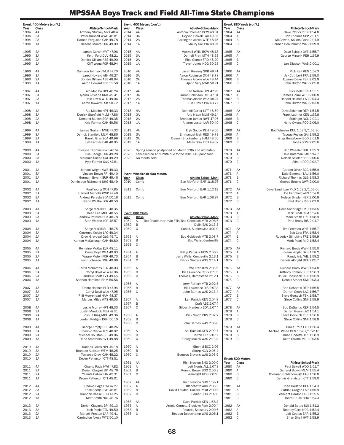|              | <u>Event: 400 Meters</u> (con't.) | Athlete-School-Mark                                    | Year         | Event: 400 Meters (con't.)<br>Class | Athlete-School-Mark                                                                                           |              | Event: 880 Yards (con't.) |                                                              |
|--------------|-----------------------------------|--------------------------------------------------------|--------------|-------------------------------------|---------------------------------------------------------------------------------------------------------------|--------------|---------------------------|--------------------------------------------------------------|
| Year<br>1994 | <b>Class</b><br>4A                | Anthony Stuckey MVT 48.4                               | 2014         | 4A                                  | Antonio Coleman BOW 48.01                                                                                     | Year<br>1964 | <b>Class</b><br>AA        | Athlete-School-Mark<br>Dave Patrick KEN 1:54.8               |
| 1994         | 3A                                | Peter Kimball WWH 48.81                                | 2014         | 3A                                  | Deyvon Howell LAC 49.35                                                                                       | 1964         | Α                         | Bob Thomas SPP 2:01.1                                        |
| 1994<br>1994 | 2A<br>1A                          | Damon Ferguson OAK 49.78<br>Desean Moore FOR 49.09     | 2014<br>2014 | 2A<br>1A                            | Carrington Akosa WTE 48.45<br>Maury Sall PIK 48.97                                                            | 1964<br>1964 | B<br>C                    | McGowan, Sollers Point 2:01.9<br>Reuben Beauchamp WAS 1:59.9 |
|              |                                   |                                                        |              |                                     |                                                                                                               |              |                           |                                                              |
| 1995         | 4A                                | James Carter MVT 47.96                                 | 2015         | 4A                                  | Maxwell Willis BOW 48.18                                                                                      | 1965         | AA                        | Dave Schultz OVE 1:55.7                                      |
| 1995<br>1995 | 3A<br>2A                          | Keith Ford DUV 48.21<br>Dondre Gilliam ABE 49.90       | 2015<br>2015 | 3A<br>2A                            | Darnell Pratt MTH 48.53<br>Rico Gomez FRD 48.29                                                               | 1965<br>1965 | Α<br>$\mathsf B$          | George Minarik PEH 1:57.9                                    |
| 1995         | 1A                                | Cliff Wong FOR 48.94                                   | 2015         | 1A                                  | Trevon Jones NOG 50.23                                                                                        | 1965         | $\mathsf{C}$              | Jan Eliasson WAS 2:00.1                                      |
|              |                                   |                                                        |              |                                     |                                                                                                               |              |                           |                                                              |
| 1996         | 4A                                | Dameon Johnson WLB 47.70                               | 2016         | 4A<br>3A                            | Jacari Ramsey SPB 49.41                                                                                       | 1966         | AA                        | Rick Kell KEN 1:57.3                                         |
| 1996<br>1996 | 3A<br>2A                          | Jared Howard ATH 49.27<br>Dondre Gilliam ABE 48.84     | 2016<br>2016 | 2A                                  | Aaron Robinson OXH 48.78<br>Thomas Alcorn WLA 48.44                                                           | 1966<br>1966 | Α<br>$\sf B$              | Jay Cuthbert FRA 1:59.0<br>Eugene Dean FSK 2:02.9            |
| 1996         | 1A                                | Aaron Howard FSK 51.58                                 | 2016         | 1A                                  | Ajahn Very NWB 50.71                                                                                          | 1966         | $\mathbb C$               | John Britton WAS 2:05.0                                      |
| 1997         | 4A                                | Ato Modibo HPT 46.24                                   | 2017         | 4A                                  | Ken Nelson HPT 47.99                                                                                          | 1967         | AA                        | Rick Kell KEN 1:55.1                                         |
| 1997         | 3A                                | Ajamu Kitwana RMT 49.41                                | 2017         | 3A                                  | Aaron Robinson OXH 47.81                                                                                      | 1967         | Α                         | James Goure WCH 2:00.8                                       |
| 1997         | 2A                                | Dain Lewis WLD 49.06                                   | 2017         | 2A                                  | Thomas Alcorn WLA 48.74                                                                                       | 1967         | $\sf B$                   | Donald Holmes LAC 2:04.3                                     |
| 1997         | 1A                                | Aaron Howard FSK 50.72                                 | 2017         | 1A                                  | Ellis Brown PIK 48.77                                                                                         | 1967         | $\mathbb C$               | John Britton WAS 2:03.8                                      |
| 1998         | 4A                                | Ato Modibo HPT 46.33                                   | 2018         | 4A                                  | Donnell Carter NPT 48.50                                                                                      | 1968         | AA                        | Dave Solomon REP 1:54.5                                      |
| 1998         | 3A                                | Derrick Stanfield MLM 47.86                            | 2018         | 3A                                  | Ariq Nixon MLM 49.14                                                                                          | 1968         | Α                         | Frank Latimer CEN 1:57.8                                     |
| 1998<br>1998 | 2A<br>1A                          | Demond Mullen SOA 49.35<br>Kyle Farmer OAK 49.56       | 2018<br>2018 | 2A<br>1A                            | Brandon James NWT 47.96<br>Aharon Luster LAR 50.40                                                            | 1968<br>1968 | B<br>C                    | Eridinger NCL 2:02.1<br>Harry Owens POO 2:06.0               |
|              |                                   |                                                        |              |                                     |                                                                                                               |              |                           |                                                              |
| 1999         | 4A                                | James Graham NWE 47.32                                 | 2019         | 4A                                  | Eryk Goode PEH 49.66                                                                                          | 1969         | AA                        | Bob Wheeler DUL 1:52.9/1:52.3c                               |
| 1999<br>1999 | 3A<br>2A                          | Derrick Stanfield MLM 48.86<br>Karold Gray SOA 49.99   | 2019<br>2019 | 3A<br>2A                            | Emmanuel Ibeh RES 49.73<br>Damon Brockenberry HAM 48.66                                                       | 1969<br>1969 | Α<br>$\sf B$              | Tacque Peyton GAI 1:59.2<br>Greg Huntsberry BOO 2:01.8       |
| 1999         | 1A                                | Kyle Farmer OAK 48.85                                  | 2019         | 1A                                  | Miles Gray FRD 49.02                                                                                          | 1969         | $\mathbb C$               | Jones SOM 2:05.6                                             |
|              |                                   |                                                        |              |                                     |                                                                                                               |              |                           |                                                              |
| 2000<br>2000 | 4A<br>3A                          | Dwayne Thomas NWE 47.74<br>Luis George LGR 49.28       | 2020<br>2020 |                                     | Spring season postponed on March 13th and ultimately<br>cancelled on April 28th due to the COVID-19 pandemic. | 1970<br>1970 | AA<br>Α                   | Bob Wheeler DUL 1:55.3<br>Dale Bateman LAU 1:47.7            |
| 2000         | 2A                                | Marques Sneed CAT 49.29                                | 2020         | No meets held.                      |                                                                                                               | 1970         | B                         | Nelson Snyder HER 2:00.6                                     |
| 2000         | 1A                                | Kyle Farmer OAK 47.81                                  |              |                                     |                                                                                                               | 1970         | C                         | Allnutt POO 2:02.7                                           |
| 2001         | 4A                                | Jamaal Wright NWE 49.33                                |              |                                     |                                                                                                               | 1971         | AA                        | Gordon Oliver BCC 1:55.9                                     |
| 2001         | 3A                                | Vincent Brown FRI 49.40                                |              | <b>Event: Wheelchair 400 Meters</b> |                                                                                                               | 1971         | Α                         | Dale Bateman LAU 1:56.0                                      |
| 2001         | 2A                                | Germain Bryant SUR 49.46                               | Year         | <b>Class</b>                        | <b>Athlete-School-Mark</b>                                                                                    | 1971         | B                         | Richard Thomas GLG 1:58.3                                    |
| 2001         | 1A                                | Dominique Richmond SHG 48.49                           | 2010         | Comb                                | Ben Mayforth BAR 1:18.76                                                                                      | 1971         | $\mathbb C$               | George Brooks GWP 2:00.0                                     |
| 2002         | 4A                                | Paul Young OXH 47.85                                   | 2011         | Comb                                | Ben Mayforth BAR 1:12.19                                                                                      | 1972         | AA                        | Dave Sandridge PKD 1:53.2/1:52.6c                            |
| 2002         | 3A<br>2A                          | Herbert Nicholls GWP 47.48<br>Andrew Peresta SOA 50.18 | 2012         | Comb                                |                                                                                                               | 1972         | Α<br>$\sf B$              | Joe Farinholt WES 1:57.0                                     |
| 2002<br>2002 | 1A                                | Stann Waithe LCR 48.50                                 |              |                                     | Ben Mayforth BAR 1:08.87                                                                                      | 1972<br>1972 | $\mathbb C$               | Nelson Snyder HER 2:00.9<br>Paul Brady RIS 2:03.0            |
|              |                                   |                                                        |              |                                     |                                                                                                               |              |                           |                                                              |
| 2003         | 4A<br>3A                          | Serge McGill SUI 48.35                                 |              | Event: 880 Yards                    |                                                                                                               | 1973<br>1973 | AA<br>Α                   | Dave Sandridge PKD 1:53.5                                    |
| 2003<br>2003 | 2A                                | Dean Lee MDU 48.55<br>Andrew Peresta SOA 48.78         | Year         | Class                               | <b>Athlete-School-Mark</b>                                                                                    | 1973         | B                         | Jack Bindl CZM 1:57.6<br>Mark Smith FRE 1:58.9               |
| 2003         | 1A                                | Stan Waithe LCR 48.57                                  | 1952         | Α                                   | (Tie) Charlie Hartman FTH/Bob Goldbach MTB 2:08.6                                                             | 1973         | C                         | Paul Brady RIS 2:01.7                                        |
| 2004         | 4A                                |                                                        | 1952<br>1952 | B<br>$\mathsf{C}$                   | Dulin EAS 2:13.3                                                                                              | 1974         | AA                        |                                                              |
| 2004         | 3A                                | Serge McGill SUI 48.75<br>Courtney Knight LAC 49.34    |              |                                     | Cahall, Sudlersville 3:01.9                                                                                   | 1974         | Α                         | Jim Peterson WHE 1:55.7<br>Bob Cela FRA 1:58.4               |
| 2004         | 2A                                | Drew Graybeal GLG 49.71                                | 1953         | Α                                   | Bob Goldbach MTB 2:08.7                                                                                       | 1974         | $\sf B$                   | Roderick Simpkins FRE 1:59.9                                 |
| 2004         | 1A                                | Karlton McCullough OAK 49.80                           | 1953<br>1953 | B<br>$\mathsf{C}$                   | Bob Walls, Centreville                                                                                        | 1974         | C                         | Mark Pearl MID 1:58.4                                        |
| 2005         | 4A                                | Romaine McKay ELR 48.11                                |              |                                     |                                                                                                               | 1975         | AA                        | Richard Brody WWH 1:55.0                                     |
| 2005         | 3A                                | Corryl Boyd WLA 49.63                                  | 1954         | Α                                   | Phillip Parisius HOW 2:06.9                                                                                   | 1975         | Α                         | Glenn Wright OXH 1:58.2                                      |
| 2005<br>2005 | 2A<br>1A                          | Wayne Moten FOR 49.73<br>Kevin Johnson DGH 49.68       | 1954<br>1954 | B<br>$\mathsf{C}$                   | Jerry Walls, Centreville 2:13.1<br>Patrick Walters WAS 2:14.1                                                 | 1975<br>1975 | B<br>C                    | Randy Artz WIL 1:59.2<br>Dennis Albright BEA 2:05.7          |
|              |                                   |                                                        |              |                                     |                                                                                                               |              |                           |                                                              |
| 2006         | 4A                                | Terrill McCombs ELR 48.03                              | 1955         | Α                                   | Pete Fritz TOW 2:05.5                                                                                         | 1976         | AA                        | Richard Brody WWH 1:54.8                                     |
| 2006<br>2006 | 3A<br>2A                          | Corryl Boyd WLA 47.96<br>Andrew Scott EVT 49.45        | 1955<br>1955 | B<br>$\mathbb C$                    | Bill Lawrence RIS 2:07.05<br>Thomas, Hampstead 2:12.1                                                         | 1976<br>1976 | Α<br>B                    | Anthony Ehman SUR 1:56.3<br>Chuck Driesnack CEN 1:56.9       |
| 2006         | 1A                                | Saphon Hamilton BHM 50.56                              |              |                                     |                                                                                                               | 1976         | C                         | Dennis Stoner SMI 2:03.3                                     |
|              |                                   |                                                        | 1956         | Α                                   | Jerry Raftery MTB 2:02.5                                                                                      |              |                           |                                                              |
| 2007<br>2007 | 4A<br>3A                          | Donte Holmes ELR 47.94<br>Corryl Boyd WLA 47.95        | 1956<br>1956 | B<br>$\mathsf{C}$                   | Bill Lawrence RIS 2:07.3<br>John Barnes WAS 2:13.4                                                            | 1977<br>1977 | AA<br>Α                   | Bob DeSantis REP 1:56.5<br>Darren Geary LAC 1:56.7           |
| 2007         | 2A                                | Phil Moorehead HAM 48.37                               |              |                                     |                                                                                                               | 1977         | B                         | Steve Gorsuch FSK 1:58.7                                     |
| 2007         | 1A                                | Marcus Miles WAS 49.55                                 | 1957<br>1957 | Α<br>B                              | Len Patrick KEN 2:04.8<br>Craft ABE 2:07.4                                                                    | 1977         | $\mathsf{C}$              | Steve Collins SMI 1:59.9                                     |
| 2008         | 4A                                | Leslie Murray HPT 48.33                                | 1957         | $\mathsf{C}$                        | Gilbert Hardesty SOA 2:07.4                                                                                   | 1978         | AA                        | Bob DeSantis REP 1:54.5                                      |
| 2008         | 3A                                | Justin Murdock MEA 47.51                               |              |                                     |                                                                                                               | 1978         | Α                         | Darren Geary LAC 1:54.1                                      |
| 2008<br>2008 | 2A<br>1A                          | Joshua King MDU 49.36<br>Jordan Pridgen DGH 50.10      | 1958<br>1958 | Α<br>B                              | Dick Smith PKV 2:02.2                                                                                         | 1978<br>1978 | $\sf B$<br>C              | Steve Gorsuch FSK 1:56.6<br>Steve Collins SMI 1:58.8         |
|              |                                   |                                                        | 1958         | $\mathsf{C}$                        | John Barnes WAS 2:06.8                                                                                        |              |                           |                                                              |
| 2009         | 4A                                | George Empty CHF 48.26                                 |              |                                     |                                                                                                               | 1979         | AA                        | Bruce Trout LAU 1:56.4                                       |
| 2009<br>2009 | 3A<br>2A                          | Dominic Clarke TUS 48.92<br>Micheal Houston BPI 49.06  | 1959<br>1959 | Α<br>B                              | Sal Rainiori KEN 2:99.7<br>Herron ELK 2:07.7                                                                  | 1979<br>1979 | Α<br>B                    | Michael White CEN 1:52.7/1:52.1c<br>Brian Godette JFK 1:58.9 |
| 2009         | 1A                                | Dana Smothers HVT 49.88                                | 1959         | C                                   | Gordy Moiles WAS 2:13.3                                                                                       | 1979         | C                         | Keith Swann MDU 2:03.5                                       |
|              |                                   |                                                        |              |                                     |                                                                                                               |              |                           |                                                              |
| 2010<br>2010 | 4A<br>3A                          | Randall Gross NPT 49.18<br>Brandon Addison WTM 48.25   | 1960<br>1960 | Α<br>B                              | Gimmel BCC 2:06<br>Sharp NCN 2:05.4                                                                           |              |                           |                                                              |
| 2010         | 2A                                | Terrance Drew OAK 48.22                                | 1960         | $\mathsf C$                         | Burgess Blevens WAS 2:05.9                                                                                    |              |                           |                                                              |
| 2010         | 1A                                | Deven Patterson CTT 48.51                              |              |                                     |                                                                                                               |              | Event: 800 Meters         |                                                              |
| 2011         | 4A                                | Champ Page HWI 47.82                                   | 1961<br>1961 | AA<br>Α                             | Rich Newton SHG 2:00.0<br>Jeff Norris ALL 2:07.3                                                              | Year<br>1980 | <b>Class</b><br>AA        | Athlete-School-Mark<br>Paul Sewell WOO 1:51.7                |
| 2011         | 3A                                | Dorian Clagget BPI 48.76                               | 1961         | B                                   | Ronald Bower BOO 2:06.2                                                                                       | 1980         | Α                         | Garland Brown MLM 1:55.4                                     |
| 2011         | 2A                                | Yelnats Calvin LAN 49.31                               | 1961         | $\mathsf{C}$                        | Wainright HDG 2:07.0                                                                                          | 1980         | B                         | Coleman Goldsborough EAS 1:58.8                              |
| 2011         | 1A                                | Deven Patterson CTT 48.01                              | 1962         | AA                                  | Rich Newton SHG 1:55.1                                                                                        | 1980         | C                         | Dennis Grandstaff CTT 1:59.0                                 |
| 2012         | 4A                                | Champ Page HWI 47.27                                   | 1962         | Α                                   | Blanchette ARU 2:05.5                                                                                         | 1981         | AA                        | Brian Garland BLA 1:54.3                                     |
| 2012         | 3A                                | Erick Soetje RVH 48.81                                 | 1962         | B                                   | David Louden, Sollers Point 2:00.6                                                                            | 1981         | Α                         | Patrick Gragan LAP 1:55.9                                    |
| 2012<br>2012 | 2A<br>1A                          | Brandon Chase EDG 47.25<br>Matt Smith NCL 48.76        | 1962         | $\mathsf{C}$                        | Parker HDG 2:09.0                                                                                             | 1981<br>1981 | $\sf B$<br>C              | Vencent Gardon EDG 1:55.5<br>Keith Bruce HDG 1:57.3          |
|              |                                   |                                                        | 1963         | AA                                  | Dave Patrick KEN 1:58.3                                                                                       |              |                           |                                                              |
| 2013         | 4A<br>3A                          | Dorian Claggett BPI 49.13                              | 1963         | Α<br>B                              | Arnold Cornett, Brooklyn Park 2:00.4                                                                          | 1982         | AA                        | Donald Battle SUI 1:51.2                                     |
| 2013         |                                   | Josh Poole CTN 49.50                                   | 1963         |                                     | Rounds, Salisbury 2:00.6                                                                                      | 1982         | Α<br>$\sf B$              | Rodney Giles NOC 1:52.4                                      |
| 2013         | 2A                                | Marcell Preston LAR 49.41                              | 1963         | $\mathsf{C}$                        | Reuben Beauchamp WAS 2:05.1                                                                                   | 1982         |                           | Jeff Coates BAR 1:55.2                                       |
| 2013         | 1A                                | Carrington Akosa WTE 50.10                             |              |                                     |                                                                                                               | 1982         | C                         | Brian Shell HVT 1:58.9                                       |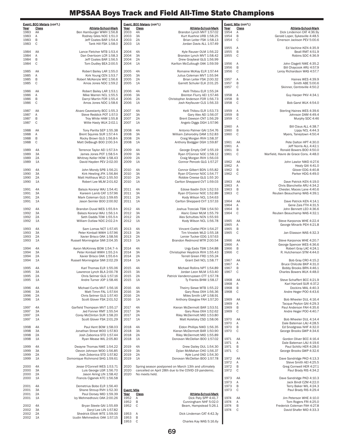|                            | Event: 800 Meters (con't.) |                                                             |              | Event: Mile (con't.) |                                                               |
|----------------------------|----------------------------|-------------------------------------------------------------|--------------|----------------------|---------------------------------------------------------------|
| Year                       | <u>Class</u>               | Athlete-School-Mark                                         | Year         | <u>Class</u>         | <u>Athlete-School-Mark</u>                                    |
| 2003                       | 4Α                         | Brandon Lynch MVT 1:57.02                                   | 1954         | Α                    | Dick Lindemon CAT 4:36.9y                                     |
| 2003<br>2003               | ЗΑ<br>2A                   | Kurt Kuehne URB 1:58.25<br>Brian Leiter FSK 1:58.13         | 1954<br>1954 | В<br>C               | Gerald Loper, Sykesville 4:48.5<br>Emerson Jackson PEV 5:00.6 |
| 2003                       | 1A                         | Jordan Davis ALL 1:57.49                                    |              |                      |                                                               |
|                            |                            |                                                             | 1955         | Α                    | Ed Vachine KEN 4:35.9                                         |
| 2004<br>2004               | 4A<br>ЗΑ                   | Kyle Rauser OLM 1:56.22<br>Brandon Lynch MVT 1:58.42        | 1955<br>1955 | В<br>C               | Beall RMT 4:51.9<br>Robins SDC 4:36.9                         |
| 2004                       | 2Α                         | Drew Graybeal GLG 1:56.99                                   |              |                      |                                                               |
| 2004                       | 1A                         | Karlton McCullough OAK 1:59.59                              | 1956         | Α                    | John Clagett NWE 4:35.2                                       |
|                            |                            |                                                             | 1956         | В                    | Bill Chaycook ARU 4:57.9                                      |
| 2005<br>2005               | 4A<br>ЗΑ                   | Romaine McKay ELR 1:57.44<br>Julius Coleman MVT 1:55.94     | 1956         | C                    | Leroy Richardson WAS 4:57.7                                   |
| 2005                       | 2A                         | Brian Leiter FSK 2:00.32                                    | 1957         | Α                    | Haines WES 4:39.9                                             |
| 2005                       | 1A                         | Garrett Schuler ELK 2:01.25                                 | 1957         | B                    | Smith ABE 5:00.6                                              |
|                            | 4A                         | Kelli Thibou ELR 1:55.24                                    | 1957         | C                    | Skinner, Centreville 4:50.2                                   |
| 2006<br>2006               | ЗΑ                         | Brenton Flurry AEI 1:57.46                                  | 1958         | Α                    | Guy Harper PKV 4:34.1                                         |
| 2006                       | 2A                         | Christopher Anderson FOR 1:56.73                            | 1958         | В                    |                                                               |
| 2006                       | 1A                         | Josh Keyfauver CLS 1:56.33                                  | 1958         | C                    | Bob Garst WLK 4:54.0                                          |
| 2007                       | 4A                         | Kelli Thibou ELR 1:53.73                                    | 1959         | Α                    | Sterling Haines WES 4:39.6                                    |
| 2007                       | ЗΑ                         | Gary Alex AEI 1:56.07                                       | 1959         | В                    | Johnson DAM 4:49.4                                            |
| 2007                       | 2A                         | Brent Dawson CNT 1:56.29                                    | 1959         | C                    | Murphy SDC 4:46                                               |
| 2007                       | 1A                         | Angelo Diggs DGH 1:57.96                                    | 1960         | Α                    | Bill Claus ALL 4:38.7                                         |
| 2008                       | 4A                         | Antonio Palmer GAI 1:54.76                                  | 1960         | B                    | Lippy NCL 4:44.3                                              |
| 2008                       | ЗΑ                         | William Zahorodny DAM 1:52.83                               | 1960         | C                    | Myers, Taneytown 4:50.4                                       |
| 2008                       | 2A                         | Craig Morgan RVH 1:58.37                                    |              |                      |                                                               |
| 2008                       | 1A                         | Anthony Bodgger DGH 1:59.87                                 | 1961<br>1961 | AA<br>Α              | Pete Dalton HPT 4:30.0<br>Jeff Norris ALL 4:42.1              |
| 2009                       | 4A                         | George Empty CHF 1:55.19                                    | 1961         | В                    | Ronald Bowers BOO 4:50.0                                      |
| 2009                       | ЗΑ                         | Ryan O'Connor NOC 1:58.12                                   | 1961         | C                    | Warfield, Havre de Grace Cons. 4:48.0                         |
| 2009                       | 2Α                         | Craig Morgan RVH 1:56.03                                    |              |                      |                                                               |
| 2009                       | 1A                         | Connor Pencek GLG 1:57.27                                   | 1962<br>1962 | AA<br>A              | John Lawlor NWD 4:27.6                                        |
| 2010                       | 4A                         | Connor Gilbert BDN 1:55.82                                  | 1962         | В                    | Healy GAI 4:41.0<br>Glover EDG 4:40.8                         |
| 2010                       | ЗA                         | Ryan O'Connor NOC 1:54.77                                   | 1962         | C                    | Parker HDG 4:49.0                                             |
| 2010                       | 2A                         | Robbie Creese GLG 1:55 20                                   |              |                      |                                                               |
| 2010                       | 1A                         | Carlton Sheppard CVT 1:59.03                                | 1963<br>1963 | AA<br>Α              | Dave Patrick KEN 4:19.0<br>Chris Blanchette ARU 4:34.2        |
| 2011                       | 4A                         | Edose Ibadin DUV 1:52.53                                    | 1963         | В                    | Chester, Maces Lane 4:40.6                                    |
| 2011                       | ЗA                         | Ryan O'Connor NOC 1:52.89                                   | 1963         | C                    | Reuben Beauchamp WAS 4:39.1                                   |
| 2011                       | 2A                         | Kody Wilson NCL 1:54.63                                     |              |                      |                                                               |
| 2011                       | 1A                         | Carlton Sheppard CVT 1:57.33                                | 1964<br>1964 | AA<br>Α              | Dave Patrick KEN 4:14.1<br>Gene Zais FTH 4:31.5               |
| 2012                       | 4A                         | Joshua Trzeciak TSW 1:54.50                                 | 1964         | В                    | John Bennett LEO 4:36.6                                       |
| 2012                       | ЗA                         | Alaric Coker MLM 1:55.79                                    | 1964         | C                    | Reuben Beauchamp WAS 4:32.1                                   |
| 2012                       | 2A<br>1A                   | Alex Schulties NCN 1:55.93                                  |              | AA                   |                                                               |
| 2012                       |                            | Kody Wilson NCL 1:56.78                                     | 1965<br>1965 | Α                    | Steve Karponos WHE 4:22.4<br>George Minarik PEH 4:21.8        |
| 2013                       | 4A                         | Vincent Ciattei PEH 1:54.27                                 | 1965         | В                    |                                                               |
| 2013                       | ЗA                         | Tim Virostek WLD 1:55.18                                    | 1965         | C                    | Jan Eliasson WAS 4:32.3                                       |
| 2013<br>2013               | 2A<br>1A                   | Lenier Tucker EDG 1:57.63<br>Brandon Redmond MTR 2:00.54    | 1966         | AA                   | Steve Karponos WHE 4:20.7                                     |
|                            |                            |                                                             | 1966         | Α                    | George Spencer WES 4:36.6                                     |
| 2014                       | 4A                         | Urgy Eado TSW 1:54.88                                       | 1966         | В                    | Robert Gray LAC 4:24.1                                        |
| 2014                       | ЗA                         | Christopher Heydrick RVH 1:55.43                            | 1966         | C                    | R. Hutchenson STM 4:44.0                                      |
| 2014<br>2014               | 2A<br>1A                   | Terrell Green FRD 1:55.24<br>Grant Dell NCL 1:58.77         | 1967         | AA                   | Bob Gray CRO 4:15.2                                           |
|                            |                            |                                                             | 1967         | Α                    | Bruce Chilcote BKP 4:31.0                                     |
| 2015                       | 4A                         | Michael Rollins NPT 1:54.89                                 | 1967         | B                    | Bobby Brooks BRN 4:46.1                                       |
| 2015                       | ЗΑ                         | Jordan Leon MLM 1:53.40                                     | 1967         | C                    | Charles Bowers WLK 4:48.0                                     |
| 2015<br>2015               | 2Α<br>1A                   | Patrick Vandercruyssen CTT 1:57.78<br>Ty Franks BHM 1:58.17 | 1968         | AA                   | Steve Schaffert BCC 4:21.9                                    |
|                            |                            |                                                             | 1968         | A                    | Karl Hartzell SUR 4:37.2                                      |
| 2016                       | 4A                         | Theirry Siewe MTB 1:55.22                                   | 1968         | В                    | Dockins MAL 4:40.3                                            |
| 2016                       | ЗΑ                         | Gary Ross OXH 1:56.36                                       | 1968         | С                    | Andre Heger POO 4:43.6                                        |
| 2016<br>2016               | 2A<br>1Α                   | Miles Smith LAP 1:58.91<br>Anthony Glasgow FAH 1:57.20      | 1969         | AA                   | Bob Wheeler DUL 4:16.4                                        |
|                            |                            |                                                             | 1969         | Α                    | Tacque Peyton GAI 4:29.3                                      |
| 2017                       | 4A                         | Kieran McDermott BAR 1:53.51                                | 1969         | В                    | Paul Anderson FAH 4:35.6                                      |
| 2017                       | ЗΑ                         | Gary Ross OXH 1:52.62                                       | 1969         | С                    | Andre Heger POO 4:40.7                                        |
| 2017<br>2017               | 2A<br>1A                   | Riley McDermott MID 1:53.80<br>Matt Koletsky CSD 1:58.06    | 1970         | AA                   | Bob Wheeler DUL 4:14.4                                        |
|                            |                            |                                                             | 1970         | Α                    | Dale Bateman LAU 4:28.5                                       |
| 2018                       | 4A                         | Eldon Phillips NWD 1:56.35                                  | 1970         | В                    | Ed Snodgrass NHF 4:32.0                                       |
| 2018<br>2018               | ЗΑ<br>2Α                   | Kieran McDermott BAR 1:50.90<br>Riley McDermott MID 1:55.89 | 1970         | С                    | George Brooks GWP 4:34.6                                      |
| 2018                       | 1A                         | Donovan McClellan BOO 1:57.02                               | 1971         | AA                   | Gordon Oliver BCC 4:16.4                                      |
|                            |                            |                                                             | 1971         | Α                    | Dale Bateman LAU 4:19.6                                       |
| 2019                       | 4A                         | Drew Dailey DUL 1:54.30                                     | 1971         | В                    | Paul Schlitz HER 4:28.0                                       |
| 2019<br>2019               | ЗΑ<br>2A                   | Dylan McMahan CHO 1;56.37<br>Kyle Lund OAD 1:54.30          | 1971         | С                    | George Brooks GWP 4:32.6                                      |
| 2019                       | 1A                         | Donovan McClellan BOO 1:57.78                               | 1972         | AA                   | Dave Sandridge PKD 4:13.3                                     |
|                            |                            |                                                             | 1972         | Α                    | Steve Smith AEI 4:25.5                                        |
| 2020                       |                            | Spring season postponed on March 13th and ultimately        | 1972         | В                    | Greg Cornwell HER 4:27.1                                      |
| 2020<br>2020               | No meets held.             | cancelled on April 28th due to the COVID-19 pandemic.       | 1972         | С                    | Paul Brady RIS 4:34.2                                         |
|                            |                            |                                                             | 1973         | AA                   | Dave Sandridge PKD 4:10.3                                     |
|                            |                            |                                                             | 1973         | Α                    | Jack Bindl CZM 4:22.0                                         |
|                            |                            |                                                             | 1973         | В                    | Terry Baker WIL 4:24.3                                        |
| <u>Event: Mile</u><br>Year | <u>Class</u>               | Athlete-School-Mark                                         | 1973         | С                    | Paul Brady RIS 4:29.4                                         |
| 1952                       | Α                          | Dick Paty SPP 4:41.7                                        | 1974         | AA                   | Jim Peterson WHE 4:10.0                                       |
| 1952                       | В                          | Cunningham NHF 5:02.0                                       | 1974         | Α                    | Tom Rogers FRI 4:25.0                                         |
| 1952                       | C                          | Beam, Hampstead 5:26.1                                      | 1974<br>1974 | В<br>С               | Frederick Coleman FAH 4:27.8<br>David Shafer MID 4:33.3       |
| 1953                       | A                          | Dick Lindeman CAT 4:42.3y                                   |              |                      |                                                               |
| 1953                       | B                          |                                                             |              |                      |                                                               |
| 1953                       | С                          | Charles Kay WAS 5:16.6y                                     |              |                      |                                                               |

|              | Event: 800 Meters (con't.) |                                                          |                    | Event: 800 Meters (con't.) |                                                                |
|--------------|----------------------------|----------------------------------------------------------|--------------------|----------------------------|----------------------------------------------------------------|
| Year         | <u>Class</u>               | Athlete-School-Mark                                      | Year               | <u>Class</u>               | Athlete-School-Mark                                            |
| 1983<br>1983 | AA<br>Α                    | Ben Hamburger WWH 1:56.8<br>Rodney Giles NOC 1:51.0      | 2003<br>2003       | 4A<br>3A                   | Brandon Lynch MVT 1:57.02<br>Kurt Kuehne URB 1:58.25           |
| 1983         | В                          | Jeff Coates BAR 1:54.4                                   | 2003               | 2A                         | Brian Leiter FSK 1:58.13                                       |
| 1983         | C                          | Tank Hill FSK 1:58.0                                     | 2003               | 1A                         | Jordan Davis ALL 1:57.49                                       |
| 1984         | AA                         | Lance Fletcher MTB 1:53.4                                | 2004               | 4A                         | Kyle Rauser OLM 1:56.22                                        |
| 1984<br>1984 | Α<br>B                     | Dan Overtoom LCR 1:58.3<br>Jeff Coates BAR 1:56.5        | 2004<br>2004       | 3A<br>2A                   | Brandon Lynch MVT 1:58.42<br>Drew Graybeal GLG 1:56.99         |
| 1984         | С                          | Tom Dudley BEA 2:00.5                                    | 2004               | 1A                         | Karlton McCullough OAK 1:59.59                                 |
| 1985         | AA                         | Robert Bailey LAR 1:55.0                                 | 2005               | 4A                         | Romaine McKay ELR 1:57.44                                      |
| 1985         | Α                          | Kirk Young CEN 1:53.7                                    | 2005               | 3A                         | Julius Coleman MVT 1:55.94                                     |
| 1985<br>1985 | B<br>С                     | Robert McKenzie WIC 1:56.6<br>Amos Jones NDC 1:59.2      | 2005<br>2005       | 2A<br>1A                   | Brian Leiter FSK 2:00.32<br>Garrett Schuler ELK 2:01.25        |
| 1986         | AA                         | Robert Bailey LAR 1:53.1                                 | 2006               | 4A                         | Kelli Thibou ELR 1:55.24                                       |
| 1986         | $\mathsf{A}$               | Mike Warren NCL 1:55.5                                   | 2006               | 3A                         | Brenton Flurry AEI 1:57.46                                     |
| 1986<br>1986 | B<br>C                     | Darryl Martin FOR 1:55.4<br>Amos Jones NDC 1:58.6        | 2006<br>2006       | 2A<br>1A                   | Christopher Anderson FOR 1:56.73<br>Josh Keyfauver CLS 1:56.33 |
| 1987         | AA                         | Alvaro Cavestanty BCC 1:55.3                             | 2007               | 4A                         | Kelli Thibou ELR 1:53.73                                       |
| 1987         | Α                          | Steve Reddick POT 1:57.0                                 | 2007               | 3A                         | Gary Alex AEI 1:56.07                                          |
| 1987         | В                          | Troy White HAM 1:55.8                                    | 2007               | 2A                         | Brent Dawson CNT 1:56.29                                       |
| 1987         | С                          | Willie Hasty WLK 2:02.1                                  | 2007               | 1A                         | Angelo Diggs DGH 1:57.96                                       |
| 1988<br>1988 | AA<br>Α                    | Tony Parilla SEP 1:55.38<br>Brent Squires SUR 1:57.4-h   | 2008<br>2008       | 4A<br>3A                   | Antonio Palmer GAI 1:54.76<br>William Zahorodny DAM 1:52.83    |
| 1988         | B                          | Rocky Brown GLG 1:56.8-h                                 | 2008               | 2A                         | Craig Morgan RVH 1:58.37                                       |
| 1988         | C                          | Matt DeBaugh B00 2:00.3-h                                | 2008               | 1A                         | Anthony Bodgger DGH 1:59.87                                    |
| 1989         | 4A                         | Terrence Taylor AEI 1:57.3-h                             | 2009               | 4A                         | George Empty CHF 1:55.19                                       |
| 1989         | 3A                         | James Jones POT 1:58.5-h                                 | 2009               | 3A                         | Ryan O'Connor NOC 1:58.12                                      |
| 1989<br>1989 | 2A<br>1A                   | Whitney Keller HOW 1:58.43<br>David Hayden PEV 2:02.00   | 2009<br>2009       | 2A<br>1A                   | Craig Morgan RVH 1:56.03<br>Connor Pencek GLG 1:57.27          |
| 1990         | 4A                         | John Mondy SPB 1:56.21                                   | 2010               | 4A                         | Connor Gilbert BDN 1:55.82                                     |
| 1990         | 3A                         | Kirk Hewling JFK 1:56.84                                 | 2010               | 3A                         | Ryan O'Connor NOC 1:54.77                                      |
| 1990         | 2A                         | Matt Holthaus WLD 1:55.50                                | 2010               | 2A                         | Robbie Creese GLG 1:55 20                                      |
| 1990         | 1A                         | Robert Lee MLM 2:01.62                                   | 2010               | 1A                         | Carlton Sheppard CVT 1:59.03                                   |
| 1991         | 4A                         | Balazs Koranyi WAJ 1:54.41                               | 2011               | 4A                         | Edose Ibadin DUV 1:52.53                                       |
| 1991<br>1991 | 3A<br>2A                   | Kareem Lamb CAT 1:57.96<br>Mark Coleman GLG 1:59.65      | 2011<br>2011       | 3A<br>2A                   | Ryan O'Connor NOC 1:52.89<br>Kody Wilson NCL 1:54.63           |
| 1991         | 1A                         | Jason Semler BOO 2:00.92                                 | 2011               | 1A                         | Carlton Sheppard CVT 1:57.33                                   |
| 1992         | 4A                         | Brandon Duval WES 1:55.9-h                               | 2012               | 4A                         | Joshua Trzeciak TSW 1:54.50                                    |
| 1992         | 3A                         | Balazs Koranyi WAJ 1:56.1-h                              | 2012               | 3A                         | Alaric Coker MLM 1:55.79                                       |
| 1992<br>1992 | 2A<br>1A                   | Seth Dadds TOW 1:55.5-h<br>William Outlaw NDC 2:02.2-h   | 2012<br>2012       | 2A<br>1A                   | Alex Schulties NCN 1:55.93<br>Kody Wilson NCL 1:56.78          |
|              |                            |                                                          |                    |                            |                                                                |
| 1993         | 4A                         | Sam Lomax NCT 1:57.45                                    | 2013               | 4A                         | Vincent Ciattei PEH 1:54.27                                    |
| 1993<br>1993 | 3A<br>2A                   | Peter Kimball WWH 1:57.96<br>Xavier Brisco OAK 1:58.56   | 2013<br>2013       | 3A<br>2A                   | Tim Virostek WLD 1:55.18<br>Lenier Tucker EDG 1:57.63          |
| 1993         | 1A                         | Russell Morningstar SMI 2:04.35                          | 2013               | 1A                         | Brandon Redmond MTR 2:00.54                                    |
| 1994         | 4A                         | Aaron McKinney BOW 1:54.7-h                              | 2014               | 4A                         | Urgy Eado TSW 1:54.88                                          |
| 1994<br>1994 | 3A<br>2A                   | Peter Kimball WWH 1:55.2-h<br>Xavier Brisco OAK 1:55.6-h | 2014<br>2014       | ЗA<br>2A                   | Christopher Heydrick RVH 1:55.43<br>Terrell Green FRD 1:55.24  |
| 1994         | 1A                         | Russell Morningstar SMI 2:02.29                          | 2014               | 1A                         | Grant Dell NCL 1:58.77                                         |
| 1995         | 4A                         | Karl Thomas ELR 1:55.06                                  | 2015               | 4A                         | Michael Rollins NPT 1:54.89                                    |
| 1995         | ЗA                         | Lawrence Lynch BLA 2:00.78                               | 2015               | 3A                         | Jordan Leon MLM 1:53.40                                        |
| 1995<br>1995 | 2A<br>1A                   | Chris Selmer GLG 1:57.16<br>Andre Turner JOP 1:58.46     | 2015<br>2015       | 2A<br>1A                   | Patrick Vandercruyssen CTT 1:57.78<br>Ty Franks BHM 1:58.17    |
| 1996         | 4A                         |                                                          | 2016               | 4A                         |                                                                |
| 1996         | 3A                         | Michael Curtis MVT 1:56.16<br>Matt Timm FAL 1:57.64      | 2016               | 3A                         | Theirry Siewe MTB 1:55.22<br>Gary Ross OXH 1:56.36             |
| 1996         | 2A                         | Chris Selmer GLG 1:57.40                                 | 2016               | 2A                         | Miles Smith LAP 1:58.91                                        |
| 1996         | 1A                         | Scott Glover FSK 2:01.52                                 | 2016               | 1A                         | Anthony Glasgow FAH 1:57.20                                    |
| 1997         | 4A                         | Garfield Thompson MVT 1:55.17                            | 2017               | 4A                         | Kieran McDermott BAR 1:53.51                                   |
| 1997         | ЗA                         | Jed Fonner RMT 1:55.54                                   | 2017               | ЗΑ                         | Gary Ross OXH 1:52.62                                          |
| 1997<br>1997 | 2Α<br>1A                   | Corey McClinton SUR 1:58.20<br>Scott Glover FSK 2:01.29  | 2017<br>2017       | 2A<br>1A                   | Riley McDermott MID 1:53.80<br>Matt Koletsky CSD 1:58.06       |
| 1998         | 4A                         | Paul Kent BOW 1:58.03                                    | 2018               | 4A                         | Eldon Phillips NWD 1:56.35                                     |
| 1998         | ЗA                         | Jonathan Streat WOO 1:57.83                              | 2018               | ЗA                         | Kieran McDermott BAR 1:50.90                                   |
| 1998<br>1998 | 2Α<br>1A                   | Josh Zabonica STD 1:57.44<br>Ryan Mease WIL 2:05.80      | 2018<br>2018       | 2A<br>1A                   | Riley McDermott MID 1:55.89<br>Donovan McClellan BOO 1:57.02   |
|              |                            |                                                          |                    |                            |                                                                |
| 1999<br>1999 | 4A<br>3A                   | Dwayne Thomas NWE 1:54.22<br>Clevon Johnson WOO 1:56.85  | 2019<br>2019       | 4A<br>3A                   | Drew Dailey DUL 1:54.30<br>Dylan McMahan CHO 1;56.37           |
| 1999         | 2Α                         | Josh Zobonica STD 1:57.82                                | 2019               | 2A                         | Kyle Lund OAD 1:54.30                                          |
| 1999         | 1A                         | Domonique Richmond SHG 1:59.61                           | 2019               | 1A                         | Donovan McClellan BOO 1:57.78                                  |
| 2000         | 4A                         | Jesse O'Connell WES 1:53.71                              | 2020               |                            | Spring season postponed on March 13th and ultimately           |
| 2000<br>2000 | 3A<br>2A                   | Luis George LGR 1:56.70<br>Jason Airing LIN 1:58.42      | 2020<br>2020       | No meets held.             | cancelled on April 28th due to the COVID-19 pandemic.          |
| 2000         | 1A                         | Francis Ciganek KTC 1:56.58                              |                    |                            |                                                                |
| 2001         | 4A                         | Demetrius Bobo ELR 1:56.40                               |                    |                            |                                                                |
| 2001         | 3A                         | Shane Stroup RVH 1:52.30                                 | <b>Event: Mile</b> |                            |                                                                |
| 2001         | 2Α                         | Paul Dorsey MID 1:59.39                                  | Year               | <u>Class</u>               | Athlete-School-Mark                                            |
| 2001         | 1A                         | Izy Mehmedhovic OAK 2:00.26                              | 1952<br>1952       | Α<br>B                     | Dick Paty SPP 4:41.7<br>Cunningham NHF 5:02.0                  |
| 2002         | 4A                         | Bryan Steele GAI 1:55.69                                 | 1952               | С                          | Beam, Hampstead 5:26.1                                         |
| 2002<br>2002 | 3A<br>2A                   | Daryl Lee LIN 1:57.82<br>Shedrick Elliott WTE 1:59.00    |                    |                            | Dick Lindeman CAT 4:42.3y                                      |
| 2002         | 1A                         | Izudin Mehmedivic OAK 1:57.15                            | 1953<br>1953       | Α<br>В                     |                                                                |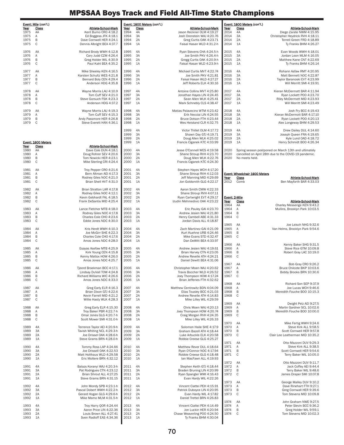|              | Event: Mile (con't.) |                                                       |              | Event: 1600 Meters (con't.) |                                                           |               | Event: 1600 Meters (con't.)            |                                                                                                               |
|--------------|----------------------|-------------------------------------------------------|--------------|-----------------------------|-----------------------------------------------------------|---------------|----------------------------------------|---------------------------------------------------------------------------------------------------------------|
| Year         | <b>Class</b>         | Athlete-School-Mark                                   | Year         | <b>Class</b>                | <b>Athlete-School-Mark</b>                                | Year          | <b>Class</b>                           | <b>Athlete-School-Mark</b>                                                                                    |
| 1975         | AA                   | Kent Burno CRO 4:18.2                                 | 1994         | 4A                          | Jason Reckner OLM 4:19.27                                 | 2014          | 4A                                     | Diego Zarate NWM 4:15.95                                                                                      |
| 1975         | A                    | Ed Boggess JFK 4:18.1                                 | 1994         | 3A                          | Josh Orenstein WAJ 4:20.76                                | 2014          | ЗA                                     | Christopher Heydrick RVH 4:18.11                                                                              |
| 1975         | B                    | Dave Cornwell HER 4:24.1                              | 1994         | 2A                          | Greg Curtis OAK 4:23.71                                   | 2014          | 2A                                     | Terrell Green FRD 4:18.89                                                                                     |
| 1975         | C                    | Dennis Albright BEA 4:37.7                            | 1994         | 1A                          | Faisal Hasan WLD 4:31.2-h                                 | 2014          | 1A                                     | Ty Franks BHM 4:26.27                                                                                         |
| 1976         | AA                   | Richard Brody WWH 4:12.8                              | 1995         | 4A                          | Ryan Stevens CHA 4:24.5-h                                 | 2015          | 4A                                     | Evan Woods WWH 4:18.01                                                                                        |
| 1976         | $\mathsf{A}$         | Cary Judd CZM 4:26.4                                  | 1995         | 3A                          | Joe Smith PKV 4:26.4-h                                    | 2015          | 3A                                     | Jordan Leon MLM 4:16.05                                                                                       |
| 1976         | B                    | Greg Holder WIL 4:30.9                                | 1995         | 2A                          | Gregg Curtis OAK 4:20.9-h                                 | 2015          | 2A                                     | Matthew Kane CNT 4:22.69                                                                                      |
| 1976         | C                    | Paul Kahl BEA 4:35.2                                  | 1995         | 1A                          | Faisal Hasan WLD 4:23.9-h                                 | 2015          | 1A                                     | Ty Franks BHM 4:26.14                                                                                         |
| 1977         | AA                   | Mike Sheeley KEN 4:16.5                               | 1996         | 4A                          | Michael Curtis MVT 4:22.74                                | 2016          | 4A                                     | Rohann Asfaw RMT 4:20.95                                                                                      |
| 1977         | Α                    | Karsten Schultz WES 4:21.8                            | 1996         | 3A                          | Joe Smith PKV 4:21.81                                     | 2016          | 3A                                     | Matt Bennett NOC 4:22.87                                                                                      |
| 1977         | B                    | Bernard Boly CEN 4:29.4                               | 1996         | 2A                          | Faisal Hasan WLD 4:27.27                                  | 2016          | 2A                                     | Taylor Baranoski EVT 4:23.99                                                                                  |
| 1977         | C                    | Anderson HDG 4:35.8                                   | 1996         | 1A                          | Jeff Roberts ELK 4:30.16                                  | 2016          | 1A                                     | Will Merritt SMI 4:19.91                                                                                      |
| 1978         | AA                   | Wayne Morris LAU 4:10.9                               | 1997         | 4A                          | Antoine Collins MVT 4:25.80                               | 2017          | 4A                                     | Kieran McDermott BAR 4:11.94                                                                                  |
| 1978         | A                    | Tom Cuff SEV 4:21.0                                   | 1997         | 3A                          | Jonathan Hayes LIN 4:24.45                                | 2017          | 3A                                     | Ryan Lockett POO 4:23.70                                                                                      |
| 1978         | B                    | Steve Gorsuch FSK 4:23.3                              | 1997         | 2A                          | Sean Allen WLK 4:25.41                                    | 2017          | 2A                                     | Riley McDermott MID 4:23.93                                                                                   |
| 1978         | C                    | Anderson HDG 4:37.2                                   | 1997         | 1A                          | Mark Schnebly CLS 4:38.47                                 | 2017          | 1A                                     | Will Merritt SMI 4:23.49                                                                                      |
|              |                      |                                                       |              |                             |                                                           |               |                                        |                                                                                                               |
| 1979<br>1979 | AA<br>A              | Wayne Morris LAU 4:19.3<br>Tom Cuff SEV 4:15.3        | 1998<br>1998 | 4A<br>3A                    | Matias Palavecino WTM 4:23.42<br>Erik Necciai LIN 4:24.55 | 2018<br>2018  | 4A<br>3A                               | Josh Fry BCC 4:19.43<br>Kieran McDermott BAR 4:17.10                                                          |
| 1979         | B                    | Andy Passmore HER 4:26.8                              | 1998         | 2A                          | Bruce Dotson FTH 4:23.44                                  | 2018          | 2A                                     | Ryan Lockett POO 4:20.13                                                                                      |
| 1979         | C                    | Steve Everett HAN 4:36.1                              | 1998         | 1A                          | Wes Heistand CLR 4:32.75                                  | 2018          | 1A                                     | Alex Longeway BHM 4:29.53                                                                                     |
|              |                      |                                                       |              |                             |                                                           |               |                                        |                                                                                                               |
|              |                      |                                                       | 1999<br>1999 | 4A<br>3A                    | Victor Thillet OLM 4:17.72<br>Shawn Day GTJ 4:19.71       | 2019<br>2019  | 4A<br>3A                               | Drew Dailey DUL 4:14.60<br>Joseph Queen FRA 4:19.65                                                           |
|              |                      |                                                       | 1999         | 2A                          | Doug Allen WLK 4:25.02                                    | 2019          | 2A                                     | Kyle Lund OAD 4:18.72                                                                                         |
|              | Event: 1600 Meters   |                                                       | 1999         | 1A                          | Francis Ciganek KTC 4:33.99                               | 2019          | 1A                                     | Henry Schmidt BOO 4:26.34                                                                                     |
| Year         | Class                | <b>Athlete-School-Mark</b>                            |              |                             |                                                           |               |                                        |                                                                                                               |
| 1980<br>1980 | AA<br>A              | Dave Cole DUN 4:18.1<br>Doug Rohrer SEV 4:20.6        | 2000<br>2000 | 4A<br>3A                    | Jesse O'Connell WES 4:19.58<br>Shane Stroup RVH 4:23.70   | 2020<br>2020  |                                        | Spring season postponed on March 13th and ultimately<br>cancelled on April 28th due to the COVID-19 pandemic. |
| 1980         | B                    | Tom Nowicki HER 4:23.1                                | 2000         | 2A                          | Doug Allen WLK 4:22.76                                    | 2020          | No meets held.                         |                                                                                                               |
| 1980         | C                    | Mike Sterling CRI 4:24.4                              | 2000         | 1A                          | Francis Ciganek KTC 4:24.30                               |               |                                        |                                                                                                               |
|              |                      |                                                       |              |                             |                                                           |               |                                        |                                                                                                               |
| 1981         | AA                   | Troy Pepper CRO 4:21.6                                | 2001         | 4A                          | Stephen Hayes WCH 4:17.20                                 |               |                                        |                                                                                                               |
| 1981<br>1981 | A<br>B               | Bern Altman AEI 4:17.3<br>Rodney Giles NOC 4:21.0     | 2001<br>2001 | 3A<br>2A                    | Shane Stroup RVH 4:12.03<br>Jeff Manning MID 4:29.69      | Year          | Event: Wheelchair 1600 Meters<br>Class | Athlete-School-Mark                                                                                           |
| 1981         | C                    | Brian Shell HVT 4:31.0                                | 2001         | 1A                          | Jon Goldsmith GLG 4:22.17                                 | 2012          | Comb                                   | Ben Mayforth BAR 4:33.03                                                                                      |
|              |                      |                                                       |              |                             |                                                           |               |                                        |                                                                                                               |
| 1982         | AA                   | Brian Stratton LAR 4:17.8                             | 2002         | 4A                          | Aaron Smith CMW 4:22.33                                   |               |                                        |                                                                                                               |
| 1982<br>1982 | Α<br>B               | Rodney Giles NOC 4:12.1<br>Kevin Gebhardt FAL 4:18.5  | 2002<br>2002 | 3A<br>2A                    | Shane Stroup RVH 4:07.11<br>Ryan Cartwright EVT 4:29.17   | Event: 2-Mile |                                        |                                                                                                               |
| 1982         | C                    | Frank DeSantis MID 4:25.4                             | 2002         | 1A                          | Izudin Mehmedivic OAK 4:23.22                             | Year          | Class                                  | Athlete-School-Mark                                                                                           |
|              |                      |                                                       |              |                             |                                                           | 1964          | AA                                     | Charley Messenge KEN 9:43.2                                                                                   |
| 1983         | AA                   | Lance Fletcher MTB 4:18.0                             | 2003         | 4A                          | Eric Pauley GAI 4:23.70                                   | 1964          | Α                                      | Mullins, Brooklyn Park 10:03.5                                                                                |
| 1983<br>1983 | A<br>B               | Rodney Giles NOC 4:17.8<br>Charles Cole CHO 4:23.6    | 2003<br>2003 | 3A<br>2A                    | Andrew Jesien WAJ 4:21.80<br>Henry Cambell ABE 4:31.33    | 1964<br>1964  | B<br>$\mathbb C$                       |                                                                                                               |
| 1983         | C                    | Eddie Jones NDC 4:30.0                                | 2003         | 1A                          | Jordan Davis ALL 4:18.87                                  |               |                                        |                                                                                                               |
|              |                      |                                                       |              |                             |                                                           | 1965          | AA                                     | Joe Leisch NHG 9:32.6                                                                                         |
| 1984         | AA                   | Kris Herdt WWH 4:10.3                                 | 2004         | 4A                          | Zach Martinez GAI 4:21.09                                 | 1965          | Α                                      | Van Helms, Brooklyn Park 9:54.6                                                                               |
| 1984<br>1984 | A<br>B               | Joe McGirr SHE 4:22.3<br>Charles Cole CHO 4:17.6      | 2004<br>2004 | 3A<br>2A                    | Kurt Kuehne URB 4:24.46<br>Mike Evans STD 4:32.47         | 1965<br>1965  | B<br>C                                 |                                                                                                               |
| 1984         | C                    | Amos Jones NDC 4:28.0                                 | 2004         | 1A                          | Dan DeWitt BEA 4:33.97                                    |               |                                        |                                                                                                               |
|              |                      |                                                       |              |                             |                                                           | 1966          | AA                                     | Kenny Baker SHG 9:31.5                                                                                        |
| 1985         | AA                   | Esayas Asefaw MTB 4:25.9                              | 2005         | 4A                          | Andrew Jesien WAJ 4:19.61                                 | 1966          | Α                                      | Steve Rice GTM 10:09.8                                                                                        |
| 1985<br>1985 | Α<br>B               | Kirk Young CEN 4:15.8                                 | 2005         | 3A                          | Brian Harvey CTN 4:23.05<br>Andrew Revelle ATH 4:24.21    | 1966          | B<br>C                                 | Robert Gray LAC 10:19.0                                                                                       |
| 1985         | C                    | Kenny Mattox HOW 4:26.0<br>Amos Jones NDC 4:25.7      | 2005<br>2005 | 2A<br>1A                    | Daniel Dewitt BEA 4:31.06                                 | 1966          |                                        |                                                                                                               |
|              |                      |                                                       |              |                             |                                                           | 1967          | AA                                     | Bob Gray CRO 9:26.2                                                                                           |
| 1986         | AA                   | Tjeerd Broekman BCC 4:17.1                            | 2006         | 4A                          | Christopher Moen WAJ 4:20.62                              | 1967          | A                                      | Bruce Chilcote BKP 10:03.6                                                                                    |
| 1986         | A                    | Lindsay DuVall TOW 4:24.8                             | 2006         | 3A                          | Travis Boccher WLD 4:26.52                                | 1967          | B                                      | Bobby Brooks BRN 10:30.6                                                                                      |
| 1986<br>1986 | B<br>C               | Richard Williams WIC 4:26.6<br>Amos Jones NDC 4:33.0  | 2006<br>2006 | 2A<br>1A                    | Joey Thompson HOW 4:17.24<br>Brian Jefferies FTH 4:32.62  | 1967          | $\mathbb C$                            |                                                                                                               |
|              |                      |                                                       |              |                             |                                                           | 1968          | AA                                     | Richard Son SEP 9:37.9                                                                                        |
| 1987         | AA                   | Greg Early ELR 4:16.3                                 | 2007         | 4A                          | Matthew Centrowitz BDN 4:04.09                            | 1968          | Α                                      | Joe Lucas WCH 9:46.6                                                                                          |
| 1987<br>1987 | A<br>B               | Brian Dixon GTJ 4:22.6<br>Kevin Farrell MID 4:21.2    | 2007         | 3A<br>2A                    | Elias Tousley BCC 4:21.03                                 | 1968          | B<br>$\mathsf{C}$                      | Meredith Fouche BOO 10:15.3                                                                                   |
| 1987         | C                    | Willie Hasty WLK 4:28.3                               | 2007<br>2007 | 1A                          | Andrew Revelle ATH 4:14.83<br>Mike Lilley WIL 4:29.59     | 1968          |                                        |                                                                                                               |
|              |                      |                                                       |              |                             |                                                           | 1969          | AA                                     | Dwight Pelz AEI 9:27.5                                                                                        |
| 1988         | AA                   | Greg Early ELR 4:15.30                                | 2008         | 4A                          | Chris Moen WAJ 4:20.13                                    | 1969          | Α                                      | Marlin Gardner SCL 10:02.6                                                                                    |
| 1988<br>1988 | Α<br>B               | Troy Baker PBR 4:22.7-h<br>Omar Jones GLG 4:20.7-h    | 2008<br>2008 | 3A<br>2A                    | Joey Thompson HOW 4:20.74<br>Craig Morgan RVH 4:24.35     | 1969<br>1969  | B<br>C                                 | Meredith Fouche BOO 10:00.0                                                                                   |
| 1988         | C                    | Scott Mower SMI 4:31.0-h                              | 2008         | 1A                          | Mike Lilley WIL 4:26.33                                   |               |                                        |                                                                                                               |
|              |                      |                                                       |              |                             |                                                           | 1970          | AA                                     | Mike Fertig WWH 9:24.6                                                                                        |
| 1989         | 4A                   | Terrence Taylor AEI 4:20.9-h                          | 2009         | 4A                          | Solomon Haile SHE 4:17.9                                  | 1970          | Α                                      | Steve Kirk ALL 9:58.5                                                                                         |
| 1989         | ЗA                   | Tavish Whiting NCL 4:29.3-h                           | 2009         | 3A                          | Graham Bazell ATH 4:18.44                                 | 1970          | B                                      | Scott Cornwell HER 9:57.8                                                                                     |
| 1989<br>1989 | 2A<br>1A             | Joe Drissel OAK 4:28.6-h<br>Steve Grams BRN 4:28.0-h  | 2009<br>2009 | 2A<br>1A                    | Luke Arbuckle ELK 4:20.58<br>Robbie Creese GLG 4:25.27    | 1970          | C                                      | Clair Lee Leatherman MID 10:35.2                                                                              |
|              |                      |                                                       |              |                             |                                                           | 1971          | AA                                     | Otto Mazzoni DUV 9:29.3                                                                                       |
| 1990         | 4A                   | Tommy Ross LAP 4:24.66                                | 2010         | 4A                          | Matthew Rever DUL 4:18.64                                 | 1971          | Α                                      | Steve Kirk ALL 9:38.5                                                                                         |
| 1990         | ЗA                   | Joe Drissell OAK 4:22.53                              | 2010         | 3A                          | Ryan O'Connor NOC 4:17.94                                 | 1971          | B                                      | Scott Cornwell HER 9:54.6                                                                                     |
| 1990<br>1990 | 2A<br>1A             | Matt Holthaus WLD 4:29.58<br>Eric Moltere BRN 4:32.12 | 2010<br>2010 | 2A<br>1A                    | Robbie Creese GLG 4:18.48<br>Ian MacFawn ALL 4:19.93      | 1971          | C                                      | Terry Baker WIL 10:05.0                                                                                       |
|              |                      |                                                       |              |                             |                                                           | 1972          | AA                                     | Otto Mazzoni DUV 9:11.7                                                                                       |
| 1991         | 4A                   | Balazs Koranyi WAJ 4:20.3-h                           | 2011         | 4A                          | Stephen Keith GTJ 4:18.44                                 | 1972          | Α                                      | Jack Coffey AEI 9:44.4                                                                                        |
| 1991         | ЗA                   | Pat Rodrigues CTN 4:23.12                             | 2011         | 3A                          | Braden Bruning LIN 4:20.99                                | 1972          | B                                      | Terry Baker WIL 9:48.6                                                                                        |
| 1991<br>1991 | 2A<br>1A             | Brian Shrout ALL 4:27.25<br>Steve Grams BRN 4:31.15   | 2011<br>2011 | 2A<br>1A                    | Ryan Spangler WMI 4:16.43<br>Evan Hardy WIL 4:22.26       | 1972          | $\mathbb C$                            | James Draper SMI 10:07.8                                                                                      |
|              |                      |                                                       |              |                             |                                                           | 1973          | AA                                     | George Malley DUV 9:10.2                                                                                      |
| 1992         | 4A                   | John Mondy SPB 4:23.1-h                               | 2012         | 4A                          | Vincent Ciattei PEH 4:15.91                               | 1973          | Α                                      | Dave Rinehart FTH 9:27.1                                                                                      |
| 1992         | ЗA                   | Pascal Dobert WWH 4:22.2-h                            | 2012         | 3A                          | Patrick Duboyce LIN 4:20.95                               | 1973          | B                                      | Greg Cornwall HER 9:39.6                                                                                      |
| 1992<br>1992 | 2A<br>1A             | Gerard Hogan GLG 4:29.6-h<br>Mike Mamo MLM 4:31.5-h   | 2012<br>2012 | 2A<br>1A                    | Evan Hardy WIL 4:17.82<br>Daniel Trettel BRN 4:26.83      | 1973          | $\mathbb C$                            | Tom Stevens MID 10:09.8                                                                                       |
|              |                      |                                                       |              |                             |                                                           | 1974          | AA                                     | John Graham NWE 9:27.5                                                                                        |
| 1993         | 4A                   | Troy Harry QOR 4:24.44                                | 2013         | 4A                          | Vincent Ciattei PEH 4:14.49                               | 1974          | Α                                      | Peter Slevin BCC 9:36.2                                                                                       |
| 1993         | ЗА                   | Aaron Price LIN 4:22.36                               | 2013         | 3A                          | Jon Luckin HER 4:20.94                                    | 1974          | B                                      | Greg Holder WIL 9:59.1                                                                                        |
| 1993<br>1993 | 2A<br>1A             | Louis Brown ALL 4:27.41<br>Sven Radloff EAS 4:34.36   | 2013<br>2013 | 2A<br>1A                    | Chase Weaverling POO 4:24.50<br>Ty Franks BHM 4:30.04     | 1974          | C                                      | Tom Stevens MID 10:02.3                                                                                       |
|              |                      |                                                       |              |                             |                                                           |               |                                        |                                                                                                               |
|              |                      |                                                       |              |                             |                                                           |               |                                        |                                                                                                               |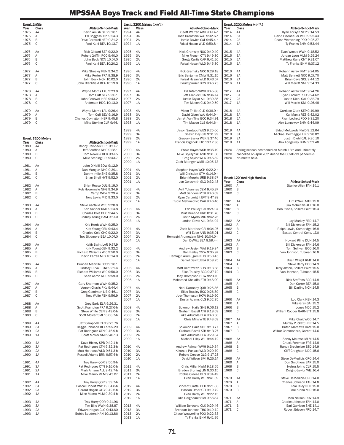| Event: 2-Mile |                    |                                                          |                     | Event: 3200 Meters (con't.) |                                                             |              | Event: 3200 Meters (con't.)  |                                                             |
|---------------|--------------------|----------------------------------------------------------|---------------------|-----------------------------|-------------------------------------------------------------|--------------|------------------------------|-------------------------------------------------------------|
| Year<br>1975  | Class<br>AA        | Athlete-School-Mark<br>Kevin Amish GLB 9:18.1            | <u>Year</u><br>1994 | Class<br>4A                 | Athlete-School-Mark<br>Geoff Warren ARU 9:47.4-h            | Year<br>2014 | Class<br>4A                  | Athlete-School-Mark<br>Ryan Forsyth SEP 9:14.53             |
| 1975          | Α                  | Ed Boggess JFK 9:24.3                                    | 1994                | 3A                          | Josh Orenstein WAJ 9:32.6-h                                 | 2014         | 3A                           | David Eisenhauer WLD 9:22.43                                |
| 1975          | B                  | Dave Cornwell HER 9:31.2                                 | 1994                | 2A                          | Jamie Davies CAT 9:45.4-h                                   | 2014         | 2A                           | Chase Weaverling POO 9:25.37                                |
| 1975          | C                  | Paul Kahl BEA 10:13.7                                    | 1994                | 1A                          | Faisal Hasan WLD 9:50.8-h                                   | 2014         | 1A                           | Ty Franks BHM 9:53.44                                       |
| 1976          | AA                 | Rick Gildard SEP 9:22.9                                  | 1995                | 4A                          | Nick Gramsky NOC 9:40.40                                    | 2015         | 4A                           | Evan Woods WWH 9:18.52                                      |
| 1976          | Α                  | Robert Griffin ROC 9:40.0                                | 1995                | 3A                          | Mike French CTN 9:49.80                                     | 2015         | 3A                           | Jordan Leon MLM 9:29.24                                     |
| 1976<br>1976  | B<br>С             | John Beck NCN 10:07.0<br>Paul Kahl BEA 10:20.2           | 1995<br>1995        | 2A<br>1A                    | Gregg Curtis OAK 9:41.20<br>Faisal Hasan WLD 9:45.80        | 2015<br>2015 | 2A<br>1A                     | Matthew Kane CNT 9:31.07<br>Ty Franks BHM 9:37.12           |
|               |                    |                                                          |                     |                             |                                                             |              |                              |                                                             |
| 1977<br>1977  | AA<br>Α            | Mike Sheeley KEN 9:34.2<br>Mike Porter FRA 9:38.9        | 1996<br>1996        | 4A<br>3A                    | Nick Gramsky NOC 9:29.18<br>Eric Benjamin CMW 9:31.15       | 2016<br>2016 | 4A<br>3A                     | Rohann Asfaw RMT 9:24.05<br>Matt Bennett NOC 9:27.70        |
| 1977          | B                  | John Beck NCN 10:02.0                                    | 1996                | 2A                          | Faisal Hasan WLD 9:43.57                                    | 2016         | 2A                           | Brian Cave SCL 9:44.12                                      |
| 1977          | С                  | John Blankfield BEA 10:19.8                              | 1996                | 1A                          | Paul Spurrier BRN 9:46.73                                   | 2016         | 1A                           | Will Merritt SMI 9:34.33                                    |
| 1978          | AA                 | Wayne Morris LAU 9:23.8                                  | 1997                | 4A                          | Ed Tufaro WWH 9:45.88                                       | 2017         | 4A                           | Rohann Asfaw RMT 9:24.26                                    |
| 1978          | Α                  | Tom Cuff SEV 9:36.1                                      | 1997                | 3A                          | Jeff Olenick CTN 9:36.14                                    | 2017         | 3A                           | Ryan Lockett POO 9:24.62                                    |
| 1978          | В                  | John Cornwell HER 9:43.2                                 | 1997                | 2A                          | Justin Taylor ALL 9:39.85                                   | 2017         | 2A                           | Justin Diehl CAL 9:32.79                                    |
| 1978          | С                  | Anderson HDG 10:13.0                                     | 1997                | 1A                          | Tim Mason CLS 9:49.50                                       | 2017         | 1A                           | Will Merritt SMI 9:26.48                                    |
| 1979          | AA                 | Wayne Morris LAU 9:26.4                                  | 1998                | 4A                          | Victor Thillet OLD 9:36.9-h                                 | 2018         | 4A                           | Garrison Clark SEP 9:19.99                                  |
| 1979<br>1979  | Α<br>В             | Tom Cuff SEV 9:16.9<br>Charles Covington HER 9:45.8      | 1998<br>1998        | 3A<br>2A                    | David Glynn WAJ 9:44.9-h<br>Jarrett Van Tine BCC 9:34.91    | 2018<br>2018 | 3A<br>2A                     | Kai Muniz RES 9:42.02                                       |
| 1979          | C                  | Mike Sterling CLR 9:44.                                  | 1998                | 1A                          | Tim Mason CLS 9:44.6-h                                      | 2018         | 1A                           | Ryan Lockett POO 9:31.20<br>Alex Longeway BHM 9:44.09       |
|               |                    |                                                          |                     |                             |                                                             |              |                              |                                                             |
|               |                    |                                                          | 1999<br>1999        | 4A<br>3A                    | Jason Santucci WES 9:25.06<br>Shawn Day GTJ 9:31.99         | 2019<br>2019 | 4A<br>3A                     | Eldad Mulugeda NWD 9:12.64<br>Michael Belmaggio LIN 9:28.82 |
|               | Event: 3200 Meters |                                                          | 1999                | 2A                          | Gregory Saylor WLK 9:37.46                                  | 2019         | 2A                           | Justin Diehl CAL 9:20.10                                    |
| Year          | Class              | <b>Athlete-School-Mark</b><br>Robby Raisbeck HPT 9:17.7  | 1999                | 1A                          | Francis Ciganek KTC 10:12.36                                | 2019         | 1A                           | Alex Longeway BHM 9:52.48                                   |
| 1980<br>1980  | AA<br>Α            | Jeff Scuffins NHG 9:28.1                                 | 2000                | 4A                          | Steve Hayes WCH 9:35.19                                     | 2020         |                              | Spring season postponed on March 13th and ultimately        |
| 1980          | B                  | Tom Nowicki HER 9:47.5                                   | 2000                | 3A                          | Mike Styczynski RVH 9:31.60                                 | 2020         |                              | cancelled on April 28th due to the COVID-19 pandemic.       |
| 1980          | С                  | Mike Sterling CRI 9:43.7                                 | 2000<br>2000        | 2A<br>1A                    | Greg Saylor WLK 9:46.82<br>Zach Bittinger WMR 10:05.73      | 2020         | No meets held.               |                                                             |
| 1981          | AA                 | John O'Neill BOW 9:12.9                                  |                     |                             |                                                             |              |                              |                                                             |
| 1981          | Α                  | Dan Mangun NHG 9:39.1                                    | 2001                | 4A                          | Stephen Hayes WCH 9:22.2-h                                  |              |                              |                                                             |
| 1981<br>1981  | B<br>С             | Danny Intile SHE 9:35.8<br>Brian Shell HVT 9:52.0        | 2001<br>2001        | 3A<br>2A                    | Will Christian GTM 9:14.9-h<br>Brian Murphy URB 9:38.67     |              | Event: 120 Yard High Hurdles |                                                             |
|               |                    |                                                          | 2001                | 1A                          | Jon Goldsmith GLG 9:32.48                                   | Year         | Class                        | Athlete-School-Mark                                         |
| 1982          | AA                 | Brian Russo DUL 9:19.0                                   |                     |                             |                                                             | 1960         | Α                            | Stanley Allen FAH 15.1                                      |
| 1982<br>1982  | Α<br>В             | Rob Hovermale NHG 9:34.9<br>Camp CWW 9:29.4              | 2002<br>2002        | 4A<br>3A                    | Awit Yohannes CZM 9:45.37<br>Matt Sanders MTH 9:40.09       | 1960<br>1960 | B<br>C                       |                                                             |
| 1982          | С                  | Tony Lewis MID 9:33.0                                    | 2002                | 2A                          | Ryan Cartwright EVT 9:47.88                                 |              |                              |                                                             |
| 1983          | AA                 |                                                          | 2002                | 1A                          | Izudin Mehmedivic OAK 9:46.40                               | 1961         | AA                           | J im O'Neill MTB 15.0                                       |
| 1983          | Α                  | Steve Kartalia WES 9:28.8<br>Ken Sonner RMT 9:24.8       | 2003                | 4A                          | Eric Pauley GAI 9:24.04                                     | 1961<br>1961 | Α<br>B                       | Jim McKenzie ALL 16.0<br>Bob Evans, Sollers Point 16.4      |
| 1983          | В                  | Charles Cole CHO 9:44.5                                  | 2003                | 3A                          | Kurt Kuehne URB 8:31.78                                     | 1961         | C                            |                                                             |
| 1983          | С                  | Rodney Young HAM 9:57.0                                  | 2003<br>2003        | 2A<br>1A                    | Justin Myers MID 9:42.76<br>Jordan Davis ALL 9:34.04        | 1962         | AA                           | Jay Markey FRD 14.7                                         |
| 1984          | AA                 | Kris Herdt WWH 9:25.0                                    |                     |                             |                                                             | 1962         | Α                            | Bill Dickerson FAH 15.2                                     |
| 1984          | Α                  | Kirk Young CEN 9:43.4                                    | 2004                | 4A                          | Zach Martinez GAI 9:34.97                                   | 1962         | B                            | Ralph Lewis, Cambridge 16.8                                 |
| 1984<br>1984  | В<br>C             | Charles Cole CHO 9:22.0<br>Troy Skidmore BEA 10:07.0     | 2004<br>2004        | 3A<br>2A                    | Will Eden ANN 9:35.01<br>Hemagiri Arumugam NHG 10:04.0-h    | 1962         | C                            | Baxter, Central Cons. 17.0                                  |
|               |                    |                                                          | 2004                | 1A                          | Dan DeWitt BEA 9:59.4-h                                     | 1963         | AA                           | Howard Kline DUN 14.5                                       |
| 1985          | AA                 | Keith Swint LAR 9:37.9                                   |                     |                             |                                                             | 1963         | Α                            | Bill Dickerson FAH 14.6                                     |
| 1985<br>1985  | Α<br>B             | Kirk Young CEN 9:32.2<br>Richard Williams WIC 9:50.0     | 2005<br>2005        | 4A<br>3A                    | Andrew Jesien WAJ 9:19.84<br>Dan Bailey CMW 9:35.97         | 1963<br>1963 | B<br>C                       | Tom Sullivan BOO 16.0<br>Van Johnson, Tubman 16.8           |
| 1985          | C                  | Kevin Farrell MID 10:14.0                                | 2005                | 2A                          | Hemagiri Arumugam NHG 9:50.45                               |              |                              |                                                             |
| 1986          | AA                 | Duncan Manville BCC 9:18.1                               | 2005                | 1A                          | Daniel Dewitt BEA 9:58.25                                   | 1964<br>1964 | AA<br>Α                      | Brian Wright RMT 14.6<br>Steve Berry BOO 14.9               |
| 1986          | A                  | Lindsay DuVall TOW 9:31.4                                | 2006                | 4A                          | Matt Centrowitz BDN 9:13.68                                 | 1964         | B                            | Jerry Alston, Sollers Point 15.5                            |
| 1986          | B                  | Richard Williams WIC 9:50.0                              | 2006                | 3A                          | Elias Tousley BCC 9:37.72                                   | 1964         | C                            | Van Johnson, Tubman 15.5                                    |
| 1986          | C                  | Sean Aaron NDC 9:59.0                                    | 2006<br>2006        | 2A<br>1A                    | Joey Thompson HOW 9:23.10<br>Mohamed Khelalfa FTH 9:46.90   | 1965         | AA                           | Rick Steffens BCC 14.8                                      |
| 1987          | AA                 | Gary Sherman WWH 9:35.2                                  |                     |                             |                                                             | 1965         | Α                            | Don Carter BEA 15.0                                         |
| 1987          | Α                  | Vernon Chavis PKV 9:44.4                                 | 2007<br>2007        | 4A                          | Neal Darmody QOR 9:25.86                                    | 1965         | B<br>C                       | Bill Darling NCN 14.5                                       |
| 1987<br>1987  | В<br>С             | Greg Goodman LIB 9:46.1<br>Tony Wolfe FSK 9:56.9         | 2007                | 3A<br>2A                    | Elias Tousley BCC 9:26.89<br>Joey Thompson HOW 9:19.90      | 1965         |                              |                                                             |
|               |                    |                                                          | 2007                | 1A                          | Dustin Adams CLS 9:52.35                                    | 1966         | AA                           | Lou Clark KEN 14.3                                          |
| 1988<br>1988  | AA<br>Α            | Greg Early ELR 9:26.31<br>Scott Frampton FRA 9:27.6-h    | 2008                | 4A                          | Solomon Haile SHE 9:06.13                                   | 1966<br>1966 | Α<br>B                       | Mike Gray GAI 15.2<br>Jones NDC 15.2                        |
| 1988          | В                  | Steve White CEN 9:49.0-h                                 | 2008                | 3A                          | Graham Bazell ATH 9:18.69                                   | 1966         | C                            | William Cooper GARNETT 15.8                                 |
| 1988          | С                  | Scott Mower SMI 10:08.7-h                                | 2008                | 2A                          | Luke Arbuckle ELK 9:40.30                                   |              |                              |                                                             |
| 1989          | 4A                 | Jeff Campbell RAN 9:23.76                                | 2008                | 1A                          | Chris Mills WTE 9:43.69                                     | 1967<br>1967 | AA<br>Α                      | Mike Chait WOO 14.7<br>Murray Puckett HER 14.5              |
| 1989          | 3A                 | Reggie Johnson BLA 9:55.29                               | 2009                | 4A                          | Solomon Haile SHE 9:13.77                                   | 1967         | B                            | Butch Mathews CAM 15.0                                      |
| 1989          | 2A                 | Pat Rodriguez CTN 9:46.9-h                               | 2009                | 3A                          | Graham Bazell ATH 9:13.27                                   | 1967         | C                            | Wilbur Commodore, Garnet 14.6                               |
| 1989          | 1A                 | Scott Mower SMI 9:40.13                                  | 2009<br>2009        | 2A<br>1A                    | Luke Arbuckle ELK 9:29.34<br>Michael Lilley WIL 9:44.12     | 1968         | AA                           | Sonny Melrose MLM 14.5                                      |
| 1990          | 4A                 | Dave Hickey SPB 9:42.1-h                                 |                     |                             |                                                             | 1968         | Α                            | Chuck Foreman FRE 14.8                                      |
| 1990<br>1990  | 3A<br>2A           | Pat Rodriguez CTN 9:32.3-h<br>Matt Holthaus WLD 9:51.3-h | 2010<br>2010        | 4A<br>3A                    | Andrew Palmer WWH 9:19.54<br>Kikanae Punyua WLD 9:20.79     | 1968<br>1968 | B<br>C                       | Randy Brechelser STD 14.9<br>Cliff Creighton NDC 15.6       |
| 1990          | 1A                 | Russell Adams BRN 9:57.4-h                               | 2010                | 2A                          | Robbie Creese GLG 9:17.28                                   |              |                              |                                                             |
|               |                    |                                                          | 2010                | 1A                          | David Wilson SMI 9:25.14                                    | 1969         | AA                           | Steve DeMedicis CRO 14.4                                    |
| 1991<br>1991  | 4A<br>3A           | Troy Harry QOR 9:50.9-h<br>Pat Rodriguez CTN 9:16.0-h    | 2011                | 4A                          | Chris Miller NWM 9:18.55                                    | 1969<br>1969 | Α<br>B                       | Don Smothers BAR 15.0<br>Nehru Johns CLR 15.5               |
| 1991          | 2A                 | Mark Amann ALL 9:42.7-h                                  | 2011                | 3A                          | Braden Bruning LIN 9:30.15                                  | 1969         | C                            | Dwight Gaylor WIL 16.4                                      |
| 1991          | 1A                 | Mike Mamo MLM 9:43.07                                    | 2011                | 2A                          | Robbie Creese GLG 9:34.49                                   |              |                              |                                                             |
| 1992          | 4A                 | Troy Harry QOR 9:39.7-h                                  | 2011                | 1A                          | Evan Hardy WIL 9:41.39                                      | 1970<br>1970 | AA<br>Α                      | Steve DeMedicis CRO 14.0<br>Charles Johnson FAH 14.8        |
| 1992          | 3A                 | Pascal Dobert WWH 9:34.8-h                               | 2012                | 4A                          | Vincent Ciattei PEH 9:21.80                                 | 1970         | B                            | Tom Riley NHF 15.0                                          |
| 1992<br>1992  | 2A<br>1A           | Gerard Hogan GLG 9:42.6-h<br>Mike Mamo MLM 9:39.4-h      | 2012<br>2012        | 3A<br>2A                    | Hassan Omar GTJ 9:19.72<br>Evan Hardy WIL 9:22.15           | 1970         | C                            | Paul Kinna MID 16.0                                         |
|               |                    |                                                          | 2012                | 1A                          | Luke Daigneault SMI 9:58.84                                 | 1971         | AA                           | Ken Nelson DUV 14.9                                         |
| 1993          | 4A                 | Troy Harry QOR 9:41.96                                   |                     |                             |                                                             | 1971         | Α                            | Charles Johnson FAH 14.0                                    |
| 1993<br>1993  | 3A<br>2A           | Tim Billo WWH 9:38.87<br>Edward Hogan GLG 9:43.60        | 2013<br>2013        | 4A<br>3A                    | William Bertrand CLK 9:29.46<br>Brendan Johnson THS 9:19.72 | 1971<br>1971 | B<br>C                       | Earl Garrison SHE 14.1<br>Robert Ericson FRD 14.7           |
| 1993          | 1A                 | Bobby Souders HAN 10:13.86                               | 2013                | 2A                          | Chase Weaverling POO 9:22.33                                |              |                              |                                                             |
|               |                    |                                                          | 2013                | 1A                          | Ty Franks BHM 9:41.95                                       |              |                              |                                                             |
|               |                    |                                                          |                     |                             |                                                             |              |                              |                                                             |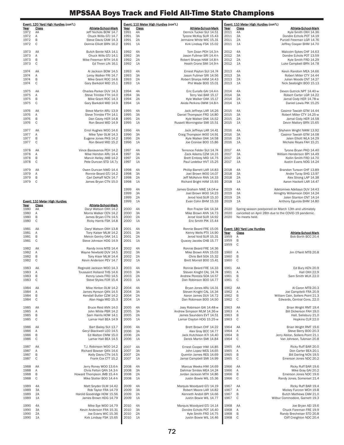| Event: 120 Yard High Hurdles (con't.) |                               | Event: 110 Meter High Hurdles (con't.)                  |                     |             | Event: 110 Meter High Hurdles (con't.)              |              |                                                                          |  |
|---------------------------------------|-------------------------------|---------------------------------------------------------|---------------------|-------------|-----------------------------------------------------|--------------|--------------------------------------------------------------------------|--|
| Year<br>1972                          | Class<br>AA                   | Athlete-School-Mark<br>Jeff Nichols BOW 14.7            | <u>Year</u><br>1991 | Class<br>4A | Athlete-School-Mark<br>Derrick Tucker SUI 14.51     | Year<br>2011 | Athlete-School-Mark<br><b>Class</b><br>4A<br>Kyle Smith OXH 14.36        |  |
| 1972                                  | Α                             | Chuck Willis GTJ 14.7                                   | 1991                | 3A          | Tyrone McKoy SUR 15.43                              | 2011         | 3A<br>Dondre Echols POT 14.19                                            |  |
| 1972<br>1972                          | В<br>C                        | Steve Davis CAM 14.3<br>Donnie Elliott BRN 16.2         | 1991<br>1991        | 2A<br>1A    | Jermaine White WIC 15.31<br>Kirk Lindsay FSK 15.02  | 2011<br>2011 | 2A<br>Purcell Freeman LGR 14.76<br>1A<br>Jeffrey Cooper BHM 14.70        |  |
| 1973                                  | AA                            | Butch Bente NEA 14.1                                    | 1992                | 4A          | Tom Doan PEH 14.3-h                                 | 2012         | 4A<br>Malcolm Sykes CHF 14.63                                            |  |
| 1973                                  | Α                             | Chuck Wills GTJ 14.1                                    | 1992                | 3A          | Jason Fullmer SRI 14.4-h                            | 2012         | 3A<br>Dondre Echols POT 13.59                                            |  |
| 1973<br>1973                          | В<br>C                        | Mike Freeman MTH 14.6<br>Ed Thren LIN 16.1              | 1992                | 2A<br>1A    | Robert Sharps HAM 14.8-h                            | 2012         | 2A<br>Kyle Smith FRD 14.29                                               |  |
|                                       |                               |                                                         | 1992                |             | Heath Crone SMI 14.9-h                              | 2012         | 1A<br>Luke Campbell BRN 14.78                                            |  |
| 1974                                  | AA                            | Al Jackson BOW 14.5                                     | 1993                | 4A          | Ernest Payton SUI 14.74                             | 2013         | 4A<br>Kevin Random MEA 14.66                                             |  |
| 1974<br>1974                          | A<br>B                        | Leroy Walker FRI 14.7<br>Mike Grant ROC 14.6            | 1993<br>1993        | 3A<br>2A    | Jason Fullmer SRI 14.56<br>Robert Sharps HAM 14.43  | 2013<br>2013 | 3A<br>Robert Miller CTY 14.44<br>2A<br>Julian Woods CNT 14.27            |  |
| 1974                                  | С                             | Gary Barkdoll MID 15.1                                  | 1993                | 1A          | Phil Wade BOO 15.01                                 | 2013         | 1A<br>Nick Seabright BOO 15.13                                           |  |
| 1975                                  | AA                            | Charles Parker DUV 14.3                                 | 1994                | 4A          | Eric Euriafe GAI 14.4-h                             | 2014         | 4A<br>Devon Gutrick NPT 14.40-w                                          |  |
| 1975                                  | Α                             | Steve Trimble FTH 14.0                                  | 1994                | 3A          | Terry Vail BAR 15.17                                | 2014         | 3A<br>Robert Carter LGR 14.22                                            |  |
| 1975                                  | В                             | Mike Grant ROC 14.3                                     | 1994                | 2A          | Kyle Walker OAK 15.17                               | 2014         | 2A<br>Jamal Cody HER 14.78-w                                             |  |
| 1975                                  | С                             | Gary Barkdoll MID 14.9                                  | 1994                | 1A          | Akida Perkins OWM 14.8-h                            | 2014         | 1A<br>Daniel Lewis PIK 15.25                                             |  |
| 1976                                  | AA                            | Steve Martin ARU 13.9                                   | 1995                | 4A          | Jack Jeffreys LAR 14.26                             | 2015         | 4A<br>Casimir Tawiah GTM 14.44                                           |  |
| 1976<br>1976                          | Α<br>B                        | Steve Trimble FTH 14.1<br>Dan Cavey HER 14.8            | 1995<br>1995        | 3A<br>2A    | Daniel Thompson FRD 14.80<br>Kyle Walker OAK 14.52  | 2015<br>2015 | 3A<br>Robert Miller CTY 14.25-w<br>2A<br>Jamal Cody HER 14.58            |  |
| 1976                                  | С                             | Ron Beard MID 14.9                                      | 1995                | 1A          | Russell Morningstar SMI 15.51                       | 2015         | 1A<br>Devin Mallory BRN 15.65                                            |  |
| 1977                                  | AA                            | Errol Hughes WOO 14.6                                   | 1996                | 4A          | Jack Jeffreys LAR 14.41                             | 2016         | 4A<br>Shyheim Wright NWM 13.92                                           |  |
| 1977                                  | A                             | Mike Tyler OLM 14.3                                     | 1996                | 3A          | Craig Thompson WOO 14.91                            | 2016         | 3A<br>Casimir Tawiah GTM 14.08                                           |  |
| 1977<br>1977                          | B<br>C                        | Eugene Jones PKS 14.2<br>Ron Beard MID 15.2             | 1996<br>1996        | 2A<br>1A    | Kyle Walker OAK 14.58<br>Joe Cronise BOO 15.86      | 2016<br>2016 | 2A<br>Jalen Elliott WLA 14.29<br>1A<br>Michale Reyes FAH 15.21           |  |
|                                       |                               |                                                         |                     |             |                                                     |              |                                                                          |  |
| 1978<br>1978                          | AA                            | Vince Baxiavanos PEH 14.2<br>Mike Hendon ARU 14.4       | 1997<br>1997        | 4A<br>3A    | Terrence Felder SUI 14.74<br>Zack Adams CZM 14.15   | 2017<br>2017 | 4A<br>Tyrone Bryan PKD 14.40<br>3A<br>William Henderson BPI 14.49        |  |
| 1978                                  | Α<br>В                        | Marvin Kelley JMB 14.2                                  | 1997                | 2A          | Brett Embrey MID 14.75                              | 2017         | 2A<br>Kollin Smith FRD 14.70                                             |  |
| 1978                                  | C                             | Pete Duncan STD 14.7y                                   | 1997                | 1A          | Paul Ledebur HVT 15.25                              | 2017         | 1A<br>Austin Evans NOG 14.24                                             |  |
| 1979                                  | AA                            | Owen Duncan NWD 14.4                                    | 1998                | 4A          | Phillip Barrett LAR 14.83                           | 2018         | 4A<br>Brandon Tunson CHF 13.89                                           |  |
| 1979                                  | Α                             | Ronnie Beard GTJ 14.2                                   | 1998                | 3A          | Joel Brown WOO 14.07                                | 2018         | 3A<br>Andre Turay SHG 13.97                                              |  |
| 1979<br>1979                          | В<br>C                        | Carl DeHaff NCN 14.7<br>James Bryan CTN 15.0            | 1998<br>1998        | 2A<br>1A    | Jeff McKelvin RAN 14.33<br>Richard Bright HAM 15.93 | 2018<br>2018 | 2A<br>Alex Strong LAP 14.38<br>1A<br>Aaron Hackett LAR 14.47             |  |
|                                       |                               |                                                         |                     |             |                                                     |              |                                                                          |  |
|                                       |                               |                                                         | 1999<br>1999        | 4A<br>3A    | James Graham NWE 14.04-w<br>Joel Brown WOO 14.23    | 2019<br>2019 | 4A<br>Adetomiwa Adebayo DUV 14:43<br>3A<br>Almighty Williamson DGH 14.24 |  |
|                                       |                               |                                                         | 1999                | 2A          | Jerod Void SUR 15.10                                | 2019         | 2A<br>Jalen Stanton CNT 14.14                                            |  |
|                                       | Event: 110 Meter High Hurdles |                                                         | 1999                | 1A          | Evan Cohn BHM 15.33                                 | 2019         | 1A<br>Anthony Egurola BHM 14.80                                          |  |
| Year<br>1980                          | Class<br>AA                   | <b>Athlete-School-Mark</b><br>Daryl Watson OXH 14.2     | 2000                | 4A          | Ron Frazier GAI 14.34                               | 2020         | Spring season postponed on March 13th and ultimately                     |  |
| 1980                                  | Α                             | Morris Walker CEN 14.2                                  | 2000                | 3A          | Mike Brown ANN 14.73                                | 2020         | cancelled on April 28th due to the COVID-19 pandemic.                    |  |
| 1980<br>1980                          | В<br>С                        | James Bryan CTN 14.5<br>Ricky Harris FSK 14.8           | 2000<br>2000        | 2A<br>1A    | Jerod Void SUR 14.92<br>Eric Smith PIK 15.44        | 2020         | No meets held.                                                           |  |
|                                       |                               |                                                         |                     |             |                                                     |              |                                                                          |  |
|                                       |                               |                                                         |                     |             |                                                     |              |                                                                          |  |
| 1981<br>1981                          | AA<br>Α                       | Daryl Watson OXH 13.8<br>Tony Kaiser MLM 14.2           | 2001<br>2001        | 4A<br>3A    | Ronnie Beard FRE 15.05<br>Kenny Wells PTX 14.90     | Year         | Event: 180 Yard Low Hurdles<br>Class<br>Athlete-School-Mark              |  |
| 1981                                  | B                             | Melvin Gentry OAK 14.1                                  | 2001                | 2A          | Jerod Void SUR 15.31                                | 1959         | Bob Borth BCC 20.4<br>Α                                                  |  |
| 1981                                  | C                             | Steve Johnson HDG 14.9                                  | 2001                | 1A          | Quacey Jacobs CHB 15.77                             | 1959<br>1959 | B<br>C                                                                   |  |
| 1982                                  | AA                            | Randy Innis MTB 14.4                                    | 2002                | 4A          | Ronnie Beard FRE 14.36                              |              |                                                                          |  |
| 1982                                  | Α                             | Wayne Newbold DUV 14.5                                  | 2002                | 3A          | Mike Brown ANN 15.03                                | 1960         | Α<br>Jim O'Neill MTB 20.8                                                |  |
| 1982<br>1982                          | B<br>С                        | Tony Kiser MLM 14.4<br>Kevin Anderson PEV 14.7          | 2002<br>2002        | 2A<br>1A    | Chris Bell SOA 15.32<br>Brett Morrell BOO 15.41     | 1960<br>1960 | B<br>C                                                                   |  |
|                                       |                               |                                                         |                     |             |                                                     |              |                                                                          |  |
| 1983<br>1983                          | AA<br>Α                       | Reginald Jackson WOO 14.3<br>Toussaint Holland THS 14.6 | 2003<br>2003        | 4A<br>3A    | Ronnie Beard FRE 14.33<br>Steven Knight CAL 14.74   | 1961<br>1961 | Ed Bury KEN 20.9<br>AA<br>Hall OXH 22.9<br>Α                             |  |
| 1983                                  | B                             | Kenny Lewis FRD 14.5                                    | 2003                | 2A          | Andrew Peresta SOA 14.57                            | 1961         | B<br>Sam Smith WLK 22.0                                                  |  |
| 1983                                  | $\mathbb C$                   | Steve Styles FOR 15.4                                   | 2003                | 1A          | Dan Robinson BOO 14.77                              | 1961         | $\mathbb C$                                                              |  |
| 1984                                  | AA                            | Mike Hinton OLM 14.2                                    | 2004                | 4A          | Bryan Jones ARU 14.31                               | 1962         | Al Caron MTB 20.3<br>AA                                                  |  |
| 1984<br>1984                          | Α<br>В                        | James Hynson QAN 14.5<br>Kendall Butler CZM 14.2        | 2004<br>2004        | 3A<br>2A    | Steven Knight CAL 14.34<br>Aaron James DUV 14.72    | 1962<br>1962 | Α<br>Joe Campitelli FRA 20.9<br>B<br>William Cain, Sollers Point 21.3    |  |
| 1984                                  | С                             | Alan Haga MID 15.3                                      | 2004                | 1A          | Dan Robinson BOO 14.50                              | 1962         | C<br>Edwards, Central Cons. 22.0                                         |  |
| 1985                                  | AA                            | Bruce Reid ANN 14.0                                     | 2005                | 4A          | Joey Robinson GAI 14.48-w                           | 1963         | AA<br>Brian Wright RMT 19.4                                              |  |
| 1985                                  | $\overline{A}$                | John White PBR 14.2                                     | 2005                | 3A          | Andrew Simpson MLM 14.36-w                          | 1963         | Bill Dickerson FAH 19.0<br>Α                                             |  |
| 1985                                  | B                             | Sam Harris HOW 14.1                                     | 2005                | 2A          | James Saunders EVT 14.51                            | 1963         | B<br>Hall, Salisbury 21.0                                                |  |
| 1985                                  | С                             | Lamar Hall BEA 14.9                                     | 2005                | 1A          | Lamar Clayton HDG 15.25-w                           | 1963         | C<br>Hopkins CLR 22.0                                                    |  |
| 1986                                  | AA                            | Bart Bailey SUI 13.7                                    | 2006                | 4A          | Brett Brown CHF 14.22                               | 1964         | Brian Wright RMT 19.6<br>AA                                              |  |
| 1986<br>1986                          | Α<br>B                        | Geryl Blackwell LEO 14.5<br>Ed Walton CMW 15.0          | 2006<br>2006        | 3A<br>2A    | Alex Gray BCC 14.77<br>Jack Hutchison KTI 14.40     | 1964<br>1964 | Α<br>Steve Berry BOO 20.3<br>B<br>Jerry Alston, Sollers Point 21.1       |  |
| 1986                                  | С                             | Lamar Hall BEA 14.5                                     | 2006                | 1A          | Derek Martin SMI 14.84                              | 1964         | C<br>Van Johnson, Tubman 20.8                                            |  |
| 1987                                  | AA                            | T.J. Robinson WOO 14.2                                  | 2007                | 4A          | Ernest Cooper HWI 14.85                             | 1965         | AA<br>Ricky Ruff BAR 20.0                                                |  |
| 1987                                  | Α                             | Richard Bowser QAN 14.6                                 | 2007                | 3A          | John Lopez WES 14.65                                | 1965         | Α<br>Don Carter BEA 20.1                                                 |  |
| 1987<br>1987                          | В<br>С                        | Kelly Davis CTN 14.5<br>Frank Cox CTT 15.2              | 2007<br>2007        | 2A<br>1A    | Quentin James RES 14.69<br>Jamal Campbell SMI 14.99 | 1965<br>1965 | B<br>Bill Darling NCN 19.5<br>C<br>Emerson Jones NDC 20.2                |  |
|                                       |                               |                                                         |                     |             |                                                     |              |                                                                          |  |
| 1988<br>1988                          | AA<br>Α                       | Jerry Roney WOO 13.6-h<br>Chris Felton QAN 14.3-h       | 2008<br>2008        | 4A<br>3A    | Marcus Weeks HWI 14.69<br>Dahmar Smiles MEA 14.24   | 1966<br>1966 | Ricky Ruff BAR 19.6<br>AA<br>Mike Gray GAI 20.2<br>Α                     |  |
| 1988                                  | B                             | Howard Thompson JMB 15.4-h                              | 2008                | 2A          | Jordan Jackson MTH 14.86                            | 1966         | B<br>Emerson Jones NDC 19.6                                              |  |
| 1988                                  | С                             | Mike Stotler BOO 14.4-h                                 | 2008                | 1A          | Justin Bowie WIL 15.36                              | 1966         | C<br>Randy Jones, Somerset 21.4                                          |  |
| 1989                                  | 4A                            | Matt Snyder OLM 14.42                                   | 2009                | 4A          | Marquis Woodyard GTJ 14.19                          | 1967         | AA<br>Ricky Ruff BAR 19.4                                                |  |
| 1989<br>1989                          | 3A<br>2A                      | Rob Taylor FRA 14.79<br>Harold Goodridge HOW 15.56      | 2009<br>2009        | 3A<br>2A    | Robert Moore LAR 14.82<br>Kenneth Andoll BPI 14.66  | 1967<br>1967 | Α<br>Mickey Furcron WCH 19.8<br>B<br>Butch Mathews CAM 21.0              |  |
| 1989                                  | 1A                            | James Brown HDG 14.79                                   | 2009                | 1A          | Justin Bowie WIL 14.77                              | 1967         | C<br>Wilbur Commodore, Garnett 19.3                                      |  |
| 1990                                  | 4A                            | Mike Sye W00 14.79                                      | 2010                | 4A          | Marquis Woodyard GTJ 14.14                          | 1968         | Joe Bryan AEI 19.6<br>AA                                                 |  |
| 1990                                  | 3A                            | Kevin Anderson FRA 15.31                                | 2010                | 3A          | Dondre Echols POT 14.40                             | 1968         | Α<br>Chuck Foreman FRE 19.9                                              |  |
| 1990<br>1990                          | 2A<br>1A                      | Joe Evans WIC 15.36<br>Kirk Lindsay FSK 15.65           | 2010<br>2010        | 2A<br>1A    | Kyle Smith FRD 14.75<br>Justin Bowie WIL 14.46      | 1968<br>1968 | B<br>Randy Brecheiser STD 20.8<br>C<br>Cliff Creighton NDC 20.4          |  |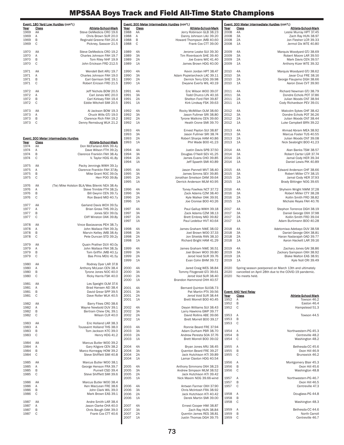|              |                        | Event: 180 Yard Low Hurdles (con't.)                    |              |             | Event: 300 Meter Intermediate Hurdles (con't.)      |              | Event: 300 Meter Intermediate Hurdles (con't.)                   |
|--------------|------------------------|---------------------------------------------------------|--------------|-------------|-----------------------------------------------------|--------------|------------------------------------------------------------------|
| Year<br>1969 | <u>Class</u><br>AA     | Athlete-School-Mark                                     | Year         | Class<br>AA | <u>Athlete-School-Mark</u>                          | Year<br>2008 | Class<br>Athlete-School-Mark<br>4A                               |
| 1969         | Α                      | Steve DeMedicis CRO 19.6<br>Chris Brown SUR 20.0        | 1988<br>1988 | Α           | Jerry Robinson GLB 38.23<br>Danny Johnson LAU 39.20 | 2008         | Leslie Murray HPT 37.45<br>3A<br>Zach Ray HUN 38.97              |
| 1969         | B                      | Reginald Greene FAH 20.4                                | 1988         | $\sf B$     | Howard Thompson JMB 40.60                           | 2008         | 2A<br>Jon Flesher LCR 39.33                                      |
| 1969         | C                      | Pickney, Sasscer 21.5                                   | 1988         | $\mathsf C$ | Frank Cox CTT 39.00                                 | 2008         | 1A<br>Jermol Dix WTE 40.80                                       |
| 1970         | AA                     | Steve DeMedicis CRO 19.2                                | 1989         | 4A          | Jerome Leake SUI 39.30                              | 2009         | 4A<br>Marquis Woodyard GTJ 38.69                                 |
| 1970         | Α                      | Charles Johnson FAH 19.7                                | 1989         | 3A          | Tim Rivenbacrk SHE 39.40                            | 2009         | 3A<br>Robert Moore LAR 39.50                                     |
| 1970<br>1970 | B                      | Tom Riley NHF 19.9                                      | 1989         | 2A          | Joe Evans WIC 41.40                                 | 2009         | 2A<br>Mark Davis CEN 39.57                                       |
|              | C                      | John Erickson FRD 212.5                                 | 1989         | 1A          | James Brown HDG 40.00                               | 2009         | 1A<br>Anthony Kizer WTE 39.32                                    |
| 1971         | AA                     | Wendell Belt ARU 19.7                                   | 1990         | 4A          | Kevin Jordan HPT 38.47                              | 2010         | 4A<br>Marquis Woodyard GTJ 38.62                                 |
| 1971         | Α                      | Charles Johnson FAH 19.0                                | 1990         | 3A          | Adam Popielarcheck LAC 39.11                        | 2010         | 3A<br>Javar Cruz FRE 38.16                                       |
| 1971<br>1971 | $\sf B$<br>$\mathbb C$ | Earl Garrison SHE 19.1<br>Robert Ericson FRD 21.5       | 1990<br>1990 | 2A<br>1A    | Derrick Terry EDG 39.98<br>Dwyane Everts WIL 40.19  | 2010<br>2010 | 2A<br>George Flaujamo DGH 38.66<br>1A<br>Aaron Dove CVT 39.90    |
|              |                        |                                                         |              |             |                                                     |              |                                                                  |
| 1972         | AA                     | Jeff Nichols BOW 20.5                                   | 1991         | 4A          | Eric Wilson WOO 39.07                               | 2011         | 4A<br>Richard Newman GTJ 38.79                                   |
| 1972<br>1972 | Α<br>B                 | Carl Jones WIC 20.0<br>Carl Kirksey FAH 19.4            | 1991<br>1991 | 3A<br>2A    | Todd Churco LIN 40.16<br>Shelton Ford FAH 39.87     | 2011<br>2011 | 3A<br>Dondre Echols POT 37.86<br>2A<br>Julian Woods CNT 38.94    |
| 1972         | C                      | Eddie Mitchell SMI 20.5                                 | 1991         | 1A          | Kirk Lindsay FSK 39.63                              | 2011         | 1A<br>Cody Richardson PEV 39.01                                  |
|              |                        |                                                         |              |             |                                                     |              |                                                                  |
| 1973<br>1973 | AA<br>Α                | Al Jackson BOW 19.3<br>Chuck Wills GTJ 19.0             | 1992<br>1992 | 4A<br>3A    | Rocky McMillan OLM 38.60<br>Jason Fullmer SRI 38.80 | 2012<br>2012 | 4A<br>Malcolm Sykes CHF 38.42<br>3A<br>Dondre Echols POT 36.26   |
| 1973         | $\sf B$                | Clarence Rich FAH 19.2                                  | 1992         | 2A          | Tyrone Watkins CEN 39.60                            | 2012         | 2A<br>Julian Woods CNT 38.44                                     |
| 1973         | C                      | Denny Remsburg WLK 21.2                                 | 1992         | 1A          | Heath Crone SMI 39.70                               | 2012         | 1A<br>Luke Campbell BRN 39.22                                    |
|              |                        |                                                         |              |             |                                                     |              |                                                                  |
|              |                        |                                                         | 1993<br>1993 | 4A<br>3A    | Ernest Payton SUI 38.87<br>Jason Fullmer SRI 38.74  | 2013<br>2013 | 4A<br>Ahmad Abram MEA 38.92<br>3A<br>Marcus Foster TUS 40.55     |
|              |                        | Event: 300 Meter Intermediate Hurdles                   | 1993         | 2A          | Robert Sharps HAM 40.86                             | 2013         | 2A<br>Julian Woods CNT 39.08                                     |
| Year         | Class                  | Athlete-School-Mark                                     | 1993         | 1A          | Phil Wade BOO 41.23                                 | 2013         | 1A<br>Nick Seabright BOO 41.23                                   |
| 1974<br>1974 | AA<br>Α                | Don McFarland ANN 39.4y<br>Dave Wilson FTH 39.2y        | 1994         | 4A          | Justin Davis SPB 37.50                              | 2014         | 4A<br>Alan Banks TSW 38.57                                       |
| 1974         | B                      | Clarence Franklin FAH 38.4y                             | 1994         | 3A          | Douglas O'Neill SEV 41.25                           | 2014         | 3A<br>Robert Carter LGR 37.74                                    |
| 1974         | C                      | V. Taylor HDG 41.8y                                     | 1994         | 2A          | James Evans CHO 39.85                               | 2014         | 2A<br>Jamal Cody HER 39.34                                       |
|              |                        |                                                         | 1994         | 1A          | Jeff Spaeth SMI 40.89                               | 2014         | 1A<br>Daniel Lewis PIK 40.89                                     |
| 1975<br>1975 | AA<br>Α                | Packy Jennings WWH 39.1y<br>Clarence Franklin FAH 37.8y | 1995         | 4A          | Jason Pannell MVT 38.40                             | 2015         | 4A<br>Edward Anderson CHF 38.66                                  |
| 1975         | B                      | Mike Grant ROC 39.0y                                    | 1995         | 3A          | James Simms SEV 39.85                               | 2015         | 3A<br>Robert Miller CTY 38.15                                    |
| 1975         | C                      | Herr POO 39.8y                                          | 1995         | 2A          | Jonathan Smelson DAM 39.64                          | 2015         | 2A<br>Jamal Cody HER 37.93                                       |
| 1976         | AA                     | (Tie) Mike Holston BLA/Wes Bilenki NEA 38.4y            | 1995         | 1A          | Derrick Anderson MLM 40.95                          | 2015         | 1A<br>Brady Bittinger NOG 39.65                                  |
| 1976         | Α                      | Steve Trimble FTH 38.2y                                 | 1996         | 4A          | Toney Fowlkes NCT 37.72                             | 2016         | 4A<br>Shyheim Wright NWM 37.28                                   |
| 1976         | B                      | Bill Gwynn CEN 39.7y                                    | 1996         | 3A          | Zack Adams CZM 38.40                                | 2016         | 3A<br>Robert Miller CTY 38.28                                    |
| 1976         | C                      | Ron Beard MID 40.7y                                     | 1996         | 2A          | Kyle Walker OAK 39.91                               | 2016         | 2A<br>Kollin Smith FRD 38.82                                     |
| 1977         | AA                     | Garland Davis WCH 39.5y                                 | 1996         | 1A          | Joe Cronise BOO 40.26                               | 2015         | 1A<br>Michale Reyes FAH 40.76                                    |
| 1977         | Α                      | Brian Gross THS 39.2y                                   | 1997         | 4A          | Paul Gallup WWH 39.18                               | 2017         | 4A<br>Stephon Torrence DGH 38.19                                 |
| 1977         | $\sf B$                | Jones SEV 39.0y                                         | 1997         | 3A          | Zack Adams CZM 38.13                                | 2017         | 3A<br>Daniel George OXH 37.98                                    |
| 1977         | C                      | Cliff Winston OAK 39.8y                                 | 1997<br>1997 | 2A<br>1A    | Brett Embrey MID 39.82<br>Paul Ledebur HVT 40.64    | 2017<br>2017 | 2A<br>Kollin Smith FRD 39.04<br>1A<br>Adam Burlimann BOO 40.28   |
| 1978         | AA                     | Vince Baxiavanos PEH 38.7y                              |              |             |                                                     |              |                                                                  |
| 1978         | Α                      | John Wallace FAH 39.3y                                  | 1998         | 4A          | James Graham NWE 38.02                              | 2018         | 4A<br>Adetomiwa Adebayo DUV 38.58                                |
| 1978<br>1978 | B<br>C                 | Marvin Kelley JMB 38.4y<br>Pete Duncan STD 39.2y        | 1998<br>1998 | 3A<br>2A    | Joel Brown WOO 37.33<br>Jon Shields RAN 38.10       | 2018<br>2018 | 3A<br>Daniel George OXH 38.81<br>2A<br>Haran Nadarajah OAD 39.77 |
|              |                        |                                                         | 1998         | 1A          | Richard Bright HAM 41.29                            | 2018         | Aaron Hackett LAR 39.16<br>1A                                    |
| 1979         | AA                     | Quain Prather DUV 40.0y                                 |              |             |                                                     |              |                                                                  |
| 1979<br>1979 | Α<br>B                 | John Wallace FAH 38.3y<br>Tom Griffin JMB 40.1y         | 1999<br>1999 | 4A<br>3A    | James Graham NWE 36.51<br>Joel Brown WOO 39.80      | 2019<br>2019 | 4A<br>Zachary Jones GAI 38.86<br>Zackary Sampson OXH 38.92<br>3A |
| 1979         | C                      | Bas Prins MDU 41.5y                                     | 1999         | 2A          | Jerod Void SUR 39.76                                | 2019         | 2A<br>Blake Walton EAS 38.91                                     |
|              |                        |                                                         | 1999         | 1A          | Evan Cohn BHM 39.72                                 | 2019         | 1A<br>Kyle Noll CRI 39.49                                        |
| 1980<br>1980 | AA<br>A                | Rodney Dyer LAR 37.8<br>Anthony McLean CEN 38.4         | 2000         | 4A          | Jared Craig WES 38.84                               | 2020         | Spring season postponed on March 13th and ultimately             |
| 1980         | <b>B</b>               | Tyrone Jones NOC 40.0                                   | 2000         | 3A          | Tommy Fitzgerald GTJ 39.61                          | 2020         | cancelled on April 28th due to the COVID-19 pandemic.            |
| 1980         | C                      | Ricky Harris FSK 40.0                                   | 2000         | 2A          | Jerod Void SUR 38.40                                | 2020         | No meets held.                                                   |
| 1981         | AA                     | Les Speight OLM 37.6                                    | 2000         | 1A          | Brandon Hammond CHH 40.57                           |              |                                                                  |
| 1981         | Α                      | Brad Hansen AEI 38.4                                    | 2001         | 4A          | Bernard Quinton SUI38.73                            |              |                                                                  |
| 1981         | B                      | David Grear SPP 39.5                                    | 2001         | 3A          | Pat Martin PTX 39.56                                |              | Event: 440 Yard Relay                                            |
| 1981         | C                      | Dave Roller WLK 40.5                                    | 2001<br>2001 | 2A<br>1A    | Jerod Void SUR 38.44<br>Brett Morrell BOO 40.45     | Year<br>1952 | <b>Athlete-School-Mark</b><br><b>Class</b><br>Α<br>Towson 46.2   |
| 1982         | AA                     | Barry Fikes CRO 38.6                                    |              |             |                                                     | 1952         | B<br>Easton 46.4                                                 |
| 1982         | Α                      | Wayne Newbold DUV 39.1                                  | 2002         | 4A          | Deyon Williams SUI 38.43                            | 1952         | C<br>Hampstead 51.3                                              |
| 1982         | B<br>C                 | Bertram Chew CAL 39.1<br>Wilson CLR 40.0                | 2002         | 3A          | Larry Hawkins GWP 39.77                             |              |                                                                  |
| 1982         |                        |                                                         | 2002<br>2002 | 2A<br>1A    | David Rollins ABE 39.66<br>Brett Morrell BOO 39.17  | 1953<br>1953 | Towson 44.5<br>Α<br>B                                            |
| 1983         | AA                     | Eric Holland LAR 38.3                                   |              |             |                                                     | 1953         | C                                                                |
| 1983         | Α                      | Toussaint Holland THS 38.0                              | 2003         | 4A          | Ronnie Beard FRE 37.94                              |              |                                                                  |
| 1983<br>1983 | B<br>C                 | Tom Jackson KTC 39.0<br>Henry HDG 41.2                  | 2003<br>2003 | 3A<br>2A    | Adam Durham PBR 38.70<br>Andrew Peresta SOA 37.76   | 1954<br>1954 | Northwestern-PG 45.3<br>Α<br>B<br>Centreville 48.2               |
|              |                        |                                                         | 2003         | 1A          | Brett Morrell BOO 39.02                             | 1954         | C<br>Washington 48.2                                             |
| 1984         | AA                     | Marcus Butler WOO 39.2                                  |              |             |                                                     |              |                                                                  |
| 1984<br>1984 | Α<br>B                 | Gary Kilgore CEN 38.2<br>Marco Kornegay HOW 39.2        | 2004<br>2004 | 4A<br>3A    | Bryan Jones ARU 38.45<br>Quenton Beard FRE 39.27    | 1955<br>1955 | Bethesda-CC 45.6<br>Α<br>B<br>Oxon Hill 46.9                     |
| 1984         | C                      | Steve Shifflett SMI 40.8                                | 2004         | 2A          | Jack Hutchison KTI 39.89                            | 1955         | $\mathbb C$<br>Brunswick 46.2                                    |
|              |                        |                                                         | 2004         | 1A          | Lamar Claxton HDG 40.54                             |              |                                                                  |
| 1985<br>1985 | AA<br>Α                | Marcus Butler W00 38.1<br>George Henson FRA 39.7        | 2005         | 4A          | Anthony Simmons OXH 38.23                           | 1956<br>1956 | Montgomery Blair 45.3<br>Α<br>B<br>Oxon Hill 45.6                |
| 1985         | В                      | Purnell CSD 39.4                                        | 2005         | 3A          | Andrew Simpson MLM 38.52                            | 1956         | C<br>Washington 48.8                                             |
| 1985         | C                      | Steve Shifflett SMI 39.6                                | 2005         | 2A          | Jack Hutchison KTI 39.42                            |              |                                                                  |
|              |                        |                                                         | 2005         | 1A          | Nick Maxim NOG 39.66-wind                           | 1957         | Northwestern-PG 46.7<br>Α                                        |
| 1986<br>1986 | AA<br>Α                | Marcus Butler WOO 38.4<br>Ken MacLean FRE 38.6          | 2006         | 4A          | Antwan Farmer OXH 37.90                             | 1957<br>1957 | B<br>Oxon Hill 46.5<br>C<br>Centreville 47.3                     |
| 1986         | B                      | John Clark WIL 39.0                                     | 2006         | 3A          | Chris McIntosh FRA 38.92                            |              |                                                                  |
| 1986         | C                      | Mark Brown EAS 39.1                                     | 2006         | 2A<br>1A    | Jack Hutchison KTI 40.42                            | 1958         | Douglass-PG 44.8<br>Α                                            |
| 1987         | AA                     | Andre Smith LAR 38.4                                    | 2006         |             | Derek Martin SMI 39.00                              | 1958<br>1958 | B<br>C<br>Washington 48.3                                        |
| 1987         | Α                      | Jason Clarke CHA 40.0                                   | 2007         | 4A          | Ernest Cooper HWI 38.87                             |              |                                                                  |
| 1987         | B                      | Chris Baugh OAK 39.0                                    | 2007         | 3A          | Zach Ray HUN 38.84                                  | 1959         | Bethesda-CC 44.6<br>Α                                            |
| 1987         | C                      | Frank Cox CTT 40.6                                      | 2007<br>2007 | 2A<br>1A    | Quentin James RES 38.81<br>Justin Thomas DGH 39.75  | 1959<br>1959 | B<br>North Carroll<br>C<br>Centreville 46.7                      |
|              |                        |                                                         |              |             |                                                     |              |                                                                  |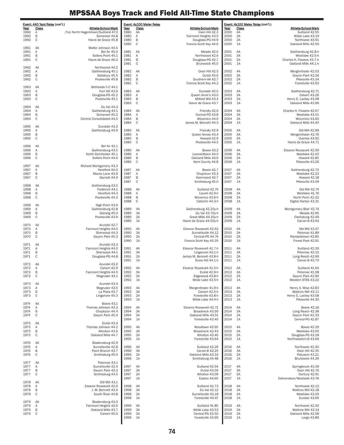|              | Event: 440 Yard Relay (con't.) |                                                       |              | Event: 4x100 Meter Relay |                                          |              | Event: 4x100 Meter Relay (con't.) |                                              |
|--------------|--------------------------------|-------------------------------------------------------|--------------|--------------------------|------------------------------------------|--------------|-----------------------------------|----------------------------------------------|
| Year         | <b>Class</b>                   | Athlete-School-Mark                                   | Year         | Class                    | Athlete-School-Mark                      | Year         | Class                             | <b>Athlete-School-Mark</b>                   |
| 1960<br>1960 | Α<br>B                         | (Tie) North Hagerstown/Suitland 47.0<br>Somerset 44.8 | 1980<br>1980 | AA<br>Α                  | Oxon Hill 42.3<br>Fairmont Heights 43.0  | 2000<br>2000 | 4A<br>ЗA                          | Suitland 42.55<br>Wilde Lake 43.19           |
| 1960         | C                              | Havre de Grace 45.8                                   | 1980         | B                        | Douglass-PG 44.9                         | 2000         | 2A                                | Northwest 43.91                              |
|              |                                |                                                       | 1980         | C                        | Francis Scott Key 44.6                   | 2000         | 1A                                | Oakland Mills 42.56                          |
| 1961<br>1961 | AA<br>Α                        | Walter Johnson 44.5<br><b>Bel Air 45.0</b>            | 1981         | AA                       | Meade 42.0                               | 2001         | 4A                                | Gaithersburg 42.8-h                          |
| 1961         | B                              | Sollers Point 45.1                                    | 1981         | Α                        | Northwood 42.6                           | 2001         | 3A                                | Westlake 42.5-h                              |
| 1961         | C                              | Havre de Grace 46.2                                   | 1981         | B                        | Douglass-PG 42.7                         | 2001         | 2A                                | Charles H. Flowers 43.7-h                    |
| 1962         | AA                             | Northwood 44.2                                        | 1981         | C                        | Brunswick 45.0                           | 2001         | 1A                                | Oakland Mills 44.1-h                         |
| 1962         | Α                              | Gaithersburg 45.1                                     | 1982         | AA                       | Oxon Hill 42.5                           | 2002         | 4A                                | Mergenthaler 42.03                           |
| 1962         | B                              | Salisbury 45.5                                        | 1982         | Α                        | DuVal 43.6                               | 2002         | 3A                                | Gwynn Park 42.26                             |
| 1962         | C                              | Poolesville 45.8                                      | 1982         | B                        | Southern-AA 42.7                         | 2002         | 2A                                | Pikesville 43.34                             |
| 1963         | AA                             | Bethesda C-C 44.1                                     | 1982         | C                        | Francis Scott Key 44.2                   | 2002         | 1A                                | Forestville 43.50                            |
| 1963         | Α                              | Fort Hill 43.9                                        | 1983         | AA                       | Dundalk 42.0                             | 2003         | 4A                                | Gaithersburg 42.71                           |
| 1963         | B                              | Douglass-PG 45.2                                      | 1983         | Α                        | Queen Anne's 43.0                        | 2003         | 3A                                | Calvert 43.26                                |
| 1963         | C                              | Poolesville 45.1                                      | 1983<br>1983 | B<br>C                   | Milford Mill 43.4<br>Havre de Grace 43.7 | 2003<br>2003 | 2A<br>1A                          | Henry E. Lackey 43.08<br>Oakland Mills 43.96 |
| 1964         | AA                             | Du Val 44.3                                           |              |                          |                                          |              |                                   |                                              |
| 1964         | Α                              | Gaithersburg 44.1                                     | 1984         | AA                       | Friendly 42.6                            | 2004         | 4A                                | Charles H. Flowers 42.67                     |
| 1964         | B                              | Somerset 45.2                                         | 1984         | Α                        | Central-PG 43.8                          | 2004         | 3A                                | Westlake 43.01                               |
| 1964         | C                              | Central Consolidated 44.5                             | 1984         | B<br>C                   | Wicomico 44.0                            | 2004         | 2A                                | Wicomico 43.60                               |
| 1965         | AA                             | Dundalk 43.3                                          | 1984         |                          | James M. Bennett 44.3                    | 2004         | 1A                                | Oakland Mills 44.40                          |
| 1965         | Α                              | Gaithersburg 44.9                                     | 1985         | AA                       | Friendly 42.9                            | 2005         | 4A                                | Old Mill 42.99                               |
| 1965         | B                              |                                                       | 1985         | Α                        | Queen Annes 43.4                         | 2005         | 3A                                | Mergenthaler 42.76                           |
| 1965         | C                              |                                                       | 1985         | B<br>C                   | Howard 42.9<br>Poolesville 44.5          | 2005<br>2005 | 2A                                | Overlea 43.92                                |
| 1966         | AA                             | <b>Bel Air 42.1</b>                                   | 1985         |                          |                                          |              | 1A                                | Havre de Grace 44.71                         |
| 1966         | Α                              | Gaithersburg 43.5                                     | 1986         | AA                       | Bowie 43.2                               | 2006         | 4A                                | Eleanor Roosevelt 42.59                      |
| 1966         | B                              | North Dorchester 45.1                                 | 1986         | Α                        | Leonardtown 44.0                         | 2006         | 3A                                | Westlake 42.42                               |
| 1966         | $\mathsf{C}$                   | Sollers Point 44.6                                    | 1986         | B                        | Oakland Mills 43.9                       | 2006         | 2A                                | Howard 42.85                                 |
| 1967         | AA                             | Richard Montgomery 43.3                               | 1986         | C                        | Kent County 44.8                         | 2006         | 1A                                | Pikesville 43.26                             |
| 1967         | Α                              | Hereford 44.0                                         | 1987         | AA                       | Bowie 42.7                               | 2007         | 4A                                | Gaithersburg 42.75                           |
| 1967         | B                              | Maces Lane 44.9                                       | 1987         | Α                        | Chopticon 43.3                           | 2007         | 3A                                | Westlake 42.23                               |
| 1967         | C                              | Garnett 44.4                                          | 1987         | B                        | Hammond 42.7                             | 2007         | 2A                                | Howard 42.18                                 |
| 1968         | AA                             | Gaithersburg 43.5                                     | 1987         | $\mathbb C$              | Smithsburg 45.0                          | 2007         | 1A                                | Pikesville 43.09                             |
| 1968         | Α                              | Frederick 44.1                                        | 1988         | AA                       | Suitland 42.74                           | 2008         | 4A                                | Old Mill 42.74                               |
| 1968         | B                              | Hereford 44.3                                         | 1988         | Α                        | Laurel 42.9-h                            | 2008         | 3A                                | Westlake 41.76                               |
| 1968         | C                              | Poolesville 44.3                                      | 1988         | B                        | Wicomico 43.6-h                          | 2008         | 2A                                | North Point 42.32                            |
| 1969         | AA                             | High Point 43.6                                       | 1988         | C                        | Catoctin 44.3-h                          | 2008         | 1A                                | Digital Harbor 43.31                         |
| 1969         | Α                              | Gaithersburg 42.8                                     | 1989         | 4A                       | Gaithersburg 42.20y-h                    | 2009         | 4A                                | Montgomery Blair 42.74                       |
| 1969         | B                              | Glenelg 45.0                                          | 1989         | 3A                       | Du Val 43.70y-h                          | 2009         | 3A                                | Meade 42.95                                  |
| 1969         | $\mathsf{C}$                   | Poolesville 43.9                                      | 1989         | 2A                       | Great Mills 44.10y-h                     | 2009         | 2A                                | Clarksburg 42.49                             |
| 1970         | AA                             | Arundel 42.7                                          | 1989         | 1A                       | Havre de Grace 44.50y-h                  | 2009         | 1A                                | Carver-B 43.64                               |
| 1970         | Α                              | Fairmont Heights 44.0                                 | 1990         | 4A                       | Eleanor Roosevelt 42.62                  | 2010         | 4A                                | Old Mill 43.07                               |
| 1970         | B                              | Sherwood 44.3                                         | 1990         | 3A                       | Surrattsville 44.12                      | 2010         | 3A                                | Potomac 41.89                                |
| 1970         | C                              | Gwynn Park 45.3                                       | 1990         | 2A                       | Central-PG 44.74                         | 2010         | 2A                                | Randallstown 42.85                           |
| 1971         | AA                             | Arundel 43.3                                          | 1990         | 1A                       | Francis Scott Key 45.35                  | 2010         | 1A                                | Forest Park 42.91                            |
| 1971         | Α                              | Fairmont Heights 44.0                                 | 1991         | 4A                       | Eleanor Roosevelt 41.7-h                 | 2011         | 4A                                | Suitland 42.29                               |
| 1971         | B                              | Sherwood 44.1                                         | 1991         | 3A                       | Linganore 43.1-h                         | 2011         | 3A                                | Potomac 42.15                                |
| 1971         | C                              | Douglass-PG 44.8                                      | 1991         | 2A                       | James M. Bennett 43.8-h                  | 2011         | 2A                                | Long Reach 42.99                             |
| 1972         | AA                             | Arundel 43.2                                          | 1991         | 1A                       | Snow Hill 44.1-h                         | 2011         | 1A                                | Carver-B 43.70                               |
| 1972         | Α                              | Calvert 42.9                                          | 1992         | 4A                       | Eleanor Roosevelt 41.5-h                 | 2012         | 4A                                | Suitland 41.64                               |
| 1972         | B                              | Fairmont Heights 44.5                                 | 1992         | 3A                       | DuVal 42.9-h                             | 2012         | 3A                                | Potomac 41.08                                |
| 1972         | $\mathsf{C}$                   | Magruder 44.1                                         | 1992         | 2A                       | Edgewood 43.8-h                          | 2012         | 2A                                | Gwynn Park 42.94<br>Western STES 43.22       |
| 1973         | AA                             | Arundel 43.4                                          | 1992         | 1A                       | Wilde Lake 43.5-h                        | 2012         | 1A                                |                                              |
| 1973         | Α                              | Magruder 43.5                                         | 1993         | 4A                       | Mergenthaler 41.9-h                      | 2013         | 4A                                | Henry A. Wise 42.83                          |
| 1973         | B                              | La Plata 43.7                                         | 1993         | 3A                       | Calvert 42.5-h                           | 2013         | 3A                                | Watkins Mill 43.11                           |
| 1973         | C                              | Linganore 45.3                                        | 1993         | 2A                       | Forestville 43.8-h                       | 2013         | 2A                                | Henry E. Lackey 43.08                        |
| 1974         | AA                             | <b>Bowie 43.1</b>                                     | 1993         | 1A                       | Wilde Lake 44.4-h                        | 2013         | 1A                                | Pikesville 44.30                             |
| 1974         | Α                              | Thomas Johnson 43.2                                   | 1994         | 4A                       | Eleanor Roosevelt 42.71                  | 2014         | 4A                                | <b>Bowie 42.16</b>                           |
| 1974         | B                              | Chopticon 44.4                                        | 1994         | 3A                       | Broadneck 43.59                          | 2014         | 3A                                | Long Reach 42.38                             |
| 1974         | C                              | Gwynn Park 45.4                                       | 1994         | 2A                       | Oakland Mills 43.51                      | 2014<br>2014 | 2A                                | Gwynn Park 42.33<br>Central-PG 42.87         |
| 1975         | AA                             | DuVal 43.4                                            | 1994         | 1A                       | Forestville 43.40                        |              | 1A                                |                                              |
| 1975         | Α                              | Thomas Johnson 44.2                                   | 1995         | 4A                       | Woodlawn 42.65                           | 2015         | 4A                                | <b>Bowie 42.29</b>                           |
| 1975         | B                              | Atholton 43.9                                         | 1995         | 3A                       | Broadneck 42.43                          | 2015         | 3A                                | Westlake 43.05                               |
| 1975         | $\mathsf{C}$                   | Oakland Mills 44.7                                    | 1995         | 2A                       | Atholton 43.40                           | 2015         | 2A                                | Douglass-PG 43.18                            |
| 1976         | AA                             | Bladensburg 42.9                                      | 1995         | 1A                       | Forestville 43.64                        | 2015         | 1A                                | Northwestern-B 43.69                         |
| 1976         | Α                              | Surrattsville 42.8                                    | 1996         | 4A                       | Suitland 42.26                           | 2016         | 4A                                | Northwest 42.30                              |
| 1976         | B                              | Paint Branch 43.7                                     | 1996         | 3A                       | Carver-B 42.25                           | 2016         | 3A                                | Oxon Hill 42.35                              |
| 1976         | C                              | Smithsburg 45.0                                       | 1996         | 2A                       | Oakland Mills 43.33                      | 2016         | 2A                                | Patuxent 43.21                               |
| 1977         | AA                             | Potomac 43.1                                          | 1996         | 1A                       | Smithsburg 44.48                         | 2016         | 1A                                | Brunswick 44.29                              |
| 1977         | Α                              | Surrattsville 42.4                                    | 1997         | 4A                       | Suitland 42.54                           | 2017         | 4A                                | Springbrook 43.39                            |
| 1977         | B                              | Gwynn Park 43.3                                       | 1997         | 3A                       | DuVal 43.04                              | 2017         | 3A                                | Oxon Hill 42.76                              |
| 1977         | C                              | Smithsburg 44.5                                       | 1997         | 2A                       | Atholton 43.09                           | 2017         | 2A                                | Century 42.91                                |
| 1978         | AA                             | Old Mill 43.1                                         | 1997         | 1A                       | Easton 44.65                             | 2017         | 1A                                | Edmondson/Westside 43.76                     |
| 1978         | Α                              | Eleanor Roosevelt 42.6                                | 1998         | 4A                       | Suitland 42.73                           | 2018         | 4A                                | Northwest 42.12                              |
| 1978         | В                              | J. M. Bennett 43.4                                    | 1998         | 3A                       | Du Val 42.12                             | 2018         | ЗA                                | Watkins Mill 42.18                           |
| 1978         | $\mathsf{C}$                   | South River 44.8                                      | 1998         | 2A                       | Surrattsville 43.18                      | 2018         | 2A                                | Westlake 43.29                               |
| 1979         | AA                             | Bladensburg 43.0                                      | 1998         | 1A                       | Forestville 44.47                        | 2018         | 1A                                | Dunbar 43.66                                 |
| 1979         | Α                              | Fairmont Heights 42.6                                 | 1999         | 4A                       | Suitland 41.85                           | 2019         | 4A                                | Northwest 42.30                              |
| 1979         | B                              | Oakland Mills 43.7                                    | 1999         | 3A                       | Wilde Lake 43.53                         | 2019         | 3A                                | Watkins Mill 42.14                           |
| 1979         | C                              | Calvert 45.0                                          | 1999         | 2A                       | Central-PG 42.50                         | 2019         | 2A                                | Oakland Mills 42.58                          |
|              |                                |                                                       | 1999         | 1A                       | Forestville 43.95                        | 2019         | 1A                                | Largo 43.89                                  |
|              |                                |                                                       |              |                          |                                          |              |                                   |                                              |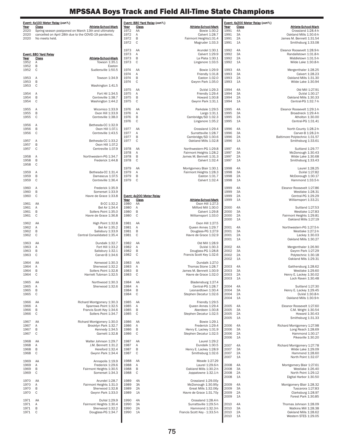|                     | Event: 4x100 Meter Relay (con't.)                                                    |              | Event: 880 Yard Relay (con't.) |                                                   |              | Event: 4x200 Meter Relay (con't.) |                                                    |
|---------------------|--------------------------------------------------------------------------------------|--------------|--------------------------------|---------------------------------------------------|--------------|-----------------------------------|----------------------------------------------------|
| Year<br>2020        | Class<br>Athlete-School-Mark<br>Spring season postponed on March 13th and ultimately | Year<br>1972 | <u>Class</u><br>AA             | Athlete-School-Mark<br>Bowie 1:30.2               | Year<br>1991 | <u>Class</u><br>4А                | Athlete-School-Mark<br>Crossland 1:28.4-h          |
| 2020                | cancelled on April 28th due to the COVID-19 pandemic.                                | 1972         | Α                              | Calvert 1:28.7                                    | 1991         | 3A                                | Oakland Mills 1:30.6-h                             |
| 2020                | No meets held.                                                                       | 1972         | B                              | Fairmont Heights1:31.4                            | 1991         | 2A                                | James M. Bennett 1:31.54                           |
|                     |                                                                                      | 1972         | $\mathsf C$                    | Magruder 1:33.3                                   | 1991         | 1A                                | Smithsburg 1:33.08                                 |
|                     |                                                                                      | 1973         | AA                             | Arundel 1:30.1                                    | 1992         | 4A                                | Eleanor Roosevelt 1:28.9-h                         |
|                     | Event: 880 Yard Relay                                                                | 1973         | Α                              | Calvert 1:29.9                                    | 1992         | 3A                                | Randallstown 1:31.8-h                              |
| <u>Year</u><br>1952 | Class<br>Athlete-School-Mark<br>Α<br>Towson 1:35.1                                   | 1973<br>1973 | B<br>C                         | La Plata 1:30.1<br>Linganore 1:33.5               | 1992<br>1992 | 2A<br>1A                          | Middletown 1:31.5-h<br>Wilde Lake 1:30.8-h         |
| 1952                | В<br>Easton                                                                          |              |                                |                                                   |              |                                   |                                                    |
| 1952                | C<br>Sudlersville 1:50.5                                                             | 1974         | AA                             | Bowie 1:29.9                                      | 1993         | 4A                                | Mergenthaler 1:28.25                               |
| 1953                | Α<br>Towson 1:34.9                                                                   | 1974<br>1974 | Α<br>B                         | Friendly 1:31.8<br>Easton 1:32.0                  | 1993<br>1993 | ЗA<br>2A                          | Calvert 1:28.23<br>Oakland Mills 1:31.30           |
| 1953                | B                                                                                    | 1974         | C                              | Gwynn Park 1:35.0                                 | 1993         | 1A                                | Wilde Lake 1:30.94                                 |
| 1953                | C<br>Washington 1:41.5                                                               | 1975         |                                | DuVal 1:29.3                                      | 1994         | 4A                                | Old Mill 1:27.91                                   |
| 1954                | Fort Hil 1:34.5<br>Α                                                                 | 1975         | AA<br>Α                        | Friendly 1:29.4                                   | 1994         | 3A                                | DuVal 1:30.17                                      |
| 1954                | B<br>Centreville 1:38.7                                                              | 1975         | B                              | Howard 1:30.8                                     | 1994         | 2A                                | Oakland Mills 1:30.33                              |
| 1954                | C<br>Washington 1:44.2                                                               | 1975         | C                              | Gwynn Park 1:31.1                                 | 1994         | 1A                                | Central-PG 1:32.7-h                                |
| 1955                | Α<br>Wicomico 1:33.9                                                                 | 1976         | AA                             | Parkdale 1:29.5                                   | 1995         | 4A                                | Eleanor Roosevelt 1:29.1-h                         |
| 1955                | B<br>Oxon Hill 1:33.9                                                                | 1976         | Α                              | Largo 1:31.1                                      | 1995         | 3A                                | Broadneck 1:29.4-h                                 |
| 1955                | C<br>Centreville 1:38.0                                                              | 1976<br>1976 | B<br>C                         | Cambridge/SD 1:32.3<br>Linganore 1:35.2           | 1995<br>1995 | 2A<br>1A                          | Atholton 1:30.00<br>Central-PG 1:31.41             |
| 1956                | Bethesda-CC 1:32.9<br>Α                                                              |              |                                |                                                   |              |                                   |                                                    |
| 1956                | B<br>Oxon Hill 1:37.1                                                                | 1977         | AA                             | Crossland 1:29.4                                  | 1996         | 4A                                | North County 1:28.2-h                              |
| 1956                | C<br>Centreville 1:43.5                                                              | 1977<br>1977 | Α<br>B                         | Surrattsville 1:28.7<br>Cambridge/SD 1:30.6       | 1996<br>1996 | 3A<br>2A                          | Carver-B 1:28.2-h<br>Baltimore Polytechnic 1:31.57 |
| 1957                | Bethesda-CC 1:33.2<br>Α                                                              | 1977         | C                              | Oakland Mills 1:32.8                              | 1996         | 1A                                | Smithsburg 1:33.61                                 |
| 1957                | B<br>Oxon Hill 1:37.2<br>C                                                           |              |                                |                                                   | 1997         |                                   |                                                    |
| 1957                | Centreville 1:37.9                                                                   | 1978<br>1978 | AA<br>Α                        | Northwestern-PG 1:29.8<br>Fairmont Heights 1:28.2 | 1997         | 4A<br>3A                          | Suitland 1:29.77<br>McDonough 1:30.43              |
| 1958                | Northwestern-PG 1:34.7<br>Α                                                          | 1978         | B                              | James M. Bennett 1:31.3                           | 1997         | 2A                                | Wilde Lake 1:30.68                                 |
| 1958<br>1958        | B<br>Frederick 1:44.8                                                                | 1978         | C                              | Calvert 1:32.4                                    | 1997         | 1A                                | Smithsburg 1:33.43                                 |
|                     | C                                                                                    | 1979         | AA                             | Montgomery Blair 1:30.1                           | 1998         | 4A                                | Laurel 1:28.25                                     |
| 1959                | Bethesda-CC 1:31.4<br>Α                                                              | 1979         | Α                              | Fairmont Heights 1:28.3                           | 1998         | 3A                                | DuVal 1:27.82                                      |
| 1959<br>1959        | B<br>Damascus 1:37.5<br>C<br>Centreville 1:36.4                                      | 1979<br>1979 | B<br>C                         | Easton 1:31.7<br>Calvert 1:32.4                   | 1998<br>1998 | 2A<br>1A                          | McDonough 1:30.17<br>Hammond 1:33.5-h              |
|                     |                                                                                      |              |                                |                                                   |              |                                   |                                                    |
| 1960                | Frederick 1:35.9<br>Α                                                                |              |                                |                                                   | 1999         | 4A                                | Eleanor Roosevelt 1:27.86                          |
| 1960<br>1960        | B<br>Somerset 1:33.9<br>C<br>Havre de Grace 1:33.8                                   |              | Event: 4x200 Meter Relay       |                                                   | 1999<br>1999 | 3A<br>2A                          | Westlake 1:28.31<br>Central-PG 1:29.29             |
|                     |                                                                                      | Year         | <b>Class</b>                   | <b>Athlete-School-Mark</b>                        | 1999         | 1A                                | Williamsport 1:33.21                               |
| 1961                | AA<br>B-CC 1:32.2                                                                    | 1980         | AA                             | Oxon Hill 1:27.3                                  |              |                                   |                                                    |
| 1961<br>1961        | Bel Air 1:34.4<br>Α<br>B<br>Sollers Point 1:35.0                                     | 1980<br>1980 | Α<br>B                         | Milford Mill 1:30.0<br>Calvert 1:29.8             | 2000<br>2000 | 4A<br>ЗA                          | Suitland 1:27.53<br>Westlake 1:27.83               |
| 1961                | C<br>Havre de Grace 1:36.8                                                           | 1980         | C                              | Williamsport 1:33.0                               | 2000         | 2A                                | Fairmont Heights 1:29.81                           |
|                     |                                                                                      |              |                                |                                                   | 2000         | 1A                                | Oakland Mills 1:27.19                              |
| 1962<br>1962        | High Point 1:32.8<br>AA<br>Α<br>Bel Air 1:35.2                                       | 1981<br>1981 | AA<br>Α                        | Oxon Hill 1:27.5<br>Queen Annes 1:29.7            | 2001         | 4A                                | Northwestern-PG 1:27.5-h                           |
| 1962                | B<br>Salisbury 1:33.9                                                                | 1981         | B                              | Douglass-PG 1:27.9                                | 2001         | 3A                                | Westlake 1:27.2-h                                  |
| 1962                | C<br>Central Consolidated 1:35.4                                                     | 1981         | C                              | Havre de Grace 1:32.9                             | 2001         | 2A                                | Lackey 1:30.03                                     |
| 1963                | Dundalk 1:32.7<br>AA                                                                 | 1982         | AA                             | Old Mill 1:28.9                                   | 2001         | 1A                                | Oakland Mills 1:30.27                              |
| 1963                | Fort Hill 1:33.2<br>Α                                                                | 1982         | Α                              | DuVal 1:30.3                                      | 2002         | 4A                                | Mergenthaler 1:26.90                               |
| 1963                | B<br>Salisbury 1:32.1<br>Carver-B 1:34.6                                             | 1982         | B                              | Douglass-PG 1:28.8                                | 2002         | 3A                                | Gwynn Park 1:27.29                                 |
| 1963                | C                                                                                    | 1982         | C                              | Francis Scott Key 1:32.6                          | 2002<br>2002 | 2A<br>1A                          | Polytechnic 1:30.18<br>Oakland Mils 1:29.31        |
| 1964                | AA<br>Kenwood 1:30.3                                                                 | 1983         | AA                             | Dundalk 1:27.0                                    |              |                                   |                                                    |
| 1964<br>1964        | Α<br>Sherwood 1:32.2<br>Sollers Point 1:32.8<br>B                                    | 1983<br>1983 | Α<br>B                         | Thomas Stone 1:28.7<br>James M. Bennett 1:30.9    | 2003<br>2003 | 4A<br>3A                          | Gaithersburg 1:28.62<br>Westlake 1:29.60           |
| 1964                | $\mathsf C$<br>Harriett Tubman 1:32.5                                                | 1983         | $\mathbf C$                    | Havre de Grace 1:32.0                             | 2003         | 2A                                | Henry E. Lackey 1:30.02                            |
|                     |                                                                                      |              |                                |                                                   | 2003         | 1A                                | Loch Raven 1:30.48                                 |
| 1965<br>1965        | AA<br>Northwood 1:30.3<br>Α<br>Sherwood 1:32.6                                       | 1984<br>1984 | AA<br>Α                        | Bladensburg 1:27.4<br>Central-PG 1:28.7           | 2004         | 4A                                | Suitland 1:27.30                                   |
| 1965                | B                                                                                    | 1984         | B                              | Leonardtown 1:30.4                                | 2004         | 3A                                | Henry E. Lackey 1:29.45                            |
| 1965                | C                                                                                    | 1984         | C                              | Stephen Decatur 1:32.6                            | 2004         | 2A                                | DuVal 1:30.8-h                                     |
| 1966                | Richard Montgomery 1:30.3<br>AA                                                      | 1985         | AA                             | Friendly 1:29.5                                   | 2004         | 1A                                | Oakland Mills 1:30.9-h                             |
| 1966                | Sparrows Point 1:32.5<br>Α                                                           | 1985         | Α                              | Queen Annes 1:29.4                                | 2005         | 4A                                | Eleanor Roosevelt 1:27.60                          |
| 1966<br>1966        | B<br>Francis Scott Key 1:34.6<br>C<br>Sollers Point 1:34.7                           | 1985<br>1985 | B<br>C                         | Aberdeen 1:30.8<br>Stephen Decatur 1:32.5         | 2005<br>2005 | 3A<br>2A                          | C.M. Wright 1:30.54<br>Howard 1:30.43              |
|                     |                                                                                      |              |                                |                                                   | 2005         | 1A                                | Smithsburg 1:31.33                                 |
| 1967                | AA<br>Richard Montgomery 1:30.0                                                      | 1986         | AA                             | Bowie 1:29.1                                      |              |                                   |                                                    |
| 1967<br>1967        | Α<br>Brooklyn Park 1:32.7<br>B<br>Kennedy 1:34.5                                     | 1986<br>1986 | Α<br>B                         | Frederick 1:29.4<br>Henry E. Lackey 1:31.9        | 2006<br>2006 | 4A<br>ЗA                          | Richard Montgomery 1:27.98<br>Long Reach 1:28.69   |
| 1967                | $\mathsf{C}$<br>Garnett 1:32.8                                                       | 1986         | C                              | Stephen Decatur 1:32.5                            | 2006         | 2A                                | Hammond 1:30.17                                    |
|                     |                                                                                      |              |                                |                                                   | 2006         | 1A                                | Pikesville 1:30.20                                 |
| 1968<br>1968        | AA<br>Walter Johnson 1:29.7<br>Α<br>J.M. Bennett 1:31.2                              | 1987<br>1987 | AA<br>Α                        | Laurel 1:29.2<br>Dundalk 1:30.5                   | 2007         | 4A                                | Richard Montgomery 1:27.78                         |
| 1968                | B<br>Hereford 1:32.4                                                                 | 1987         | B                              | Henry E. Lackey 1:28.9                            | 2007         | 3A                                | Wilde Lake 1:29.09                                 |
| 1968                | C<br>Gwynn Park 1:34.4                                                               | 1987         | C                              | Smithsburg 1:32.6                                 | 2007         | 2A                                | Hammond 1:28.60                                    |
| 1969                | Annapolis 1:19.9<br>AA                                                               | 1988         | AA                             | Meade 1:27.29                                     | 2007         | 1A                                | North Point 1:32.07                                |
| 1969                | Frederick 1:29.6<br>Α                                                                | 1988         | Α                              | Laurel 1:29.6-h                                   | 2008         | 4A                                | Montgomery Blair 1:27.61                           |
| 1969                | B<br>Fairmont Heights 1:30.5                                                         | 1988         | B                              | Oakland Mills 1:30.2-h                            | 2008         | 3A                                | Westlake 1:26.40                                   |
| 1969                | C<br>Somerset 1:34.3                                                                 | 1988         | C                              | Joppatowne 1:32.1-h                               | 2008<br>2008 | 2A<br>1A                          | North Point 1:29.12<br>Digital Harbor 1:30.50      |
| 1970                | AA<br>Arundel 1:28.7                                                                 | 1989         | 4A                             | Crossland 1:29.00y                                |              |                                   |                                                    |
| 1970                | Fairmont Heights 1:31.0<br>Α<br>B                                                    | 1989         | 3A                             | McDonough 1:30.95y                                | 2009         | 4A                                | Montgomery Blair 1:28.32                           |
| 1970<br>1970        | Sherwood 1:32.8<br>C<br>Gwynn Park 1:33.0                                            | 1989<br>1989 | 2A<br>1A                       | Great Mills 1:32.06y<br>Havre de Grace 1:31.70y   | 2009<br>2009 | ЗA<br>2A                          | Tuscarora 1:27.83<br>Clarksburg 1:28.97            |
|                     |                                                                                      |              |                                |                                                   | 2009         | 1A                                | Forest Park 1:30.85                                |
| 1971<br>1971        | DuVal 1:29.9<br>AA<br>Fairmont Heights 1:30.4<br>Α                                   | 1990<br>1990 | 4A<br>3A                       | Crossland 1:28.4-h<br>Surrattsville 1:29.5-h      | 2010         | 4A                                | Thomas Johnson 1:28.09                             |
| 1971                | B<br>Sherwood 1:32.2                                                                 | 1990         | 2A                             | Hammond 1:32.3-h                                  | 2010         | 3A                                | Watkins Mill 1:28.38                               |
| 1971                | C<br>Douglass-PG 1:34.7                                                              | 1990         | 1A                             | Francis Scott Key - 1:33.5-h                      | 2010         | 2A                                | Oakland Mills 1:28.62                              |
|                     |                                                                                      |              |                                |                                                   | 2010         | 1A                                | Western STES 1:29.05                               |
|                     |                                                                                      |              |                                |                                                   |              |                                   |                                                    |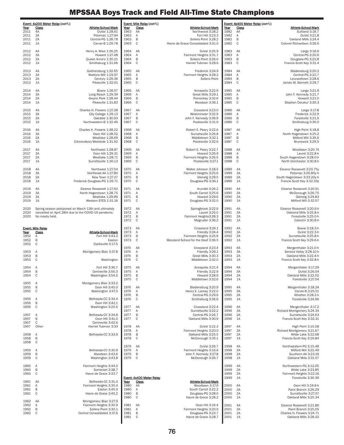|              | Event: 4x200 Meter Relay (con't.)                                 |              | Event: Mile Relay (con't.) |                                                |              | Event: 4x400 Meter Relay (con't.) |                                                    |
|--------------|-------------------------------------------------------------------|--------------|----------------------------|------------------------------------------------|--------------|-----------------------------------|----------------------------------------------------|
| Year         | <b>Class</b><br>Athlete-School-Mark                               | Year         | <b>Class</b>               | <b>Athlete-School-Mark</b>                     | Year         | <b>Class</b>                      | Athlete-School-Mark                                |
| 2011<br>2011 | 4A<br>DuVal 1:28.61<br>3A<br>Potomac 1:27.94                      | 1963<br>1963 | AA<br>Α                    | Northwood 3:28.2<br>Fort Hill 3:23.3           | 1982<br>1982 | AA<br>Α                           | Suitland 3:18.7<br>DuVal 3:21.8                    |
| 2011         | Central-PG 1:28.78<br>2A                                          | 1963         | B                          | Sollers Point 3:28.2                           | 1982         | B                                 | Oakland Mills 3:24.4                               |
| 2011         | 1A<br>Carver-B 1:29.78                                            | 1963         | $\mathsf C$                | Havre de Grace Consolidated 3:31.0             | 1982         | $\mathsf{C}$                      | Colonel Richardson 3:26.6                          |
| 2012         | 4A<br>Henry A. Wise 1:26.25                                       | 1964         | AA                         | DuVal 3:25.9                                   | 1983         | AA                                | Largo 3:16.6                                       |
| 2012         | 3A<br>Howard 1:27.48                                              | 1964         | Α                          | Fairmont Heights 3:31.7                        | 1983         | Α                                 | Central-PG 3:20.6                                  |
| 2012<br>2012 | 2A<br>Queen Anne's 1:30.21<br>1A                                  | 1964<br>1964 | B<br>C                     | Sollers Point 3:26.0<br>Harriet Tubman 3:28.6  | 1983<br>1983 | B<br>C                            | Douglass-PG 3:22.8<br>Francis Scott Key 3:31.4     |
|              | Smithsburg 1:31.66                                                |              |                            |                                                |              |                                   |                                                    |
| 2013         | 4A<br>Gaithersburg 1:32.65                                        | 1965         | AA                         | Frederick 3:24.9                               | 1984         | AA                                | Bladensburg 3:20.2                                 |
| 2013<br>2013 | 3A<br>Watkins Mill 1:29.97<br>2A<br>Century 1:29.36               | 1965<br>1965 | Α<br>B                     | Fairmont Heights 3:28.2<br>Sollers Point       | 1984<br>1984 | Α<br>B                            | Central-PG 3:22.7<br>Leonardtown 3:28.6            |
| 2013         | Pikesville 1:32.61<br>1A                                          | 1965         | $\mathsf C$                |                                                | 1984         | C                                 | James M. Bennett 3:29.7                            |
|              |                                                                   |              |                            |                                                |              |                                   |                                                    |
| 2014<br>2014 | 4A<br>Bowie 1:26.57<br>3A<br>Long Reach 1:29.39                   | 1966<br>1966 | AA<br>Α                    | Annapolis 3:22.9<br>Great Mills 3:29.1         | 1985<br>1985 | AA<br>Α                           | Largo 3:21.9<br>John F. Kennedy 3:21.7             |
| 2014         | Gwynn Park 1:28.44<br>2A                                          | 1966         | B                          | Pomonkey 3:32.6                                | 1985         | B                                 | Howard 3:21.0                                      |
| 2014         | Pikesville 1:31.83<br>1A                                          | 1966         | C                          | Woodson 3:36.1                                 | 1985         | $\mathsf{C}$                      | Stephen Decatur 3:30.3                             |
| 2015         | Charles H. Flowers 1:27.28<br>4A                                  | 1967         | AA                         | Crossland 3:23.0                               | 1986         | AA                                | Largo 3:17.8                                       |
| 2015         | 3A<br>City College 1:29.13                                        | 1967         | Α                          | Westminster 3:32.9                             | 1986         | Α                                 | Frederick 3:22.9                                   |
| 2015<br>2015 | 2A<br>Oakdale 1:30.93<br>Northwestern-B 1:32.46<br>1A             | 1967<br>1967 | B<br>$\mathsf{C}$          | John F. Kennedy 3:39.9<br>Poolesville 3:31.9   | 1986<br>1986 | B<br>C                            | Forestville 3:21.6<br>Smithsburg 3:36.0            |
|              |                                                                   |              |                            |                                                |              |                                   |                                                    |
| 2016<br>2016 | 4A<br>Charles H. Flowers 1:28.22<br>3A<br>Oxon Hill 1:28.52       | 1968<br>1968 | AA<br>Α                    | Robert E. Peary 3:22.6<br>Surrattsville 3:26.8 | 1987<br>1987 | AA<br>Α                           | High Point 3:18.8<br>North Hagerstown 3:25.2       |
| 2016         | 2A<br>Westlake 1:28.69                                            | 1968         | B                          | Middletown 3:32.1                              | 1987         | B                                 | Milford Mill 3:35.6                                |
| 2016         | Edmondson/Westside 1:31.92<br>1A                                  | 1968         | $\mathsf C$                | Poolesville 3:32.6                             | 1987         | C                                 | Brunswick 3:29.5                                   |
| 2017         | 4A<br>Northwest 1:28.87                                           | 1969         | AA                         | Robert E. Peary 3:22.7                         | 1988         | AA                                | Woodlawn 3:20.74                                   |
| 2017         | 3A<br>Oxon Hill 1:29.31                                           | 1969         | Α                          | Howard 3:26.9                                  | 1988         | Α                                 | Laurel 3:22.8-h                                    |
| 2017         | 2A<br>Westlake 1:28.71                                            | 1969         | B<br>C                     | Fairmont Heights 3:26.5                        | 1988         | B<br>$\mathsf{C}$                 | South Hagerstown 3:28.0-h                          |
| 2017         | 1A<br>Surrattsville 1:30.13                                       | 1969         |                            | Poolesville 3:27.1                             | 1988         |                                   | North Dorchester 3:30.8-h                          |
| 2018         | 4A<br>Northwest 1:27.54                                           | 1970         | AA                         | Walter Johnson 3:18.5                          | 1989         | 4A                                | Eleanor Roosevelt 3:20.75y                         |
| 2018<br>2018 | 3A<br>Northeast-AA 1:27.80<br>2A<br>New Town 1:27.27              | 1970<br>1970 | Α<br>B                     | Fairmont Heights 3:25.6<br>Glenelg 3:29.5      | 1989<br>1989 | 3A<br>2A                          | Potomac 3:26.80y-h<br>South Hagerstown 3:33.20y-h  |
| 2018         | 1A<br>Frederick Douglass-PG 1:29.71                               | 1970         | C                          | Douglass-PG 3:36.1                             | 1989         | 1A                                | Francis Scott Key 3:32.33y                         |
|              |                                                                   |              |                            |                                                |              |                                   |                                                    |
| 2019<br>2019 | 4A<br>Eleanor Roosevelt 1:27.62<br>3A<br>North Hagerstown 1:28.75 | 1971<br>1971 | AA<br>Α                    | Arundel 3:26.2<br>South Carroll 3:25.6         | 1990<br>1990 | 4A<br>ЗA                          | Eleanor Roosevelt 3:20.51<br>McDonough 3:26.75     |
| 2019         | 2A<br>Westlake 1:29.96                                            | 1971         | B                          | Howard 3:29.6                                  | 1990         | 2A                                | Glenelg 3:29.83                                    |
| 2019         | Western STES 1:31.16<br>1A                                        | 1971         | $\mathsf C$                | Douglass-PG 3:32.0                             | 1990         | 1A                                | Milford Mill 3:32.57                               |
| 2020         | Spring season postponed on March 13th and ultimately              | 1972         | AA                         | Springbrook 3:22.6                             | 1991         | 4A                                | Eleanor Roosevelt 3:20.6-h                         |
| 2020         | cancelled on April 28th due to the COVID-19 pandemic.             | 1972         | Α                          | Laurel 3:25.0                                  | 1991         | 3A                                | Oakland Mills 3:25.8-h                             |
| 2020         | No meets held.                                                    | 1972<br>1972 | B<br>C                     | Fairmont Heights3:28.3<br>Magruder 3:36.2      | 1991<br>1991 | 2A<br>1A                          | Forestville 3:25.0-h<br>Catoctin 3:30.8-h          |
|              |                                                                   |              |                            |                                                |              |                                   |                                                    |
| Year         | <u>Event: Mile Relay</u><br>Class<br><u>Athlete-School-Mark</u>   | 1973         | AA<br>Α                    | Crossland 3:24.1                               | 1992         | 4A<br>3A                          | Bowie 3:18.3-h                                     |
| 1952         |                                                                   |              |                            |                                                |              |                                   |                                                    |
|              | Fort Hill 3:43.2<br>Α                                             | 1973<br>1973 | B                          | Friendly 3:24.4<br>Fairmont Heights 3:25.6     | 1992<br>1992 | 2A                                | DuVal 3:22.3-h<br>Surrattsville 3:25.8-h           |
| 1952         | B<br>Easton                                                       | 1973         | C                          | Maryland School for the Deaf 3:36.5            | 1992         | 1A                                | Francis Scott Key 3:29.6-h                         |
| 1952         | C<br>Clarksville 4:17.5                                           | 1974         | AA                         | Crossland 3:23.4                               | 1993         | 4A                                | Mergenthaler 3:21.0-h                              |
| 1953         | Α<br>Montgomery Blair 3:37.8                                      | 1974         | Α                          | Friendly 3:26.1                                | 1993         | ЗA                                | Seneca Valley 3:28.10-h                            |
| 1953         | B                                                                 | 1974         | B                          | Great Mills 3:30.3                             | 1993         | 2A                                | Oakland Mills 3:22.4-h                             |
| 1953         | C<br>Washington                                                   | 1974         | C                          | Middletown 3:32.0                              | 1993         | 1A                                | Francis Scott Key 3:32.8-h                         |
| 1954         | Fort Hill 3:36.7<br>A                                             | 1975         | AA                         | Annapolis 3:21.4                               | 1994         | 4A                                | Mergenthaler 3:17.29                               |
| 1954<br>1954 | Centreville 3:50.3<br>B<br>C<br>Washington 3:54.5                 | 1975<br>1975 | A<br>B                     | Friendly 3:22.9<br>Howard 3:28.9               | 1994<br>1994 | 3A<br>2A                          | DuVal 3:26.04<br>Oakland Mills 3:22.52             |
|              |                                                                   | 1975         | $\mathbb C$                | Middletown 3:32.6                              | 1994         | 1A                                | Forestville 3:27.54                                |
| 1955         | Montgomery Blair 3:33.2<br>Α                                      |              |                            |                                                |              |                                   |                                                    |
| 1955<br>1955 | Oxon Hill 3:45.0<br>B<br>C<br>Washington 3:47.5                   | 1976<br>1976 | AA<br>Α                    | Bladensburg 3:20.9<br>Henry E. Lackey 3:22.0   | 1995<br>1995 | 4A<br>3A                          | Mergenthaler 3:18.24<br>Carver-B 3:25.51           |
|              |                                                                   | 1976         | B                          | Central-PG 3:29.6                              | 1995         | 2A                                | Atholton 3:28.2-h                                  |
| 1956<br>1956 | Bethesda-CC 3:34.4<br>Α<br>B<br>Oxon Hill 3:42.1                  | 1976         | C                          | Smithsburg 3:36.6                              | 1995         | 1A                                | Forestville 3:24.96                                |
| 1956         | C<br>Washington 3:20.5                                            | 1977         | AA                         | Crossland 3:22.4                               | 1996         | 4A                                | Mergenthaler 3:17.2                                |
|              |                                                                   | 1977         | Α                          | Surrattsville 3:22.2                           | 1996         | ЗA                                | Richard Montgomery 3:24.34                         |
| 1957<br>1957 | Bethesda-CC 3:34.8<br>Α<br>B<br>Oxon Hill 3:41.0                  | 1977<br>1977 | B<br>C                     | Central-PG 3:26.7<br>Oakland Mills 3:30.9      | 1996<br>1996 | 2A<br>1A                          | Surrattsville 3:24.63<br>Francis Scott Key 3:32.31 |
| 1957         | C<br>Centreville 3:42.6                                           |              |                            |                                                |              |                                   |                                                    |
| 1957         | Other<br>Harriet Tubman 3:33                                      | 1978<br>1978 | AA<br>Α                    | DuVal 3:22.3<br>Fairmont Heights 3:20.0        | 1997<br>1997 | 4A<br>3A                          | High Point 3:15.08<br>Richard Montgomery 3:21.67   |
| 1958         | Bethesda-CC 3:33.9<br>Α                                           | 1978         | B                          | Oakland Mills 3:25.5                           | 1997         | 2A                                | Wilde Lake 3:22.68                                 |
| 1958         | B                                                                 | 1978         | C                          | McDonough 3:35.1                               | 1997         | 1A                                | Francis Scott Key 3:29.84                          |
| 1958         | C                                                                 | 1979         | AA                         | DuVal 3:26.7                                   | 1998         | 4A                                | Northwestern-PG 3:15.48                            |
| 1959         | Bethesda-CC 3:30.9<br>Α                                           | 1979         | Α                          | Fairmont Heights 3:16.6                        | 1998         | 3A                                | Milford Mill 3:22.49                               |
| 1959<br>1959 | B<br>Aberdeen 3:43.6<br>C<br>Washington 3:43.8                    | 1979<br>1979 | B<br>C                     | John F. Kennedy 3:27.8<br>McDonough 3:26.7     | 1998<br>1998 | 2A<br>1A                          | Southern-AA 3:23.16<br>Oakland Mills 3:31.57       |
|              |                                                                   |              |                            |                                                |              |                                   |                                                    |
| 1960<br>1960 | Fairmont Heights 3:44.0<br>Α<br>B<br>Somerset 3:38.7              |              |                            |                                                | 1999<br>1999 | 4A<br>ЗA                          | Northwestern-PG 3:12.05<br>Wilde Lake 3:23.85      |
| 1960         | C<br>Havre de Grace 3:33.7                                        |              |                            |                                                | 1999         | 2A                                | Fairmont Heights 3:22.16                           |
|              |                                                                   |              | Event: 4x400 Meter Relay   |                                                | 1999         | 1A                                | Forestville 3:30.39                                |
| 1961<br>1961 | Bethesda-CC 3:31.0<br>AA<br>Fairmont Heights 3:35.4<br>Α          | Year<br>1980 | <b>Class</b><br>AA         | <b>Athlete-School-Mark</b><br>Woodlawn 3:17.9  | 2000         | 4A                                | Oxon Hill 3:19.9-h                                 |
| 1961         | B<br>Easton 3:45.0                                                | 1980         | Α                          | South Carroll 3:22.2                           | 2000         | 3A                                | Paint Branch 3:26.29                               |
| 1961         | C<br>Havre de Grace 3:40.2                                        | 1980         | B                          | Douglass-PG 3:28.0                             | 2000         | 2A                                | Surrattsville 3:27.57                              |
| 1962         | Montgomery Blair 3:27.9<br>AA                                     | 1980         | $\mathsf C$                | Havre de Grace 3:28.2                          | 2000         | 1A                                | Oakland Mills 3:25.34                              |
| 1962         | Fairmont Heights 3:30.9<br>Α                                      | 1981         | AA                         | Oxon Hill 3:16.4                               | 2001         | 4A                                | Eleanor Roosevelt 3:21.86                          |
| 1962<br>1962 | B<br>Sollers Point 3:30.1<br>C<br>Central Consolidated 3:37.6     | 1981<br>1981 | Α<br>B                     | Fairmont Heights 3:20.6<br>Douglass-PG 3:23.7  | 2001<br>2001 | 3A<br>2A                          | Paint Branch 3:25.05<br>Charles H. Flowers 3:24.71 |
|              |                                                                   | 1981         | C                          | Havre de Grace 3:28.7                          | 2001         | 1A                                | Oakland Mills 3:28.32                              |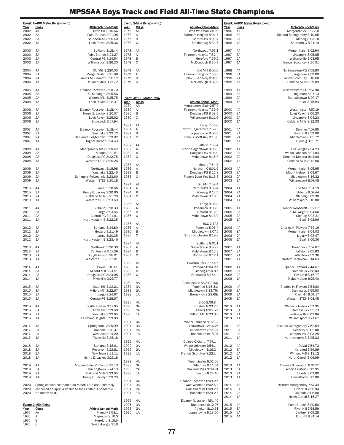|              | Event: 4x400 Meter Relay (con't.)                               |              | Event: 2-Mile Relay (con't.)             |                                                   |              | Event: 4x800 Meter Relay (con't.) |                                                      |
|--------------|-----------------------------------------------------------------|--------------|------------------------------------------|---------------------------------------------------|--------------|-----------------------------------|------------------------------------------------------|
| Year         | Class<br><b>Athlete-School-Mark</b>                             | Year         | <b>Class</b>                             | Athlete-School-Mark                               | Year         | Class                             | Athlete-School-Mark                                  |
| 2002<br>2002 | 4A<br>Oxon Hill 3:16.66<br>3A<br>Paint Branch 3:21.98           | 1977<br>1977 | AA<br>Α                                  | Walt Whitman 7:57.9<br>Fairmont Heights 8:04.7    | 1996<br>1996 | 4A<br>3A                          | Mergenthaler 7:52.8-h<br>Richard Montgomery 8:10.85  |
| 2002         | 2A<br>Southern-AA 3:26.40                                       | 1977         | B                                        | Central-PG 8:09.4                                 | 1996         | 2A                                | Glenelg 8:03.70                                      |
| 2002         | 1A<br>Loch Raven 3:25.36                                        | 1977         | C                                        | Smithsburg 8:34.7                                 | 1996         | 1A                                | Southern-G 8:21.19                                   |
| 2003         | 4A<br>Suitland 3:18.44                                          | 1978         | AA                                       | Northwood 7:53.1                                  | 1997         | 4A                                | Mergenthaler 8:02.94                                 |
| 2003         | 3A<br>Paint Branch 3:21.27                                      | 1978         | Α                                        | Fairmont Heights 7:52.4                           | 1997         | 3A                                | Linganore 8:05.65                                    |
| 2003         | Central-PG 3:24.54<br>2A                                        | 1978         | B                                        | Hereford 7:59.2                                   | 1997         | 2A                                | Walkersville 8:03.65                                 |
| 2003         | Williamsport 3:26.20<br>1A                                      | 1978         | C                                        | McDonough 8:30.3                                  | 1997         | 1A                                | Francis Scott Key 8:20.91                            |
| 2004         | 4A<br>Old Mill 3:220.03                                         | 1979         | AA                                       | Old Mill 8:00.6                                   | 1998         | 4A                                | Northwestern-PG 7:58.80                              |
| 2004         | 3A<br>Mergenthaler 3:21.98                                      | 1979         | Α                                        | Fairmont Heights 7:55.6                           | 1998         | 3A                                | Linganore 7:59.60                                    |
| 2004         | 2A<br>James M. Bennett 3:30.12                                  | 1979         | B                                        | John F. Kennedy 8:01.6                            | 1998         | 2A                                | Francis Scott Key 8:10.68                            |
| 2004         | Oakland Mills 3:27.72<br>1A                                     | 1979         | C                                        | McDonough 8:32.6                                  | 1998         | 1A                                | Oakland Mills 8:29.89                                |
| 2005         | 4A<br>Eleanor Roosevelt 3:20.70                                 |              |                                          |                                                   | 1999         | 4A                                | Northwestern-PG 7:57.90                              |
| 2005         | 3A<br>C. M. Wright 3:25.56                                      |              |                                          |                                                   | 1999         | 3A                                | Linganore 8:05.13                                    |
| 2005<br>2005 | 2A<br>Winters Mill 3:25.75<br>1A<br>Loch Raven 3:28.31          | Year         | Event: 4x800 Meter Relay<br><b>Class</b> | <b>Athlete-School-Mark</b>                        | 1999<br>1999 | 2A<br>1A                          | Randallstown 8:09.17<br>Beall 8:15.84                |
|              |                                                                 | 1980         | AA                                       | Montgomery Blair 7:57.9                           |              |                                   |                                                      |
| 2006         | Eleanor Roosevelt 3:18.44<br>4A                                 | 1980         | Α                                        | Fairmont Heights 7:56.6                           | 2000         | 4A                                | Westminster 7:57.19                                  |
| 2006         | 3A<br>Henry E. Lackey 3:20.57                                   | 1980         | B<br>C                                   | Douglass-PG 8:08.5                                | 2000         | 3A                                | Long Reach 8:06.20                                   |
| 2006<br>2006 | Loch Raven 3:26.62<br>2A<br>Brunswick 3:27.94<br>1A             | 1980         |                                          | Williamsport 8:11.6                               | 2000<br>2000 | 2A<br>1A                          | Linganore 8:04.23<br>Oakland Mills 8:12.33           |
|              |                                                                 | 1981         | AA                                       | Largo 7:56.0                                      |              |                                   |                                                      |
| 2007         | Eleanor Roosevelt 3:18.44<br>4A                                 | 1981         | Α                                        | North Hagerstown 7:59.5                           | 2001         | 4A                                | Dulaney 7:57.65<br>River Hill 7:59.90                |
| 2007<br>2007 | 3A<br>Westlake 3:22.72<br>2A<br>Baltimore Polytechnic 3:19.02   | 1981<br>1981 | B<br>C                                   | Joppatowne 8:06.3<br>Francis Scott Key 8:10.0     | 2001<br>2001 | 3A<br>2A                          | Middletown 8:05.72                                   |
| 2007         | Digital Harbor 3:24.63<br>1A                                    |              |                                          |                                                   | 2001         | 1A                                | Glenelg 8:10.71                                      |
|              |                                                                 | 1982         | AA                                       | Suitland 7:53.4                                   |              |                                   |                                                      |
| 2008<br>2008 | Montgomery Blair 3:20.42<br>4A<br>3A<br>Meade 3:22.51           | 1982<br>1982 | Α<br>B                                   | North Hagerstown 8:05.3<br>Douglass-PG 8:04.0     | 2002<br>2002 | 4A<br>3A                          | C. M. Wright 7:54.23<br>Walter Johnson 8:01.04       |
| 2008         | Douglass-PG 3:22.75<br>2A                                       | 1982         | C                                        | Middletown 8:15.0                                 | 2002         | 2A                                | Stephen Decatur 8:17.09                              |
| 2008         | Western STES 3:26.26<br>1A                                      |              |                                          |                                                   | 2002         | 1A                                | Oakland Mills 8:12.80                                |
| 2009         | Northwest 3:18.98<br>4A                                         | 1983<br>1983 | AA<br>Α                                  | Meade 7:54.3<br>Northern-C 8:01.9                 | 2003         | 4A                                | Mergenthaler 8:05.95                                 |
| 2009         | 3A<br>Westlake 3:22.45                                          | 1983         | B                                        | Douglass-PG 8:12.8                                | 2003         | 3A                                | Mount Hebron 8:03.67                                 |
| 2009         | Baltimore Polytechnic 3:23.60<br>2A                             | 1983         | $\mathsf C$                              | Francis Scott Key 8:16.8                          | 2003         | 2A                                | Middletown 8:16.32                                   |
| 2009         | Western STES 3:25.18<br>1A                                      |              |                                          |                                                   | 2003         | 1A                                | Williamsport 8:07.48                                 |
| 2010         | 4A<br>Laurel 3:18.66                                            | 1984<br>1984 | AA<br>Α                                  | Old Mill 7:59.4<br>Central-PG 8:06.4              | 2004         | 4A                                | Old Mill 7:54.19                                     |
| 2010         | 3A<br>Henry E. Lackey 3:20.60                                   | 1984         | B                                        | Glenelg 8:12.5                                    | 2004         | 3A                                | Urbana 8:07.44                                       |
| 2010         | 2A<br>Oakland Mills 3:21.29                                     | 1984         | C                                        | Middletown 8:18.5                                 | 2004         | 2A                                | Glenelg 8:09.30                                      |
| 2010         | Western STES 3:23.69<br>1A                                      | 1985         | AA                                       | Largo 8:04.3                                      | 2004         | 1A                                | Williamsport 8:16.80                                 |
| 2011         | 4A<br>Suitland 3:18.33                                          | 1985         | Α                                        | Broadneck 8:03.0                                  | 2005         | 4A                                | Eleanor Roosevelt 7:52.07                            |
| 2011         | 3A<br>Largo 3:23.54                                             | 1985         | B                                        | Howard 8:12.0                                     | 2005         | 3A                                | C.M. Wright 8:04.60                                  |
| 2011         | 2A<br>Central-PG 3:21.91                                        | 1985         | C                                        | Middletown 8:13.0                                 | 2005         | 2A                                | Glenelg 8:08.31                                      |
| 2011         | 1A<br>Northwestern-B 3:22.35                                    | 1986         | AA                                       | BCC 7:47.8                                        | 2005         | 1A                                | Beall 8:08.96                                        |
| 2012         | 4A<br>Suitland 3:14.80                                          | 1986         | Α                                        | Potomac 8:06.4                                    | 2006         | 4A                                | Charles H. Flowers 7:59.19                           |
| 2012         | 3A<br>Howard 3:21.49                                            | 1986         | B                                        | Middletown 8:07.5                                 | 2006         | 3A                                | Mergenthaler 8:04.03                                 |
| 2012<br>2012 | 2A<br>Largo 3:20.35<br>Northwestern-B 3:23.46<br>1A             | 1986         | C                                        | North Dorchester 8:19.0                           | 2006<br>2006 | 2A<br>1A                          | Liberty 8:05.97<br>Beall 8:06.36                     |
|              |                                                                 | 1987         | AA                                       | Suitland 8:01.1                                   |              |                                   |                                                      |
| 2013         | 4A<br>Northwest 3:26.30                                         | 1987         | Α                                        | Surrattsville 8:03.9                              | 2007         | 4A                                | Broadneck 7:57.67                                    |
| 2013<br>2013 | 3A<br>Centennial 3:27.39<br>2A<br>Douglass-PG 3:28.01           | 1987<br>1987 | B<br>C                                   | Middletown 8:12.2<br>Boonsboro 8:12.1             | 2007<br>2007 | 3A<br>2A                          | Fallston 8:05.63<br>Atholton 7:59.36                 |
| 2013         | Western STES 3:33.01<br>1A                                      |              |                                          |                                                   | 2007         | 1A                                | Harford Technical 8:14.63                            |
|              |                                                                 | 1988         | AA                                       | Severna Park 7:57.4-h                             |              |                                   |                                                      |
| 2014<br>2014 | 4A<br>Bowie 3:18.61<br>Milford Mill 3:24.51<br>ЗA               | 1988<br>1988 | A<br>B                                   | Potomac 8:04.2-h<br>Glenelg 8:10.8-h              | 2008<br>2008 | 4A<br>3A                          | Quince Orchard 7:44.67<br>Damascus 7:58.04           |
| 2014         | 2A<br>Douglass-PG 3:23.08                                       | 1988         | C                                        | Brunswick 8:17.4-h                                | 2008         | 2A                                | River Hill 8:16.77                                   |
| 2014         | 1A<br>Pikesville 3:27.77                                        |              |                                          |                                                   | 2008         | 1A                                | Digital Harbor 8:27.40                               |
| 2015         | 4A<br>Oxon Hill 3:22.21                                         | 1989<br>1989 | 4A<br>3A                                 | Chesapeake-AA 8:02.43y<br>Potomac 8:16.31y        | 2009         | 4A                                | Charles H. Flowers 7:54.60                           |
| 2015         | 3A<br>Milford Mill 3:22.67                                      | 1989         | 2A                                       | Middletown 8:13.75y                               | 2009         | 3A                                | Damascus 7:55.50                                     |
| 2015         | Largo 3:24.67<br>2A                                             | 1989         | 1A                                       | Brunswick 8:22.68y                                | 2009         | 2A                                | River Hill 8:01.17                                   |
| 2015         | Central-PG 3:28.67<br>1A                                        | 1990         | 4A                                       | B-CC 8:06.8-h                                     | 2009         | 1A                                | Western STES 8:08.45                                 |
| 2016         | Digital Harbor 3:17.85<br>4A                                    | 1990         | 3A                                       | Dundalk 8:03.7-h                                  | 2010         | 4A                                | Walter Johnson 7:53.35                               |
| 2016         | 3A<br>Oxon Hill 3:19.68                                         | 1990         | 2A                                       | Glenelg 8:05.5-h                                  | 2010         | 3A                                | Damascus 7:55.73                                     |
| 2016         | 2A<br>Westlake 3:22.95                                          | 1990         | 1A                                       | Milford Mill 8:23.3-h                             | 2010         | 2A                                | Walkersville 8:03.84                                 |
| 2016         | Fairmont Heights 3:29.83<br>1A                                  | 1991         | 4A                                       | Walter Johnson 8:02.33                            | 2010         | 1A                                | Williamsport 8:21.87                                 |
| 2017         | 4A<br>Springbrook 3:20.99                                       | 1991         | 3A                                       | Surrattsville 8:16.76                             | 2011         | 4A                                | Richard Montgomery 7:52.54                           |
| 2017         | 3A<br>Oakdale 3:20.47                                           | 1991         | 2A                                       | Middletown 8:11.74<br>Boonsboro 8:15.07           | 2011         | 3A                                | Reservoir 8:02.00<br>Winters Mill 8:03.28            |
| 2017<br>2017 | 2A<br>Westlake 3:24.20<br>1A<br>Pikesville 3:26.18              | 1991         | 1A                                       |                                                   | 2011<br>2011 | 2A<br>1A                          | Northwestern-B 8:05.33                               |
|              |                                                                 | 1992         | 4A                                       | Quince Orchard 7:57.1-h                           |              |                                   |                                                      |
| 2018<br>2018 | Suitland 3:18.61<br>4A                                          | 1992         | 3A                                       | Walter Johnson 7:54.1-h                           | 2012<br>2012 | 4A<br>3A                          | DuVal 7:54.72                                        |
| 2018         | ЗA<br>Reservoir 3:22.81<br>New Town 3:21.11<br>2A               | 1992<br>1992 | 2A<br>1A                                 | Middletown 8:16.2-h<br>Francis Scott Key 8:22.1-h | 2012         | 2A                                | Hereford 7:59.89<br>Winters Mill 8:13.12             |
| 2018         | Henry E. Lackey 3:27.18<br>1A                                   |              |                                          |                                                   | 2012         | 1A                                | North Carroll 8:06.99                                |
|              |                                                                 | 1993         | 4A                                       | Westminster 8:01.66                               |              |                                   |                                                      |
| 2019<br>2019 | Merganthaler Vo-Tech 3:23.13<br>4A<br>Huntingtown 3:24.13<br>ЗA | 1993<br>1993 | 3A<br>2A                                 | Whitman 8:11.54<br>Oakland Mills 9:09.91          | 2013<br>2013 | 4A<br>3A                          | Thomas S. Wootton 8:07.37<br>Albert Einstein 8:12.95 |
| 2019         | Oakland Mills 3:23.05<br>2A                                     | 1993         | 1A                                       | Easton 8:24.46                                    | 2013         | 2A                                | Liberty 8:02.60                                      |
| 2019         | Henry E. Lackey 3:29.29<br>1A                                   | 1994         | 4A                                       | Eleanor Roosevelt 8:03.2-h                        | 2013         | 1A                                | Boonsboro 8:13.00                                    |
| 2020         | Spring season postponed on March 13th and ultimately            | 1994         | ЗA                                       | Walt Whitman 8:02.5-h                             | 2014         | 4A                                | Richard Montgomery 7:57.34                           |
| 2020         | cancelled on April 28th due to the COVID-19 pandemic.           | 1994         | 2A                                       | Oakland Mills 8:08.2-h                            | 2014         | 3A                                | River Hill 7:56.94                                   |
| 2020         | No meets held.                                                  | 1994         | 1A                                       | Boonsboro 8:29.2-h                                | 2014         | 2A                                | Oakdale 8:06.80                                      |
|              |                                                                 | 1995         | 4A                                       | Eleanor Roosevelt 7:51.40                         | 2014         | 1A                                | North Carroll 8:15.27                                |
|              | Event: 2-Mile Relay                                             | 1995         | 3A                                       | Broadneck 8:12.97                                 | 2015         | 4A                                | Paint Branch 8:00.50                                 |
| Year<br>1976 | Class<br>Athlete-School-Mark<br>Friendly 7:58.1<br>AA           | 1995<br>1995 | 2A<br>1A                                 | Atholton 8:10.51<br>Joppatowne 8:13.26            | 2015<br>2015 | 3A<br>2A                          | River Hill 7:58.59<br>Century 8:09.28                |
| 1976         | Magruder 8:10.0<br>A                                            |              |                                          |                                                   | 2015         | 1A                                | Fort Hill 8:31.14                                    |
| 1976         | Hereford 8:15.5<br>B                                            |              |                                          |                                                   |              |                                   |                                                      |
| 1976         | Smithsburg 8:31.8<br>C                                          |              |                                          |                                                   |              |                                   |                                                      |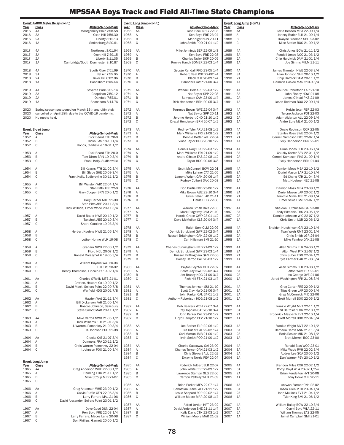|              | Event: 4x800 Meter Relay (con't.) |                                                                 |              | Event: Long Jump (con't.) |                                                                      |              | Event: Long Jump (con't.) |                                                                |
|--------------|-----------------------------------|-----------------------------------------------------------------|--------------|---------------------------|----------------------------------------------------------------------|--------------|---------------------------|----------------------------------------------------------------|
| Year         | <b>Class</b>                      | Athlete-School-Mark                                             | Year         | <b>Class</b>              | Athlete-School-Mark                                                  | Year         | Class                     | Athlete-School-Mark                                            |
| 2016<br>2016 | 4A<br>3A                          | Montgomery Blair 7:58.58<br>Oxon Hill 7:56.30                   | 1968<br>1968 | AA<br>Α                   | John Beck NHG 22-03<br>Ken Boyd FRE 23-04                            | 1988<br>1988 | AA<br>Α                   | Tavio Henson MEA 22-00 1/4<br>Johnny Butler ELK 21-09 1/4      |
| 2016         | 2A                                | Liberty 8:12.13                                                 | 1968         | B                         | McKnight NCN 20-11                                                   | 1988         | B                         | Dwayne Freeman SHG 23-02                                       |
| 2016         | 1A                                | Smithsburg 8:20.61                                              | 1968         | $\mathbb C$               | John Smith P00 21-01 1/2                                             | 1988         | C                         | Mike Stotler BOO 21-09 1/2                                     |
|              |                                   |                                                                 |              |                           |                                                                      |              |                           |                                                                |
| 2017<br>2017 | 4A<br>3A                          | Northwest 8:01.64<br>Oxon Hill 7:49.15                          | 1969<br>1969 | AA<br>Α                   | Mike Jennings SEP 22-09 1/8<br>Ken Boyd FRE 22-08                    | 1989<br>1989 | 4A<br>3A                  | Chris Jones BOW 21-11 1/2<br>Rondell Jones NOC 21-03 1/2       |
| 2017         | 2A                                | Liberty 8:11.35                                                 | 1969         | B                         | Charles Taylor BKP 20-05                                             | 1989         | 2A                        | Chip Hardwick DAM 21-01 1/4                                    |
| 2017         | 1A                                | Cambridge/South Dorchester 8:10.87                              | 1969         | C                         | Ronnie Handy SOMER 22-03 1/4                                         | 1989         | 1A                        | Joe Simms MILM 21-11                                           |
|              |                                   |                                                                 |              |                           |                                                                      |              |                           |                                                                |
| 2018<br>2018 | 4A<br>3A                          | South River 7:51.69<br>Bel Air 7:55.05                          | 1970         | AA                        | George Randall PKD 23-05 1/4<br>Robert Neal POT 22-061/4             | 1990<br>1990 | 4A<br>3A                  | James Thornton NWE 22-03 3/4                                   |
| 2018         | 2A                                | River Hill 8:02.86                                              | 1970<br>1970 | Α<br>B                    | Black CHT 20-09 1/4                                                  | 1990         | 2A                        | Allan Johnson SHE 20-10 1/2<br>Chip Hardick DAM 20-11 1/2      |
| 2018         | 1A                                | Boonsboro 8:05.44                                               | 1970         | $\mathsf C$               | Saunders GWP 21-00 3/4                                               | 1990         | 1A                        | Damaris Goslee MAR 210-0 3/4                                   |
|              |                                   |                                                                 |              |                           |                                                                      |              |                           |                                                                |
| 2019         | 4A                                | Severna Park 8:02.14                                            | 1971         | AA                        | Wendell Belt ARU 22-03 1/2                                           | 1991         | 4A                        | Maurice Robertson LAR 21-10                                    |
| 2019<br>2019 | 3A<br>2A                          | Chopticon 7:50.12<br>Oakdale 7:57.01                            | 1971<br>1971 | Α<br>B                    | Nat Baylor SPP 22-08<br>Sampson CAM 23-00 1/4                        | 1991<br>1991 | 3A<br>2A                  | John Finney HOW 21-08<br>James O'Neal PKS 21-09                |
| 2019         | 1A                                | Boonsboro 8:14.76                                               | 1971         | $\mathbb C$               | Rick Henderson BRN 20-05 3/4                                         | 1991         | 1A                        | Jason Redman BOO 22-00 1/4                                     |
|              |                                   |                                                                 |              |                           |                                                                      |              |                           |                                                                |
| 2020         |                                   | Spring season postponed on March 13th and ultimately            | 1972         | AA                        | Terrence Brown NWE 22-04 3/4                                         | 1992         | 4A                        | Kelvin Jeter PBR 22-03                                         |
| 2020<br>2020 | No meets held.                    | cancelled on April 28th due to the COVID-19 pandemic.           | 1972<br>1972 | Α<br>B                    | Nat Baylor SPP 20-11<br>Jerome Herbert CHO 21-10 1/2                 | 1992<br>1992 | 3A<br>2A                  | Tyrone Jackson POT 22-03<br>Adam Alderton ALL 22-09 1/4        |
|              |                                   |                                                                 | 1972         | $\mathsf C$               | Drexel Henderson BRN 20-07 1/2                                       | 1992         | 1A                        | Andre Eure MLM 21-05 1/2                                       |
|              |                                   |                                                                 |              |                           |                                                                      |              |                           |                                                                |
|              | Event: Broad Jump                 |                                                                 | 1973         | AA                        | Rodney Tyler ARU 21-08 1/2                                           | 1993         | 4A                        | Onaje Robinson QOR 22-05                                       |
| Year         | Class                             | <b>Athlete-School-Mark</b><br>Dick Beard FTH 20-0               | 1973         | Α<br>B                    | Mark Williams FRI 21-08 1/2<br>Donnie Dotter WIL 22-04               | 1993         | 3A<br>2A                  | Stanley Ross SWE 22-04 1/2                                     |
| 1952<br>1952 | Α<br>B                            | Hicks EAS 18-10 1/4                                             | 1973<br>1973 | $\mathsf C$               | Vince Taylor HDG 20-10 1/2                                           | 1993<br>1993 | 1A                        | Cornell Sampson PKS 22-07 1/4<br>Ricky Henderson BRN 22-01     |
| 1952         | C                                 | Hobbs, Clarksville 18-01 1/2                                    |              |                           |                                                                      |              |                           |                                                                |
|              |                                   |                                                                 | 1974         | AA                        | Dennis Ivory CRO 22-03 1/2                                           | 1994         | 4A                        | Duan Jones ELR 23-06 1/4                                       |
| 1953         | Α                                 | Dick Beard FTH 20-0                                             | 1974         | Α                         | Mark Williams FRI 21-09 1/2                                          | 1994         | 3A                        | Chucky Carter SEV 22-01 1/2                                    |
| 1953<br>1953 | B<br>C                            | Tom Dixon BRN 19-0 3/4<br>Frank Kelly, Sudlersville             | 1974         | B<br>$\mathbb C$          | Andre Gibson EAS 22-08 1/2                                           | 1994<br>1994 | 2A<br>1A                  | Cornell Sampson PKS 21-09 1/4                                  |
|              |                                   |                                                                 | 1974         |                           | Taylor HDG 20-06 3/8                                                 |              |                           | Ricky Henderson BRN 21-04                                      |
| 1954         | Α                                 | Bill Kearns FTH 21-02 3/4                                       | 1975         | AA                        | Scott McConnell BOW 22-01                                            | 1995         | 4A                        | Damion Moss MEA 22-10 1/2                                      |
| 1954         | B                                 | Bill Slade SHE 20-09 3/4                                        | 1975         | Α                         | Mike Lehner CAT 21-05                                                | 1995         | 3A                        | Duriel Mason LAP 21-10 3/4                                     |
| 1954         | C                                 | Frank Kelly, Sudlersville 30-11 1/2                             | 1975         | B                         | Lamont Wright QAN 20-06 1/4                                          | 1995         | 2A                        | Ed Chang ATH 21-04 3/4                                         |
| 1955         | Α                                 | Bill Walston WIC 22-04 1/4                                      | 1975         | $\mathsf C$               | Rodney Colbert OAK 20-08                                             | 1995         | 1A                        | Matt Huebner NEC 21-08                                         |
| 1955         | В                                 | Stan Pitts ABE 22-0                                             | 1976         | AA                        | Don Curtis PKD 23-06 1/2                                             | 1996         | 4A                        | Damion Moss MEA 23-08 1/2                                      |
| 1955         | C                                 | Gary Cooper BRN 20-0 1/2                                        | 1976         | Α                         | Mike Brown ABE 22-10 3/4                                             | 1996         | 3A                        | Duriel Mason LAP 23-02 1/2                                     |
|              |                                   |                                                                 | 1976         | B                         | Julius Baker LAP 21-11                                               | 1996         | 2A                        | Tommie Mims ABE 21-08 1/4                                      |
| 1956         | Α                                 | Gary Gerber MTB 21-00                                           | 1976         | C                         | Fields HDG 22-08                                                     | 1996         | 1A                        | Elmer Sewell SMI 21-07 1/2                                     |
| 1956<br>1956 | B<br>C                            | Stan Pitts ABE 20-11 3/4<br>Dick Wilhide, Elmer Wolfe 20-11 3/4 | 1977         | AA                        | Warren Smith BAR 22-03                                               | 1997         | 4A                        | Sheldon Hutchinson GAI 23-00                                   |
|              |                                   |                                                                 | 1977         | Α                         | Mark Ridgeway CZM 21-10                                              | 1997         | 3A                        | Andy Bilmanis THS 23-05 1/2                                    |
| 1957         | Α                                 | David Bauer NWE 20-10 1/2                                       | 1977         | B                         | Harold Green GWP 23-01 1/2                                           | 1997         | 2A                        | Damion Johnson WIC 22-07 1/2                                   |
| 1957         | B                                 | Tanchuk ABE 20-10 3/4                                           | 1977         | $\mathsf C$               | Dave McMullen CLS 20-04 3/4                                          | 1997         | 1A                        | Chris Smith LGR 22-06 1/2                                      |
| 1957         | C                                 | Short, Caroline 19-03 3/4                                       | 1978         | AA                        | Ralph Spry OLM 22-09                                                 | 1998         | 4A                        | Sheldon Hutchinson GAI 23-10 1/4                               |
| 1958         | Α                                 | Herbert Kuehne NWE 21-06 1/4                                    | 1978         | Α                         | Derrick Strickland GWP 22-02 3/4                                     | 1998         | 3A                        | Tuan Wreh RMT 23-01 1/4                                        |
| 1958         | B                                 |                                                                 | 1978         | B                         | Russell Brittingham QAN 22-09 1/2                                    | 1998         | 2A                        | Chris Smith LGR 24-04                                          |
| 1958         | C                                 | Luther Horine WLK 19-08                                         | 1978         | $\mathsf C$               | Carl Hillsman SMI 21-10                                              | 1998         | 1A                        | Mike Fambro OAK 21-08                                          |
|              |                                   |                                                                 |              |                           |                                                                      |              |                           |                                                                |
| 1959<br>1959 | Α<br>B                            | Graham NWD 22-00 1/2<br>Floyd NCL 20-07 1/2                     | 1979<br>1979 | AA<br>Α                   | Charles Cunningham PKD 21-09 1/2<br>Derrick Strickland GWP 23-03 1/4 | 1999<br>1999 | 4A<br>3A                  | Allen Simms ELR 24-00 1/2<br>Alton West PTX 21-07 1/2          |
| 1959         | C                                 | Ronald Dorsey WLK 19-05 3/4                                     | 1979         | B                         | Russell Brittingham QAN 22-06                                        | 1999         | 2A                        | Chris Suber EDG 22-04 1/2                                      |
|              |                                   |                                                                 | 1979         | C                         | Dorsey Harrod CAL 20-03 1/2                                          | 1999         | 1A                        | Kyle Farmer OAK 21-08 3/4                                      |
| 1960         | Α                                 | William Hayden WAJ 20-04                                        |              |                           |                                                                      |              |                           |                                                                |
| 1960         | B                                 | <b>Hill EAS 20-02</b>                                           | 1980         | AA                        | Payton Poynter GLB 22-02                                             | 2000         | 4A                        | Allen Simms ELR 23-08 1/2                                      |
| 1960         | C                                 | Kenny Thompson, Lincoln-Fr 19-02 1/4                            | 1980<br>1980 | Α<br>B                    | Scott Clay NWD 22-02 3/4<br>Jim Bracey NOC 24-00 3/4                 | 2000<br>2000 | 3A<br>2A                  | Alton West PTX 22-01<br>Isa George OVE 21-06                   |
| 1961         | AA                                | Charles O'Reilly MTB 21-01                                      | 1980         | C                         | Rich Hill FSK 21-03 1/4                                              | 2000         | 1A                        | Jared Washington FPK 21-08 3/4                                 |
| 1961         | Α                                 | Crofton, Howard Co 19-09 1/2                                    |              |                           |                                                                      |              |                           |                                                                |
| 1961         | B                                 | David Mack, Sollers Point 22-00 7/8                             | 1981         | AA                        | Thomas Johnson SUI 21-10                                             | 2001         | 4A                        | Greg Carter FRE 22-09 1/2                                      |
| 1961         | C                                 | Warfield HDG 20-01 7/8                                          | 1981         | Α                         | Scott Clay NWD 21-06 3/4                                             | 2001         | 3A                        | Titus Green LAP 23-00 3/4                                      |
| 1962         | AA                                | Hayden WAJ 21-11 3/4                                            | 1981<br>1981 | B<br>C                    | John Parker CAL 24-01 1/2<br>Anthony Robertson HDG 21-08 1/2         | 2001<br>2001 | 2A<br>1A                  | Greg McCormick MID 22-06<br>Brett Morrell BOO 22-05 1/2        |
| 1962         | Α                                 | Bill Dickerson FAH 21-00 1/4                                    |              |                           |                                                                      |              |                           |                                                                |
| 1962         | B                                 | Roscoe Johnson, Salisbury                                       | 1982         | AA                        | Bob Beavers WCH 22-07 3/4                                            | 2002         | 4A                        | Frankie Wright MVT 22-11 1/2                                   |
| 1962         | C                                 | Steve Smoot MAR 20-11 1/2                                       | 1982         | Α                         | Ray Toppins CAT 20-10 3/4                                            | 2002         | 3A                        | Phil DeRosier LGR 22-10 1/2                                    |
| 1963         | AA                                | Mike Carroll NWD 21-05 1/2                                      | 1982<br>1982 | B<br>C                    | John Parker CAL 23-06 1/2<br>Lloyd Hampton PEV 21-10 1/2             | 2002<br>2002 | 2A<br>1A                  | Broderick Maybank EVT 22-10 1/4<br>Brett Morrell BOO 22-04 3/4 |
| 1963         | Α                                 | Jack Williams FTH 21-01 3/4                                     |              |                           |                                                                      |              |                           |                                                                |
| 1963         | B                                 | J. Warren, Pomonkey 21-00 3/4                                   | 1983         | AA                        | Joe Barber ELR 22-06 1/2                                             | 2003         | 4A                        | Frankie Wright MVT 22-10 1/2                                   |
| 1963         | C                                 | R. Johnson POO 21-08                                            | 1983         | Α                         | Ira Cutler CAT 22-02 1/4                                             | 2003         | 3A                        | Demario Harris ANN 21-11 3/4                                   |
|              |                                   |                                                                 | 1983         | B                         | Carl Morton JMB 21-00 1/2                                            | 2003         | 2A                        | Boris Roslov MID 21-08 1/2                                     |
| 1964<br>1964 | AA<br>Α                           | Crooks CAT 21-07 3/4<br>Domneys FRA 20-11-1/2                   | 1983         | C                         | Irvin Smith POO 21-00 1/2                                            | 2003         | 1A                        | Brett Morrell B00 23-00                                        |
| 1964         | B                                 | Chris Warren Pomonkey 22-04                                     | 1984         | AA                        | Charlie Gassaway GAI 23-00                                           | 2004         | 4A                        | Ronald Bias WOO 23-01                                          |
| 1964         | C                                 | I. Johnson POO 21-00 3/4                                        | 1984         | Α                         | Charles Turner QAN 21-03 1/2                                         | 2004         | 3A                        | Mike Wade RVH 22-02 3/4                                        |
|              |                                   |                                                                 | 1984         | B                         | Chris Stewart ALL 22-02                                              | 2004         | 2A                        | Audrey Lee SOA 23-05 1/2                                       |
|              |                                   |                                                                 | 1984         | C                         | Dwayne Norris PEV 22-04                                              | 2004         | 1A                        | Dan Warner PEV 20-10 1/2                                       |
| Year         | <b>Event: Long Jump</b><br>Class  | <b>Athlete-School-Mark</b>                                      | 1985         | AA                        | Roderick Tolbert ELR 22-07                                           | 2005         | 4A                        | Brandon Miles OXH 22-02 1/2                                    |
| 1965         | AA                                | Greg Anderson WHE 22-08 1/2                                     | 1985         | Α                         | John White PBR 22-09 1/2                                             | 2005         | 3A                        | Corryl Boyd WLA 23-02 1/2-w                                    |
| 1965         | Α                                 | Hemling EDG 21-11 1/2                                           | 1985         | B                         | Lawrence Stanton GLG 22-06                                           | 2005         | 2A                        | Brian Pendelton HVT 20-08                                      |
| 1965         | B                                 | Mike Stroup MID 21-07                                           | 1985         | $\mathsf C$               | Carlton Peltway WLD 21-09                                            | 2005         | 1A                        | Tony Howe CLR 20-11                                            |
| 1965         | C                                 |                                                                 | 1986         | AA                        | Brian Parker MEA 22-07 1/4                                           | 2006         | 4A                        | Antwan Farmer OXH 22-02                                        |
| 1966         | AA                                | Greg Anderson WHE 23-00 1/2                                     | 1986         | Α                         | Sebastian Clanci AEI 21-11 1/2                                       | 2006         | 3A                        | Jason Allen MTH 23-04 1/4                                      |
| 1966         | Α                                 | Calvin Ruffin CEN 22-06 3/4                                     | 1986         | B                         | Leslie Shepard FOR 22-02 1/4                                         | 2006         | 2A                        | John Mullinex EVT 21-04 1/2                                    |
| 1966         | B                                 | Larry Farrare MAL 21-06                                         | 1986         | $\mathsf C$               | William Moore MAR 20-08 1/4                                          | 2006         | 1A                        | Tyler King SMI 21-06 1/2                                       |
| 1966         | C                                 | David Alexander, Sollers Point 23-01 1/2                        | 1987         | AA                        | Alfred Jordan HPT 23-02                                              | 2007         | 4A                        | William Bailey BOW 22-10 3/4                                   |
| 1967         | AA                                | Dave Good DUN 22-04                                             | 1987         | Α                         | David Anderson SHE 21-11 1/4                                         | 2007         | 3A                        | Corryl Boyd WLA 22-11                                          |
| 1967         | Α                                 | Ken Boyd FRE 22-03 1/4                                          | 1987         | B                         | Kelly Davis CTN 22-03 1/2                                            | 2007         | 2A                        | William Thomas EAS 22-05                                       |
| 1967         | B                                 | Larry Farrare, Maces Lane 20-08                                 | 1987         | C                         | William Moore MAR 21-02                                              | 2007         | 1A                        | Jamal Campbell SMI 21-01                                       |
| 1967         | $\mathbb C$                       | Don Phillips, Garnett 20-00 1/2                                 |              |                           |                                                                      |              |                           |                                                                |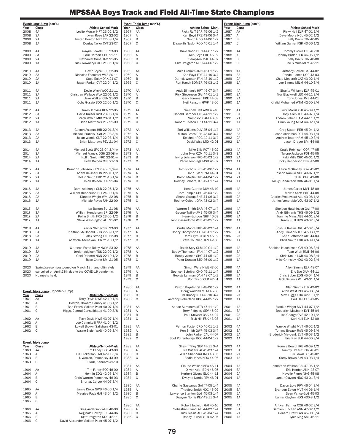|                     | Event: Long Jump (con't.)          |                                                                                                               |              | Event: Triple Jump (con't.) |                                                             |                     | <u>Event: Triple Jump</u> (con't.) |                                                                 |
|---------------------|------------------------------------|---------------------------------------------------------------------------------------------------------------|--------------|-----------------------------|-------------------------------------------------------------|---------------------|------------------------------------|-----------------------------------------------------------------|
| Year<br>2008        | Class<br>4A                        | Athlete-School-Mark<br>Leslie Murray HPT 23-02 1/2                                                            | Year<br>1967 | <b>Class</b><br>AA          | <b>Athlete-School-Mark</b><br>Ricky Ruff BAR 45-06 1/2      | <u>Year</u><br>1987 | <b>Class</b><br>AA                 | Athlete-School-Mark<br>Ricky Hall ELR 47-01 1/4                 |
| 2008<br>2008        | 3A<br>2A                           | Xyan Rose LAP 22-02<br>Tristan Benton NPT 22-08 1/4                                                           | 1967<br>1967 | Α<br>$\sf B$                | Ken Boyd FRE 43-06 3/4<br>Smith HDG 41-06 1/2               | 1987<br>1987        | Α<br>B                             | Dave Moore NCL 45-02 1/2<br>Kelly Davis CTN 46-05               |
| 2008                | 1A                                 | Dontay Taylor CVT 23-07                                                                                       | 1967         | $\mathsf C$                 | Ellsworth Naylor POO 45-01 1/4                              | 1987                | C                                  | William Garner FSK 43-06 1/2                                    |
| 2009                | 4A                                 | Dwayne Powell CHF 23-03                                                                                       | 1968         | AA                          | Dave Good DUN 44-07 1/2                                     | 1988                | AA                                 | Tommy Brown ELR 46-10                                           |
| 2009<br>2009        | 3A<br>2A                           | Paul Herbert CHO 21-11<br>Nathaniel Gant HAM 21-05                                                            | 1968<br>1968 | Α<br>B                      | Ken Boyd FRE 45-02<br>Sampson MAL 44-02                     | 1988<br>1988        | Α<br>B                             | Johnny Butler ELK 46-05 1/2<br>Kelly Davis CTN 48-00            |
| 2009                | 1A                                 | Nick Nowaczyk CTT 21-05 1/4                                                                                   | 1968         | $\mathbb C$                 | Cliff Creighton NDC 44-06 1/2                               | 1988                | $\mathsf{C}$                       | Joe Simms MLM 43-11                                             |
| 2010<br>2010        | 4A<br>3A                           | Devin Joyce SEP 22-08<br>Nicholas Feemster WLA 20-11                                                          | 1969<br>1969 | AA<br>Α                     | Mike Graham ANN 45-01 1/2<br>Ken Boyd FRE 44-10 3/4         | 1989<br>1989        | 4A<br>3A                           | Anthony Sewell GAI 44-02<br>Rondell Jones NOC 43-03             |
| 2010                | 2A                                 | Gage Ealey OAK 21-07                                                                                          | 1969         | B                           | Derrick Wooten FAH 43-10 1/2                                | 1989                | 2A                                 | Chad Medcroft CAT 43-02 1/4                                     |
| 2010                | 1A                                 | Jawan Parker CVT 22-04 1/2                                                                                    | 1969         | $\mathsf C$                 | Ron Handy SOMER 46-03 1/2                                   | 1989                | 1A                                 | Joe Simms MILM 44-10 3/4                                        |
| 2011<br>2011        | 4A<br>3A                           | Devin Wynn WOO 21-11<br>Christian Wallace WLA 22-01 1/2                                                       | 1970<br>1970 | AA<br>Α                     | Andy Bilmanis HPT 46-07 3/4<br>Rick Stevenson GAI 44-01 1/2 | 1990<br>1990        | 4A<br>3A                           | Shante Williams ELR 45-01<br>Troy Blackwell LEO 44-11 3/4       |
| 2011                | 2A                                 | Jake Walker CEN 21-03                                                                                         | 1970         | $\sf B$                     | Gary Foreman FRE 44-08                                      | 1990                | 2A                                 | Tony Jones JMB 44-01                                            |
| 2011                | 1A                                 | Coby Gussio BOO 22-05 1/2                                                                                     | 1970         | $\mathsf C$                 | Neil Ransom GWP 43-06                                       | 1990                | 1A                                 | Khalid Muhamed WTM 42-00 3/4                                    |
| 2012<br>2012        | 4A<br>3A                           | Travis Jenkins KEN 22-05<br>David Kaiser RVH 23-03 1/4                                                        | 1971<br>1971 | AA<br>Α                     | Wendell Belt ARU 45-10<br>Ronald Gardner FAH 44-11 1/2      | 1991<br>1991        | 4A<br>3A                           | Kirk Morris GAI 45-09 1/2<br>Toby Allen THS 43-07 1/4           |
| 2012<br>2012        | 2A<br>1A                           | Zach Welch MID 23-01 1/2<br>Brian Matthews PEV 21-09                                                          | 1971<br>1971 | B<br>$\mathbb C$            | Sampson CAM 43-09<br>Robert Ericson FRD 41-11 3/4           | 1991<br>1991        | 2A<br>1A                           | Andrew Teheh HAM 44-11 1/2<br>Brian Young MLM 44-02 1/4         |
|                     |                                    |                                                                                                               |              |                             |                                                             |                     |                                    |                                                                 |
| 2013<br>2013        | 4A<br>3A                           | Gaston Assoua JHB 22-01 3/4<br>Michael Francis DGH 21-03 3/4                                                  | 1972<br>1972 | AA<br>Α                     | Earl Williams DUV 45-04 1/4<br>Milton Gross CEN 43-08 3/4   | 1992<br>1992        | 4A<br>3A                           | Greg Sutton PEH 45-04 1/2<br>Jason Anderson POT 44-03 1/4       |
| 2013<br>2013        | 2A<br>1A                           | Julian Woods CNT 22-03 1/4<br>Brian Matthews PEV 21-04                                                        | 1972<br>1972 | B<br>$\mathsf C$            | Kelchner ROC 42-11 3/4<br>David Wise MID 42-01              | 1992<br>1992        | 2A<br>1A                           | Andrew Tetter HAM 45-10 3/4<br>Jason Draper SMI 44-08           |
| 2014                | 4A                                 | Michael Scott JFK 23-04 3/4-w                                                                                 | 1973         | AA                          | Mike Ellis POT 45-02                                        | 1993                | 4A                                 | Onaje Robinson QOR 47-05                                        |
| 2014                | 3A                                 | Michael Francis DGH 23-08-w                                                                                   | 1973         | Α                           | John Tyler CZM 45-11 3/8                                    | 1993                | 3A                                 | Tyrone Jackson POT 45-05                                        |
| 2014<br>2014        | 2A<br>1A                           | Kollin Smith FRD 22-01-w<br>Isiah Bolden CLR 21-10                                                            | 1973<br>1973 | $\mathsf B$<br>C            | Irving Johnson FRD 45-03 1/2<br>Pedro Jennings MSD 41-02    | 1993<br>1993        | 2A<br>1A                           | Paki Mills CHO 45-01 1/2<br>Ricky Henderson BRN 47-00           |
| 2015                | 4A                                 | Brandon Johnson KEN 23-00 3/4-w                                                                               | 1974         | AA                          | Tom Nichols SPB 45-06 1/2                                   | 1994                | 4A                                 | Aaron McKinney BOW 45-02                                        |
| 2015                | 3A                                 | Adam Beisser LIN 22-01 1/2                                                                                    | 1974         | Α                           | John Tyler CZM 44-01                                        | 1994                | 3A                                 | Joseph Rankin NOB 43-07 1/2                                     |
| 2015<br>2015        | 2A<br>1A                           | Kollin Smith FRD 21-10 1/4<br>Isiah Bolden CLR 21-04                                                          | 1974<br>1974 | B<br>$\mathbb C$            | Baron Martin FRD 44-04 1/2<br>Rodney Colbert OAK 42-01 1/4  | 1994<br>1994        | 2A<br>1A                           | TJ Hill CHO 42-08<br>Ricky Henderson BRN 46-01 1/4              |
| 2016                | 4A                                 | Dami Adekunjo GLB 22-06 1/2                                                                                   | 1975         | AA                          | Kent Guthrie DUV 46-10                                      | 1995                | 4A                                 | James Carter MVT 48-09                                          |
| 2016                | 3A                                 | William Henderson BPI 24-00 1/4                                                                               | 1975         | Α                           | Tom Temple SHG 45-04 1/2                                    | 1995                | 3A                                 | Melvin Scott PKD 44-08                                          |
| 2016<br>2016        | 2A<br>1A                           | Dimeon Wright WMI 22-08<br>Michale Reyes FAH 22-00                                                            | 1975<br>1975 | B<br>$\mathsf C$            | Shane Stroup SHE 44-06 3/4<br>Rodney Colbert OAK 43-02 3/4  | 1995<br>1995        | 2A<br>1A                           | Charles Woodward ALL 43-06 1/2<br>James Venerable VCU 43-07 1/2 |
| 2017                | 4A                                 | Isa Bynum SUI 21-08                                                                                           | 1976         | AA                          | Warren Smith BAR 46-07 1/4                                  | 1996                | 4A                                 | Sheldon Hutchinson GAI 47-00                                    |
| 2017<br>2017        | 3A<br>2A                           | William Henderson BPI 22-09<br>Kollin Smith FRD 23-05 1/2                                                     | 1976<br>1976 | Α<br>$\sf B$                | George Twilley JMB 45-09 3/4<br>Henry Gordon NHF 46-03      | 1996<br>1996        | 3A<br>2A                           | Andy Bilmanis THS 46-09 1/2<br>Tommie Mims ABE 44-01 3/4        |
| 2017                | 1A                                 | Steve Washington ALL 21-02                                                                                    | 1976         | $\mathsf C$                 | John Cassadonte WLK 43-05 1/2                               | 1996                | 1A                                 | Travis Stull BRN 43-02 3/4                                      |
| 2018                | 4A                                 | Xavier Shirley SRI 23-03                                                                                      | 1977         | AA                          | Curtis Moore PKD 46-02 1/4                                  | 1997                | 4A                                 | Joshua Rollins ARU 47-02 3/4                                    |
| 2018<br>2018        | 3A<br>2A                           | Kaithon McDonald SHG 22-09 1/2<br>Alex Strong LAP 22-08                                                       | 1977<br>1977 | Α<br>B                      | Bobby Thompson FAH 45-01 1/2<br>Derek Lymus CEN 46-02       | 1997<br>1997        | 3A<br>2A                           | Andy Bilmanis THS 47-03 1/2<br>Keith Jefferson ATH 44-03        |
| 2018                | 1A                                 | Adettola Adenekan LCR 21-10 1/2                                                                               | 1977         | $\mathbb C$                 | Steve Younker HAN 42-00                                     | 1997                | 1A                                 | Chris Smith LGR 43-09 1/4                                       |
| 2019                | 4A                                 | Clarence Foote-Talley NWM 23-02                                                                               | 1978         | AA                          | Ralph Spry OLM 49-01 1/2                                    | 1998                | 4A                                 | Sheldon Hutchinson GAI 49-06 3/4                                |
| 2019<br>2019        | 3A<br>2A                           | Jordan Addison TUS 22-02 1/2<br>Geni Roberts NCN 22-10 1/2                                                    | 1978<br>1978 | Α<br>B                      | Bobby Thompson FAH 44-07 1/2<br>Bobby Watson SHG 44-05 1/2  | 1998<br>1998        | 3A<br>2A                           | Tuan Wreh RMT 46-06<br>Chris Smith LGR 46-08 3/4                |
| 2019                | 1A                                 | Ryan Chinn SMI 21-05                                                                                          | 1978         | C                           | Peter Duncan STD 46-00 1/2                                  | 1998                | 1A                                 | Mike Grimsley HDG 43-02 3/4                                     |
| 2020<br>2020        |                                    | Spring season postponed on March 13th and ultimately<br>cancelled on April 28th due to the COVID-19 pandemic. | 1979<br>1979 | AA<br>$\mathsf{A}$          | Simon Ware NWE 47-06<br>Spencer Schriber CHO 45-11 1/4      | 1999<br>1999        | 4A<br>3A                           | Allen Simms ELR 48-07<br>Eric Sye DAM 44-11                     |
| 2020                | No meets held.                     |                                                                                                               | 1979         | B                           | George Lanman QAN 43-07 1/2                                 | 1999                | 2A                                 | Chris Suber EDG 45-04 1/4                                       |
|                     |                                    |                                                                                                               | 1979         | C                           | Ron Taylor CLR 42-01                                        | 1999                | 1A                                 | Jack Delinois WIL 43-01 1/4                                     |
|                     | Event: Triple Jump (Hop-Step-Jump) |                                                                                                               | 1980<br>1980 | AA<br>Α                     | Payton Poynter GLB 48-06 1/2<br>Doug Waddell MLM 45-06      | 2000<br>2000        | 4A<br>3A                           | Allen Simms ELR 49-02<br>Alton West PTX 45-08 3/4               |
| <u>Year</u><br>1961 | Class<br>AA                        | Athlete-School-Mark<br>Terry Davis NWE 42-10 1/4                                                              | 1980<br>1980 | B<br>$\mathsf C$            | Jim Bracey NOC 43-10 3/4<br>Anthony Robertson HDG 44-05 1/2 | 2000<br>2000        | 2A<br>1A                           | Matt Diggs EDG 42-11 1/2<br>Carl Hall ELK 41-05                 |
| 1961                | Α                                  | Hoston, Howard County 41-08 1/2                                                                               |              |                             |                                                             |                     |                                    |                                                                 |
| 1961<br>1961        | В<br>C                             | Bob Evans, Sollers Point 40-07 1/4<br>Higgs, Central Consolidated 41-00 3/8                                   | 1981<br>1981 | AA<br>Α                     | Adrian Summers MTB 47-11 1/2<br>Terry Ridgeley SEV 45-02    | 2001<br>2001        | 4A<br>3A                           | Frankie Wright MVT 44-07 1/2<br>Broderick Maybank EVT 45-04     |
| 1962                | AA                                 | Terry Davis NWE 43-07 1/4                                                                                     | 1981<br>1981 | B<br>C                      | Paul Stewart OAK 44-04<br>Rick Hill FSK 43-03               | 2001<br>2001        | 2A<br>1A                           | Isa George OVE 42-10 1/2<br>Carl Hall ELK 42-09                 |
| 1962<br>1962        | Α<br>B                             | Joe Campitelli FRA 41-04 1/2<br>Lowell Brown, Salisbury 43-01                                                 | 1982         | AA                          | Vernon Foster CRO 46-01 1/2                                 | 2002                | 4A                                 | Frankie Wright MVT 46-02 1/2                                    |
| 1962                | C                                  | Wayne Sigler WAS 40-09 3/4                                                                                    | 1982         | Α                           | Ken Smith GWP 45-03 3/4                                     | 2002                | 3A                                 | Tommy Breaux RAN 45-09 3/4                                      |
|                     |                                    |                                                                                                               | 1982<br>1982 | B<br>$\mathsf C$            | John Parker CAL 44-07<br>Scot Poffenburger BOO 44-04 1/2    | 2002<br>2002        | 2A<br>1A                           | Broderick Maybank EVT 46-03 1/2<br>Eric Ray ELK 44-00 3/4       |
| <u>Year</u>         | Event: Triple Jump<br>Class        | <b>Athlete-School-Mark</b>                                                                                    | 1983         | AA                          | Shawn Tilley SEV 47-11 3/4                                  | 2003                | 4A                                 | Ronnie Beard FRE 46-09 1/2                                      |
| 1963<br>1963        | AA<br>Α                            | Tim Fahey BCC 43-09<br>Bill Dickerson FAH 42-11 3/4                                                           | 1983<br>1983 | Α<br>B                      | Ira Cutler CAT 45-03 1/4<br>Willie Sheppard JMB 43-05       | 2003<br>2003        | 3A<br>2A                           | Tommy Breaux RAN 46-01<br>Bili Lawal BPI 45-02                  |
| 1963                | B                                  | J. Warren, Pomonkey 43-09                                                                                     | 1983         | $\mathsf C$                 | Eddie Jones NDC 44-06                                       | 2003                | 1A                                 | Corey Brown SMI 43-03 1/4                                       |
| 1963                | C                                  | Clark, Kennard 41-10                                                                                          | 1984         | AA                          | Claude Walker MEA 46-11                                     | 2004                | 4A                                 | Johnathon Welbon GAI 47-06 1/2                                  |
| 1964<br>1964        | AA<br>Α                            | Tim Fahey BCC 46-00<br>Hemlin EDG 42-05 1/4                                                                   | 1984<br>1984 | A<br>B                      | Oliver Kyler BDN 46-05<br>Herbert Givens ELK 44-11          | 2004<br>2004        | 3A<br>2A                           | Eric Herdon ANN 43-07<br>Nevelle Pierre NHG 45-08               |
| 1964<br>1964        | B<br>$\mathbb C$                   | Chris Warren Pomonkey 46-03<br>Shorter, Carver 44-07 3/4                                                      | 1984         | C                           | Dwayne Norris PEV 46-01                                     | 2004                | 1A                                 | Lamar Clayton HDG 43-01 3/4                                     |
|                     |                                    |                                                                                                               | 1985         | AA                          | Charlie Gassaway GAI 47-05 1/4                              | 2005                | 4A                                 | Davon Love PKV 46-04 3/4                                        |
| 1965<br>1965        | AA<br>Α                            | Jamie Dixon NWD 46-06 1/4<br>Maurice Page GAI 43-04 1/2                                                       | 1985<br>1985 | Α<br>B                      | Thadieu Smith NOC 45-09<br>Lawrence Stanton GLG 45-03 1/4   | 2005<br>2005        | 3A<br>2A                           | Brandon Eaton MVT 44-06 1/4<br>Sean Vance GLG 45-03             |
| 1965<br>1965        | B<br>C                             |                                                                                                               | 1985         | C                           | Dwayne Norris PEV 43-11 3/4                                 | 2005                | 1A                                 | Lamar Clayton HDG 430-8 1/2                                     |
| 1966                | AA                                 | Greg Anderson WHE 46-00                                                                                       | 1986<br>1986 | AA<br>Α                     | Robert Jackson GAI 45-10<br>Sebastian Clanci AEI 44-02 1/4  | 2006<br>2006        | 4A<br>3A                           | Antwan Farmer OXH 46-02 3/4<br>Damien Kinchen ANN 47-02 1/2     |
| 1966                | Α<br>B                             | Reginald Dowdy SPP 44-06                                                                                      | 1986         | B                           | Rick Jessie ALL 45-04 1/4                                   | 2006                | 2A                                 | Denard Drew LAN 45-00 3/4                                       |
| 1966<br>1966        | C                                  | Cliff Creighton NDC 42-11<br>David Alexander, Sollers Point 45-07 1/2                                         | 1986         | C                           | Randy Purnell STD 42-07                                     | 2006                | 1A                                 | Tyler King SMI 46-11                                            |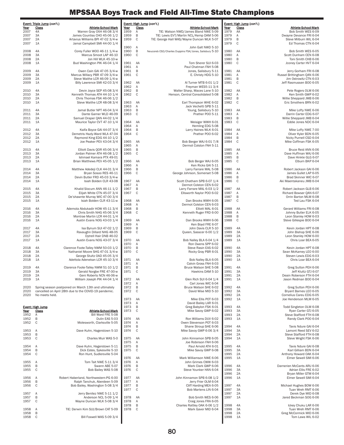|              | Event: Triple Jump (con't.)                                                                                   |              |              |                   | Event: High Jump (con't.)                                                             |              | Event: High Jump (con't.) |                                                      |
|--------------|---------------------------------------------------------------------------------------------------------------|--------------|--------------|-------------------|---------------------------------------------------------------------------------------|--------------|---------------------------|------------------------------------------------------|
| Year         | <b>Class</b><br>Athlete-School-Mark                                                                           | Year         |              | Class             | Athlete-School-Mark                                                                   | Year         | <b>Class</b>              | Athlete-School-Mark                                  |
| 2007         | Warren Gray OXH 46-08 3/4<br>4A                                                                               | 1959         |              | Α                 | TIE: Watson NWD/James Bland NWE 5-09                                                  | 1979         | AA                        | Bob Smith WES 6-09                                   |
| 2007<br>2007 | 3A<br>James Countiss CHO 45-06 1/2<br>2A<br>Artavius Williams BPI 47-02 3/4-w                                 |              | 1959<br>1959 | B<br>C            | TIE: Lewis EVT/Martin NCL/Kemp DAM 5-06<br>TIE: George Hall WAS/Wayne Duncan WLK 5-07 | 1979<br>1979 | Α<br>B                    | Dwayne Devance FRI 6-04<br>Steve Milburn WIL 6-04    |
| 2007         | 1A<br>Jamal Campbell SMI 44-00 1/4                                                                            |              |              |                   |                                                                                       | 1979         | C                         | Ed Thomas CTN 6-04                                   |
|              |                                                                                                               |              | 1960         | Α                 | John Galt NWD 5-10                                                                    |              |                           |                                                      |
| 2008<br>2008 | 4A<br>Corey Fuller WOO 46-11 1/4-w<br>Marcus Smoot LAP 46-10<br>ЗΑ                                            |              | 1960<br>1960 | B<br>C            | Neucoreb CSD/Charles Duppins FSK/Jones, Salisbury 5-10                                | 1980<br>1980 | AA<br>Α                   | Bob Smith WES 6-05<br>Scott Dunham CEN 6-08          |
| 2008         | 2A<br>Jon Hill WLK 45-10-w                                                                                    |              |              |                   |                                                                                       | 1980         | B                         | Toni Smith CHB 6-06                                  |
| 2008         | 1A<br>Bud Washington PIK 46-04 1/4                                                                            | 1961         |              | AA                | Tom Sherer SUI 6-03                                                                   | 1980         | C                         | Jconey Carter HVT 6-04                               |
|              |                                                                                                               | 1961         |              | Α                 | Paul Chatman FAH 5-08                                                                 |              |                           |                                                      |
| 2009<br>2009 | Owen Cain GAI 47-05 3/4-w<br>4A<br>3A<br>Marcus Willacy PBR 47-09 3/4-w                                       | 1961<br>1961 |              | B<br>$\mathbf C$  | Jones, Salisbury 5-11<br>E. Christy HDG 5-10                                          | 1981<br>1981 | AA<br>Α                   | Jerry Gorham FRI 6-08<br>Russel Brittingham QAN 6-06 |
| 2009         | Steve Waithe LCR 46-09 1/4-w<br>2A                                                                            |              |              |                   |                                                                                       | 1981         | $\,$ B                    | Jim Ostrowitz CTN 6-03                               |
| 2009         | 1A<br>Billy Lawrence SMI 42-03 3/4                                                                            |              | 1962         | AA                | Al Turner MTB 6-01 1/2                                                                | 1981         | C                         | Jeff Rasmussen BOO 6-05                              |
|              |                                                                                                               |              | 1962         | Α                 | Freyman WES5-11 3/4                                                                   |              |                           |                                                      |
| 2010<br>2010 | 4A<br>Devin Joyce SEP 45-08 3/4<br>ЗA<br>Kenneth Thomas ATH 44-10 1/4                                         |              | 1962<br>1962 | B<br>C            | Walter Sharp, Maces Lane 5-10<br>Henson, Central Consolidated 5-08                    | 1982<br>1982 | AA<br>Α                   | Pete Rogers OLM 6-06<br>Ken Smith GWP 6-02           |
| 2010         | 2A<br>Chris Thomas FSK 46-06 1/2                                                                              |              |              |                   |                                                                                       | 1982         | B                         | Willie Sheppard JMB 6-06                             |
| 2010         | Steve Waithe LCR 48-08 3/4<br>1A                                                                              |              | 1963         | AA                | Earl Thompson WHE 6-02                                                                | 1982         | C                         | Eric Smothers BRN 6-02                               |
|              |                                                                                                               |              | 1963         | Α                 | Jack Vechetti SPB 5-11                                                                |              |                           |                                                      |
| 2011<br>2011 | 4A<br>Jamal Butler NPT 46-04 3/4<br>3A<br>Dante Garner WLD 46-09                                              |              | 1963<br>1963 | B<br>C            | Young, Salisbury 5-10<br>Prather POO 5-11                                             | 1983<br>1983 | AA<br>Α                   | Mike Lofty NWE 6-06<br>Darrin Carter EDG 6-07        |
| 2011         | 2A<br>Samuel Draper QAN 44-02 1/4                                                                             |              |              |                   |                                                                                       | 1983         | B                         | Willie Sheppard JMB 6-04                             |
| 2011         | 1A<br>Maurice Taylor CVT 47-10 1/4                                                                            |              | 1964         | AA                | Weisiger WWH 6-01                                                                     | 1983         | C                         | Eddie Jones NDC 6-04                                 |
|              |                                                                                                               |              | 1964         | Α                 | Hemling EDG 5-08                                                                      |              |                           |                                                      |
| 2012<br>2012 | Kaifa Boyce GAI 44-07 3/4<br>4A<br>3A<br>Demetris Hazly-Ward WLA 47-04                                        |              | 1964<br>1964 | B<br>C            | Larry Haines WLK 6-01<br>Prather POO 6-02                                             | 1984<br>1984 | AA<br>Α                   | Mike Lofty NWE 7-00<br>Oliver Kyler BDN 6-05         |
| 2012         | 2A<br>Raymond King EDG 44-10 1/2                                                                              |              |              |                   |                                                                                       | 1984         | B                         | Nicky Purnell CSD 6-04                               |
| 2012         | Joe Peaker PEV 43-04 3/4<br>1A                                                                                | 1965         |              | AA                | Bob Berger WAJ 6-01 7/8                                                               | 1984         | C                         | Mike Coffman FSK 6-05                                |
|              |                                                                                                               |              | 1965         | Α                 | Dermot Colston FAH 5-11                                                               |              |                           |                                                      |
| 2013<br>2013 | Elliott Davis QOR 45-06 3/4<br>4A<br>ЗA<br>Jordan Palmer ATH 46-08 1/2                                        | 1965         | 1965         | B<br>$\mathsf{C}$ |                                                                                       | 1985<br>1985 | AA<br>Α                   | Bruce Reid ANN 6-06<br>Dave Huffman WAJ 6-06         |
| 2013         | 2A<br>Ishmael Kamara PTX 49-01                                                                                |              |              |                   |                                                                                       | 1985         | B                         | Dave Hinkle GLG 6-07                                 |
| 2013         | 1A<br>Brian Matthews PEV 45-05 1/2                                                                            | 1966         |              | AA                | Bob Berger WAJ 6-05                                                                   | 1985         | C                         | Elburn BKP 6-04                                      |
|              |                                                                                                               | 1966         |              | Α                 | Ken Ricks GAI 5-11                                                                    |              |                           |                                                      |
| 2014         | 4A<br>Matthew Adedeji CLK 44-01 3/4                                                                           | 1966         |              | B                 | Larry Farrare MAL 5-08                                                                | 1986         | AA                        | Robert Jackson GAI 6-06                              |
| 2014<br>2014 | 3A<br>Bryan Sosoo RES 46-11<br>2A<br>Devin Butler FRD 45-03 3/4-w                                             | 1966         |              | C                 | George Johnson, Somerset 5-08                                                         | 1986<br>1986 | Α<br>B                    | James Gullet LAP 6-05<br>Brad Skinner WIC 6-07       |
| 2014         | 1A<br>Isiah Bolden CLR 43-08                                                                                  | 1967         |              | AA                | Scott Chatham SPB 6-07 1/4                                                            | 1986         | C                         | Aki Maentakaneu JMB 6-04                             |
|              |                                                                                                               | 1967         |              | Α                 | Dermot Colston CEN 6-02                                                               |              |                           |                                                      |
| 2015<br>2015 | 4A<br>Khalid Slocum ANN 46-11 1/2<br>3A<br>Elijah White CTN 45-07 3/4                                         | 1967         | 1967         | B<br>C            | Larry Farrare MAL 6-03 1/2<br>Ellsworth Naylor POO 6-02                               | 1987<br>1987 | AA<br>Α                   | Robert Jackson GLB 6-06<br>Richard Bowser QAN 6-07   |
| 2015         | De'shawnte Murray WIC 47-00 3/4<br>2A                                                                         |              |              |                   |                                                                                       | 1987         | B                         | Orrin Barton MLM 6-08                                |
| 2015         | 1A<br>Isiah Bolden CLR 43-11-w                                                                                |              | 1968         | AA                | Dan Brooks WWH 6-05                                                                   | 1987         | C                         | Ted Lau FSK 6-04                                     |
|              |                                                                                                               |              | 1968         | Α                 | Dermot Colston CEN 6-03                                                               |              |                           |                                                      |
| 2016<br>2016 | Ademola Abdukadir HOW 45-11 3/4<br>4A<br>ЗA<br>Chris Smith NHG 45-06 3/4                                      |              | 1968<br>1968 | B<br>C            | Elliott MAL 6-01<br>Kenneth Ruger FRD 6-00                                            | 1988<br>1988 | AA<br>Α                   | Gerard Williams FRI 6-08<br>Johnny Butler ELK 6-05   |
| 2016         | 2A<br>Montrae Martin LCR 44-01 1/4                                                                            |              |              |                   |                                                                                       | 1988         | B                         | Leon Stanley HOW 6-03                                |
| 2016         | Austin Evans NOG 43-03 1/4<br>1A                                                                              | 1969         |              | AA                | Dan Brooks WWH 6-06                                                                   | 1988         | C                         | Steve Gillespie BOO 6-04                             |
|              |                                                                                                               |              | 1969         | Α                 | Ken Boyd FRE 6-07                                                                     |              |                           |                                                      |
| 2017<br>2017 | 4A<br>Isa Bynum SUI 47-02 1/2<br>3A<br>Ravaughn Dillard NHG 48-05                                             | 1969         | 1969         | B<br>C            | John Davis CLR 5-10<br>Queen, Sasscer 6-00 1/2                                        | 1989<br>1989 | 4A<br>3A                  | Kevin Jordan HPT 6-08<br>John Bishop SHE 6-06        |
| 2017         | 2A<br>Dytrell Hair DNB 46-02                                                                                  |              |              |                   |                                                                                       | 1989         | 2A                        | Leon Stanley HOW 6-00                                |
| 2017         | 1A<br>Austin Evans NOG 43-07 3/4                                                                              | 1970         |              | AA                | Bob Nalley BLA 6-04 1/4                                                               | 1989         | 1A                        | Chris Loar BEA 6-05                                  |
|              |                                                                                                               | 1970         |              | A                 | Ron Owens SPP 6-02                                                                    |              |                           |                                                      |
| 2018<br>2018 | Clarence Foote-Talley NWM 50-03 1/2<br>4A<br>3A<br>Nathaniel Moore SHG 47-01 3/4-w                            | 1970         | 1970         | B<br>$\mathsf{C}$ | Steve Rasin EAS 6-02<br>Rocky Gray PBR 6-01                                           | 1990<br>1990 | 4A<br>3A                  | Kevin Jordan HPT 6-08<br>Sean McKamey LEO 6-00       |
| 2018         | George Stultz OAD 45-05 3/4<br>2A                                                                             |              |              |                   |                                                                                       | 1990         | 2A                        | Steven Lewis EDG 6-03                                |
| 2018         | 1A<br>Adettola Adenekan LCR 45-10 3/4                                                                         | 1971         |              | AA                | Bob Nalley BLA 6-05                                                                   | 1990         | 1A                        | Chris Loar BEA 6-04                                  |
|              |                                                                                                               | 1971         |              | Α                 | Calvin Gross FAH 6-03                                                                 |              |                           |                                                      |
| 2019<br>2019 | Clarence Foote-Talley NWM 51-10 1/2<br>4A<br>Gerald Norgbe FRE 47-00-w<br>3A                                  | 1971<br>1971 |              | B<br>C            | Bruce Watson SHE 5-08<br>Hawkins DAM 5-10                                             | 1991<br>1991 | 4A<br>ЗA                  | Greg Sutton PEH 6-06<br>Jeff Kluttz GTJ 6-07         |
| 2019         | 2A<br>Geni Roberts NCN 46-06-w                                                                                |              |              |                   |                                                                                       | 1991         | 2A                        | Deain Roberson FTH 6-04                              |
| 2019         | William Joseph PIK 44-04 1/4<br>1A                                                                            | 1972         |              | AA                | Glen Rich SUI 6-04 1/4                                                                | 1991         | 1A                        | Jason Redman BOO 6-04                                |
|              |                                                                                                               | 1972         |              | Α                 | Carl Jones WIC 6-04                                                                   |              |                           |                                                      |
| 2020<br>2020 | Spring season postponed on March 13th and ultimately<br>cancelled on April 28th due to the COVID-19 pandemic. |              | 1972<br>1972 | B<br>C            | Bruce Watson SHE 6-02<br>David Wise MID 5-10                                          | 1992<br>1992 | 4A<br>ЗA                  | Greg Sutton PEH 6-06<br>Bryant Barnes LEO 6-05       |
| 2020         | No meets held.                                                                                                |              |              |                   |                                                                                       | 1992         | 2A                        | Cornelius Careu EDG 6-05                             |
|              |                                                                                                               | 1973         |              | AA                | Mike Ellis POT 6-03                                                                   | 1992         | 1A                        | Joe Henderson MLM 6-05                               |
|              |                                                                                                               | 1973         |              | Α                 | David Bailey LAR 6-01                                                                 |              |                           |                                                      |
| Year         | Event: High Jump<br>Class<br>Athlete-School-Mark                                                              | 1973<br>1973 |              | B<br>C            | Greg Babylon FSK 6-01<br>Mike Savoy GWP 6-02                                          | 1993<br>1993 | 4A<br>3A                  | Todd Singleton OLM 6-08<br>Ryan Carter GTJ 6-05      |
| 1952         | Α<br>Bill Ward FRE 5-08                                                                                       |              |              |                   |                                                                                       | 1993         | 2A                        | Steve Stafford FTH 6-08                              |
| 1952         | В<br>Dulin EAS 5-03                                                                                           | 1974         |              | AA                | Ron Williams DUV 6-02                                                                 | 1993         | 1A                        | Randy Clark POO 6-04                                 |
| 1952         | C<br>Molesworth, Clarksville 5-05                                                                             | 1974         |              | Α                 | Owen Stevenson POT 6-03                                                               |              |                           |                                                      |
| 1953         | Dave Kuhn, Hagerstown 5-10<br>Α                                                                               | 1974<br>1974 |              | B<br>C            | Shane Stroup SHE 6-06<br>Mike Savoy GWP 6-06 3/4                                      | 1994<br>1994 | 4A<br>ЗA                  | Tavis Ndure GAI 6-04<br>Lamont Reed SEV 6-02         |
| 1953         | B                                                                                                             |              |              |                   |                                                                                       | 1994         | 2A                        | Steve Stafford FTH 6-08                              |
| 1953         | C<br>Charles Muir WAS 5-0                                                                                     |              | 1975         | AA                | John Kinnamon SPB 6-05                                                                | 1994         | 1A                        | Steve Wright FSK 6-06                                |
|              |                                                                                                               |              | 1975         | Α                 | Joe Robinson FAH 6-06                                                                 |              |                           |                                                      |
| 1954<br>1954 | Dave Kuhn, Hagerstown 5-11<br>Α<br>Dick Estes, Sykesville 5-10<br>B                                           | 1975         | 1975         | B<br>C            | Paul Arnold ATH 6-01<br>Mike Savoy GWP 6-08                                           | 1995<br>1995 | 4A<br>ЗΑ                  | Tavis Ndure GAI 6-08<br>Karl Gilliam BDN 6-04        |
| 1954         | C<br>Ron Hunt, Sudlersville 5-04                                                                              |              |              |                   |                                                                                       | 1995         | 2A                        | Anthony Howard OAK 6-04                              |
|              |                                                                                                               |              | 1976         | AA                | Mark Williamson NWE 6-06                                                              | 1995         | 1A                        | Elmer Sewell SMI 6-06                                |
| 1955         | Tom Tait NWE 5-11 3/4<br>$\overline{A}$                                                                       | 1976         |              | Α                 | John Grimes CWW 6-03                                                                  |              |                           |                                                      |
| 1955<br>1955 | В<br>Swann ABE 5-07<br>C<br>Bob Bailey WAS 5-08                                                               | 1976<br>1976 |              | B<br>C            | Mark Clark GWP 6-06<br>Steve Younker HAN 6-04                                         | 1996<br>1996 | 4A<br>3A                  | Darnerien McCants ARU 6-06<br>Adrian Ellis FRE 6-02  |
|              |                                                                                                               |              |              |                   |                                                                                       | 1996         | 2A                        | Bryan Miller GTM 6-04                                |
| 1956         | Robert Haberland, Northwestern-PG 6-00<br>Α                                                                   |              | 1977         | AA                | John Kinnamon SPB 6-08 1/2                                                            | 1996         | 1A                        | Elmer Sewell SMI 6-04                                |
| 1956         | B<br>Ralph Tanchuk, Aberdeen 5-09                                                                             | 1977         |              | Α                 | Jerry Frier OLM 6-04                                                                  |              |                           |                                                      |
| 1956         | C<br>Bob Bailey, Washington 5-08 3/4                                                                          | 1977<br>1977 |              | B<br>C            | Cliff Harding MEA 6-05<br>Bob Martens LIN 6-04                                        | 1997<br>1997 | 4A<br>ЗΑ                  | Michael Hughes BOW 6-06<br>Tuan Wreh RMT 6-06        |
| 1957         | Jerry Benitez NWE 5-11 1/2<br>Α                                                                               |              |              |                   |                                                                                       | 1997         | 2A                        | Derek Dye MID 6-08                                   |
| 1957         | B<br>Anderson NCL 5-09 1/4                                                                                    |              | 1978         | AA                | Bob Smith WES 6-06                                                                    | 1997         | 1A                        | Jared Beckman SOG 6-06                               |
| 1957         | C<br>Wayne Duncan WLK 5-08 3/4                                                                                |              | 1978         | A                 | Craig Jones FRA 6-05                                                                  |              |                           |                                                      |
| 1958         | TIE: Derwin Kim SUI/Brown CAT 5-09<br>$\overline{A}$                                                          |              | 1978<br>1978 | B<br>C            | Charles Rattley OAK 6-06 1/2<br>Mark Gaver MID 6-04                                   | 1998<br>1998 | 4A<br>ЗΑ                  | Ickey Chuku LAR 6-06<br>Tuan Wreh RMT 6-06           |
| 1958         | B                                                                                                             |              |              |                   |                                                                                       | 1998         | 2A                        | Greg McCormick MID 6-06                              |
| 1958         | C<br>Bill Foxwell WAS 5-09 3/4                                                                                |              |              |                   |                                                                                       | 1998         | 1A                        | Tom Laws WIL 6-02                                    |
|              |                                                                                                               |              |              |                   |                                                                                       |              |                           |                                                      |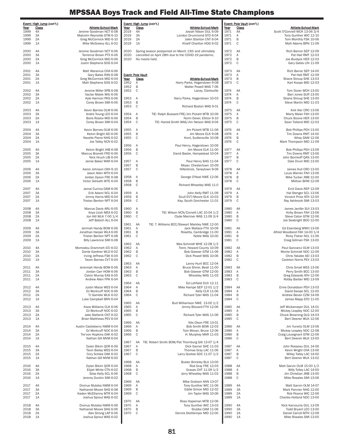|              | Event: High Jump (con't.) |                                                       |              | Event: High Jump (con't.)                                                                 |              | Event: Pole Vault (con't.) |                                                         |
|--------------|---------------------------|-------------------------------------------------------|--------------|-------------------------------------------------------------------------------------------|--------------|----------------------------|---------------------------------------------------------|
| Year         | Class                     | <b>Athlete-School-Mark</b><br>Jerome Goodman NCT 6-08 | Year         | <b>Class</b><br>Athlete-School-Mark<br>Josiah Nilsen DUL 6-09                             | <u>Year</u>  | <b>Class</b>               | Athlete-School-Mark                                     |
| 1999<br>1999 | 4A<br>3A                  | Malcolm Reynolds GTM 6-10                             | 2019<br>2019 | 4A<br>3A<br>London Drummond STD 6-04                                                      | 1971<br>1971 | AA<br>Α                    | Scott O'Connell WCH 13-06 3/4<br>Tony Gunther WIC 12-10 |
| 1999         | 2A                        | Greg McCormick MID 6-10                               | 2019         | 2A<br>Jalen Stanton CNT 6-04                                                              | 1971         | $\sf B$                    | Tom Monthly FSK 10-06                                   |
| 1999         | 1A                        | Mike McGreevy ALL 6-02                                | 2019         | 1A<br>Khalif Charlton HDG 6-02                                                            | 1971         | $\mathsf{C}$               | Matt Adams BRN 11-09                                    |
| 2000         | 4A                        | Jerome Goodman NCT 6-06                               | 2020         | Spring season postponed on March 13th and ultimately                                      | 1972         | AA                         | Rich Barron SEP 12-09                                   |
| 2000         | 3A                        | Terrence Brown PTX 6-06                               | 2020         | cancelled on April 28th due to the COVID-19 pandemic.                                     | 1972         | Α                          | Pat Hall RMT 12-03                                      |
| 2000<br>2000 | 2A<br>1A                  | Greg McCormick MID 6-06<br>Justin Stephens SOG 6-04   | 2020         | No meets held.                                                                            | 1972<br>1972 | B<br>C                     | Joe Burdyck HER 12-03<br>Gary Gates LIN 11-09           |
|              |                           |                                                       |              |                                                                                           |              |                            |                                                         |
| 2001         | 4A                        | Matt Waranius CHA 6-06                                |              |                                                                                           | 1973         | AA                         | Rich Barrar SEP 14-00                                   |
| 2001<br>2001 | 3A<br>2A                  | Gary Bates RAN 6-08<br>Greg McCormick MID 6-04        | Year         | <b>Event: Pole Vault</b><br>Class<br><b>Athlete-School-Mark</b>                           | 1973<br>1973 | Α<br>B                     | Pat Hall RMT 12-09<br>Shane Stroup SHE 13-03            |
| 2001         | 1A                        | Matt Stephens SOG 6-02                                | 1952         | Α<br>Harry Parks, Hagerstown 9-08                                                         | 1973         | C                          | Karl Koops MID 12-03                                    |
|              |                           |                                                       | 1952         | B<br>Walter Powell WAS 7-06                                                               |              |                            |                                                         |
| 2002<br>2002 | 4A<br>3A                  | Jerome Miller SPB 6-08<br>Vaclav Malek WAJ 6-06       | 1952         | C<br>Lacey, Clarksville                                                                   | 1974<br>1974 | AA<br>Α                    | Tom Dover WCH 13-00<br>Bart Jones SUR 13-00             |
| 2002         | 2A                        | Kyle Harmon PKS 6-06                                  | 1953         | Α<br>Harry Parks, Hagerstown 10-03                                                        | 1974         | B                          | Shane Stroup SHE 13-00                                  |
| 2002         | 1A                        | Corey Brown SMI 6-06                                  | 1953         | B                                                                                         | 1974         | $\mathsf{C}$               | Steve Martin MID 11-03                                  |
| 2003         | 4A                        | Kevin Barnes OLM 6-06                                 | 1953         | C<br>Richard Boston WAS 9-01                                                              | 1975         | AA                         | Kirk Iller CRO 13-06                                    |
| 2003         | 3A                        | Andre Young LEO 6-04                                  | 1954         | Α<br>TIE: Ralph Bussard FRE/Jim Pickett MTB 10-06                                         | 1975         | Α                          | Marty Maier FAH 13-00                                   |
| 2003         | 2A                        | Boris Roslov MID 6-06                                 | 1954         | B<br>Norm Dever, Elkton 9-10                                                              | 1975         | B                          | Chuck Boone HER 13-00                                   |
| 2003         | 1A                        | Corey Brown SMI 6-04                                  | 1954         | C<br>TIE: Harold Smith WAS/Jim Nelson WAS 9-04                                            | 1975         | C                          | Sean Tolland MID 12-03                                  |
| 2004         | 4A                        | Kevin Barnes OLM 6-06                                 | 1955         | Α<br>Jim Pickett MTB 11-06                                                                | 1976         | AA                         | Bob Phillips PEH 13-00                                  |
| 2004         | 3A                        | Kelvin Bright AEI 6-06                                | 1955         | B<br>Jim Moore ELK 9-08                                                                   | 1976         | Α                          | Tim Downs RMT 14-00                                     |
| 2004<br>2004 | 2A<br>1A                  | Nevelle Pierre NHG 6-02<br>Joe Talley NCN 6-02        | 1955         | $\mathsf C$<br>Hunt, Sudlersville 10-08                                                   | 1976<br>1976 | B<br>$\mathbb C$           | Athey DAM 12-06<br>Mark Thompson MID 11-09              |
|              |                           |                                                       | 1956         | Α<br>Paul Henry, Hagerstown 10-06                                                         |              |                            |                                                         |
| 2005         | 4A<br>3A                  | Kelvin Bright JHB 6-08                                | 1956         | B<br>Jim Moore ELK 11-00<br>$\mathsf C$                                                   | 1977<br>1977 | AA                         | Bob Phillips PEH 13-09<br>Tim Downs RMT 13-06           |
| 2005<br>2005 | 2A                        | Marcus Branett FRD 6-06<br>Nick Hruch LIB 6-04        | 1956         | David Basler, Hampstead 10-04                                                             | 1977         | Α<br>B                     | John Bornkoff QAN 13-00                                 |
| 2005         | 1A                        | Jamie Baker MAR 6-04                                  | 1957         | Α<br>Paul Henry SHG 11-04                                                                 | 1977         | C                          | Dale Drum MID 13-00                                     |
| 2006         |                           |                                                       | 1957<br>1957 | $\sf B$<br>Moyer, Chestertown 10-09<br>$\mathsf C$                                        |              |                            |                                                         |
| 2006         | 4A<br>3A                  | Aaron Johnson OXH 6-10<br>Jason Allen MTH 6-04        |              | Hilterbrick, Taneytown 9-06                                                               | 1978<br>1978 | AA<br>Α                    | James Hull CRO 13-00<br>Louis Warren FAH 13-06          |
| 2006         | 2A                        | Jordan Dyson FRE 6-08                                 | 1958         | George O'Neal NWE 12-06<br>Α                                                              | 1978         | B                          | Mike Tucker JMB 12-00                                   |
| 2006         | 1A                        | Victor Gilreath WTE 6-04                              | 1958<br>1958 | B<br>C<br>Richard Wheatley WAS 11-0                                                       | 1978         | C                          | Milihan BHM 12-09                                       |
| 2007         | 4A                        | Jamal Currica DAM 6-06                                |              |                                                                                           | 1979         | AA                         | Emil Davis REP 12-09                                    |
| 2007         | 3A                        | Erik Adami NCL 6-04                                   | 1959         | Α<br>John Kelly RMT 11-09                                                                 | 1979         | Α                          | Hal Stenger SCL 13-06                                   |
| 2007<br>2007 | 2A<br>1A                  | Jimmy Harris MID 6-04<br>Tristan Benton NPT 6-04      | 1959<br>1959 | B<br>Scull EVT/Moore ELK 10-03<br>$\mathsf C$<br>Kay, South Dorchester 11-01              | 1979<br>1979 | B<br>C                     | Vincent Price ATH 12-00<br>Ray Ashbrook SMI 13-03       |
|              |                           |                                                       |              |                                                                                           |              |                            |                                                         |
| 2008         | 4A                        | Marcus Davis ARU 6-05                                 | 1960         | Α                                                                                         | 1980         | AA                         | James Janifer SUI 13-03                                 |
| 2008<br>2008 | 3A<br>2A                  | Anya Uzoh MEA 6-02<br>Jon Hill WLK 7-00 1/4           | 1960<br>1960 | B<br>TIE: Wilson NCN/Cornett LAC 10-04 1/2<br>$\mathsf C$<br>Clyde Marriner WAS 11-09 3/4 | 1980<br>1980 | Α<br>B                     | Kirby Brown FAH 13-06<br>Steve Caton GTM 12-06          |
| 2008         | 1A                        | Jeff Babich ALL 6-04                                  |              |                                                                                           | 1980         | $\mathsf{C}$               | Joe Seabright BOO 12-00                                 |
|              |                           |                                                       | 1961         | AA<br>TIE: T. Williams BCC/Stewart Markley NWE 12-00                                      |              |                            |                                                         |
| 2009<br>2009 | 4A<br>3A                  | Jerimah Handy BOW 6-06<br>Jonathan Harper WLA 6-06    | 1961<br>1961 | Α<br>Jack Wallace FTH 10-09<br>B<br>Rosetta, Cambridge 11-00                              | 1981<br>1981 | AA<br>Α                    | Ed Eisenberg WWH 13-06<br>Alfred Woodland FAH 14-00 1/4 |
| 2009         | 2A                        | Tristan Benton NPT 6-08                               | 1961         | $\mathbb C$<br>Noble WAS 10-00                                                            | 1981         | B                          | Ricky Fisher NCL 11-06                                  |
| 2009         | 1A                        | Billy Lawrence SMI 6-08                               |              |                                                                                           | 1981         | C                          | Craig Gillman FSK 13-00                                 |
| 2010         | 4A                        | Momodou Drammeh GTJ 6-02                              | 1962<br>1962 | AA<br>Wes Schmidt WHE 12-08 1/2<br>Α<br>Trent, Howard County 10-09                        | 1982         | AA                         | Paul Gancarcz OLM 13-03                                 |
| 2010         | 3A                        | Donte Gardner WLD 6-02                                | 1962         | B<br>Bob Glaeser GTM 11-09                                                                | 1982         | Α                          | Monte Schmidt NOC 12-09                                 |
| 2010         | 2A                        | Irving Jeffress FSK 6-04                              | 1962         | $\mathsf C$<br>Dick Powell WAS 10-06                                                      | 1982         | B<br>C                     | Chris Yakabe AEI 13-03                                  |
| 2010         | 1A                        | Tavon Barnes CVT 6-04                                 | 1963         | AA<br>Lanny Hunt BCC 12-04                                                                | 1982         |                            | Carleton Norris PEV 13-03                               |
| 2011         | 4A                        | Jeremiah Hendy BOW 6-06                               | 1963         | Α<br>Bruce Shirer, Beall 11-00                                                            | 1983         | AA                         | Chris Small WES 13-06                                   |
| 2011         | 3A<br>2A                  | Jordan Carr HOW 6-06                                  | 1963<br>1963 | B<br>Bob Glaeser GTM 12-00<br>$\mathsf C$<br>Wheatley WAS 11-03                           | 1983<br>1983 | Α<br>B                     | Perry Smith BCC 13-00<br>Greg Edwards ATH 12-06         |
| 2011<br>2011 | 1A                        | Calvin Murray EAS 6-05<br>Andrew Allen FPK 6-04       |              |                                                                                           | 1983         | $\mathsf{C}$               | Robby Barber MID 13-09                                  |
|              |                           |                                                       | 1964         | AA<br>Ed Lohfield DUV 12-11                                                               |              |                            |                                                         |
| 2012<br>2012 | 4A<br>3A                  | Justin Maize WES 6-04<br>DJ Workcuff NOC 6-06         | 1964<br>1964 | Α<br>Mike Hampe SEP 12-01 1/2<br>B<br>Kelly CLR 11-06                                     | 1984<br>1984 | AA<br>Α                    | Ernie Donaldson PEH 13-03<br>David Swope SCL 12-00      |
| 2012         | 2A                        | TJ Gamble WLK 6-02                                    | 1964         | $\mathsf C$<br>Richard Tyler WAS 11-04                                                    | 1984         | B                          | Andrew Bevan CZM 14-06                                  |
| 2012         | 1A                        | Luke Campbell BRN 6-04                                |              |                                                                                           | 1984         | C                          | James Mapp STD 11-05                                    |
| 2013         | 4A                        | Kaos Williams CLK 6-06                                | 1965<br>1965 | AA<br>Bud Williamson NWE 13-00 1/2<br>Α<br>Jimmy Blizzard FTH 12-06                       | 1985         | AA                         | Jeff Wickemeyer DUL 14-01                               |
| 2013         | 3A                        | DJ Workcuff NOC 6-02                                  | 1965         | B                                                                                         | 1985         | Α                          | Mickey Leapley NOC 12-00                                |
| 2013         | 2A                        | Jake Stefanik CNT 6-02                                | 1965         | C<br>Richard Tyler WAS 11-06                                                              | 1985         | B<br>C                     | Chuck Browning GLG 14-03                                |
| 2013         | 1A                        | Brian Matthews PEV 6-04                               | 1966         | AA<br>Nils Olson FRE 13-01                                                                | 1985         |                            | Bert Deener WLK 12-06                                   |
| 2014         | 4A                        | Austin Castleberry NWM 6-04                           | 1966         | Α<br>Bob Smith BOW 12-03                                                                  | 1986         | AA                         | Jim Yurwitz OLM 13-06                                   |
| 2014<br>2014 | 3A<br>2A                  | DJ Workcuff NOC 6-04<br>Tre'von Hopkins OAK 6-02      | 1966<br>1966 | B<br>Tom Moran, Bruce 12-06<br>C<br>H. Murphey MAR 11-03                                  | 1986<br>1986 | Α<br>$\sf B$               | Mickey Leapley NOC 12-08<br>Craig Lousignant GTM 12-06  |
| 2014         | 1A                        | Nathan Gill MVM 6-04                                  |              |                                                                                           | 1986         | C                          | Bert Deener WLK 13-00                                   |
|              |                           |                                                       | 1967         | TIE: Robert Smith BOW/Pat Thornburg GAI 13-07 1/4<br>AA                                   |              |                            |                                                         |
| 2015<br>2015 | 4A<br>3A                  | Dylan Bikim QOR 6-06<br>Tevin Bailey WES 6-04         | 1967<br>1967 | Α<br>Dick Garner SHE 11-03<br>B<br>Thomas Gray LAC 11-06                                  | 1987<br>1987 | AA<br>Α                    | John Rosseau DUL 14-06<br>Kevin Wright CHA 13-06        |
| 2015         | 2A                        | Cory Schlee OAK 6-02                                  | 1967         | $\mathbb C$<br>Larry Gootee SDC 11-07 1/2                                                 | 1987         | B                          | Willey Talley LAC 14-00                                 |
| 2015         | 1A                        | Nathan Gill MVM 6-00                                  |              |                                                                                           | 1987         | C                          | Bert Deener WLK 13-02                                   |
| 2016         | 4A                        | Dylan Bikim QOR 6-04                                  | 1968<br>1968 | AA<br>Buster Brinkley BLA 13-00<br>Α<br>Rod Gray FRE 12-03                                | 1988         | AA                         | Matt Garvin OLM 15-00 1/2                               |
| 2016         | 3A                        | Elijah White CTN 6-02                                 | 1968         | B<br>Graves CHT 11-09 1/2                                                                 | 1988         | Α                          | Willy Tolley LAC 14-00                                  |
| 2016         | 2A                        | Silas Kelly SCL 6-06                                  | 1968         | $\mathsf C$<br>Jerry Wheatley WAS 11-03                                                   | 1988         | B                          | Jim Christian JMB 13-00                                 |
| 2016         | 1A                        | Jeremy Dunkin SMI 6-02                                | 1969         | AA<br>Mike Graham ANN 13-07                                                               | 1988         | C                          | Mike Rosales SMI 13-06                                  |
| 2017         | 4A                        | Divinus Muteba NWM 6-04                               | 1969         | Α<br>Tony Gunther WIC 11-06                                                               | 1989         | 4A                         | Matt Garvin OLM 14-07                                   |
| 2017         | 3A                        | Nathaniel Moore SHG 6-08                              | 1969         | B<br>Eddie Simon MID 12-02                                                                | 1989         | 3A                         | Mark Pannier NHG 12-00                                  |
| 2017<br>2017 | 2A<br>1A                  | Kaden McElhenny MTR 6-04<br>Joshua Sproul WAS 6-02    | 1969         | C<br>Jim Taylor WAS 10-06                                                                 | 1989<br>1989 | 2A<br>1A                   | Rob Pearce WIC 12-06<br>Charles Holland NDC 13-00       |
|              |                           |                                                       | 1970         | AA<br>Ross Hopeman MTB 12-06                                                              |              |                            |                                                         |
| 2018         | 4A                        | Divinus Muteba NWM 6-06                               | 1970         | Α<br>Tony Gunther WIC 13-03                                                               | 1990         | 4A                         | Nick Karvounis DUL 13-09                                |
| 2018<br>2018 | 3A<br>2A                  | Nathaniel Moore SHG 6-06<br>Alex Strong LAP 6-06      | 1970<br>1970 | B<br>Stubbs CAM 11-06<br>C<br>Dennis Stottlemyer MID 12-00                                | 1990<br>1990 | 3A<br>2A                   | Todd Bryant LEO 13-00<br>Daniel Carroll MTH 12-09       |
| 2018         | 1A                        | Joshua Sproul WAS 6-02                                |              |                                                                                           | 1990         | 1A                         | Mike Rosales SMI 13-00                                  |
|              |                           |                                                       |              |                                                                                           |              |                            |                                                         |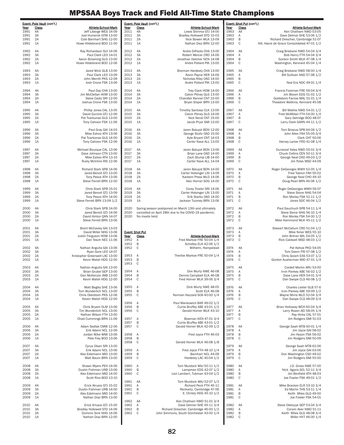|              | Event: Pole Vault (con't.) |                                                       |              | Event: Pole Vault (con't.) |                                                                                                               |              | Event: Shot Put (con't.) |                                                                   |
|--------------|----------------------------|-------------------------------------------------------|--------------|----------------------------|---------------------------------------------------------------------------------------------------------------|--------------|--------------------------|-------------------------------------------------------------------|
| Year<br>1991 | <b>Class</b><br>4A         | Athlete-School-Mark<br>Jeff Liberge WES 14-09         | Year<br>2011 | <b>Class</b><br>4A         | Athlete-School-Mark<br>Lewis Shirima GTJ 14-00                                                                | Year<br>1963 | <b>Class</b><br>AA       | Athlete-School-Mark<br>Ken Chatham NWD 53-05                      |
| 1991         | 3A                         | Joel Humenik GTM 13-00                                | 2011         | 3A                         | Bradley Hollowell STD 15-03                                                                                   | 1963         | Α                        | Dave Delmar SHE 53-06 1/2                                         |
| 1991         | 2A                         | Cole Barnhart SHG 12-00                               | 2011         | 2A                         | Nick Bowen WLK 13-09                                                                                          | 1963         | $\, {\sf B}$             | Richard Drescher, Cambridge 51-07                                 |
| 1991         | 1A                         | Howe Hildebrand BOO 11-00                             | 2011         | 1A                         | Nathan Diaz BRN 12-00                                                                                         | 1963         | C                        | Hill, Havre de Grace Consolidated 47-01 1/2                       |
| 1992         | 4A                         | Ray Richardson SUI 14-06                              | 2012         | 4A                         | Andre DiPaola CHA 13-00                                                                                       | 1964         | AA                       | Craig Brisbane NWD 54-04 3/4                                      |
| 1992<br>1992 | 3A<br>2A                   | Paul Clark LEO 14-01<br>Aaron Browning GLG 13-00      | 2012<br>2012 | 3A<br>2A                   | Robert Mercer CRO 14-06<br>Jonathan Hatcher NCN 14-08                                                         | 1964<br>1964 | Α<br>$\, {\sf B}$        | Bob Henry FTH 54-04 3/4<br>Gordon Smith WLK 47-08 1/4             |
| 1992         | 1A                         | Howe Hildebrand BOO 12-06                             | 2012         | 1A                         | Andre Pollard PIK 13-00                                                                                       | 1964         | C                        | Washington, Kennard 45-04 1/4                                     |
|              |                            |                                                       |              |                            |                                                                                                               |              |                          |                                                                   |
| 1993<br>1993 | 4A<br>3A                   | Jared Wick GLB 13-00<br>Paul Clark LEO 13-09          | 2013<br>2013 | 4A<br>3A                   | Brennan Hardesty CHA 13-00<br>Kevin Payne HER 14-06                                                           | 1965<br>1965 | AA<br>Α                  | Craig Brisbane NWD 58-00 1/4<br>Bill Sullivan AND 57-08 1/2       |
| 1993         | 2A                         | John Merritt PKS 12-09                                | 2013         | 2A                         | Nicholas Riley OAD 14-00                                                                                      | 1965         | B                        |                                                                   |
| 1993         | 1A                         | Josh Crone FSK 13-06                                  | 2013         | 1A                         | Andre Pollard PIK 13-00                                                                                       | 1965         | C                        | Ned Era NDC 49-01 1/4                                             |
| 1994         | 4A                         | Paul Day CHA 13-00                                    | 2014         | 4A                         | Trey Clark HOW 14-00                                                                                          | 1966         | AA                       | Francis Foreman FRE 59-04 3/4                                     |
| 1994         | 3A                         | Jim McClellan HOW 13-00                               | 2014         | 3A                         | Calvin Pitney GLG 13-00                                                                                       | 1966         | Α                        | Jim Bloom EDG 51-02 1/2                                           |
| 1994<br>1994 | 2A<br>1A                   | Steve Cadiz SRI 12-00<br>Joshua Crone FSK 13-00       | 2014<br>2014 | 2A<br>1A                   | Chandler Kennel CNT 15-00<br>Bryan Sloper BRN 13-00                                                           | 1966<br>1966 | B<br>C                   | Goldsboro Farrow MAL 51-01 1/4<br>Theadore Watkins, Kennard 45-08 |
|              |                            |                                                       |              |                            |                                                                                                               |              |                          |                                                                   |
| 1995<br>1995 | 4A<br>3A                   | Phillip Jones CAL 13-05<br>David Gurzick GTJ 12-06    | 2015<br>2015 | 4A<br>3A                   | Timothy Santosa CLK 13-06<br>Calvin Pitney GLG 14-06                                                          | 1967<br>1967 | AA<br>Α                  | Bill Mathis NWD 54-01 1/2<br>Fred McMillan FTH 54-00 1/4          |
| 1995         | 2A                         | Pat Tvarkunas GLG 13-00                               | 2015         | 2A                         | Nick Neral CNT 15-00                                                                                          | 1967         | $\, {\sf B}$             | Gary Getridge BOO 48-07                                           |
| 1995         | 1A                         | Tony Cahoon FSK 11-06                                 | 2015         | 1A                         | Jacob Pryor SMI 13-00                                                                                         | 1967         | C                        | Larry Clark GARN 44-11 1/2                                        |
| 1996         | 4A                         | Paul Gray GAI 14-03                                   | 2016         | 4A                         | Jaren Baluyot BDN 12-00                                                                                       | 1968         | AA                       | Tom Brosius SPB 64-06 1/2                                         |
| 1996         | 3A                         | Mike Eshoo ATH 13-06                                  | 2016         | 3A                         | George Stultz OAD 15-00                                                                                       | 1968         | Α                        | John Allen FAH 55-05-3/4                                          |
| 1996<br>1996 | 2A<br>1A                   | Pat Tvarkonas GLG 14-00<br>Tony Cahoon FSK 12-06      | 2016<br>2016 | 2A<br>1A                   | Kyle Bryant CNT 14-03<br>Carter Nave ALL 13-05                                                                | 1968<br>1968 | B<br>C                   | Clark CHT 50-06<br>Harvey Lanier FRD 41-08 1/4                    |
|              |                            |                                                       |              |                            |                                                                                                               |              |                          |                                                                   |
| 1997         | 4A                         | Michael Bourque CAL 13-06                             | 2017         | 4A                         | Jaren Baluyot BDN 13-06                                                                                       | 1969         | AA                       | Durwood Yates NWD 55-01 3/4                                       |
| 1997<br>1997 | 3A<br>2A                   | Dave Johnson CTN 13-00<br>Mike Eshoo ATH 13-10        | 2017<br>2017 | 3A<br>2A                   | Brian Lane OAD 14-00<br>Zach Stump LIB 14-00                                                                  | 1969<br>1969 | Α<br>B                   | Chuck Collins CEN 50-11 3/4<br>George Neal CHO 49-03 1/2          |
| 1997         | 1A                         | Rusty McIntire RIS 12-06                              | 2017         | 1A                         | Carter Nave ALL 14-04                                                                                         | 1969         | C                        | Jim Pyles MSD 44-09                                               |
|              |                            | Richard Stark SPB 14-06                               |              |                            |                                                                                                               |              |                          |                                                                   |
| 1998<br>1998 | 4A<br>3A                   | Jared Benoit GTJ 13-00                                | 2018<br>2018 | 4A<br>3A                   | Jaren Baluyot BDN 14-00<br>Carter Holsinger LIN 13-09                                                         | 1970<br>1970 | AA<br>Α                  | Roger DeGeorges WWH 52-05 1/4<br>Fred Tabron FAH 55-02            |
| 1998         | 2A                         | Tony Pesce ATH 13-06                                  | 2018         | 2A                         | Kareem Press WLD 14-06                                                                                        | 1970         | B                        | George Neal CHO 49-10                                             |
| 1998         | 1A                         | Steve Ferrell BRN 12-00                               | 2018         | 1A                         | Alec Horner SOG 14-00                                                                                         | 1970         | C                        | Doug Pearl BRN 46-06 1/2                                          |
| 1999         | 4A                         | Chris Stark SPB 15-01                                 | 2019         | 4A                         | Corey Troxler SRI 14-06                                                                                       | 1971         | AA                       | Roger DeGeorges WWH 56-07                                         |
| 1999<br>1999 | 3A<br>2A                   | Jared Benoit GTJ 13-09<br>Tony Pesce ATH 14-00        | 2019<br>2019 | 3A<br>2A                   | Carter Holsinger LIN 13-00<br>Erik Starks OAD 14-00                                                           | 1971<br>1971 | Α<br>B                   | Steve Stone NHG 54-04                                             |
| 1999         | 1A                         | Steve Ferrell BRN 13-09 1/2                           | 2019         | 1A                         | Jackson Tuomey BRN 13-06                                                                                      | 1971         | C                        | Ron Morley FSK 51-11 1/2<br>Jones SDC 46-04 1/2                   |
|              |                            |                                                       |              |                            |                                                                                                               |              |                          |                                                                   |
| 2000<br>2000 | 4A<br>3A                   | Chris Stark SPB 14-00<br>Jared Benoit GTJ 14-06       | 2020<br>2020 |                            | Spring season postponed on March 13th and ultimately<br>cancelled on April 28th due to the COVID-19 pandemic. | 1972<br>1972 | AA<br>Α                  | Paul Sauchuch SPB 54-11 1/4<br>Steve Stone NHG 56-10 1/4          |
| 2000         | 2A                         | David Hinton QAN 14-07                                | 2020         | No meets held.             |                                                                                                               | 1972         | B                        | Ron Morley FSK 54-00 1/2                                          |
| 2000         | 1A                         | Steve Ferrell BRN 13-06                               |              |                            |                                                                                                               | 1972         | C                        | Mike Hammond WLK 45-11 1/2                                        |
|              |                            |                                                       |              |                            |                                                                                                               |              |                          |                                                                   |
| 2001         | 4A                         | Brent McCavley GAI 13-03                              |              |                            |                                                                                                               | 1973         | AA                       | Stewart McCallum CRO 51-04 1/2                                    |
| 2001         | 3A                         | David Miller NHG 13-06                                |              | <b>Event: Shot Put</b>     |                                                                                                               | 1973         | Α                        | Mike Niner WES 55-10                                              |
| 2001         | 2A                         | Justin Ferguson HOW 13-06                             | Year         | <b>Class</b>               | <b>Athlete-School-Mark</b>                                                                                    | 1973         | $\, {\sf B}$             | John Britner WIL 54-05 1/2                                        |
| 2001         | 1A                         | Dan Tesch NEC 11-06                                   | 1952<br>1952 | Α<br>B                     | Fred Markoe FRE 50-04 1/4<br>Schidley ELK 42-06 1/2                                                           | 1973         | C                        | Rick Caldwell MSD 48-03 1/2                                       |
| 2002         | 4A                         | Nathan Anguita GAI 13-06                              | 1952         | C                          | Wilhelm, Hampstead                                                                                            | 1974         | AA                       | Pat Kehoe PKD 54-05                                               |
| 2002<br>2002 | 3A<br>2A                   | Ryan Gore LEO 14-07<br>Kristopher Greenwell LAC 13-00 | 1953         | Α                          | Therbie Markoe FRE 50-04 1/4                                                                                  | 1974<br>1974 | Α<br>B                   | Tom Deem FRI 57-08 1/2<br>Chris Gooch EAS 53-07 1/2               |
| 2002         | 1A                         | Kevin Walsh HDG 12-00                                 | 1953         | B                          |                                                                                                               | 1974         | C                        | Gordon Ausherman MID 47-01 1/4                                    |
| 2003         | 4A                         | Nathan Anguita GAI 13-00                              | 1953         | C                          |                                                                                                               | 1975         | AA                       | Cordell Martin ARU 53-00                                          |
| 2003         | 3A                         | Brian Grubel SEP 13-00                                | 1954         | Α                          | Don Murty NWE 46-08                                                                                           | 1975         | Α                        | Irvin Pankey ABE 56-02 1/2                                        |
| 2003         | 2A                         | Dan McKenzie JMB 13-00                                | 1954         | B                          | Dennis Campbell ELK 46-08                                                                                     | 1975         | B                        | Dave Lane HER 54-01 3/4                                           |
| 2003         | 1A                         | Kevin Walsh HDG 12-00                                 | 1954         | C                          | Fred Horner WLK 39-06 3/4                                                                                     | 1975         | $\mathsf C$              | Dan Swope CLS 46-08 1/2                                           |
| 2004         | 4A                         | Matt Begley SHE 13-06                                 | 1955         | A                          | Dick Murty NWE 48-05                                                                                          | 1976         | AA                       | Charles Lester GLB 57-6                                           |
| 2004<br>2004 | 3A<br>2A                   | Tom Wunderlich NCL 13-00<br>Chris Okerblom PKS 12-06  | 1955<br>1955 | B<br>$\mathsf C$           | Scott ELK 46-08<br>Norman Hazzard SOA 40-00 1/4                                                               | 1976<br>1976 | Α<br>$\, {\sf B}$        | Irvin Pankey ABE 59-09 1/2<br>Wayne Mims WLD 52-04 3/4            |
| 2004         | 1A                         | Keven Walsh HDG 12-00                                 |              |                            |                                                                                                               | 1976         | C                        | Dan Swope CLS 48-09 3/4                                           |
| 2005         | 4A                         | Chris Bryant OLM 13-06                                | 1956<br>1956 | Α<br>$\, {\sf B}$          | Paul Mankowich BAR 49-02 1/2<br>Curtis Bruffey ABE 43-01 1/2                                                  | 1977         | AA                       | Brian Holloway WCH 60-04 3/4                                      |
| 2005         | 3A                         | Tim Wunderlich NCL 13-00                              | 1956         | $\mathsf C$                | Gerald Horner WLK 43-10                                                                                       | 1977         | Α                        | Larry Rosen AEI 58-05 1/4                                         |
| 2005         | 2A                         | Nathan Wilson FTH 13-00                               |              |                            |                                                                                                               | 1977         | B                        | Ray Hicks CAL 57-01                                               |
| 2005         | 1A                         | Chad Cummings BRN 11-06                               | 1957<br>1957 | Α<br>B                     | Bowman KEN 47-01 3/4<br>Curtis Bruffey ABE 43-01 1/2                                                          | 1977         | C                        | Jim Rodgers SMI 51-03                                             |
| 2006         | 4A                         | Adam Sedlak CMW 12-06                                 | 1957         | C                          | Gerald Horner WLK 42-09 1/2                                                                                   | 1978         | AA                       | George Saah MTB 60-01 1/4                                         |
| 2006<br>2006 | 3A<br>2A                   | Erik Adami NCL 12-09<br>Jordan Wike WMI 13-06         | 1958         | Α                          | Fred Joyce FTH 46-03                                                                                          | 1978<br>1978 | Α<br>$\, {\sf B}$        | Jim Joyce GAI 58-02<br>Jim Hyson FSK 56-02                        |
| 2006         | 1A                         | Pete Frey BOO 13-06                                   | 1958         | B                          |                                                                                                               | 1978         | C                        | Jim Rodgers SMI 50-09                                             |
| 2007         | 4A                         | Cyrus Olsen SRI 13-00                                 | 1958         | $\mathsf C$                | Gerald Horner WLK 46-08 1/8                                                                                   | 1979         |                          | George Saah MTB 62-06                                             |
| 2007         | 3A                         | Erik Adami NCL 13-06                                  | 1959         | Α                          | Fred Joyce FTH 48-10 1/4                                                                                      | 1979         | AA<br>Α                  | Jim Joyce GAI 63-06                                               |
| 2007         | 2A                         | Alex Edelmann MID 13-00                               | 1959         | $\, {\sf B}$               | Barnhart NCL 44-09                                                                                            | 1979         | $\, {\sf B}$             | Don Washington CSD 49-02                                          |
| 2007         | 1A                         | Matt Baum BRN 13-00                                   | 1959         | $\mathsf C$                | Hardesty LAC 40-04 1/2                                                                                        | 1979         | C                        | Jim Rodgers SMI 55-00                                             |
| 2008         | 4A                         | Shawn Myers PEH 14-06                                 | 1960         | Α                          | Tom Murdock WAJ 50-11 1/2                                                                                     | 1980         | AA                       | J.D. Gross NWE 57-00                                              |
| 2008<br>2008 | 3A<br>2A                   | Dustin Fishman URB 13-06<br>Alex Edelmann MID 14-00   | 1960<br>1960 | B<br>C                     | Lampman EDG 42-07 1/2<br>Levi Lambert, Tubman 43-04 1/2                                                       | 1980<br>1980 | Α<br>B                   | Nick Agoris SCL 52-11 3/4<br>Jim Benfield ATH 48-03               |
| 2008         | 1A                         | Scott Rice BOO 13-10                                  |              |                            |                                                                                                               | 1980         | $\mathsf C$              | Joe Fowler FSK 49-01 1/2                                          |
|              |                            |                                                       | 1961         | AA                         | Tom Murdock WAJ 52-07 1/2                                                                                     |              |                          |                                                                   |
| 2009<br>2009 | 4A<br>3A                   | Erick Atrusio GTJ 15-02<br>Dustin Fishman URB 14-00   | 1961<br>1961 | Α<br>B                     | Richard Peck FTH 45-11<br>Renkwitz, Cambridge 47-06                                                           | 1981<br>1981 | AA<br>Α                  | Mike Bracken ELR 53-10 3/4<br>Ed Martin THS 53-11 1/4             |
| 2009         | 2A                         | Alex Edelmann MID 14-00                               | 1961         | $\mathsf C$                | E. Christy HDG 45-10 1/2                                                                                      | 1981         | $\sf B$                  | Keith Miles GLG 49-00                                             |
| 2009         | 1A                         | Nathan Diaz BRN 13-00                                 | 1962         | AA                         | Ken Chatham NWD 51-01 3/4                                                                                     | 1981         | C                        | Joe Fowler FSK 54-01                                              |
| 2010         | 4A                         | Erick Artusio GTJ 15-00                               | 1962         | Α                          | Dave Delmer SHE 45-11 3/4                                                                                     | 1982         | AA                       | Steve Olekszyk SEP 53-04 3/4                                      |
| 2010<br>2010 | 3A<br>2A                   | Bradley Hollowell STD 14-06<br>Dominic Sink NHG 14-06 | 1962<br>1962 | B<br>C                     | Richard Drescher, Cambridge 46-00 1/2<br>John Simmons, South Dorchester 43-00 1/4                             | 1982<br>1982 | Α<br>B                   | Corwin Aker NWD 51-11<br>Keith Miles GLG 48-08 3/4                |
| 2010         | 1A                         | Nathan Diaz BRN 12-00                                 |              |                            |                                                                                                               | 1982         | $\mathsf C$              | Miller HVT 46-00 1/4                                              |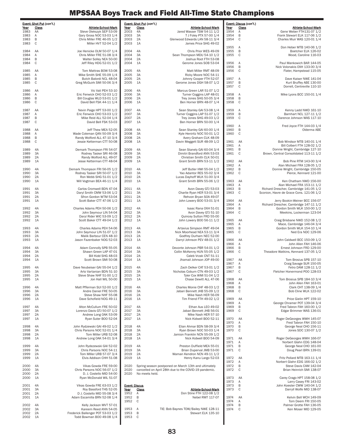1984 AA<br>1984 A

1987 AA<br>1987 A<br>1987 B<br>1987 C

1990 4A<br>1990 3A<br>1990 2A

1992 1A 1993 4A

1999 4A<br>1999 3A

 $2000$  4A<br> $2000$  3A

2000 1A

|                      | Event: Discus (con't.) |                                          |
|----------------------|------------------------|------------------------------------------|
| Year                 | <b>Class</b>           | <u>Athlete-School-Mark</u>               |
| 1954                 | Α                      | Gene Weber FTH131-07 1/2                 |
| 1954                 | B                      | Frank Stewart ELK 117-06 1/2             |
| 1954                 | C                      | Charles Muir WAS 120-01 1/4              |
| 1955                 | A                      | Don Heber MTB 140-06 1/2                 |
| 1955                 | B                      | Boetcher ELK 126-02                      |
| 1955                 | C                      | Wood, Caroline 116-03                    |
| 1956                 | A                      | Paul Mankowich BAR 144-05                |
| 1956                 | B                      | Nick Volonakis OXH 133-00 3/4            |
| 1956                 | C                      | Flater, Hampstead 115-05                 |
| 1957                 | Α                      | Dave Kaiser NWE 141-04                   |
| 1957                 | B                      | Kurt Bruffey ABE 130-00                  |
| 1957                 | С                      | Dorrell, Centreville 110-10              |
| 1958<br>1958<br>1958 | A<br>B<br>C            | Mike Lyons BCC 150-01 1/4                |
| 1959                 | A                      | Kenny Ladd NWD 161-10                    |
| 1959                 | B                      | Barnhart NCL 127-11 1/2                  |
| 1959                 | C                      | Clarence Johnson WAS 117-10              |
| 1960<br>1960<br>1960 | A<br>B<br>С            | Fred Joyce FTH 144-03 1/4<br>Olderma ABE |
| 1961                 | AA                     | Bob Windsor MTB 140-01 1/4               |
| 1961                 | Α                      | Bill Colbert FTH 128-02 1/2              |
| 1961                 | B                      | Donnie Wright, Cambridge 127-10          |
| 1961                 | C                      | Brown, Central Consolidated 113-11 1/2   |
| 1962                 | AA                     | Bob Pine RTM 143-00 3/4                  |
| 1962                 | Α                      | Alan Michael FRA 128-05 1/2              |
| 1962                 | B                      | Donnie Wright, Cambridge 150-05          |
| 1962                 | C                      | Pierce, Kennard 121-00                   |
| 1963                 | AA                     | Ken Chatham NWD 156-00                   |
| 1963                 | Α                      | Alan Michael FRA 153-11 1/2              |
| 1963                 | B                      | Richard Drescher, Cambridge 141-05 1/2   |
| 1963                 | С                      | Sconion, Havre de Grace Cons. 121-06 1/2 |
| 1964                 | AA                     | Jerry Bookin-Weiner BCC 156-07           |
| 1964                 | Α                      | Richard Drescher, Cambridge 147-11 1/2   |
| 1964                 | В                      | Gordon Smith WLK 150-00 1/2              |
| 1964                 | C                      | Meekins, Lockerman 123-04                |
| 1965                 | AA                     | Craig Brisbane NWD 152-08 1/2            |
| 1965                 | Α                      | Mace, Cambridge 146-04 3/4               |
| 1965                 | В                      | Gordon Smith WLK 154-10 1/4              |
| 1965                 | C                      | Ned Era NDC 129-06                       |
| 1966                 | AA                     | John Caldwell BCC 150-09 1/2             |
| 1966                 | Α                      | John Allen FAH 146-06                    |
| 1966                 | B                      | Ernest Johnson FRD 129-00                |
| 1966                 | C                      | Theadore Watkins, Kennard 137-05 1/2     |
| 1967                 | AA                     | Tom Brosius SPB 157-10                   |
| 1967                 | Α                      | Craig Savage SUR 150-05                  |
| 1967                 | B                      | Fetro DAM 128-11 1/2                     |
| 1967                 | C                      | Fletcher Honermond POO 128-03            |
| 1968                 | AA                     | Tom Brosius SPB 184-10 3/4               |
| 1968                 | A                      | John Allen FAH 163-01                    |
| 1968                 | В                      | Clark CHT 138-09 1/4                     |
| 1968                 | C                      | Bob Cline WLK 122-02                     |
| 1969                 | AA                     | Price Gielin HPT 159-10                  |
| 1969                 | Α                      | George Chramer POT 139-04 3/4            |
| 1969                 | B                      | Fred Tabron FAH 160-00 1/2               |
| 1969                 | С                      | Edgar Brimmer WAS 136-01                 |
| 1970                 | AA                     | Roger DeGeorges WWH 145-07               |
| 1970                 | Α                      | Fred Tabron FAH 150-10                   |
| 1970                 | B                      | George Neal CHO 156-11                   |
| 1970                 | C                      | Jones SDC 130-07 1/2                     |
| 1971                 | AA                     | Roger DeGeorges WWH 166-07               |
| 1971                 | A                      | Norbert Glahn EDG 148-04                 |
| 1971                 | В                      | George Neal CHO 161-00                   |
| 1971                 | C                      | Doug Pearl BRN 139-01                    |
| 1972                 | AA                     | Fritz Pollard MTB 163-11 1/4             |
| 1972                 | Α                      | Norbert Glahn EDG 166-02 1/2             |
| 1972                 | B                      | Steve Davis CAM 142-04                   |
| 1972                 | С                      | Brian Heinrich SMI 138-07                |
| 1973                 | AA                     | Carey Crago HPT 158-08 1/2               |
| 1973                 | Α                      | Larry Casey FRI 143-02                   |
| 1973                 | В                      | John Koester CWW 140-04 1/2              |
| 1973                 | C                      | Darryll Wolfe MID 138-07                 |
| 1974                 | AA                     | Kelvin Bell WCH 149-09                   |
| 1974                 | Α                      | Tom Deem FRI 150-05                      |
| 1974                 | В                      | Palmer Grotte FAH 136-05                 |
| 1974                 | C                      | Ken Moser MID 129-05                     |

|              | <u>Event: Shot Put</u> (con't.) |                                                         |              | Event: Shot Put (con't.) |                                                            |
|--------------|---------------------------------|---------------------------------------------------------|--------------|--------------------------|------------------------------------------------------------|
| Year         | <b>Class</b>                    | Athlete-School-Mark                                     | Year         | Class                    | Athlete-School-Mark                                        |
| 1983         | AA                              | Steve Olekszyk SEP 53-09                                | 2003         | 4A                       | Jared Wasser TSW 54-11 1/2                                 |
| 1983         | Α                               | Gary Gross NOC 53-03 1/4                                | 2003         | 3A                       | T J Foley PTX 57-00 1/4                                    |
| 1983         | В                               | Chris Miller FRE 46-05 1/2                              | 2003         | 2A                       | Glenwood Edwards LAN 58-11 3/4                             |
| 1983         | С                               | Miller HVT 52-04 1/2                                    | 2003         | 1A                       | James Price SHG 49-02                                      |
|              |                                 |                                                         |              |                          |                                                            |
| 1984         | AA                              | Joe Henicke OLM 50-07 1/4                               | 2004         | 4A                       | Chris Prior WES 49-09                                      |
| 1984         | Α                               | Chris Miller FRE 51-08 3/4                              | 2004         | 3A                       | Sean Thompson MDU 54-10 1/2                                |
| 1984         | В                               | Walter Solley NEA 50-00                                 | 2004         | 2A                       | Joshua Root FTH 53-08                                      |
| 1984         | С                               | Jeff Riley HDG 52-01 1/2                                | 2004         | 1A                       | Gerome Jones SOB 53-04                                     |
| 1985         | AA                              | Tom Mattras BOW 53-08                                   | 2005         | 4A                       | Matt Miller RMT 48-09                                      |
| 1985         | Α                               | Mike Smith SHE 55-09 1/4                                | 2005         | 3A                       | Ricky Moore NOC 54-11                                      |
| 1985         | В                               | Butch Balordi NCL 48-04                                 | 2005         | 2A                       | Johnny Cooper FTH 52-07                                    |
| 1985         | С                               | Greg McGuirk SMI 50-06 3/4                              | 2005         | 1A                       | Gerome Jones DGH 58-07 1/2                                 |
|              |                                 |                                                         |              |                          |                                                            |
| 1986         | AA                              | Vic Vali PEH 53-10                                      | 2006         | 4A                       | Marcus Green LAR 51-07 1/2                                 |
| 1986         | Α                               | Eric Fenwick CHO 52-03 1/2                              | 2006         | 3A                       | Turner Coggins LAP 48-01                                   |
| 1986         | В                               | Bill Couglas WLD 53-01 1/2                              | 2006         | 2A                       | Trey Jones SHG 50-05 3/4                                   |
| 1986         | С                               | David Bell FSK 44-11 1/4                                | 2006         | 1A                       | Ben Horner BRN 48-07 1/4                                   |
| 1987         | AA                              |                                                         | 2007         | 4A                       |                                                            |
| 1987         | Α                               | Nevin Paige HPT 53-00 1/2<br>Eric Fenwick CHO 53-03 1/2 | 2007         | 3A                       | Sean Stanley GAI 53-08 1/4<br>Turner Coggins LAP 51-07 1/2 |
| 1987         | В                               | Mike Reid ALL 52-04 1/4                                 | 2007         | 2A                       | Trey Jones SHG 49-03 1/2                                   |
| 1987         | С                               | David Bell FSK 53-03                                    | 2007         | 1A                       | Ben Horner BRN 50-00 1/4                                   |
|              |                                 |                                                         |              |                          |                                                            |
| 1988         | AA                              | Jeff Thew MEA 52-05                                     | 2008         | 4A                       | Sean Stanley GAI 60-00 1/4                                 |
| 1988         | Α                               | Wade Coleman QAN 50-09 3/4                              | 2008         | 3A                       | Kyle Heniritz NOC 50-01 1/2                                |
| 1988         | В                               | Randy Wolford ALL 47-10 3/4                             | 2008         | 2A                       | Avery Graham CLK 48-09                                     |
| 1988         | С                               | Jessie Ketterman CTT 50-08                              | 2008         | 1A                       | Davin Meggett SUR 48-09 1/2                                |
|              | 4A                              | Demark Thompson FRI 54-07                               | 2009         | 4A                       |                                                            |
| 1989         | 3A                              |                                                         | 2009         | ЗA                       | Sean Stanely GAI 60-04 3/4<br>Dimitri Brandford ANN 53-03  |
| 1989<br>1989 | 2A                              | Rodney Tasker SRI 46-08<br>Randy Wolford ALL 49-07      | 2009         | 2A                       | Christian Smith CLK 50-01                                  |
| 1989         | 1A                              | Jesse Ketterman CTT 48-04                               | 2009         | 1A                       | Grant Smith BRN 53-11 1/2                                  |
|              |                                 |                                                         |              |                          |                                                            |
| 1990         | 4A                              | Demark Thompson FRI 56-05 1/2                           | 2010         | 4A                       | Jeff Butler HWI 55-04 1/2                                  |
| 1990         | 3A                              | Rodney Tasker SRI 50-07 1/2                             | 2010         | ЗA                       | Yao Adantor RES 55-02 3/4                                  |
| 1990         | 2A                              | Ron Webb SHG 51-01 1/2                                  | 2010         | 2A                       | Lucas Dayhoff WLK 51-00 3/4                                |
| 1990         | 1A                              | Will Vogtman BEA 46-11 1/4                              | 2010         | 1A                       | Grant Smith BRN 55-06 1/2                                  |
|              |                                 |                                                         |              |                          |                                                            |
| 1991         | 4A                              | Carlos Cromwell BDN 47-04                               | 2011         | 4A                       | Avon Davey GTJ 53-03                                       |
| 1991         | 3A                              | Daryl Smith CMW 53-06 1/2                               | 2011         | 3A                       | Charlie Ryan HER 53-01 3/4                                 |
| 1991         | 2A                              | Sfron Gordon WTM 53-04                                  | 2011         | 2A                       | Rehvon Bryan SOA 49-07                                     |
| 1991         | 1A                              | Scott Baker CTT 47-06 1/2                               | 2011         | 1A                       | John Lowery BOO 53-01 3/4                                  |
| 1992         | 4A                              | Charles Adams PEH 50-06 1/2                             | 2012         | 4A                       | Isaac Rana OXH 51-01                                       |
| 1992         | 3A                              | John Seymour LIN 54-04                                  | 2012         | ЗA                       | Avon Davey GTJ 51-10                                       |
| 1992         | 2A                              | Daryl Rider WIC 53-09 1/2                               | 2012         | 2A                       | Quincey Sutton FRD 55-00                                   |
| 1992         | 1A                              | Scott Baker CTT 49-04 1/2                               | 2012         | 1A                       | John Lowery BOO 56-11 1/2                                  |
|              |                                 |                                                         |              |                          |                                                            |
| 1993         | 4A                              | Charles Adams PEH 54-06                                 | 2013         | 4A                       | Artavius Simpson RMT 49-04                                 |
| 1993         | 3A                              | John Seymour LIN 51-07 1/2                              | 2013         | ЗA                       | Nick Moorhead NEA 53-11 3/4                                |
| 1993         | 2A                              | Malik Barbour CEN 48-10                                 | 2013         | 2A                       | Godfrey Durham NEC 52-00                                   |
| 1993         | 1A                              | Jason Fazenbaker NOG 52-03                              | 2013         | 1A                       | Darryl Johnson PEV 48-01 1/2                               |
| 1994         | 4A                              | Adam Connolly SPB 55-05                                 | 2014         | 4A                       | Devonte Johnson PBR 54-01 1/2                              |
| 1994         | 3A                              | Shawn Green LAP 47-01                                   | 2014         | 3A                       | Collin McKenny HUN 55-05 1/2                               |
| 1994         | 2A                              | Bill Kidd SHG 48-03                                     | 2014         | 2A                       | Caleb Vrzak CNT 51-11                                      |
| 1994         | 1A                              | Scott Brown SMI 50-08                                   | 2014         | 1A                       | Jhamail Johnson JOP 49-00                                  |
| 1995         | 4A                              | Dave Neubeiser GAI 55-04 1/2                            | 2015         | 4A                       |                                                            |
|              | 3A                              | Arto Vartanian BDN 51-10                                | 2015         | 3A                       | Zach Delker CAT 53-01 1/2                                  |
| 1995<br>1995 | 2A                              | Steve Shaw NHF 51-00 1/2                                | 2015         | 2A                       | Nicholas Coburn CTN 49-03 1/2<br>Tyler Cox WMI 51-04 1/2   |
| 1995         | 1A                              | Jon Hall WIL 50-00                                      | 2015         | 1A                       | Chase Dewitt ALL 47-06                                     |
|              |                                 |                                                         |              |                          |                                                            |
| 1996         | 4A                              | Matt Pfferman SUI 52-00 1/2                             | 2016         | 4A                       | Charles Monie CHF 48-03 1/2                                |
| 1996         | 3A                              | Andre Daniel FRE 50-05                                  | 2016         | 3A                       | Jabari Bennett JHB 55-09 1/2                               |
| 1996         | 2A                              | Steve Shaw NHF 55-08                                    | 2016         | 2A                       | Mike Nash HER 56-09                                        |
| 1996         | 1A                              | Dave Schofield NOG 49-11                                | 2016         | 1A                       | Tim Friend FTH 49-02 1/2                                   |
| 1997         | 4A                              | Alton McCullum FRE 50-02                                | 2017         | 4A                       | Ethan Aus LEO 49-02                                        |
| 1997         | 3A                              | Lorenzo Davis GTJ 50-07 1/2                             | 2017         | ЗΑ                       | Jabari Bennett JHB 56-01                                   |
| 1997         | 2A                              | Andrew Long OAK 53-09                                   | 2017         | 2A                       | Mike Nash HER 57-10                                        |
| 1997         | 1A                              | Ryan Suter BOO 52-04                                    | 2017         | 1A                       | Nick Kidwell BOO 52-11                                     |
|              |                                 |                                                         |              |                          |                                                            |
| 1998         | 4A                              | John Rydzewski GAI 49-02 1/2                            | 2018         | 4A                       | Elian Ahmar BDN 58-09 3/4                                  |
| 1998         | 3A                              | Chris Parsons NOC 52-01 1/4                             | 2018         | 3A                       | Ryan Brown NOC 50-03 1/4                                   |
| 1998         | 2A                              | Tom Miller URB 52-08                                    | 2018         | 2A                       | Jamion Franklin NCN 55-09 1/2                              |
| 1998         | 1A                              | Andrew Long OAK 54-01 3/4                               | 2018         | 1A                       | Nick Kidwell BOO 54-09                                     |
| 1999         | 4A                              | John Rydezewski GAI 52-02                               | 2019         | 4A                       | Preston Duffield MEA 55-01                                 |
| 1999         | 3A                              | Chris Parsons NOC 54-11                                 | 2019         | 3A                       | Brian Duperval JMB 53-00                                   |
| 1999         | 2A                              | Tom Miller URB 57-07 3/4                                | 2019         | 2A                       | Waman Kendron NCN 49-11 1/2                                |
| 1999         | 1A                              | Elvis Addison CHH 51-08                                 | 2019         | 1A                       | Henry Kanu Largo 52-03                                     |
|              |                                 |                                                         |              |                          |                                                            |
| 2000         | 4A<br>3A                        | Vikas Gowda FRE 59-00                                   | 2020<br>2020 |                          | Spring season postponed on March 13th and ultimately       |
| 2000<br>2000 | 2A                              | Chris Parsons NOC 56-07 1/2<br>D. J. Costello MID 54-00 | 2020         | No meets held.           | cancelled on April 28th due to the COVID-19 pandemic.      |
| 2000         | 1A                              | Ryan McDonald WIL 51-07                                 |              |                          |                                                            |
|              |                                 |                                                         |              |                          |                                                            |
| 2001         | 4A                              | Vikas Gowda FRE 63-03 1/2                               |              | <b>Event: Discus</b>     |                                                            |
| 2001         | 3A                              | Roy Bassford THS 52-05                                  | Year         | <b>Class</b>             | <b>Athlete-School-Mark</b>                                 |
| 2001         | 2A                              | D J. Costello MID 55-08 3/4                             | 1952         | Α                        | Don Stine FTH 122-08 1/2                                   |
| 2001         | 1A                              | Adam Escamilla BRN 52-08 1/4                            | 1952         | В                        | Nebel RMT 117-07                                           |
| 2002         | 4A                              | Kelly Jackson MVT 57-01                                 | 1952         | C                        |                                                            |
| 2002         | 3A                              | Kareem Reed ANN 54-05                                   | 1953         | Α                        | TIE: Bob Baynes TOW/Bailey NWE 128-11                      |
| 2002         | 2A                              | Frederick Ballenger POT 53-03 1/2                       | 1953         | B                        | Stewart ELK 135-10                                         |
| 2002         | 1A                              | Todd Bowman BOO 49-08 1/4                               | 1953         | C                        |                                                            |

I